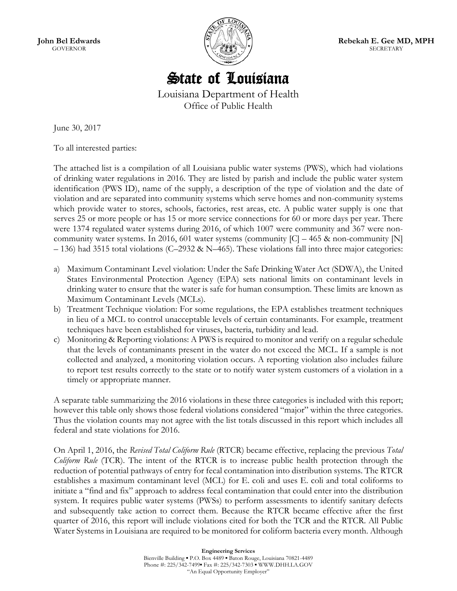

State of Louisiana

Louisiana Department of Health Office of Public Health

June 30, 2017

To all interested parties:

The attached list is a compilation of all Louisiana public water systems (PWS), which had violations of drinking water regulations in 2016. They are listed by parish and include the public water system identification (PWS ID), name of the supply, a description of the type of violation and the date of violation and are separated into community systems which serve homes and non-community systems which provide water to stores, schools, factories, rest areas, etc. A public water supply is one that serves 25 or more people or has 15 or more service connections for 60 or more days per year. There were 1374 regulated water systems during 2016, of which 1007 were community and 367 were noncommunity water systems. In 2016, 601 water systems (community  $|C| - 465$  & non-community  $|N|$ – 136) had 3515 total violations (C–2932 & N–465). These violations fall into three major categories:

- a) Maximum Contaminant Level violation: Under the Safe Drinking Water Act (SDWA), the United States Environmental Protection Agency (EPA) sets national limits on contaminant levels in drinking water to ensure that the water is safe for human consumption. These limits are known as Maximum Contaminant Levels (MCLs).
- b) Treatment Technique violation: For some regulations, the EPA establishes treatment techniques in lieu of a MCL to control unacceptable levels of certain contaminants. For example, treatment techniques have been established for viruses, bacteria, turbidity and lead.
- c) Monitoring & Reporting violations: A PWS is required to monitor and verify on a regular schedule that the levels of contaminants present in the water do not exceed the MCL. If a sample is not collected and analyzed, a monitoring violation occurs. A reporting violation also includes failure to report test results correctly to the state or to notify water system customers of a violation in a timely or appropriate manner.

A separate table summarizing the 2016 violations in these three categories is included with this report; however this table only shows those federal violations considered "major" within the three categories. Thus the violation counts may not agree with the list totals discussed in this report which includes all federal and state violations for 2016.

On April 1, 2016, the *Revised Total Coliform Rule* (RTCR) became effective, replacing the previous *Total Coliform Rule* (TCR). The intent of the RTCR is to increase public health protection through the reduction of potential pathways of entry for fecal contamination into distribution systems. The RTCR establishes a maximum contaminant level (MCL) for E. coli and uses E. coli and total coliforms to initiate a "find and fix" approach to address fecal contamination that could enter into the distribution system. It requires public water systems (PWSs) to perform assessments to identify sanitary defects and subsequently take action to correct them. Because the RTCR became effective after the first quarter of 2016, this report will include violations cited for both the TCR and the RTCR. All Public Water Systems in Louisiana are required to be monitored for coliform bacteria every month. Although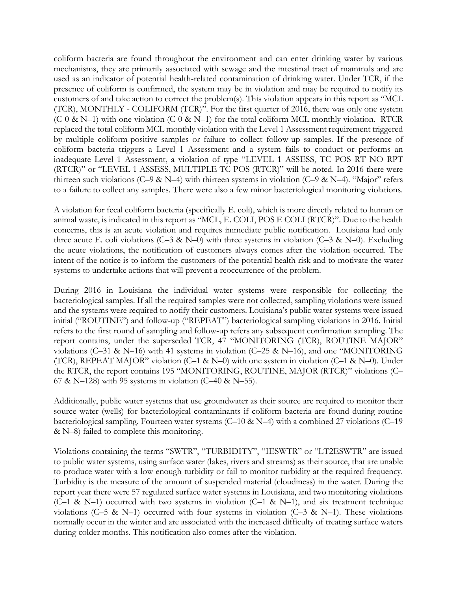coliform bacteria are found throughout the environment and can enter drinking water by various mechanisms, they are primarily associated with sewage and the intestinal tract of mammals and are used as an indicator of potential health-related contamination of drinking water. Under TCR, if the presence of coliform is confirmed, the system may be in violation and may be required to notify its customers of and take action to correct the problem(s). This violation appears in this report as "MCL (TCR), MONTHLY - COLIFORM (TCR)". For the first quarter of 2016, there was only one system (C-0 & N–1) with one violation (C-0 & N–1) for the total coliform MCL monthly violation. RTCR replaced the total coliform MCL monthly violation with the Level 1 Assessment requirement triggered by multiple coliform-positive samples or failure to collect follow-up samples. If the presence of coliform bacteria triggers a Level 1 Assessment and a system fails to conduct or performs an inadequate Level 1 Assessment, a violation of type "LEVEL 1 ASSESS, TC POS RT NO RPT (RTCR)" or "LEVEL 1 ASSESS, MULTIPLE TC POS (RTCR)" will be noted. In 2016 there were thirteen such violations (C–9 & N–4) with thirteen systems in violation (C–9 & N–4). "Major" refers to a failure to collect any samples. There were also a few minor bacteriological monitoring violations.

A violation for fecal coliform bacteria (specifically E. coli), which is more directly related to human or animal waste, is indicated in this report as "MCL, E. COLI, POS E COLI (RTCR)". Due to the health concerns, this is an acute violation and requires immediate public notification. Louisiana had only three acute E. coli violations (C–3 & N–0) with three systems in violation (C–3 & N–0). Excluding the acute violations, the notification of customers always comes after the violation occurred. The intent of the notice is to inform the customers of the potential health risk and to motivate the water systems to undertake actions that will prevent a reoccurrence of the problem.

During 2016 in Louisiana the individual water systems were responsible for collecting the bacteriological samples. If all the required samples were not collected, sampling violations were issued and the systems were required to notify their customers. Louisiana's public water systems were issued initial ("ROUTINE") and follow-up ("REPEAT") bacteriological sampling violations in 2016. Initial refers to the first round of sampling and follow-up refers any subsequent confirmation sampling. The report contains, under the superseded TCR, 47 "MONITORING (TCR), ROUTINE MAJOR" violations (C–31 & N–16) with 41 systems in violation (C–25 & N–16), and one "MONITORING (TCR), REPEAT MAJOR" violation (C-1 & N-0) with one system in violation (C-1 & N-0). Under the RTCR, the report contains 195 "MONITORING, ROUTINE, MAJOR (RTCR)" violations (C– 67 & N–128) with 95 systems in violation (C–40 & N–55).

Additionally, public water systems that use groundwater as their source are required to monitor their source water (wells) for bacteriological contaminants if coliform bacteria are found during routine bacteriological sampling. Fourteen water systems (C–10 & N–4) with a combined 27 violations (C–19 & N–8) failed to complete this monitoring.

Violations containing the terms "SWTR", "TURBIDITY", "IESWTR" or "LT2ESWTR" are issued to public water systems, using surface water (lakes, rivers and streams) as their source, that are unable to produce water with a low enough turbidity or fail to monitor turbidity at the required frequency. Turbidity is the measure of the amount of suspended material (cloudiness) in the water. During the report year there were 57 regulated surface water systems in Louisiana, and two monitoring violations (C–1 & N–1) occurred with two systems in violation (C–1 & N–1), and six treatment technique violations (C–5 & N–1) occurred with four systems in violation (C–3 & N–1). These violations normally occur in the winter and are associated with the increased difficulty of treating surface waters during colder months. This notification also comes after the violation.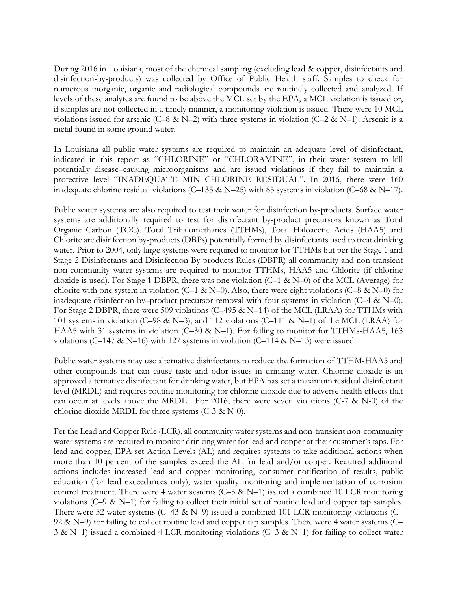During 2016 in Louisiana, most of the chemical sampling (excluding lead & copper, disinfectants and disinfection-by-products) was collected by Office of Public Health staff. Samples to check for numerous inorganic, organic and radiological compounds are routinely collected and analyzed. If levels of these analytes are found to be above the MCL set by the EPA, a MCL violation is issued or, if samples are not collected in a timely manner, a monitoring violation is issued. There were 10 MCL violations issued for arsenic (C–8 & N–2) with three systems in violation (C–2 & N–1). Arsenic is a metal found in some ground water.

In Louisiana all public water systems are required to maintain an adequate level of disinfectant, indicated in this report as "CHLORINE" or "CHLORAMINE", in their water system to kill potentially disease–causing microorganisms and are issued violations if they fail to maintain a protective level "INADEQUATE MIN CHLORINE RESIDUAL". In 2016, there were 160 inadequate chlorine residual violations (C–135 & N–25) with 85 systems in violation (C–68 & N–17).

Public water systems are also required to test their water for disinfection by-products. Surface water systems are additionally required to test for disinfectant by-product precursors known as Total Organic Carbon (TOC). Total Trihalomethanes (TTHMs), Total Haloacetic Acids (HAA5) and Chlorite are disinfection by-products (DBPs) potentially formed by disinfectants used to treat drinking water. Prior to 2004, only large systems were required to monitor for TTHMs but per the Stage 1 and Stage 2 Disinfectants and Disinfection By-products Rules (DBPR) all community and non-transient non-community water systems are required to monitor TTHMs, HAA5 and Chlorite (if chlorine dioxide is used). For Stage 1 DBPR, there was one violation (C–1 & N–0) of the MCL (Average) for chlorite with one system in violation (C–1 & N–0). Also, there were eight violations (C–8 & N–0) for inadequate disinfection by–product precursor removal with four systems in violation (C–4 & N–0). For Stage 2 DBPR, there were 509 violations (C–495 & N–14) of the MCL (LRAA) for TTHMs with 101 systems in violation (C–98 & N–3), and 112 violations (C–111 & N–1) of the MCL (LRAA) for HAA5 with 31 systems in violation (C–30 & N–1). For failing to monitor for TTHMs-HAA5, 163 violations (C–147 & N–16) with 127 systems in violation (C–114 & N–13) were issued.

Public water systems may use alternative disinfectants to reduce the formation of TTHM-HAA5 and other compounds that can cause taste and odor issues in drinking water. Chlorine dioxide is an approved alternative disinfectant for drinking water, but EPA has set a maximum residual disinfectant level (MRDL) and requires routine monitoring for chlorine dioxide due to adverse health effects that can occur at levels above the MRDL. For 2016, there were seven violations  $(C-7 \& N-0)$  of the chlorine dioxide MRDL for three systems  $(C-3 \& N-0)$ .

Per the Lead and Copper Rule (LCR), all community water systems and non-transient non-community water systems are required to monitor drinking water for lead and copper at their customer's taps. For lead and copper, EPA set Action Levels (AL) and requires systems to take additional actions when more than 10 percent of the samples exceed the AL for lead and/or copper. Required additional actions includes increased lead and copper monitoring, consumer notification of results, public education (for lead exceedances only), water quality monitoring and implementation of corrosion control treatment. There were 4 water systems (C-3 & N-1) issued a combined 10 LCR monitoring violations (C–9 & N–1) for failing to collect their initial set of routine lead and copper tap samples. There were 52 water systems (C–43 & N–9) issued a combined 101 LCR monitoring violations (C– 92 & N–9) for failing to collect routine lead and copper tap samples. There were 4 water systems (C– 3 & N–1) issued a combined 4 LCR monitoring violations (C–3 & N–1) for failing to collect water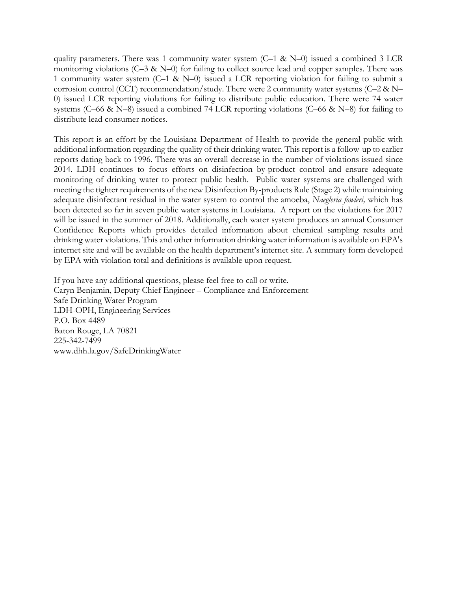quality parameters. There was 1 community water system  $(C-1 \& N-0)$  issued a combined 3 LCR monitoring violations  $(C-3 \& N-0)$  for failing to collect source lead and copper samples. There was 1 community water system (C–1 & N–0) issued a LCR reporting violation for failing to submit a corrosion control (CCT) recommendation/study. There were 2 community water systems (C–2 & N– 0) issued LCR reporting violations for failing to distribute public education. There were 74 water systems (C–66 & N–8) issued a combined 74 LCR reporting violations (C–66 & N–8) for failing to distribute lead consumer notices.

This report is an effort by the Louisiana Department of Health to provide the general public with additional information regarding the quality of their drinking water. This report is a follow-up to earlier reports dating back to 1996. There was an overall decrease in the number of violations issued since 2014. LDH continues to focus efforts on disinfection by-product control and ensure adequate monitoring of drinking water to protect public health. Public water systems are challenged with meeting the tighter requirements of the new Disinfection By-products Rule (Stage 2) while maintaining adequate disinfectant residual in the water system to control the amoeba, *Naegleria fowleri,* which has been detected so far in seven public water systems in Louisiana. A report on the violations for 2017 will be issued in the summer of 2018. Additionally, each water system produces an annual Consumer Confidence Reports which provides detailed information about chemical sampling results and drinking water violations. This and other information drinking water information is available on EPA's internet site and will be available on the health department's internet site. A summary form developed by EPA with violation total and definitions is available upon request.

If you have any additional questions, please feel free to call or write. Caryn Benjamin, Deputy Chief Engineer – Compliance and Enforcement Safe Drinking Water Program LDH-OPH, Engineering Services P.O. Box 4489 Baton Rouge, LA 70821 225-342-7499 www.dhh.la.gov/SafeDrinkingWater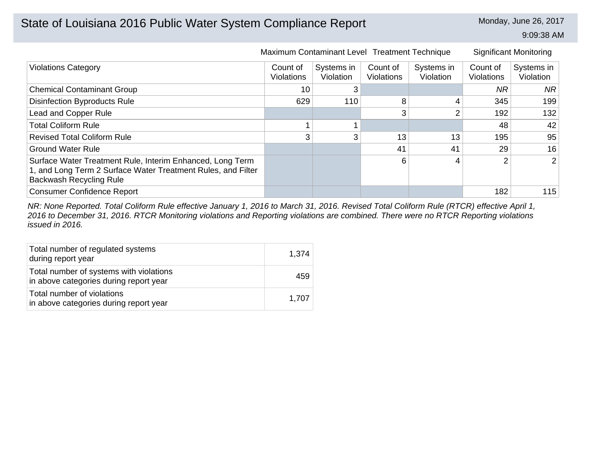# State of Louisiana 2016 Public Water System Compliance Report Monday, June 26, 2017

9:09:38 AM

|                                                                                                                                                             |                               | Maximum Contaminant Level Treatment Technique |                               |                                |                        | <b>Significant Monitoring</b> |
|-------------------------------------------------------------------------------------------------------------------------------------------------------------|-------------------------------|-----------------------------------------------|-------------------------------|--------------------------------|------------------------|-------------------------------|
| <b>Violations Category</b>                                                                                                                                  | Count of<br><b>Violations</b> | Systems in<br>Violation                       | Count of<br><b>Violations</b> | Systems in<br><b>Violation</b> | Count of<br>Violations | Systems in<br>Violation       |
| <b>Chemical Contaminant Group</b>                                                                                                                           | 10                            |                                               |                               |                                | <b>NR</b>              | NR                            |
| <b>Disinfection Byproducts Rule</b>                                                                                                                         | 629                           | 110                                           | 8                             | 4                              | 345                    | 199                           |
| Lead and Copper Rule                                                                                                                                        |                               |                                               |                               | 2                              | 192                    | 132                           |
| <b>Total Coliform Rule</b>                                                                                                                                  |                               |                                               |                               |                                | 48                     | 42                            |
| <b>Revised Total Coliform Rule</b>                                                                                                                          | 3                             | 3                                             | 13                            | 13                             | 195                    | 95                            |
| <b>Ground Water Rule</b>                                                                                                                                    |                               |                                               | 41                            | 41                             | 29                     | 16                            |
| Surface Water Treatment Rule, Interim Enhanced, Long Term<br>1, and Long Term 2 Surface Water Treatment Rules, and Filter<br><b>Backwash Recycling Rule</b> |                               |                                               | 6                             | 4                              | າ                      | 2                             |
| <b>Consumer Confidence Report</b>                                                                                                                           |                               |                                               |                               |                                | 182                    | 115                           |

*NR: None Reported. Total Coliform Rule effective January 1, 2016 to March 31, 2016. Revised Total Coliform Rule (RTCR) effective April 1, 2016 to December 31, 2016. RTCR Monitoring violations and Reporting violations are combined. There were no RTCR Reporting violations issued in 2016.*

| Total number of regulated systems<br>during report year                           | 1,374 |
|-----------------------------------------------------------------------------------|-------|
| Total number of systems with violations<br>in above categories during report year | 459   |
| Total number of violations<br>in above categories during report year              | 1.707 |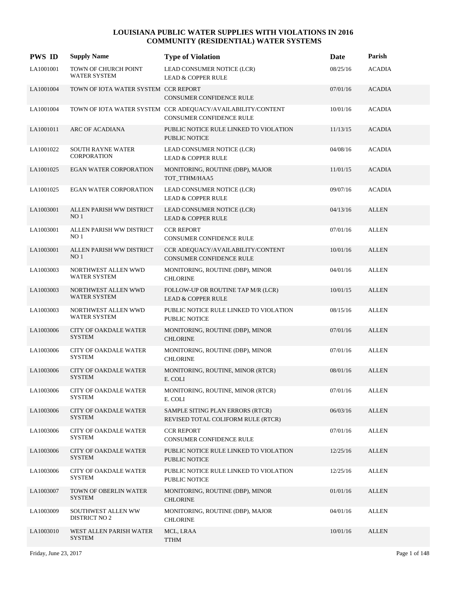| <b>PWS ID</b> | <b>Supply Name</b>                             | <b>Type of Violation</b>                                                                       | Date     | Parish        |
|---------------|------------------------------------------------|------------------------------------------------------------------------------------------------|----------|---------------|
| LA1001001     | TOWN OF CHURCH POINT<br><b>WATER SYSTEM</b>    | LEAD CONSUMER NOTICE (LCR)<br><b>LEAD &amp; COPPER RULE</b>                                    | 08/25/16 | <b>ACADIA</b> |
| LA1001004     | TOWN OF IOTA WATER SYSTEM CCR REPORT           | <b>CONSUMER CONFIDENCE RULE</b>                                                                | 07/01/16 | <b>ACADIA</b> |
| LA1001004     |                                                | TOWN OF IOTA WATER SYSTEM CCR ADEQUACY/AVAILABILITY/CONTENT<br><b>CONSUMER CONFIDENCE RULE</b> | 10/01/16 | <b>ACADIA</b> |
| LA1001011     | ARC OF ACADIANA                                | PUBLIC NOTICE RULE LINKED TO VIOLATION<br><b>PUBLIC NOTICE</b>                                 | 11/13/15 | <b>ACADIA</b> |
| LA1001022     | <b>SOUTH RAYNE WATER</b><br><b>CORPORATION</b> | LEAD CONSUMER NOTICE (LCR)<br><b>LEAD &amp; COPPER RULE</b>                                    | 04/08/16 | <b>ACADIA</b> |
| LA1001025     | <b>EGAN WATER CORPORATION</b>                  | MONITORING, ROUTINE (DBP), MAJOR<br>TOT_TTHM/HAA5                                              | 11/01/15 | <b>ACADIA</b> |
| LA1001025     | <b>EGAN WATER CORPORATION</b>                  | LEAD CONSUMER NOTICE (LCR)<br><b>LEAD &amp; COPPER RULE</b>                                    | 09/07/16 | <b>ACADIA</b> |
| LA1003001     | ALLEN PARISH WW DISTRICT<br>NO <sub>1</sub>    | LEAD CONSUMER NOTICE (LCR)<br><b>LEAD &amp; COPPER RULE</b>                                    | 04/13/16 | <b>ALLEN</b>  |
| LA1003001     | ALLEN PARISH WW DISTRICT<br>NO <sub>1</sub>    | <b>CCR REPORT</b><br>CONSUMER CONFIDENCE RULE                                                  | 07/01/16 | <b>ALLEN</b>  |
| LA1003001     | ALLEN PARISH WW DISTRICT<br>NO <sub>1</sub>    | CCR ADEQUACY/AVAILABILITY/CONTENT<br>CONSUMER CONFIDENCE RULE                                  | 10/01/16 | <b>ALLEN</b>  |
| LA1003003     | NORTHWEST ALLEN WWD<br><b>WATER SYSTEM</b>     | MONITORING, ROUTINE (DBP), MINOR<br><b>CHLORINE</b>                                            | 04/01/16 | <b>ALLEN</b>  |
| LA1003003     | NORTHWEST ALLEN WWD<br><b>WATER SYSTEM</b>     | FOLLOW-UP OR ROUTINE TAP M/R (LCR)<br><b>LEAD &amp; COPPER RULE</b>                            | 10/01/15 | <b>ALLEN</b>  |
| LA1003003     | NORTHWEST ALLEN WWD<br><b>WATER SYSTEM</b>     | PUBLIC NOTICE RULE LINKED TO VIOLATION<br>PUBLIC NOTICE                                        | 08/15/16 | <b>ALLEN</b>  |
| LA1003006     | <b>CITY OF OAKDALE WATER</b><br><b>SYSTEM</b>  | MONITORING, ROUTINE (DBP), MINOR<br><b>CHLORINE</b>                                            | 07/01/16 | <b>ALLEN</b>  |
| LA1003006     | <b>CITY OF OAKDALE WATER</b><br><b>SYSTEM</b>  | MONITORING, ROUTINE (DBP), MINOR<br><b>CHLORINE</b>                                            | 07/01/16 | <b>ALLEN</b>  |
| LA1003006     | <b>CITY OF OAKDALE WATER</b><br><b>SYSTEM</b>  | MONITORING, ROUTINE, MINOR (RTCR)<br>E. COLI                                                   | 08/01/16 | <b>ALLEN</b>  |
| LA1003006     | <b>CITY OF OAKDALE WATER</b><br><b>SYSTEM</b>  | MONITORING, ROUTINE, MINOR (RTCR)<br>E. COLI                                                   | 07/01/16 | <b>ALLEN</b>  |
| LA1003006     | <b>CITY OF OAKDALE WATER</b><br><b>SYSTEM</b>  | SAMPLE SITING PLAN ERRORS (RTCR)<br>REVISED TOTAL COLIFORM RULE (RTCR)                         | 06/03/16 | <b>ALLEN</b>  |
| LA1003006     | <b>CITY OF OAKDALE WATER</b><br><b>SYSTEM</b>  | <b>CCR REPORT</b><br>CONSUMER CONFIDENCE RULE                                                  | 07/01/16 | <b>ALLEN</b>  |
| LA1003006     | <b>CITY OF OAKDALE WATER</b><br><b>SYSTEM</b>  | PUBLIC NOTICE RULE LINKED TO VIOLATION<br>PUBLIC NOTICE                                        | 12/25/16 | <b>ALLEN</b>  |
| LA1003006     | <b>CITY OF OAKDALE WATER</b><br><b>SYSTEM</b>  | PUBLIC NOTICE RULE LINKED TO VIOLATION<br>PUBLIC NOTICE                                        | 12/25/16 | <b>ALLEN</b>  |
| LA1003007     | TOWN OF OBERLIN WATER<br><b>SYSTEM</b>         | MONITORING, ROUTINE (DBP), MINOR<br><b>CHLORINE</b>                                            | 01/01/16 | <b>ALLEN</b>  |
| LA1003009     | SOUTHWEST ALLEN WW<br><b>DISTRICT NO 2</b>     | MONITORING, ROUTINE (DBP), MAJOR<br><b>CHLORINE</b>                                            | 04/01/16 | <b>ALLEN</b>  |
| LA1003010     | WEST ALLEN PARISH WATER<br><b>SYSTEM</b>       | MCL, LRAA<br><b>TTHM</b>                                                                       | 10/01/16 | <b>ALLEN</b>  |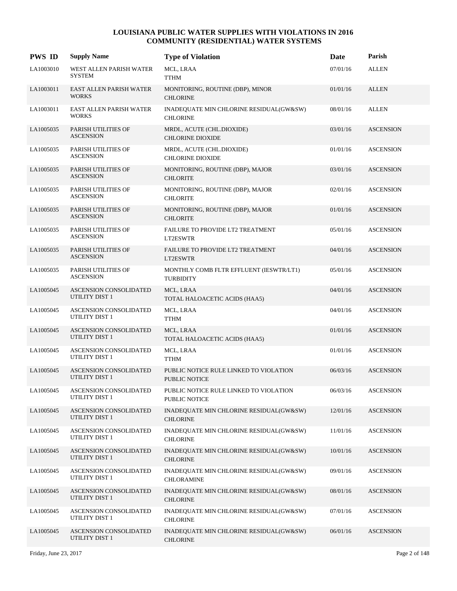| <b>PWS ID</b> | <b>Supply Name</b>                              | <b>Type of Violation</b>                                       | Date     | Parish           |
|---------------|-------------------------------------------------|----------------------------------------------------------------|----------|------------------|
| LA1003010     | WEST ALLEN PARISH WATER<br><b>SYSTEM</b>        | MCL, LRAA<br><b>TTHM</b>                                       | 07/01/16 | <b>ALLEN</b>     |
| LA1003011     | EAST ALLEN PARISH WATER<br><b>WORKS</b>         | MONITORING, ROUTINE (DBP), MINOR<br><b>CHLORINE</b>            | 01/01/16 | <b>ALLEN</b>     |
| LA1003011     | EAST ALLEN PARISH WATER<br><b>WORKS</b>         | INADEQUATE MIN CHLORINE RESIDUAL(GW&SW)<br><b>CHLORINE</b>     | 08/01/16 | <b>ALLEN</b>     |
| LA1005035     | PARISH UTILITIES OF<br><b>ASCENSION</b>         | MRDL, ACUTE (CHL.DIOXIDE)<br><b>CHLORINE DIOXIDE</b>           | 03/01/16 | <b>ASCENSION</b> |
| LA1005035     | PARISH UTILITIES OF<br><b>ASCENSION</b>         | MRDL, ACUTE (CHL.DIOXIDE)<br><b>CHLORINE DIOXIDE</b>           | 01/01/16 | <b>ASCENSION</b> |
| LA1005035     | PARISH UTILITIES OF<br><b>ASCENSION</b>         | MONITORING, ROUTINE (DBP), MAJOR<br><b>CHLORITE</b>            | 03/01/16 | <b>ASCENSION</b> |
| LA1005035     | PARISH UTILITIES OF<br><b>ASCENSION</b>         | MONITORING, ROUTINE (DBP), MAJOR<br><b>CHLORITE</b>            | 02/01/16 | <b>ASCENSION</b> |
| LA1005035     | PARISH UTILITIES OF<br><b>ASCENSION</b>         | MONITORING, ROUTINE (DBP), MAJOR<br><b>CHLORITE</b>            | 01/01/16 | <b>ASCENSION</b> |
| LA1005035     | PARISH UTILITIES OF<br><b>ASCENSION</b>         | FAILURE TO PROVIDE LT2 TREATMENT<br>LT2ESWTR                   | 05/01/16 | <b>ASCENSION</b> |
| LA1005035     | PARISH UTILITIES OF<br><b>ASCENSION</b>         | FAILURE TO PROVIDE LT2 TREATMENT<br>LT2ESWTR                   | 04/01/16 | <b>ASCENSION</b> |
| LA1005035     | PARISH UTILITIES OF<br><b>ASCENSION</b>         | MONTHLY COMB FLTR EFFLUENT (IESWTR/LT1)<br><b>TURBIDITY</b>    | 05/01/16 | <b>ASCENSION</b> |
| LA1005045     | <b>ASCENSION CONSOLIDATED</b><br>UTILITY DIST 1 | MCL, LRAA<br>TOTAL HALOACETIC ACIDS (HAA5)                     | 04/01/16 | <b>ASCENSION</b> |
| LA1005045     | ASCENSION CONSOLIDATED<br>UTILITY DIST 1        | MCL, LRAA<br><b>TTHM</b>                                       | 04/01/16 | <b>ASCENSION</b> |
| LA1005045     | <b>ASCENSION CONSOLIDATED</b><br>UTILITY DIST 1 | MCL, LRAA<br>TOTAL HALOACETIC ACIDS (HAA5)                     | 01/01/16 | <b>ASCENSION</b> |
| LA1005045     | ASCENSION CONSOLIDATED<br><b>UTILITY DIST 1</b> | MCL, LRAA<br><b>TTHM</b>                                       | 01/01/16 | <b>ASCENSION</b> |
| LA1005045     | <b>ASCENSION CONSOLIDATED</b><br>UTILITY DIST 1 | PUBLIC NOTICE RULE LINKED TO VIOLATION<br><b>PUBLIC NOTICE</b> | 06/03/16 | <b>ASCENSION</b> |
| LA1005045     | ASCENSION CONSOLIDATED<br>UTILITY DIST 1        | PUBLIC NOTICE RULE LINKED TO VIOLATION<br>PUBLIC NOTICE        | 06/03/16 | <b>ASCENSION</b> |
| LA1005045     | <b>ASCENSION CONSOLIDATED</b><br>UTILITY DIST 1 | INADEQUATE MIN CHLORINE RESIDUAL(GW&SW)<br><b>CHLORINE</b>     | 12/01/16 | <b>ASCENSION</b> |
| LA1005045     | <b>ASCENSION CONSOLIDATED</b><br>UTILITY DIST 1 | INADEQUATE MIN CHLORINE RESIDUAL(GW&SW)<br><b>CHLORINE</b>     | 11/01/16 | <b>ASCENSION</b> |
| LA1005045     | ASCENSION CONSOLIDATED<br>UTILITY DIST 1        | INADEQUATE MIN CHLORINE RESIDUAL(GW&SW)<br><b>CHLORINE</b>     | 10/01/16 | <b>ASCENSION</b> |
| LA1005045     | ASCENSION CONSOLIDATED<br>UTILITY DIST 1        | INADEQUATE MIN CHLORINE RESIDUAL(GW&SW)<br><b>CHLORAMINE</b>   | 09/01/16 | <b>ASCENSION</b> |
| LA1005045     | ASCENSION CONSOLIDATED<br>UTILITY DIST 1        | INADEQUATE MIN CHLORINE RESIDUAL(GW&SW)<br><b>CHLORINE</b>     | 08/01/16 | <b>ASCENSION</b> |
| LA1005045     | ASCENSION CONSOLIDATED<br>UTILITY DIST 1        | INADEQUATE MIN CHLORINE RESIDUAL(GW&SW)<br><b>CHLORINE</b>     | 07/01/16 | <b>ASCENSION</b> |
| LA1005045     | ASCENSION CONSOLIDATED<br>UTILITY DIST 1        | INADEQUATE MIN CHLORINE RESIDUAL(GW&SW)<br><b>CHLORINE</b>     | 06/01/16 | <b>ASCENSION</b> |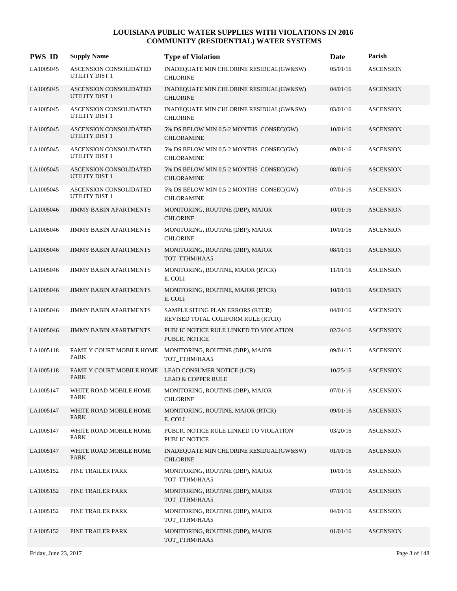| <b>PWS ID</b> | <b>Supply Name</b>                                     | <b>Type of Violation</b>                                               | Date     | Parish           |
|---------------|--------------------------------------------------------|------------------------------------------------------------------------|----------|------------------|
| LA1005045     | ASCENSION CONSOLIDATED<br>UTILITY DIST 1               | INADEQUATE MIN CHLORINE RESIDUAL(GW&SW)<br><b>CHLORINE</b>             | 05/01/16 | <b>ASCENSION</b> |
| LA1005045     | ASCENSION CONSOLIDATED<br>UTILITY DIST 1               | INADEQUATE MIN CHLORINE RESIDUAL(GW&SW)<br><b>CHLORINE</b>             | 04/01/16 | <b>ASCENSION</b> |
| LA1005045     | <b>ASCENSION CONSOLIDATED</b><br>UTILITY DIST 1        | INADEQUATE MIN CHLORINE RESIDUAL(GW&SW)<br><b>CHLORINE</b>             | 03/01/16 | <b>ASCENSION</b> |
| LA1005045     | <b>ASCENSION CONSOLIDATED</b><br><b>UTILITY DIST 1</b> | 5% DS BELOW MIN 0.5-2 MONTHS CONSEC(GW)<br><b>CHLORAMINE</b>           | 10/01/16 | <b>ASCENSION</b> |
| LA1005045     | <b>ASCENSION CONSOLIDATED</b><br>UTILITY DIST 1        | 5% DS BELOW MIN 0.5-2 MONTHS CONSEC(GW)<br><b>CHLORAMINE</b>           | 09/01/16 | <b>ASCENSION</b> |
| LA1005045     | ASCENSION CONSOLIDATED<br>UTILITY DIST 1               | 5% DS BELOW MIN 0.5-2 MONTHS CONSEC(GW)<br><b>CHLORAMINE</b>           | 08/01/16 | <b>ASCENSION</b> |
| LA1005045     | <b>ASCENSION CONSOLIDATED</b><br>UTILITY DIST 1        | 5% DS BELOW MIN 0.5-2 MONTHS CONSEC(GW)<br><b>CHLORAMINE</b>           | 07/01/16 | <b>ASCENSION</b> |
| LA1005046     | <b>JIMMY BABIN APARTMENTS</b>                          | MONITORING, ROUTINE (DBP), MAJOR<br><b>CHLORINE</b>                    | 10/01/16 | <b>ASCENSION</b> |
| LA1005046     | <b>JIMMY BABIN APARTMENTS</b>                          | MONITORING, ROUTINE (DBP), MAJOR<br><b>CHLORINE</b>                    | 10/01/16 | <b>ASCENSION</b> |
| LA1005046     | <b>JIMMY BABIN APARTMENTS</b>                          | MONITORING, ROUTINE (DBP), MAJOR<br>TOT TTHM/HAA5                      | 08/01/15 | <b>ASCENSION</b> |
| LA1005046     | <b>JIMMY BABIN APARTMENTS</b>                          | MONITORING, ROUTINE, MAJOR (RTCR)<br>E. COLI                           | 11/01/16 | <b>ASCENSION</b> |
| LA1005046     | <b>JIMMY BABIN APARTMENTS</b>                          | MONITORING, ROUTINE, MAJOR (RTCR)<br>E. COLI                           | 10/01/16 | <b>ASCENSION</b> |
| LA1005046     | <b>JIMMY BABIN APARTMENTS</b>                          | SAMPLE SITING PLAN ERRORS (RTCR)<br>REVISED TOTAL COLIFORM RULE (RTCR) | 04/01/16 | <b>ASCENSION</b> |
| LA1005046     | <b>JIMMY BABIN APARTMENTS</b>                          | PUBLIC NOTICE RULE LINKED TO VIOLATION<br><b>PUBLIC NOTICE</b>         | 02/24/16 | <b>ASCENSION</b> |
| LA1005118     | FAMILY COURT MOBILE HOME<br><b>PARK</b>                | MONITORING, ROUTINE (DBP), MAJOR<br>TOT_TTHM/HAA5                      | 09/01/15 | <b>ASCENSION</b> |
| LA1005118     | <b>FAMILY COURT MOBILE HOME</b><br><b>PARK</b>         | LEAD CONSUMER NOTICE (LCR)<br><b>LEAD &amp; COPPER RULE</b>            | 10/25/16 | <b>ASCENSION</b> |
| LA1005147     | WHITE ROAD MOBILE HOME<br>PARK                         | MONITORING, ROUTINE (DBP), MAJOR<br><b>CHLORINE</b>                    | 07/01/16 | <b>ASCENSION</b> |
| LA1005147     | WHITE ROAD MOBILE HOME<br><b>PARK</b>                  | MONITORING, ROUTINE, MAJOR (RTCR)<br>E. COLI                           | 09/01/16 | <b>ASCENSION</b> |
| LA1005147     | WHITE ROAD MOBILE HOME<br>PARK                         | PUBLIC NOTICE RULE LINKED TO VIOLATION<br>PUBLIC NOTICE                | 03/20/16 | <b>ASCENSION</b> |
| LA1005147     | WHITE ROAD MOBILE HOME<br>PARK                         | INADEQUATE MIN CHLORINE RESIDUAL(GW&SW)<br><b>CHLORINE</b>             | 01/01/16 | <b>ASCENSION</b> |
| LA1005152     | PINE TRAILER PARK                                      | MONITORING, ROUTINE (DBP), MAJOR<br>TOT_TTHM/HAA5                      | 10/01/16 | <b>ASCENSION</b> |
| LA1005152     | PINE TRAILER PARK                                      | MONITORING, ROUTINE (DBP), MAJOR<br>TOT_TTHM/HAA5                      | 07/01/16 | <b>ASCENSION</b> |
| LA1005152     | PINE TRAILER PARK                                      | MONITORING, ROUTINE (DBP), MAJOR<br>TOT_TTHM/HAA5                      | 04/01/16 | <b>ASCENSION</b> |
| LA1005152     | PINE TRAILER PARK                                      | MONITORING, ROUTINE (DBP), MAJOR<br>TOT_TTHM/HAA5                      | 01/01/16 | <b>ASCENSION</b> |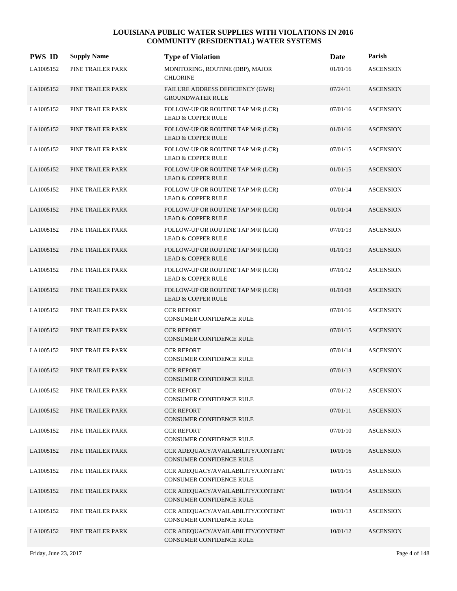| <b>PWS ID</b> | <b>Supply Name</b> | <b>Type of Violation</b>                                            | Date     | Parish           |
|---------------|--------------------|---------------------------------------------------------------------|----------|------------------|
| LA1005152     | PINE TRAILER PARK  | MONITORING, ROUTINE (DBP), MAJOR<br><b>CHLORINE</b>                 | 01/01/16 | <b>ASCENSION</b> |
| LA1005152     | PINE TRAILER PARK  | FAILURE ADDRESS DEFICIENCY (GWR)<br><b>GROUNDWATER RULE</b>         | 07/24/11 | <b>ASCENSION</b> |
| LA1005152     | PINE TRAILER PARK  | FOLLOW-UP OR ROUTINE TAP M/R (LCR)<br><b>LEAD &amp; COPPER RULE</b> | 07/01/16 | <b>ASCENSION</b> |
| LA1005152     | PINE TRAILER PARK  | FOLLOW-UP OR ROUTINE TAP M/R (LCR)<br><b>LEAD &amp; COPPER RULE</b> | 01/01/16 | <b>ASCENSION</b> |
| LA1005152     | PINE TRAILER PARK  | FOLLOW-UP OR ROUTINE TAP M/R (LCR)<br><b>LEAD &amp; COPPER RULE</b> | 07/01/15 | <b>ASCENSION</b> |
| LA1005152     | PINE TRAILER PARK  | FOLLOW-UP OR ROUTINE TAP M/R (LCR)<br><b>LEAD &amp; COPPER RULE</b> | 01/01/15 | <b>ASCENSION</b> |
| LA1005152     | PINE TRAILER PARK  | FOLLOW-UP OR ROUTINE TAP M/R (LCR)<br><b>LEAD &amp; COPPER RULE</b> | 07/01/14 | <b>ASCENSION</b> |
| LA1005152     | PINE TRAILER PARK  | FOLLOW-UP OR ROUTINE TAP M/R (LCR)<br><b>LEAD &amp; COPPER RULE</b> | 01/01/14 | <b>ASCENSION</b> |
| LA1005152     | PINE TRAILER PARK  | FOLLOW-UP OR ROUTINE TAP M/R (LCR)<br><b>LEAD &amp; COPPER RULE</b> | 07/01/13 | <b>ASCENSION</b> |
| LA1005152     | PINE TRAILER PARK  | FOLLOW-UP OR ROUTINE TAP M/R (LCR)<br><b>LEAD &amp; COPPER RULE</b> | 01/01/13 | <b>ASCENSION</b> |
| LA1005152     | PINE TRAILER PARK  | FOLLOW-UP OR ROUTINE TAP M/R (LCR)<br><b>LEAD &amp; COPPER RULE</b> | 07/01/12 | <b>ASCENSION</b> |
| LA1005152     | PINE TRAILER PARK  | FOLLOW-UP OR ROUTINE TAP M/R (LCR)<br><b>LEAD &amp; COPPER RULE</b> | 01/01/08 | <b>ASCENSION</b> |
| LA1005152     | PINE TRAILER PARK  | <b>CCR REPORT</b><br>CONSUMER CONFIDENCE RULE                       | 07/01/16 | <b>ASCENSION</b> |
| LA1005152     | PINE TRAILER PARK  | <b>CCR REPORT</b><br>CONSUMER CONFIDENCE RULE                       | 07/01/15 | <b>ASCENSION</b> |
| LA1005152     | PINE TRAILER PARK  | <b>CCR REPORT</b><br>CONSUMER CONFIDENCE RULE                       | 07/01/14 | <b>ASCENSION</b> |
| LA1005152     | PINE TRAILER PARK  | <b>CCR REPORT</b><br><b>CONSUMER CONFIDENCE RULE</b>                | 07/01/13 | <b>ASCENSION</b> |
| LA1005152     | PINE TRAILER PARK  | <b>CCR REPORT</b><br>CONSUMER CONFIDENCE RULE                       | 07/01/12 | <b>ASCENSION</b> |
| LA1005152     | PINE TRAILER PARK  | <b>CCR REPORT</b><br>CONSUMER CONFIDENCE RULE                       | 07/01/11 | <b>ASCENSION</b> |
| LA1005152     | PINE TRAILER PARK  | <b>CCR REPORT</b><br>CONSUMER CONFIDENCE RULE                       | 07/01/10 | <b>ASCENSION</b> |
| LA1005152     | PINE TRAILER PARK  | CCR ADEQUACY/AVAILABILITY/CONTENT<br>CONSUMER CONFIDENCE RULE       | 10/01/16 | <b>ASCENSION</b> |
| LA1005152     | PINE TRAILER PARK  | CCR ADEQUACY/AVAILABILITY/CONTENT<br>CONSUMER CONFIDENCE RULE       | 10/01/15 | <b>ASCENSION</b> |
| LA1005152     | PINE TRAILER PARK  | CCR ADEQUACY/AVAILABILITY/CONTENT<br>CONSUMER CONFIDENCE RULE       | 10/01/14 | <b>ASCENSION</b> |
| LA1005152     | PINE TRAILER PARK  | CCR ADEQUACY/AVAILABILITY/CONTENT<br>CONSUMER CONFIDENCE RULE       | 10/01/13 | <b>ASCENSION</b> |
| LA1005152     | PINE TRAILER PARK  | CCR ADEQUACY/AVAILABILITY/CONTENT<br>CONSUMER CONFIDENCE RULE       | 10/01/12 | <b>ASCENSION</b> |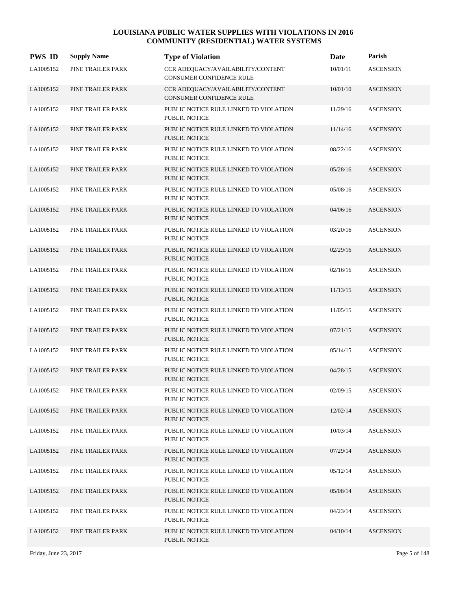| <b>PWS ID</b> | <b>Supply Name</b> | <b>Type of Violation</b>                                             | Date     | Parish           |
|---------------|--------------------|----------------------------------------------------------------------|----------|------------------|
| LA1005152     | PINE TRAILER PARK  | CCR ADEQUACY/AVAILABILITY/CONTENT<br><b>CONSUMER CONFIDENCE RULE</b> | 10/01/11 | <b>ASCENSION</b> |
| LA1005152     | PINE TRAILER PARK  | CCR ADEQUACY/AVAILABILITY/CONTENT<br><b>CONSUMER CONFIDENCE RULE</b> | 10/01/10 | <b>ASCENSION</b> |
| LA1005152     | PINE TRAILER PARK  | PUBLIC NOTICE RULE LINKED TO VIOLATION<br><b>PUBLIC NOTICE</b>       | 11/29/16 | <b>ASCENSION</b> |
| LA1005152     | PINE TRAILER PARK  | PUBLIC NOTICE RULE LINKED TO VIOLATION<br><b>PUBLIC NOTICE</b>       | 11/14/16 | <b>ASCENSION</b> |
| LA1005152     | PINE TRAILER PARK  | PUBLIC NOTICE RULE LINKED TO VIOLATION<br>PUBLIC NOTICE              | 08/22/16 | <b>ASCENSION</b> |
| LA1005152     | PINE TRAILER PARK  | PUBLIC NOTICE RULE LINKED TO VIOLATION<br>PUBLIC NOTICE              | 05/28/16 | <b>ASCENSION</b> |
| LA1005152     | PINE TRAILER PARK  | PUBLIC NOTICE RULE LINKED TO VIOLATION<br><b>PUBLIC NOTICE</b>       | 05/08/16 | <b>ASCENSION</b> |
| LA1005152     | PINE TRAILER PARK  | PUBLIC NOTICE RULE LINKED TO VIOLATION<br>PUBLIC NOTICE              | 04/06/16 | <b>ASCENSION</b> |
| LA1005152     | PINE TRAILER PARK  | PUBLIC NOTICE RULE LINKED TO VIOLATION<br><b>PUBLIC NOTICE</b>       | 03/20/16 | <b>ASCENSION</b> |
| LA1005152     | PINE TRAILER PARK  | PUBLIC NOTICE RULE LINKED TO VIOLATION<br><b>PUBLIC NOTICE</b>       | 02/29/16 | <b>ASCENSION</b> |
| LA1005152     | PINE TRAILER PARK  | PUBLIC NOTICE RULE LINKED TO VIOLATION<br>PUBLIC NOTICE              | 02/16/16 | <b>ASCENSION</b> |
| LA1005152     | PINE TRAILER PARK  | PUBLIC NOTICE RULE LINKED TO VIOLATION<br>PUBLIC NOTICE              | 11/13/15 | <b>ASCENSION</b> |
| LA1005152     | PINE TRAILER PARK  | PUBLIC NOTICE RULE LINKED TO VIOLATION<br>PUBLIC NOTICE              | 11/05/15 | <b>ASCENSION</b> |
| LA1005152     | PINE TRAILER PARK  | PUBLIC NOTICE RULE LINKED TO VIOLATION<br><b>PUBLIC NOTICE</b>       | 07/21/15 | <b>ASCENSION</b> |
| LA1005152     | PINE TRAILER PARK  | PUBLIC NOTICE RULE LINKED TO VIOLATION<br>PUBLIC NOTICE              | 05/14/15 | <b>ASCENSION</b> |
| LA1005152     | PINE TRAILER PARK  | PUBLIC NOTICE RULE LINKED TO VIOLATION<br>PUBLIC NOTICE              | 04/28/15 | <b>ASCENSION</b> |
| LA1005152     | PINE TRAILER PARK  | PUBLIC NOTICE RULE LINKED TO VIOLATION<br>PUBLIC NOTICE              | 02/09/15 | <b>ASCENSION</b> |
| LA1005152     | PINE TRAILER PARK  | PUBLIC NOTICE RULE LINKED TO VIOLATION<br>PUBLIC NOTICE              | 12/02/14 | <b>ASCENSION</b> |
| LA1005152     | PINE TRAILER PARK  | PUBLIC NOTICE RULE LINKED TO VIOLATION<br>PUBLIC NOTICE              | 10/03/14 | <b>ASCENSION</b> |
| LA1005152     | PINE TRAILER PARK  | PUBLIC NOTICE RULE LINKED TO VIOLATION<br>PUBLIC NOTICE              | 07/29/14 | <b>ASCENSION</b> |
| LA1005152     | PINE TRAILER PARK  | PUBLIC NOTICE RULE LINKED TO VIOLATION<br>PUBLIC NOTICE              | 05/12/14 | <b>ASCENSION</b> |
| LA1005152     | PINE TRAILER PARK  | PUBLIC NOTICE RULE LINKED TO VIOLATION<br>PUBLIC NOTICE              | 05/08/14 | <b>ASCENSION</b> |
| LA1005152     | PINE TRAILER PARK  | PUBLIC NOTICE RULE LINKED TO VIOLATION<br>PUBLIC NOTICE              | 04/23/14 | <b>ASCENSION</b> |
| LA1005152     | PINE TRAILER PARK  | PUBLIC NOTICE RULE LINKED TO VIOLATION<br>PUBLIC NOTICE              | 04/10/14 | <b>ASCENSION</b> |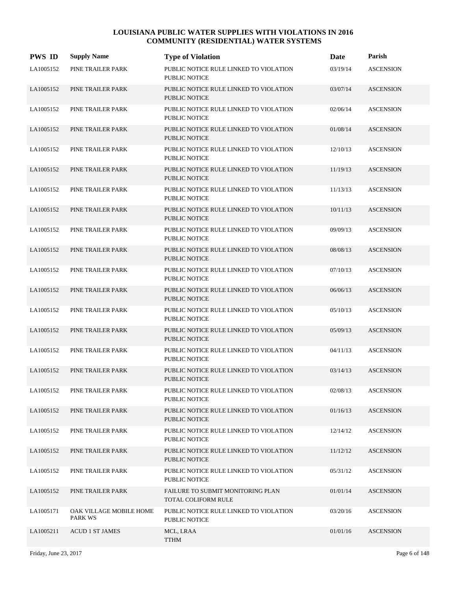| <b>PWS ID</b> | <b>Supply Name</b>                 | <b>Type of Violation</b>                                       | Date     | Parish           |
|---------------|------------------------------------|----------------------------------------------------------------|----------|------------------|
| LA1005152     | PINE TRAILER PARK                  | PUBLIC NOTICE RULE LINKED TO VIOLATION<br><b>PUBLIC NOTICE</b> | 03/19/14 | <b>ASCENSION</b> |
| LA1005152     | PINE TRAILER PARK                  | PUBLIC NOTICE RULE LINKED TO VIOLATION<br><b>PUBLIC NOTICE</b> | 03/07/14 | <b>ASCENSION</b> |
| LA1005152     | PINE TRAILER PARK                  | PUBLIC NOTICE RULE LINKED TO VIOLATION<br><b>PUBLIC NOTICE</b> | 02/06/14 | <b>ASCENSION</b> |
| LA1005152     | PINE TRAILER PARK                  | PUBLIC NOTICE RULE LINKED TO VIOLATION<br><b>PUBLIC NOTICE</b> | 01/08/14 | <b>ASCENSION</b> |
| LA1005152     | PINE TRAILER PARK                  | PUBLIC NOTICE RULE LINKED TO VIOLATION<br><b>PUBLIC NOTICE</b> | 12/10/13 | <b>ASCENSION</b> |
| LA1005152     | PINE TRAILER PARK                  | PUBLIC NOTICE RULE LINKED TO VIOLATION<br><b>PUBLIC NOTICE</b> | 11/19/13 | <b>ASCENSION</b> |
| LA1005152     | PINE TRAILER PARK                  | PUBLIC NOTICE RULE LINKED TO VIOLATION<br><b>PUBLIC NOTICE</b> | 11/13/13 | <b>ASCENSION</b> |
| LA1005152     | PINE TRAILER PARK                  | PUBLIC NOTICE RULE LINKED TO VIOLATION<br><b>PUBLIC NOTICE</b> | 10/11/13 | <b>ASCENSION</b> |
| LA1005152     | PINE TRAILER PARK                  | PUBLIC NOTICE RULE LINKED TO VIOLATION<br>PUBLIC NOTICE        | 09/09/13 | <b>ASCENSION</b> |
| LA1005152     | PINE TRAILER PARK                  | PUBLIC NOTICE RULE LINKED TO VIOLATION<br><b>PUBLIC NOTICE</b> | 08/08/13 | <b>ASCENSION</b> |
| LA1005152     | PINE TRAILER PARK                  | PUBLIC NOTICE RULE LINKED TO VIOLATION<br><b>PUBLIC NOTICE</b> | 07/10/13 | <b>ASCENSION</b> |
| LA1005152     | PINE TRAILER PARK                  | PUBLIC NOTICE RULE LINKED TO VIOLATION<br><b>PUBLIC NOTICE</b> | 06/06/13 | <b>ASCENSION</b> |
| LA1005152     | PINE TRAILER PARK                  | PUBLIC NOTICE RULE LINKED TO VIOLATION<br><b>PUBLIC NOTICE</b> | 05/10/13 | <b>ASCENSION</b> |
| LA1005152     | PINE TRAILER PARK                  | PUBLIC NOTICE RULE LINKED TO VIOLATION<br><b>PUBLIC NOTICE</b> | 05/09/13 | <b>ASCENSION</b> |
| LA1005152     | PINE TRAILER PARK                  | PUBLIC NOTICE RULE LINKED TO VIOLATION<br>PUBLIC NOTICE        | 04/11/13 | <b>ASCENSION</b> |
| LA1005152     | PINE TRAILER PARK                  | PUBLIC NOTICE RULE LINKED TO VIOLATION<br>PUBLIC NOTICE        | 03/14/13 | <b>ASCENSION</b> |
| LA1005152     | PINE TRAILER PARK                  | PUBLIC NOTICE RULE LINKED TO VIOLATION<br>PUBLIC NOTICE        | 02/08/13 | <b>ASCENSION</b> |
| LA1005152     | PINE TRAILER PARK                  | PUBLIC NOTICE RULE LINKED TO VIOLATION<br>PUBLIC NOTICE        | 01/16/13 | <b>ASCENSION</b> |
| LA1005152     | PINE TRAILER PARK                  | PUBLIC NOTICE RULE LINKED TO VIOLATION<br>PUBLIC NOTICE        | 12/14/12 | <b>ASCENSION</b> |
| LA1005152     | PINE TRAILER PARK                  | PUBLIC NOTICE RULE LINKED TO VIOLATION<br>PUBLIC NOTICE        | 11/12/12 | <b>ASCENSION</b> |
| LA1005152     | PINE TRAILER PARK                  | PUBLIC NOTICE RULE LINKED TO VIOLATION<br>PUBLIC NOTICE        | 05/31/12 | <b>ASCENSION</b> |
| LA1005152     | PINE TRAILER PARK                  | FAILURE TO SUBMIT MONITORING PLAN<br>TOTAL COLIFORM RULE       | 01/01/14 | <b>ASCENSION</b> |
| LA1005171     | OAK VILLAGE MOBILE HOME<br>PARK WS | PUBLIC NOTICE RULE LINKED TO VIOLATION<br>PUBLIC NOTICE        | 03/20/16 | <b>ASCENSION</b> |
| LA1005211     | <b>ACUD 1 ST JAMES</b>             | MCL, LRAA<br><b>TTHM</b>                                       | 01/01/16 | <b>ASCENSION</b> |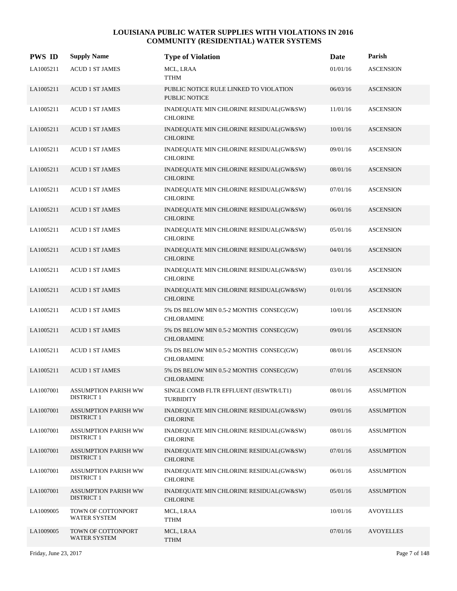| <b>PWS ID</b> | <b>Supply Name</b>                               | <b>Type of Violation</b>                                       | Date     | Parish            |
|---------------|--------------------------------------------------|----------------------------------------------------------------|----------|-------------------|
| LA1005211     | <b>ACUD 1 ST JAMES</b>                           | MCL, LRAA<br><b>TTHM</b>                                       | 01/01/16 | <b>ASCENSION</b>  |
| LA1005211     | <b>ACUD 1 ST JAMES</b>                           | PUBLIC NOTICE RULE LINKED TO VIOLATION<br><b>PUBLIC NOTICE</b> | 06/03/16 | <b>ASCENSION</b>  |
| LA1005211     | <b>ACUD 1 ST JAMES</b>                           | INADEQUATE MIN CHLORINE RESIDUAL(GW&SW)<br><b>CHLORINE</b>     | 11/01/16 | <b>ASCENSION</b>  |
| LA1005211     | <b>ACUD 1 ST JAMES</b>                           | INADEQUATE MIN CHLORINE RESIDUAL(GW&SW)<br><b>CHLORINE</b>     | 10/01/16 | <b>ASCENSION</b>  |
| LA1005211     | <b>ACUD 1 ST JAMES</b>                           | INADEQUATE MIN CHLORINE RESIDUAL(GW&SW)<br><b>CHLORINE</b>     | 09/01/16 | <b>ASCENSION</b>  |
| LA1005211     | <b>ACUD 1 ST JAMES</b>                           | INADEQUATE MIN CHLORINE RESIDUAL(GW&SW)<br><b>CHLORINE</b>     | 08/01/16 | <b>ASCENSION</b>  |
| LA1005211     | <b>ACUD 1 ST JAMES</b>                           | INADEQUATE MIN CHLORINE RESIDUAL(GW&SW)<br><b>CHLORINE</b>     | 07/01/16 | <b>ASCENSION</b>  |
| LA1005211     | <b>ACUD 1 ST JAMES</b>                           | INADEQUATE MIN CHLORINE RESIDUAL(GW&SW)<br><b>CHLORINE</b>     | 06/01/16 | <b>ASCENSION</b>  |
| LA1005211     | <b>ACUD 1 ST JAMES</b>                           | INADEQUATE MIN CHLORINE RESIDUAL(GW&SW)<br><b>CHLORINE</b>     | 05/01/16 | <b>ASCENSION</b>  |
| LA1005211     | <b>ACUD 1 ST JAMES</b>                           | INADEQUATE MIN CHLORINE RESIDUAL(GW&SW)<br><b>CHLORINE</b>     | 04/01/16 | <b>ASCENSION</b>  |
| LA1005211     | <b>ACUD 1 ST JAMES</b>                           | INADEQUATE MIN CHLORINE RESIDUAL(GW&SW)<br><b>CHLORINE</b>     | 03/01/16 | <b>ASCENSION</b>  |
| LA1005211     | <b>ACUD 1 ST JAMES</b>                           | INADEQUATE MIN CHLORINE RESIDUAL(GW&SW)<br><b>CHLORINE</b>     | 01/01/16 | <b>ASCENSION</b>  |
| LA1005211     | <b>ACUD 1 ST JAMES</b>                           | 5% DS BELOW MIN 0.5-2 MONTHS CONSEC(GW)<br><b>CHLORAMINE</b>   | 10/01/16 | <b>ASCENSION</b>  |
| LA1005211     | <b>ACUD 1 ST JAMES</b>                           | 5% DS BELOW MIN 0.5-2 MONTHS CONSEC(GW)<br><b>CHLORAMINE</b>   | 09/01/16 | <b>ASCENSION</b>  |
| LA1005211     | <b>ACUD 1 ST JAMES</b>                           | 5% DS BELOW MIN 0.5-2 MONTHS CONSEC(GW)<br><b>CHLORAMINE</b>   | 08/01/16 | <b>ASCENSION</b>  |
| LA1005211     | <b>ACUD 1 ST JAMES</b>                           | 5% DS BELOW MIN 0.5-2 MONTHS CONSEC(GW)<br><b>CHLORAMINE</b>   | 07/01/16 | <b>ASCENSION</b>  |
| LA1007001     | <b>ASSUMPTION PARISH WW</b><br><b>DISTRICT 1</b> | SINGLE COMB FLTR EFFLUENT (IESWTR/LT1)<br><b>TURBIDITY</b>     | 08/01/16 | <b>ASSUMPTION</b> |
| LA1007001     | <b>ASSUMPTION PARISH WW</b><br><b>DISTRICT 1</b> | INADEQUATE MIN CHLORINE RESIDUAL(GW&SW)<br><b>CHLORINE</b>     | 09/01/16 | <b>ASSUMPTION</b> |
| LA1007001     | <b>ASSUMPTION PARISH WW</b><br><b>DISTRICT 1</b> | INADEQUATE MIN CHLORINE RESIDUAL(GW&SW)<br><b>CHLORINE</b>     | 08/01/16 | <b>ASSUMPTION</b> |
| LA1007001     | <b>ASSUMPTION PARISH WW</b><br><b>DISTRICT 1</b> | INADEQUATE MIN CHLORINE RESIDUAL(GW&SW)<br><b>CHLORINE</b>     | 07/01/16 | <b>ASSUMPTION</b> |
| LA1007001     | <b>ASSUMPTION PARISH WW</b><br><b>DISTRICT 1</b> | INADEQUATE MIN CHLORINE RESIDUAL(GW&SW)<br><b>CHLORINE</b>     | 06/01/16 | <b>ASSUMPTION</b> |
| LA1007001     | <b>ASSUMPTION PARISH WW</b><br><b>DISTRICT 1</b> | INADEQUATE MIN CHLORINE RESIDUAL(GW&SW)<br><b>CHLORINE</b>     | 05/01/16 | <b>ASSUMPTION</b> |
| LA1009005     | TOWN OF COTTONPORT<br><b>WATER SYSTEM</b>        | MCL, LRAA<br><b>TTHM</b>                                       | 10/01/16 | <b>AVOYELLES</b>  |
| LA1009005     | TOWN OF COTTONPORT<br>WATER SYSTEM               | MCL, LRAA<br><b>TTHM</b>                                       | 07/01/16 | <b>AVOYELLES</b>  |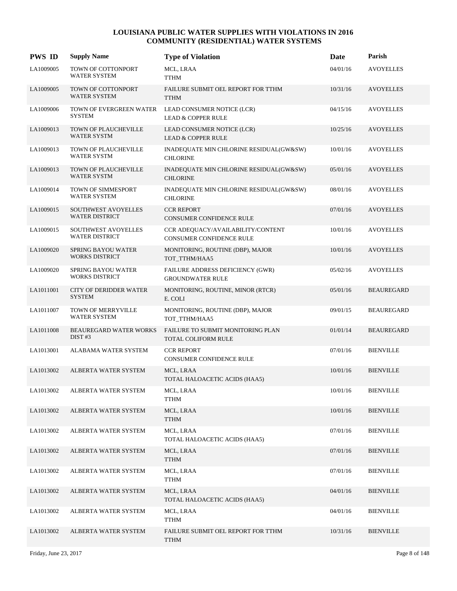| <b>PWS ID</b> | <b>Supply Name</b>                                 | <b>Type of Violation</b>                                      | Date     | Parish            |
|---------------|----------------------------------------------------|---------------------------------------------------------------|----------|-------------------|
| LA1009005     | TOWN OF COTTONPORT<br><b>WATER SYSTEM</b>          | MCL, LRAA<br><b>TTHM</b>                                      | 04/01/16 | <b>AVOYELLES</b>  |
| LA1009005     | TOWN OF COTTONPORT<br><b>WATER SYSTEM</b>          | FAILURE SUBMIT OEL REPORT FOR TTHM<br><b>TTHM</b>             | 10/31/16 | <b>AVOYELLES</b>  |
| LA1009006     | TOWN OF EVERGREEN WATER<br><b>SYSTEM</b>           | LEAD CONSUMER NOTICE (LCR)<br><b>LEAD &amp; COPPER RULE</b>   | 04/15/16 | <b>AVOYELLES</b>  |
| LA1009013     | TOWN OF PLAUCHEVILLE<br>WATER SYSTM                | LEAD CONSUMER NOTICE (LCR)<br><b>LEAD &amp; COPPER RULE</b>   | 10/25/16 | <b>AVOYELLES</b>  |
| LA1009013     | TOWN OF PLAUCHEVILLE<br><b>WATER SYSTM</b>         | INADEQUATE MIN CHLORINE RESIDUAL(GW&SW)<br><b>CHLORINE</b>    | 10/01/16 | <b>AVOYELLES</b>  |
| LA1009013     | TOWN OF PLAUCHEVILLE<br><b>WATER SYSTM</b>         | INADEQUATE MIN CHLORINE RESIDUAL(GW&SW)<br><b>CHLORINE</b>    | 05/01/16 | <b>AVOYELLES</b>  |
| LA1009014     | TOWN OF SIMMESPORT<br><b>WATER SYSTEM</b>          | INADEQUATE MIN CHLORINE RESIDUAL(GW&SW)<br><b>CHLORINE</b>    | 08/01/16 | <b>AVOYELLES</b>  |
| LA1009015     | SOUTHWEST AVOYELLES<br><b>WATER DISTRICT</b>       | <b>CCR REPORT</b><br>CONSUMER CONFIDENCE RULE                 | 07/01/16 | <b>AVOYELLES</b>  |
| LA1009015     | SOUTHWEST AVOYELLES<br><b>WATER DISTRICT</b>       | CCR ADEQUACY/AVAILABILITY/CONTENT<br>CONSUMER CONFIDENCE RULE | 10/01/16 | <b>AVOYELLES</b>  |
| LA1009020     | <b>SPRING BAYOU WATER</b><br><b>WORKS DISTRICT</b> | MONITORING, ROUTINE (DBP), MAJOR<br>TOT_TTHM/HAA5             | 10/01/16 | <b>AVOYELLES</b>  |
| LA1009020     | <b>SPRING BAYOU WATER</b><br><b>WORKS DISTRICT</b> | FAILURE ADDRESS DEFICIENCY (GWR)<br><b>GROUNDWATER RULE</b>   | 05/02/16 | <b>AVOYELLES</b>  |
| LA1011001     | CITY OF DERIDDER WATER<br><b>SYSTEM</b>            | MONITORING, ROUTINE, MINOR (RTCR)<br>E. COLI                  | 05/01/16 | <b>BEAUREGARD</b> |
| LA1011007     | TOWN OF MERRYVILLE<br><b>WATER SYSTEM</b>          | MONITORING, ROUTINE (DBP), MAJOR<br>TOT_TTHM/HAA5             | 09/01/15 | <b>BEAUREGARD</b> |
| LA1011008     | <b>BEAUREGARD WATER WORKS</b><br>DIST#3            | FAILURE TO SUBMIT MONITORING PLAN<br>TOTAL COLIFORM RULE      | 01/01/14 | <b>BEAUREGARD</b> |
| LA1013001     | ALABAMA WATER SYSTEM                               | <b>CCR REPORT</b><br>CONSUMER CONFIDENCE RULE                 | 07/01/16 | <b>BIENVILLE</b>  |
| LA1013002     | ALBERTA WATER SYSTEM                               | MCL, LRAA<br>TOTAL HALOACETIC ACIDS (HAA5)                    | 10/01/16 | <b>BIENVILLE</b>  |
| LA1013002     | ALBERTA WATER SYSTEM                               | MCL, LRAA<br><b>TTHM</b>                                      | 10/01/16 | <b>BIENVILLE</b>  |
| LA1013002     | ALBERTA WATER SYSTEM                               | MCL, LRAA<br>${\sf TTHM}$                                     | 10/01/16 | <b>BIENVILLE</b>  |
| LA1013002     | ALBERTA WATER SYSTEM                               | MCL, LRAA<br>TOTAL HALOACETIC ACIDS (HAA5)                    | 07/01/16 | <b>BIENVILLE</b>  |
| LA1013002     | ALBERTA WATER SYSTEM                               | MCL, LRAA<br><b>TTHM</b>                                      | 07/01/16 | <b>BIENVILLE</b>  |
| LA1013002     | ALBERTA WATER SYSTEM                               | MCL, LRAA<br><b>TTHM</b>                                      | 07/01/16 | <b>BIENVILLE</b>  |
| LA1013002     | ALBERTA WATER SYSTEM                               | MCL, LRAA<br>TOTAL HALOACETIC ACIDS (HAA5)                    | 04/01/16 | <b>BIENVILLE</b>  |
| LA1013002     | ALBERTA WATER SYSTEM                               | MCL, LRAA<br>TTHM                                             | 04/01/16 | <b>BIENVILLE</b>  |
| LA1013002     | ALBERTA WATER SYSTEM                               | FAILURE SUBMIT OEL REPORT FOR TTHM<br><b>TTHM</b>             | 10/31/16 | <b>BIENVILLE</b>  |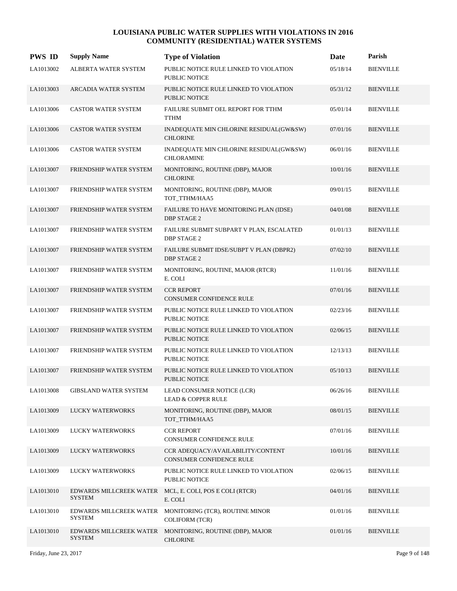| <b>PWS ID</b> | <b>Supply Name</b>                       | <b>Type of Violation</b>                                       | Date     | Parish           |
|---------------|------------------------------------------|----------------------------------------------------------------|----------|------------------|
| LA1013002     | ALBERTA WATER SYSTEM                     | PUBLIC NOTICE RULE LINKED TO VIOLATION<br>PUBLIC NOTICE        | 05/18/14 | <b>BIENVILLE</b> |
| LA1013003     | ARCADIA WATER SYSTEM                     | PUBLIC NOTICE RULE LINKED TO VIOLATION<br>PUBLIC NOTICE        | 05/31/12 | <b>BIENVILLE</b> |
| LA1013006     | CASTOR WATER SYSTEM                      | FAILURE SUBMIT OEL REPORT FOR TTHM<br><b>TTHM</b>              | 05/01/14 | <b>BIENVILLE</b> |
| LA1013006     | <b>CASTOR WATER SYSTEM</b>               | INADEQUATE MIN CHLORINE RESIDUAL(GW&SW)<br><b>CHLORINE</b>     | 07/01/16 | <b>BIENVILLE</b> |
| LA1013006     | <b>CASTOR WATER SYSTEM</b>               | INADEQUATE MIN CHLORINE RESIDUAL(GW&SW)<br><b>CHLORAMINE</b>   | 06/01/16 | <b>BIENVILLE</b> |
| LA1013007     | FRIENDSHIP WATER SYSTEM                  | MONITORING, ROUTINE (DBP), MAJOR<br><b>CHLORINE</b>            | 10/01/16 | <b>BIENVILLE</b> |
| LA1013007     | FRIENDSHIP WATER SYSTEM                  | MONITORING, ROUTINE (DBP), MAJOR<br>TOT_TTHM/HAA5              | 09/01/15 | <b>BIENVILLE</b> |
| LA1013007     | FRIENDSHIP WATER SYSTEM                  | FAILURE TO HAVE MONITORING PLAN (IDSE)<br><b>DBP STAGE 2</b>   | 04/01/08 | <b>BIENVILLE</b> |
| LA1013007     | FRIENDSHIP WATER SYSTEM                  | FAILURE SUBMIT SUBPART V PLAN, ESCALATED<br><b>DBP STAGE 2</b> | 01/01/13 | <b>BIENVILLE</b> |
| LA1013007     | FRIENDSHIP WATER SYSTEM                  | FAILURE SUBMIT IDSE/SUBPT V PLAN (DBPR2)<br><b>DBP STAGE 2</b> | 07/02/10 | <b>BIENVILLE</b> |
| LA1013007     | FRIENDSHIP WATER SYSTEM                  | MONITORING, ROUTINE, MAJOR (RTCR)<br>E. COLI                   | 11/01/16 | <b>BIENVILLE</b> |
| LA1013007     | FRIENDSHIP WATER SYSTEM                  | <b>CCR REPORT</b><br><b>CONSUMER CONFIDENCE RULE</b>           | 07/01/16 | <b>BIENVILLE</b> |
| LA1013007     | FRIENDSHIP WATER SYSTEM                  | PUBLIC NOTICE RULE LINKED TO VIOLATION<br><b>PUBLIC NOTICE</b> | 02/23/16 | <b>BIENVILLE</b> |
| LA1013007     | FRIENDSHIP WATER SYSTEM                  | PUBLIC NOTICE RULE LINKED TO VIOLATION<br><b>PUBLIC NOTICE</b> | 02/06/15 | <b>BIENVILLE</b> |
| LA1013007     | FRIENDSHIP WATER SYSTEM                  | PUBLIC NOTICE RULE LINKED TO VIOLATION<br>PUBLIC NOTICE        | 12/13/13 | <b>BIENVILLE</b> |
| LA1013007     | FRIENDSHIP WATER SYSTEM                  | PUBLIC NOTICE RULE LINKED TO VIOLATION<br><b>PUBLIC NOTICE</b> | 05/10/13 | <b>BIENVILLE</b> |
| LA1013008     | <b>GIBSLAND WATER SYSTEM</b>             | LEAD CONSUMER NOTICE (LCR)<br><b>LEAD &amp; COPPER RULE</b>    | 06/26/16 | <b>BIENVILLE</b> |
| LA1013009     | LUCKY WATERWORKS                         | MONITORING, ROUTINE (DBP), MAJOR<br>TOT_TTHM/HAA5              | 08/01/15 | <b>BIENVILLE</b> |
| LA1013009     | LUCKY WATERWORKS                         | <b>CCR REPORT</b><br>CONSUMER CONFIDENCE RULE                  | 07/01/16 | <b>BIENVILLE</b> |
| LA1013009     | LUCKY WATERWORKS                         | CCR ADEOUACY/AVAILABILITY/CONTENT<br>CONSUMER CONFIDENCE RULE  | 10/01/16 | <b>BIENVILLE</b> |
| LA1013009     | LUCKY WATERWORKS                         | PUBLIC NOTICE RULE LINKED TO VIOLATION<br>PUBLIC NOTICE        | 02/06/15 | <b>BIENVILLE</b> |
| LA1013010     | EDWARDS MILLCREEK WATER<br><b>SYSTEM</b> | MCL, E. COLI, POS E COLI (RTCR)<br>E. COLI                     | 04/01/16 | <b>BIENVILLE</b> |
| LA1013010     | EDWARDS MILLCREEK WATER<br><b>SYSTEM</b> | MONITORING (TCR), ROUTINE MINOR<br><b>COLIFORM (TCR)</b>       | 01/01/16 | <b>BIENVILLE</b> |
| LA1013010     | EDWARDS MILLCREEK WATER<br><b>SYSTEM</b> | MONITORING, ROUTINE (DBP), MAJOR<br><b>CHLORINE</b>            | 01/01/16 | <b>BIENVILLE</b> |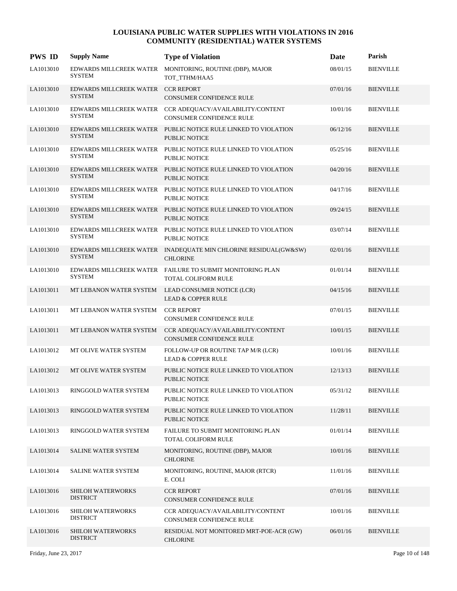| <b>PWS ID</b> | <b>Supply Name</b>                                  | <b>Type of Violation</b>                                                                     | Date     | Parish           |
|---------------|-----------------------------------------------------|----------------------------------------------------------------------------------------------|----------|------------------|
| LA1013010     | EDWARDS MILLCREEK WATER<br><b>SYSTEM</b>            | MONITORING, ROUTINE (DBP), MAJOR<br>TOT_TTHM/HAA5                                            | 08/01/15 | <b>BIENVILLE</b> |
| LA1013010     | EDWARDS MILLCREEK WATER CCR REPORT<br><b>SYSTEM</b> | CONSUMER CONFIDENCE RULE                                                                     | 07/01/16 | <b>BIENVILLE</b> |
| LA1013010     | <b>SYSTEM</b>                                       | EDWARDS MILLCREEK WATER CCR ADEQUACY/AVAILABILITY/CONTENT<br><b>CONSUMER CONFIDENCE RULE</b> | 10/01/16 | <b>BIENVILLE</b> |
| LA1013010     | <b>SYSTEM</b>                                       | EDWARDS MILLCREEK WATER PUBLIC NOTICE RULE LINKED TO VIOLATION<br><b>PUBLIC NOTICE</b>       | 06/12/16 | <b>BIENVILLE</b> |
| LA1013010     | <b>SYSTEM</b>                                       | EDWARDS MILLCREEK WATER PUBLIC NOTICE RULE LINKED TO VIOLATION<br><b>PUBLIC NOTICE</b>       | 05/25/16 | <b>BIENVILLE</b> |
| LA1013010     | <b>SYSTEM</b>                                       | EDWARDS MILLCREEK WATER PUBLIC NOTICE RULE LINKED TO VIOLATION<br><b>PUBLIC NOTICE</b>       | 04/20/16 | <b>BIENVILLE</b> |
| LA1013010     | <b>SYSTEM</b>                                       | EDWARDS MILLCREEK WATER PUBLIC NOTICE RULE LINKED TO VIOLATION<br><b>PUBLIC NOTICE</b>       | 04/17/16 | <b>BIENVILLE</b> |
| LA1013010     | <b>SYSTEM</b>                                       | EDWARDS MILLCREEK WATER PUBLIC NOTICE RULE LINKED TO VIOLATION<br><b>PUBLIC NOTICE</b>       | 09/24/15 | <b>BIENVILLE</b> |
| LA1013010     | <b>SYSTEM</b>                                       | EDWARDS MILLCREEK WATER PUBLIC NOTICE RULE LINKED TO VIOLATION<br>PUBLIC NOTICE              | 03/07/14 | <b>BIENVILLE</b> |
| LA1013010     | <b>SYSTEM</b>                                       | EDWARDS MILLCREEK WATER INADEQUATE MIN CHLORINE RESIDUAL(GW&SW)<br><b>CHLORINE</b>           | 02/01/16 | <b>BIENVILLE</b> |
| LA1013010     | EDWARDS MILLCREEK WATER<br><b>SYSTEM</b>            | FAILURE TO SUBMIT MONITORING PLAN<br>TOTAL COLIFORM RULE                                     | 01/01/14 | <b>BIENVILLE</b> |
| LA1013011     | MT LEBANON WATER SYSTEM                             | LEAD CONSUMER NOTICE (LCR)<br><b>LEAD &amp; COPPER RULE</b>                                  | 04/15/16 | <b>BIENVILLE</b> |
| LA1013011     | MT LEBANON WATER SYSTEM                             | <b>CCR REPORT</b><br>CONSUMER CONFIDENCE RULE                                                | 07/01/15 | <b>BIENVILLE</b> |
| LA1013011     | MT LEBANON WATER SYSTEM                             | CCR ADEQUACY/AVAILABILITY/CONTENT<br>CONSUMER CONFIDENCE RULE                                | 10/01/15 | <b>BIENVILLE</b> |
| LA1013012     | MT OLIVE WATER SYSTEM                               | FOLLOW-UP OR ROUTINE TAP M/R (LCR)<br><b>LEAD &amp; COPPER RULE</b>                          | 10/01/16 | <b>BIENVILLE</b> |
| LA1013012     | MT OLIVE WATER SYSTEM                               | PUBLIC NOTICE RULE LINKED TO VIOLATION<br><b>PUBLIC NOTICE</b>                               | 12/13/13 | <b>BIENVILLE</b> |
| LA1013013     | RINGGOLD WATER SYSTEM                               | PUBLIC NOTICE RULE LINKED TO VIOLATION<br>PUBLIC NOTICE                                      | 05/31/12 | <b>BIENVILLE</b> |
| LA1013013     | RINGGOLD WATER SYSTEM                               | PUBLIC NOTICE RULE LINKED TO VIOLATION<br><b>PUBLIC NOTICE</b>                               | 11/28/11 | <b>BIENVILLE</b> |
| LA1013013     | RINGGOLD WATER SYSTEM                               | FAILURE TO SUBMIT MONITORING PLAN<br>TOTAL COLIFORM RULE                                     | 01/01/14 | <b>BIENVILLE</b> |
| LA1013014     | SALINE WATER SYSTEM                                 | MONITORING, ROUTINE (DBP), MAJOR<br><b>CHLORINE</b>                                          | 10/01/16 | <b>BIENVILLE</b> |
| LA1013014     | SALINE WATER SYSTEM                                 | MONITORING, ROUTINE, MAJOR (RTCR)<br>E. COLI                                                 | 11/01/16 | <b>BIENVILLE</b> |
| LA1013016     | <b>SHILOH WATERWORKS</b><br><b>DISTRICT</b>         | <b>CCR REPORT</b><br>CONSUMER CONFIDENCE RULE                                                | 07/01/16 | <b>BIENVILLE</b> |
| LA1013016     | <b>SHILOH WATERWORKS</b><br><b>DISTRICT</b>         | CCR ADEQUACY/AVAILABILITY/CONTENT<br>CONSUMER CONFIDENCE RULE                                | 10/01/16 | <b>BIENVILLE</b> |
| LA1013016     | <b>SHILOH WATERWORKS</b><br><b>DISTRICT</b>         | RESIDUAL NOT MONITORED MRT-POE-ACR (GW)<br><b>CHLORINE</b>                                   | 06/01/16 | <b>BIENVILLE</b> |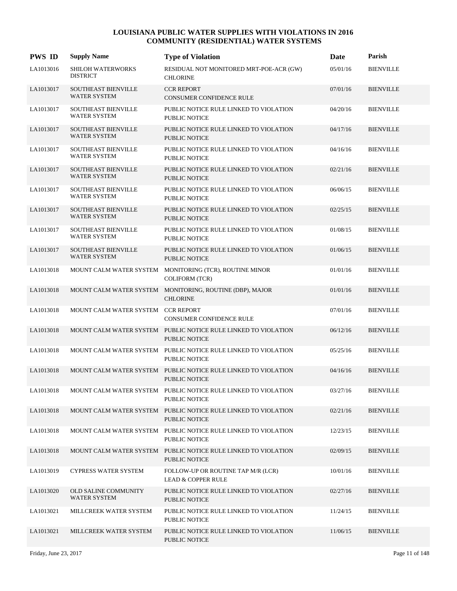| <b>PWS ID</b> | <b>Supply Name</b>                                | <b>Type of Violation</b>                                                               | Date     | Parish           |
|---------------|---------------------------------------------------|----------------------------------------------------------------------------------------|----------|------------------|
| LA1013016     | SHILOH WATERWORKS<br><b>DISTRICT</b>              | RESIDUAL NOT MONITORED MRT-POE-ACR (GW)<br><b>CHLORINE</b>                             | 05/01/16 | <b>BIENVILLE</b> |
| LA1013017     | SOUTHEAST BIENVILLE<br><b>WATER SYSTEM</b>        | <b>CCR REPORT</b><br><b>CONSUMER CONFIDENCE RULE</b>                                   | 07/01/16 | <b>BIENVILLE</b> |
| LA1013017     | SOUTHEAST BIENVILLE<br><b>WATER SYSTEM</b>        | PUBLIC NOTICE RULE LINKED TO VIOLATION<br><b>PUBLIC NOTICE</b>                         | 04/20/16 | <b>BIENVILLE</b> |
| LA1013017     | <b>SOUTHEAST BIENVILLE</b><br><b>WATER SYSTEM</b> | PUBLIC NOTICE RULE LINKED TO VIOLATION<br><b>PUBLIC NOTICE</b>                         | 04/17/16 | <b>BIENVILLE</b> |
| LA1013017     | <b>SOUTHEAST BIENVILLE</b><br><b>WATER SYSTEM</b> | PUBLIC NOTICE RULE LINKED TO VIOLATION<br><b>PUBLIC NOTICE</b>                         | 04/16/16 | <b>BIENVILLE</b> |
| LA1013017     | SOUTHEAST BIENVILLE<br><b>WATER SYSTEM</b>        | PUBLIC NOTICE RULE LINKED TO VIOLATION<br><b>PUBLIC NOTICE</b>                         | 02/21/16 | <b>BIENVILLE</b> |
| LA1013017     | <b>SOUTHEAST BIENVILLE</b><br><b>WATER SYSTEM</b> | PUBLIC NOTICE RULE LINKED TO VIOLATION<br><b>PUBLIC NOTICE</b>                         | 06/06/15 | <b>BIENVILLE</b> |
| LA1013017     | SOUTHEAST BIENVILLE<br><b>WATER SYSTEM</b>        | PUBLIC NOTICE RULE LINKED TO VIOLATION<br><b>PUBLIC NOTICE</b>                         | 02/25/15 | <b>BIENVILLE</b> |
| LA1013017     | <b>SOUTHEAST BIENVILLE</b><br><b>WATER SYSTEM</b> | PUBLIC NOTICE RULE LINKED TO VIOLATION<br><b>PUBLIC NOTICE</b>                         | 01/08/15 | <b>BIENVILLE</b> |
| LA1013017     | SOUTHEAST BIENVILLE<br><b>WATER SYSTEM</b>        | PUBLIC NOTICE RULE LINKED TO VIOLATION<br><b>PUBLIC NOTICE</b>                         | 01/06/15 | <b>BIENVILLE</b> |
| LA1013018     | MOUNT CALM WATER SYSTEM                           | MONITORING (TCR), ROUTINE MINOR<br><b>COLIFORM (TCR)</b>                               | 01/01/16 | <b>BIENVILLE</b> |
| LA1013018     |                                                   | MOUNT CALM WATER SYSTEM MONITORING, ROUTINE (DBP), MAJOR<br><b>CHLORINE</b>            | 01/01/16 | <b>BIENVILLE</b> |
| LA1013018     | MOUNT CALM WATER SYSTEM CCR REPORT                | <b>CONSUMER CONFIDENCE RULE</b>                                                        | 07/01/16 | <b>BIENVILLE</b> |
| LA1013018     |                                                   | MOUNT CALM WATER SYSTEM PUBLIC NOTICE RULE LINKED TO VIOLATION<br><b>PUBLIC NOTICE</b> | 06/12/16 | <b>BIENVILLE</b> |
| LA1013018     |                                                   | MOUNT CALM WATER SYSTEM PUBLIC NOTICE RULE LINKED TO VIOLATION<br><b>PUBLIC NOTICE</b> | 05/25/16 | <b>BIENVILLE</b> |
| LA1013018     |                                                   | MOUNT CALM WATER SYSTEM PUBLIC NOTICE RULE LINKED TO VIOLATION<br><b>PUBLIC NOTICE</b> | 04/16/16 | <b>BIENVILLE</b> |
| LA1013018     |                                                   | MOUNT CALM WATER SYSTEM PUBLIC NOTICE RULE LINKED TO VIOLATION<br>PUBLIC NOTICE        | 03/27/16 | <b>BIENVILLE</b> |
| LA1013018     |                                                   | MOUNT CALM WATER SYSTEM PUBLIC NOTICE RULE LINKED TO VIOLATION<br><b>PUBLIC NOTICE</b> | 02/21/16 | <b>BIENVILLE</b> |
| LA1013018     |                                                   | MOUNT CALM WATER SYSTEM PUBLIC NOTICE RULE LINKED TO VIOLATION<br>PUBLIC NOTICE        | 12/23/15 | <b>BIENVILLE</b> |
| LA1013018     |                                                   | MOUNT CALM WATER SYSTEM PUBLIC NOTICE RULE LINKED TO VIOLATION<br><b>PUBLIC NOTICE</b> | 02/09/15 | <b>BIENVILLE</b> |
| LA1013019     | <b>CYPRESS WATER SYSTEM</b>                       | FOLLOW-UP OR ROUTINE TAP M/R (LCR)<br><b>LEAD &amp; COPPER RULE</b>                    | 10/01/16 | <b>BIENVILLE</b> |
| LA1013020     | OLD SALINE COMMUNITY<br><b>WATER SYSTEM</b>       | PUBLIC NOTICE RULE LINKED TO VIOLATION<br>PUBLIC NOTICE                                | 02/27/16 | <b>BIENVILLE</b> |
| LA1013021     | MILLCREEK WATER SYSTEM                            | PUBLIC NOTICE RULE LINKED TO VIOLATION<br>PUBLIC NOTICE                                | 11/24/15 | <b>BIENVILLE</b> |
| LA1013021     | MILLCREEK WATER SYSTEM                            | PUBLIC NOTICE RULE LINKED TO VIOLATION<br>PUBLIC NOTICE                                | 11/06/15 | <b>BIENVILLE</b> |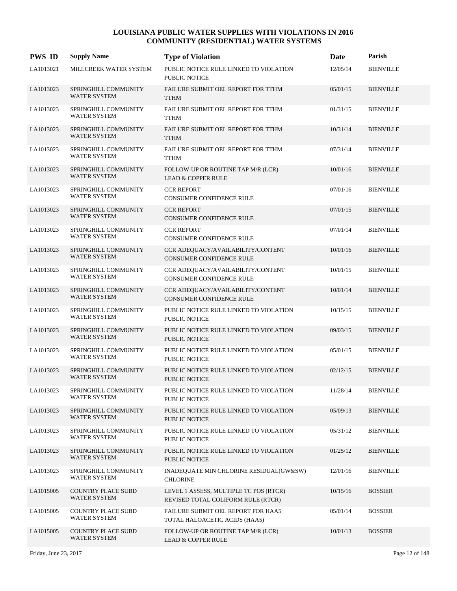| <b>PWS ID</b> | <b>Supply Name</b>                               | <b>Type of Violation</b>                                                     | Date     | Parish           |
|---------------|--------------------------------------------------|------------------------------------------------------------------------------|----------|------------------|
| LA1013021     | MILLCREEK WATER SYSTEM                           | PUBLIC NOTICE RULE LINKED TO VIOLATION<br><b>PUBLIC NOTICE</b>               | 12/05/14 | <b>BIENVILLE</b> |
| LA1013023     | SPRINGHILL COMMUNITY<br><b>WATER SYSTEM</b>      | FAILURE SUBMIT OEL REPORT FOR TTHM<br><b>TTHM</b>                            | 05/01/15 | <b>BIENVILLE</b> |
| LA1013023     | SPRINGHILL COMMUNITY<br><b>WATER SYSTEM</b>      | FAILURE SUBMIT OEL REPORT FOR TTHM<br><b>TTHM</b>                            | 01/31/15 | <b>BIENVILLE</b> |
| LA1013023     | SPRINGHILL COMMUNITY<br>WATER SYSTEM             | FAILURE SUBMIT OEL REPORT FOR TTHM<br><b>TTHM</b>                            | 10/31/14 | <b>BIENVILLE</b> |
| LA1013023     | SPRINGHILL COMMUNITY<br><b>WATER SYSTEM</b>      | FAILURE SUBMIT OEL REPORT FOR TTHM<br><b>TTHM</b>                            | 07/31/14 | <b>BIENVILLE</b> |
| LA1013023     | SPRINGHILL COMMUNITY<br><b>WATER SYSTEM</b>      | FOLLOW-UP OR ROUTINE TAP M/R (LCR)<br><b>LEAD &amp; COPPER RULE</b>          | 10/01/16 | <b>BIENVILLE</b> |
| LA1013023     | SPRINGHILL COMMUNITY<br><b>WATER SYSTEM</b>      | <b>CCR REPORT</b><br>CONSUMER CONFIDENCE RULE                                | 07/01/16 | <b>BIENVILLE</b> |
| LA1013023     | SPRINGHILL COMMUNITY<br><b>WATER SYSTEM</b>      | <b>CCR REPORT</b><br>CONSUMER CONFIDENCE RULE                                | 07/01/15 | <b>BIENVILLE</b> |
| LA1013023     | SPRINGHILL COMMUNITY<br><b>WATER SYSTEM</b>      | <b>CCR REPORT</b><br>CONSUMER CONFIDENCE RULE                                | 07/01/14 | <b>BIENVILLE</b> |
| LA1013023     | SPRINGHILL COMMUNITY<br><b>WATER SYSTEM</b>      | CCR ADEQUACY/AVAILABILITY/CONTENT<br>CONSUMER CONFIDENCE RULE                | 10/01/16 | <b>BIENVILLE</b> |
| LA1013023     | SPRINGHILL COMMUNITY<br><b>WATER SYSTEM</b>      | CCR ADEQUACY/AVAILABILITY/CONTENT<br>CONSUMER CONFIDENCE RULE                | 10/01/15 | <b>BIENVILLE</b> |
| LA1013023     | SPRINGHILL COMMUNITY<br>WATER SYSTEM             | CCR ADEQUACY/AVAILABILITY/CONTENT<br>CONSUMER CONFIDENCE RULE                | 10/01/14 | <b>BIENVILLE</b> |
| LA1013023     | SPRINGHILL COMMUNITY<br><b>WATER SYSTEM</b>      | PUBLIC NOTICE RULE LINKED TO VIOLATION<br>PUBLIC NOTICE                      | 10/15/15 | <b>BIENVILLE</b> |
| LA1013023     | SPRINGHILL COMMUNITY<br><b>WATER SYSTEM</b>      | PUBLIC NOTICE RULE LINKED TO VIOLATION<br><b>PUBLIC NOTICE</b>               | 09/03/15 | <b>BIENVILLE</b> |
| LA1013023     | SPRINGHILL COMMUNITY<br><b>WATER SYSTEM</b>      | PUBLIC NOTICE RULE LINKED TO VIOLATION<br>PUBLIC NOTICE                      | 05/01/15 | <b>BIENVILLE</b> |
| LA1013023     | SPRINGHILL COMMUNITY<br><b>WATER SYSTEM</b>      | PUBLIC NOTICE RULE LINKED TO VIOLATION<br><b>PUBLIC NOTICE</b>               | 02/12/15 | <b>BIENVILLE</b> |
| LA1013023     | SPRINGHILL COMMUNITY<br><b>WATER SYSTEM</b>      | PUBLIC NOTICE RULE LINKED TO VIOLATION<br>PUBLIC NOTICE                      | 11/28/14 | <b>BIENVILLE</b> |
| LA1013023     | SPRINGHILL COMMUNITY<br>WATER SYSTEM             | PUBLIC NOTICE RULE LINKED TO VIOLATION<br>PUBLIC NOTICE                      | 05/09/13 | <b>BIENVILLE</b> |
| LA1013023     | SPRINGHILL COMMUNITY<br><b>WATER SYSTEM</b>      | PUBLIC NOTICE RULE LINKED TO VIOLATION<br>PUBLIC NOTICE                      | 05/31/12 | <b>BIENVILLE</b> |
| LA1013023     | SPRINGHILL COMMUNITY<br><b>WATER SYSTEM</b>      | PUBLIC NOTICE RULE LINKED TO VIOLATION<br>PUBLIC NOTICE                      | 01/25/12 | <b>BIENVILLE</b> |
| LA1013023     | SPRINGHILL COMMUNITY<br><b>WATER SYSTEM</b>      | INADEQUATE MIN CHLORINE RESIDUAL(GW&SW)<br><b>CHLORINE</b>                   | 12/01/16 | <b>BIENVILLE</b> |
| LA1015005     | <b>COUNTRY PLACE SUBD</b><br>WATER SYSTEM        | LEVEL 1 ASSESS, MULTIPLE TC POS (RTCR)<br>REVISED TOTAL COLIFORM RULE (RTCR) | 10/15/16 | <b>BOSSIER</b>   |
| LA1015005     | <b>COUNTRY PLACE SUBD</b><br><b>WATER SYSTEM</b> | FAILURE SUBMIT OEL REPORT FOR HAA5<br>TOTAL HALOACETIC ACIDS (HAA5)          | 05/01/14 | <b>BOSSIER</b>   |
| LA1015005     | <b>COUNTRY PLACE SUBD</b><br>WATER SYSTEM        | FOLLOW-UP OR ROUTINE TAP M/R (LCR)<br><b>LEAD &amp; COPPER RULE</b>          | 10/01/13 | <b>BOSSIER</b>   |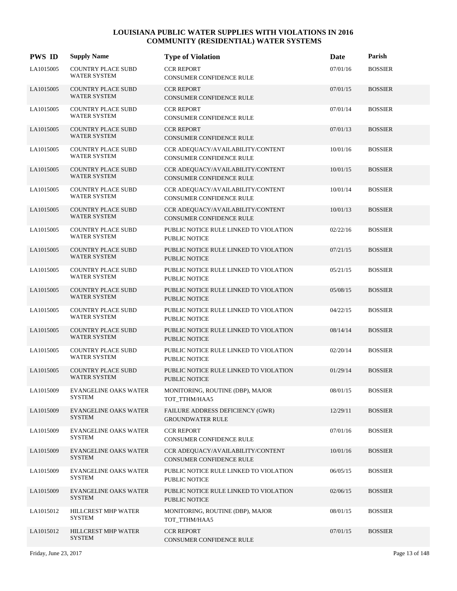| <b>PWS ID</b> | <b>Supply Name</b>                               | <b>Type of Violation</b>                                             | Date     | Parish         |
|---------------|--------------------------------------------------|----------------------------------------------------------------------|----------|----------------|
| LA1015005     | COUNTRY PLACE SUBD<br><b>WATER SYSTEM</b>        | <b>CCR REPORT</b><br>CONSUMER CONFIDENCE RULE                        | 07/01/16 | <b>BOSSIER</b> |
| LA1015005     | COUNTRY PLACE SUBD<br><b>WATER SYSTEM</b>        | <b>CCR REPORT</b><br>CONSUMER CONFIDENCE RULE                        | 07/01/15 | <b>BOSSIER</b> |
| LA1015005     | <b>COUNTRY PLACE SUBD</b><br><b>WATER SYSTEM</b> | <b>CCR REPORT</b><br>CONSUMER CONFIDENCE RULE                        | 07/01/14 | <b>BOSSIER</b> |
| LA1015005     | <b>COUNTRY PLACE SUBD</b><br><b>WATER SYSTEM</b> | <b>CCR REPORT</b><br>CONSUMER CONFIDENCE RULE                        | 07/01/13 | <b>BOSSIER</b> |
| LA1015005     | <b>COUNTRY PLACE SUBD</b><br><b>WATER SYSTEM</b> | CCR ADEQUACY/AVAILABILITY/CONTENT<br>CONSUMER CONFIDENCE RULE        | 10/01/16 | <b>BOSSIER</b> |
| LA1015005     | <b>COUNTRY PLACE SUBD</b><br><b>WATER SYSTEM</b> | CCR ADEQUACY/AVAILABILITY/CONTENT<br>CONSUMER CONFIDENCE RULE        | 10/01/15 | <b>BOSSIER</b> |
| LA1015005     | <b>COUNTRY PLACE SUBD</b><br><b>WATER SYSTEM</b> | CCR ADEQUACY/AVAILABILITY/CONTENT<br>CONSUMER CONFIDENCE RULE        | 10/01/14 | <b>BOSSIER</b> |
| LA1015005     | <b>COUNTRY PLACE SUBD</b><br><b>WATER SYSTEM</b> | CCR ADEQUACY/AVAILABILITY/CONTENT<br>CONSUMER CONFIDENCE RULE        | 10/01/13 | <b>BOSSIER</b> |
| LA1015005     | <b>COUNTRY PLACE SUBD</b><br><b>WATER SYSTEM</b> | PUBLIC NOTICE RULE LINKED TO VIOLATION<br>PUBLIC NOTICE              | 02/22/16 | <b>BOSSIER</b> |
| LA1015005     | <b>COUNTRY PLACE SUBD</b><br><b>WATER SYSTEM</b> | PUBLIC NOTICE RULE LINKED TO VIOLATION<br><b>PUBLIC NOTICE</b>       | 07/21/15 | <b>BOSSIER</b> |
| LA1015005     | <b>COUNTRY PLACE SUBD</b><br><b>WATER SYSTEM</b> | PUBLIC NOTICE RULE LINKED TO VIOLATION<br>PUBLIC NOTICE              | 05/21/15 | <b>BOSSIER</b> |
| LA1015005     | <b>COUNTRY PLACE SUBD</b><br><b>WATER SYSTEM</b> | PUBLIC NOTICE RULE LINKED TO VIOLATION<br><b>PUBLIC NOTICE</b>       | 05/08/15 | <b>BOSSIER</b> |
| LA1015005     | <b>COUNTRY PLACE SUBD</b><br><b>WATER SYSTEM</b> | PUBLIC NOTICE RULE LINKED TO VIOLATION<br>PUBLIC NOTICE              | 04/22/15 | <b>BOSSIER</b> |
| LA1015005     | <b>COUNTRY PLACE SUBD</b><br><b>WATER SYSTEM</b> | PUBLIC NOTICE RULE LINKED TO VIOLATION<br><b>PUBLIC NOTICE</b>       | 08/14/14 | <b>BOSSIER</b> |
| LA1015005     | <b>COUNTRY PLACE SUBD</b><br><b>WATER SYSTEM</b> | PUBLIC NOTICE RULE LINKED TO VIOLATION<br><b>PUBLIC NOTICE</b>       | 02/20/14 | <b>BOSSIER</b> |
| LA1015005     | <b>COUNTRY PLACE SUBD</b><br><b>WATER SYSTEM</b> | PUBLIC NOTICE RULE LINKED TO VIOLATION<br><b>PUBLIC NOTICE</b>       | 01/29/14 | <b>BOSSIER</b> |
| LA1015009     | <b>EVANGELINE OAKS WATER</b><br><b>SYSTEM</b>    | MONITORING, ROUTINE (DBP), MAJOR<br>TOT_TTHM/HAA5                    | 08/01/15 | <b>BOSSIER</b> |
| LA1015009     | <b>EVANGELINE OAKS WATER</b><br><b>SYSTEM</b>    | FAILURE ADDRESS DEFICIENCY (GWR)<br><b>GROUNDWATER RULE</b>          | 12/29/11 | <b>BOSSIER</b> |
| LA1015009     | <b>EVANGELINE OAKS WATER</b><br>SYSTEM           | <b>CCR REPORT</b><br>CONSUMER CONFIDENCE RULE                        | 07/01/16 | <b>BOSSIER</b> |
| LA1015009     | <b>EVANGELINE OAKS WATER</b><br><b>SYSTEM</b>    | CCR ADEQUACY/AVAILABILITY/CONTENT<br><b>CONSUMER CONFIDENCE RULE</b> | 10/01/16 | <b>BOSSIER</b> |
| LA1015009     | <b>EVANGELINE OAKS WATER</b><br><b>SYSTEM</b>    | PUBLIC NOTICE RULE LINKED TO VIOLATION<br>PUBLIC NOTICE              | 06/05/15 | <b>BOSSIER</b> |
| LA1015009     | <b>EVANGELINE OAKS WATER</b><br><b>SYSTEM</b>    | PUBLIC NOTICE RULE LINKED TO VIOLATION<br>PUBLIC NOTICE              | 02/06/15 | <b>BOSSIER</b> |
| LA1015012     | HILLCREST MHP WATER<br>SYSTEM                    | MONITORING, ROUTINE (DBP), MAJOR<br>TOT_TTHM/HAA5                    | 08/01/15 | <b>BOSSIER</b> |
| LA1015012     | HILLCREST MHP WATER<br><b>SYSTEM</b>             | <b>CCR REPORT</b><br>CONSUMER CONFIDENCE RULE                        | 07/01/15 | <b>BOSSIER</b> |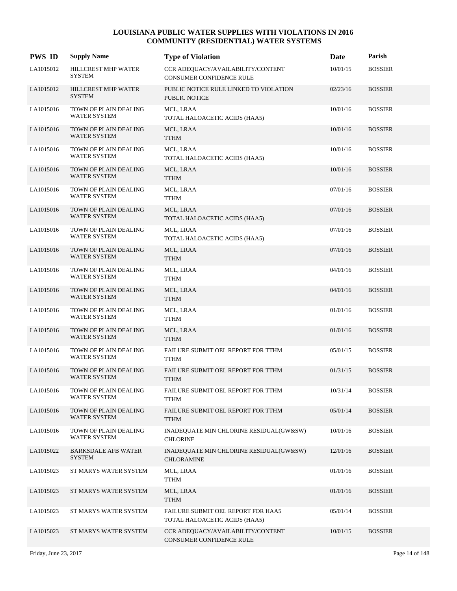| <b>PWS ID</b> | <b>Supply Name</b>                           | <b>Type of Violation</b>                                            | Date     | Parish         |
|---------------|----------------------------------------------|---------------------------------------------------------------------|----------|----------------|
| LA1015012     | HILLCREST MHP WATER<br><b>SYSTEM</b>         | CCR ADEQUACY/AVAILABILITY/CONTENT<br>CONSUMER CONFIDENCE RULE       | 10/01/15 | <b>BOSSIER</b> |
| LA1015012     | HILLCREST MHP WATER<br><b>SYSTEM</b>         | PUBLIC NOTICE RULE LINKED TO VIOLATION<br><b>PUBLIC NOTICE</b>      | 02/23/16 | <b>BOSSIER</b> |
| LA1015016     | TOWN OF PLAIN DEALING<br><b>WATER SYSTEM</b> | MCL, LRAA<br>TOTAL HALOACETIC ACIDS (HAA5)                          | 10/01/16 | <b>BOSSIER</b> |
| LA1015016     | TOWN OF PLAIN DEALING<br><b>WATER SYSTEM</b> | MCL, LRAA<br><b>TTHM</b>                                            | 10/01/16 | <b>BOSSIER</b> |
| LA1015016     | TOWN OF PLAIN DEALING<br><b>WATER SYSTEM</b> | MCL, LRAA<br>TOTAL HALOACETIC ACIDS (HAA5)                          | 10/01/16 | <b>BOSSIER</b> |
| LA1015016     | TOWN OF PLAIN DEALING<br><b>WATER SYSTEM</b> | MCL, LRAA<br><b>TTHM</b>                                            | 10/01/16 | <b>BOSSIER</b> |
| LA1015016     | TOWN OF PLAIN DEALING<br><b>WATER SYSTEM</b> | MCL, LRAA<br><b>TTHM</b>                                            | 07/01/16 | <b>BOSSIER</b> |
| LA1015016     | TOWN OF PLAIN DEALING<br><b>WATER SYSTEM</b> | MCL, LRAA<br>TOTAL HALOACETIC ACIDS (HAA5)                          | 07/01/16 | <b>BOSSIER</b> |
| LA1015016     | TOWN OF PLAIN DEALING<br><b>WATER SYSTEM</b> | MCL, LRAA<br>TOTAL HALOACETIC ACIDS (HAA5)                          | 07/01/16 | <b>BOSSIER</b> |
| LA1015016     | TOWN OF PLAIN DEALING<br><b>WATER SYSTEM</b> | MCL, LRAA<br><b>TTHM</b>                                            | 07/01/16 | <b>BOSSIER</b> |
| LA1015016     | TOWN OF PLAIN DEALING<br><b>WATER SYSTEM</b> | MCL, LRAA<br>TTHM                                                   | 04/01/16 | <b>BOSSIER</b> |
| LA1015016     | TOWN OF PLAIN DEALING<br><b>WATER SYSTEM</b> | MCL, LRAA<br><b>TTHM</b>                                            | 04/01/16 | <b>BOSSIER</b> |
| LA1015016     | TOWN OF PLAIN DEALING<br>WATER SYSTEM        | MCL, LRAA<br><b>TTHM</b>                                            | 01/01/16 | <b>BOSSIER</b> |
| LA1015016     | TOWN OF PLAIN DEALING<br><b>WATER SYSTEM</b> | MCL, LRAA<br><b>TTHM</b>                                            | 01/01/16 | <b>BOSSIER</b> |
| LA1015016     | TOWN OF PLAIN DEALING<br><b>WATER SYSTEM</b> | FAILURE SUBMIT OEL REPORT FOR TTHM<br><b>TTHM</b>                   | 05/01/15 | <b>BOSSIER</b> |
| LA1015016     | TOWN OF PLAIN DEALING<br><b>WATER SYSTEM</b> | FAILURE SUBMIT OEL REPORT FOR TTHM<br><b>TTHM</b>                   | 01/31/15 | <b>BOSSIER</b> |
| LA1015016     | TOWN OF PLAIN DEALING<br>WATER SYSTEM        | FAILURE SUBMIT OEL REPORT FOR TTHM<br><b>TTHM</b>                   | 10/31/14 | <b>BOSSIER</b> |
| LA1015016     | TOWN OF PLAIN DEALING<br>WATER SYSTEM        | FAILURE SUBMIT OEL REPORT FOR TTHM<br><b>TTHM</b>                   | 05/01/14 | <b>BOSSIER</b> |
| LA1015016     | TOWN OF PLAIN DEALING<br><b>WATER SYSTEM</b> | INADEQUATE MIN CHLORINE RESIDUAL(GW&SW)<br><b>CHLORINE</b>          | 10/01/16 | <b>BOSSIER</b> |
| LA1015022     | <b>BARKSDALE AFB WATER</b><br><b>SYSTEM</b>  | INADEQUATE MIN CHLORINE RESIDUAL(GW&SW)<br><b>CHLORAMINE</b>        | 12/01/16 | <b>BOSSIER</b> |
| LA1015023     | ST MARYS WATER SYSTEM                        | MCL, LRAA<br><b>TTHM</b>                                            | 01/01/16 | <b>BOSSIER</b> |
| LA1015023     | ST MARYS WATER SYSTEM                        | MCL, LRAA<br><b>TTHM</b>                                            | 01/01/16 | <b>BOSSIER</b> |
| LA1015023     | ST MARYS WATER SYSTEM                        | FAILURE SUBMIT OEL REPORT FOR HAA5<br>TOTAL HALOACETIC ACIDS (HAA5) | 05/01/14 | <b>BOSSIER</b> |
| LA1015023     | ST MARYS WATER SYSTEM                        | CCR ADEQUACY/AVAILABILITY/CONTENT<br>CONSUMER CONFIDENCE RULE       | 10/01/15 | <b>BOSSIER</b> |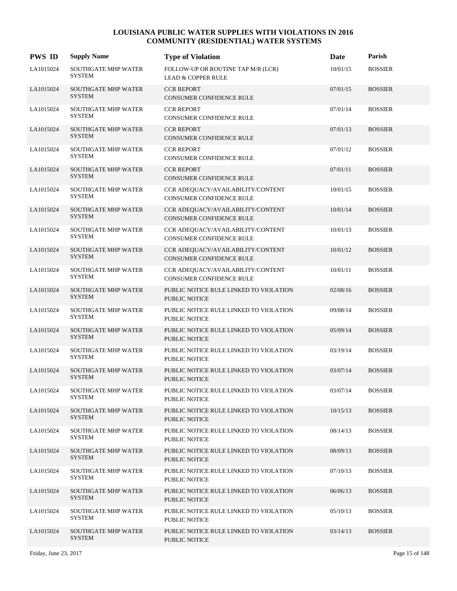| <b>PWS ID</b> | <b>Supply Name</b>                          | <b>Type of Violation</b>                                            | Date     | Parish         |
|---------------|---------------------------------------------|---------------------------------------------------------------------|----------|----------------|
| LA1015024     | <b>SOUTHGATE MHP WATER</b><br><b>SYSTEM</b> | FOLLOW-UP OR ROUTINE TAP M/R (LCR)<br><b>LEAD &amp; COPPER RULE</b> | 10/01/15 | <b>BOSSIER</b> |
| LA1015024     | <b>SOUTHGATE MHP WATER</b><br><b>SYSTEM</b> | <b>CCR REPORT</b><br>CONSUMER CONFIDENCE RULE                       | 07/01/15 | <b>BOSSIER</b> |
| LA1015024     | <b>SOUTHGATE MHP WATER</b><br><b>SYSTEM</b> | <b>CCR REPORT</b><br>CONSUMER CONFIDENCE RULE                       | 07/01/14 | <b>BOSSIER</b> |
| LA1015024     | <b>SOUTHGATE MHP WATER</b><br><b>SYSTEM</b> | <b>CCR REPORT</b><br>CONSUMER CONFIDENCE RULE                       | 07/01/13 | <b>BOSSIER</b> |
| LA1015024     | <b>SOUTHGATE MHP WATER</b><br><b>SYSTEM</b> | <b>CCR REPORT</b><br>CONSUMER CONFIDENCE RULE                       | 07/01/12 | <b>BOSSIER</b> |
| LA1015024     | <b>SOUTHGATE MHP WATER</b><br><b>SYSTEM</b> | <b>CCR REPORT</b><br>CONSUMER CONFIDENCE RULE                       | 07/01/11 | <b>BOSSIER</b> |
| LA1015024     | <b>SOUTHGATE MHP WATER</b><br><b>SYSTEM</b> | CCR ADEQUACY/AVAILABILITY/CONTENT<br>CONSUMER CONFIDENCE RULE       | 10/01/15 | <b>BOSSIER</b> |
| LA1015024     | SOUTHGATE MHP WATER<br><b>SYSTEM</b>        | CCR ADEQUACY/AVAILABILITY/CONTENT<br>CONSUMER CONFIDENCE RULE       | 10/01/14 | <b>BOSSIER</b> |
| LA1015024     | <b>SOUTHGATE MHP WATER</b><br><b>SYSTEM</b> | CCR ADEQUACY/AVAILABILITY/CONTENT<br>CONSUMER CONFIDENCE RULE       | 10/01/13 | <b>BOSSIER</b> |
| LA1015024     | <b>SOUTHGATE MHP WATER</b><br><b>SYSTEM</b> | CCR ADEQUACY/AVAILABILITY/CONTENT<br>CONSUMER CONFIDENCE RULE       | 10/01/12 | <b>BOSSIER</b> |
| LA1015024     | SOUTHGATE MHP WATER<br><b>SYSTEM</b>        | CCR ADEQUACY/AVAILABILITY/CONTENT<br>CONSUMER CONFIDENCE RULE       | 10/01/11 | <b>BOSSIER</b> |
| LA1015024     | SOUTHGATE MHP WATER<br><b>SYSTEM</b>        | PUBLIC NOTICE RULE LINKED TO VIOLATION<br>PUBLIC NOTICE             | 02/08/16 | <b>BOSSIER</b> |
| LA1015024     | SOUTHGATE MHP WATER<br><b>SYSTEM</b>        | PUBLIC NOTICE RULE LINKED TO VIOLATION<br>PUBLIC NOTICE             | 09/08/14 | <b>BOSSIER</b> |
| LA1015024     | <b>SOUTHGATE MHP WATER</b><br><b>SYSTEM</b> | PUBLIC NOTICE RULE LINKED TO VIOLATION<br><b>PUBLIC NOTICE</b>      | 05/09/14 | <b>BOSSIER</b> |
| LA1015024     | SOUTHGATE MHP WATER<br><b>SYSTEM</b>        | PUBLIC NOTICE RULE LINKED TO VIOLATION<br><b>PUBLIC NOTICE</b>      | 03/19/14 | <b>BOSSIER</b> |
| LA1015024     | <b>SOUTHGATE MHP WATER</b><br><b>SYSTEM</b> | PUBLIC NOTICE RULE LINKED TO VIOLATION<br><b>PUBLIC NOTICE</b>      | 03/07/14 | <b>BOSSIER</b> |
| LA1015024     | <b>SOUTHGATE MHP WATER</b><br><b>SYSTEM</b> | PUBLIC NOTICE RULE LINKED TO VIOLATION<br>PUBLIC NOTICE             | 03/07/14 | <b>BOSSIER</b> |
| LA1015024     | <b>SOUTHGATE MHP WATER</b><br><b>SYSTEM</b> | PUBLIC NOTICE RULE LINKED TO VIOLATION<br>PUBLIC NOTICE             | 10/15/13 | <b>BOSSIER</b> |
| LA1015024     | <b>SOUTHGATE MHP WATER</b><br><b>SYSTEM</b> | PUBLIC NOTICE RULE LINKED TO VIOLATION<br>PUBLIC NOTICE             | 08/14/13 | <b>BOSSIER</b> |
| LA1015024     | <b>SOUTHGATE MHP WATER</b><br><b>SYSTEM</b> | PUBLIC NOTICE RULE LINKED TO VIOLATION<br><b>PUBLIC NOTICE</b>      | 08/09/13 | <b>BOSSIER</b> |
| LA1015024     | <b>SOUTHGATE MHP WATER</b><br><b>SYSTEM</b> | PUBLIC NOTICE RULE LINKED TO VIOLATION<br>PUBLIC NOTICE             | 07/10/13 | <b>BOSSIER</b> |
| LA1015024     | <b>SOUTHGATE MHP WATER</b><br><b>SYSTEM</b> | PUBLIC NOTICE RULE LINKED TO VIOLATION<br>PUBLIC NOTICE             | 06/06/13 | <b>BOSSIER</b> |
| LA1015024     | <b>SOUTHGATE MHP WATER</b><br><b>SYSTEM</b> | PUBLIC NOTICE RULE LINKED TO VIOLATION<br>PUBLIC NOTICE             | 05/10/13 | <b>BOSSIER</b> |
| LA1015024     | <b>SOUTHGATE MHP WATER</b><br><b>SYSTEM</b> | PUBLIC NOTICE RULE LINKED TO VIOLATION<br>PUBLIC NOTICE             | 03/14/13 | <b>BOSSIER</b> |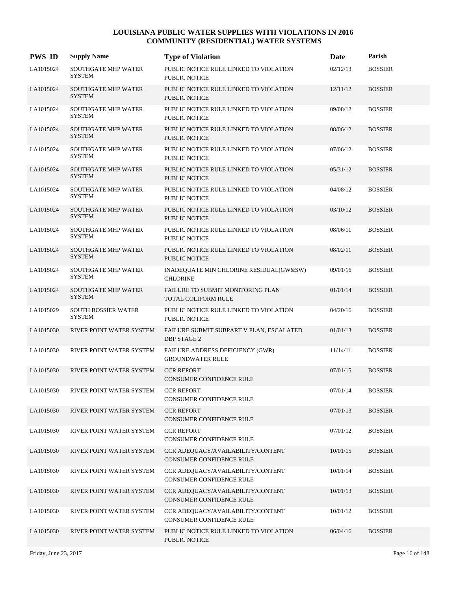| <b>PWS ID</b> | <b>Supply Name</b>                          | <b>Type of Violation</b>                                       | Date     | Parish         |
|---------------|---------------------------------------------|----------------------------------------------------------------|----------|----------------|
| LA1015024     | <b>SOUTHGATE MHP WATER</b><br><b>SYSTEM</b> | PUBLIC NOTICE RULE LINKED TO VIOLATION<br><b>PUBLIC NOTICE</b> | 02/12/13 | <b>BOSSIER</b> |
| LA1015024     | SOUTHGATE MHP WATER<br><b>SYSTEM</b>        | PUBLIC NOTICE RULE LINKED TO VIOLATION<br>PUBLIC NOTICE        | 12/11/12 | <b>BOSSIER</b> |
| LA1015024     | <b>SOUTHGATE MHP WATER</b><br><b>SYSTEM</b> | PUBLIC NOTICE RULE LINKED TO VIOLATION<br><b>PUBLIC NOTICE</b> | 09/08/12 | <b>BOSSIER</b> |
| LA1015024     | <b>SOUTHGATE MHP WATER</b><br><b>SYSTEM</b> | PUBLIC NOTICE RULE LINKED TO VIOLATION<br><b>PUBLIC NOTICE</b> | 08/06/12 | <b>BOSSIER</b> |
| LA1015024     | <b>SOUTHGATE MHP WATER</b><br><b>SYSTEM</b> | PUBLIC NOTICE RULE LINKED TO VIOLATION<br><b>PUBLIC NOTICE</b> | 07/06/12 | <b>BOSSIER</b> |
| LA1015024     | SOUTHGATE MHP WATER<br><b>SYSTEM</b>        | PUBLIC NOTICE RULE LINKED TO VIOLATION<br><b>PUBLIC NOTICE</b> | 05/31/12 | <b>BOSSIER</b> |
| LA1015024     | SOUTHGATE MHP WATER<br><b>SYSTEM</b>        | PUBLIC NOTICE RULE LINKED TO VIOLATION<br><b>PUBLIC NOTICE</b> | 04/08/12 | <b>BOSSIER</b> |
| LA1015024     | <b>SOUTHGATE MHP WATER</b><br><b>SYSTEM</b> | PUBLIC NOTICE RULE LINKED TO VIOLATION<br><b>PUBLIC NOTICE</b> | 03/10/12 | <b>BOSSIER</b> |
| LA1015024     | SOUTHGATE MHP WATER<br><b>SYSTEM</b>        | PUBLIC NOTICE RULE LINKED TO VIOLATION<br><b>PUBLIC NOTICE</b> | 08/06/11 | <b>BOSSIER</b> |
| LA1015024     | <b>SOUTHGATE MHP WATER</b><br><b>SYSTEM</b> | PUBLIC NOTICE RULE LINKED TO VIOLATION<br><b>PUBLIC NOTICE</b> | 08/02/11 | <b>BOSSIER</b> |
| LA1015024     | <b>SOUTHGATE MHP WATER</b><br><b>SYSTEM</b> | INADEQUATE MIN CHLORINE RESIDUAL(GW&SW)<br><b>CHLORINE</b>     | 09/01/16 | <b>BOSSIER</b> |
| LA1015024     | <b>SOUTHGATE MHP WATER</b><br><b>SYSTEM</b> | FAILURE TO SUBMIT MONITORING PLAN<br>TOTAL COLIFORM RULE       | 01/01/14 | <b>BOSSIER</b> |
| LA1015029     | <b>SOUTH BOSSIER WATER</b><br><b>SYSTEM</b> | PUBLIC NOTICE RULE LINKED TO VIOLATION<br><b>PUBLIC NOTICE</b> | 04/20/16 | <b>BOSSIER</b> |
| LA1015030     | RIVER POINT WATER SYSTEM                    | FAILURE SUBMIT SUBPART V PLAN, ESCALATED<br><b>DBP STAGE 2</b> | 01/01/13 | <b>BOSSIER</b> |
| LA1015030     | RIVER POINT WATER SYSTEM                    | FAILURE ADDRESS DEFICIENCY (GWR)<br><b>GROUNDWATER RULE</b>    | 11/14/11 | <b>BOSSIER</b> |
| LA1015030     | RIVER POINT WATER SYSTEM                    | <b>CCR REPORT</b><br><b>CONSUMER CONFIDENCE RULE</b>           | 07/01/15 | <b>BOSSIER</b> |
| LA1015030     | RIVER POINT WATER SYSTEM                    | <b>CCR REPORT</b><br>CONSUMER CONFIDENCE RULE                  | 07/01/14 | <b>BOSSIER</b> |
| LA1015030     | RIVER POINT WATER SYSTEM                    | <b>CCR REPORT</b><br>CONSUMER CONFIDENCE RULE                  | 07/01/13 | <b>BOSSIER</b> |
| LA1015030     | RIVER POINT WATER SYSTEM                    | <b>CCR REPORT</b><br>CONSUMER CONFIDENCE RULE                  | 07/01/12 | <b>BOSSIER</b> |
| LA1015030     | RIVER POINT WATER SYSTEM                    | CCR ADEQUACY/AVAILABILITY/CONTENT<br>CONSUMER CONFIDENCE RULE  | 10/01/15 | <b>BOSSIER</b> |
| LA1015030     | RIVER POINT WATER SYSTEM                    | CCR ADEQUACY/AVAILABILITY/CONTENT<br>CONSUMER CONFIDENCE RULE  | 10/01/14 | <b>BOSSIER</b> |
| LA1015030     | RIVER POINT WATER SYSTEM                    | CCR ADEQUACY/AVAILABILITY/CONTENT<br>CONSUMER CONFIDENCE RULE  | 10/01/13 | <b>BOSSIER</b> |
| LA1015030     | RIVER POINT WATER SYSTEM                    | CCR ADEQUACY/AVAILABILITY/CONTENT<br>CONSUMER CONFIDENCE RULE  | 10/01/12 | <b>BOSSIER</b> |
| LA1015030     | RIVER POINT WATER SYSTEM                    | PUBLIC NOTICE RULE LINKED TO VIOLATION<br>PUBLIC NOTICE        | 06/04/16 | <b>BOSSIER</b> |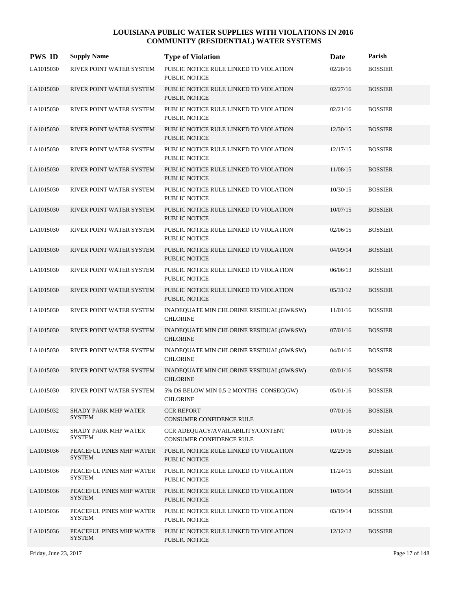| <b>PWS ID</b> | <b>Supply Name</b>                           | <b>Type of Violation</b>                                       | Date     | Parish         |
|---------------|----------------------------------------------|----------------------------------------------------------------|----------|----------------|
| LA1015030     | RIVER POINT WATER SYSTEM                     | PUBLIC NOTICE RULE LINKED TO VIOLATION<br><b>PUBLIC NOTICE</b> | 02/28/16 | <b>BOSSIER</b> |
| LA1015030     | RIVER POINT WATER SYSTEM                     | PUBLIC NOTICE RULE LINKED TO VIOLATION<br><b>PUBLIC NOTICE</b> | 02/27/16 | <b>BOSSIER</b> |
| LA1015030     | RIVER POINT WATER SYSTEM                     | PUBLIC NOTICE RULE LINKED TO VIOLATION<br>PUBLIC NOTICE        | 02/21/16 | <b>BOSSIER</b> |
| LA1015030     | RIVER POINT WATER SYSTEM                     | PUBLIC NOTICE RULE LINKED TO VIOLATION<br><b>PUBLIC NOTICE</b> | 12/30/15 | <b>BOSSIER</b> |
| LA1015030     | RIVER POINT WATER SYSTEM                     | PUBLIC NOTICE RULE LINKED TO VIOLATION<br><b>PUBLIC NOTICE</b> | 12/17/15 | <b>BOSSIER</b> |
| LA1015030     | RIVER POINT WATER SYSTEM                     | PUBLIC NOTICE RULE LINKED TO VIOLATION<br><b>PUBLIC NOTICE</b> | 11/08/15 | <b>BOSSIER</b> |
| LA1015030     | RIVER POINT WATER SYSTEM                     | PUBLIC NOTICE RULE LINKED TO VIOLATION<br>PUBLIC NOTICE        | 10/30/15 | <b>BOSSIER</b> |
| LA1015030     | RIVER POINT WATER SYSTEM                     | PUBLIC NOTICE RULE LINKED TO VIOLATION<br><b>PUBLIC NOTICE</b> | 10/07/15 | <b>BOSSIER</b> |
| LA1015030     | RIVER POINT WATER SYSTEM                     | PUBLIC NOTICE RULE LINKED TO VIOLATION<br>PUBLIC NOTICE        | 02/06/15 | <b>BOSSIER</b> |
| LA1015030     | RIVER POINT WATER SYSTEM                     | PUBLIC NOTICE RULE LINKED TO VIOLATION<br><b>PUBLIC NOTICE</b> | 04/09/14 | <b>BOSSIER</b> |
| LA1015030     | RIVER POINT WATER SYSTEM                     | PUBLIC NOTICE RULE LINKED TO VIOLATION<br>PUBLIC NOTICE        | 06/06/13 | <b>BOSSIER</b> |
| LA1015030     | RIVER POINT WATER SYSTEM                     | PUBLIC NOTICE RULE LINKED TO VIOLATION<br><b>PUBLIC NOTICE</b> | 05/31/12 | <b>BOSSIER</b> |
| LA1015030     | RIVER POINT WATER SYSTEM                     | INADEQUATE MIN CHLORINE RESIDUAL(GW&SW)<br><b>CHLORINE</b>     | 11/01/16 | <b>BOSSIER</b> |
| LA1015030     | RIVER POINT WATER SYSTEM                     | INADEQUATE MIN CHLORINE RESIDUAL(GW&SW)<br><b>CHLORINE</b>     | 07/01/16 | <b>BOSSIER</b> |
| LA1015030     | RIVER POINT WATER SYSTEM                     | INADEQUATE MIN CHLORINE RESIDUAL(GW&SW)<br><b>CHLORINE</b>     | 04/01/16 | <b>BOSSIER</b> |
| LA1015030     | RIVER POINT WATER SYSTEM                     | INADEQUATE MIN CHLORINE RESIDUAL(GW&SW)<br><b>CHLORINE</b>     | 02/01/16 | <b>BOSSIER</b> |
| LA1015030     | RIVER POINT WATER SYSTEM                     | 5% DS BELOW MIN 0.5-2 MONTHS CONSEC(GW)<br><b>CHLORINE</b>     | 05/01/16 | <b>BOSSIER</b> |
| LA1015032     | <b>SHADY PARK MHP WATER</b><br><b>SYSTEM</b> | <b>CCR REPORT</b><br>CONSUMER CONFIDENCE RULE                  | 07/01/16 | <b>BOSSIER</b> |
| LA1015032     | <b>SHADY PARK MHP WATER</b><br>SYSTEM        | CCR ADEQUACY/AVAILABILITY/CONTENT<br>CONSUMER CONFIDENCE RULE  | 10/01/16 | <b>BOSSIER</b> |
| LA1015036     | PEACEFUL PINES MHP WATER<br><b>SYSTEM</b>    | PUBLIC NOTICE RULE LINKED TO VIOLATION<br>PUBLIC NOTICE        | 02/29/16 | <b>BOSSIER</b> |
| LA1015036     | PEACEFUL PINES MHP WATER<br><b>SYSTEM</b>    | PUBLIC NOTICE RULE LINKED TO VIOLATION<br>PUBLIC NOTICE        | 11/24/15 | <b>BOSSIER</b> |
| LA1015036     | PEACEFUL PINES MHP WATER<br><b>SYSTEM</b>    | PUBLIC NOTICE RULE LINKED TO VIOLATION<br>PUBLIC NOTICE        | 10/03/14 | <b>BOSSIER</b> |
| LA1015036     | PEACEFUL PINES MHP WATER<br><b>SYSTEM</b>    | PUBLIC NOTICE RULE LINKED TO VIOLATION<br>PUBLIC NOTICE        | 03/19/14 | <b>BOSSIER</b> |
| LA1015036     | PEACEFUL PINES MHP WATER<br><b>SYSTEM</b>    | PUBLIC NOTICE RULE LINKED TO VIOLATION<br>PUBLIC NOTICE        | 12/12/12 | <b>BOSSIER</b> |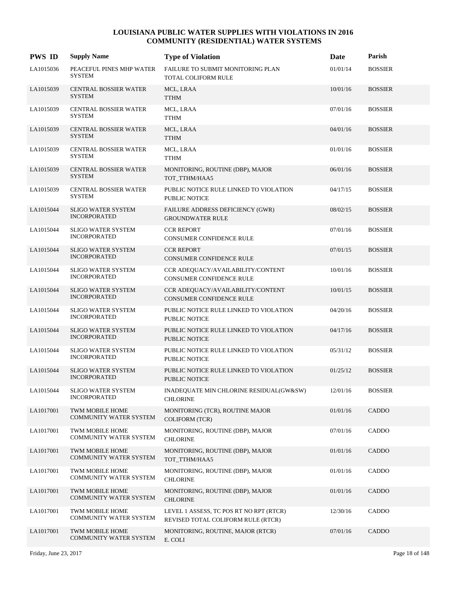| <b>PWS ID</b> | <b>Supply Name</b>                               | <b>Type of Violation</b>                                                      | Date     | Parish         |
|---------------|--------------------------------------------------|-------------------------------------------------------------------------------|----------|----------------|
| LA1015036     | PEACEFUL PINES MHP WATER<br><b>SYSTEM</b>        | FAILURE TO SUBMIT MONITORING PLAN<br>TOTAL COLIFORM RULE                      | 01/01/14 | <b>BOSSIER</b> |
| LA1015039     | <b>CENTRAL BOSSIER WATER</b><br><b>SYSTEM</b>    | MCL, LRAA<br><b>TTHM</b>                                                      | 10/01/16 | <b>BOSSIER</b> |
| LA1015039     | CENTRAL BOSSIER WATER<br><b>SYSTEM</b>           | MCL, LRAA<br><b>TTHM</b>                                                      | 07/01/16 | <b>BOSSIER</b> |
| LA1015039     | <b>CENTRAL BOSSIER WATER</b><br><b>SYSTEM</b>    | MCL, LRAA<br><b>TTHM</b>                                                      | 04/01/16 | <b>BOSSIER</b> |
| LA1015039     | <b>CENTRAL BOSSIER WATER</b><br><b>SYSTEM</b>    | MCL, LRAA<br><b>TTHM</b>                                                      | 01/01/16 | <b>BOSSIER</b> |
| LA1015039     | CENTRAL BOSSIER WATER<br><b>SYSTEM</b>           | MONITORING, ROUTINE (DBP), MAJOR<br>TOT_TTHM/HAA5                             | 06/01/16 | <b>BOSSIER</b> |
| LA1015039     | CENTRAL BOSSIER WATER<br><b>SYSTEM</b>           | PUBLIC NOTICE RULE LINKED TO VIOLATION<br>PUBLIC NOTICE                       | 04/17/15 | <b>BOSSIER</b> |
| LA1015044     | <b>SLIGO WATER SYSTEM</b><br><b>INCORPORATED</b> | FAILURE ADDRESS DEFICIENCY (GWR)<br><b>GROUNDWATER RULE</b>                   | 08/02/15 | <b>BOSSIER</b> |
| LA1015044     | <b>SLIGO WATER SYSTEM</b><br><b>INCORPORATED</b> | <b>CCR REPORT</b><br>CONSUMER CONFIDENCE RULE                                 | 07/01/16 | <b>BOSSIER</b> |
| LA1015044     | <b>SLIGO WATER SYSTEM</b><br><b>INCORPORATED</b> | <b>CCR REPORT</b><br>CONSUMER CONFIDENCE RULE                                 | 07/01/15 | <b>BOSSIER</b> |
| LA1015044     | <b>SLIGO WATER SYSTEM</b><br><b>INCORPORATED</b> | CCR ADEQUACY/AVAILABILITY/CONTENT<br>CONSUMER CONFIDENCE RULE                 | 10/01/16 | <b>BOSSIER</b> |
| LA1015044     | <b>SLIGO WATER SYSTEM</b><br><b>INCORPORATED</b> | CCR ADEQUACY/AVAILABILITY/CONTENT<br>CONSUMER CONFIDENCE RULE                 | 10/01/15 | <b>BOSSIER</b> |
| LA1015044     | <b>SLIGO WATER SYSTEM</b><br><b>INCORPORATED</b> | PUBLIC NOTICE RULE LINKED TO VIOLATION<br>PUBLIC NOTICE                       | 04/20/16 | <b>BOSSIER</b> |
| LA1015044     | <b>SLIGO WATER SYSTEM</b><br><b>INCORPORATED</b> | PUBLIC NOTICE RULE LINKED TO VIOLATION<br><b>PUBLIC NOTICE</b>                | 04/17/16 | <b>BOSSIER</b> |
| LA1015044     | <b>SLIGO WATER SYSTEM</b><br><b>INCORPORATED</b> | PUBLIC NOTICE RULE LINKED TO VIOLATION<br><b>PUBLIC NOTICE</b>                | 05/31/12 | <b>BOSSIER</b> |
| LA1015044     | <b>SLIGO WATER SYSTEM</b><br><b>INCORPORATED</b> | PUBLIC NOTICE RULE LINKED TO VIOLATION<br><b>PUBLIC NOTICE</b>                | 01/25/12 | <b>BOSSIER</b> |
| LA1015044     | <b>SLIGO WATER SYSTEM</b><br><b>INCORPORATED</b> | INADEQUATE MIN CHLORINE RESIDUAL(GW&SW)<br><b>CHLORINE</b>                    | 12/01/16 | <b>BOSSIER</b> |
| LA1017001     | TWM MOBILE HOME<br>COMMUNITY WATER SYSTEM        | MONITORING (TCR), ROUTINE MAJOR<br><b>COLIFORM (TCR)</b>                      | 01/01/16 | CADDO          |
| LA1017001     | TWM MOBILE HOME<br>COMMUNITY WATER SYSTEM        | MONITORING, ROUTINE (DBP), MAJOR<br><b>CHLORINE</b>                           | 07/01/16 | CADDO          |
| LA1017001     | TWM MOBILE HOME<br>COMMUNITY WATER SYSTEM        | MONITORING, ROUTINE (DBP), MAJOR<br>TOT TTHM/HAA5                             | 01/01/16 | CADDO          |
| LA1017001     | TWM MOBILE HOME<br><b>COMMUNITY WATER SYSTEM</b> | MONITORING, ROUTINE (DBP), MAJOR<br><b>CHLORINE</b>                           | 01/01/16 | CADDO          |
| LA1017001     | TWM MOBILE HOME<br>COMMUNITY WATER SYSTEM        | MONITORING, ROUTINE (DBP), MAJOR<br><b>CHLORINE</b>                           | 01/01/16 | CADDO          |
| LA1017001     | TWM MOBILE HOME<br>COMMUNITY WATER SYSTEM        | LEVEL 1 ASSESS, TC POS RT NO RPT (RTCR)<br>REVISED TOTAL COLIFORM RULE (RTCR) | 12/30/16 | CADDO          |
| LA1017001     | TWM MOBILE HOME<br><b>COMMUNITY WATER SYSTEM</b> | MONITORING, ROUTINE, MAJOR (RTCR)<br>E. COLI                                  | 07/01/16 | CADDO          |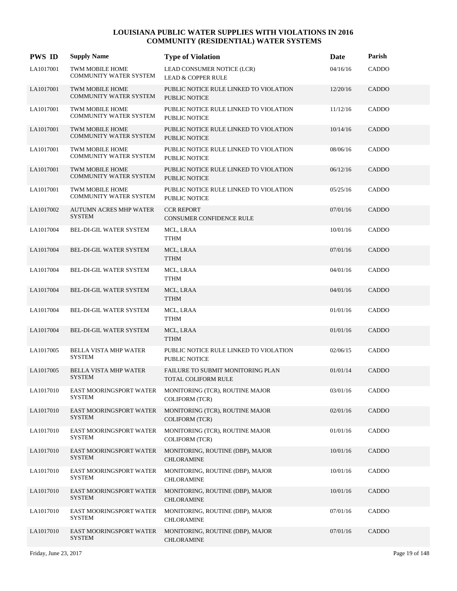| <b>PWS ID</b> | <b>Supply Name</b>                                      | <b>Type of Violation</b>                                        | Date     | Parish |
|---------------|---------------------------------------------------------|-----------------------------------------------------------------|----------|--------|
| LA1017001     | TWM MOBILE HOME<br><b>COMMUNITY WATER SYSTEM</b>        | LEAD CONSUMER NOTICE (LCR)<br><b>LEAD &amp; COPPER RULE</b>     | 04/16/16 | CADDO  |
| LA1017001     | <b>TWM MOBILE HOME</b><br><b>COMMUNITY WATER SYSTEM</b> | PUBLIC NOTICE RULE LINKED TO VIOLATION<br><b>PUBLIC NOTICE</b>  | 12/20/16 | CADDO  |
| LA1017001     | TWM MOBILE HOME<br><b>COMMUNITY WATER SYSTEM</b>        | PUBLIC NOTICE RULE LINKED TO VIOLATION<br><b>PUBLIC NOTICE</b>  | 11/12/16 | CADDO  |
| LA1017001     | <b>TWM MOBILE HOME</b><br><b>COMMUNITY WATER SYSTEM</b> | PUBLIC NOTICE RULE LINKED TO VIOLATION<br><b>PUBLIC NOTICE</b>  | 10/14/16 | CADDO  |
| LA1017001     | TWM MOBILE HOME<br><b>COMMUNITY WATER SYSTEM</b>        | PUBLIC NOTICE RULE LINKED TO VIOLATION<br>PUBLIC NOTICE         | 08/06/16 | CADDO  |
| LA1017001     | TWM MOBILE HOME<br><b>COMMUNITY WATER SYSTEM</b>        | PUBLIC NOTICE RULE LINKED TO VIOLATION<br>PUBLIC NOTICE         | 06/12/16 | CADDO  |
| LA1017001     | TWM MOBILE HOME<br><b>COMMUNITY WATER SYSTEM</b>        | PUBLIC NOTICE RULE LINKED TO VIOLATION<br><b>PUBLIC NOTICE</b>  | 05/25/16 | CADDO  |
| LA1017002     | <b>AUTUMN ACRES MHP WATER</b><br><b>SYSTEM</b>          | <b>CCR REPORT</b><br>CONSUMER CONFIDENCE RULE                   | 07/01/16 | CADDO  |
| LA1017004     | BEL-DI-GIL WATER SYSTEM                                 | MCL, LRAA<br>TTHM                                               | 10/01/16 | CADDO  |
| LA1017004     | <b>BEL-DI-GIL WATER SYSTEM</b>                          | MCL, LRAA<br><b>TTHM</b>                                        | 07/01/16 | CADDO  |
| LA1017004     | BEL-DI-GIL WATER SYSTEM                                 | MCL, LRAA<br><b>TTHM</b>                                        | 04/01/16 | CADDO  |
| LA1017004     | <b>BEL-DI-GIL WATER SYSTEM</b>                          | MCL, LRAA<br><b>TTHM</b>                                        | 04/01/16 | CADDO  |
| LA1017004     | BEL-DI-GIL WATER SYSTEM                                 | MCL, LRAA<br>TTHM                                               | 01/01/16 | CADDO  |
| LA1017004     | BEL-DI-GIL WATER SYSTEM                                 | MCL, LRAA<br><b>TTHM</b>                                        | 01/01/16 | CADDO  |
| LA1017005     | BELLA VISTA MHP WATER<br><b>SYSTEM</b>                  | PUBLIC NOTICE RULE LINKED TO VIOLATION<br>PUBLIC NOTICE         | 02/06/15 | CADDO  |
| LA1017005     | <b>BELLA VISTA MHP WATER</b><br><b>SYSTEM</b>           | <b>FAILURE TO SUBMIT MONITORING PLAN</b><br>TOTAL COLIFORM RULE | 01/01/14 | CADDO  |
| LA1017010     | EAST MOORINGSPORT WATER<br><b>SYSTEM</b>                | MONITORING (TCR), ROUTINE MAJOR<br><b>COLIFORM (TCR)</b>        | 03/01/16 | CADDO  |
| LA1017010     | EAST MOORINGSPORT WATER<br><b>SYSTEM</b>                | MONITORING (TCR), ROUTINE MAJOR<br><b>COLIFORM (TCR)</b>        | 02/01/16 | CADDO  |
| LA1017010     | EAST MOORINGSPORT WATER<br>SYSTEM                       | MONITORING (TCR), ROUTINE MAJOR<br><b>COLIFORM (TCR)</b>        | 01/01/16 | CADDO  |
| LA1017010     | EAST MOORINGSPORT WATER<br><b>SYSTEM</b>                | MONITORING, ROUTINE (DBP), MAJOR<br><b>CHLORAMINE</b>           | 10/01/16 | CADDO  |
| LA1017010     | EAST MOORINGSPORT WATER<br><b>SYSTEM</b>                | MONITORING, ROUTINE (DBP), MAJOR<br><b>CHLORAMINE</b>           | 10/01/16 | CADDO  |
| LA1017010     | EAST MOORINGSPORT WATER<br><b>SYSTEM</b>                | MONITORING, ROUTINE (DBP), MAJOR<br><b>CHLORAMINE</b>           | 10/01/16 | CADDO  |
| LA1017010     | EAST MOORINGSPORT WATER<br><b>SYSTEM</b>                | MONITORING, ROUTINE (DBP), MAJOR<br><b>CHLORAMINE</b>           | 07/01/16 | CADDO  |
| LA1017010     | EAST MOORINGSPORT WATER<br><b>SYSTEM</b>                | MONITORING, ROUTINE (DBP), MAJOR<br><b>CHLORAMINE</b>           | 07/01/16 | CADDO  |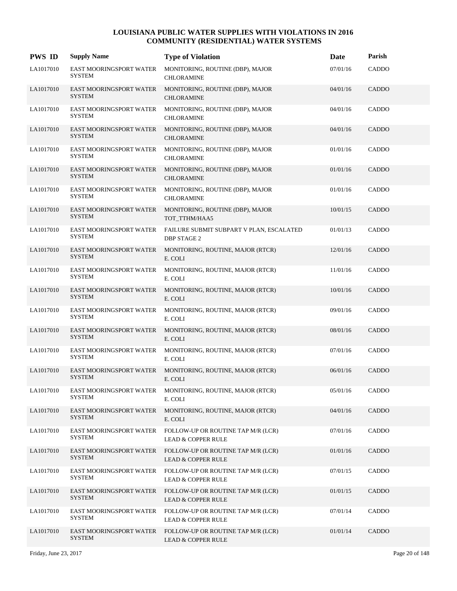| <b>PWS ID</b> | <b>Supply Name</b>                              | <b>Type of Violation</b>                                            | Date     | Parish       |
|---------------|-------------------------------------------------|---------------------------------------------------------------------|----------|--------------|
| LA1017010     | EAST MOORINGSPORT WATER<br><b>SYSTEM</b>        | MONITORING, ROUTINE (DBP), MAJOR<br><b>CHLORAMINE</b>               | 07/01/16 | CADDO        |
| LA1017010     | EAST MOORINGSPORT WATER<br><b>SYSTEM</b>        | MONITORING, ROUTINE (DBP), MAJOR<br><b>CHLORAMINE</b>               | 04/01/16 | <b>CADDO</b> |
| LA1017010     | EAST MOORINGSPORT WATER<br><b>SYSTEM</b>        | MONITORING, ROUTINE (DBP), MAJOR<br><b>CHLORAMINE</b>               | 04/01/16 | CADDO        |
| LA1017010     | EAST MOORINGSPORT WATER<br><b>SYSTEM</b>        | MONITORING, ROUTINE (DBP), MAJOR<br><b>CHLORAMINE</b>               | 04/01/16 | CADDO        |
| LA1017010     | <b>EAST MOORINGSPORT WATER</b><br><b>SYSTEM</b> | MONITORING, ROUTINE (DBP), MAJOR<br><b>CHLORAMINE</b>               | 01/01/16 | CADDO        |
| LA1017010     | EAST MOORINGSPORT WATER<br><b>SYSTEM</b>        | MONITORING, ROUTINE (DBP), MAJOR<br><b>CHLORAMINE</b>               | 01/01/16 | CADDO        |
| LA1017010     | EAST MOORINGSPORT WATER<br><b>SYSTEM</b>        | MONITORING, ROUTINE (DBP), MAJOR<br><b>CHLORAMINE</b>               | 01/01/16 | CADDO        |
| LA1017010     | EAST MOORINGSPORT WATER<br><b>SYSTEM</b>        | MONITORING, ROUTINE (DBP), MAJOR<br>TOT_TTHM/HAA5                   | 10/01/15 | <b>CADDO</b> |
| LA1017010     | <b>EAST MOORINGSPORT WATER</b><br><b>SYSTEM</b> | FAILURE SUBMIT SUBPART V PLAN, ESCALATED<br><b>DBP STAGE 2</b>      | 01/01/13 | CADDO        |
| LA1017010     | EAST MOORINGSPORT WATER<br><b>SYSTEM</b>        | MONITORING, ROUTINE, MAJOR (RTCR)<br>E. COLI                        | 12/01/16 | CADDO        |
| LA1017010     | EAST MOORINGSPORT WATER<br><b>SYSTEM</b>        | MONITORING, ROUTINE, MAJOR (RTCR)<br>E. COLI                        | 11/01/16 | CADDO        |
| LA1017010     | EAST MOORINGSPORT WATER<br><b>SYSTEM</b>        | MONITORING, ROUTINE, MAJOR (RTCR)<br>E. COLI                        | 10/01/16 | <b>CADDO</b> |
| LA1017010     | EAST MOORINGSPORT WATER<br><b>SYSTEM</b>        | MONITORING, ROUTINE, MAJOR (RTCR)<br>E. COLI                        | 09/01/16 | CADDO        |
| LA1017010     | EAST MOORINGSPORT WATER<br><b>SYSTEM</b>        | MONITORING, ROUTINE, MAJOR (RTCR)<br>E. COLI                        | 08/01/16 | CADDO        |
| LA1017010     | EAST MOORINGSPORT WATER<br><b>SYSTEM</b>        | MONITORING, ROUTINE, MAJOR (RTCR)<br>E. COLI                        | 07/01/16 | CADDO        |
| LA1017010     | EAST MOORINGSPORT WATER<br><b>SYSTEM</b>        | MONITORING, ROUTINE, MAJOR (RTCR)<br>E. COLI                        | 06/01/16 | CADDO        |
| LA1017010     | EAST MOORINGSPORT WATER<br><b>SYSTEM</b>        | MONITORING, ROUTINE, MAJOR (RTCR)<br>E. COLI                        | 05/01/16 | CADDO        |
| LA1017010     | EAST MOORINGSPORT WATER<br><b>SYSTEM</b>        | MONITORING, ROUTINE, MAJOR (RTCR)<br>E. COLI                        | 04/01/16 | <b>CADDO</b> |
| LA1017010     | EAST MOORINGSPORT WATER<br><b>SYSTEM</b>        | FOLLOW-UP OR ROUTINE TAP M/R (LCR)<br><b>LEAD &amp; COPPER RULE</b> | 07/01/16 | CADDO        |
| LA1017010     | EAST MOORINGSPORT WATER<br><b>SYSTEM</b>        | FOLLOW-UP OR ROUTINE TAP M/R (LCR)<br><b>LEAD &amp; COPPER RULE</b> | 01/01/16 | CADDO        |
| LA1017010     | EAST MOORINGSPORT WATER<br><b>SYSTEM</b>        | FOLLOW-UP OR ROUTINE TAP M/R (LCR)<br><b>LEAD &amp; COPPER RULE</b> | 07/01/15 | CADDO        |
| LA1017010     | EAST MOORINGSPORT WATER<br><b>SYSTEM</b>        | FOLLOW-UP OR ROUTINE TAP M/R (LCR)<br><b>LEAD &amp; COPPER RULE</b> | 01/01/15 | CADDO        |
| LA1017010     | EAST MOORINGSPORT WATER<br><b>SYSTEM</b>        | FOLLOW-UP OR ROUTINE TAP M/R (LCR)<br><b>LEAD &amp; COPPER RULE</b> | 07/01/14 | CADDO        |
| LA1017010     | EAST MOORINGSPORT WATER<br><b>SYSTEM</b>        | FOLLOW-UP OR ROUTINE TAP M/R (LCR)<br><b>LEAD &amp; COPPER RULE</b> | 01/01/14 | CADDO        |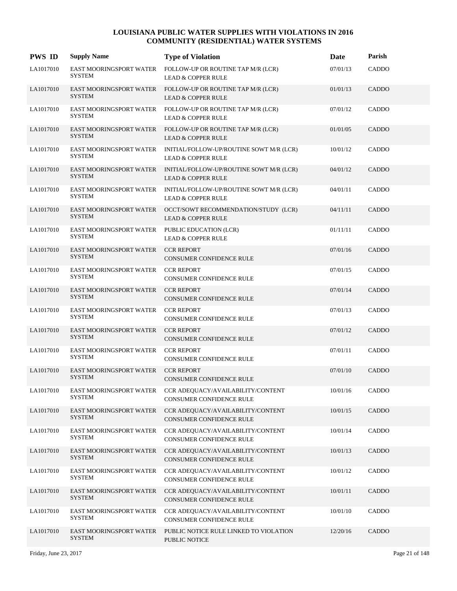| <b>PWS ID</b> | <b>Supply Name</b>                              | <b>Type of Violation</b>                                                                    | Date     | Parish       |
|---------------|-------------------------------------------------|---------------------------------------------------------------------------------------------|----------|--------------|
| LA1017010     | EAST MOORINGSPORT WATER<br><b>SYSTEM</b>        | FOLLOW-UP OR ROUTINE TAP M/R (LCR)<br><b>LEAD &amp; COPPER RULE</b>                         | 07/01/13 | CADDO        |
| LA1017010     | <b>SYSTEM</b>                                   | EAST MOORINGSPORT WATER FOLLOW-UP OR ROUTINE TAP M/R (LCR)<br><b>LEAD &amp; COPPER RULE</b> | 01/01/13 | CADDO        |
| LA1017010     | EAST MOORINGSPORT WATER<br><b>SYSTEM</b>        | FOLLOW-UP OR ROUTINE TAP M/R (LCR)<br><b>LEAD &amp; COPPER RULE</b>                         | 07/01/12 | CADDO        |
| LA1017010     | <b>EAST MOORINGSPORT WATER</b><br><b>SYSTEM</b> | FOLLOW-UP OR ROUTINE TAP M/R (LCR)<br><b>LEAD &amp; COPPER RULE</b>                         | 01/01/05 | CADDO        |
| LA1017010     | <b>EAST MOORINGSPORT WATER</b><br><b>SYSTEM</b> | INITIAL/FOLLOW-UP/ROUTINE SOWT M/R (LCR)<br><b>LEAD &amp; COPPER RULE</b>                   | 10/01/12 | CADDO        |
| LA1017010     | EAST MOORINGSPORT WATER<br><b>SYSTEM</b>        | INITIAL/FOLLOW-UP/ROUTINE SOWT M/R (LCR)<br><b>LEAD &amp; COPPER RULE</b>                   | 04/01/12 | CADDO        |
| LA1017010     | EAST MOORINGSPORT WATER<br><b>SYSTEM</b>        | INITIAL/FOLLOW-UP/ROUTINE SOWT M/R (LCR)<br><b>LEAD &amp; COPPER RULE</b>                   | 04/01/11 | CADDO        |
| LA1017010     | <b>EAST MOORINGSPORT WATER</b><br><b>SYSTEM</b> | OCCT/SOWT RECOMMENDATION/STUDY (LCR)<br><b>LEAD &amp; COPPER RULE</b>                       | 04/11/11 | CADDO        |
| LA1017010     | EAST MOORINGSPORT WATER<br>SYSTEM               | PUBLIC EDUCATION (LCR)<br><b>LEAD &amp; COPPER RULE</b>                                     | 01/11/11 | CADDO        |
| LA1017010     | EAST MOORINGSPORT WATER<br><b>SYSTEM</b>        | <b>CCR REPORT</b><br>CONSUMER CONFIDENCE RULE                                               | 07/01/16 | CADDO        |
| LA1017010     | EAST MOORINGSPORT WATER<br><b>SYSTEM</b>        | <b>CCR REPORT</b><br>CONSUMER CONFIDENCE RULE                                               | 07/01/15 | CADDO        |
| LA1017010     | EAST MOORINGSPORT WATER<br><b>SYSTEM</b>        | <b>CCR REPORT</b><br>CONSUMER CONFIDENCE RULE                                               | 07/01/14 | CADDO        |
| LA1017010     | EAST MOORINGSPORT WATER<br><b>SYSTEM</b>        | <b>CCR REPORT</b><br>CONSUMER CONFIDENCE RULE                                               | 07/01/13 | CADDO        |
| LA1017010     | EAST MOORINGSPORT WATER<br><b>SYSTEM</b>        | <b>CCR REPORT</b><br>CONSUMER CONFIDENCE RULE                                               | 07/01/12 | CADDO        |
| LA1017010     | EAST MOORINGSPORT WATER<br><b>SYSTEM</b>        | <b>CCR REPORT</b><br><b>CONSUMER CONFIDENCE RULE</b>                                        | 07/01/11 | <b>CADDO</b> |
| LA1017010     | EAST MOORINGSPORT WATER<br><b>SYSTEM</b>        | <b>CCR REPORT</b><br><b>CONSUMER CONFIDENCE RULE</b>                                        | 07/01/10 | <b>CADDO</b> |
| LA1017010     | EAST MOORINGSPORT WATER<br><b>SYSTEM</b>        | CCR ADEQUACY/AVAILABILITY/CONTENT<br>CONSUMER CONFIDENCE RULE                               | 10/01/16 | CADDO        |
| LA1017010     | EAST MOORINGSPORT WATER<br>SYSTEM               | CCR ADEQUACY/AVAILABILITY/CONTENT<br>CONSUMER CONFIDENCE RULE                               | 10/01/15 | CADDO        |
| LA1017010     | EAST MOORINGSPORT WATER<br>SYSTEM               | CCR ADEQUACY/AVAILABILITY/CONTENT<br>CONSUMER CONFIDENCE RULE                               | 10/01/14 | CADDO        |
| LA1017010     | EAST MOORINGSPORT WATER<br><b>SYSTEM</b>        | CCR ADEQUACY/AVAILABILITY/CONTENT<br>CONSUMER CONFIDENCE RULE                               | 10/01/13 | CADDO        |
| LA1017010     | EAST MOORINGSPORT WATER<br><b>SYSTEM</b>        | CCR ADEOUACY/AVAILABILITY/CONTENT<br>CONSUMER CONFIDENCE RULE                               | 10/01/12 | CADDO        |
| LA1017010     | EAST MOORINGSPORT WATER<br>SYSTEM               | CCR ADEQUACY/AVAILABILITY/CONTENT<br>CONSUMER CONFIDENCE RULE                               | 10/01/11 | CADDO        |
| LA1017010     | EAST MOORINGSPORT WATER<br><b>SYSTEM</b>        | CCR ADEQUACY/AVAILABILITY/CONTENT<br>CONSUMER CONFIDENCE RULE                               | 10/01/10 | CADDO        |
| LA1017010     | EAST MOORINGSPORT WATER<br><b>SYSTEM</b>        | PUBLIC NOTICE RULE LINKED TO VIOLATION<br>PUBLIC NOTICE                                     | 12/20/16 | CADDO        |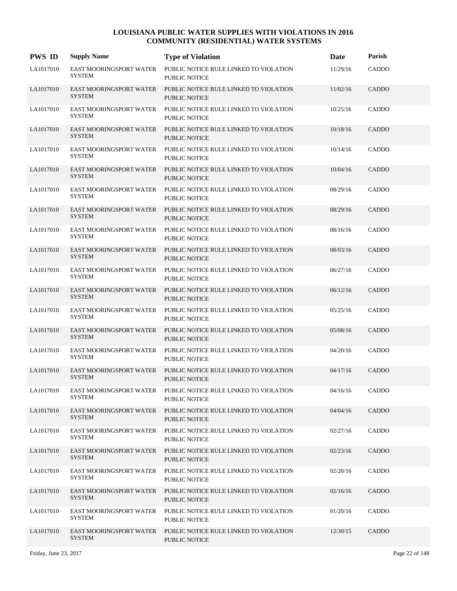| <b>PWS ID</b> | <b>Supply Name</b>                              | <b>Type of Violation</b>                                       | Date     | Parish       |
|---------------|-------------------------------------------------|----------------------------------------------------------------|----------|--------------|
| LA1017010     | <b>EAST MOORINGSPORT WATER</b><br><b>SYSTEM</b> | PUBLIC NOTICE RULE LINKED TO VIOLATION<br><b>PUBLIC NOTICE</b> | 11/29/16 | CADDO        |
| LA1017010     | EAST MOORINGSPORT WATER<br><b>SYSTEM</b>        | PUBLIC NOTICE RULE LINKED TO VIOLATION<br><b>PUBLIC NOTICE</b> | 11/02/16 | <b>CADDO</b> |
| LA1017010     | EAST MOORINGSPORT WATER<br><b>SYSTEM</b>        | PUBLIC NOTICE RULE LINKED TO VIOLATION<br><b>PUBLIC NOTICE</b> | 10/25/16 | CADDO        |
| LA1017010     | <b>EAST MOORINGSPORT WATER</b><br><b>SYSTEM</b> | PUBLIC NOTICE RULE LINKED TO VIOLATION<br><b>PUBLIC NOTICE</b> | 10/18/16 | CADDO        |
| LA1017010     | <b>EAST MOORINGSPORT WATER</b><br><b>SYSTEM</b> | PUBLIC NOTICE RULE LINKED TO VIOLATION<br><b>PUBLIC NOTICE</b> | 10/14/16 | <b>CADDO</b> |
| LA1017010     | EAST MOORINGSPORT WATER<br><b>SYSTEM</b>        | PUBLIC NOTICE RULE LINKED TO VIOLATION<br><b>PUBLIC NOTICE</b> | 10/04/16 | <b>CADDO</b> |
| LA1017010     | EAST MOORINGSPORT WATER<br><b>SYSTEM</b>        | PUBLIC NOTICE RULE LINKED TO VIOLATION<br><b>PUBLIC NOTICE</b> | 08/29/16 | <b>CADDO</b> |
| LA1017010     | <b>EAST MOORINGSPORT WATER</b><br><b>SYSTEM</b> | PUBLIC NOTICE RULE LINKED TO VIOLATION<br><b>PUBLIC NOTICE</b> | 08/29/16 | CADDO        |
| LA1017010     | EAST MOORINGSPORT WATER<br><b>SYSTEM</b>        | PUBLIC NOTICE RULE LINKED TO VIOLATION<br>PUBLIC NOTICE        | 08/16/16 | CADDO        |
| LA1017010     | EAST MOORINGSPORT WATER<br><b>SYSTEM</b>        | PUBLIC NOTICE RULE LINKED TO VIOLATION<br><b>PUBLIC NOTICE</b> | 08/03/16 | <b>CADDO</b> |
| LA1017010     | EAST MOORINGSPORT WATER<br><b>SYSTEM</b>        | PUBLIC NOTICE RULE LINKED TO VIOLATION<br>PUBLIC NOTICE        | 06/27/16 | <b>CADDO</b> |
| LA1017010     | <b>EAST MOORINGSPORT WATER</b><br><b>SYSTEM</b> | PUBLIC NOTICE RULE LINKED TO VIOLATION<br><b>PUBLIC NOTICE</b> | 06/12/16 | CADDO        |
| LA1017010     | EAST MOORINGSPORT WATER<br><b>SYSTEM</b>        | PUBLIC NOTICE RULE LINKED TO VIOLATION<br><b>PUBLIC NOTICE</b> | 05/25/16 | CADDO        |
| LA1017010     | EAST MOORINGSPORT WATER<br><b>SYSTEM</b>        | PUBLIC NOTICE RULE LINKED TO VIOLATION<br><b>PUBLIC NOTICE</b> | 05/08/16 | CADDO        |
| LA1017010     | EAST MOORINGSPORT WATER<br><b>SYSTEM</b>        | PUBLIC NOTICE RULE LINKED TO VIOLATION<br>PUBLIC NOTICE        | 04/20/16 | <b>CADDO</b> |
| LA1017010     | EAST MOORINGSPORT WATER<br><b>SYSTEM</b>        | PUBLIC NOTICE RULE LINKED TO VIOLATION<br><b>PUBLIC NOTICE</b> | 04/17/16 | CADDO        |
| LA1017010     | EAST MOORINGSPORT WATER<br><b>SYSTEM</b>        | PUBLIC NOTICE RULE LINKED TO VIOLATION<br>PUBLIC NOTICE        | 04/16/16 | CADDO        |
| LA1017010     | <b>EAST MOORINGSPORT WATER</b><br><b>SYSTEM</b> | PUBLIC NOTICE RULE LINKED TO VIOLATION<br>PUBLIC NOTICE        | 04/04/16 | <b>CADDO</b> |
| LA1017010     | EAST MOORINGSPORT WATER<br><b>SYSTEM</b>        | PUBLIC NOTICE RULE LINKED TO VIOLATION<br>PUBLIC NOTICE        | 02/27/16 | CADDO        |
| LA1017010     | <b>EAST MOORINGSPORT WATER</b><br><b>SYSTEM</b> | PUBLIC NOTICE RULE LINKED TO VIOLATION<br>PUBLIC NOTICE        | 02/23/16 | CADDO        |
| LA1017010     | EAST MOORINGSPORT WATER<br><b>SYSTEM</b>        | PUBLIC NOTICE RULE LINKED TO VIOLATION<br>PUBLIC NOTICE        | 02/20/16 | CADDO        |
| LA1017010     | EAST MOORINGSPORT WATER<br><b>SYSTEM</b>        | PUBLIC NOTICE RULE LINKED TO VIOLATION<br>PUBLIC NOTICE        | 02/16/16 | CADDO        |
| LA1017010     | EAST MOORINGSPORT WATER<br><b>SYSTEM</b>        | PUBLIC NOTICE RULE LINKED TO VIOLATION<br>PUBLIC NOTICE        | 01/20/16 | CADDO        |
| LA1017010     | <b>EAST MOORINGSPORT WATER</b><br><b>SYSTEM</b> | PUBLIC NOTICE RULE LINKED TO VIOLATION<br><b>PUBLIC NOTICE</b> | 12/30/15 | CADDO        |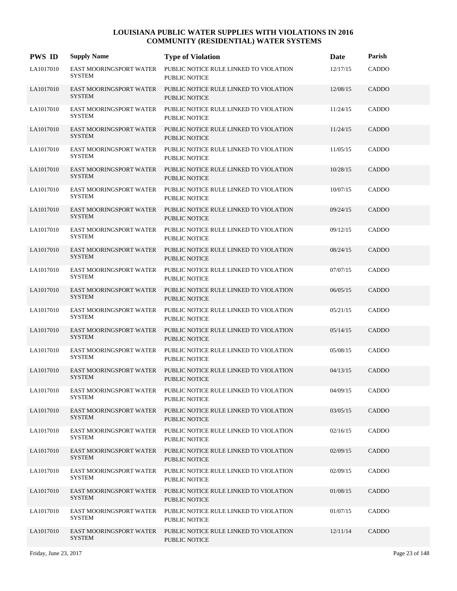| <b>PWS ID</b> | <b>Supply Name</b>                              | <b>Type of Violation</b>                                       | Date     | Parish       |
|---------------|-------------------------------------------------|----------------------------------------------------------------|----------|--------------|
| LA1017010     | EAST MOORINGSPORT WATER<br><b>SYSTEM</b>        | PUBLIC NOTICE RULE LINKED TO VIOLATION<br><b>PUBLIC NOTICE</b> | 12/17/15 | CADDO        |
| LA1017010     | EAST MOORINGSPORT WATER<br><b>SYSTEM</b>        | PUBLIC NOTICE RULE LINKED TO VIOLATION<br><b>PUBLIC NOTICE</b> | 12/08/15 | CADDO        |
| LA1017010     | EAST MOORINGSPORT WATER<br><b>SYSTEM</b>        | PUBLIC NOTICE RULE LINKED TO VIOLATION<br><b>PUBLIC NOTICE</b> | 11/24/15 | CADDO        |
| LA1017010     | <b>EAST MOORINGSPORT WATER</b><br><b>SYSTEM</b> | PUBLIC NOTICE RULE LINKED TO VIOLATION<br><b>PUBLIC NOTICE</b> | 11/24/15 | <b>CADDO</b> |
| LA1017010     | EAST MOORINGSPORT WATER<br><b>SYSTEM</b>        | PUBLIC NOTICE RULE LINKED TO VIOLATION<br><b>PUBLIC NOTICE</b> | 11/05/15 | CADDO        |
| LA1017010     | EAST MOORINGSPORT WATER<br><b>SYSTEM</b>        | PUBLIC NOTICE RULE LINKED TO VIOLATION<br><b>PUBLIC NOTICE</b> | 10/28/15 | <b>CADDO</b> |
| LA1017010     | EAST MOORINGSPORT WATER<br><b>SYSTEM</b>        | PUBLIC NOTICE RULE LINKED TO VIOLATION<br><b>PUBLIC NOTICE</b> | 10/07/15 | CADDO        |
| LA1017010     | <b>EAST MOORINGSPORT WATER</b><br><b>SYSTEM</b> | PUBLIC NOTICE RULE LINKED TO VIOLATION<br><b>PUBLIC NOTICE</b> | 09/24/15 | <b>CADDO</b> |
| LA1017010     | EAST MOORINGSPORT WATER<br><b>SYSTEM</b>        | PUBLIC NOTICE RULE LINKED TO VIOLATION<br><b>PUBLIC NOTICE</b> | 09/12/15 | CADDO        |
| LA1017010     | EAST MOORINGSPORT WATER<br><b>SYSTEM</b>        | PUBLIC NOTICE RULE LINKED TO VIOLATION<br><b>PUBLIC NOTICE</b> | 08/24/15 | <b>CADDO</b> |
| LA1017010     | EAST MOORINGSPORT WATER<br><b>SYSTEM</b>        | PUBLIC NOTICE RULE LINKED TO VIOLATION<br><b>PUBLIC NOTICE</b> | 07/07/15 | CADDO        |
| LA1017010     | <b>EAST MOORINGSPORT WATER</b><br><b>SYSTEM</b> | PUBLIC NOTICE RULE LINKED TO VIOLATION<br><b>PUBLIC NOTICE</b> | 06/05/15 | CADDO        |
| LA1017010     | EAST MOORINGSPORT WATER<br><b>SYSTEM</b>        | PUBLIC NOTICE RULE LINKED TO VIOLATION<br><b>PUBLIC NOTICE</b> | 05/21/15 | CADDO        |
| LA1017010     | EAST MOORINGSPORT WATER<br><b>SYSTEM</b>        | PUBLIC NOTICE RULE LINKED TO VIOLATION<br><b>PUBLIC NOTICE</b> | 05/14/15 | CADDO        |
| LA1017010     | EAST MOORINGSPORT WATER<br><b>SYSTEM</b>        | PUBLIC NOTICE RULE LINKED TO VIOLATION<br><b>PUBLIC NOTICE</b> | 05/08/15 | <b>CADDO</b> |
| LA1017010     | EAST MOORINGSPORT WATER<br><b>SYSTEM</b>        | PUBLIC NOTICE RULE LINKED TO VIOLATION<br><b>PUBLIC NOTICE</b> | 04/13/15 | <b>CADDO</b> |
| LA1017010     | EAST MOORINGSPORT WATER<br><b>SYSTEM</b>        | PUBLIC NOTICE RULE LINKED TO VIOLATION<br>PUBLIC NOTICE        | 04/09/15 | CADDO        |
| LA1017010     | EAST MOORINGSPORT WATER<br><b>SYSTEM</b>        | PUBLIC NOTICE RULE LINKED TO VIOLATION<br>PUBLIC NOTICE        | 03/05/15 | <b>CADDO</b> |
| LA1017010     | EAST MOORINGSPORT WATER<br><b>SYSTEM</b>        | PUBLIC NOTICE RULE LINKED TO VIOLATION<br>PUBLIC NOTICE        | 02/16/15 | CADDO        |
| LA1017010     | EAST MOORINGSPORT WATER<br><b>SYSTEM</b>        | PUBLIC NOTICE RULE LINKED TO VIOLATION<br><b>PUBLIC NOTICE</b> | 02/09/15 | CADDO        |
| LA1017010     | EAST MOORINGSPORT WATER<br><b>SYSTEM</b>        | PUBLIC NOTICE RULE LINKED TO VIOLATION<br>PUBLIC NOTICE        | 02/09/15 | CADDO        |
| LA1017010     | EAST MOORINGSPORT WATER<br><b>SYSTEM</b>        | PUBLIC NOTICE RULE LINKED TO VIOLATION<br>PUBLIC NOTICE        | 01/08/15 | <b>CADDO</b> |
| LA1017010     | EAST MOORINGSPORT WATER<br><b>SYSTEM</b>        | PUBLIC NOTICE RULE LINKED TO VIOLATION<br>PUBLIC NOTICE        | 01/07/15 | CADDO        |
| LA1017010     | EAST MOORINGSPORT WATER<br><b>SYSTEM</b>        | PUBLIC NOTICE RULE LINKED TO VIOLATION<br>PUBLIC NOTICE        | 12/11/14 | CADDO        |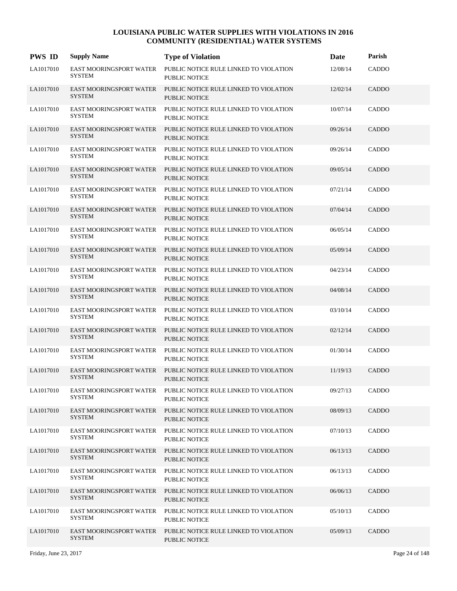| <b>PWS ID</b> | <b>Supply Name</b>                              | <b>Type of Violation</b>                                       | Date     | Parish       |
|---------------|-------------------------------------------------|----------------------------------------------------------------|----------|--------------|
| LA1017010     | EAST MOORINGSPORT WATER<br><b>SYSTEM</b>        | PUBLIC NOTICE RULE LINKED TO VIOLATION<br><b>PUBLIC NOTICE</b> | 12/08/14 | CADDO        |
| LA1017010     | EAST MOORINGSPORT WATER<br><b>SYSTEM</b>        | PUBLIC NOTICE RULE LINKED TO VIOLATION<br><b>PUBLIC NOTICE</b> | 12/02/14 | CADDO        |
| LA1017010     | EAST MOORINGSPORT WATER<br><b>SYSTEM</b>        | PUBLIC NOTICE RULE LINKED TO VIOLATION<br><b>PUBLIC NOTICE</b> | 10/07/14 | CADDO        |
| LA1017010     | <b>EAST MOORINGSPORT WATER</b><br><b>SYSTEM</b> | PUBLIC NOTICE RULE LINKED TO VIOLATION<br><b>PUBLIC NOTICE</b> | 09/26/14 | <b>CADDO</b> |
| LA1017010     | EAST MOORINGSPORT WATER<br><b>SYSTEM</b>        | PUBLIC NOTICE RULE LINKED TO VIOLATION<br><b>PUBLIC NOTICE</b> | 09/26/14 | CADDO        |
| LA1017010     | EAST MOORINGSPORT WATER<br><b>SYSTEM</b>        | PUBLIC NOTICE RULE LINKED TO VIOLATION<br><b>PUBLIC NOTICE</b> | 09/05/14 | <b>CADDO</b> |
| LA1017010     | EAST MOORINGSPORT WATER<br><b>SYSTEM</b>        | PUBLIC NOTICE RULE LINKED TO VIOLATION<br><b>PUBLIC NOTICE</b> | 07/21/14 | CADDO        |
| LA1017010     | <b>EAST MOORINGSPORT WATER</b><br><b>SYSTEM</b> | PUBLIC NOTICE RULE LINKED TO VIOLATION<br><b>PUBLIC NOTICE</b> | 07/04/14 | <b>CADDO</b> |
| LA1017010     | EAST MOORINGSPORT WATER<br><b>SYSTEM</b>        | PUBLIC NOTICE RULE LINKED TO VIOLATION<br><b>PUBLIC NOTICE</b> | 06/05/14 | CADDO        |
| LA1017010     | EAST MOORINGSPORT WATER<br><b>SYSTEM</b>        | PUBLIC NOTICE RULE LINKED TO VIOLATION<br><b>PUBLIC NOTICE</b> | 05/09/14 | <b>CADDO</b> |
| LA1017010     | EAST MOORINGSPORT WATER<br><b>SYSTEM</b>        | PUBLIC NOTICE RULE LINKED TO VIOLATION<br>PUBLIC NOTICE        | 04/23/14 | CADDO        |
| LA1017010     | <b>EAST MOORINGSPORT WATER</b><br><b>SYSTEM</b> | PUBLIC NOTICE RULE LINKED TO VIOLATION<br><b>PUBLIC NOTICE</b> | 04/08/14 | CADDO        |
| LA1017010     | EAST MOORINGSPORT WATER<br><b>SYSTEM</b>        | PUBLIC NOTICE RULE LINKED TO VIOLATION<br><b>PUBLIC NOTICE</b> | 03/10/14 | CADDO        |
| LA1017010     | EAST MOORINGSPORT WATER<br><b>SYSTEM</b>        | PUBLIC NOTICE RULE LINKED TO VIOLATION<br><b>PUBLIC NOTICE</b> | 02/12/14 | CADDO        |
| LA1017010     | EAST MOORINGSPORT WATER<br><b>SYSTEM</b>        | PUBLIC NOTICE RULE LINKED TO VIOLATION<br><b>PUBLIC NOTICE</b> | 01/30/14 | CADDO        |
| LA1017010     | EAST MOORINGSPORT WATER<br><b>SYSTEM</b>        | PUBLIC NOTICE RULE LINKED TO VIOLATION<br><b>PUBLIC NOTICE</b> | 11/19/13 | CADDO        |
| LA1017010     | EAST MOORINGSPORT WATER<br><b>SYSTEM</b>        | PUBLIC NOTICE RULE LINKED TO VIOLATION<br>PUBLIC NOTICE        | 09/27/13 | CADDO        |
| LA1017010     | EAST MOORINGSPORT WATER<br><b>SYSTEM</b>        | PUBLIC NOTICE RULE LINKED TO VIOLATION<br>PUBLIC NOTICE        | 08/09/13 | CADDO        |
| LA1017010     | EAST MOORINGSPORT WATER<br><b>SYSTEM</b>        | PUBLIC NOTICE RULE LINKED TO VIOLATION<br>PUBLIC NOTICE        | 07/10/13 | CADDO        |
| LA1017010     | EAST MOORINGSPORT WATER<br><b>SYSTEM</b>        | PUBLIC NOTICE RULE LINKED TO VIOLATION<br><b>PUBLIC NOTICE</b> | 06/13/13 | CADDO        |
| LA1017010     | EAST MOORINGSPORT WATER<br><b>SYSTEM</b>        | PUBLIC NOTICE RULE LINKED TO VIOLATION<br>PUBLIC NOTICE        | 06/13/13 | CADDO        |
| LA1017010     | EAST MOORINGSPORT WATER<br><b>SYSTEM</b>        | PUBLIC NOTICE RULE LINKED TO VIOLATION<br>PUBLIC NOTICE        | 06/06/13 | <b>CADDO</b> |
| LA1017010     | EAST MOORINGSPORT WATER<br><b>SYSTEM</b>        | PUBLIC NOTICE RULE LINKED TO VIOLATION<br>PUBLIC NOTICE        | 05/10/13 | CADDO        |
| LA1017010     | EAST MOORINGSPORT WATER<br><b>SYSTEM</b>        | PUBLIC NOTICE RULE LINKED TO VIOLATION<br>PUBLIC NOTICE        | 05/09/13 | CADDO        |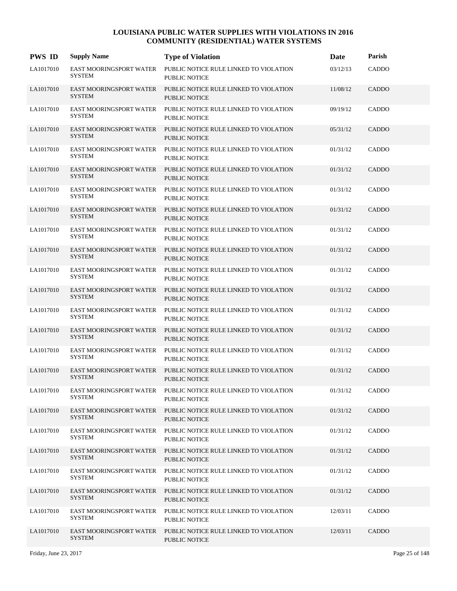| <b>PWS ID</b> | <b>Supply Name</b>                              | <b>Type of Violation</b>                                       | Date     | Parish       |
|---------------|-------------------------------------------------|----------------------------------------------------------------|----------|--------------|
| LA1017010     | EAST MOORINGSPORT WATER<br><b>SYSTEM</b>        | PUBLIC NOTICE RULE LINKED TO VIOLATION<br><b>PUBLIC NOTICE</b> | 03/12/13 | CADDO        |
| LA1017010     | EAST MOORINGSPORT WATER<br><b>SYSTEM</b>        | PUBLIC NOTICE RULE LINKED TO VIOLATION<br><b>PUBLIC NOTICE</b> | 11/08/12 | CADDO        |
| LA1017010     | EAST MOORINGSPORT WATER<br><b>SYSTEM</b>        | PUBLIC NOTICE RULE LINKED TO VIOLATION<br><b>PUBLIC NOTICE</b> | 09/19/12 | CADDO        |
| LA1017010     | <b>EAST MOORINGSPORT WATER</b><br><b>SYSTEM</b> | PUBLIC NOTICE RULE LINKED TO VIOLATION<br><b>PUBLIC NOTICE</b> | 05/31/12 | <b>CADDO</b> |
| LA1017010     | EAST MOORINGSPORT WATER<br><b>SYSTEM</b>        | PUBLIC NOTICE RULE LINKED TO VIOLATION<br><b>PUBLIC NOTICE</b> | 01/31/12 | <b>CADDO</b> |
| LA1017010     | EAST MOORINGSPORT WATER<br><b>SYSTEM</b>        | PUBLIC NOTICE RULE LINKED TO VIOLATION<br><b>PUBLIC NOTICE</b> | 01/31/12 | <b>CADDO</b> |
| LA1017010     | EAST MOORINGSPORT WATER<br><b>SYSTEM</b>        | PUBLIC NOTICE RULE LINKED TO VIOLATION<br><b>PUBLIC NOTICE</b> | 01/31/12 | CADDO        |
| LA1017010     | <b>EAST MOORINGSPORT WATER</b><br><b>SYSTEM</b> | PUBLIC NOTICE RULE LINKED TO VIOLATION<br><b>PUBLIC NOTICE</b> | 01/31/12 | CADDO        |
| LA1017010     | EAST MOORINGSPORT WATER<br><b>SYSTEM</b>        | PUBLIC NOTICE RULE LINKED TO VIOLATION<br>PUBLIC NOTICE        | 01/31/12 | <b>CADDO</b> |
| LA1017010     | EAST MOORINGSPORT WATER<br><b>SYSTEM</b>        | PUBLIC NOTICE RULE LINKED TO VIOLATION<br><b>PUBLIC NOTICE</b> | 01/31/12 | <b>CADDO</b> |
| LA1017010     | EAST MOORINGSPORT WATER<br><b>SYSTEM</b>        | PUBLIC NOTICE RULE LINKED TO VIOLATION<br>PUBLIC NOTICE        | 01/31/12 | CADDO        |
| LA1017010     | <b>EAST MOORINGSPORT WATER</b><br><b>SYSTEM</b> | PUBLIC NOTICE RULE LINKED TO VIOLATION<br><b>PUBLIC NOTICE</b> | 01/31/12 | CADDO        |
| LA1017010     | EAST MOORINGSPORT WATER<br><b>SYSTEM</b>        | PUBLIC NOTICE RULE LINKED TO VIOLATION<br><b>PUBLIC NOTICE</b> | 01/31/12 | CADDO        |
| LA1017010     | EAST MOORINGSPORT WATER<br><b>SYSTEM</b>        | PUBLIC NOTICE RULE LINKED TO VIOLATION<br><b>PUBLIC NOTICE</b> | 01/31/12 | CADDO        |
| LA1017010     | EAST MOORINGSPORT WATER<br><b>SYSTEM</b>        | PUBLIC NOTICE RULE LINKED TO VIOLATION<br>PUBLIC NOTICE        | 01/31/12 | CADDO        |
| LA1017010     | EAST MOORINGSPORT WATER<br><b>SYSTEM</b>        | PUBLIC NOTICE RULE LINKED TO VIOLATION<br><b>PUBLIC NOTICE</b> | 01/31/12 | CADDO        |
| LA1017010     | EAST MOORINGSPORT WATER<br><b>SYSTEM</b>        | PUBLIC NOTICE RULE LINKED TO VIOLATION<br>PUBLIC NOTICE        | 01/31/12 | CADDO        |
| LA1017010     | EAST MOORINGSPORT WATER<br><b>SYSTEM</b>        | PUBLIC NOTICE RULE LINKED TO VIOLATION<br>PUBLIC NOTICE        | 01/31/12 | CADDO        |
| LA1017010     | EAST MOORINGSPORT WATER<br><b>SYSTEM</b>        | PUBLIC NOTICE RULE LINKED TO VIOLATION<br>PUBLIC NOTICE        | 01/31/12 | CADDO        |
| LA1017010     | EAST MOORINGSPORT WATER<br><b>SYSTEM</b>        | PUBLIC NOTICE RULE LINKED TO VIOLATION<br>PUBLIC NOTICE        | 01/31/12 | CADDO        |
| LA1017010     | EAST MOORINGSPORT WATER<br><b>SYSTEM</b>        | PUBLIC NOTICE RULE LINKED TO VIOLATION<br>PUBLIC NOTICE        | 01/31/12 | CADDO        |
| LA1017010     | EAST MOORINGSPORT WATER<br><b>SYSTEM</b>        | PUBLIC NOTICE RULE LINKED TO VIOLATION<br>PUBLIC NOTICE        | 01/31/12 | CADDO        |
| LA1017010     | EAST MOORINGSPORT WATER<br><b>SYSTEM</b>        | PUBLIC NOTICE RULE LINKED TO VIOLATION<br>PUBLIC NOTICE        | 12/03/11 | CADDO        |
| LA1017010     | EAST MOORINGSPORT WATER<br><b>SYSTEM</b>        | PUBLIC NOTICE RULE LINKED TO VIOLATION<br>PUBLIC NOTICE        | 12/03/11 | CADDO        |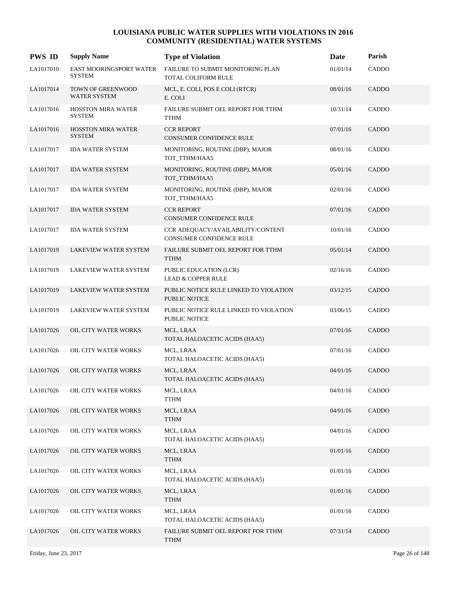| <b>PWS ID</b> | <b>Supply Name</b>                         | <b>Type of Violation</b>                                        | Date     | Parish       |
|---------------|--------------------------------------------|-----------------------------------------------------------------|----------|--------------|
| LA1017010     | EAST MOORINGSPORT WATER<br><b>SYSTEM</b>   | FAILURE TO SUBMIT MONITORING PLAN<br><b>TOTAL COLIFORM RULE</b> | 01/01/14 | CADDO        |
| LA1017014     | TOWN OF GREENWOOD<br><b>WATER SYSTEM</b>   | MCL, E. COLI, POS E COLI (RTCR)<br>E. COLI                      | 08/01/16 | CADDO        |
| LA1017016     | <b>HOSSTON MIRA WATER</b><br><b>SYSTEM</b> | FAILURE SUBMIT OEL REPORT FOR TTHM<br><b>TTHM</b>               | 10/31/14 | CADDO        |
| LA1017016     | <b>HOSSTON MIRA WATER</b><br><b>SYSTEM</b> | <b>CCR REPORT</b><br>CONSUMER CONFIDENCE RULE                   | 07/01/16 | <b>CADDO</b> |
| LA1017017     | <b>IDA WATER SYSTEM</b>                    | MONITORING, ROUTINE (DBP), MAJOR<br>TOT_TTHM/HAA5               | 08/01/16 | CADDO        |
| LA1017017     | <b>IDA WATER SYSTEM</b>                    | MONITORING, ROUTINE (DBP), MAJOR<br>TOT_TTHM/HAA5               | 05/01/16 | CADDO        |
| LA1017017     | <b>IDA WATER SYSTEM</b>                    | MONITORING, ROUTINE (DBP), MAJOR<br>TOT_TTHM/HAA5               | 02/01/16 | CADDO        |
| LA1017017     | <b>IDA WATER SYSTEM</b>                    | <b>CCR REPORT</b><br>CONSUMER CONFIDENCE RULE                   | 07/01/16 | CADDO        |
| LA1017017     | <b>IDA WATER SYSTEM</b>                    | CCR ADEQUACY/AVAILABILITY/CONTENT<br>CONSUMER CONFIDENCE RULE   | 10/01/16 | CADDO        |
| LA1017019     | LAKEVIEW WATER SYSTEM                      | FAILURE SUBMIT OEL REPORT FOR TTHM<br><b>TTHM</b>               | 05/01/14 | CADDO        |
| LA1017019     | LAKEVIEW WATER SYSTEM                      | PUBLIC EDUCATION (LCR)<br><b>LEAD &amp; COPPER RULE</b>         | 02/16/16 | CADDO        |
| LA1017019     | <b>LAKEVIEW WATER SYSTEM</b>               | PUBLIC NOTICE RULE LINKED TO VIOLATION<br>PUBLIC NOTICE         | 03/12/15 | CADDO        |
| LA1017019     | LAKEVIEW WATER SYSTEM                      | PUBLIC NOTICE RULE LINKED TO VIOLATION<br>PUBLIC NOTICE         | 03/06/15 | CADDO        |
| LA1017026     | OIL CITY WATER WORKS                       | MCL, LRAA<br>TOTAL HALOACETIC ACIDS (HAA5)                      | 07/01/16 | CADDO        |
| LA1017026     | OIL CITY WATER WORKS                       | MCL, LRAA<br>TOTAL HALOACETIC ACIDS (HAA5)                      | 07/01/16 | CADDO        |
| LA1017026     | <b>OIL CITY WATER WORKS</b>                | MCL, LRAA<br>TOTAL HALOACETIC ACIDS (HAA5)                      | 04/01/16 | <b>CADDO</b> |
| LA1017026     | OIL CITY WATER WORKS                       | MCL, LRAA<br><b>TTHM</b>                                        | 04/01/16 | CADDO        |
| LA1017026     | OIL CITY WATER WORKS                       | MCL, LRAA<br><b>TTHM</b>                                        | 04/01/16 | CADDO        |
| LA1017026     | OIL CITY WATER WORKS                       | MCL, LRAA<br>TOTAL HALOACETIC ACIDS (HAA5)                      | 04/01/16 | CADDO        |
| LA1017026     | OIL CITY WATER WORKS                       | MCL, LRAA<br><b>TTHM</b>                                        | 01/01/16 | CADDO        |
| LA1017026     | OIL CITY WATER WORKS                       | MCL, LRAA<br>TOTAL HALOACETIC ACIDS (HAA5)                      | 01/01/16 | CADDO        |
| LA1017026     | OIL CITY WATER WORKS                       | MCL, LRAA<br><b>TTHM</b>                                        | 01/01/16 | CADDO        |
| LA1017026     | OIL CITY WATER WORKS                       | MCL, LRAA<br>TOTAL HALOACETIC ACIDS (HAA5)                      | 01/01/16 | CADDO        |
| LA1017026     | OIL CITY WATER WORKS                       | FAILURE SUBMIT OEL REPORT FOR TTHM<br><b>TTHM</b>               | 07/31/14 | CADDO        |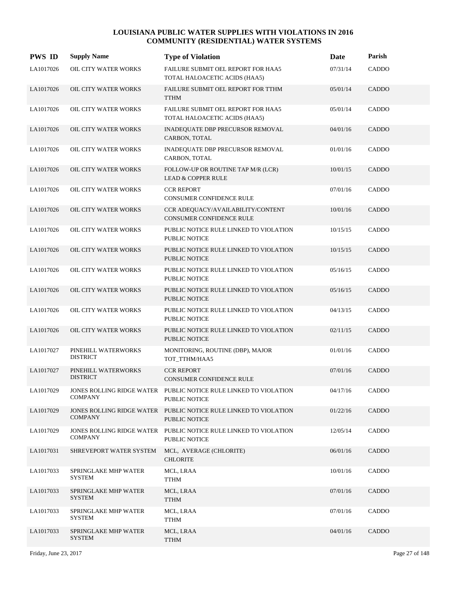| <b>PWS ID</b> | <b>Supply Name</b>                     | <b>Type of Violation</b>                                                          | Date     | Parish       |
|---------------|----------------------------------------|-----------------------------------------------------------------------------------|----------|--------------|
| LA1017026     | OIL CITY WATER WORKS                   | FAILURE SUBMIT OEL REPORT FOR HAA5<br>TOTAL HALOACETIC ACIDS (HAA5)               | 07/31/14 | CADDO        |
| LA1017026     | OIL CITY WATER WORKS                   | FAILURE SUBMIT OEL REPORT FOR TTHM<br><b>TTHM</b>                                 | 05/01/14 | CADDO        |
| LA1017026     | OIL CITY WATER WORKS                   | FAILURE SUBMIT OEL REPORT FOR HAA5<br>TOTAL HALOACETIC ACIDS (HAA5)               | 05/01/14 | CADDO        |
| LA1017026     | <b>OIL CITY WATER WORKS</b>            | INADEQUATE DBP PRECURSOR REMOVAL<br>CARBON, TOTAL                                 | 04/01/16 | <b>CADDO</b> |
| LA1017026     | OIL CITY WATER WORKS                   | INADEQUATE DBP PRECURSOR REMOVAL<br>CARBON, TOTAL                                 | 01/01/16 | CADDO        |
| LA1017026     | OIL CITY WATER WORKS                   | FOLLOW-UP OR ROUTINE TAP M/R (LCR)<br><b>LEAD &amp; COPPER RULE</b>               | 10/01/15 | CADDO        |
| LA1017026     | OIL CITY WATER WORKS                   | <b>CCR REPORT</b><br>CONSUMER CONFIDENCE RULE                                     | 07/01/16 | CADDO        |
| LA1017026     | <b>OIL CITY WATER WORKS</b>            | CCR ADEQUACY/AVAILABILITY/CONTENT<br><b>CONSUMER CONFIDENCE RULE</b>              | 10/01/16 | CADDO        |
| LA1017026     | OIL CITY WATER WORKS                   | PUBLIC NOTICE RULE LINKED TO VIOLATION<br>PUBLIC NOTICE                           | 10/15/15 | CADDO        |
| LA1017026     | OIL CITY WATER WORKS                   | PUBLIC NOTICE RULE LINKED TO VIOLATION<br><b>PUBLIC NOTICE</b>                    | 10/15/15 | CADDO        |
| LA1017026     | OIL CITY WATER WORKS                   | PUBLIC NOTICE RULE LINKED TO VIOLATION<br>PUBLIC NOTICE                           | 05/16/15 | CADDO        |
| LA1017026     | <b>OIL CITY WATER WORKS</b>            | PUBLIC NOTICE RULE LINKED TO VIOLATION<br>PUBLIC NOTICE                           | 05/16/15 | CADDO        |
| LA1017026     | OIL CITY WATER WORKS                   | PUBLIC NOTICE RULE LINKED TO VIOLATION<br>PUBLIC NOTICE                           | 04/13/15 | CADDO        |
| LA1017026     | OIL CITY WATER WORKS                   | PUBLIC NOTICE RULE LINKED TO VIOLATION<br><b>PUBLIC NOTICE</b>                    | 02/11/15 | CADDO        |
| LA1017027     | PINEHILL WATERWORKS<br><b>DISTRICT</b> | MONITORING, ROUTINE (DBP), MAJOR<br>TOT_TTHM/HAA5                                 | 01/01/16 | CADDO        |
| LA1017027     | PINEHILL WATERWORKS<br><b>DISTRICT</b> | <b>CCR REPORT</b><br><b>CONSUMER CONFIDENCE RULE</b>                              | 07/01/16 | <b>CADDO</b> |
| LA1017029     | <b>COMPANY</b>                         | JONES ROLLING RIDGE WATER PUBLIC NOTICE RULE LINKED TO VIOLATION<br>PUBLIC NOTICE | 04/17/16 | <b>CADDO</b> |
| LA1017029     | <b>COMPANY</b>                         | JONES ROLLING RIDGE WATER PUBLIC NOTICE RULE LINKED TO VIOLATION<br>PUBLIC NOTICE | 01/22/16 | CADDO        |
| LA1017029     | <b>COMPANY</b>                         | JONES ROLLING RIDGE WATER PUBLIC NOTICE RULE LINKED TO VIOLATION<br>PUBLIC NOTICE | 12/05/14 | CADDO        |
| LA1017031     | SHREVEPORT WATER SYSTEM                | MCL, AVERAGE (CHLORITE)<br><b>CHLORITE</b>                                        | 06/01/16 | CADDO        |
| LA1017033     | SPRINGLAKE MHP WATER<br><b>SYSTEM</b>  | MCL, LRAA<br><b>TTHM</b>                                                          | 10/01/16 | CADDO        |
| LA1017033     | SPRINGLAKE MHP WATER<br><b>SYSTEM</b>  | MCL, LRAA<br><b>TTHM</b>                                                          | 07/01/16 | CADDO        |
| LA1017033     | SPRINGLAKE MHP WATER<br><b>SYSTEM</b>  | MCL, LRAA<br><b>TTHM</b>                                                          | 07/01/16 | CADDO        |
| LA1017033     | SPRINGLAKE MHP WATER<br><b>SYSTEM</b>  | MCL, LRAA<br><b>TTHM</b>                                                          | 04/01/16 | CADDO        |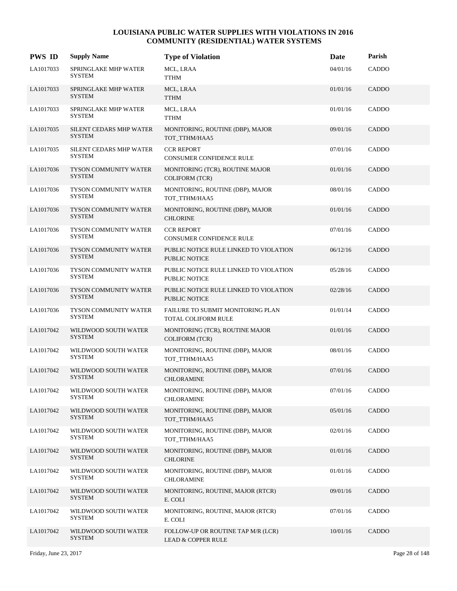| <b>PWS ID</b> | <b>Supply Name</b>                            | <b>Type of Violation</b>                                            | Date     | Parish       |
|---------------|-----------------------------------------------|---------------------------------------------------------------------|----------|--------------|
| LA1017033     | SPRINGLAKE MHP WATER<br><b>SYSTEM</b>         | MCL, LRAA<br>TTHM                                                   | 04/01/16 | CADDO        |
| LA1017033     | <b>SPRINGLAKE MHP WATER</b><br><b>SYSTEM</b>  | MCL, LRAA<br><b>TTHM</b>                                            | 01/01/16 | CADDO        |
| LA1017033     | SPRINGLAKE MHP WATER<br><b>SYSTEM</b>         | MCL, LRAA<br><b>TTHM</b>                                            | 01/01/16 | CADDO        |
| LA1017035     | SILENT CEDARS MHP WATER<br><b>SYSTEM</b>      | MONITORING, ROUTINE (DBP), MAJOR<br>TOT_TTHM/HAA5                   | 09/01/16 | CADDO        |
| LA1017035     | SILENT CEDARS MHP WATER<br>SYSTEM             | <b>CCR REPORT</b><br>CONSUMER CONFIDENCE RULE                       | 07/01/16 | CADDO        |
| LA1017036     | TYSON COMMUNITY WATER<br><b>SYSTEM</b>        | MONITORING (TCR), ROUTINE MAJOR<br><b>COLIFORM (TCR)</b>            | 01/01/16 | CADDO        |
| LA1017036     | TYSON COMMUNITY WATER<br><b>SYSTEM</b>        | MONITORING, ROUTINE (DBP), MAJOR<br>TOT_TTHM/HAA5                   | 08/01/16 | CADDO        |
| LA1017036     | TYSON COMMUNITY WATER<br><b>SYSTEM</b>        | MONITORING, ROUTINE (DBP), MAJOR<br><b>CHLORINE</b>                 | 01/01/16 | CADDO        |
| LA1017036     | TYSON COMMUNITY WATER<br><b>SYSTEM</b>        | <b>CCR REPORT</b><br><b>CONSUMER CONFIDENCE RULE</b>                | 07/01/16 | CADDO        |
| LA1017036     | <b>TYSON COMMUNITY WATER</b><br><b>SYSTEM</b> | PUBLIC NOTICE RULE LINKED TO VIOLATION<br><b>PUBLIC NOTICE</b>      | 06/12/16 | CADDO        |
| LA1017036     | TYSON COMMUNITY WATER<br><b>SYSTEM</b>        | PUBLIC NOTICE RULE LINKED TO VIOLATION<br><b>PUBLIC NOTICE</b>      | 05/28/16 | CADDO        |
| LA1017036     | <b>TYSON COMMUNITY WATER</b><br><b>SYSTEM</b> | PUBLIC NOTICE RULE LINKED TO VIOLATION<br><b>PUBLIC NOTICE</b>      | 02/28/16 | CADDO        |
| LA1017036     | TYSON COMMUNITY WATER<br><b>SYSTEM</b>        | FAILURE TO SUBMIT MONITORING PLAN<br>TOTAL COLIFORM RULE            | 01/01/14 | CADDO        |
| LA1017042     | WILDWOOD SOUTH WATER<br><b>SYSTEM</b>         | MONITORING (TCR), ROUTINE MAJOR<br><b>COLIFORM (TCR)</b>            | 01/01/16 | CADDO        |
| LA1017042     | WILDWOOD SOUTH WATER<br><b>SYSTEM</b>         | MONITORING, ROUTINE (DBP), MAJOR<br>TOT TTHM/HAA5                   | 08/01/16 | CADDO        |
| LA1017042     | WILDWOOD SOUTH WATER<br><b>SYSTEM</b>         | MONITORING, ROUTINE (DBP), MAJOR<br><b>CHLORAMINE</b>               | 07/01/16 | CADDO        |
| LA1017042     | WILDWOOD SOUTH WATER<br><b>SYSTEM</b>         | MONITORING, ROUTINE (DBP), MAJOR<br><b>CHLORAMINE</b>               | 07/01/16 | CADDO        |
| LA1017042     | WILDWOOD SOUTH WATER<br><b>SYSTEM</b>         | MONITORING, ROUTINE (DBP), MAJOR<br>TOT_TTHM/HAA5                   | 05/01/16 | <b>CADDO</b> |
| LA1017042     | WILDWOOD SOUTH WATER<br><b>SYSTEM</b>         | MONITORING, ROUTINE (DBP), MAJOR<br>TOT TTHM/HAA5                   | 02/01/16 | CADDO        |
| LA1017042     | WILDWOOD SOUTH WATER<br><b>SYSTEM</b>         | MONITORING, ROUTINE (DBP), MAJOR<br><b>CHLORINE</b>                 | 01/01/16 | CADDO        |
| LA1017042     | WILDWOOD SOUTH WATER<br><b>SYSTEM</b>         | MONITORING, ROUTINE (DBP), MAJOR<br>CHLORAMINE                      | 01/01/16 | CADDO        |
| LA1017042     | WILDWOOD SOUTH WATER<br><b>SYSTEM</b>         | MONITORING, ROUTINE, MAJOR (RTCR)<br>E. COLI                        | 09/01/16 | CADDO        |
| LA1017042     | WILDWOOD SOUTH WATER<br><b>SYSTEM</b>         | MONITORING, ROUTINE, MAJOR (RTCR)<br>E. COLI                        | 07/01/16 | CADDO        |
| LA1017042     | WILDWOOD SOUTH WATER<br><b>SYSTEM</b>         | FOLLOW-UP OR ROUTINE TAP M/R (LCR)<br><b>LEAD &amp; COPPER RULE</b> | 10/01/16 | CADDO        |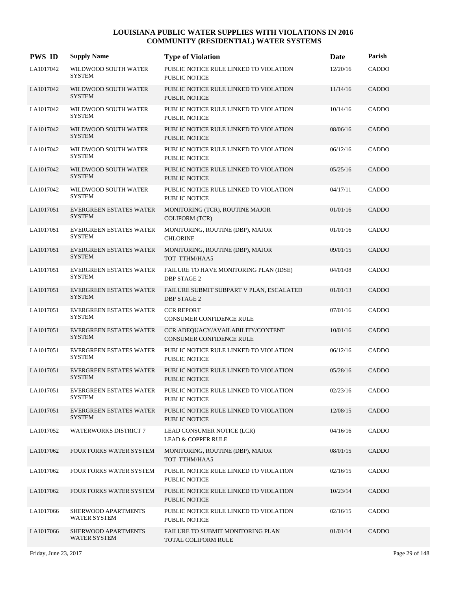| <b>PWS ID</b> | <b>Supply Name</b>                              | <b>Type of Violation</b>                                             | <b>Date</b> | Parish       |
|---------------|-------------------------------------------------|----------------------------------------------------------------------|-------------|--------------|
| LA1017042     | WILDWOOD SOUTH WATER<br><b>SYSTEM</b>           | PUBLIC NOTICE RULE LINKED TO VIOLATION<br><b>PUBLIC NOTICE</b>       | 12/20/16    | CADDO        |
| LA1017042     | WILDWOOD SOUTH WATER<br><b>SYSTEM</b>           | PUBLIC NOTICE RULE LINKED TO VIOLATION<br><b>PUBLIC NOTICE</b>       | 11/14/16    | <b>CADDO</b> |
| LA1017042     | WILDWOOD SOUTH WATER<br><b>SYSTEM</b>           | PUBLIC NOTICE RULE LINKED TO VIOLATION<br>PUBLIC NOTICE              | 10/14/16    | CADDO        |
| LA1017042     | WILDWOOD SOUTH WATER<br><b>SYSTEM</b>           | PUBLIC NOTICE RULE LINKED TO VIOLATION<br><b>PUBLIC NOTICE</b>       | 08/06/16    | CADDO        |
| LA1017042     | WILDWOOD SOUTH WATER<br><b>SYSTEM</b>           | PUBLIC NOTICE RULE LINKED TO VIOLATION<br><b>PUBLIC NOTICE</b>       | 06/12/16    | CADDO        |
| LA1017042     | WILDWOOD SOUTH WATER<br><b>SYSTEM</b>           | PUBLIC NOTICE RULE LINKED TO VIOLATION<br><b>PUBLIC NOTICE</b>       | 05/25/16    | <b>CADDO</b> |
| LA1017042     | WILDWOOD SOUTH WATER<br><b>SYSTEM</b>           | PUBLIC NOTICE RULE LINKED TO VIOLATION<br><b>PUBLIC NOTICE</b>       | 04/17/11    | CADDO        |
| LA1017051     | EVERGREEN ESTATES WATER<br><b>SYSTEM</b>        | MONITORING (TCR), ROUTINE MAJOR<br><b>COLIFORM (TCR)</b>             | 01/01/16    | CADDO        |
| LA1017051     | EVERGREEN ESTATES WATER<br><b>SYSTEM</b>        | MONITORING, ROUTINE (DBP), MAJOR<br><b>CHLORINE</b>                  | 01/01/16    | CADDO        |
| LA1017051     | <b>EVERGREEN ESTATES WATER</b><br><b>SYSTEM</b> | MONITORING, ROUTINE (DBP), MAJOR<br>TOT_TTHM/HAA5                    | 09/01/15    | <b>CADDO</b> |
| LA1017051     | EVERGREEN ESTATES WATER<br><b>SYSTEM</b>        | FAILURE TO HAVE MONITORING PLAN (IDSE)<br><b>DBP STAGE 2</b>         | 04/01/08    | CADDO        |
| LA1017051     | <b>EVERGREEN ESTATES WATER</b><br><b>SYSTEM</b> | FAILURE SUBMIT SUBPART V PLAN, ESCALATED<br><b>DBP STAGE 2</b>       | 01/01/13    | <b>CADDO</b> |
| LA1017051     | <b>EVERGREEN ESTATES WATER</b><br><b>SYSTEM</b> | <b>CCR REPORT</b><br>CONSUMER CONFIDENCE RULE                        | 07/01/16    | CADDO        |
| LA1017051     | EVERGREEN ESTATES WATER<br><b>SYSTEM</b>        | CCR ADEQUACY/AVAILABILITY/CONTENT<br><b>CONSUMER CONFIDENCE RULE</b> | 10/01/16    | CADDO        |
| LA1017051     | EVERGREEN ESTATES WATER<br><b>SYSTEM</b>        | PUBLIC NOTICE RULE LINKED TO VIOLATION<br><b>PUBLIC NOTICE</b>       | 06/12/16    | CADDO        |
| LA1017051     | <b>EVERGREEN ESTATES WATER</b><br><b>SYSTEM</b> | PUBLIC NOTICE RULE LINKED TO VIOLATION<br><b>PUBLIC NOTICE</b>       | 05/28/16    | <b>CADDO</b> |
| LA1017051     | EVERGREEN ESTATES WATER<br><b>SYSTEM</b>        | PUBLIC NOTICE RULE LINKED TO VIOLATION<br>PUBLIC NOTICE              | 02/23/16    | CADDO        |
| LA1017051     | <b>EVERGREEN ESTATES WATER</b><br><b>SYSTEM</b> | PUBLIC NOTICE RULE LINKED TO VIOLATION<br>PUBLIC NOTICE              | 12/08/15    | CADDO        |
| LA1017052     | <b>WATERWORKS DISTRICT 7</b>                    | LEAD CONSUMER NOTICE (LCR)<br><b>LEAD &amp; COPPER RULE</b>          | 04/16/16    | CADDO        |
| LA1017062     | FOUR FORKS WATER SYSTEM                         | MONITORING, ROUTINE (DBP), MAJOR<br>TOT_TTHM/HAA5                    | 08/01/15    | CADDO        |
| LA1017062     | FOUR FORKS WATER SYSTEM                         | PUBLIC NOTICE RULE LINKED TO VIOLATION<br>PUBLIC NOTICE              | 02/16/15    | CADDO        |
| LA1017062     | FOUR FORKS WATER SYSTEM                         | PUBLIC NOTICE RULE LINKED TO VIOLATION<br>PUBLIC NOTICE              | 10/23/14    | CADDO        |
| LA1017066     | SHERWOOD APARTMENTS<br>WATER SYSTEM             | PUBLIC NOTICE RULE LINKED TO VIOLATION<br>PUBLIC NOTICE              | 02/16/15    | CADDO        |
| LA1017066     | SHERWOOD APARTMENTS<br><b>WATER SYSTEM</b>      | FAILURE TO SUBMIT MONITORING PLAN<br>TOTAL COLIFORM RULE             | 01/01/14    | CADDO        |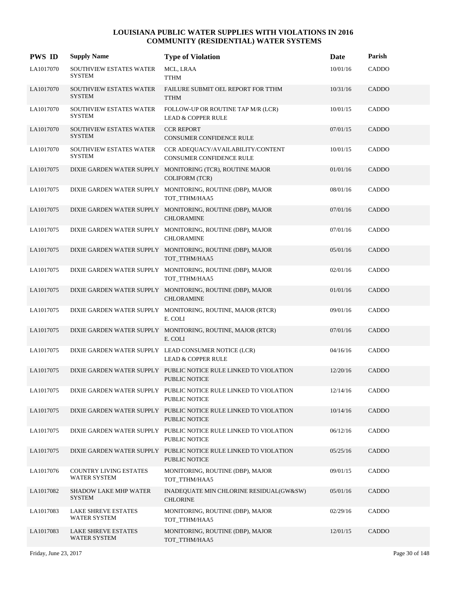| <b>PWS ID</b> | <b>Supply Name</b>                            | <b>Type of Violation</b>                                                                 | Date     | Parish       |
|---------------|-----------------------------------------------|------------------------------------------------------------------------------------------|----------|--------------|
| LA1017070     | SOUTHVIEW ESTATES WATER<br><b>SYSTEM</b>      | MCL, LRAA<br>TTHM                                                                        | 10/01/16 | CADDO        |
| LA1017070     | SOUTHVIEW ESTATES WATER<br><b>SYSTEM</b>      | FAILURE SUBMIT OEL REPORT FOR TTHM<br><b>TTHM</b>                                        | 10/31/16 | CADDO        |
| LA1017070     | SOUTHVIEW ESTATES WATER<br><b>SYSTEM</b>      | FOLLOW-UP OR ROUTINE TAP M/R (LCR)<br><b>LEAD &amp; COPPER RULE</b>                      | 10/01/15 | CADDO        |
| LA1017070     | SOUTHVIEW ESTATES WATER<br><b>SYSTEM</b>      | <b>CCR REPORT</b><br>CONSUMER CONFIDENCE RULE                                            | 07/01/15 | <b>CADDO</b> |
| LA1017070     | SOUTHVIEW ESTATES WATER<br><b>SYSTEM</b>      | CCR ADEQUACY/AVAILABILITY/CONTENT<br>CONSUMER CONFIDENCE RULE                            | 10/01/15 | CADDO        |
| LA1017075     |                                               | DIXIE GARDEN WATER SUPPLY MONITORING (TCR), ROUTINE MAJOR<br><b>COLIFORM (TCR)</b>       | 01/01/16 | CADDO        |
| LA1017075     |                                               | DIXIE GARDEN WATER SUPPLY MONITORING, ROUTINE (DBP), MAJOR<br>TOT_TTHM/HAA5              | 08/01/16 | CADDO        |
| LA1017075     |                                               | DIXIE GARDEN WATER SUPPLY MONITORING, ROUTINE (DBP), MAJOR<br><b>CHLORAMINE</b>          | 07/01/16 | CADDO        |
| LA1017075     |                                               | DIXIE GARDEN WATER SUPPLY MONITORING, ROUTINE (DBP), MAJOR<br><b>CHLORAMINE</b>          | 07/01/16 | CADDO        |
| LA1017075     |                                               | DIXIE GARDEN WATER SUPPLY MONITORING, ROUTINE (DBP), MAJOR<br>TOT_TTHM/HAA5              | 05/01/16 | CADDO        |
| LA1017075     |                                               | DIXIE GARDEN WATER SUPPLY MONITORING, ROUTINE (DBP), MAJOR<br>TOT_TTHM/HAA5              | 02/01/16 | CADDO        |
| LA1017075     |                                               | DIXIE GARDEN WATER SUPPLY MONITORING, ROUTINE (DBP), MAJOR<br><b>CHLORAMINE</b>          | 01/01/16 | CADDO        |
| LA1017075     |                                               | DIXIE GARDEN WATER SUPPLY MONITORING, ROUTINE, MAJOR (RTCR)<br>E. COLI                   | 09/01/16 | CADDO        |
| LA1017075     |                                               | DIXIE GARDEN WATER SUPPLY MONITORING, ROUTINE, MAJOR (RTCR)<br>E. COLI                   | 07/01/16 | CADDO        |
| LA1017075     |                                               | DIXIE GARDEN WATER SUPPLY LEAD CONSUMER NOTICE (LCR)<br><b>LEAD &amp; COPPER RULE</b>    | 04/16/16 | CADDO        |
| LA1017075     |                                               | DIXIE GARDEN WATER SUPPLY PUBLIC NOTICE RULE LINKED TO VIOLATION<br><b>PUBLIC NOTICE</b> | 12/20/16 | CADDO        |
| LA1017075     |                                               | DIXIE GARDEN WATER SUPPLY PUBLIC NOTICE RULE LINKED TO VIOLATION<br>PUBLIC NOTICE        | 12/14/16 | CADDO        |
| LA1017075     |                                               | DIXIE GARDEN WATER SUPPLY PUBLIC NOTICE RULE LINKED TO VIOLATION<br>PUBLIC NOTICE        | 10/14/16 | CADDO        |
| LA1017075     |                                               | DIXIE GARDEN WATER SUPPLY PUBLIC NOTICE RULE LINKED TO VIOLATION<br>PUBLIC NOTICE        | 06/12/16 | CADDO        |
| LA1017075     |                                               | DIXIE GARDEN WATER SUPPLY PUBLIC NOTICE RULE LINKED TO VIOLATION<br>PUBLIC NOTICE        | 05/25/16 | <b>CADDO</b> |
| LA1017076     | <b>COUNTRY LIVING ESTATES</b><br>WATER SYSTEM | MONITORING, ROUTINE (DBP), MAJOR<br>TOT TTHM/HAA5                                        | 09/01/15 | CADDO        |
| LA1017082     | <b>SHADOW LAKE MHP WATER</b><br><b>SYSTEM</b> | INADEQUATE MIN CHLORINE RESIDUAL(GW&SW)<br><b>CHLORINE</b>                               | 05/01/16 | CADDO        |
| LA1017083     | <b>LAKE SHREVE ESTATES</b><br>WATER SYSTEM    | MONITORING, ROUTINE (DBP), MAJOR<br>TOT_TTHM/HAA5                                        | 02/29/16 | CADDO        |
| LA1017083     | <b>LAKE SHREVE ESTATES</b><br>WATER SYSTEM    | MONITORING, ROUTINE (DBP), MAJOR<br>TOT_TTHM/HAA5                                        | 12/01/15 | CADDO        |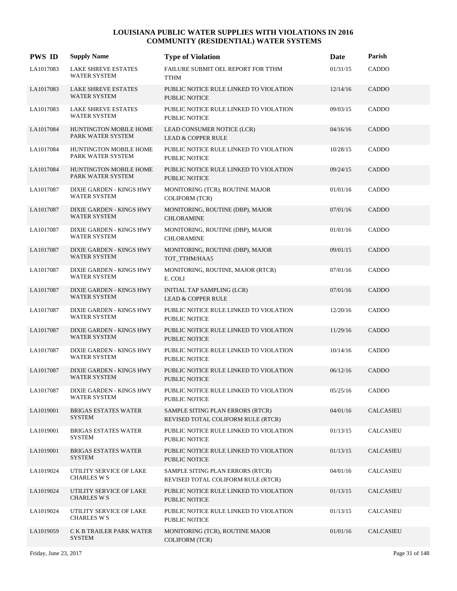| <b>PWS ID</b> | <b>Supply Name</b>                                     | <b>Type of Violation</b>                                               | Date     | Parish           |
|---------------|--------------------------------------------------------|------------------------------------------------------------------------|----------|------------------|
| LA1017083     | LAKE SHREVE ESTATES<br><b>WATER SYSTEM</b>             | FAILURE SUBMIT OEL REPORT FOR TTHM<br><b>TTHM</b>                      | 01/31/15 | CADDO            |
| LA1017083     | <b>LAKE SHREVE ESTATES</b><br><b>WATER SYSTEM</b>      | PUBLIC NOTICE RULE LINKED TO VIOLATION<br><b>PUBLIC NOTICE</b>         | 12/14/16 | CADDO            |
| LA1017083     | <b>LAKE SHREVE ESTATES</b><br><b>WATER SYSTEM</b>      | PUBLIC NOTICE RULE LINKED TO VIOLATION<br><b>PUBLIC NOTICE</b>         | 09/03/15 | CADDO            |
| LA1017084     | HUNTINGTON MOBILE HOME<br>PARK WATER SYSTEM            | LEAD CONSUMER NOTICE (LCR)<br><b>LEAD &amp; COPPER RULE</b>            | 04/16/16 | CADDO            |
| LA1017084     | <b>HUNTINGTON MOBILE HOME</b><br>PARK WATER SYSTEM     | PUBLIC NOTICE RULE LINKED TO VIOLATION<br><b>PUBLIC NOTICE</b>         | 10/28/15 | CADDO            |
| LA1017084     | HUNTINGTON MOBILE HOME<br>PARK WATER SYSTEM            | PUBLIC NOTICE RULE LINKED TO VIOLATION<br><b>PUBLIC NOTICE</b>         | 09/24/15 | CADDO            |
| LA1017087     | DIXIE GARDEN - KINGS HWY<br><b>WATER SYSTEM</b>        | MONITORING (TCR), ROUTINE MAJOR<br><b>COLIFORM (TCR)</b>               | 01/01/16 | CADDO            |
| LA1017087     | <b>DIXIE GARDEN - KINGS HWY</b><br>WATER SYSTEM        | MONITORING, ROUTINE (DBP), MAJOR<br><b>CHLORAMINE</b>                  | 07/01/16 | <b>CADDO</b>     |
| LA1017087     | DIXIE GARDEN - KINGS HWY<br><b>WATER SYSTEM</b>        | MONITORING, ROUTINE (DBP), MAJOR<br><b>CHLORAMINE</b>                  | 01/01/16 | CADDO            |
| LA1017087     | DIXIE GARDEN - KINGS HWY<br><b>WATER SYSTEM</b>        | MONITORING, ROUTINE (DBP), MAJOR<br>TOT TTHM/HAA5                      | 09/01/15 | CADDO            |
| LA1017087     | DIXIE GARDEN - KINGS HWY<br><b>WATER SYSTEM</b>        | MONITORING, ROUTINE, MAJOR (RTCR)<br>E. COLI                           | 07/01/16 | CADDO            |
| LA1017087     | DIXIE GARDEN - KINGS HWY<br>WATER SYSTEM               | INITIAL TAP SAMPLING (LCR)<br><b>LEAD &amp; COPPER RULE</b>            | 07/01/16 | <b>CADDO</b>     |
| LA1017087     | DIXIE GARDEN - KINGS HWY<br>WATER SYSTEM               | PUBLIC NOTICE RULE LINKED TO VIOLATION<br><b>PUBLIC NOTICE</b>         | 12/20/16 | CADDO            |
| LA1017087     | DIXIE GARDEN - KINGS HWY<br><b>WATER SYSTEM</b>        | PUBLIC NOTICE RULE LINKED TO VIOLATION<br><b>PUBLIC NOTICE</b>         | 11/29/16 | CADDO            |
| LA1017087     | DIXIE GARDEN - KINGS HWY<br>WATER SYSTEM               | PUBLIC NOTICE RULE LINKED TO VIOLATION<br>PUBLIC NOTICE                | 10/14/16 | CADDO            |
| LA1017087     | DIXIE GARDEN - KINGS HWY<br><b>WATER SYSTEM</b>        | PUBLIC NOTICE RULE LINKED TO VIOLATION<br>PUBLIC NOTICE                | 06/12/16 | CADDO            |
| LA1017087     | <b>DIXIE GARDEN - KINGS HWY</b><br><b>WATER SYSTEM</b> | PUBLIC NOTICE RULE LINKED TO VIOLATION<br>PUBLIC NOTICE                | 05/25/16 | CADDO            |
| LA1019001     | <b>BRIGAS ESTATES WATER</b><br><b>SYSTEM</b>           | SAMPLE SITING PLAN ERRORS (RTCR)<br>REVISED TOTAL COLIFORM RULE (RTCR) | 04/01/16 | <b>CALCASIEU</b> |
| LA1019001     | <b>BRIGAS ESTATES WATER</b><br><b>SYSTEM</b>           | PUBLIC NOTICE RULE LINKED TO VIOLATION<br>PUBLIC NOTICE                | 01/13/15 | <b>CALCASIEU</b> |
| LA1019001     | <b>BRIGAS ESTATES WATER</b><br><b>SYSTEM</b>           | PUBLIC NOTICE RULE LINKED TO VIOLATION<br>PUBLIC NOTICE                | 01/13/15 | <b>CALCASIEU</b> |
| LA1019024     | UTILITY SERVICE OF LAKE<br><b>CHARLES W S</b>          | SAMPLE SITING PLAN ERRORS (RTCR)<br>REVISED TOTAL COLIFORM RULE (RTCR) | 04/01/16 | CALCASIEU        |
| LA1019024     | UTILITY SERVICE OF LAKE<br><b>CHARLES W S</b>          | PUBLIC NOTICE RULE LINKED TO VIOLATION<br>PUBLIC NOTICE                | 01/13/15 | <b>CALCASIEU</b> |
| LA1019024     | UTILITY SERVICE OF LAKE<br><b>CHARLES W S</b>          | PUBLIC NOTICE RULE LINKED TO VIOLATION<br>PUBLIC NOTICE                | 01/13/15 | <b>CALCASIEU</b> |
| LA1019059     | C K B TRAILER PARK WATER<br><b>SYSTEM</b>              | MONITORING (TCR), ROUTINE MAJOR<br><b>COLIFORM (TCR)</b>               | 01/01/16 | <b>CALCASIEU</b> |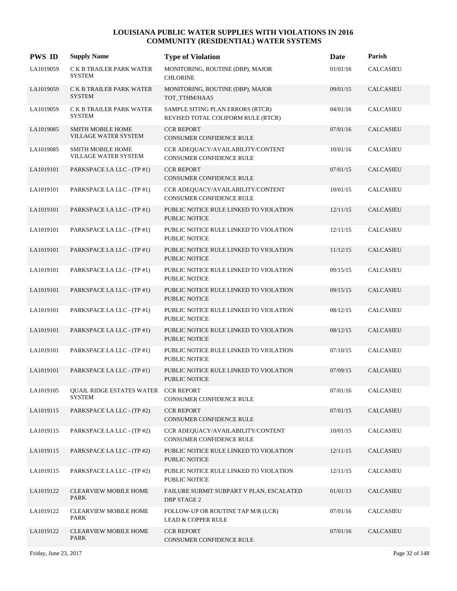| <b>PWS ID</b> | <b>Supply Name</b>                                           | <b>Type of Violation</b>                                               | Date     | Parish           |
|---------------|--------------------------------------------------------------|------------------------------------------------------------------------|----------|------------------|
| LA1019059     | C K B TRAILER PARK WATER<br><b>SYSTEM</b>                    | MONITORING, ROUTINE (DBP), MAJOR<br><b>CHLORINE</b>                    | 01/01/16 | <b>CALCASIEU</b> |
| LA1019059     | C K B TRAILER PARK WATER<br><b>SYSTEM</b>                    | MONITORING, ROUTINE (DBP), MAJOR<br>TOT_TTHM/HAA5                      | 09/01/15 | CALCASIEU        |
| LA1019059     | C K B TRAILER PARK WATER<br><b>SYSTEM</b>                    | SAMPLE SITING PLAN ERRORS (RTCR)<br>REVISED TOTAL COLIFORM RULE (RTCR) | 04/01/16 | CALCASIEU        |
| LA1019085     | <b>SMITH MOBILE HOME</b><br>VILLAGE WATER SYSTEM             | <b>CCR REPORT</b><br>CONSUMER CONFIDENCE RULE                          | 07/01/16 | <b>CALCASIEU</b> |
| LA1019085     | <b>SMITH MOBILE HOME</b><br>VILLAGE WATER SYSTEM             | CCR ADEQUACY/AVAILABILITY/CONTENT<br>CONSUMER CONFIDENCE RULE          | 10/01/16 | CALCASIEU        |
| LA1019101     | PARKSPACE LA LLC - (TP #1)                                   | <b>CCR REPORT</b><br>CONSUMER CONFIDENCE RULE                          | 07/01/15 | <b>CALCASIEU</b> |
| LA1019101     | PARKSPACE LA LLC - (TP #1)                                   | CCR ADEQUACY/AVAILABILITY/CONTENT<br>CONSUMER CONFIDENCE RULE          | 10/01/15 | CALCASIEU        |
| LA1019101     | PARKSPACE LA LLC - (TP #1)                                   | PUBLIC NOTICE RULE LINKED TO VIOLATION<br>PUBLIC NOTICE                | 12/11/15 | <b>CALCASIEU</b> |
| LA1019101     | PARKSPACE LA LLC - (TP #1)                                   | PUBLIC NOTICE RULE LINKED TO VIOLATION<br>PUBLIC NOTICE                | 12/11/15 | CALCASIEU        |
| LA1019101     | PARKSPACE LA LLC - (TP #1)                                   | PUBLIC NOTICE RULE LINKED TO VIOLATION<br><b>PUBLIC NOTICE</b>         | 11/12/15 | CALCASIEU        |
| LA1019101     | PARKSPACE LA LLC - (TP #1)                                   | PUBLIC NOTICE RULE LINKED TO VIOLATION<br>PUBLIC NOTICE                | 09/15/15 | CALCASIEU        |
| LA1019101     | PARKSPACE LA LLC - (TP #1)                                   | PUBLIC NOTICE RULE LINKED TO VIOLATION<br>PUBLIC NOTICE                | 09/15/15 | CALCASIEU        |
| LA1019101     | PARKSPACE LA LLC - (TP #1)                                   | PUBLIC NOTICE RULE LINKED TO VIOLATION<br>PUBLIC NOTICE                | 08/12/15 | CALCASIEU        |
| LA1019101     | PARKSPACE LA LLC - (TP #1)                                   | PUBLIC NOTICE RULE LINKED TO VIOLATION<br><b>PUBLIC NOTICE</b>         | 08/12/15 | CALCASIEU        |
| LA1019101     | PARKSPACE LA LLC - (TP #1)                                   | PUBLIC NOTICE RULE LINKED TO VIOLATION<br>PUBLIC NOTICE                | 07/10/15 | CALCASIEU        |
| LA1019101     | PARKSPACE LA LLC - (TP #1)                                   | PUBLIC NOTICE RULE LINKED TO VIOLATION<br><b>PUBLIC NOTICE</b>         | 07/09/15 | <b>CALCASIEU</b> |
| LA1019105     | <b>QUAIL RIDGE ESTATES WATER CCR REPORT</b><br><b>SYSTEM</b> | CONSUMER CONFIDENCE RULE                                               | 07/01/16 | CALCASIEU        |
| LA1019115     | PARKSPACE LA LLC - (TP #2)                                   | <b>CCR REPORT</b><br>CONSUMER CONFIDENCE RULE                          | 07/01/15 | <b>CALCASIEU</b> |
| LA1019115     | PARKSPACE LA LLC - (TP #2)                                   | CCR ADEQUACY/AVAILABILITY/CONTENT<br>CONSUMER CONFIDENCE RULE          | 10/01/15 | CALCASIEU        |
| LA1019115     | PARKSPACE LA LLC - (TP #2)                                   | PUBLIC NOTICE RULE LINKED TO VIOLATION<br>PUBLIC NOTICE                | 12/11/15 | <b>CALCASIEU</b> |
| LA1019115     | PARKSPACE LA LLC - (TP #2)                                   | PUBLIC NOTICE RULE LINKED TO VIOLATION<br>PUBLIC NOTICE                | 12/11/15 | CALCASIEU        |
| LA1019122     | <b>CLEARVIEW MOBILE HOME</b><br><b>PARK</b>                  | FAILURE SUBMIT SUBPART V PLAN, ESCALATED<br>DBP STAGE 2                | 01/01/13 | <b>CALCASIEU</b> |
| LA1019122     | <b>CLEARVIEW MOBILE HOME</b><br>PARK                         | FOLLOW-UP OR ROUTINE TAP M/R (LCR)<br><b>LEAD &amp; COPPER RULE</b>    | 07/01/16 | CALCASIEU        |
| LA1019122     | <b>CLEARVIEW MOBILE HOME</b><br>PARK                         | <b>CCR REPORT</b><br>CONSUMER CONFIDENCE RULE                          | 07/01/16 | CALCASIEU        |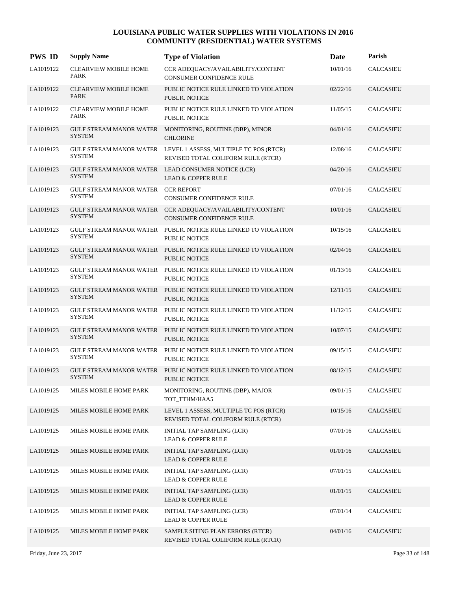| <b>PWS ID</b> | <b>Supply Name</b>                                  | <b>Type of Violation</b>                                                                             | Date     | Parish           |
|---------------|-----------------------------------------------------|------------------------------------------------------------------------------------------------------|----------|------------------|
| LA1019122     | <b>CLEARVIEW MOBILE HOME</b><br>PARK                | CCR ADEQUACY/AVAILABILITY/CONTENT<br><b>CONSUMER CONFIDENCE RULE</b>                                 | 10/01/16 | <b>CALCASIEU</b> |
| LA1019122     | <b>CLEARVIEW MOBILE HOME</b><br><b>PARK</b>         | PUBLIC NOTICE RULE LINKED TO VIOLATION<br><b>PUBLIC NOTICE</b>                                       | 02/22/16 | <b>CALCASIEU</b> |
| LA1019122     | <b>CLEARVIEW MOBILE HOME</b><br><b>PARK</b>         | PUBLIC NOTICE RULE LINKED TO VIOLATION<br>PUBLIC NOTICE                                              | 11/05/15 | <b>CALCASIEU</b> |
| LA1019123     | <b>SYSTEM</b>                                       | GULF STREAM MANOR WATER MONITORING, ROUTINE (DBP), MINOR<br><b>CHLORINE</b>                          | 04/01/16 | <b>CALCASIEU</b> |
| LA1019123     | <b>SYSTEM</b>                                       | GULF STREAM MANOR WATER LEVEL 1 ASSESS, MULTIPLE TC POS (RTCR)<br>REVISED TOTAL COLIFORM RULE (RTCR) | 12/08/16 | <b>CALCASIEU</b> |
| LA1019123     | <b>SYSTEM</b>                                       | GULF STREAM MANOR WATER LEAD CONSUMER NOTICE (LCR)<br><b>LEAD &amp; COPPER RULE</b>                  | 04/20/16 | <b>CALCASIEU</b> |
| LA1019123     | GULF STREAM MANOR WATER CCR REPORT<br><b>SYSTEM</b> | CONSUMER CONFIDENCE RULE                                                                             | 07/01/16 | <b>CALCASIEU</b> |
| LA1019123     | <b>GULF STREAM MANOR WATER</b><br><b>SYSTEM</b>     | CCR ADEQUACY/AVAILABILITY/CONTENT<br>CONSUMER CONFIDENCE RULE                                        | 10/01/16 | <b>CALCASIEU</b> |
| LA1019123     | GULF STREAM MANOR WATER<br>SYSTEM                   | PUBLIC NOTICE RULE LINKED TO VIOLATION<br>PUBLIC NOTICE                                              | 10/15/16 | CALCASIEU        |
| LA1019123     | <b>SYSTEM</b>                                       | GULF STREAM MANOR WATER PUBLIC NOTICE RULE LINKED TO VIOLATION<br><b>PUBLIC NOTICE</b>               | 02/04/16 | <b>CALCASIEU</b> |
| LA1019123     | <b>SYSTEM</b>                                       | GULF STREAM MANOR WATER PUBLIC NOTICE RULE LINKED TO VIOLATION<br><b>PUBLIC NOTICE</b>               | 01/13/16 | <b>CALCASIEU</b> |
| LA1019123     | GULF STREAM MANOR WATER<br><b>SYSTEM</b>            | PUBLIC NOTICE RULE LINKED TO VIOLATION<br>PUBLIC NOTICE                                              | 12/11/15 | <b>CALCASIEU</b> |
| LA1019123     | <b>SYSTEM</b>                                       | GULF STREAM MANOR WATER PUBLIC NOTICE RULE LINKED TO VIOLATION<br>PUBLIC NOTICE                      | 11/12/15 | <b>CALCASIEU</b> |
| LA1019123     | <b>SYSTEM</b>                                       | GULF STREAM MANOR WATER PUBLIC NOTICE RULE LINKED TO VIOLATION<br><b>PUBLIC NOTICE</b>               | 10/07/15 | <b>CALCASIEU</b> |
| LA1019123     | <b>SYSTEM</b>                                       | GULF STREAM MANOR WATER PUBLIC NOTICE RULE LINKED TO VIOLATION<br><b>PUBLIC NOTICE</b>               | 09/15/15 | <b>CALCASIEU</b> |
| LA1019123     | <b>SYSTEM</b>                                       | GULF STREAM MANOR WATER PUBLIC NOTICE RULE LINKED TO VIOLATION<br><b>PUBLIC NOTICE</b>               | 08/12/15 | <b>CALCASIEU</b> |
| LA1019125     | MILES MOBILE HOME PARK                              | MONITORING, ROUTINE (DBP), MAJOR<br>TOT_TTHM/HAA5                                                    | 09/01/15 | CALCASIEU        |
| LA1019125     | MILES MOBILE HOME PARK                              | LEVEL 1 ASSESS, MULTIPLE TC POS (RTCR)<br>REVISED TOTAL COLIFORM RULE (RTCR)                         | 10/15/16 | <b>CALCASIEU</b> |
| LA1019125     | MILES MOBILE HOME PARK                              | INITIAL TAP SAMPLING (LCR)<br>LEAD & COPPER RULE                                                     | 07/01/16 | CALCASIEU        |
| LA1019125     | MILES MOBILE HOME PARK                              | INITIAL TAP SAMPLING (LCR)<br><b>LEAD &amp; COPPER RULE</b>                                          | 01/01/16 | CALCASIEU        |
| LA1019125     | MILES MOBILE HOME PARK                              | INITIAL TAP SAMPLING (LCR)<br><b>LEAD &amp; COPPER RULE</b>                                          | 07/01/15 | CALCASIEU        |
| LA1019125     | MILES MOBILE HOME PARK                              | INITIAL TAP SAMPLING (LCR)<br><b>LEAD &amp; COPPER RULE</b>                                          | 01/01/15 | <b>CALCASIEU</b> |
| LA1019125     | MILES MOBILE HOME PARK                              | INITIAL TAP SAMPLING (LCR)<br>LEAD & COPPER RULE                                                     | 07/01/14 | CALCASIEU        |
| LA1019125     | MILES MOBILE HOME PARK                              | SAMPLE SITING PLAN ERRORS (RTCR)<br>REVISED TOTAL COLIFORM RULE (RTCR)                               | 04/01/16 | <b>CALCASIEU</b> |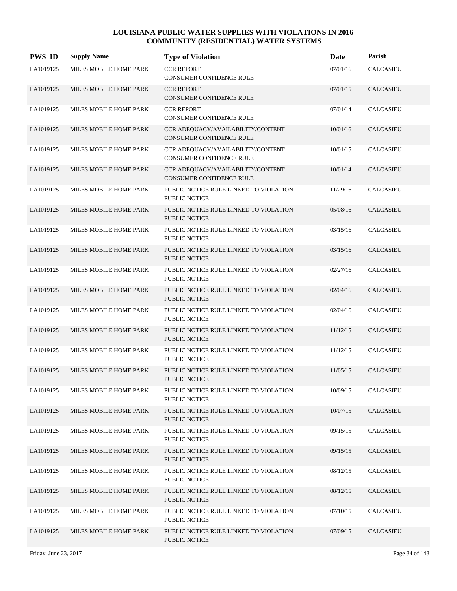| <b>PWS ID</b> | <b>Supply Name</b>     | <b>Type of Violation</b>                                       | Date     | Parish           |
|---------------|------------------------|----------------------------------------------------------------|----------|------------------|
| LA1019125     | MILES MOBILE HOME PARK | <b>CCR REPORT</b><br>CONSUMER CONFIDENCE RULE                  | 07/01/16 | CALCASIEU        |
| LA1019125     | MILES MOBILE HOME PARK | <b>CCR REPORT</b><br>CONSUMER CONFIDENCE RULE                  | 07/01/15 | <b>CALCASIEU</b> |
| LA1019125     | MILES MOBILE HOME PARK | <b>CCR REPORT</b><br>CONSUMER CONFIDENCE RULE                  | 07/01/14 | <b>CALCASIEU</b> |
| LA1019125     | MILES MOBILE HOME PARK | CCR ADEQUACY/AVAILABILITY/CONTENT<br>CONSUMER CONFIDENCE RULE  | 10/01/16 | <b>CALCASIEU</b> |
| LA1019125     | MILES MOBILE HOME PARK | CCR ADEQUACY/AVAILABILITY/CONTENT<br>CONSUMER CONFIDENCE RULE  | 10/01/15 | <b>CALCASIEU</b> |
| LA1019125     | MILES MOBILE HOME PARK | CCR ADEQUACY/AVAILABILITY/CONTENT<br>CONSUMER CONFIDENCE RULE  | 10/01/14 | <b>CALCASIEU</b> |
| LA1019125     | MILES MOBILE HOME PARK | PUBLIC NOTICE RULE LINKED TO VIOLATION<br>PUBLIC NOTICE        | 11/29/16 | <b>CALCASIEU</b> |
| LA1019125     | MILES MOBILE HOME PARK | PUBLIC NOTICE RULE LINKED TO VIOLATION<br><b>PUBLIC NOTICE</b> | 05/08/16 | <b>CALCASIEU</b> |
| LA1019125     | MILES MOBILE HOME PARK | PUBLIC NOTICE RULE LINKED TO VIOLATION<br>PUBLIC NOTICE        | 03/15/16 | <b>CALCASIEU</b> |
| LA1019125     | MILES MOBILE HOME PARK | PUBLIC NOTICE RULE LINKED TO VIOLATION<br><b>PUBLIC NOTICE</b> | 03/15/16 | <b>CALCASIEU</b> |
| LA1019125     | MILES MOBILE HOME PARK | PUBLIC NOTICE RULE LINKED TO VIOLATION<br><b>PUBLIC NOTICE</b> | 02/27/16 | <b>CALCASIEU</b> |
| LA1019125     | MILES MOBILE HOME PARK | PUBLIC NOTICE RULE LINKED TO VIOLATION<br>PUBLIC NOTICE        | 02/04/16 | <b>CALCASIEU</b> |
| LA1019125     | MILES MOBILE HOME PARK | PUBLIC NOTICE RULE LINKED TO VIOLATION<br>PUBLIC NOTICE        | 02/04/16 | <b>CALCASIEU</b> |
| LA1019125     | MILES MOBILE HOME PARK | PUBLIC NOTICE RULE LINKED TO VIOLATION<br><b>PUBLIC NOTICE</b> | 11/12/15 | <b>CALCASIEU</b> |
| LA1019125     | MILES MOBILE HOME PARK | PUBLIC NOTICE RULE LINKED TO VIOLATION<br><b>PUBLIC NOTICE</b> | 11/12/15 | <b>CALCASIEU</b> |
| LA1019125     | MILES MOBILE HOME PARK | PUBLIC NOTICE RULE LINKED TO VIOLATION<br>PUBLIC NOTICE        | 11/05/15 | <b>CALCASIEU</b> |
| LA1019125     | MILES MOBILE HOME PARK | PUBLIC NOTICE RULE LINKED TO VIOLATION<br>PUBLIC NOTICE        | 10/09/15 | CALCASIEU        |
| LA1019125     | MILES MOBILE HOME PARK | PUBLIC NOTICE RULE LINKED TO VIOLATION<br>PUBLIC NOTICE        | 10/07/15 | <b>CALCASIEU</b> |
| LA1019125     | MILES MOBILE HOME PARK | PUBLIC NOTICE RULE LINKED TO VIOLATION<br>PUBLIC NOTICE        | 09/15/15 | CALCASIEU        |
| LA1019125     | MILES MOBILE HOME PARK | PUBLIC NOTICE RULE LINKED TO VIOLATION<br>PUBLIC NOTICE        | 09/15/15 | <b>CALCASIEU</b> |
| LA1019125     | MILES MOBILE HOME PARK | PUBLIC NOTICE RULE LINKED TO VIOLATION<br>PUBLIC NOTICE        | 08/12/15 | CALCASIEU        |
| LA1019125     | MILES MOBILE HOME PARK | PUBLIC NOTICE RULE LINKED TO VIOLATION<br>PUBLIC NOTICE        | 08/12/15 | <b>CALCASIEU</b> |
| LA1019125     | MILES MOBILE HOME PARK | PUBLIC NOTICE RULE LINKED TO VIOLATION<br>PUBLIC NOTICE        | 07/10/15 | CALCASIEU        |
| LA1019125     | MILES MOBILE HOME PARK | PUBLIC NOTICE RULE LINKED TO VIOLATION<br>PUBLIC NOTICE        | 07/09/15 | <b>CALCASIEU</b> |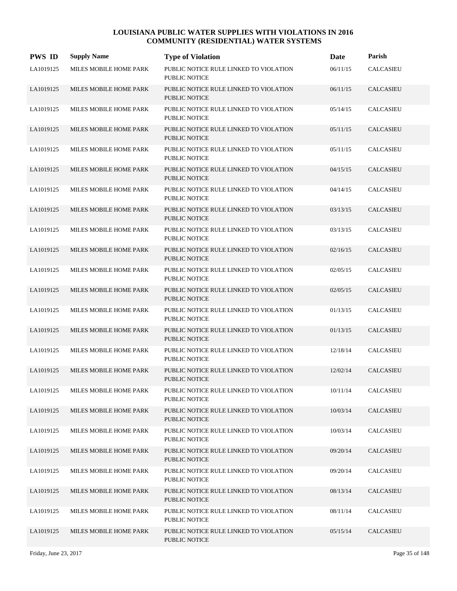| <b>PWS ID</b> | <b>Supply Name</b>     | <b>Type of Violation</b>                                       | Date     | Parish           |
|---------------|------------------------|----------------------------------------------------------------|----------|------------------|
| LA1019125     | MILES MOBILE HOME PARK | PUBLIC NOTICE RULE LINKED TO VIOLATION<br>PUBLIC NOTICE        | 06/11/15 | CALCASIEU        |
| LA1019125     | MILES MOBILE HOME PARK | PUBLIC NOTICE RULE LINKED TO VIOLATION<br><b>PUBLIC NOTICE</b> | 06/11/15 | <b>CALCASIEU</b> |
| LA1019125     | MILES MOBILE HOME PARK | PUBLIC NOTICE RULE LINKED TO VIOLATION<br>PUBLIC NOTICE        | 05/14/15 | CALCASIEU        |
| LA1019125     | MILES MOBILE HOME PARK | PUBLIC NOTICE RULE LINKED TO VIOLATION<br><b>PUBLIC NOTICE</b> | 05/11/15 | <b>CALCASIEU</b> |
| LA1019125     | MILES MOBILE HOME PARK | PUBLIC NOTICE RULE LINKED TO VIOLATION<br><b>PUBLIC NOTICE</b> | 05/11/15 | <b>CALCASIEU</b> |
| LA1019125     | MILES MOBILE HOME PARK | PUBLIC NOTICE RULE LINKED TO VIOLATION<br><b>PUBLIC NOTICE</b> | 04/15/15 | <b>CALCASIEU</b> |
| LA1019125     | MILES MOBILE HOME PARK | PUBLIC NOTICE RULE LINKED TO VIOLATION<br><b>PUBLIC NOTICE</b> | 04/14/15 | CALCASIEU        |
| LA1019125     | MILES MOBILE HOME PARK | PUBLIC NOTICE RULE LINKED TO VIOLATION<br><b>PUBLIC NOTICE</b> | 03/13/15 | <b>CALCASIEU</b> |
| LA1019125     | MILES MOBILE HOME PARK | PUBLIC NOTICE RULE LINKED TO VIOLATION<br>PUBLIC NOTICE        | 03/13/15 | <b>CALCASIEU</b> |
| LA1019125     | MILES MOBILE HOME PARK | PUBLIC NOTICE RULE LINKED TO VIOLATION<br><b>PUBLIC NOTICE</b> | 02/16/15 | <b>CALCASIEU</b> |
| LA1019125     | MILES MOBILE HOME PARK | PUBLIC NOTICE RULE LINKED TO VIOLATION<br>PUBLIC NOTICE        | 02/05/15 | CALCASIEU        |
| LA1019125     | MILES MOBILE HOME PARK | PUBLIC NOTICE RULE LINKED TO VIOLATION<br><b>PUBLIC NOTICE</b> | 02/05/15 | <b>CALCASIEU</b> |
| LA1019125     | MILES MOBILE HOME PARK | PUBLIC NOTICE RULE LINKED TO VIOLATION<br><b>PUBLIC NOTICE</b> | 01/13/15 | CALCASIEU        |
| LA1019125     | MILES MOBILE HOME PARK | PUBLIC NOTICE RULE LINKED TO VIOLATION<br><b>PUBLIC NOTICE</b> | 01/13/15 | <b>CALCASIEU</b> |
| LA1019125     | MILES MOBILE HOME PARK | PUBLIC NOTICE RULE LINKED TO VIOLATION<br>PUBLIC NOTICE        | 12/18/14 | <b>CALCASIEU</b> |
| LA1019125     | MILES MOBILE HOME PARK | PUBLIC NOTICE RULE LINKED TO VIOLATION<br><b>PUBLIC NOTICE</b> | 12/02/14 | <b>CALCASIEU</b> |
| LA1019125     | MILES MOBILE HOME PARK | PUBLIC NOTICE RULE LINKED TO VIOLATION<br>PUBLIC NOTICE        | 10/11/14 | CALCASIEU        |
| LA1019125     | MILES MOBILE HOME PARK | PUBLIC NOTICE RULE LINKED TO VIOLATION<br>PUBLIC NOTICE        | 10/03/14 | <b>CALCASIEU</b> |
| LA1019125     | MILES MOBILE HOME PARK | PUBLIC NOTICE RULE LINKED TO VIOLATION<br>PUBLIC NOTICE        | 10/03/14 | CALCASIEU        |
| LA1019125     | MILES MOBILE HOME PARK | PUBLIC NOTICE RULE LINKED TO VIOLATION<br>PUBLIC NOTICE        | 09/20/14 | CALCASIEU        |
| LA1019125     | MILES MOBILE HOME PARK | PUBLIC NOTICE RULE LINKED TO VIOLATION<br>PUBLIC NOTICE        | 09/20/14 | CALCASIEU        |
| LA1019125     | MILES MOBILE HOME PARK | PUBLIC NOTICE RULE LINKED TO VIOLATION<br>PUBLIC NOTICE        | 08/13/14 | <b>CALCASIEU</b> |
| LA1019125     | MILES MOBILE HOME PARK | PUBLIC NOTICE RULE LINKED TO VIOLATION<br>PUBLIC NOTICE        | 08/11/14 | CALCASIEU        |
| LA1019125     | MILES MOBILE HOME PARK | PUBLIC NOTICE RULE LINKED TO VIOLATION<br>PUBLIC NOTICE        | 05/15/14 | CALCASIEU        |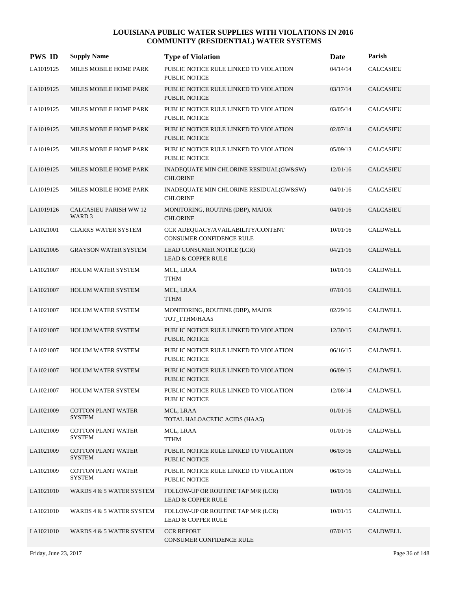| <b>PWS ID</b> | <b>Supply Name</b>                                 | <b>Type of Violation</b>                                            | Date     | Parish           |
|---------------|----------------------------------------------------|---------------------------------------------------------------------|----------|------------------|
| LA1019125     | MILES MOBILE HOME PARK                             | PUBLIC NOTICE RULE LINKED TO VIOLATION<br><b>PUBLIC NOTICE</b>      | 04/14/14 | CALCASIEU        |
| LA1019125     | MILES MOBILE HOME PARK                             | PUBLIC NOTICE RULE LINKED TO VIOLATION<br><b>PUBLIC NOTICE</b>      | 03/17/14 | <b>CALCASIEU</b> |
| LA1019125     | MILES MOBILE HOME PARK                             | PUBLIC NOTICE RULE LINKED TO VIOLATION<br>PUBLIC NOTICE             | 03/05/14 | <b>CALCASIEU</b> |
| LA1019125     | MILES MOBILE HOME PARK                             | PUBLIC NOTICE RULE LINKED TO VIOLATION<br><b>PUBLIC NOTICE</b>      | 02/07/14 | <b>CALCASIEU</b> |
| LA1019125     | MILES MOBILE HOME PARK                             | PUBLIC NOTICE RULE LINKED TO VIOLATION<br>PUBLIC NOTICE             | 05/09/13 | CALCASIEU        |
| LA1019125     | MILES MOBILE HOME PARK                             | INADEQUATE MIN CHLORINE RESIDUAL(GW&SW)<br><b>CHLORINE</b>          | 12/01/16 | CALCASIEU        |
| LA1019125     | MILES MOBILE HOME PARK                             | INADEQUATE MIN CHLORINE RESIDUAL(GW&SW)<br><b>CHLORINE</b>          | 04/01/16 | <b>CALCASIEU</b> |
| LA1019126     | <b>CALCASIEU PARISH WW 12</b><br>WARD <sub>3</sub> | MONITORING, ROUTINE (DBP), MAJOR<br><b>CHLORINE</b>                 | 04/01/16 | <b>CALCASIEU</b> |
| LA1021001     | <b>CLARKS WATER SYSTEM</b>                         | CCR ADEQUACY/AVAILABILITY/CONTENT<br>CONSUMER CONFIDENCE RULE       | 10/01/16 | <b>CALDWELL</b>  |
| LA1021005     | <b>GRAYSON WATER SYSTEM</b>                        | LEAD CONSUMER NOTICE (LCR)<br><b>LEAD &amp; COPPER RULE</b>         | 04/21/16 | CALDWELL         |
| LA1021007     | <b>HOLUM WATER SYSTEM</b>                          | MCL, LRAA<br>TTHM                                                   | 10/01/16 | CALDWELL         |
| LA1021007     | <b>HOLUM WATER SYSTEM</b>                          | MCL, LRAA<br><b>TTHM</b>                                            | 07/01/16 | <b>CALDWELL</b>  |
| LA1021007     | HOLUM WATER SYSTEM                                 | MONITORING, ROUTINE (DBP), MAJOR<br>TOT_TTHM/HAA5                   | 02/29/16 | CALDWELL         |
| LA1021007     | <b>HOLUM WATER SYSTEM</b>                          | PUBLIC NOTICE RULE LINKED TO VIOLATION<br><b>PUBLIC NOTICE</b>      | 12/30/15 | CALDWELL         |
| LA1021007     | <b>HOLUM WATER SYSTEM</b>                          | PUBLIC NOTICE RULE LINKED TO VIOLATION<br>PUBLIC NOTICE             | 06/16/15 | <b>CALDWELL</b>  |
| LA1021007     | <b>HOLUM WATER SYSTEM</b>                          | PUBLIC NOTICE RULE LINKED TO VIOLATION<br><b>PUBLIC NOTICE</b>      | 06/09/15 | <b>CALDWELL</b>  |
| LA1021007     | <b>HOLUM WATER SYSTEM</b>                          | PUBLIC NOTICE RULE LINKED TO VIOLATION<br>PUBLIC NOTICE             | 12/08/14 | CALDWELL         |
| LA1021009     | <b>COTTON PLANT WATER</b><br><b>SYSTEM</b>         | MCL, LRAA<br>TOTAL HALOACETIC ACIDS (HAA5)                          | 01/01/16 | CALDWELL         |
| LA1021009     | <b>COTTON PLANT WATER</b><br><b>SYSTEM</b>         | MCL, LRAA<br><b>TTHM</b>                                            | 01/01/16 | CALDWELL         |
| LA1021009     | <b>COTTON PLANT WATER</b><br><b>SYSTEM</b>         | PUBLIC NOTICE RULE LINKED TO VIOLATION<br>PUBLIC NOTICE             | 06/03/16 | CALDWELL         |
| LA1021009     | <b>COTTON PLANT WATER</b><br><b>SYSTEM</b>         | PUBLIC NOTICE RULE LINKED TO VIOLATION<br>PUBLIC NOTICE             | 06/03/16 | ${\tt CALDWELL}$ |
| LA1021010     | WARDS 4 & 5 WATER SYSTEM                           | FOLLOW-UP OR ROUTINE TAP M/R (LCR)<br><b>LEAD &amp; COPPER RULE</b> | 10/01/16 | CALDWELL         |
| LA1021010     | WARDS 4 & 5 WATER SYSTEM                           | FOLLOW-UP OR ROUTINE TAP M/R (LCR)<br><b>LEAD &amp; COPPER RULE</b> | 10/01/15 | CALDWELL         |
| LA1021010     | WARDS 4 & 5 WATER SYSTEM                           | <b>CCR REPORT</b><br>CONSUMER CONFIDENCE RULE                       | 07/01/15 | CALDWELL         |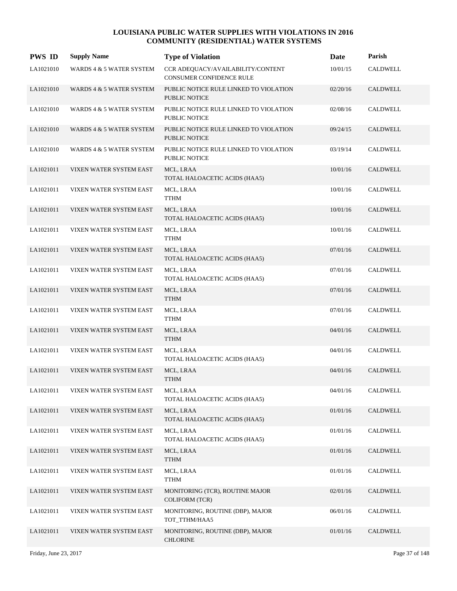| <b>PWS ID</b> | <b>Supply Name</b>       | <b>Type of Violation</b>                                             | Date     | Parish          |
|---------------|--------------------------|----------------------------------------------------------------------|----------|-----------------|
| LA1021010     | WARDS 4 & 5 WATER SYSTEM | CCR ADEQUACY/AVAILABILITY/CONTENT<br><b>CONSUMER CONFIDENCE RULE</b> | 10/01/15 | <b>CALDWELL</b> |
| LA1021010     | WARDS 4 & 5 WATER SYSTEM | PUBLIC NOTICE RULE LINKED TO VIOLATION<br><b>PUBLIC NOTICE</b>       | 02/20/16 | <b>CALDWELL</b> |
| LA1021010     | WARDS 4 & 5 WATER SYSTEM | PUBLIC NOTICE RULE LINKED TO VIOLATION<br>PUBLIC NOTICE              | 02/08/16 | <b>CALDWELL</b> |
| LA1021010     | WARDS 4 & 5 WATER SYSTEM | PUBLIC NOTICE RULE LINKED TO VIOLATION<br><b>PUBLIC NOTICE</b>       | 09/24/15 | CALDWELL        |
| LA1021010     | WARDS 4 & 5 WATER SYSTEM | PUBLIC NOTICE RULE LINKED TO VIOLATION<br><b>PUBLIC NOTICE</b>       | 03/19/14 | CALDWELL        |
| LA1021011     | VIXEN WATER SYSTEM EAST  | MCL, LRAA<br>TOTAL HALOACETIC ACIDS (HAA5)                           | 10/01/16 | <b>CALDWELL</b> |
| LA1021011     | VIXEN WATER SYSTEM EAST  | MCL, LRAA<br><b>TTHM</b>                                             | 10/01/16 | CALDWELL        |
| LA1021011     | VIXEN WATER SYSTEM EAST  | MCL, LRAA<br>TOTAL HALOACETIC ACIDS (HAA5)                           | 10/01/16 | <b>CALDWELL</b> |
| LA1021011     | VIXEN WATER SYSTEM EAST  | MCL, LRAA<br>TTHM                                                    | 10/01/16 | CALDWELL        |
| LA1021011     | VIXEN WATER SYSTEM EAST  | MCL, LRAA<br>TOTAL HALOACETIC ACIDS (HAA5)                           | 07/01/16 | CALDWELL        |
| LA1021011     | VIXEN WATER SYSTEM EAST  | MCL, LRAA<br>TOTAL HALOACETIC ACIDS (HAA5)                           | 07/01/16 | CALDWELL        |
| LA1021011     | VIXEN WATER SYSTEM EAST  | MCL, LRAA<br><b>TTHM</b>                                             | 07/01/16 | CALDWELL        |
| LA1021011     | VIXEN WATER SYSTEM EAST  | MCL, LRAA<br>TTHM                                                    | 07/01/16 | CALDWELL        |
| LA1021011     | VIXEN WATER SYSTEM EAST  | MCL, LRAA<br><b>TTHM</b>                                             | 04/01/16 | CALDWELL        |
| LA1021011     | VIXEN WATER SYSTEM EAST  | MCL, LRAA<br>TOTAL HALOACETIC ACIDS (HAA5)                           | 04/01/16 | CALDWELL        |
| LA1021011     | VIXEN WATER SYSTEM EAST  | MCL, LRAA<br><b>TTHM</b>                                             | 04/01/16 | <b>CALDWELL</b> |
| LA1021011     | VIXEN WATER SYSTEM EAST  | MCL, LRAA<br>TOTAL HALOACETIC ACIDS (HAA5)                           | 04/01/16 | CALDWELL        |
| LA1021011     | VIXEN WATER SYSTEM EAST  | MCL, LRAA<br>TOTAL HALOACETIC ACIDS (HAA5)                           | 01/01/16 | CALDWELL        |
| LA1021011     | VIXEN WATER SYSTEM EAST  | MCL, LRAA<br>TOTAL HALOACETIC ACIDS (HAA5)                           | 01/01/16 | CALDWELL        |
| LA1021011     | VIXEN WATER SYSTEM EAST  | MCL, LRAA<br><b>TTHM</b>                                             | 01/01/16 | CALDWELL        |
| LA1021011     | VIXEN WATER SYSTEM EAST  | MCL, LRAA<br><b>TTHM</b>                                             | 01/01/16 | CALDWELL        |
| LA1021011     | VIXEN WATER SYSTEM EAST  | MONITORING (TCR), ROUTINE MAJOR<br><b>COLIFORM (TCR)</b>             | 02/01/16 | CALDWELL        |
| LA1021011     | VIXEN WATER SYSTEM EAST  | MONITORING, ROUTINE (DBP), MAJOR<br>TOT_TTHM/HAA5                    | 06/01/16 | CALDWELL        |
| LA1021011     | VIXEN WATER SYSTEM EAST  | MONITORING, ROUTINE (DBP), MAJOR<br><b>CHLORINE</b>                  | 01/01/16 | CALDWELL        |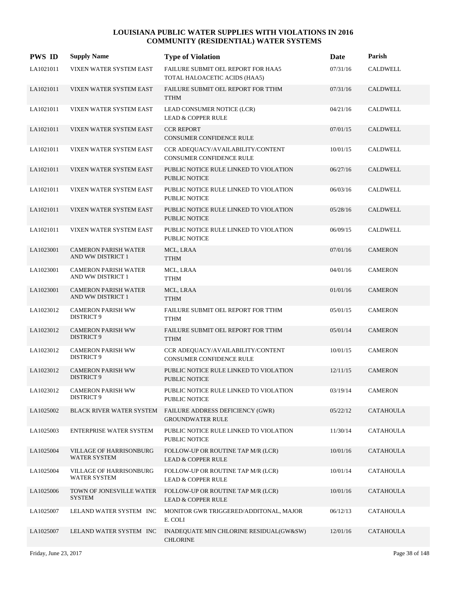| <b>PWS ID</b> | <b>Supply Name</b>                               | <b>Type of Violation</b>                                             | Date     | Parish           |
|---------------|--------------------------------------------------|----------------------------------------------------------------------|----------|------------------|
| LA1021011     | VIXEN WATER SYSTEM EAST                          | FAILURE SUBMIT OEL REPORT FOR HAA5<br>TOTAL HALOACETIC ACIDS (HAA5)  | 07/31/16 | <b>CALDWELL</b>  |
| LA1021011     | VIXEN WATER SYSTEM EAST                          | FAILURE SUBMIT OEL REPORT FOR TTHM<br><b>TTHM</b>                    | 07/31/16 | <b>CALDWELL</b>  |
| LA1021011     | VIXEN WATER SYSTEM EAST                          | LEAD CONSUMER NOTICE (LCR)<br><b>LEAD &amp; COPPER RULE</b>          | 04/21/16 | <b>CALDWELL</b>  |
| LA1021011     | VIXEN WATER SYSTEM EAST                          | <b>CCR REPORT</b><br><b>CONSUMER CONFIDENCE RULE</b>                 | 07/01/15 | CALDWELL         |
| LA1021011     | VIXEN WATER SYSTEM EAST                          | CCR ADEQUACY/AVAILABILITY/CONTENT<br><b>CONSUMER CONFIDENCE RULE</b> | 10/01/15 | <b>CALDWELL</b>  |
| LA1021011     | VIXEN WATER SYSTEM EAST                          | PUBLIC NOTICE RULE LINKED TO VIOLATION<br><b>PUBLIC NOTICE</b>       | 06/27/16 | <b>CALDWELL</b>  |
| LA1021011     | VIXEN WATER SYSTEM EAST                          | PUBLIC NOTICE RULE LINKED TO VIOLATION<br><b>PUBLIC NOTICE</b>       | 06/03/16 | <b>CALDWELL</b>  |
| LA1021011     | VIXEN WATER SYSTEM EAST                          | PUBLIC NOTICE RULE LINKED TO VIOLATION<br><b>PUBLIC NOTICE</b>       | 05/28/16 | <b>CALDWELL</b>  |
| LA1021011     | VIXEN WATER SYSTEM EAST                          | PUBLIC NOTICE RULE LINKED TO VIOLATION<br>PUBLIC NOTICE              | 06/09/15 | CALDWELL         |
| LA1023001     | <b>CAMERON PARISH WATER</b><br>AND WW DISTRICT 1 | MCL, LRAA<br><b>TTHM</b>                                             | 07/01/16 | <b>CAMERON</b>   |
| LA1023001     | <b>CAMERON PARISH WATER</b><br>AND WW DISTRICT 1 | MCL, LRAA<br><b>TTHM</b>                                             | 04/01/16 | <b>CAMERON</b>   |
| LA1023001     | <b>CAMERON PARISH WATER</b><br>AND WW DISTRICT 1 | MCL, LRAA<br><b>TTHM</b>                                             | 01/01/16 | <b>CAMERON</b>   |
| LA1023012     | <b>CAMERON PARISH WW</b><br>DISTRICT 9           | FAILURE SUBMIT OEL REPORT FOR TTHM<br><b>TTHM</b>                    | 05/01/15 | <b>CAMERON</b>   |
| LA1023012     | <b>CAMERON PARISH WW</b><br><b>DISTRICT 9</b>    | FAILURE SUBMIT OEL REPORT FOR TTHM<br><b>TTHM</b>                    | 05/01/14 | <b>CAMERON</b>   |
| LA1023012     | <b>CAMERON PARISH WW</b><br>DISTRICT 9           | CCR ADEQUACY/AVAILABILITY/CONTENT<br><b>CONSUMER CONFIDENCE RULE</b> | 10/01/15 | <b>CAMERON</b>   |
| LA1023012     | <b>CAMERON PARISH WW</b><br>DISTRICT 9           | PUBLIC NOTICE RULE LINKED TO VIOLATION<br><b>PUBLIC NOTICE</b>       | 12/11/15 | <b>CAMERON</b>   |
| LA1023012     | <b>CAMERON PARISH WW</b><br>DISTRICT 9           | PUBLIC NOTICE RULE LINKED TO VIOLATION<br>PUBLIC NOTICE              | 03/19/14 | <b>CAMERON</b>   |
| LA1025002     | <b>BLACK RIVER WATER SYSTEM</b>                  | FAILURE ADDRESS DEFICIENCY (GWR)<br><b>GROUNDWATER RULE</b>          | 05/22/12 | <b>CATAHOULA</b> |
| LA1025003     | ENTERPRISE WATER SYSTEM                          | PUBLIC NOTICE RULE LINKED TO VIOLATION<br>PUBLIC NOTICE              | 11/30/14 | <b>CATAHOULA</b> |
| LA1025004     | VILLAGE OF HARRISONBURG<br><b>WATER SYSTEM</b>   | FOLLOW-UP OR ROUTINE TAP M/R (LCR)<br><b>LEAD &amp; COPPER RULE</b>  | 10/01/16 | <b>CATAHOULA</b> |
| LA1025004     | VILLAGE OF HARRISONBURG<br><b>WATER SYSTEM</b>   | FOLLOW-UP OR ROUTINE TAP M/R (LCR)<br><b>LEAD &amp; COPPER RULE</b>  | 10/01/14 | <b>CATAHOULA</b> |
| LA1025006     | TOWN OF JONESVILLE WATER<br><b>SYSTEM</b>        | FOLLOW-UP OR ROUTINE TAP M/R (LCR)<br><b>LEAD &amp; COPPER RULE</b>  | 10/01/16 | <b>CATAHOULA</b> |
| LA1025007     | LELAND WATER SYSTEM INC                          | MONITOR GWR TRIGGERED/ADDITONAL, MAJOR<br>E. COLI                    | 06/12/13 | <b>CATAHOULA</b> |
| LA1025007     | LELAND WATER SYSTEM INC                          | INADEQUATE MIN CHLORINE RESIDUAL(GW&SW)<br><b>CHLORINE</b>           | 12/01/16 | <b>CATAHOULA</b> |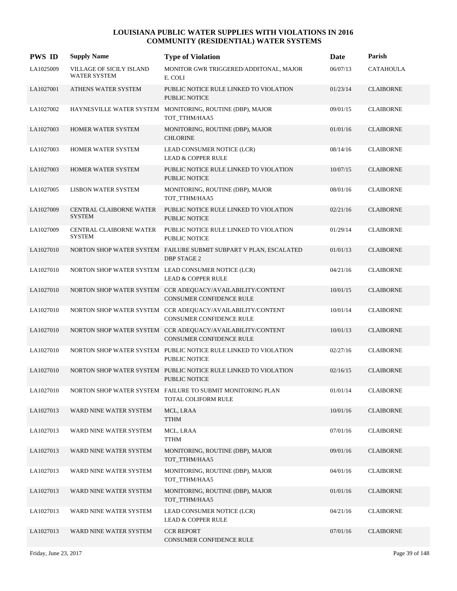| <b>PWS ID</b> | <b>Supply Name</b>                              | <b>Type of Violation</b>                                                                      | <b>Date</b> | Parish           |
|---------------|-------------------------------------------------|-----------------------------------------------------------------------------------------------|-------------|------------------|
| LA1025009     | VILLAGE OF SICILY ISLAND<br><b>WATER SYSTEM</b> | MONITOR GWR TRIGGERED/ADDITONAL, MAJOR<br>E. COLI                                             | 06/07/13    | <b>CATAHOULA</b> |
| LA1027001     | ATHENS WATER SYSTEM                             | PUBLIC NOTICE RULE LINKED TO VIOLATION<br><b>PUBLIC NOTICE</b>                                | 01/23/14    | <b>CLAIBORNE</b> |
| LA1027002     |                                                 | HAYNESVILLE WATER SYSTEM MONITORING, ROUTINE (DBP), MAJOR<br>TOT_TTHM/HAA5                    | 09/01/15    | <b>CLAIBORNE</b> |
| LA1027003     | HOMER WATER SYSTEM                              | MONITORING, ROUTINE (DBP), MAJOR<br><b>CHLORINE</b>                                           | 01/01/16    | <b>CLAIBORNE</b> |
| LA1027003     | HOMER WATER SYSTEM                              | LEAD CONSUMER NOTICE (LCR)<br><b>LEAD &amp; COPPER RULE</b>                                   | 08/14/16    | <b>CLAIBORNE</b> |
| LA1027003     | HOMER WATER SYSTEM                              | PUBLIC NOTICE RULE LINKED TO VIOLATION<br><b>PUBLIC NOTICE</b>                                | 10/07/15    | <b>CLAIBORNE</b> |
| LA1027005     | <b>LISBON WATER SYSTEM</b>                      | MONITORING, ROUTINE (DBP), MAJOR<br>TOT_TTHM/HAA5                                             | 08/01/16    | <b>CLAIBORNE</b> |
| LA1027009     | CENTRAL CLAIBORNE WATER<br><b>SYSTEM</b>        | PUBLIC NOTICE RULE LINKED TO VIOLATION<br>PUBLIC NOTICE                                       | 02/21/16    | <b>CLAIBORNE</b> |
| LA1027009     | <b>CENTRAL CLAIBORNE WATER</b><br><b>SYSTEM</b> | PUBLIC NOTICE RULE LINKED TO VIOLATION<br>PUBLIC NOTICE                                       | 01/29/14    | <b>CLAIBORNE</b> |
| LA1027010     |                                                 | NORTON SHOP WATER SYSTEM FAILURE SUBMIT SUBPART V PLAN, ESCALATED<br><b>DBP STAGE 2</b>       | 01/01/13    | <b>CLAIBORNE</b> |
| LA1027010     |                                                 | NORTON SHOP WATER SYSTEM LEAD CONSUMER NOTICE (LCR)<br><b>LEAD &amp; COPPER RULE</b>          | 04/21/16    | <b>CLAIBORNE</b> |
| LA1027010     |                                                 | NORTON SHOP WATER SYSTEM CCR ADEQUACY/AVAILABILITY/CONTENT<br><b>CONSUMER CONFIDENCE RULE</b> | 10/01/15    | <b>CLAIBORNE</b> |
| LA1027010     |                                                 | NORTON SHOP WATER SYSTEM CCR ADEQUACY/AVAILABILITY/CONTENT<br>CONSUMER CONFIDENCE RULE        | 10/01/14    | <b>CLAIBORNE</b> |
| LA1027010     |                                                 | NORTON SHOP WATER SYSTEM CCR ADEQUACY/AVAILABILITY/CONTENT<br>CONSUMER CONFIDENCE RULE        | 10/01/13    | <b>CLAIBORNE</b> |
| LA1027010     |                                                 | NORTON SHOP WATER SYSTEM PUBLIC NOTICE RULE LINKED TO VIOLATION<br><b>PUBLIC NOTICE</b>       | 02/27/16    | <b>CLAIBORNE</b> |
| LA1027010     |                                                 | NORTON SHOP WATER SYSTEM PUBLIC NOTICE RULE LINKED TO VIOLATION<br><b>PUBLIC NOTICE</b>       | 02/16/15    | <b>CLAIBORNE</b> |
| LA1027010     |                                                 | NORTON SHOP WATER SYSTEM FAILURE TO SUBMIT MONITORING PLAN<br>TOTAL COLIFORM RULE             | 01/01/14    | <b>CLAIBORNE</b> |
| LA1027013     | WARD NINE WATER SYSTEM                          | MCL, LRAA<br>TTHM                                                                             | 10/01/16    | <b>CLAIBORNE</b> |
| LA1027013     | WARD NINE WATER SYSTEM                          | MCL, LRAA<br>TTHM                                                                             | 07/01/16    | <b>CLAIBORNE</b> |
| LA1027013     | WARD NINE WATER SYSTEM                          | MONITORING, ROUTINE (DBP), MAJOR<br>TOT_TTHM/HAA5                                             | 09/01/16    | <b>CLAIBORNE</b> |
| LA1027013     | WARD NINE WATER SYSTEM                          | MONITORING, ROUTINE (DBP), MAJOR<br>TOT_TTHM/HAA5                                             | 04/01/16    | <b>CLAIBORNE</b> |
| LA1027013     | WARD NINE WATER SYSTEM                          | MONITORING, ROUTINE (DBP), MAJOR<br>TOT_TTHM/HAA5                                             | 01/01/16    | <b>CLAIBORNE</b> |
| LA1027013     | WARD NINE WATER SYSTEM                          | LEAD CONSUMER NOTICE (LCR)<br>LEAD & COPPER RULE                                              | 04/21/16    | <b>CLAIBORNE</b> |
| LA1027013     | WARD NINE WATER SYSTEM                          | <b>CCR REPORT</b><br>CONSUMER CONFIDENCE RULE                                                 | 07/01/16    | <b>CLAIBORNE</b> |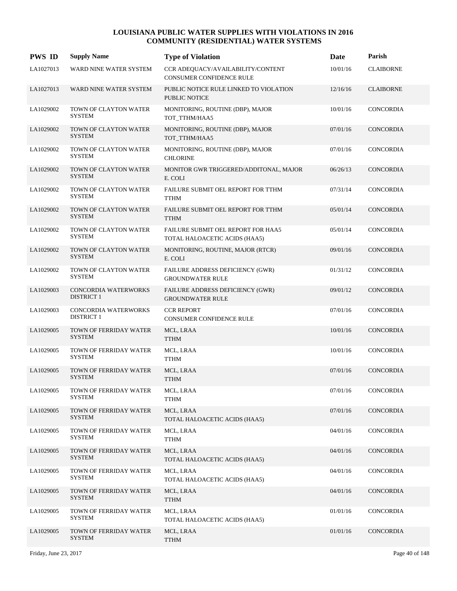| <b>PWS ID</b> | <b>Supply Name</b>                        | <b>Type of Violation</b>                                             | Date     | Parish           |
|---------------|-------------------------------------------|----------------------------------------------------------------------|----------|------------------|
| LA1027013     | WARD NINE WATER SYSTEM                    | CCR ADEQUACY/AVAILABILITY/CONTENT<br><b>CONSUMER CONFIDENCE RULE</b> | 10/01/16 | <b>CLAIBORNE</b> |
| LA1027013     | WARD NINE WATER SYSTEM                    | PUBLIC NOTICE RULE LINKED TO VIOLATION<br><b>PUBLIC NOTICE</b>       | 12/16/16 | <b>CLAIBORNE</b> |
| LA1029002     | TOWN OF CLAYTON WATER<br><b>SYSTEM</b>    | MONITORING, ROUTINE (DBP), MAJOR<br>TOT_TTHM/HAA5                    | 10/01/16 | CONCORDIA        |
| LA1029002     | TOWN OF CLAYTON WATER<br><b>SYSTEM</b>    | MONITORING, ROUTINE (DBP), MAJOR<br>TOT TTHM/HAA5                    | 07/01/16 | CONCORDIA        |
| LA1029002     | TOWN OF CLAYTON WATER<br><b>SYSTEM</b>    | MONITORING, ROUTINE (DBP), MAJOR<br><b>CHLORINE</b>                  | 07/01/16 | CONCORDIA        |
| LA1029002     | TOWN OF CLAYTON WATER<br><b>SYSTEM</b>    | MONITOR GWR TRIGGERED/ADDITONAL, MAJOR<br>E. COLI                    | 06/26/13 | CONCORDIA        |
| LA1029002     | TOWN OF CLAYTON WATER<br><b>SYSTEM</b>    | FAILURE SUBMIT OEL REPORT FOR TTHM<br><b>TTHM</b>                    | 07/31/14 | CONCORDIA        |
| LA1029002     | TOWN OF CLAYTON WATER<br><b>SYSTEM</b>    | FAILURE SUBMIT OEL REPORT FOR TTHM<br><b>TTHM</b>                    | 05/01/14 | <b>CONCORDIA</b> |
| LA1029002     | TOWN OF CLAYTON WATER<br><b>SYSTEM</b>    | FAILURE SUBMIT OEL REPORT FOR HAA5<br>TOTAL HALOACETIC ACIDS (HAA5)  | 05/01/14 | CONCORDIA        |
| LA1029002     | TOWN OF CLAYTON WATER<br><b>SYSTEM</b>    | MONITORING, ROUTINE, MAJOR (RTCR)<br>E. COLI                         | 09/01/16 | <b>CONCORDIA</b> |
| LA1029002     | TOWN OF CLAYTON WATER<br><b>SYSTEM</b>    | FAILURE ADDRESS DEFICIENCY (GWR)<br><b>GROUNDWATER RULE</b>          | 01/31/12 | CONCORDIA        |
| LA1029003     | CONCORDIA WATERWORKS<br><b>DISTRICT 1</b> | FAILURE ADDRESS DEFICIENCY (GWR)<br><b>GROUNDWATER RULE</b>          | 09/01/12 | <b>CONCORDIA</b> |
| LA1029003     | CONCORDIA WATERWORKS<br><b>DISTRICT 1</b> | <b>CCR REPORT</b><br>CONSUMER CONFIDENCE RULE                        | 07/01/16 | CONCORDIA        |
| LA1029005     | TOWN OF FERRIDAY WATER<br><b>SYSTEM</b>   | MCL, LRAA<br><b>TTHM</b>                                             | 10/01/16 | <b>CONCORDIA</b> |
| LA1029005     | TOWN OF FERRIDAY WATER<br><b>SYSTEM</b>   | MCL, LRAA<br><b>TTHM</b>                                             | 10/01/16 | CONCORDIA        |
| LA1029005     | TOWN OF FERRIDAY WATER<br><b>SYSTEM</b>   | MCL, LRAA<br><b>TTHM</b>                                             | 07/01/16 | <b>CONCORDIA</b> |
| LA1029005     | TOWN OF FERRIDAY WATER<br><b>SYSTEM</b>   | MCL, LRAA<br><b>TTHM</b>                                             | 07/01/16 | CONCORDIA        |
| LA1029005     | TOWN OF FERRIDAY WATER<br><b>SYSTEM</b>   | MCL, LRAA<br>TOTAL HALOACETIC ACIDS (HAA5)                           | 07/01/16 | <b>CONCORDIA</b> |
| LA1029005     | TOWN OF FERRIDAY WATER<br><b>SYSTEM</b>   | MCL, LRAA<br><b>TTHM</b>                                             | 04/01/16 | CONCORDIA        |
| LA1029005     | TOWN OF FERRIDAY WATER<br><b>SYSTEM</b>   | MCL, LRAA<br>TOTAL HALOACETIC ACIDS (HAA5)                           | 04/01/16 | CONCORDIA        |
| LA1029005     | TOWN OF FERRIDAY WATER<br><b>SYSTEM</b>   | MCL, LRAA<br>TOTAL HALOACETIC ACIDS (HAA5)                           | 04/01/16 | CONCORDIA        |
| LA1029005     | TOWN OF FERRIDAY WATER<br><b>SYSTEM</b>   | MCL, LRAA<br><b>TTHM</b>                                             | 04/01/16 | <b>CONCORDIA</b> |
| LA1029005     | TOWN OF FERRIDAY WATER<br><b>SYSTEM</b>   | MCL, LRAA<br>TOTAL HALOACETIC ACIDS (HAA5)                           | 01/01/16 | CONCORDIA        |
| LA1029005     | TOWN OF FERRIDAY WATER<br><b>SYSTEM</b>   | MCL, LRAA<br><b>TTHM</b>                                             | 01/01/16 | <b>CONCORDIA</b> |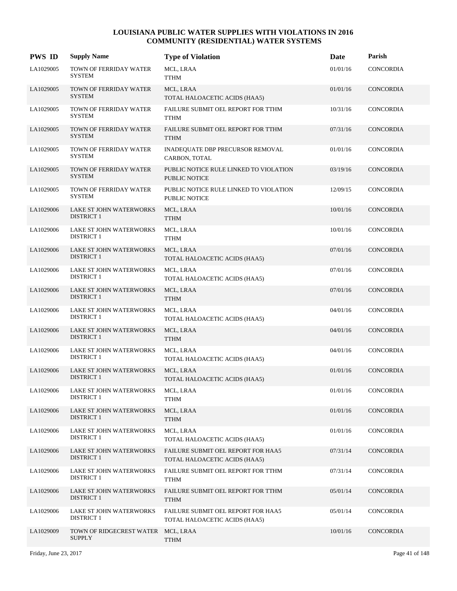| <b>PWS ID</b> | <b>Supply Name</b>                           | <b>Type of Violation</b>                                            | <b>Date</b> | Parish           |
|---------------|----------------------------------------------|---------------------------------------------------------------------|-------------|------------------|
| LA1029005     | TOWN OF FERRIDAY WATER<br><b>SYSTEM</b>      | MCL, LRAA<br><b>TTHM</b>                                            | 01/01/16    | <b>CONCORDIA</b> |
| LA1029005     | TOWN OF FERRIDAY WATER<br><b>SYSTEM</b>      | MCL, LRAA<br>TOTAL HALOACETIC ACIDS (HAA5)                          | 01/01/16    | CONCORDIA        |
| LA1029005     | TOWN OF FERRIDAY WATER<br><b>SYSTEM</b>      | FAILURE SUBMIT OEL REPORT FOR TTHM<br><b>TTHM</b>                   | 10/31/16    | CONCORDIA        |
| LA1029005     | TOWN OF FERRIDAY WATER<br><b>SYSTEM</b>      | FAILURE SUBMIT OEL REPORT FOR TTHM<br><b>TTHM</b>                   | 07/31/16    | CONCORDIA        |
| LA1029005     | TOWN OF FERRIDAY WATER<br><b>SYSTEM</b>      | INADEQUATE DBP PRECURSOR REMOVAL<br>CARBON, TOTAL                   | 01/01/16    | <b>CONCORDIA</b> |
| LA1029005     | TOWN OF FERRIDAY WATER<br><b>SYSTEM</b>      | PUBLIC NOTICE RULE LINKED TO VIOLATION<br><b>PUBLIC NOTICE</b>      | 03/19/16    | CONCORDIA        |
| LA1029005     | TOWN OF FERRIDAY WATER<br><b>SYSTEM</b>      | PUBLIC NOTICE RULE LINKED TO VIOLATION<br>PUBLIC NOTICE             | 12/09/15    | CONCORDIA        |
| LA1029006     | LAKE ST JOHN WATERWORKS<br><b>DISTRICT 1</b> | MCL, LRAA<br><b>TTHM</b>                                            | 10/01/16    | CONCORDIA        |
| LA1029006     | LAKE ST JOHN WATERWORKS<br>DISTRICT 1        | MCL, LRAA<br><b>TTHM</b>                                            | 10/01/16    | CONCORDIA        |
| LA1029006     | LAKE ST JOHN WATERWORKS<br><b>DISTRICT 1</b> | MCL, LRAA<br>TOTAL HALOACETIC ACIDS (HAA5)                          | 07/01/16    | CONCORDIA        |
| LA1029006     | LAKE ST JOHN WATERWORKS<br><b>DISTRICT 1</b> | MCL, LRAA<br>TOTAL HALOACETIC ACIDS (HAA5)                          | 07/01/16    | CONCORDIA        |
| LA1029006     | LAKE ST JOHN WATERWORKS<br><b>DISTRICT 1</b> | MCL, LRAA<br><b>TTHM</b>                                            | 07/01/16    | <b>CONCORDIA</b> |
| LA1029006     | LAKE ST JOHN WATERWORKS<br><b>DISTRICT 1</b> | MCL, LRAA<br>TOTAL HALOACETIC ACIDS (HAA5)                          | 04/01/16    | CONCORDIA        |
| LA1029006     | LAKE ST JOHN WATERWORKS<br><b>DISTRICT 1</b> | MCL, LRAA<br><b>TTHM</b>                                            | 04/01/16    | <b>CONCORDIA</b> |
| LA1029006     | LAKE ST JOHN WATERWORKS<br><b>DISTRICT 1</b> | MCL, LRAA<br>TOTAL HALOACETIC ACIDS (HAA5)                          | 04/01/16    | CONCORDIA        |
| LA1029006     | LAKE ST JOHN WATERWORKS<br><b>DISTRICT 1</b> | MCL, LRAA<br>TOTAL HALOACETIC ACIDS (HAA5)                          | 01/01/16    | <b>CONCORDIA</b> |
| LA1029006     | LAKE ST JOHN WATERWORKS<br><b>DISTRICT 1</b> | MCL, LRAA<br><b>TTHM</b>                                            | 01/01/16    | CONCORDIA        |
| LA1029006     | LAKE ST JOHN WATERWORKS<br><b>DISTRICT 1</b> | MCL, LRAA<br><b>TTHM</b>                                            | 01/01/16    | <b>CONCORDIA</b> |
| LA1029006     | LAKE ST JOHN WATERWORKS<br><b>DISTRICT 1</b> | MCL, LRAA<br>TOTAL HALOACETIC ACIDS (HAA5)                          | 01/01/16    | CONCORDIA        |
| LA1029006     | LAKE ST JOHN WATERWORKS<br><b>DISTRICT 1</b> | FAILURE SUBMIT OEL REPORT FOR HAA5<br>TOTAL HALOACETIC ACIDS (HAA5) | 07/31/14    | <b>CONCORDIA</b> |
| LA1029006     | LAKE ST JOHN WATERWORKS<br><b>DISTRICT 1</b> | FAILURE SUBMIT OEL REPORT FOR TTHM<br><b>TTHM</b>                   | 07/31/14    | CONCORDIA        |
| LA1029006     | LAKE ST JOHN WATERWORKS<br><b>DISTRICT 1</b> | FAILURE SUBMIT OEL REPORT FOR TTHM<br><b>TTHM</b>                   | 05/01/14    | CONCORDIA        |
| LA1029006     | LAKE ST JOHN WATERWORKS<br><b>DISTRICT 1</b> | FAILURE SUBMIT OEL REPORT FOR HAA5<br>TOTAL HALOACETIC ACIDS (HAA5) | 05/01/14    | CONCORDIA        |
| LA1029009     | TOWN OF RIDGECREST WATER<br><b>SUPPLY</b>    | MCL, LRAA<br><b>TTHM</b>                                            | 10/01/16    | <b>CONCORDIA</b> |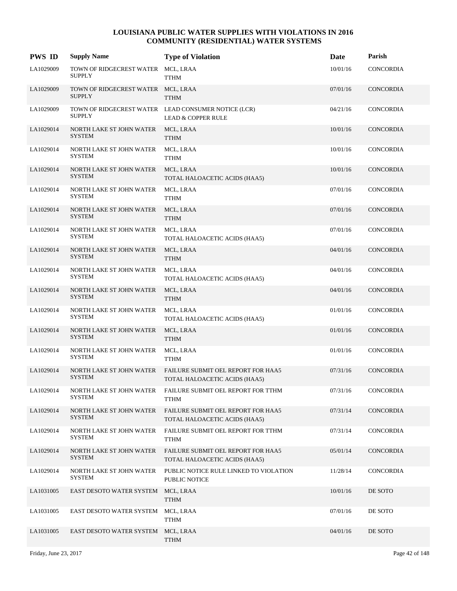| <b>PWS ID</b> | <b>Supply Name</b>                                  | <b>Type of Violation</b>                                                             | Date     | Parish           |
|---------------|-----------------------------------------------------|--------------------------------------------------------------------------------------|----------|------------------|
| LA1029009     | TOWN OF RIDGECREST WATER<br><b>SUPPLY</b>           | MCL, LRAA<br><b>TTHM</b>                                                             | 10/01/16 | <b>CONCORDIA</b> |
| LA1029009     | TOWN OF RIDGECREST WATER MCL, LRAA<br><b>SUPPLY</b> | <b>TTHM</b>                                                                          | 07/01/16 | CONCORDIA        |
| LA1029009     | <b>SUPPLY</b>                                       | TOWN OF RIDGECREST WATER LEAD CONSUMER NOTICE (LCR)<br><b>LEAD &amp; COPPER RULE</b> | 04/21/16 | CONCORDIA        |
| LA1029014     | NORTH LAKE ST JOHN WATER<br><b>SYSTEM</b>           | MCL, LRAA<br><b>TTHM</b>                                                             | 10/01/16 | CONCORDIA        |
| LA1029014     | NORTH LAKE ST JOHN WATER<br><b>SYSTEM</b>           | MCL, LRAA<br><b>TTHM</b>                                                             | 10/01/16 | CONCORDIA        |
| LA1029014     | NORTH LAKE ST JOHN WATER<br><b>SYSTEM</b>           | MCL, LRAA<br>TOTAL HALOACETIC ACIDS (HAA5)                                           | 10/01/16 | CONCORDIA        |
| LA1029014     | NORTH LAKE ST JOHN WATER<br><b>SYSTEM</b>           | MCL, LRAA<br><b>TTHM</b>                                                             | 07/01/16 | CONCORDIA        |
| LA1029014     | NORTH LAKE ST JOHN WATER<br><b>SYSTEM</b>           | MCL, LRAA<br><b>TTHM</b>                                                             | 07/01/16 | CONCORDIA        |
| LA1029014     | NORTH LAKE ST JOHN WATER<br><b>SYSTEM</b>           | MCL, LRAA<br>TOTAL HALOACETIC ACIDS (HAA5)                                           | 07/01/16 | <b>CONCORDIA</b> |
| LA1029014     | NORTH LAKE ST JOHN WATER<br><b>SYSTEM</b>           | MCL, LRAA<br><b>TTHM</b>                                                             | 04/01/16 | <b>CONCORDIA</b> |
| LA1029014     | NORTH LAKE ST JOHN WATER<br><b>SYSTEM</b>           | MCL, LRAA<br>TOTAL HALOACETIC ACIDS (HAA5)                                           | 04/01/16 | CONCORDIA        |
| LA1029014     | NORTH LAKE ST JOHN WATER<br><b>SYSTEM</b>           | MCL, LRAA<br><b>TTHM</b>                                                             | 04/01/16 | CONCORDIA        |
| LA1029014     | NORTH LAKE ST JOHN WATER<br><b>SYSTEM</b>           | MCL, LRAA<br>TOTAL HALOACETIC ACIDS (HAA5)                                           | 01/01/16 | CONCORDIA        |
| LA1029014     | NORTH LAKE ST JOHN WATER<br><b>SYSTEM</b>           | MCL, LRAA<br><b>TTHM</b>                                                             | 01/01/16 | CONCORDIA        |
| LA1029014     | NORTH LAKE ST JOHN WATER<br><b>SYSTEM</b>           | MCL, LRAA<br><b>TTHM</b>                                                             | 01/01/16 | CONCORDIA        |
| LA1029014     | NORTH LAKE ST JOHN WATER<br><b>SYSTEM</b>           | FAILURE SUBMIT OEL REPORT FOR HAA5<br>TOTAL HALOACETIC ACIDS (HAA5)                  | 07/31/16 | <b>CONCORDIA</b> |
| LA1029014     | NORTH LAKE ST JOHN WATER<br>SYSTEM                  | FAILURE SUBMIT OEL REPORT FOR TTHM<br><b>TTHM</b>                                    | 07/31/16 | CONCORDIA        |
| LA1029014     | NORTH LAKE ST JOHN WATER<br><b>SYSTEM</b>           | <b>FAILURE SUBMIT OEL REPORT FOR HAA5</b><br>TOTAL HALOACETIC ACIDS (HAA5)           | 07/31/14 | CONCORDIA        |
| LA1029014     | NORTH LAKE ST JOHN WATER<br><b>SYSTEM</b>           | FAILURE SUBMIT OEL REPORT FOR TTHM<br><b>TTHM</b>                                    | 07/31/14 | CONCORDIA        |
| LA1029014     | NORTH LAKE ST JOHN WATER<br><b>SYSTEM</b>           | FAILURE SUBMIT OEL REPORT FOR HAA5<br>TOTAL HALOACETIC ACIDS (HAA5)                  | 05/01/14 | CONCORDIA        |
| LA1029014     | NORTH LAKE ST JOHN WATER<br><b>SYSTEM</b>           | PUBLIC NOTICE RULE LINKED TO VIOLATION<br>PUBLIC NOTICE                              | 11/28/14 | CONCORDIA        |
| LA1031005     | EAST DESOTO WATER SYSTEM                            | MCL, LRAA<br><b>TTHM</b>                                                             | 10/01/16 | DE SOTO          |
| LA1031005     | EAST DESOTO WATER SYSTEM                            | MCL, LRAA<br>TTHM                                                                    | 07/01/16 | DE SOTO          |
| LA1031005     | EAST DESOTO WATER SYSTEM                            | MCL, LRAA<br><b>TTHM</b>                                                             | 04/01/16 | DE SOTO          |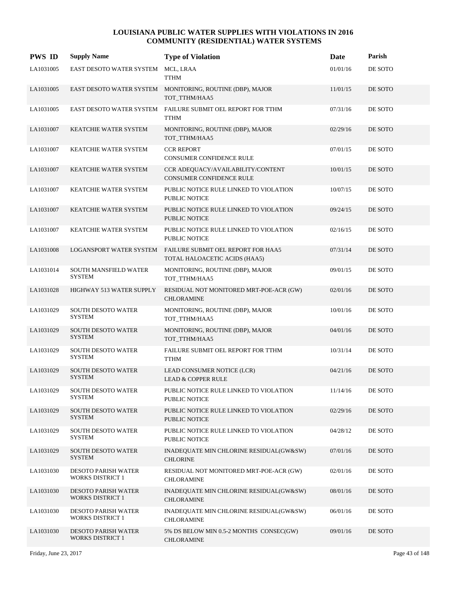| <b>PWS ID</b> | <b>Supply Name</b>                                    | <b>Type of Violation</b>                                                   | Date     | Parish  |
|---------------|-------------------------------------------------------|----------------------------------------------------------------------------|----------|---------|
| LA1031005     | EAST DESOTO WATER SYSTEM                              | MCL, LRAA<br><b>TTHM</b>                                                   | 01/01/16 | DE SOTO |
| LA1031005     |                                                       | EAST DESOTO WATER SYSTEM MONITORING, ROUTINE (DBP), MAJOR<br>TOT_TTHM/HAA5 | 11/01/15 | DE SOTO |
| LA1031005     | EAST DESOTO WATER SYSTEM                              | FAILURE SUBMIT OEL REPORT FOR TTHM<br><b>TTHM</b>                          | 07/31/16 | DE SOTO |
| LA1031007     | <b>KEATCHIE WATER SYSTEM</b>                          | MONITORING, ROUTINE (DBP), MAJOR<br>TOT TTHM/HAA5                          | 02/29/16 | DE SOTO |
| LA1031007     | KEATCHIE WATER SYSTEM                                 | <b>CCR REPORT</b><br><b>CONSUMER CONFIDENCE RULE</b>                       | 07/01/15 | DE SOTO |
| LA1031007     | KEATCHIE WATER SYSTEM                                 | CCR ADEQUACY/AVAILABILITY/CONTENT<br><b>CONSUMER CONFIDENCE RULE</b>       | 10/01/15 | DE SOTO |
| LA1031007     | KEATCHIE WATER SYSTEM                                 | PUBLIC NOTICE RULE LINKED TO VIOLATION<br><b>PUBLIC NOTICE</b>             | 10/07/15 | DE SOTO |
| LA1031007     | <b>KEATCHIE WATER SYSTEM</b>                          | PUBLIC NOTICE RULE LINKED TO VIOLATION<br><b>PUBLIC NOTICE</b>             | 09/24/15 | DE SOTO |
| LA1031007     | KEATCHIE WATER SYSTEM                                 | PUBLIC NOTICE RULE LINKED TO VIOLATION<br>PUBLIC NOTICE                    | 02/16/15 | DE SOTO |
| LA1031008     | LOGANSPORT WATER SYSTEM                               | FAILURE SUBMIT OEL REPORT FOR HAA5<br>TOTAL HALOACETIC ACIDS (HAA5)        | 07/31/14 | DE SOTO |
| LA1031014     | SOUTH MANSFIELD WATER<br><b>SYSTEM</b>                | MONITORING, ROUTINE (DBP), MAJOR<br>TOT_TTHM/HAA5                          | 09/01/15 | DE SOTO |
| LA1031028     | HIGHWAY 513 WATER SUPPLY                              | RESIDUAL NOT MONITORED MRT-POE-ACR (GW)<br><b>CHLORAMINE</b>               | 02/01/16 | DE SOTO |
| LA1031029     | SOUTH DESOTO WATER<br><b>SYSTEM</b>                   | MONITORING, ROUTINE (DBP), MAJOR<br>TOT_TTHM/HAA5                          | 10/01/16 | DE SOTO |
| LA1031029     | SOUTH DESOTO WATER<br><b>SYSTEM</b>                   | MONITORING, ROUTINE (DBP), MAJOR<br>TOT_TTHM/HAA5                          | 04/01/16 | DE SOTO |
| LA1031029     | <b>SOUTH DESOTO WATER</b><br><b>SYSTEM</b>            | FAILURE SUBMIT OEL REPORT FOR TTHM<br><b>TTHM</b>                          | 10/31/14 | DE SOTO |
| LA1031029     | SOUTH DESOTO WATER<br><b>SYSTEM</b>                   | LEAD CONSUMER NOTICE (LCR)<br><b>LEAD &amp; COPPER RULE</b>                | 04/21/16 | DE SOTO |
| LA1031029     | SOUTH DESOTO WATER<br><b>SYSTEM</b>                   | PUBLIC NOTICE RULE LINKED TO VIOLATION<br>PUBLIC NOTICE                    | 11/14/16 | DE SOTO |
| LA1031029     | SOUTH DESOTO WATER<br><b>SYSTEM</b>                   | PUBLIC NOTICE RULE LINKED TO VIOLATION<br>PUBLIC NOTICE                    | 02/29/16 | DE SOTO |
| LA1031029     | <b>SOUTH DESOTO WATER</b><br><b>SYSTEM</b>            | PUBLIC NOTICE RULE LINKED TO VIOLATION<br>PUBLIC NOTICE                    | 04/28/12 | DE SOTO |
| LA1031029     | SOUTH DESOTO WATER<br><b>SYSTEM</b>                   | INADEQUATE MIN CHLORINE RESIDUAL(GW&SW)<br><b>CHLORINE</b>                 | 07/01/16 | DE SOTO |
| LA1031030     | <b>DESOTO PARISH WATER</b><br><b>WORKS DISTRICT 1</b> | RESIDUAL NOT MONITORED MRT-POE-ACR (GW)<br><b>CHLORAMINE</b>               | 02/01/16 | DE SOTO |
| LA1031030     | <b>DESOTO PARISH WATER</b><br>WORKS DISTRICT 1        | INADEQUATE MIN CHLORINE RESIDUAL(GW&SW)<br><b>CHLORAMINE</b>               | 08/01/16 | DE SOTO |
| LA1031030     | <b>DESOTO PARISH WATER</b><br>WORKS DISTRICT 1        | INADEQUATE MIN CHLORINE RESIDUAL(GW&SW)<br><b>CHLORAMINE</b>               | 06/01/16 | DE SOTO |
| LA1031030     | <b>DESOTO PARISH WATER</b><br><b>WORKS DISTRICT 1</b> | 5% DS BELOW MIN 0.5-2 MONTHS CONSEC(GW)<br><b>CHLORAMINE</b>               | 09/01/16 | DE SOTO |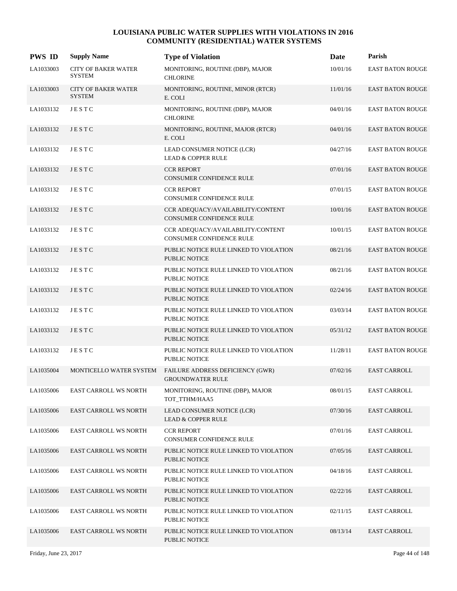| <b>PWS ID</b> | <b>Supply Name</b>                          | <b>Type of Violation</b>                                       | Date     | Parish                  |
|---------------|---------------------------------------------|----------------------------------------------------------------|----------|-------------------------|
| LA1033003     | <b>CITY OF BAKER WATER</b><br><b>SYSTEM</b> | MONITORING, ROUTINE (DBP), MAJOR<br><b>CHLORINE</b>            | 10/01/16 | EAST BATON ROUGE        |
| LA1033003     | <b>CITY OF BAKER WATER</b><br><b>SYSTEM</b> | MONITORING, ROUTINE, MINOR (RTCR)<br>E. COLI                   | 11/01/16 | <b>EAST BATON ROUGE</b> |
| LA1033132     | JESTC                                       | MONITORING, ROUTINE (DBP), MAJOR<br><b>CHLORINE</b>            | 04/01/16 | <b>EAST BATON ROUGE</b> |
| LA1033132     | JESTC                                       | MONITORING, ROUTINE, MAJOR (RTCR)<br>E. COLI                   | 04/01/16 | <b>EAST BATON ROUGE</b> |
| LA1033132     | JESTC                                       | LEAD CONSUMER NOTICE (LCR)<br><b>LEAD &amp; COPPER RULE</b>    | 04/27/16 | <b>EAST BATON ROUGE</b> |
| LA1033132     | JESTC                                       | <b>CCR REPORT</b><br>CONSUMER CONFIDENCE RULE                  | 07/01/16 | <b>EAST BATON ROUGE</b> |
| LA1033132     | JESTC                                       | <b>CCR REPORT</b><br>CONSUMER CONFIDENCE RULE                  | 07/01/15 | <b>EAST BATON ROUGE</b> |
| LA1033132     | JESTC                                       | CCR ADEQUACY/AVAILABILITY/CONTENT<br>CONSUMER CONFIDENCE RULE  | 10/01/16 | <b>EAST BATON ROUGE</b> |
| LA1033132     | JESTC                                       | CCR ADEQUACY/AVAILABILITY/CONTENT<br>CONSUMER CONFIDENCE RULE  | 10/01/15 | <b>EAST BATON ROUGE</b> |
| LA1033132     | JESTC                                       | PUBLIC NOTICE RULE LINKED TO VIOLATION<br><b>PUBLIC NOTICE</b> | 08/21/16 | <b>EAST BATON ROUGE</b> |
| LA1033132     | JESTC                                       | PUBLIC NOTICE RULE LINKED TO VIOLATION<br><b>PUBLIC NOTICE</b> | 08/21/16 | <b>EAST BATON ROUGE</b> |
| LA1033132     | JESTC                                       | PUBLIC NOTICE RULE LINKED TO VIOLATION<br>PUBLIC NOTICE        | 02/24/16 | <b>EAST BATON ROUGE</b> |
| LA1033132     | <b>JESTC</b>                                | PUBLIC NOTICE RULE LINKED TO VIOLATION<br>PUBLIC NOTICE        | 03/03/14 | <b>EAST BATON ROUGE</b> |
| LA1033132     | JESTC                                       | PUBLIC NOTICE RULE LINKED TO VIOLATION<br><b>PUBLIC NOTICE</b> | 05/31/12 | <b>EAST BATON ROUGE</b> |
| LA1033132     | JESTC                                       | PUBLIC NOTICE RULE LINKED TO VIOLATION<br><b>PUBLIC NOTICE</b> | 11/28/11 | <b>EAST BATON ROUGE</b> |
| LA1035004     | MONTICELLO WATER SYSTEM                     | FAILURE ADDRESS DEFICIENCY (GWR)<br><b>GROUNDWATER RULE</b>    | 07/02/16 | <b>EAST CARROLL</b>     |
| LA1035006     | <b>EAST CARROLL WS NORTH</b>                | MONITORING, ROUTINE (DBP), MAJOR<br>TOT TTHM/HAA5              | 08/01/15 | <b>EAST CARROLL</b>     |
| LA1035006     | <b>EAST CARROLL WS NORTH</b>                | LEAD CONSUMER NOTICE (LCR)<br><b>LEAD &amp; COPPER RULE</b>    | 07/30/16 | <b>EAST CARROLL</b>     |
| LA1035006     | <b>EAST CARROLL WS NORTH</b>                | <b>CCR REPORT</b><br>CONSUMER CONFIDENCE RULE                  | 07/01/16 | EAST CARROLL            |
| LA1035006     | EAST CARROLL WS NORTH                       | PUBLIC NOTICE RULE LINKED TO VIOLATION<br>PUBLIC NOTICE        | 07/05/16 | <b>EAST CARROLL</b>     |
| LA1035006     | <b>EAST CARROLL WS NORTH</b>                | PUBLIC NOTICE RULE LINKED TO VIOLATION<br>PUBLIC NOTICE        | 04/18/16 | <b>EAST CARROLL</b>     |
| LA1035006     | <b>EAST CARROLL WS NORTH</b>                | PUBLIC NOTICE RULE LINKED TO VIOLATION<br>PUBLIC NOTICE        | 02/22/16 | EAST CARROLL            |
| LA1035006     | <b>EAST CARROLL WS NORTH</b>                | PUBLIC NOTICE RULE LINKED TO VIOLATION<br>PUBLIC NOTICE        | 02/11/15 | EAST CARROLL            |
| LA1035006     | <b>EAST CARROLL WS NORTH</b>                | PUBLIC NOTICE RULE LINKED TO VIOLATION<br>PUBLIC NOTICE        | 08/13/14 | <b>EAST CARROLL</b>     |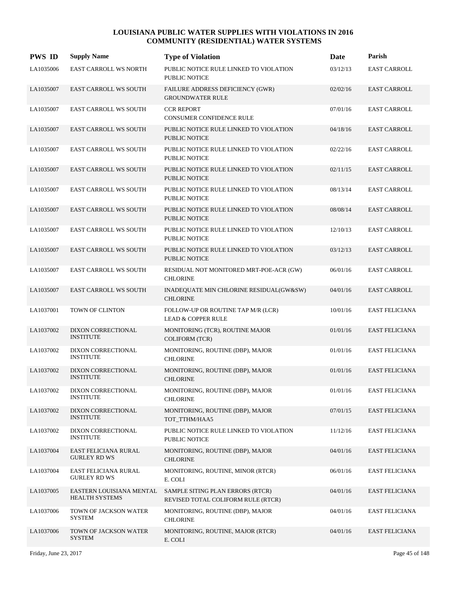| <b>PWS ID</b> | <b>Supply Name</b>                          | <b>Type of Violation</b>                                               | <b>Date</b> | Parish                |
|---------------|---------------------------------------------|------------------------------------------------------------------------|-------------|-----------------------|
| LA1035006     | EAST CARROLL WS NORTH                       | PUBLIC NOTICE RULE LINKED TO VIOLATION<br><b>PUBLIC NOTICE</b>         | 03/12/13    | <b>EAST CARROLL</b>   |
| LA1035007     | <b>EAST CARROLL WS SOUTH</b>                | FAILURE ADDRESS DEFICIENCY (GWR)<br><b>GROUNDWATER RULE</b>            | 02/02/16    | <b>EAST CARROLL</b>   |
| LA1035007     | <b>EAST CARROLL WS SOUTH</b>                | <b>CCR REPORT</b><br>CONSUMER CONFIDENCE RULE                          | 07/01/16    | <b>EAST CARROLL</b>   |
| LA1035007     | <b>EAST CARROLL WS SOUTH</b>                | PUBLIC NOTICE RULE LINKED TO VIOLATION<br><b>PUBLIC NOTICE</b>         | 04/18/16    | <b>EAST CARROLL</b>   |
| LA1035007     | <b>EAST CARROLL WS SOUTH</b>                | PUBLIC NOTICE RULE LINKED TO VIOLATION<br>PUBLIC NOTICE                | 02/22/16    | <b>EAST CARROLL</b>   |
| LA1035007     | <b>EAST CARROLL WS SOUTH</b>                | PUBLIC NOTICE RULE LINKED TO VIOLATION<br><b>PUBLIC NOTICE</b>         | 02/11/15    | <b>EAST CARROLL</b>   |
| LA1035007     | <b>EAST CARROLL WS SOUTH</b>                | PUBLIC NOTICE RULE LINKED TO VIOLATION<br>PUBLIC NOTICE                | 08/13/14    | <b>EAST CARROLL</b>   |
| LA1035007     | <b>EAST CARROLL WS SOUTH</b>                | PUBLIC NOTICE RULE LINKED TO VIOLATION<br><b>PUBLIC NOTICE</b>         | 08/08/14    | <b>EAST CARROLL</b>   |
| LA1035007     | <b>EAST CARROLL WS SOUTH</b>                | PUBLIC NOTICE RULE LINKED TO VIOLATION<br><b>PUBLIC NOTICE</b>         | 12/10/13    | <b>EAST CARROLL</b>   |
| LA1035007     | <b>EAST CARROLL WS SOUTH</b>                | PUBLIC NOTICE RULE LINKED TO VIOLATION<br><b>PUBLIC NOTICE</b>         | 03/12/13    | <b>EAST CARROLL</b>   |
| LA1035007     | <b>EAST CARROLL WS SOUTH</b>                | RESIDUAL NOT MONITORED MRT-POE-ACR (GW)<br><b>CHLORINE</b>             | 06/01/16    | <b>EAST CARROLL</b>   |
| LA1035007     | <b>EAST CARROLL WS SOUTH</b>                | INADEQUATE MIN CHLORINE RESIDUAL(GW&SW)<br><b>CHLORINE</b>             | 04/01/16    | <b>EAST CARROLL</b>   |
| LA1037001     | TOWN OF CLINTON                             | FOLLOW-UP OR ROUTINE TAP M/R (LCR)<br><b>LEAD &amp; COPPER RULE</b>    | 10/01/16    | <b>EAST FELICIANA</b> |
| LA1037002     | DIXON CORRECTIONAL<br><b>INSTITUTE</b>      | MONITORING (TCR), ROUTINE MAJOR<br><b>COLIFORM (TCR)</b>               | 01/01/16    | <b>EAST FELICIANA</b> |
| LA1037002     | DIXON CORRECTIONAL<br><b>INSTITUTE</b>      | MONITORING, ROUTINE (DBP), MAJOR<br><b>CHLORINE</b>                    | 01/01/16    | <b>EAST FELICIANA</b> |
| LA1037002     | DIXON CORRECTIONAL<br><b>INSTITUTE</b>      | MONITORING, ROUTINE (DBP), MAJOR<br><b>CHLORINE</b>                    | 01/01/16    | <b>EAST FELICIANA</b> |
| LA1037002     | DIXON CORRECTIONAL<br><b>INSTITUTE</b>      | MONITORING, ROUTINE (DBP), MAJOR<br><b>CHLORINE</b>                    | 01/01/16    | <b>EAST FELICIANA</b> |
| LA1037002     | DIXON CORRECTIONAL<br><b>INSTITUTE</b>      | MONITORING, ROUTINE (DBP), MAJOR<br>TOT_TTHM/HAA5                      | 07/01/15    | <b>EAST FELICIANA</b> |
| LA1037002     | DIXON CORRECTIONAL<br><b>INSTITUTE</b>      | PUBLIC NOTICE RULE LINKED TO VIOLATION<br>PUBLIC NOTICE                | 11/12/16    | <b>EAST FELICIANA</b> |
| LA1037004     | EAST FELICIANA RURAL<br><b>GURLEY RD WS</b> | MONITORING, ROUTINE (DBP), MAJOR<br><b>CHLORINE</b>                    | 04/01/16    | <b>EAST FELICIANA</b> |
| LA1037004     | EAST FELICIANA RURAL<br><b>GURLEY RD WS</b> | MONITORING, ROUTINE, MINOR (RTCR)<br>E. COLI                           | 06/01/16    | EAST FELICIANA        |
| LA1037005     | EASTERN LOUISIANA MENTAL<br>HEALTH SYSTEMS  | SAMPLE SITING PLAN ERRORS (RTCR)<br>REVISED TOTAL COLIFORM RULE (RTCR) | 04/01/16    | <b>EAST FELICIANA</b> |
| LA1037006     | TOWN OF JACKSON WATER<br><b>SYSTEM</b>      | MONITORING, ROUTINE (DBP), MAJOR<br><b>CHLORINE</b>                    | 04/01/16    | <b>EAST FELICIANA</b> |
| LA1037006     | TOWN OF JACKSON WATER<br><b>SYSTEM</b>      | MONITORING, ROUTINE, MAJOR (RTCR)<br>E. COLI                           | 04/01/16    | <b>EAST FELICIANA</b> |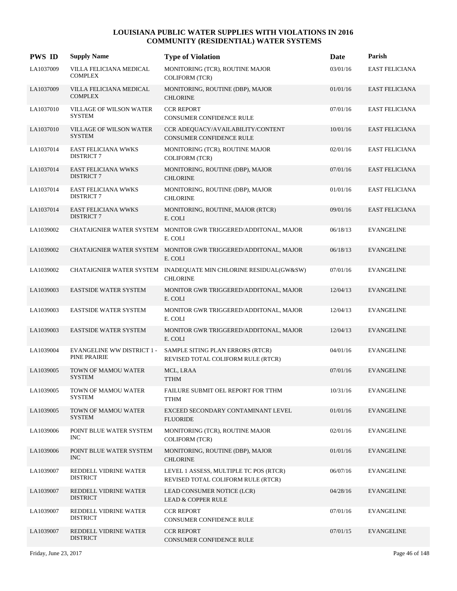| <b>PWS ID</b> | <b>Supply Name</b>                                | <b>Type of Violation</b>                                                            | Date     | Parish                |
|---------------|---------------------------------------------------|-------------------------------------------------------------------------------------|----------|-----------------------|
| LA1037009     | VILLA FELICIANA MEDICAL<br><b>COMPLEX</b>         | MONITORING (TCR), ROUTINE MAJOR<br><b>COLIFORM (TCR)</b>                            | 03/01/16 | <b>EAST FELICIANA</b> |
| LA1037009     | VILLA FELICIANA MEDICAL<br><b>COMPLEX</b>         | MONITORING, ROUTINE (DBP), MAJOR<br><b>CHLORINE</b>                                 | 01/01/16 | <b>EAST FELICIANA</b> |
| LA1037010     | <b>VILLAGE OF WILSON WATER</b><br><b>SYSTEM</b>   | <b>CCR REPORT</b><br>CONSUMER CONFIDENCE RULE                                       | 07/01/16 | <b>EAST FELICIANA</b> |
| LA1037010     | <b>VILLAGE OF WILSON WATER</b><br><b>SYSTEM</b>   | CCR ADEOUACY/AVAILABILITY/CONTENT<br><b>CONSUMER CONFIDENCE RULE</b>                | 10/01/16 | <b>EAST FELICIANA</b> |
| LA1037014     | <b>EAST FELICIANA WWKS</b><br><b>DISTRICT 7</b>   | MONITORING (TCR), ROUTINE MAJOR<br><b>COLIFORM (TCR)</b>                            | 02/01/16 | <b>EAST FELICIANA</b> |
| LA1037014     | <b>EAST FELICIANA WWKS</b><br><b>DISTRICT 7</b>   | MONITORING, ROUTINE (DBP), MAJOR<br><b>CHLORINE</b>                                 | 07/01/16 | <b>EAST FELICIANA</b> |
| LA1037014     | <b>EAST FELICIANA WWKS</b><br><b>DISTRICT 7</b>   | MONITORING, ROUTINE (DBP), MAJOR<br><b>CHLORINE</b>                                 | 01/01/16 | <b>EAST FELICIANA</b> |
| LA1037014     | <b>EAST FELICIANA WWKS</b><br><b>DISTRICT 7</b>   | MONITORING, ROUTINE, MAJOR (RTCR)<br>E. COLI                                        | 09/01/16 | <b>EAST FELICIANA</b> |
| LA1039002     |                                                   | CHATAIGNIER WATER SYSTEM MONITOR GWR TRIGGERED/ADDITONAL, MAJOR<br>E. COLI          | 06/18/13 | <b>EVANGELINE</b>     |
| LA1039002     |                                                   | CHATAIGNIER WATER SYSTEM MONITOR GWR TRIGGERED/ADDITONAL, MAJOR<br>E. COLI          | 06/18/13 | <b>EVANGELINE</b>     |
| LA1039002     |                                                   | CHATAIGNIER WATER SYSTEM INADEQUATE MIN CHLORINE RESIDUAL(GW&SW)<br><b>CHLORINE</b> | 07/01/16 | <b>EVANGELINE</b>     |
| LA1039003     | <b>EASTSIDE WATER SYSTEM</b>                      | MONITOR GWR TRIGGERED/ADDITONAL, MAJOR<br>E. COLI                                   | 12/04/13 | <b>EVANGELINE</b>     |
| LA1039003     | <b>EASTSIDE WATER SYSTEM</b>                      | MONITOR GWR TRIGGERED/ADDITONAL, MAJOR<br>E. COLI                                   | 12/04/13 | <b>EVANGELINE</b>     |
| LA1039003     | EASTSIDE WATER SYSTEM                             | MONITOR GWR TRIGGERED/ADDITONAL, MAJOR<br>E. COLI                                   | 12/04/13 | <b>EVANGELINE</b>     |
| LA1039004     | <b>EVANGELINE WW DISTRICT 1 -</b><br>PINE PRAIRIE | SAMPLE SITING PLAN ERRORS (RTCR)<br>REVISED TOTAL COLIFORM RULE (RTCR)              | 04/01/16 | <b>EVANGELINE</b>     |
| LA1039005     | TOWN OF MAMOU WATER<br><b>SYSTEM</b>              | MCL, LRAA<br><b>TTHM</b>                                                            | 07/01/16 | <b>EVANGELINE</b>     |
| LA1039005     | TOWN OF MAMOU WATER<br><b>SYSTEM</b>              | FAILURE SUBMIT OEL REPORT FOR TTHM<br><b>TTHM</b>                                   | 10/31/16 | <b>EVANGELINE</b>     |
| LA1039005     | TOWN OF MAMOU WATER<br><b>SYSTEM</b>              | EXCEED SECONDARY CONTAMINANT LEVEL<br><b>FLUORIDE</b>                               | 01/01/16 | <b>EVANGELINE</b>     |
| LA1039006     | POINT BLUE WATER SYSTEM<br>INC.                   | MONITORING (TCR), ROUTINE MAJOR<br><b>COLIFORM (TCR)</b>                            | 02/01/16 | <b>EVANGELINE</b>     |
| LA1039006     | POINT BLUE WATER SYSTEM<br>INC.                   | MONITORING, ROUTINE (DBP), MAJOR<br><b>CHLORINE</b>                                 | 01/01/16 | <b>EVANGELINE</b>     |
| LA1039007     | REDDELL VIDRINE WATER<br><b>DISTRICT</b>          | LEVEL 1 ASSESS, MULTIPLE TC POS (RTCR)<br>REVISED TOTAL COLIFORM RULE (RTCR)        | 06/07/16 | <b>EVANGELINE</b>     |
| LA1039007     | REDDELL VIDRINE WATER<br><b>DISTRICT</b>          | LEAD CONSUMER NOTICE (LCR)<br><b>LEAD &amp; COPPER RULE</b>                         | 04/28/16 | <b>EVANGELINE</b>     |
| LA1039007     | REDDELL VIDRINE WATER<br><b>DISTRICT</b>          | <b>CCR REPORT</b><br>CONSUMER CONFIDENCE RULE                                       | 07/01/16 | <b>EVANGELINE</b>     |
| LA1039007     | REDDELL VIDRINE WATER<br><b>DISTRICT</b>          | <b>CCR REPORT</b><br>CONSUMER CONFIDENCE RULE                                       | 07/01/15 | <b>EVANGELINE</b>     |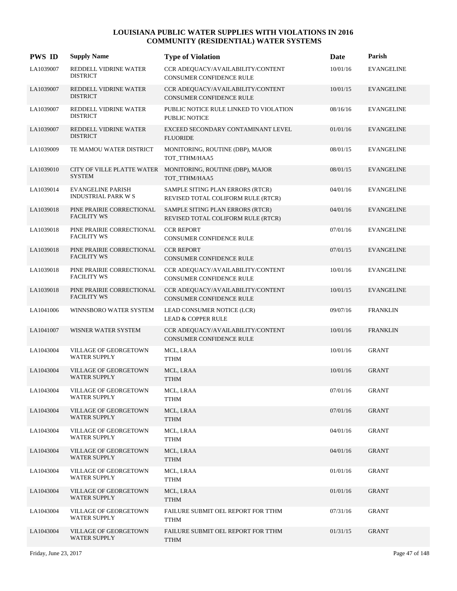| <b>PWS ID</b> | <b>Supply Name</b>                              | <b>Type of Violation</b>                                                     | Date     | Parish            |
|---------------|-------------------------------------------------|------------------------------------------------------------------------------|----------|-------------------|
| LA1039007     | REDDELL VIDRINE WATER<br><b>DISTRICT</b>        | CCR ADEQUACY/AVAILABILITY/CONTENT<br>CONSUMER CONFIDENCE RULE                | 10/01/16 | <b>EVANGELINE</b> |
| LA1039007     | REDDELL VIDRINE WATER<br><b>DISTRICT</b>        | CCR ADEQUACY/AVAILABILITY/CONTENT<br>CONSUMER CONFIDENCE RULE                | 10/01/15 | <b>EVANGELINE</b> |
| LA1039007     | REDDELL VIDRINE WATER<br><b>DISTRICT</b>        | PUBLIC NOTICE RULE LINKED TO VIOLATION<br>PUBLIC NOTICE                      | 08/16/16 | <b>EVANGELINE</b> |
| LA1039007     | REDDELL VIDRINE WATER<br><b>DISTRICT</b>        | EXCEED SECONDARY CONTAMINANT LEVEL<br><b>FLUORIDE</b>                        | 01/01/16 | <b>EVANGELINE</b> |
| LA1039009     | TE MAMOU WATER DISTRICT                         | MONITORING, ROUTINE (DBP), MAJOR<br>TOT_TTHM/HAA5                            | 08/01/15 | <b>EVANGELINE</b> |
| LA1039010     | <b>SYSTEM</b>                                   | CITY OF VILLE PLATTE WATER MONITORING, ROUTINE (DBP), MAJOR<br>TOT_TTHM/HAA5 | 08/01/15 | <b>EVANGELINE</b> |
| LA1039014     | <b>EVANGELINE PARISH</b><br>INDUSTRIAL PARK W S | SAMPLE SITING PLAN ERRORS (RTCR)<br>REVISED TOTAL COLIFORM RULE (RTCR)       | 04/01/16 | <b>EVANGELINE</b> |
| LA1039018     | PINE PRAIRIE CORRECTIONAL<br><b>FACILITY WS</b> | SAMPLE SITING PLAN ERRORS (RTCR)<br>REVISED TOTAL COLIFORM RULE (RTCR)       | 04/01/16 | <b>EVANGELINE</b> |
| LA1039018     | PINE PRAIRIE CORRECTIONAL<br><b>FACILITY WS</b> | <b>CCR REPORT</b><br>CONSUMER CONFIDENCE RULE                                | 07/01/16 | <b>EVANGELINE</b> |
| LA1039018     | PINE PRAIRIE CORRECTIONAL<br><b>FACILITY WS</b> | <b>CCR REPORT</b><br><b>CONSUMER CONFIDENCE RULE</b>                         | 07/01/15 | <b>EVANGELINE</b> |
| LA1039018     | PINE PRAIRIE CORRECTIONAL<br><b>FACILITY WS</b> | CCR ADEQUACY/AVAILABILITY/CONTENT<br><b>CONSUMER CONFIDENCE RULE</b>         | 10/01/16 | <b>EVANGELINE</b> |
| LA1039018     | PINE PRAIRIE CORRECTIONAL<br><b>FACILITY WS</b> | CCR ADEQUACY/AVAILABILITY/CONTENT<br><b>CONSUMER CONFIDENCE RULE</b>         | 10/01/15 | <b>EVANGELINE</b> |
| LA1041006     | WINNSBORO WATER SYSTEM                          | LEAD CONSUMER NOTICE (LCR)<br><b>LEAD &amp; COPPER RULE</b>                  | 09/07/16 | <b>FRANKLIN</b>   |
| LA1041007     | WISNER WATER SYSTEM                             | CCR ADEQUACY/AVAILABILITY/CONTENT<br>CONSUMER CONFIDENCE RULE                | 10/01/16 | <b>FRANKLIN</b>   |
| LA1043004     | VILLAGE OF GEORGETOWN<br><b>WATER SUPPLY</b>    | MCL, LRAA<br><b>TTHM</b>                                                     | 10/01/16 | <b>GRANT</b>      |
| LA1043004     | VILLAGE OF GEORGETOWN<br><b>WATER SUPPLY</b>    | MCL, LRAA<br><b>TTHM</b>                                                     | 10/01/16 | <b>GRANT</b>      |
| LA1043004     | VILLAGE OF GEORGETOWN<br><b>WATER SUPPLY</b>    | MCL, LRAA<br><b>TTHM</b>                                                     | 07/01/16 | <b>GRANT</b>      |
| LA1043004     | VILLAGE OF GEORGETOWN<br>WATER SUPPLY           | MCL, LRAA<br><b>TTHM</b>                                                     | 07/01/16 | <b>GRANT</b>      |
| LA1043004     | VILLAGE OF GEORGETOWN<br><b>WATER SUPPLY</b>    | MCL, LRAA<br><b>TTHM</b>                                                     | 04/01/16 | <b>GRANT</b>      |
| LA1043004     | VILLAGE OF GEORGETOWN<br>WATER SUPPLY           | MCL, LRAA<br><b>TTHM</b>                                                     | 04/01/16 | <b>GRANT</b>      |
| LA1043004     | VILLAGE OF GEORGETOWN<br><b>WATER SUPPLY</b>    | MCL, LRAA<br><b>TTHM</b>                                                     | 01/01/16 | <b>GRANT</b>      |
| LA1043004     | VILLAGE OF GEORGETOWN<br>WATER SUPPLY           | MCL, LRAA<br><b>TTHM</b>                                                     | 01/01/16 | <b>GRANT</b>      |
| LA1043004     | VILLAGE OF GEORGETOWN<br><b>WATER SUPPLY</b>    | FAILURE SUBMIT OEL REPORT FOR TTHM<br><b>TTHM</b>                            | 07/31/16 | <b>GRANT</b>      |
| LA1043004     | VILLAGE OF GEORGETOWN<br><b>WATER SUPPLY</b>    | FAILURE SUBMIT OEL REPORT FOR TTHM<br><b>TTHM</b>                            | 01/31/15 | <b>GRANT</b>      |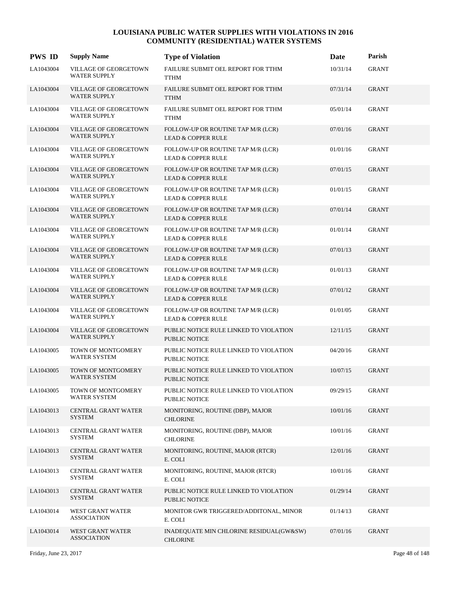| <b>PWS ID</b> | <b>Supply Name</b>                           | <b>Type of Violation</b>                                            | Date     | Parish       |
|---------------|----------------------------------------------|---------------------------------------------------------------------|----------|--------------|
| LA1043004     | VILLAGE OF GEORGETOWN<br>WATER SUPPLY        | FAILURE SUBMIT OEL REPORT FOR TTHM<br><b>TTHM</b>                   | 10/31/14 | <b>GRANT</b> |
| LA1043004     | VILLAGE OF GEORGETOWN<br><b>WATER SUPPLY</b> | FAILURE SUBMIT OEL REPORT FOR TTHM<br><b>TTHM</b>                   | 07/31/14 | <b>GRANT</b> |
| LA1043004     | VILLAGE OF GEORGETOWN<br><b>WATER SUPPLY</b> | FAILURE SUBMIT OEL REPORT FOR TTHM<br><b>TTHM</b>                   | 05/01/14 | GRANT        |
| LA1043004     | VILLAGE OF GEORGETOWN<br><b>WATER SUPPLY</b> | FOLLOW-UP OR ROUTINE TAP M/R (LCR)<br><b>LEAD &amp; COPPER RULE</b> | 07/01/16 | <b>GRANT</b> |
| LA1043004     | VILLAGE OF GEORGETOWN<br><b>WATER SUPPLY</b> | FOLLOW-UP OR ROUTINE TAP M/R (LCR)<br><b>LEAD &amp; COPPER RULE</b> | 01/01/16 | <b>GRANT</b> |
| LA1043004     | VILLAGE OF GEORGETOWN<br><b>WATER SUPPLY</b> | FOLLOW-UP OR ROUTINE TAP M/R (LCR)<br><b>LEAD &amp; COPPER RULE</b> | 07/01/15 | GRANT        |
| LA1043004     | VILLAGE OF GEORGETOWN<br><b>WATER SUPPLY</b> | FOLLOW-UP OR ROUTINE TAP M/R (LCR)<br><b>LEAD &amp; COPPER RULE</b> | 01/01/15 | <b>GRANT</b> |
| LA1043004     | VILLAGE OF GEORGETOWN<br><b>WATER SUPPLY</b> | FOLLOW-UP OR ROUTINE TAP M/R (LCR)<br><b>LEAD &amp; COPPER RULE</b> | 07/01/14 | <b>GRANT</b> |
| LA1043004     | VILLAGE OF GEORGETOWN<br><b>WATER SUPPLY</b> | FOLLOW-UP OR ROUTINE TAP M/R (LCR)<br><b>LEAD &amp; COPPER RULE</b> | 01/01/14 | <b>GRANT</b> |
| LA1043004     | VILLAGE OF GEORGETOWN<br><b>WATER SUPPLY</b> | FOLLOW-UP OR ROUTINE TAP M/R (LCR)<br><b>LEAD &amp; COPPER RULE</b> | 07/01/13 | <b>GRANT</b> |
| LA1043004     | VILLAGE OF GEORGETOWN<br><b>WATER SUPPLY</b> | FOLLOW-UP OR ROUTINE TAP M/R (LCR)<br><b>LEAD &amp; COPPER RULE</b> | 01/01/13 | <b>GRANT</b> |
| LA1043004     | VILLAGE OF GEORGETOWN<br><b>WATER SUPPLY</b> | FOLLOW-UP OR ROUTINE TAP M/R (LCR)<br><b>LEAD &amp; COPPER RULE</b> | 07/01/12 | <b>GRANT</b> |
| LA1043004     | VILLAGE OF GEORGETOWN<br><b>WATER SUPPLY</b> | FOLLOW-UP OR ROUTINE TAP M/R (LCR)<br><b>LEAD &amp; COPPER RULE</b> | 01/01/05 | <b>GRANT</b> |
| LA1043004     | VILLAGE OF GEORGETOWN<br><b>WATER SUPPLY</b> | PUBLIC NOTICE RULE LINKED TO VIOLATION<br><b>PUBLIC NOTICE</b>      | 12/11/15 | <b>GRANT</b> |
| LA1043005     | TOWN OF MONTGOMERY<br><b>WATER SYSTEM</b>    | PUBLIC NOTICE RULE LINKED TO VIOLATION<br><b>PUBLIC NOTICE</b>      | 04/20/16 | <b>GRANT</b> |
| LA1043005     | TOWN OF MONTGOMERY<br><b>WATER SYSTEM</b>    | PUBLIC NOTICE RULE LINKED TO VIOLATION<br><b>PUBLIC NOTICE</b>      | 10/07/15 | <b>GRANT</b> |
| LA1043005     | TOWN OF MONTGOMERY<br><b>WATER SYSTEM</b>    | PUBLIC NOTICE RULE LINKED TO VIOLATION<br>PUBLIC NOTICE             | 09/29/15 | <b>GRANT</b> |
| LA1043013     | CENTRAL GRANT WATER<br><b>SYSTEM</b>         | MONITORING, ROUTINE (DBP), MAJOR<br><b>CHLORINE</b>                 | 10/01/16 | <b>GRANT</b> |
| LA1043013     | CENTRAL GRANT WATER<br><b>SYSTEM</b>         | MONITORING, ROUTINE (DBP), MAJOR<br><b>CHLORINE</b>                 | 10/01/16 | GRANT        |
| LA1043013     | CENTRAL GRANT WATER<br><b>SYSTEM</b>         | MONITORING, ROUTINE, MAJOR (RTCR)<br>E. COLI                        | 12/01/16 | <b>GRANT</b> |
| LA1043013     | CENTRAL GRANT WATER<br><b>SYSTEM</b>         | MONITORING, ROUTINE, MAJOR (RTCR)<br>E. COLI                        | 10/01/16 | <b>GRANT</b> |
| LA1043013     | CENTRAL GRANT WATER<br><b>SYSTEM</b>         | PUBLIC NOTICE RULE LINKED TO VIOLATION<br>PUBLIC NOTICE             | 01/29/14 | <b>GRANT</b> |
| LA1043014     | WEST GRANT WATER<br><b>ASSOCIATION</b>       | MONITOR GWR TRIGGERED/ADDITONAL, MINOR<br>E. COLI                   | 01/14/13 | GRANT        |
| LA1043014     | WEST GRANT WATER<br><b>ASSOCIATION</b>       | INADEQUATE MIN CHLORINE RESIDUAL(GW&SW)<br><b>CHLORINE</b>          | 07/01/16 | <b>GRANT</b> |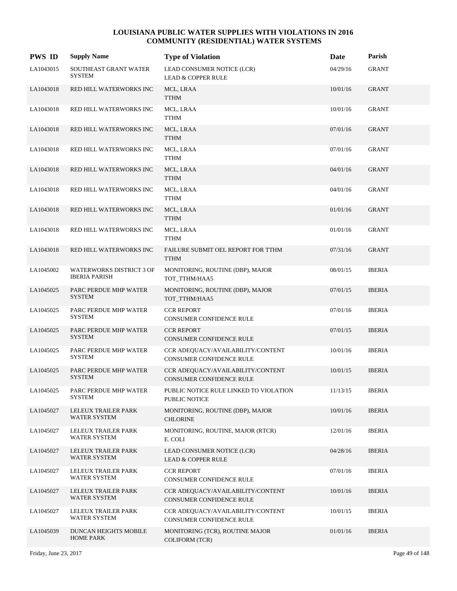| <b>PWS ID</b> | <b>Supply Name</b>                               | <b>Type of Violation</b>                                             | Date     | Parish        |
|---------------|--------------------------------------------------|----------------------------------------------------------------------|----------|---------------|
| LA1043015     | SOUTHEAST GRANT WATER<br><b>SYSTEM</b>           | LEAD CONSUMER NOTICE (LCR)<br><b>LEAD &amp; COPPER RULE</b>          | 04/29/16 | <b>GRANT</b>  |
| LA1043018     | RED HILL WATERWORKS INC                          | MCL, LRAA<br><b>TTHM</b>                                             | 10/01/16 | <b>GRANT</b>  |
| LA1043018     | RED HILL WATERWORKS INC                          | MCL, LRAA<br><b>TTHM</b>                                             | 10/01/16 | <b>GRANT</b>  |
| LA1043018     | RED HILL WATERWORKS INC                          | MCL, LRAA<br><b>TTHM</b>                                             | 07/01/16 | <b>GRANT</b>  |
| LA1043018     | RED HILL WATERWORKS INC                          | MCL, LRAA<br>TTHM                                                    | 07/01/16 | <b>GRANT</b>  |
| LA1043018     | RED HILL WATERWORKS INC                          | MCL, LRAA<br><b>TTHM</b>                                             | 04/01/16 | <b>GRANT</b>  |
| LA1043018     | RED HILL WATERWORKS INC                          | MCL, LRAA<br><b>TTHM</b>                                             | 04/01/16 | <b>GRANT</b>  |
| LA1043018     | RED HILL WATERWORKS INC                          | MCL, LRAA<br><b>TTHM</b>                                             | 01/01/16 | <b>GRANT</b>  |
| LA1043018     | RED HILL WATERWORKS INC                          | MCL, LRAA<br><b>TTHM</b>                                             | 01/01/16 | <b>GRANT</b>  |
| LA1043018     | RED HILL WATERWORKS INC                          | FAILURE SUBMIT OEL REPORT FOR TTHM<br><b>TTHM</b>                    | 07/31/16 | <b>GRANT</b>  |
| LA1045002     | WATERWORKS DISTRICT 3 OF<br><b>IBERIA PARISH</b> | MONITORING, ROUTINE (DBP), MAJOR<br>TOT_TTHM/HAA5                    | 08/01/15 | <b>IBERIA</b> |
| LA1045025     | PARC PERDUE MHP WATER<br><b>SYSTEM</b>           | MONITORING, ROUTINE (DBP), MAJOR<br>TOT_TTHM/HAA5                    | 07/01/15 | <b>IBERIA</b> |
| LA1045025     | PARC PERDUE MHP WATER<br><b>SYSTEM</b>           | <b>CCR REPORT</b><br>CONSUMER CONFIDENCE RULE                        | 07/01/16 | <b>IBERIA</b> |
| LA1045025     | PARC PERDUE MHP WATER<br><b>SYSTEM</b>           | <b>CCR REPORT</b><br>CONSUMER CONFIDENCE RULE                        | 07/01/15 | <b>IBERIA</b> |
| LA1045025     | PARC PERDUE MHP WATER<br><b>SYSTEM</b>           | CCR ADEQUACY/AVAILABILITY/CONTENT<br><b>CONSUMER CONFIDENCE RULE</b> | 10/01/16 | <b>IBERIA</b> |
| LA1045025     | PARC PERDUE MHP WATER<br><b>SYSTEM</b>           | CCR ADEQUACY/AVAILABILITY/CONTENT<br><b>CONSUMER CONFIDENCE RULE</b> | 10/01/15 | <b>IBERIA</b> |
| LA1045025     | PARC PERDUE MHP WATER<br><b>SYSTEM</b>           | PUBLIC NOTICE RULE LINKED TO VIOLATION<br>PUBLIC NOTICE              | 11/13/15 | <b>IBERIA</b> |
| LA1045027     | LELEUX TRAILER PARK<br>WATER SYSTEM              | MONITORING, ROUTINE (DBP), MAJOR<br><b>CHLORINE</b>                  | 10/01/16 | <b>IBERIA</b> |
| LA1045027     | LELEUX TRAILER PARK<br><b>WATER SYSTEM</b>       | MONITORING, ROUTINE, MAJOR (RTCR)<br>E. COLI                         | 12/01/16 | <b>IBERIA</b> |
| LA1045027     | LELEUX TRAILER PARK<br>WATER SYSTEM              | LEAD CONSUMER NOTICE (LCR)<br><b>LEAD &amp; COPPER RULE</b>          | 04/28/16 | <b>IBERIA</b> |
| LA1045027     | LELEUX TRAILER PARK<br><b>WATER SYSTEM</b>       | <b>CCR REPORT</b><br>CONSUMER CONFIDENCE RULE                        | 07/01/16 | <b>IBERIA</b> |
| LA1045027     | LELEUX TRAILER PARK<br><b>WATER SYSTEM</b>       | CCR ADEQUACY/AVAILABILITY/CONTENT<br>CONSUMER CONFIDENCE RULE        | 10/01/16 | <b>IBERIA</b> |
| LA1045027     | LELEUX TRAILER PARK<br>WATER SYSTEM              | CCR ADEQUACY/AVAILABILITY/CONTENT<br>CONSUMER CONFIDENCE RULE        | 10/01/15 | <b>IBERIA</b> |
| LA1045039     | DUNCAN HEIGHTS MOBILE<br><b>HOME PARK</b>        | MONITORING (TCR), ROUTINE MAJOR<br><b>COLIFORM (TCR)</b>             | 01/01/16 | <b>IBERIA</b> |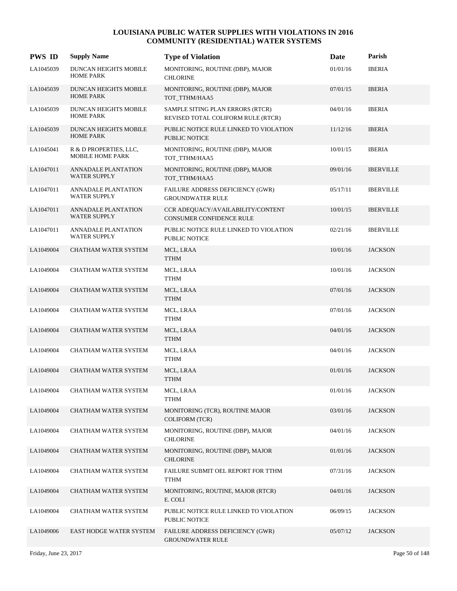| <b>PWS ID</b> | <b>Supply Name</b>                                | <b>Type of Violation</b>                                               | Date     | Parish           |
|---------------|---------------------------------------------------|------------------------------------------------------------------------|----------|------------------|
| LA1045039     | DUNCAN HEIGHTS MOBILE<br><b>HOME PARK</b>         | MONITORING, ROUTINE (DBP), MAJOR<br><b>CHLORINE</b>                    | 01/01/16 | <b>IBERIA</b>    |
| LA1045039     | <b>DUNCAN HEIGHTS MOBILE</b><br><b>HOME PARK</b>  | MONITORING, ROUTINE (DBP), MAJOR<br>TOT_TTHM/HAA5                      | 07/01/15 | <b>IBERIA</b>    |
| LA1045039     | DUNCAN HEIGHTS MOBILE<br><b>HOME PARK</b>         | SAMPLE SITING PLAN ERRORS (RTCR)<br>REVISED TOTAL COLIFORM RULE (RTCR) | 04/01/16 | <b>IBERIA</b>    |
| LA1045039     | DUNCAN HEIGHTS MOBILE<br><b>HOME PARK</b>         | PUBLIC NOTICE RULE LINKED TO VIOLATION<br><b>PUBLIC NOTICE</b>         | 11/12/16 | <b>IBERIA</b>    |
| LA1045041     | R & D PROPERTIES, LLC,<br><b>MOBILE HOME PARK</b> | MONITORING, ROUTINE (DBP), MAJOR<br>TOT_TTHM/HAA5                      | 10/01/15 | <b>IBERIA</b>    |
| LA1047011     | ANNADALE PLANTATION<br><b>WATER SUPPLY</b>        | MONITORING, ROUTINE (DBP), MAJOR<br>TOT_TTHM/HAA5                      | 09/01/16 | <b>IBERVILLE</b> |
| LA1047011     | ANNADALE PLANTATION<br><b>WATER SUPPLY</b>        | <b>FAILURE ADDRESS DEFICIENCY (GWR)</b><br><b>GROUNDWATER RULE</b>     | 05/17/11 | <b>IBERVILLE</b> |
| LA1047011     | ANNADALE PLANTATION<br><b>WATER SUPPLY</b>        | CCR ADEQUACY/AVAILABILITY/CONTENT<br><b>CONSUMER CONFIDENCE RULE</b>   | 10/01/15 | <b>IBERVILLE</b> |
| LA1047011     | ANNADALE PLANTATION<br><b>WATER SUPPLY</b>        | PUBLIC NOTICE RULE LINKED TO VIOLATION<br>PUBLIC NOTICE                | 02/21/16 | <b>IBERVILLE</b> |
| LA1049004     | CHATHAM WATER SYSTEM                              | MCL, LRAA<br><b>TTHM</b>                                               | 10/01/16 | <b>JACKSON</b>   |
| LA1049004     | CHATHAM WATER SYSTEM                              | MCL, LRAA<br><b>TTHM</b>                                               | 10/01/16 | <b>JACKSON</b>   |
| LA1049004     | CHATHAM WATER SYSTEM                              | MCL, LRAA<br><b>TTHM</b>                                               | 07/01/16 | <b>JACKSON</b>   |
| LA1049004     | CHATHAM WATER SYSTEM                              | MCL, LRAA<br><b>TTHM</b>                                               | 07/01/16 | <b>JACKSON</b>   |
| LA1049004     | CHATHAM WATER SYSTEM                              | MCL, LRAA<br><b>TTHM</b>                                               | 04/01/16 | <b>JACKSON</b>   |
| LA1049004     | CHATHAM WATER SYSTEM                              | MCL, LRAA<br><b>TTHM</b>                                               | 04/01/16 | <b>JACKSON</b>   |
| LA1049004     | CHATHAM WATER SYSTEM                              | MCL, LRAA<br><b>TTHM</b>                                               | 01/01/16 | <b>JACKSON</b>   |
| LA1049004     | CHATHAM WATER SYSTEM                              | MCL, LRAA<br><b>TTHM</b>                                               | 01/01/16 | <b>JACKSON</b>   |
| LA1049004     | CHATHAM WATER SYSTEM                              | MONITORING (TCR), ROUTINE MAJOR<br><b>COLIFORM (TCR)</b>               | 03/01/16 | <b>JACKSON</b>   |
| LA1049004     | CHATHAM WATER SYSTEM                              | MONITORING, ROUTINE (DBP), MAJOR<br><b>CHLORINE</b>                    | 04/01/16 | <b>JACKSON</b>   |
| LA1049004     | CHATHAM WATER SYSTEM                              | MONITORING, ROUTINE (DBP), MAJOR<br><b>CHLORINE</b>                    | 01/01/16 | <b>JACKSON</b>   |
| LA1049004     | CHATHAM WATER SYSTEM                              | FAILURE SUBMIT OEL REPORT FOR TTHM<br>TTHM                             | 07/31/16 | <b>JACKSON</b>   |
| LA1049004     | CHATHAM WATER SYSTEM                              | MONITORING, ROUTINE, MAJOR (RTCR)<br>E. COLI                           | 04/01/16 | <b>JACKSON</b>   |
| LA1049004     | CHATHAM WATER SYSTEM                              | PUBLIC NOTICE RULE LINKED TO VIOLATION<br>PUBLIC NOTICE                | 06/09/15 | <b>JACKSON</b>   |
| LA1049006     | <b>EAST HODGE WATER SYSTEM</b>                    | FAILURE ADDRESS DEFICIENCY (GWR)<br><b>GROUNDWATER RULE</b>            | 05/07/12 | <b>JACKSON</b>   |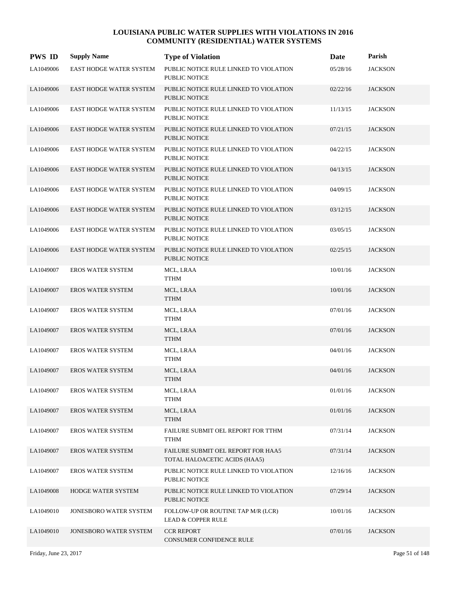| <b>PWS ID</b> | <b>Supply Name</b>             | <b>Type of Violation</b>                                            | <b>Date</b> | Parish         |
|---------------|--------------------------------|---------------------------------------------------------------------|-------------|----------------|
| LA1049006     | <b>EAST HODGE WATER SYSTEM</b> | PUBLIC NOTICE RULE LINKED TO VIOLATION<br>PUBLIC NOTICE             | 05/28/16    | <b>JACKSON</b> |
| LA1049006     | <b>EAST HODGE WATER SYSTEM</b> | PUBLIC NOTICE RULE LINKED TO VIOLATION<br>PUBLIC NOTICE             | 02/22/16    | <b>JACKSON</b> |
| LA1049006     | EAST HODGE WATER SYSTEM        | PUBLIC NOTICE RULE LINKED TO VIOLATION<br><b>PUBLIC NOTICE</b>      | 11/13/15    | <b>JACKSON</b> |
| LA1049006     | <b>EAST HODGE WATER SYSTEM</b> | PUBLIC NOTICE RULE LINKED TO VIOLATION<br><b>PUBLIC NOTICE</b>      | 07/21/15    | <b>JACKSON</b> |
| LA1049006     | EAST HODGE WATER SYSTEM        | PUBLIC NOTICE RULE LINKED TO VIOLATION<br>PUBLIC NOTICE             | 04/22/15    | <b>JACKSON</b> |
| LA1049006     | <b>EAST HODGE WATER SYSTEM</b> | PUBLIC NOTICE RULE LINKED TO VIOLATION<br><b>PUBLIC NOTICE</b>      | 04/13/15    | <b>JACKSON</b> |
| LA1049006     | EAST HODGE WATER SYSTEM        | PUBLIC NOTICE RULE LINKED TO VIOLATION<br><b>PUBLIC NOTICE</b>      | 04/09/15    | <b>JACKSON</b> |
| LA1049006     | <b>EAST HODGE WATER SYSTEM</b> | PUBLIC NOTICE RULE LINKED TO VIOLATION<br>PUBLIC NOTICE             | 03/12/15    | <b>JACKSON</b> |
| LA1049006     | EAST HODGE WATER SYSTEM        | PUBLIC NOTICE RULE LINKED TO VIOLATION<br><b>PUBLIC NOTICE</b>      | 03/05/15    | <b>JACKSON</b> |
| LA1049006     | EAST HODGE WATER SYSTEM        | PUBLIC NOTICE RULE LINKED TO VIOLATION<br><b>PUBLIC NOTICE</b>      | 02/25/15    | <b>JACKSON</b> |
| LA1049007     | <b>EROS WATER SYSTEM</b>       | MCL, LRAA<br>TTHM                                                   | 10/01/16    | <b>JACKSON</b> |
| LA1049007     | <b>EROS WATER SYSTEM</b>       | MCL, LRAA<br><b>TTHM</b>                                            | 10/01/16    | <b>JACKSON</b> |
| LA1049007     | <b>EROS WATER SYSTEM</b>       | MCL, LRAA<br>TTHM                                                   | 07/01/16    | <b>JACKSON</b> |
| LA1049007     | <b>EROS WATER SYSTEM</b>       | MCL, LRAA<br><b>TTHM</b>                                            | 07/01/16    | <b>JACKSON</b> |
| LA1049007     | <b>EROS WATER SYSTEM</b>       | MCL, LRAA<br><b>TTHM</b>                                            | 04/01/16    | <b>JACKSON</b> |
| LA1049007     | <b>EROS WATER SYSTEM</b>       | MCL, LRAA<br><b>TTHM</b>                                            | 04/01/16    | <b>JACKSON</b> |
| LA1049007     | <b>EROS WATER SYSTEM</b>       | MCL, LRAA<br><b>TTHM</b>                                            | 01/01/16    | <b>JACKSON</b> |
| LA1049007     | <b>EROS WATER SYSTEM</b>       | MCL, LRAA<br><b>TTHM</b>                                            | 01/01/16    | <b>JACKSON</b> |
| LA1049007     | <b>EROS WATER SYSTEM</b>       | FAILURE SUBMIT OEL REPORT FOR TTHM<br><b>TTHM</b>                   | 07/31/14    | <b>JACKSON</b> |
| LA1049007     | <b>EROS WATER SYSTEM</b>       | FAILURE SUBMIT OEL REPORT FOR HAA5<br>TOTAL HALOACETIC ACIDS (HAA5) | 07/31/14    | <b>JACKSON</b> |
| LA1049007     | <b>EROS WATER SYSTEM</b>       | PUBLIC NOTICE RULE LINKED TO VIOLATION<br>PUBLIC NOTICE             | 12/16/16    | <b>JACKSON</b> |
| LA1049008     | HODGE WATER SYSTEM             | PUBLIC NOTICE RULE LINKED TO VIOLATION<br>PUBLIC NOTICE             | 07/29/14    | <b>JACKSON</b> |
| LA1049010     | JONESBORO WATER SYSTEM         | FOLLOW-UP OR ROUTINE TAP M/R (LCR)<br>LEAD & COPPER RULE            | 10/01/16    | <b>JACKSON</b> |
| LA1049010     | JONESBORO WATER SYSTEM         | <b>CCR REPORT</b><br>CONSUMER CONFIDENCE RULE                       | 07/01/16    | <b>JACKSON</b> |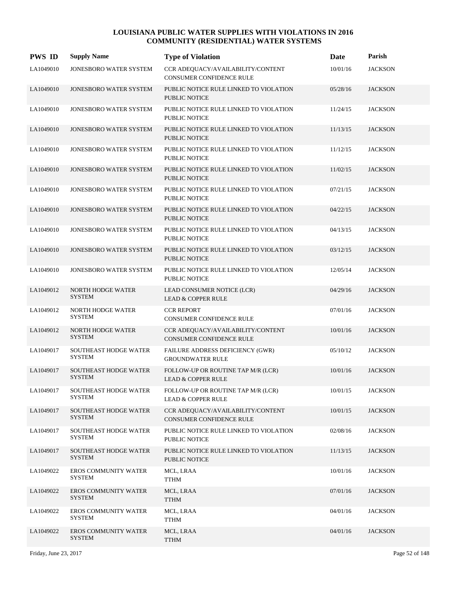| <b>PWS ID</b> | <b>Supply Name</b>                            | <b>Type of Violation</b>                                            | Date     | Parish         |
|---------------|-----------------------------------------------|---------------------------------------------------------------------|----------|----------------|
| LA1049010     | JONESBORO WATER SYSTEM                        | CCR ADEQUACY/AVAILABILITY/CONTENT<br>CONSUMER CONFIDENCE RULE       | 10/01/16 | <b>JACKSON</b> |
| LA1049010     | JONESBORO WATER SYSTEM                        | PUBLIC NOTICE RULE LINKED TO VIOLATION<br><b>PUBLIC NOTICE</b>      | 05/28/16 | <b>JACKSON</b> |
| LA1049010     | JONESBORO WATER SYSTEM                        | PUBLIC NOTICE RULE LINKED TO VIOLATION<br><b>PUBLIC NOTICE</b>      | 11/24/15 | <b>JACKSON</b> |
| LA1049010     | <b>JONESBORO WATER SYSTEM</b>                 | PUBLIC NOTICE RULE LINKED TO VIOLATION<br><b>PUBLIC NOTICE</b>      | 11/13/15 | <b>JACKSON</b> |
| LA1049010     | <b>JONESBORO WATER SYSTEM</b>                 | PUBLIC NOTICE RULE LINKED TO VIOLATION<br><b>PUBLIC NOTICE</b>      | 11/12/15 | <b>JACKSON</b> |
| LA1049010     | JONESBORO WATER SYSTEM                        | PUBLIC NOTICE RULE LINKED TO VIOLATION<br><b>PUBLIC NOTICE</b>      | 11/02/15 | <b>JACKSON</b> |
| LA1049010     | JONESBORO WATER SYSTEM                        | PUBLIC NOTICE RULE LINKED TO VIOLATION<br><b>PUBLIC NOTICE</b>      | 07/21/15 | <b>JACKSON</b> |
| LA1049010     | JONESBORO WATER SYSTEM                        | PUBLIC NOTICE RULE LINKED TO VIOLATION<br><b>PUBLIC NOTICE</b>      | 04/22/15 | <b>JACKSON</b> |
| LA1049010     | <b>JONESBORO WATER SYSTEM</b>                 | PUBLIC NOTICE RULE LINKED TO VIOLATION<br><b>PUBLIC NOTICE</b>      | 04/13/15 | <b>JACKSON</b> |
| LA1049010     | <b>JONESBORO WATER SYSTEM</b>                 | PUBLIC NOTICE RULE LINKED TO VIOLATION<br><b>PUBLIC NOTICE</b>      | 03/12/15 | <b>JACKSON</b> |
| LA1049010     | JONESBORO WATER SYSTEM                        | PUBLIC NOTICE RULE LINKED TO VIOLATION<br>PUBLIC NOTICE             | 12/05/14 | <b>JACKSON</b> |
| LA1049012     | NORTH HODGE WATER<br><b>SYSTEM</b>            | LEAD CONSUMER NOTICE (LCR)<br><b>LEAD &amp; COPPER RULE</b>         | 04/29/16 | <b>JACKSON</b> |
| LA1049012     | NORTH HODGE WATER<br><b>SYSTEM</b>            | <b>CCR REPORT</b><br><b>CONSUMER CONFIDENCE RULE</b>                | 07/01/16 | <b>JACKSON</b> |
| LA1049012     | NORTH HODGE WATER<br><b>SYSTEM</b>            | CCR ADEQUACY/AVAILABILITY/CONTENT<br>CONSUMER CONFIDENCE RULE       | 10/01/16 | <b>JACKSON</b> |
| LA1049017     | <b>SOUTHEAST HODGE WATER</b><br><b>SYSTEM</b> | FAILURE ADDRESS DEFICIENCY (GWR)<br><b>GROUNDWATER RULE</b>         | 05/10/12 | <b>JACKSON</b> |
| LA1049017     | <b>SOUTHEAST HODGE WATER</b><br><b>SYSTEM</b> | FOLLOW-UP OR ROUTINE TAP M/R (LCR)<br><b>LEAD &amp; COPPER RULE</b> | 10/01/16 | <b>JACKSON</b> |
| LA1049017     | SOUTHEAST HODGE WATER<br><b>SYSTEM</b>        | FOLLOW-UP OR ROUTINE TAP M/R (LCR)<br><b>LEAD &amp; COPPER RULE</b> | 10/01/15 | <b>JACKSON</b> |
| LA1049017     | <b>SOUTHEAST HODGE WATER</b><br><b>SYSTEM</b> | CCR ADEQUACY/AVAILABILITY/CONTENT<br>CONSUMER CONFIDENCE RULE       | 10/01/15 | <b>JACKSON</b> |
| LA1049017     | <b>SOUTHEAST HODGE WATER</b><br><b>SYSTEM</b> | PUBLIC NOTICE RULE LINKED TO VIOLATION<br>PUBLIC NOTICE             | 02/08/16 | <b>JACKSON</b> |
| LA1049017     | SOUTHEAST HODGE WATER<br><b>SYSTEM</b>        | PUBLIC NOTICE RULE LINKED TO VIOLATION<br>PUBLIC NOTICE             | 11/13/15 | <b>JACKSON</b> |
| LA1049022     | EROS COMMUNITY WATER<br><b>SYSTEM</b>         | MCL, LRAA<br><b>TTHM</b>                                            | 10/01/16 | <b>JACKSON</b> |
| LA1049022     | <b>EROS COMMUNITY WATER</b><br><b>SYSTEM</b>  | MCL, LRAA<br><b>TTHM</b>                                            | 07/01/16 | <b>JACKSON</b> |
| LA1049022     | <b>EROS COMMUNITY WATER</b><br><b>SYSTEM</b>  | MCL, LRAA<br><b>TTHM</b>                                            | 04/01/16 | <b>JACKSON</b> |
| LA1049022     | EROS COMMUNITY WATER<br><b>SYSTEM</b>         | MCL, LRAA<br><b>TTHM</b>                                            | 04/01/16 | <b>JACKSON</b> |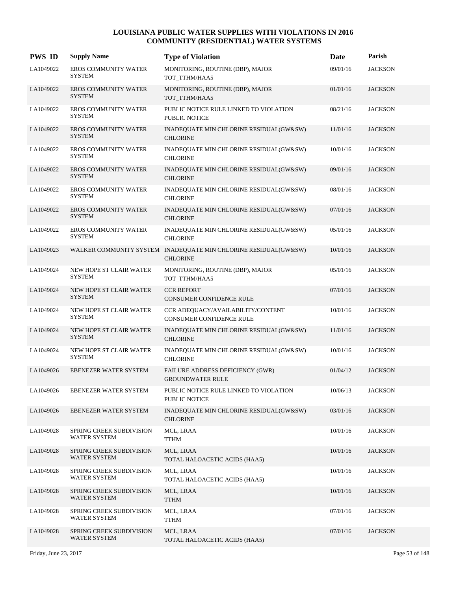| <b>PWS ID</b> | <b>Supply Name</b>                              | <b>Type of Violation</b>                                                           | <b>Date</b> | Parish         |
|---------------|-------------------------------------------------|------------------------------------------------------------------------------------|-------------|----------------|
| LA1049022     | EROS COMMUNITY WATER<br><b>SYSTEM</b>           | MONITORING, ROUTINE (DBP), MAJOR<br>TOT_TTHM/HAA5                                  | 09/01/16    | <b>JACKSON</b> |
| LA1049022     | <b>EROS COMMUNITY WATER</b><br><b>SYSTEM</b>    | MONITORING, ROUTINE (DBP), MAJOR<br>TOT_TTHM/HAA5                                  | 01/01/16    | <b>JACKSON</b> |
| LA1049022     | <b>EROS COMMUNITY WATER</b><br><b>SYSTEM</b>    | PUBLIC NOTICE RULE LINKED TO VIOLATION<br>PUBLIC NOTICE                            | 08/21/16    | <b>JACKSON</b> |
| LA1049022     | <b>EROS COMMUNITY WATER</b><br><b>SYSTEM</b>    | INADEQUATE MIN CHLORINE RESIDUAL(GW&SW)<br><b>CHLORINE</b>                         | 11/01/16    | <b>JACKSON</b> |
| LA1049022     | <b>EROS COMMUNITY WATER</b><br><b>SYSTEM</b>    | INADEQUATE MIN CHLORINE RESIDUAL(GW&SW)<br><b>CHLORINE</b>                         | 10/01/16    | <b>JACKSON</b> |
| LA1049022     | <b>EROS COMMUNITY WATER</b><br><b>SYSTEM</b>    | INADEQUATE MIN CHLORINE RESIDUAL(GW&SW)<br><b>CHLORINE</b>                         | 09/01/16    | <b>JACKSON</b> |
| LA1049022     | EROS COMMUNITY WATER<br><b>SYSTEM</b>           | INADEQUATE MIN CHLORINE RESIDUAL(GW&SW)<br><b>CHLORINE</b>                         | 08/01/16    | <b>JACKSON</b> |
| LA1049022     | <b>EROS COMMUNITY WATER</b><br><b>SYSTEM</b>    | INADEQUATE MIN CHLORINE RESIDUAL(GW&SW)<br><b>CHLORINE</b>                         | 07/01/16    | <b>JACKSON</b> |
| LA1049022     | EROS COMMUNITY WATER<br><b>SYSTEM</b>           | INADEQUATE MIN CHLORINE RESIDUAL(GW&SW)<br><b>CHLORINE</b>                         | 05/01/16    | <b>JACKSON</b> |
| LA1049023     |                                                 | WALKER COMMUNITY SYSTEM INADEQUATE MIN CHLORINE RESIDUAL(GW&SW)<br><b>CHLORINE</b> | 10/01/16    | <b>JACKSON</b> |
| LA1049024     | NEW HOPE ST CLAIR WATER<br><b>SYSTEM</b>        | MONITORING, ROUTINE (DBP), MAJOR<br>TOT_TTHM/HAA5                                  | 05/01/16    | <b>JACKSON</b> |
| LA1049024     | NEW HOPE ST CLAIR WATER<br><b>SYSTEM</b>        | <b>CCR REPORT</b><br><b>CONSUMER CONFIDENCE RULE</b>                               | 07/01/16    | <b>JACKSON</b> |
| LA1049024     | NEW HOPE ST CLAIR WATER<br><b>SYSTEM</b>        | CCR ADEQUACY/AVAILABILITY/CONTENT<br>CONSUMER CONFIDENCE RULE                      | 10/01/16    | <b>JACKSON</b> |
| LA1049024     | NEW HOPE ST CLAIR WATER<br><b>SYSTEM</b>        | INADEQUATE MIN CHLORINE RESIDUAL(GW&SW)<br><b>CHLORINE</b>                         | 11/01/16    | <b>JACKSON</b> |
| LA1049024     | NEW HOPE ST CLAIR WATER<br><b>SYSTEM</b>        | INADEQUATE MIN CHLORINE RESIDUAL(GW&SW)<br><b>CHLORINE</b>                         | 10/01/16    | <b>JACKSON</b> |
| LA1049026     | <b>EBENEZER WATER SYSTEM</b>                    | FAILURE ADDRESS DEFICIENCY (GWR)<br><b>GROUNDWATER RULE</b>                        | 01/04/12    | <b>JACKSON</b> |
| LA1049026     | EBENEZER WATER SYSTEM                           | PUBLIC NOTICE RULE LINKED TO VIOLATION<br><b>PUBLIC NOTICE</b>                     | 10/06/13    | <b>JACKSON</b> |
| LA1049026     | <b>EBENEZER WATER SYSTEM</b>                    | INADEQUATE MIN CHLORINE RESIDUAL(GW&SW)<br><b>CHLORINE</b>                         | 03/01/16    | <b>JACKSON</b> |
| LA1049028     | SPRING CREEK SUBDIVISION<br><b>WATER SYSTEM</b> | MCL, LRAA<br>TTHM                                                                  | 10/01/16    | <b>JACKSON</b> |
| LA1049028     | SPRING CREEK SUBDIVISION<br><b>WATER SYSTEM</b> | MCL, LRAA<br>TOTAL HALOACETIC ACIDS (HAA5)                                         | 10/01/16    | <b>JACKSON</b> |
| LA1049028     | SPRING CREEK SUBDIVISION<br><b>WATER SYSTEM</b> | MCL, LRAA<br>TOTAL HALOACETIC ACIDS (HAA5)                                         | 10/01/16    | <b>JACKSON</b> |
| LA1049028     | SPRING CREEK SUBDIVISION<br>WATER SYSTEM        | MCL, LRAA<br><b>TTHM</b>                                                           | 10/01/16    | <b>JACKSON</b> |
| LA1049028     | <b>SPRING CREEK SUBDIVISION</b><br>WATER SYSTEM | MCL, LRAA<br><b>TTHM</b>                                                           | 07/01/16    | <b>JACKSON</b> |
| LA1049028     | SPRING CREEK SUBDIVISION<br>WATER SYSTEM        | MCL, LRAA<br>TOTAL HALOACETIC ACIDS (HAA5)                                         | 07/01/16    | <b>JACKSON</b> |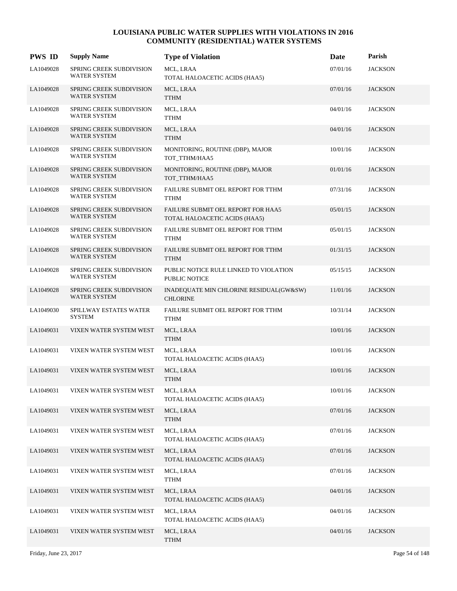| <b>PWS ID</b> | <b>Supply Name</b>                                     | <b>Type of Violation</b>                                            | Date     | Parish         |
|---------------|--------------------------------------------------------|---------------------------------------------------------------------|----------|----------------|
| LA1049028     | SPRING CREEK SUBDIVISION<br>WATER SYSTEM               | MCL, LRAA<br>TOTAL HALOACETIC ACIDS (HAA5)                          | 07/01/16 | <b>JACKSON</b> |
| LA1049028     | SPRING CREEK SUBDIVISION<br><b>WATER SYSTEM</b>        | MCL, LRAA<br><b>TTHM</b>                                            | 07/01/16 | <b>JACKSON</b> |
| LA1049028     | SPRING CREEK SUBDIVISION<br><b>WATER SYSTEM</b>        | MCL, LRAA<br><b>TTHM</b>                                            | 04/01/16 | <b>JACKSON</b> |
| LA1049028     | SPRING CREEK SUBDIVISION<br><b>WATER SYSTEM</b>        | MCL, LRAA<br><b>TTHM</b>                                            | 04/01/16 | <b>JACKSON</b> |
| LA1049028     | SPRING CREEK SUBDIVISION<br>WATER SYSTEM               | MONITORING, ROUTINE (DBP), MAJOR<br>TOT_TTHM/HAA5                   | 10/01/16 | <b>JACKSON</b> |
| LA1049028     | SPRING CREEK SUBDIVISION<br><b>WATER SYSTEM</b>        | MONITORING, ROUTINE (DBP), MAJOR<br>TOT_TTHM/HAA5                   | 01/01/16 | <b>JACKSON</b> |
| LA1049028     | SPRING CREEK SUBDIVISION<br><b>WATER SYSTEM</b>        | FAILURE SUBMIT OEL REPORT FOR TTHM<br><b>TTHM</b>                   | 07/31/16 | <b>JACKSON</b> |
| LA1049028     | SPRING CREEK SUBDIVISION<br>WATER SYSTEM               | FAILURE SUBMIT OEL REPORT FOR HAA5<br>TOTAL HALOACETIC ACIDS (HAA5) | 05/01/15 | <b>JACKSON</b> |
| LA1049028     | SPRING CREEK SUBDIVISION<br><b>WATER SYSTEM</b>        | FAILURE SUBMIT OEL REPORT FOR TTHM<br><b>TTHM</b>                   | 05/01/15 | <b>JACKSON</b> |
| LA1049028     | <b>SPRING CREEK SUBDIVISION</b><br><b>WATER SYSTEM</b> | FAILURE SUBMIT OEL REPORT FOR TTHM<br><b>TTHM</b>                   | 01/31/15 | <b>JACKSON</b> |
| LA1049028     | SPRING CREEK SUBDIVISION<br><b>WATER SYSTEM</b>        | PUBLIC NOTICE RULE LINKED TO VIOLATION<br><b>PUBLIC NOTICE</b>      | 05/15/15 | <b>JACKSON</b> |
| LA1049028     | <b>SPRING CREEK SUBDIVISION</b><br>WATER SYSTEM        | INADEQUATE MIN CHLORINE RESIDUAL(GW&SW)<br><b>CHLORINE</b>          | 11/01/16 | <b>JACKSON</b> |
| LA1049030     | SPILLWAY ESTATES WATER<br><b>SYSTEM</b>                | FAILURE SUBMIT OEL REPORT FOR TTHM<br><b>TTHM</b>                   | 10/31/14 | <b>JACKSON</b> |
| LA1049031     | VIXEN WATER SYSTEM WEST                                | MCL, LRAA<br><b>TTHM</b>                                            | 10/01/16 | <b>JACKSON</b> |
| LA1049031     | VIXEN WATER SYSTEM WEST                                | MCL, LRAA<br>TOTAL HALOACETIC ACIDS (HAA5)                          | 10/01/16 | <b>JACKSON</b> |
| LA1049031     | VIXEN WATER SYSTEM WEST                                | MCL, LRAA<br><b>TTHM</b>                                            | 10/01/16 | <b>JACKSON</b> |
| LA1049031     | VIXEN WATER SYSTEM WEST                                | MCL, LRAA<br>TOTAL HALOACETIC ACIDS (HAA5)                          | 10/01/16 | <b>JACKSON</b> |
| LA1049031     | VIXEN WATER SYSTEM WEST                                | MCL, LRAA<br><b>TTHM</b>                                            | 07/01/16 | <b>JACKSON</b> |
| LA1049031     | VIXEN WATER SYSTEM WEST                                | MCL, LRAA<br>TOTAL HALOACETIC ACIDS (HAA5)                          | 07/01/16 | <b>JACKSON</b> |
| LA1049031     | VIXEN WATER SYSTEM WEST                                | MCL, LRAA<br>TOTAL HALOACETIC ACIDS (HAA5)                          | 07/01/16 | <b>JACKSON</b> |
| LA1049031     | VIXEN WATER SYSTEM WEST                                | MCL, LRAA<br><b>TTHM</b>                                            | 07/01/16 | <b>JACKSON</b> |
| LA1049031     | VIXEN WATER SYSTEM WEST                                | MCL, LRAA<br>TOTAL HALOACETIC ACIDS (HAA5)                          | 04/01/16 | <b>JACKSON</b> |
| LA1049031     | VIXEN WATER SYSTEM WEST                                | MCL, LRAA<br>TOTAL HALOACETIC ACIDS (HAA5)                          | 04/01/16 | JACKSON        |
| LA1049031     | VIXEN WATER SYSTEM WEST                                | MCL, LRAA<br><b>TTHM</b>                                            | 04/01/16 | <b>JACKSON</b> |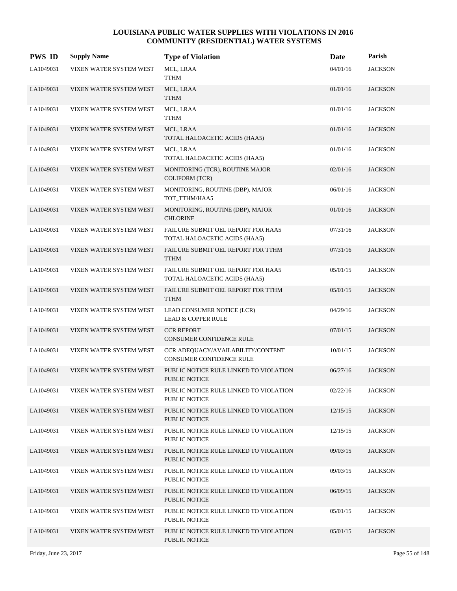| <b>PWS ID</b> | <b>Supply Name</b>      | <b>Type of Violation</b>                                             | Date     | Parish         |
|---------------|-------------------------|----------------------------------------------------------------------|----------|----------------|
| LA1049031     | VIXEN WATER SYSTEM WEST | MCL, LRAA<br>TTHM                                                    | 04/01/16 | <b>JACKSON</b> |
| LA1049031     | VIXEN WATER SYSTEM WEST | MCL, LRAA<br><b>TTHM</b>                                             | 01/01/16 | <b>JACKSON</b> |
| LA1049031     | VIXEN WATER SYSTEM WEST | MCL, LRAA<br><b>TTHM</b>                                             | 01/01/16 | <b>JACKSON</b> |
| LA1049031     | VIXEN WATER SYSTEM WEST | MCL, LRAA<br>TOTAL HALOACETIC ACIDS (HAA5)                           | 01/01/16 | <b>JACKSON</b> |
| LA1049031     | VIXEN WATER SYSTEM WEST | MCL, LRAA<br>TOTAL HALOACETIC ACIDS (HAA5)                           | 01/01/16 | <b>JACKSON</b> |
| LA1049031     | VIXEN WATER SYSTEM WEST | MONITORING (TCR), ROUTINE MAJOR<br><b>COLIFORM (TCR)</b>             | 02/01/16 | <b>JACKSON</b> |
| LA1049031     | VIXEN WATER SYSTEM WEST | MONITORING, ROUTINE (DBP), MAJOR<br>TOT_TTHM/HAA5                    | 06/01/16 | <b>JACKSON</b> |
| LA1049031     | VIXEN WATER SYSTEM WEST | MONITORING, ROUTINE (DBP), MAJOR<br><b>CHLORINE</b>                  | 01/01/16 | <b>JACKSON</b> |
| LA1049031     | VIXEN WATER SYSTEM WEST | FAILURE SUBMIT OEL REPORT FOR HAA5<br>TOTAL HALOACETIC ACIDS (HAA5)  | 07/31/16 | <b>JACKSON</b> |
| LA1049031     | VIXEN WATER SYSTEM WEST | FAILURE SUBMIT OEL REPORT FOR TTHM<br><b>TTHM</b>                    | 07/31/16 | <b>JACKSON</b> |
| LA1049031     | VIXEN WATER SYSTEM WEST | FAILURE SUBMIT OEL REPORT FOR HAA5<br>TOTAL HALOACETIC ACIDS (HAA5)  | 05/01/15 | <b>JACKSON</b> |
| LA1049031     | VIXEN WATER SYSTEM WEST | FAILURE SUBMIT OEL REPORT FOR TTHM<br><b>TTHM</b>                    | 05/01/15 | <b>JACKSON</b> |
| LA1049031     | VIXEN WATER SYSTEM WEST | LEAD CONSUMER NOTICE (LCR)<br><b>LEAD &amp; COPPER RULE</b>          | 04/29/16 | <b>JACKSON</b> |
| LA1049031     | VIXEN WATER SYSTEM WEST | <b>CCR REPORT</b><br>CONSUMER CONFIDENCE RULE                        | 07/01/15 | <b>JACKSON</b> |
| LA1049031     | VIXEN WATER SYSTEM WEST | CCR ADEQUACY/AVAILABILITY/CONTENT<br><b>CONSUMER CONFIDENCE RULE</b> | 10/01/15 | <b>JACKSON</b> |
| LA1049031     | VIXEN WATER SYSTEM WEST | PUBLIC NOTICE RULE LINKED TO VIOLATION<br>PUBLIC NOTICE              | 06/27/16 | <b>JACKSON</b> |
| LA1049031     | VIXEN WATER SYSTEM WEST | PUBLIC NOTICE RULE LINKED TO VIOLATION<br>PUBLIC NOTICE              | 02/22/16 | <b>JACKSON</b> |
| LA1049031     | VIXEN WATER SYSTEM WEST | PUBLIC NOTICE RULE LINKED TO VIOLATION<br><b>PUBLIC NOTICE</b>       | 12/15/15 | <b>JACKSON</b> |
| LA1049031     | VIXEN WATER SYSTEM WEST | PUBLIC NOTICE RULE LINKED TO VIOLATION<br>PUBLIC NOTICE              | 12/15/15 | <b>JACKSON</b> |
| LA1049031     | VIXEN WATER SYSTEM WEST | PUBLIC NOTICE RULE LINKED TO VIOLATION<br>PUBLIC NOTICE              | 09/03/15 | <b>JACKSON</b> |
| LA1049031     | VIXEN WATER SYSTEM WEST | PUBLIC NOTICE RULE LINKED TO VIOLATION<br>PUBLIC NOTICE              | 09/03/15 | <b>JACKSON</b> |
| LA1049031     | VIXEN WATER SYSTEM WEST | PUBLIC NOTICE RULE LINKED TO VIOLATION<br>PUBLIC NOTICE              | 06/09/15 | <b>JACKSON</b> |
| LA1049031     | VIXEN WATER SYSTEM WEST | PUBLIC NOTICE RULE LINKED TO VIOLATION<br>PUBLIC NOTICE              | 05/01/15 | <b>JACKSON</b> |
| LA1049031     | VIXEN WATER SYSTEM WEST | PUBLIC NOTICE RULE LINKED TO VIOLATION<br><b>PUBLIC NOTICE</b>       | 05/01/15 | <b>JACKSON</b> |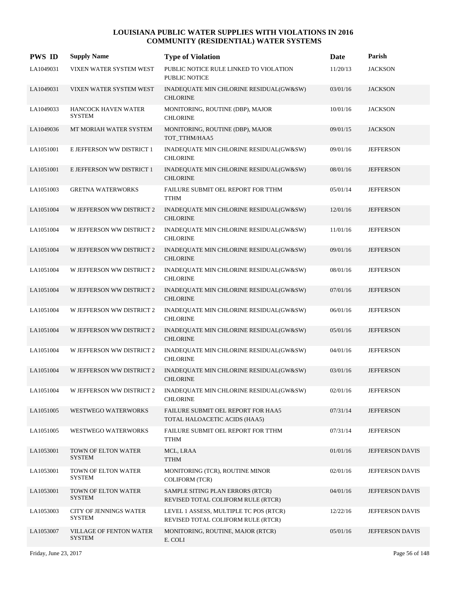| <b>PWS ID</b> | <b>Supply Name</b>                             | <b>Type of Violation</b>                                                     | Date     | Parish           |
|---------------|------------------------------------------------|------------------------------------------------------------------------------|----------|------------------|
| LA1049031     | VIXEN WATER SYSTEM WEST                        | PUBLIC NOTICE RULE LINKED TO VIOLATION<br><b>PUBLIC NOTICE</b>               | 11/20/13 | <b>JACKSON</b>   |
| LA1049031     | VIXEN WATER SYSTEM WEST                        | INADEQUATE MIN CHLORINE RESIDUAL(GW&SW)<br><b>CHLORINE</b>                   | 03/01/16 | <b>JACKSON</b>   |
| LA1049033     | <b>HANCOCK HAVEN WATER</b><br><b>SYSTEM</b>    | MONITORING, ROUTINE (DBP), MAJOR<br><b>CHLORINE</b>                          | 10/01/16 | <b>JACKSON</b>   |
| LA1049036     | MT MORIAH WATER SYSTEM                         | MONITORING, ROUTINE (DBP), MAJOR<br>TOT_TTHM/HAA5                            | 09/01/15 | <b>JACKSON</b>   |
| LA1051001     | E JEFFERSON WW DISTRICT 1                      | INADEQUATE MIN CHLORINE RESIDUAL(GW&SW)<br><b>CHLORINE</b>                   | 09/01/16 | <b>JEFFERSON</b> |
| LA1051001     | E JEFFERSON WW DISTRICT 1                      | INADEQUATE MIN CHLORINE RESIDUAL(GW&SW)<br><b>CHLORINE</b>                   | 08/01/16 | <b>JEFFERSON</b> |
| LA1051003     | <b>GRETNA WATERWORKS</b>                       | FAILURE SUBMIT OEL REPORT FOR TTHM<br><b>TTHM</b>                            | 05/01/14 | <b>JEFFERSON</b> |
| LA1051004     | W JEFFERSON WW DISTRICT 2                      | INADEQUATE MIN CHLORINE RESIDUAL(GW&SW)<br><b>CHLORINE</b>                   | 12/01/16 | <b>JEFFERSON</b> |
| LA1051004     | W JEFFERSON WW DISTRICT 2                      | INADEQUATE MIN CHLORINE RESIDUAL(GW&SW)<br><b>CHLORINE</b>                   | 11/01/16 | <b>JEFFERSON</b> |
| LA1051004     | W JEFFERSON WW DISTRICT 2                      | INADEQUATE MIN CHLORINE RESIDUAL(GW&SW)<br><b>CHLORINE</b>                   | 09/01/16 | <b>JEFFERSON</b> |
| LA1051004     | W JEFFERSON WW DISTRICT 2                      | INADEQUATE MIN CHLORINE RESIDUAL(GW&SW)<br><b>CHLORINE</b>                   | 08/01/16 | <b>JEFFERSON</b> |
| LA1051004     | W JEFFERSON WW DISTRICT 2                      | INADEQUATE MIN CHLORINE RESIDUAL(GW&SW)<br><b>CHLORINE</b>                   | 07/01/16 | <b>JEFFERSON</b> |
| LA1051004     | W JEFFERSON WW DISTRICT 2                      | INADEQUATE MIN CHLORINE RESIDUAL(GW&SW)<br><b>CHLORINE</b>                   | 06/01/16 | <b>JEFFERSON</b> |
| LA1051004     | W JEFFERSON WW DISTRICT 2                      | INADEQUATE MIN CHLORINE RESIDUAL(GW&SW)<br><b>CHLORINE</b>                   | 05/01/16 | <b>JEFFERSON</b> |
| LA1051004     | W JEFFERSON WW DISTRICT 2                      | INADEQUATE MIN CHLORINE RESIDUAL(GW&SW)<br><b>CHLORINE</b>                   | 04/01/16 | <b>JEFFERSON</b> |
| LA1051004     | W JEFFERSON WW DISTRICT 2                      | INADEQUATE MIN CHLORINE RESIDUAL(GW&SW)<br><b>CHLORINE</b>                   | 03/01/16 | <b>JEFFERSON</b> |
| LA1051004     | W JEFFERSON WW DISTRICT 2                      | INADEQUATE MIN CHLORINE RESIDUAL(GW&SW)<br><b>CHLORINE</b>                   | 02/01/16 | <b>JEFFERSON</b> |
| LA1051005     | <b>WESTWEGO WATERWORKS</b>                     | FAILURE SUBMIT OEL REPORT FOR HAA5<br>TOTAL HALOACETIC ACIDS (HAA5)          | 07/31/14 | <b>JEFFERSON</b> |
| LA1051005     | WESTWEGO WATERWORKS                            | FAILURE SUBMIT OEL REPORT FOR TTHM<br>TTHM                                   | 07/31/14 | <b>JEFFERSON</b> |
| LA1053001     | TOWN OF ELTON WATER<br><b>SYSTEM</b>           | MCL, LRAA<br><b>TTHM</b>                                                     | 01/01/16 | JEFFERSON DAVIS  |
| LA1053001     | TOWN OF ELTON WATER<br><b>SYSTEM</b>           | MONITORING (TCR), ROUTINE MINOR<br><b>COLIFORM (TCR)</b>                     | 02/01/16 | JEFFERSON DAVIS  |
| LA1053001     | TOWN OF ELTON WATER<br><b>SYSTEM</b>           | SAMPLE SITING PLAN ERRORS (RTCR)<br>REVISED TOTAL COLIFORM RULE (RTCR)       | 04/01/16 | JEFFERSON DAVIS  |
| LA1053003     | <b>CITY OF JENNINGS WATER</b><br><b>SYSTEM</b> | LEVEL 1 ASSESS, MULTIPLE TC POS (RTCR)<br>REVISED TOTAL COLIFORM RULE (RTCR) | 12/22/16 | JEFFERSON DAVIS  |
| LA1053007     | VILLAGE OF FENTON WATER<br><b>SYSTEM</b>       | MONITORING, ROUTINE, MAJOR (RTCR)<br>E. COLI                                 | 05/01/16 | JEFFERSON DAVIS  |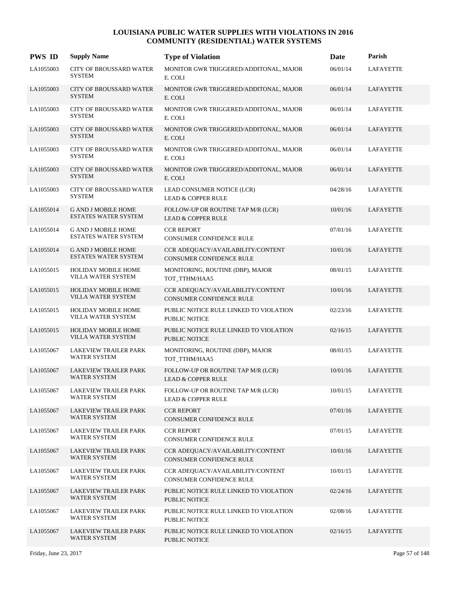| <b>PWS ID</b> | <b>Supply Name</b>                                        | <b>Type of Violation</b>                                             | Date     | Parish           |
|---------------|-----------------------------------------------------------|----------------------------------------------------------------------|----------|------------------|
| LA1055003     | CITY OF BROUSSARD WATER<br><b>SYSTEM</b>                  | MONITOR GWR TRIGGERED/ADDITONAL, MAJOR<br>E. COLI                    | 06/01/14 | <b>LAFAYETTE</b> |
| LA1055003     | <b>CITY OF BROUSSARD WATER</b><br><b>SYSTEM</b>           | MONITOR GWR TRIGGERED/ADDITONAL, MAJOR<br>E. COLI                    | 06/01/14 | LAFAYETTE        |
| LA1055003     | CITY OF BROUSSARD WATER<br><b>SYSTEM</b>                  | MONITOR GWR TRIGGERED/ADDITONAL, MAJOR<br>E. COLI                    | 06/01/14 | LAFAYETTE        |
| LA1055003     | <b>CITY OF BROUSSARD WATER</b><br><b>SYSTEM</b>           | MONITOR GWR TRIGGERED/ADDITONAL, MAJOR<br>E. COLI                    | 06/01/14 | <b>LAFAYETTE</b> |
| LA1055003     | <b>CITY OF BROUSSARD WATER</b><br><b>SYSTEM</b>           | MONITOR GWR TRIGGERED/ADDITONAL, MAJOR<br>E. COLI                    | 06/01/14 | <b>LAFAYETTE</b> |
| LA1055003     | <b>CITY OF BROUSSARD WATER</b><br><b>SYSTEM</b>           | MONITOR GWR TRIGGERED/ADDITONAL, MAJOR<br>E. COLI                    | 06/01/14 | LAFAYETTE        |
| LA1055003     | <b>CITY OF BROUSSARD WATER</b><br><b>SYSTEM</b>           | LEAD CONSUMER NOTICE (LCR)<br><b>LEAD &amp; COPPER RULE</b>          | 04/28/16 | <b>LAFAYETTE</b> |
| LA1055014     | <b>G AND J MOBILE HOME</b><br><b>ESTATES WATER SYSTEM</b> | FOLLOW-UP OR ROUTINE TAP M/R (LCR)<br><b>LEAD &amp; COPPER RULE</b>  | 10/01/16 | LAFAYETTE        |
| LA1055014     | <b>G AND J MOBILE HOME</b><br>ESTATES WATER SYSTEM        | <b>CCR REPORT</b><br><b>CONSUMER CONFIDENCE RULE</b>                 | 07/01/16 | <b>LAFAYETTE</b> |
| LA1055014     | <b>G AND J MOBILE HOME</b><br><b>ESTATES WATER SYSTEM</b> | CCR ADEQUACY/AVAILABILITY/CONTENT<br><b>CONSUMER CONFIDENCE RULE</b> | 10/01/16 | LAFAYETTE        |
| LA1055015     | HOLIDAY MOBILE HOME<br>VILLA WATER SYSTEM                 | MONITORING, ROUTINE (DBP), MAJOR<br>TOT_TTHM/HAA5                    | 08/01/15 | LAFAYETTE        |
| LA1055015     | <b>HOLIDAY MOBILE HOME</b><br>VILLA WATER SYSTEM          | CCR ADEQUACY/AVAILABILITY/CONTENT<br><b>CONSUMER CONFIDENCE RULE</b> | 10/01/16 | LAFAYETTE        |
| LA1055015     | <b>HOLIDAY MOBILE HOME</b><br>VILLA WATER SYSTEM          | PUBLIC NOTICE RULE LINKED TO VIOLATION<br><b>PUBLIC NOTICE</b>       | 02/23/16 | LAFAYETTE        |
| LA1055015     | <b>HOLIDAY MOBILE HOME</b><br><b>VILLA WATER SYSTEM</b>   | PUBLIC NOTICE RULE LINKED TO VIOLATION<br><b>PUBLIC NOTICE</b>       | 02/16/15 | LAFAYETTE        |
| LA1055067     | LAKEVIEW TRAILER PARK<br><b>WATER SYSTEM</b>              | MONITORING, ROUTINE (DBP), MAJOR<br>TOT_TTHM/HAA5                    | 08/01/15 | LAFAYETTE        |
| LA1055067     | <b>LAKEVIEW TRAILER PARK</b><br><b>WATER SYSTEM</b>       | FOLLOW-UP OR ROUTINE TAP M/R (LCR)<br><b>LEAD &amp; COPPER RULE</b>  | 10/01/16 | <b>LAFAYETTE</b> |
| LA1055067     | LAKEVIEW TRAILER PARK<br>WATER SYSTEM                     | FOLLOW-UP OR ROUTINE TAP M/R (LCR)<br><b>LEAD &amp; COPPER RULE</b>  | 10/01/15 | LAFAYETTE        |
| LA1055067     | <b>LAKEVIEW TRAILER PARK</b><br><b>WATER SYSTEM</b>       | <b>CCR REPORT</b><br><b>CONSUMER CONFIDENCE RULE</b>                 | 07/01/16 | LAFAYETTE        |
| LA1055067     | LAKEVIEW TRAILER PARK<br>WATER SYSTEM                     | <b>CCR REPORT</b><br>CONSUMER CONFIDENCE RULE                        | 07/01/15 | LAFAYETTE        |
| LA1055067     | LAKEVIEW TRAILER PARK<br><b>WATER SYSTEM</b>              | CCR ADEQUACY/AVAILABILITY/CONTENT<br>CONSUMER CONFIDENCE RULE        | 10/01/16 | LAFAYETTE        |
| LA1055067     | LAKEVIEW TRAILER PARK<br><b>WATER SYSTEM</b>              | CCR ADEOUACY/AVAILABILITY/CONTENT<br>CONSUMER CONFIDENCE RULE        | 10/01/15 | LAFAYETTE        |
| LA1055067     | LAKEVIEW TRAILER PARK<br>WATER SYSTEM                     | PUBLIC NOTICE RULE LINKED TO VIOLATION<br>PUBLIC NOTICE              | 02/24/16 | LAFAYETTE        |
| LA1055067     | LAKEVIEW TRAILER PARK<br>WATER SYSTEM                     | PUBLIC NOTICE RULE LINKED TO VIOLATION<br>PUBLIC NOTICE              | 02/08/16 | LAFAYETTE        |
| LA1055067     | LAKEVIEW TRAILER PARK<br>WATER SYSTEM                     | PUBLIC NOTICE RULE LINKED TO VIOLATION<br>PUBLIC NOTICE              | 02/16/15 | LAFAYETTE        |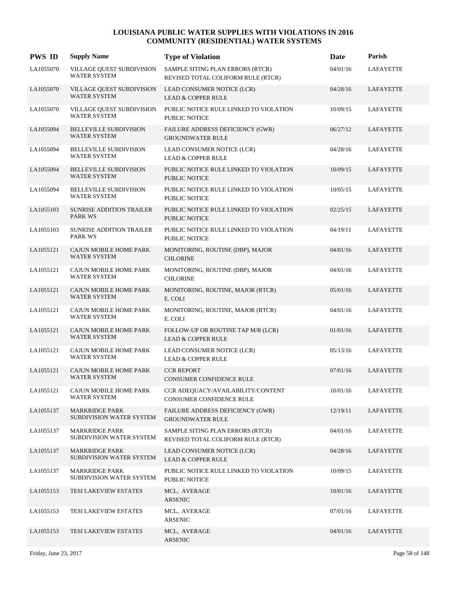| <b>PWS ID</b> | <b>Supply Name</b>                                   | <b>Type of Violation</b>                                               | Date     | Parish           |
|---------------|------------------------------------------------------|------------------------------------------------------------------------|----------|------------------|
| LA1055070     | VILLAGE QUEST SUBDIVISION<br><b>WATER SYSTEM</b>     | SAMPLE SITING PLAN ERRORS (RTCR)<br>REVISED TOTAL COLIFORM RULE (RTCR) | 04/01/16 | LAFAYETTE        |
| LA1055070     | VILLAGE QUEST SUBDIVISION<br><b>WATER SYSTEM</b>     | LEAD CONSUMER NOTICE (LCR)<br><b>LEAD &amp; COPPER RULE</b>            | 04/28/16 | <b>LAFAYETTE</b> |
| LA1055070     | VILLAGE QUEST SUBDIVISION<br><b>WATER SYSTEM</b>     | PUBLIC NOTICE RULE LINKED TO VIOLATION<br>PUBLIC NOTICE                | 10/09/15 | LAFAYETTE        |
| LA1055094     | <b>BELLEVILLE SUBDIVISION</b><br><b>WATER SYSTEM</b> | FAILURE ADDRESS DEFICIENCY (GWR)<br><b>GROUNDWATER RULE</b>            | 06/27/12 | <b>LAFAYETTE</b> |
| LA1055094     | <b>BELLEVILLE SUBDIVISION</b><br>WATER SYSTEM        | LEAD CONSUMER NOTICE (LCR)<br><b>LEAD &amp; COPPER RULE</b>            | 04/28/16 | <b>LAFAYETTE</b> |
| LA1055094     | <b>BELLEVILLE SUBDIVISION</b><br><b>WATER SYSTEM</b> | PUBLIC NOTICE RULE LINKED TO VIOLATION<br><b>PUBLIC NOTICE</b>         | 10/09/15 | LAFAYETTE        |
| LA1055094     | <b>BELLEVILLE SUBDIVISION</b><br><b>WATER SYSTEM</b> | PUBLIC NOTICE RULE LINKED TO VIOLATION<br><b>PUBLIC NOTICE</b>         | 10/05/15 | LAFAYETTE        |
| LA1055103     | SUNRISE ADDITION TRAILER<br>PARK WS                  | PUBLIC NOTICE RULE LINKED TO VIOLATION<br><b>PUBLIC NOTICE</b>         | 02/25/15 | LAFAYETTE        |
| LA1055103     | <b>SUNRISE ADDITION TRAILER</b><br>PARK WS           | PUBLIC NOTICE RULE LINKED TO VIOLATION<br>PUBLIC NOTICE                | 04/19/11 | LAFAYETTE        |
| LA1055121     | CAJUN MOBILE HOME PARK<br><b>WATER SYSTEM</b>        | MONITORING, ROUTINE (DBP), MAJOR<br><b>CHLORINE</b>                    | 04/01/16 | <b>LAFAYETTE</b> |
| LA1055121     | CAJUN MOBILE HOME PARK<br><b>WATER SYSTEM</b>        | MONITORING, ROUTINE (DBP), MAJOR<br><b>CHLORINE</b>                    | 04/01/16 | LAFAYETTE        |
| LA1055121     | <b>CAJUN MOBILE HOME PARK</b><br><b>WATER SYSTEM</b> | MONITORING, ROUTINE, MAJOR (RTCR)<br>E. COLI                           | 05/01/16 | LAFAYETTE        |
| LA1055121     | CAJUN MOBILE HOME PARK<br><b>WATER SYSTEM</b>        | MONITORING, ROUTINE, MAJOR (RTCR)<br>E. COLI                           | 04/01/16 | LAFAYETTE        |
| LA1055121     | <b>CAJUN MOBILE HOME PARK</b><br><b>WATER SYSTEM</b> | FOLLOW-UP OR ROUTINE TAP M/R (LCR)<br><b>LEAD &amp; COPPER RULE</b>    | 01/01/16 | LAFAYETTE        |
| LA1055121     | CAJUN MOBILE HOME PARK<br><b>WATER SYSTEM</b>        | LEAD CONSUMER NOTICE (LCR)<br><b>LEAD &amp; COPPER RULE</b>            | 05/13/16 | LAFAYETTE        |
| LA1055121     | CAJUN MOBILE HOME PARK<br><b>WATER SYSTEM</b>        | <b>CCR REPORT</b><br><b>CONSUMER CONFIDENCE RULE</b>                   | 07/01/16 | LAFAYETTE        |
| LA1055121     | CAJUN MOBILE HOME PARK<br><b>WATER SYSTEM</b>        | CCR ADEQUACY/AVAILABILITY/CONTENT<br>CONSUMER CONFIDENCE RULE          | 10/01/16 | <b>LAFAYETTE</b> |
| LA1055137     | <b>MARKRIDGE PARK</b><br>SUBDIVISION WATER SYSTEM    | FAILURE ADDRESS DEFICIENCY (GWR)<br><b>GROUNDWATER RULE</b>            | 12/19/11 | LAFAYETTE        |
| LA1055137     | MARKRIDGE PARK<br>SUBDIVISION WATER SYSTEM           | SAMPLE SITING PLAN ERRORS (RTCR)<br>REVISED TOTAL COLIFORM RULE (RTCR) | 04/01/16 | LAFAYETTE        |
| LA1055137     | <b>MARKRIDGE PARK</b><br>SUBDIVISION WATER SYSTEM    | LEAD CONSUMER NOTICE (LCR)<br><b>LEAD &amp; COPPER RULE</b>            | 04/28/16 | LAFAYETTE        |
| LA1055137     | <b>MARKRIDGE PARK</b><br>SUBDIVISION WATER SYSTEM    | PUBLIC NOTICE RULE LINKED TO VIOLATION<br>PUBLIC NOTICE                | 10/09/15 | LAFAYETTE        |
| LA1055153     | TESI LAKEVIEW ESTATES                                | MCL, AVERAGE<br>ARSENIC                                                | 10/01/16 | LAFAYETTE        |
| LA1055153     | TESI LAKEVIEW ESTATES                                | MCL, AVERAGE<br>ARSENIC                                                | 07/01/16 | LAFAYETTE        |
| LA1055153     | TESI LAKEVIEW ESTATES                                | MCL, AVERAGE<br>ARSENIC                                                | 04/01/16 | LAFAYETTE        |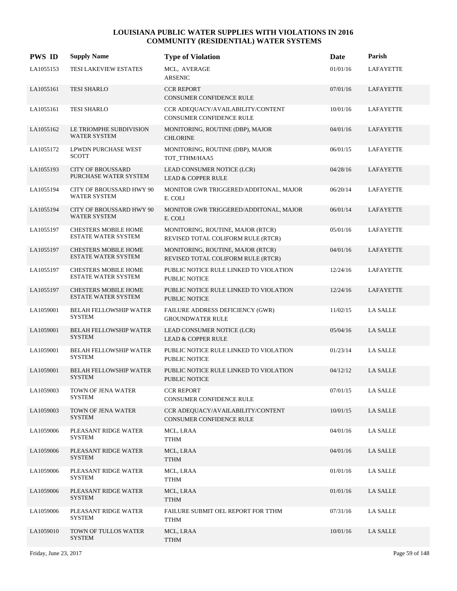| <b>PWS ID</b> | <b>Supply Name</b>                                        | <b>Type of Violation</b>                                                | Date     | Parish           |
|---------------|-----------------------------------------------------------|-------------------------------------------------------------------------|----------|------------------|
| LA1055153     | TESI LAKEVIEW ESTATES                                     | MCL, AVERAGE<br><b>ARSENIC</b>                                          | 01/01/16 | <b>LAFAYETTE</b> |
| LA1055161     | <b>TESI SHARLO</b>                                        | <b>CCR REPORT</b><br>CONSUMER CONFIDENCE RULE                           | 07/01/16 | LAFAYETTE        |
| LA1055161     | <b>TESI SHARLO</b>                                        | CCR ADEQUACY/AVAILABILITY/CONTENT<br>CONSUMER CONFIDENCE RULE           | 10/01/16 | <b>LAFAYETTE</b> |
| LA1055162     | LE TRIOMPHE SUBDIVISION<br><b>WATER SYSTEM</b>            | MONITORING, ROUTINE (DBP), MAJOR<br><b>CHLORINE</b>                     | 04/01/16 | LAFAYETTE        |
| LA1055172     | LPWDN PURCHASE WEST<br><b>SCOTT</b>                       | MONITORING, ROUTINE (DBP), MAJOR<br>TOT_TTHM/HAA5                       | 06/01/15 | LAFAYETTE        |
| LA1055193     | <b>CITY OF BROUSSARD</b><br>PURCHASE WATER SYSTEM         | LEAD CONSUMER NOTICE (LCR)<br><b>LEAD &amp; COPPER RULE</b>             | 04/28/16 | LAFAYETTE        |
| LA1055194     | CITY OF BROUSSARD HWY 90<br><b>WATER SYSTEM</b>           | MONITOR GWR TRIGGERED/ADDITONAL, MAJOR<br>E. COLI                       | 06/20/14 | LAFAYETTE        |
| LA1055194     | <b>CITY OF BROUSSARD HWY 90</b><br><b>WATER SYSTEM</b>    | MONITOR GWR TRIGGERED/ADDITONAL, MAJOR<br>E. COLI                       | 06/01/14 | <b>LAFAYETTE</b> |
| LA1055197     | <b>CHESTERS MOBILE HOME</b><br><b>ESTATE WATER SYSTEM</b> | MONITORING, ROUTINE, MAJOR (RTCR)<br>REVISED TOTAL COLIFORM RULE (RTCR) | 05/01/16 | <b>LAFAYETTE</b> |
| LA1055197     | <b>CHESTERS MOBILE HOME</b><br><b>ESTATE WATER SYSTEM</b> | MONITORING, ROUTINE, MAJOR (RTCR)<br>REVISED TOTAL COLIFORM RULE (RTCR) | 04/01/16 | LAFAYETTE        |
| LA1055197     | <b>CHESTERS MOBILE HOME</b><br><b>ESTATE WATER SYSTEM</b> | PUBLIC NOTICE RULE LINKED TO VIOLATION<br><b>PUBLIC NOTICE</b>          | 12/24/16 | LAFAYETTE        |
| LA1055197     | <b>CHESTERS MOBILE HOME</b><br><b>ESTATE WATER SYSTEM</b> | PUBLIC NOTICE RULE LINKED TO VIOLATION<br><b>PUBLIC NOTICE</b>          | 12/24/16 | LAFAYETTE        |
| LA1059001     | <b>BELAH FELLOWSHIP WATER</b><br><b>SYSTEM</b>            | <b>FAILURE ADDRESS DEFICIENCY (GWR)</b><br><b>GROUNDWATER RULE</b>      | 11/02/15 | <b>LA SALLE</b>  |
| LA1059001     | <b>BELAH FELLOWSHIP WATER</b><br><b>SYSTEM</b>            | LEAD CONSUMER NOTICE (LCR)<br><b>LEAD &amp; COPPER RULE</b>             | 05/04/16 | <b>LA SALLE</b>  |
| LA1059001     | <b>BELAH FELLOWSHIP WATER</b><br><b>SYSTEM</b>            | PUBLIC NOTICE RULE LINKED TO VIOLATION<br>PUBLIC NOTICE                 | 01/23/14 | <b>LA SALLE</b>  |
| LA1059001     | <b>BELAH FELLOWSHIP WATER</b><br><b>SYSTEM</b>            | PUBLIC NOTICE RULE LINKED TO VIOLATION<br>PUBLIC NOTICE                 | 04/12/12 | LA SALLE         |
| LA1059003     | TOWN OF JENA WATER<br><b>SYSTEM</b>                       | <b>CCR REPORT</b><br>CONSUMER CONFIDENCE RULE                           | 07/01/15 | <b>LA SALLE</b>  |
| LA1059003     | TOWN OF JENA WATER<br><b>SYSTEM</b>                       | CCR ADEOUACY/AVAILABILITY/CONTENT<br>CONSUMER CONFIDENCE RULE           | 10/01/15 | LA SALLE         |
| LA1059006     | PLEASANT RIDGE WATER<br>SYSTEM                            | MCL, LRAA<br><b>TTHM</b>                                                | 04/01/16 | LA SALLE         |
| LA1059006     | PLEASANT RIDGE WATER<br><b>SYSTEM</b>                     | MCL, LRAA<br><b>TTHM</b>                                                | 04/01/16 | LA SALLE         |
| LA1059006     | PLEASANT RIDGE WATER<br><b>SYSTEM</b>                     | MCL, LRAA<br><b>TTHM</b>                                                | 01/01/16 | <b>LA SALLE</b>  |
| LA1059006     | PLEASANT RIDGE WATER<br><b>SYSTEM</b>                     | MCL, LRAA<br><b>TTHM</b>                                                | 01/01/16 | LA SALLE         |
| LA1059006     | PLEASANT RIDGE WATER<br>SYSTEM                            | FAILURE SUBMIT OEL REPORT FOR TTHM<br>TTHM                              | 07/31/16 | <b>LA SALLE</b>  |
| LA1059010     | TOWN OF TULLOS WATER<br><b>SYSTEM</b>                     | MCL, LRAA<br><b>TTHM</b>                                                | 10/01/16 | LA SALLE         |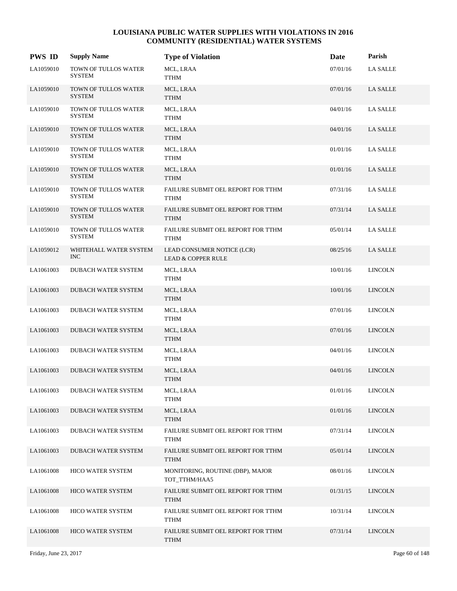| <b>PWS ID</b> | <b>Supply Name</b>                           | <b>Type of Violation</b>                                    | Date     | Parish          |
|---------------|----------------------------------------------|-------------------------------------------------------------|----------|-----------------|
| LA1059010     | TOWN OF TULLOS WATER<br><b>SYSTEM</b>        | MCL, LRAA<br><b>TTHM</b>                                    | 07/01/16 | <b>LA SALLE</b> |
| LA1059010     | TOWN OF TULLOS WATER<br><b>SYSTEM</b>        | MCL, LRAA<br><b>TTHM</b>                                    | 07/01/16 | <b>LA SALLE</b> |
| LA1059010     | TOWN OF TULLOS WATER<br><b>SYSTEM</b>        | MCL, LRAA<br><b>TTHM</b>                                    | 04/01/16 | <b>LA SALLE</b> |
| LA1059010     | TOWN OF TULLOS WATER<br><b>SYSTEM</b>        | MCL, LRAA<br><b>TTHM</b>                                    | 04/01/16 | LA SALLE        |
| LA1059010     | TOWN OF TULLOS WATER<br><b>SYSTEM</b>        | MCL, LRAA<br>TTHM                                           | 01/01/16 | LA SALLE        |
| LA1059010     | TOWN OF TULLOS WATER<br><b>SYSTEM</b>        | MCL, LRAA<br><b>TTHM</b>                                    | 01/01/16 | LA SALLE        |
| LA1059010     | TOWN OF TULLOS WATER<br><b>SYSTEM</b>        | FAILURE SUBMIT OEL REPORT FOR TTHM<br><b>TTHM</b>           | 07/31/16 | LA SALLE        |
| LA1059010     | <b>TOWN OF TULLOS WATER</b><br><b>SYSTEM</b> | FAILURE SUBMIT OEL REPORT FOR TTHM<br><b>TTHM</b>           | 07/31/14 | LA SALLE        |
| LA1059010     | TOWN OF TULLOS WATER<br><b>SYSTEM</b>        | FAILURE SUBMIT OEL REPORT FOR TTHM<br><b>TTHM</b>           | 05/01/14 | <b>LA SALLE</b> |
| LA1059012     | WHITEHALL WATER SYSTEM<br><b>INC</b>         | LEAD CONSUMER NOTICE (LCR)<br><b>LEAD &amp; COPPER RULE</b> | 08/25/16 | LA SALLE        |
| LA1061003     | DUBACH WATER SYSTEM                          | MCL, LRAA<br>TTHM                                           | 10/01/16 | <b>LINCOLN</b>  |
| LA1061003     | DUBACH WATER SYSTEM                          | MCL, LRAA<br><b>TTHM</b>                                    | 10/01/16 | <b>LINCOLN</b>  |
| LA1061003     | DUBACH WATER SYSTEM                          | MCL, LRAA<br><b>TTHM</b>                                    | 07/01/16 | <b>LINCOLN</b>  |
| LA1061003     | DUBACH WATER SYSTEM                          | MCL, LRAA<br><b>TTHM</b>                                    | 07/01/16 | <b>LINCOLN</b>  |
| LA1061003     | <b>DUBACH WATER SYSTEM</b>                   | MCL, LRAA<br><b>TTHM</b>                                    | 04/01/16 | <b>LINCOLN</b>  |
| LA1061003     | <b>DUBACH WATER SYSTEM</b>                   | MCL, LRAA<br><b>TTHM</b>                                    | 04/01/16 | <b>LINCOLN</b>  |
| LA1061003     | DUBACH WATER SYSTEM                          | MCL, LRAA<br><b>TTHM</b>                                    | 01/01/16 | <b>LINCOLN</b>  |
| LA1061003     | <b>DUBACH WATER SYSTEM</b>                   | MCL, LRAA<br><b>TTHM</b>                                    | 01/01/16 | <b>LINCOLN</b>  |
| LA1061003     | <b>DUBACH WATER SYSTEM</b>                   | FAILURE SUBMIT OEL REPORT FOR TTHM<br><b>TTHM</b>           | 07/31/14 | <b>LINCOLN</b>  |
| LA1061003     | DUBACH WATER SYSTEM                          | FAILURE SUBMIT OEL REPORT FOR TTHM<br><b>TTHM</b>           | 05/01/14 | <b>LINCOLN</b>  |
| LA1061008     | HICO WATER SYSTEM                            | MONITORING, ROUTINE (DBP), MAJOR<br>TOT TTHM/HAA5           | 08/01/16 | <b>LINCOLN</b>  |
| LA1061008     | <b>HICO WATER SYSTEM</b>                     | FAILURE SUBMIT OEL REPORT FOR TTHM<br><b>TTHM</b>           | 01/31/15 | <b>LINCOLN</b>  |
| LA1061008     | <b>HICO WATER SYSTEM</b>                     | FAILURE SUBMIT OEL REPORT FOR TTHM<br>TTHM                  | 10/31/14 | <b>LINCOLN</b>  |
| LA1061008     | <b>HICO WATER SYSTEM</b>                     | FAILURE SUBMIT OEL REPORT FOR TTHM<br><b>TTHM</b>           | 07/31/14 | <b>LINCOLN</b>  |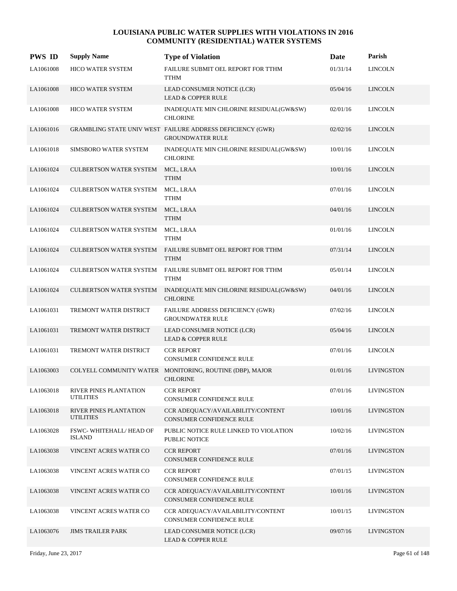| <b>PWS ID</b> | <b>Supply Name</b>                         | <b>Type of Violation</b>                                                              | Date     | Parish            |
|---------------|--------------------------------------------|---------------------------------------------------------------------------------------|----------|-------------------|
| LA1061008     | HICO WATER SYSTEM                          | FAILURE SUBMIT OEL REPORT FOR TTHM<br><b>TTHM</b>                                     | 01/31/14 | <b>LINCOLN</b>    |
| LA1061008     | <b>HICO WATER SYSTEM</b>                   | LEAD CONSUMER NOTICE (LCR)<br><b>LEAD &amp; COPPER RULE</b>                           | 05/04/16 | <b>LINCOLN</b>    |
| LA1061008     | <b>HICO WATER SYSTEM</b>                   | INADEQUATE MIN CHLORINE RESIDUAL(GW&SW)<br><b>CHLORINE</b>                            | 02/01/16 | <b>LINCOLN</b>    |
| LA1061016     |                                            | GRAMBLING STATE UNIV WEST FAILURE ADDRESS DEFICIENCY (GWR)<br><b>GROUNDWATER RULE</b> | 02/02/16 | <b>LINCOLN</b>    |
| LA1061018     | SIMSBORO WATER SYSTEM                      | INADEQUATE MIN CHLORINE RESIDUAL(GW&SW)<br><b>CHLORINE</b>                            | 10/01/16 | <b>LINCOLN</b>    |
| LA1061024     | CULBERTSON WATER SYSTEM                    | MCL, LRAA<br><b>TTHM</b>                                                              | 10/01/16 | <b>LINCOLN</b>    |
| LA1061024     | <b>CULBERTSON WATER SYSTEM</b>             | MCL, LRAA<br><b>TTHM</b>                                                              | 07/01/16 | <b>LINCOLN</b>    |
| LA1061024     | <b>CULBERTSON WATER SYSTEM</b>             | MCL, LRAA<br><b>TTHM</b>                                                              | 04/01/16 | <b>LINCOLN</b>    |
| LA1061024     | <b>CULBERTSON WATER SYSTEM</b>             | MCL, LRAA<br><b>TTHM</b>                                                              | 01/01/16 | <b>LINCOLN</b>    |
| LA1061024     | CULBERTSON WATER SYSTEM                    | FAILURE SUBMIT OEL REPORT FOR TTHM<br><b>TTHM</b>                                     | 07/31/14 | <b>LINCOLN</b>    |
| LA1061024     | CULBERTSON WATER SYSTEM                    | FAILURE SUBMIT OEL REPORT FOR TTHM<br>TTHM                                            | 05/01/14 | <b>LINCOLN</b>    |
| LA1061024     | <b>CULBERTSON WATER SYSTEM</b>             | INADEQUATE MIN CHLORINE RESIDUAL(GW&SW)<br><b>CHLORINE</b>                            | 04/01/16 | <b>LINCOLN</b>    |
| LA1061031     | TREMONT WATER DISTRICT                     | FAILURE ADDRESS DEFICIENCY (GWR)<br><b>GROUNDWATER RULE</b>                           | 07/02/16 | <b>LINCOLN</b>    |
| LA1061031     | TREMONT WATER DISTRICT                     | LEAD CONSUMER NOTICE (LCR)<br><b>LEAD &amp; COPPER RULE</b>                           | 05/04/16 | <b>LINCOLN</b>    |
| LA1061031     | TREMONT WATER DISTRICT                     | <b>CCR REPORT</b><br><b>CONSUMER CONFIDENCE RULE</b>                                  | 07/01/16 | <b>LINCOLN</b>    |
| LA1063003     |                                            | COLYELL COMMUNITY WATER MONITORING, ROUTINE (DBP), MAJOR<br><b>CHLORINE</b>           | 01/01/16 | <b>LIVINGSTON</b> |
| LA1063018     | RIVER PINES PLANTATION<br><b>UTILITIES</b> | <b>CCR REPORT</b><br>CONSUMER CONFIDENCE RULE                                         | 07/01/16 | <b>LIVINGSTON</b> |
| LA1063018     | RIVER PINES PLANTATION<br><b>UTILITIES</b> | CCR ADEQUACY/AVAILABILITY/CONTENT<br>CONSUMER CONFIDENCE RULE                         | 10/01/16 | <b>LIVINGSTON</b> |
| LA1063028     | FSWC-WHITEHALL/HEAD OF<br><b>ISLAND</b>    | PUBLIC NOTICE RULE LINKED TO VIOLATION<br>PUBLIC NOTICE                               | 10/02/16 | LIVINGSTON        |
| LA1063038     | VINCENT ACRES WATER CO                     | <b>CCR REPORT</b><br>CONSUMER CONFIDENCE RULE                                         | 07/01/16 | <b>LIVINGSTON</b> |
| LA1063038     | VINCENT ACRES WATER CO                     | <b>CCR REPORT</b><br>CONSUMER CONFIDENCE RULE                                         | 07/01/15 | LIVINGSTON        |
| LA1063038     | VINCENT ACRES WATER CO                     | CCR ADEQUACY/AVAILABILITY/CONTENT<br>CONSUMER CONFIDENCE RULE                         | 10/01/16 | <b>LIVINGSTON</b> |
| LA1063038     | VINCENT ACRES WATER CO                     | CCR ADEQUACY/AVAILABILITY/CONTENT<br>CONSUMER CONFIDENCE RULE                         | 10/01/15 | LIVINGSTON        |
| LA1063076     | <b>JIMS TRAILER PARK</b>                   | LEAD CONSUMER NOTICE (LCR)<br><b>LEAD &amp; COPPER RULE</b>                           | 09/07/16 | <b>LIVINGSTON</b> |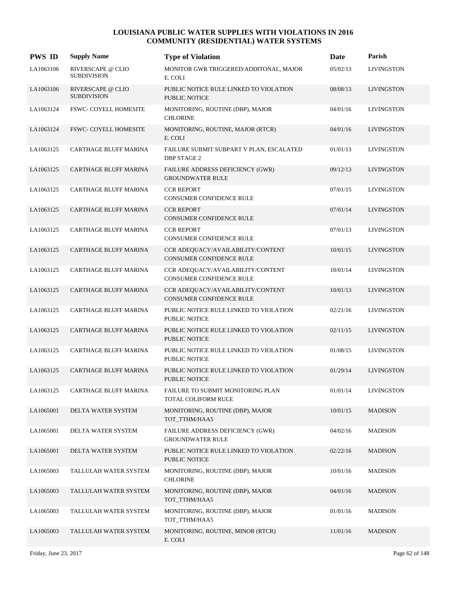| <b>PWS ID</b> | <b>Supply Name</b>                      | <b>Type of Violation</b>                                             | Date     | Parish            |
|---------------|-----------------------------------------|----------------------------------------------------------------------|----------|-------------------|
| LA1063106     | RIVERSCAPE @ CLIO<br><b>SUBDIVISION</b> | MONITOR GWR TRIGGERED/ADDITONAL, MAJOR<br>E. COLI                    | 05/02/13 | <b>LIVINGSTON</b> |
| LA1063106     | RIVERSCAPE @ CLIO<br><b>SUBDIVISION</b> | PUBLIC NOTICE RULE LINKED TO VIOLATION<br><b>PUBLIC NOTICE</b>       | 08/08/13 | <b>LIVINGSTON</b> |
| LA1063124     | FSWC- COYELL HOMESITE                   | MONITORING, ROUTINE (DBP), MAJOR<br><b>CHLORINE</b>                  | 04/01/16 | <b>LIVINGSTON</b> |
| LA1063124     | <b>FSWC- COYELL HOMESITE</b>            | MONITORING, ROUTINE, MAJOR (RTCR)<br>E. COLI                         | 04/01/16 | <b>LIVINGSTON</b> |
| LA1063125     | CARTHAGE BLUFF MARINA                   | FAILURE SUBMIT SUBPART V PLAN, ESCALATED<br><b>DBP STAGE 2</b>       | 01/01/13 | <b>LIVINGSTON</b> |
| LA1063125     | <b>CARTHAGE BLUFF MARINA</b>            | FAILURE ADDRESS DEFICIENCY (GWR)<br><b>GROUNDWATER RULE</b>          | 09/12/13 | <b>LIVINGSTON</b> |
| LA1063125     | <b>CARTHAGE BLUFF MARINA</b>            | <b>CCR REPORT</b><br>CONSUMER CONFIDENCE RULE                        | 07/01/15 | <b>LIVINGSTON</b> |
| LA1063125     | <b>CARTHAGE BLUFF MARINA</b>            | <b>CCR REPORT</b><br><b>CONSUMER CONFIDENCE RULE</b>                 | 07/01/14 | <b>LIVINGSTON</b> |
| LA1063125     | CARTHAGE BLUFF MARINA                   | <b>CCR REPORT</b><br>CONSUMER CONFIDENCE RULE                        | 07/01/13 | <b>LIVINGSTON</b> |
| LA1063125     | <b>CARTHAGE BLUFF MARINA</b>            | CCR ADEQUACY/AVAILABILITY/CONTENT<br><b>CONSUMER CONFIDENCE RULE</b> | 10/01/15 | <b>LIVINGSTON</b> |
| LA1063125     | CARTHAGE BLUFF MARINA                   | CCR ADEQUACY/AVAILABILITY/CONTENT<br><b>CONSUMER CONFIDENCE RULE</b> | 10/01/14 | LIVINGSTON        |
| LA1063125     | <b>CARTHAGE BLUFF MARINA</b>            | CCR ADEQUACY/AVAILABILITY/CONTENT<br><b>CONSUMER CONFIDENCE RULE</b> | 10/01/13 | <b>LIVINGSTON</b> |
| LA1063125     | CARTHAGE BLUFF MARINA                   | PUBLIC NOTICE RULE LINKED TO VIOLATION<br><b>PUBLIC NOTICE</b>       | 02/21/16 | <b>LIVINGSTON</b> |
| LA1063125     | <b>CARTHAGE BLUFF MARINA</b>            | PUBLIC NOTICE RULE LINKED TO VIOLATION<br><b>PUBLIC NOTICE</b>       | 02/11/15 | <b>LIVINGSTON</b> |
| LA1063125     | CARTHAGE BLUFF MARINA                   | PUBLIC NOTICE RULE LINKED TO VIOLATION<br>PUBLIC NOTICE              | 01/08/15 | LIVINGSTON        |
| LA1063125     | <b>CARTHAGE BLUFF MARINA</b>            | PUBLIC NOTICE RULE LINKED TO VIOLATION<br><b>PUBLIC NOTICE</b>       | 01/29/14 | <b>LIVINGSTON</b> |
| LA1063125     | CARTHAGE BLUFF MARINA                   | FAILURE TO SUBMIT MONITORING PLAN<br>TOTAL COLIFORM RULE             | 01/01/14 | <b>LIVINGSTON</b> |
| LA1065001     | DELTA WATER SYSTEM                      | MONITORING, ROUTINE (DBP), MAJOR<br>TOT_TTHM/HAA5                    | 10/01/15 | <b>MADISON</b>    |
| LA1065001     | DELTA WATER SYSTEM                      | FAILURE ADDRESS DEFICIENCY (GWR)<br><b>GROUNDWATER RULE</b>          | 04/02/16 | <b>MADISON</b>    |
| LA1065001     | DELTA WATER SYSTEM                      | PUBLIC NOTICE RULE LINKED TO VIOLATION<br>PUBLIC NOTICE              | 02/22/16 | <b>MADISON</b>    |
| LA1065003     | TALLULAH WATER SYSTEM                   | MONITORING, ROUTINE (DBP), MAJOR<br><b>CHLORINE</b>                  | 10/01/16 | <b>MADISON</b>    |
| LA1065003     | TALLULAH WATER SYSTEM                   | MONITORING, ROUTINE (DBP), MAJOR<br>TOT_TTHM/HAA5                    | 04/01/16 | <b>MADISON</b>    |
| LA1065003     | TALLULAH WATER SYSTEM                   | MONITORING, ROUTINE (DBP), MAJOR<br>TOT_TTHM/HAA5                    | 01/01/16 | <b>MADISON</b>    |
| LA1065003     | TALLULAH WATER SYSTEM                   | MONITORING, ROUTINE, MINOR (RTCR)<br>E. COLI                         | 11/01/16 | <b>MADISON</b>    |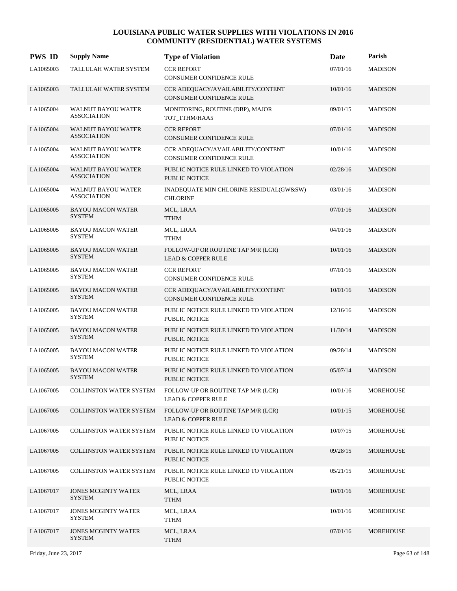| <b>PWS ID</b> | <b>Supply Name</b>                              | <b>Type of Violation</b>                                            | Date     | Parish         |
|---------------|-------------------------------------------------|---------------------------------------------------------------------|----------|----------------|
| LA1065003     | TALLULAH WATER SYSTEM                           | <b>CCR REPORT</b><br>CONSUMER CONFIDENCE RULE                       | 07/01/16 | <b>MADISON</b> |
| LA1065003     | TALLULAH WATER SYSTEM                           | CCR ADEQUACY/AVAILABILITY/CONTENT<br>CONSUMER CONFIDENCE RULE       | 10/01/16 | <b>MADISON</b> |
| LA1065004     | WALNUT BAYOU WATER<br><b>ASSOCIATION</b>        | MONITORING, ROUTINE (DBP), MAJOR<br>TOT_TTHM/HAA5                   | 09/01/15 | <b>MADISON</b> |
| LA1065004     | <b>WALNUT BAYOU WATER</b><br><b>ASSOCIATION</b> | <b>CCR REPORT</b><br>CONSUMER CONFIDENCE RULE                       | 07/01/16 | <b>MADISON</b> |
| LA1065004     | <b>WALNUT BAYOU WATER</b><br><b>ASSOCIATION</b> | CCR ADEQUACY/AVAILABILITY/CONTENT<br>CONSUMER CONFIDENCE RULE       | 10/01/16 | <b>MADISON</b> |
| LA1065004     | <b>WALNUT BAYOU WATER</b><br><b>ASSOCIATION</b> | PUBLIC NOTICE RULE LINKED TO VIOLATION<br>PUBLIC NOTICE             | 02/28/16 | <b>MADISON</b> |
| LA1065004     | WALNUT BAYOU WATER<br><b>ASSOCIATION</b>        | INADEQUATE MIN CHLORINE RESIDUAL(GW&SW)<br><b>CHLORINE</b>          | 03/01/16 | <b>MADISON</b> |
| LA1065005     | <b>BAYOU MACON WATER</b><br><b>SYSTEM</b>       | MCL, LRAA<br><b>TTHM</b>                                            | 07/01/16 | <b>MADISON</b> |
| LA1065005     | <b>BAYOU MACON WATER</b><br><b>SYSTEM</b>       | MCL, LRAA<br><b>TTHM</b>                                            | 04/01/16 | <b>MADISON</b> |
| LA1065005     | <b>BAYOU MACON WATER</b><br><b>SYSTEM</b>       | FOLLOW-UP OR ROUTINE TAP M/R (LCR)<br><b>LEAD &amp; COPPER RULE</b> | 10/01/16 | <b>MADISON</b> |
| LA1065005     | <b>BAYOU MACON WATER</b><br><b>SYSTEM</b>       | <b>CCR REPORT</b><br>CONSUMER CONFIDENCE RULE                       | 07/01/16 | <b>MADISON</b> |
| LA1065005     | <b>BAYOU MACON WATER</b><br><b>SYSTEM</b>       | CCR ADEQUACY/AVAILABILITY/CONTENT<br>CONSUMER CONFIDENCE RULE       | 10/01/16 | <b>MADISON</b> |
| LA1065005     | <b>BAYOU MACON WATER</b><br><b>SYSTEM</b>       | PUBLIC NOTICE RULE LINKED TO VIOLATION<br>PUBLIC NOTICE             | 12/16/16 | <b>MADISON</b> |
| LA1065005     | <b>BAYOU MACON WATER</b><br><b>SYSTEM</b>       | PUBLIC NOTICE RULE LINKED TO VIOLATION<br><b>PUBLIC NOTICE</b>      | 11/30/14 | <b>MADISON</b> |
| LA1065005     | <b>BAYOU MACON WATER</b><br><b>SYSTEM</b>       | PUBLIC NOTICE RULE LINKED TO VIOLATION<br>PUBLIC NOTICE             | 09/28/14 | <b>MADISON</b> |
| LA1065005     | <b>BAYOU MACON WATER</b><br><b>SYSTEM</b>       | PUBLIC NOTICE RULE LINKED TO VIOLATION<br><b>PUBLIC NOTICE</b>      | 05/07/14 | <b>MADISON</b> |
| LA1067005     | COLLINSTON WATER SYSTEM                         | FOLLOW-UP OR ROUTINE TAP M/R (LCR)<br><b>LEAD &amp; COPPER RULE</b> | 10/01/16 | MOREHOUSE      |
| LA1067005     | <b>COLLINSTON WATER SYSTEM</b>                  | FOLLOW-UP OR ROUTINE TAP M/R (LCR)<br><b>LEAD &amp; COPPER RULE</b> | 10/01/15 | MOREHOUSE      |
| LA1067005     | <b>COLLINSTON WATER SYSTEM</b>                  | PUBLIC NOTICE RULE LINKED TO VIOLATION<br><b>PUBLIC NOTICE</b>      | 10/07/15 | MOREHOUSE      |
| LA1067005     | <b>COLLINSTON WATER SYSTEM</b>                  | PUBLIC NOTICE RULE LINKED TO VIOLATION<br>PUBLIC NOTICE             | 09/28/15 | MOREHOUSE      |
| LA1067005     | <b>COLLINSTON WATER SYSTEM</b>                  | PUBLIC NOTICE RULE LINKED TO VIOLATION<br>PUBLIC NOTICE             | 05/21/15 | MOREHOUSE      |
| LA1067017     | <b>JONES MCGINTY WATER</b><br><b>SYSTEM</b>     | MCL, LRAA<br><b>TTHM</b>                                            | 10/01/16 | MOREHOUSE      |
| LA1067017     | <b>JONES MCGINTY WATER</b><br><b>SYSTEM</b>     | MCL, LRAA<br>TTHM                                                   | 10/01/16 | MOREHOUSE      |
| LA1067017     | <b>JONES MCGINTY WATER</b><br><b>SYSTEM</b>     | MCL, LRAA<br><b>TTHM</b>                                            | 07/01/16 | MOREHOUSE      |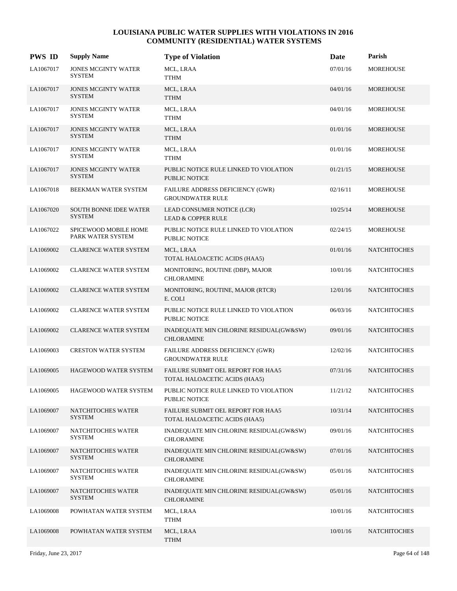| <b>PWS ID</b> | <b>Supply Name</b>                             | <b>Type of Violation</b>                                                   | Date     | Parish              |
|---------------|------------------------------------------------|----------------------------------------------------------------------------|----------|---------------------|
| LA1067017     | <b>JONES MCGINTY WATER</b><br><b>SYSTEM</b>    | MCL, LRAA<br>TTHM                                                          | 07/01/16 | <b>MOREHOUSE</b>    |
| LA1067017     | <b>JONES MCGINTY WATER</b><br><b>SYSTEM</b>    | MCL, LRAA<br><b>TTHM</b>                                                   | 04/01/16 | <b>MOREHOUSE</b>    |
| LA1067017     | <b>JONES MCGINTY WATER</b><br><b>SYSTEM</b>    | MCL, LRAA<br><b>TTHM</b>                                                   | 04/01/16 | <b>MOREHOUSE</b>    |
| LA1067017     | <b>JONES MCGINTY WATER</b><br><b>SYSTEM</b>    | MCL, LRAA<br><b>TTHM</b>                                                   | 01/01/16 | <b>MOREHOUSE</b>    |
| LA1067017     | <b>JONES MCGINTY WATER</b><br><b>SYSTEM</b>    | MCL, LRAA<br><b>TTHM</b>                                                   | 01/01/16 | <b>MOREHOUSE</b>    |
| LA1067017     | <b>JONES MCGINTY WATER</b><br><b>SYSTEM</b>    | PUBLIC NOTICE RULE LINKED TO VIOLATION<br>PUBLIC NOTICE                    | 01/21/15 | <b>MOREHOUSE</b>    |
| LA1067018     | BEEKMAN WATER SYSTEM                           | FAILURE ADDRESS DEFICIENCY (GWR)<br><b>GROUNDWATER RULE</b>                | 02/16/11 | <b>MOREHOUSE</b>    |
| LA1067020     | <b>SOUTH BONNE IDEE WATER</b><br><b>SYSTEM</b> | LEAD CONSUMER NOTICE (LCR)<br><b>LEAD &amp; COPPER RULE</b>                | 10/25/14 | <b>MOREHOUSE</b>    |
| LA1067022     | SPICEWOOD MOBILE HOME<br>PARK WATER SYSTEM     | PUBLIC NOTICE RULE LINKED TO VIOLATION<br><b>PUBLIC NOTICE</b>             | 02/24/15 | <b>MOREHOUSE</b>    |
| LA1069002     | <b>CLARENCE WATER SYSTEM</b>                   | MCL, LRAA<br>TOTAL HALOACETIC ACIDS (HAA5)                                 | 01/01/16 | <b>NATCHITOCHES</b> |
| LA1069002     | <b>CLARENCE WATER SYSTEM</b>                   | MONITORING, ROUTINE (DBP), MAJOR<br><b>CHLORAMINE</b>                      | 10/01/16 | <b>NATCHITOCHES</b> |
| LA1069002     | <b>CLARENCE WATER SYSTEM</b>                   | MONITORING, ROUTINE, MAJOR (RTCR)<br>E. COLI                               | 12/01/16 | <b>NATCHITOCHES</b> |
| LA1069002     | <b>CLARENCE WATER SYSTEM</b>                   | PUBLIC NOTICE RULE LINKED TO VIOLATION<br><b>PUBLIC NOTICE</b>             | 06/03/16 | <b>NATCHITOCHES</b> |
| LA1069002     | <b>CLARENCE WATER SYSTEM</b>                   | INADEQUATE MIN CHLORINE RESIDUAL(GW&SW)<br><b>CHLORAMINE</b>               | 09/01/16 | <b>NATCHITOCHES</b> |
| LA1069003     | <b>CRESTON WATER SYSTEM</b>                    | FAILURE ADDRESS DEFICIENCY (GWR)<br><b>GROUNDWATER RULE</b>                | 12/02/16 | <b>NATCHITOCHES</b> |
| LA1069005     | <b>HAGEWOOD WATER SYSTEM</b>                   | <b>FAILURE SUBMIT OEL REPORT FOR HAA5</b><br>TOTAL HALOACETIC ACIDS (HAA5) | 07/31/16 | <b>NATCHITOCHES</b> |
| LA1069005     | HAGEWOOD WATER SYSTEM                          | PUBLIC NOTICE RULE LINKED TO VIOLATION<br>PUBLIC NOTICE                    | 11/21/12 | <b>NATCHITOCHES</b> |
| LA1069007     | NATCHITOCHES WATER<br><b>SYSTEM</b>            | FAILURE SUBMIT OEL REPORT FOR HAA5<br>TOTAL HALOACETIC ACIDS (HAA5)        | 10/31/14 | <b>NATCHITOCHES</b> |
| LA1069007     | NATCHITOCHES WATER<br><b>SYSTEM</b>            | INADEQUATE MIN CHLORINE RESIDUAL(GW&SW)<br><b>CHLORAMINE</b>               | 09/01/16 | <b>NATCHITOCHES</b> |
| LA1069007     | NATCHITOCHES WATER<br><b>SYSTEM</b>            | INADEQUATE MIN CHLORINE RESIDUAL(GW&SW)<br><b>CHLORAMINE</b>               | 07/01/16 | <b>NATCHITOCHES</b> |
| LA1069007     | NATCHITOCHES WATER<br><b>SYSTEM</b>            | INADEQUATE MIN CHLORINE RESIDUAL(GW&SW)<br>CHLORAMINE                      | 05/01/16 | <b>NATCHITOCHES</b> |
| LA1069007     | NATCHITOCHES WATER<br><b>SYSTEM</b>            | INADEQUATE MIN CHLORINE RESIDUAL(GW&SW)<br>CHLORAMINE                      | 05/01/16 | <b>NATCHITOCHES</b> |
| LA1069008     | POWHATAN WATER SYSTEM                          | MCL, LRAA<br><b>TTHM</b>                                                   | 10/01/16 | <b>NATCHITOCHES</b> |
| LA1069008     | POWHATAN WATER SYSTEM                          | MCL, LRAA<br><b>TTHM</b>                                                   | 10/01/16 | <b>NATCHITOCHES</b> |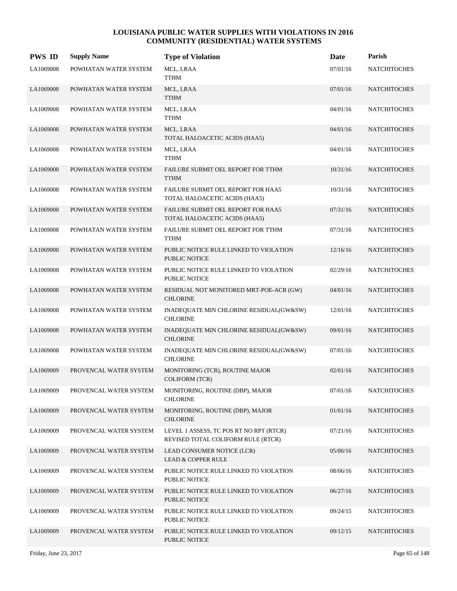| <b>PWS ID</b> | <b>Supply Name</b>     | <b>Type of Violation</b>                                                      | Date     | Parish              |
|---------------|------------------------|-------------------------------------------------------------------------------|----------|---------------------|
| LA1069008     | POWHATAN WATER SYSTEM  | MCL, LRAA<br><b>TTHM</b>                                                      | 07/01/16 | <b>NATCHITOCHES</b> |
| LA1069008     | POWHATAN WATER SYSTEM  | MCL, LRAA<br><b>TTHM</b>                                                      | 07/01/16 | <b>NATCHITOCHES</b> |
| LA1069008     | POWHATAN WATER SYSTEM  | MCL, LRAA<br><b>TTHM</b>                                                      | 04/01/16 | <b>NATCHITOCHES</b> |
| LA1069008     | POWHATAN WATER SYSTEM  | MCL, LRAA<br>TOTAL HALOACETIC ACIDS (HAA5)                                    | 04/01/16 | <b>NATCHITOCHES</b> |
| LA1069008     | POWHATAN WATER SYSTEM  | MCL, LRAA<br><b>TTHM</b>                                                      | 04/01/16 | <b>NATCHITOCHES</b> |
| LA1069008     | POWHATAN WATER SYSTEM  | FAILURE SUBMIT OEL REPORT FOR TTHM<br><b>TTHM</b>                             | 10/31/16 | <b>NATCHITOCHES</b> |
| LA1069008     | POWHATAN WATER SYSTEM  | FAILURE SUBMIT OEL REPORT FOR HAA5<br>TOTAL HALOACETIC ACIDS (HAA5)           | 10/31/16 | <b>NATCHITOCHES</b> |
| LA1069008     | POWHATAN WATER SYSTEM  | FAILURE SUBMIT OEL REPORT FOR HAA5<br>TOTAL HALOACETIC ACIDS (HAA5)           | 07/31/16 | <b>NATCHITOCHES</b> |
| LA1069008     | POWHATAN WATER SYSTEM  | FAILURE SUBMIT OEL REPORT FOR TTHM<br><b>TTHM</b>                             | 07/31/16 | <b>NATCHITOCHES</b> |
| LA1069008     | POWHATAN WATER SYSTEM  | PUBLIC NOTICE RULE LINKED TO VIOLATION<br><b>PUBLIC NOTICE</b>                | 12/16/16 | <b>NATCHITOCHES</b> |
| LA1069008     | POWHATAN WATER SYSTEM  | PUBLIC NOTICE RULE LINKED TO VIOLATION<br>PUBLIC NOTICE                       | 02/29/16 | <b>NATCHITOCHES</b> |
| LA1069008     | POWHATAN WATER SYSTEM  | RESIDUAL NOT MONITORED MRT-POE-ACR (GW)<br><b>CHLORINE</b>                    | 04/01/16 | <b>NATCHITOCHES</b> |
| LA1069008     | POWHATAN WATER SYSTEM  | INADEQUATE MIN CHLORINE RESIDUAL(GW&SW)<br><b>CHLORINE</b>                    | 12/01/16 | <b>NATCHITOCHES</b> |
| LA1069008     | POWHATAN WATER SYSTEM  | INADEQUATE MIN CHLORINE RESIDUAL(GW&SW)<br><b>CHLORINE</b>                    | 09/01/16 | <b>NATCHITOCHES</b> |
| LA1069008     | POWHATAN WATER SYSTEM  | INADEQUATE MIN CHLORINE RESIDUAL(GW&SW)<br><b>CHLORINE</b>                    | 07/01/16 | <b>NATCHITOCHES</b> |
| LA1069009     | PROVENCAL WATER SYSTEM | MONITORING (TCR), ROUTINE MAJOR<br><b>COLIFORM (TCR)</b>                      | 02/01/16 | <b>NATCHITOCHES</b> |
| LA1069009     | PROVENCAL WATER SYSTEM | MONITORING, ROUTINE (DBP), MAJOR<br><b>CHLORINE</b>                           | 07/01/16 | <b>NATCHITOCHES</b> |
| LA1069009     | PROVENCAL WATER SYSTEM | MONITORING, ROUTINE (DBP), MAJOR<br><b>CHLORINE</b>                           | 01/01/16 | <b>NATCHITOCHES</b> |
| LA1069009     | PROVENCAL WATER SYSTEM | LEVEL 1 ASSESS, TC POS RT NO RPT (RTCR)<br>REVISED TOTAL COLIFORM RULE (RTCR) | 07/21/16 | <b>NATCHITOCHES</b> |
| LA1069009     | PROVENCAL WATER SYSTEM | LEAD CONSUMER NOTICE (LCR)<br><b>LEAD &amp; COPPER RULE</b>                   | 05/06/16 | <b>NATCHITOCHES</b> |
| LA1069009     | PROVENCAL WATER SYSTEM | PUBLIC NOTICE RULE LINKED TO VIOLATION<br>PUBLIC NOTICE                       | 08/06/16 | <b>NATCHITOCHES</b> |
| LA1069009     | PROVENCAL WATER SYSTEM | PUBLIC NOTICE RULE LINKED TO VIOLATION<br>PUBLIC NOTICE                       | 06/27/16 | <b>NATCHITOCHES</b> |
| LA1069009     | PROVENCAL WATER SYSTEM | PUBLIC NOTICE RULE LINKED TO VIOLATION<br>PUBLIC NOTICE                       | 09/24/15 | <b>NATCHITOCHES</b> |
| LA1069009     | PROVENCAL WATER SYSTEM | PUBLIC NOTICE RULE LINKED TO VIOLATION<br><b>PUBLIC NOTICE</b>                | 09/12/15 | <b>NATCHITOCHES</b> |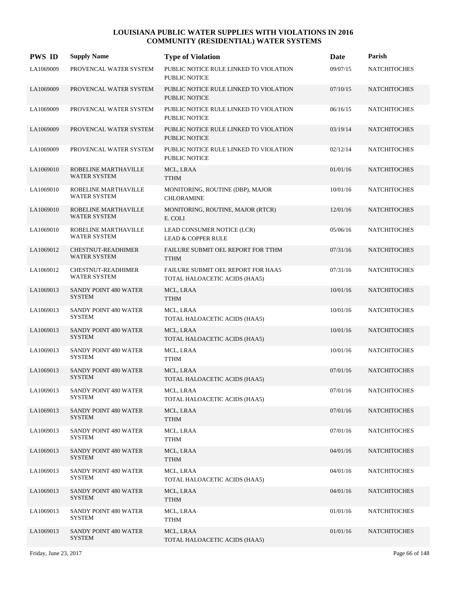| <b>PWS ID</b> | <b>Supply Name</b>                               | <b>Type of Violation</b>                                            | Date     | Parish              |
|---------------|--------------------------------------------------|---------------------------------------------------------------------|----------|---------------------|
| LA1069009     | PROVENCAL WATER SYSTEM                           | PUBLIC NOTICE RULE LINKED TO VIOLATION<br><b>PUBLIC NOTICE</b>      | 09/07/15 | <b>NATCHITOCHES</b> |
| LA1069009     | PROVENCAL WATER SYSTEM                           | PUBLIC NOTICE RULE LINKED TO VIOLATION<br><b>PUBLIC NOTICE</b>      | 07/10/15 | <b>NATCHITOCHES</b> |
| LA1069009     | PROVENCAL WATER SYSTEM                           | PUBLIC NOTICE RULE LINKED TO VIOLATION<br>PUBLIC NOTICE             | 06/16/15 | <b>NATCHITOCHES</b> |
| LA1069009     | PROVENCAL WATER SYSTEM                           | PUBLIC NOTICE RULE LINKED TO VIOLATION<br><b>PUBLIC NOTICE</b>      | 03/19/14 | <b>NATCHITOCHES</b> |
| LA1069009     | PROVENCAL WATER SYSTEM                           | PUBLIC NOTICE RULE LINKED TO VIOLATION<br><b>PUBLIC NOTICE</b>      | 02/12/14 | <b>NATCHITOCHES</b> |
| LA1069010     | ROBELINE MARTHAVILLE<br><b>WATER SYSTEM</b>      | MCL, LRAA<br><b>TTHM</b>                                            | 01/01/16 | <b>NATCHITOCHES</b> |
| LA1069010     | ROBELINE MARTHAVILLE<br><b>WATER SYSTEM</b>      | MONITORING, ROUTINE (DBP), MAJOR<br><b>CHLORAMINE</b>               | 10/01/16 | <b>NATCHITOCHES</b> |
| LA1069010     | ROBELINE MARTHAVILLE<br><b>WATER SYSTEM</b>      | MONITORING, ROUTINE, MAJOR (RTCR)<br>E. COLI                        | 12/01/16 | <b>NATCHITOCHES</b> |
| LA1069010     | ROBELINE MARTHAVILLE<br><b>WATER SYSTEM</b>      | LEAD CONSUMER NOTICE (LCR)<br><b>LEAD &amp; COPPER RULE</b>         | 05/06/16 | <b>NATCHITOCHES</b> |
| LA1069012     | <b>CHESTNUT-READHIMER</b><br><b>WATER SYSTEM</b> | FAILURE SUBMIT OEL REPORT FOR TTHM<br><b>TTHM</b>                   | 07/31/16 | <b>NATCHITOCHES</b> |
| LA1069012     | <b>CHESTNUT-READHIMER</b><br><b>WATER SYSTEM</b> | FAILURE SUBMIT OEL REPORT FOR HAA5<br>TOTAL HALOACETIC ACIDS (HAA5) | 07/31/16 | <b>NATCHITOCHES</b> |
| LA1069013     | SANDY POINT 480 WATER<br><b>SYSTEM</b>           | MCL, LRAA<br><b>TTHM</b>                                            | 10/01/16 | <b>NATCHITOCHES</b> |
| LA1069013     | SANDY POINT 480 WATER<br><b>SYSTEM</b>           | MCL, LRAA<br>TOTAL HALOACETIC ACIDS (HAA5)                          | 10/01/16 | <b>NATCHITOCHES</b> |
| LA1069013     | SANDY POINT 480 WATER<br><b>SYSTEM</b>           | MCL, LRAA<br>TOTAL HALOACETIC ACIDS (HAA5)                          | 10/01/16 | <b>NATCHITOCHES</b> |
| LA1069013     | SANDY POINT 480 WATER<br><b>SYSTEM</b>           | MCL, LRAA<br>TTHM                                                   | 10/01/16 | <b>NATCHITOCHES</b> |
| LA1069013     | SANDY POINT 480 WATER<br><b>SYSTEM</b>           | MCL, LRAA<br>TOTAL HALOACETIC ACIDS (HAA5)                          | 07/01/16 | <b>NATCHITOCHES</b> |
| LA1069013     | SANDY POINT 480 WATER<br><b>SYSTEM</b>           | MCL, LRAA<br>TOTAL HALOACETIC ACIDS (HAA5)                          | 07/01/16 | NATCHITOCHES        |
| LA1069013     | SANDY POINT 480 WATER<br><b>SYSTEM</b>           | MCL, LRAA<br><b>TTHM</b>                                            | 07/01/16 | <b>NATCHITOCHES</b> |
| LA1069013     | SANDY POINT 480 WATER<br>SYSTEM                  | MCL, LRAA<br>TTHM                                                   | 07/01/16 | <b>NATCHITOCHES</b> |
| LA1069013     | SANDY POINT 480 WATER<br><b>SYSTEM</b>           | MCL, LRAA<br><b>TTHM</b>                                            | 04/01/16 | <b>NATCHITOCHES</b> |
| LA1069013     | SANDY POINT 480 WATER<br><b>SYSTEM</b>           | MCL, LRAA<br>TOTAL HALOACETIC ACIDS (HAA5)                          | 04/01/16 | <b>NATCHITOCHES</b> |
| LA1069013     | SANDY POINT 480 WATER<br><b>SYSTEM</b>           | MCL, LRAA<br><b>TTHM</b>                                            | 04/01/16 | <b>NATCHITOCHES</b> |
| LA1069013     | SANDY POINT 480 WATER<br>SYSTEM                  | MCL, LRAA<br><b>TTHM</b>                                            | 01/01/16 | <b>NATCHITOCHES</b> |
| LA1069013     | SANDY POINT 480 WATER<br><b>SYSTEM</b>           | MCL, LRAA<br>TOTAL HALOACETIC ACIDS (HAA5)                          | 01/01/16 | <b>NATCHITOCHES</b> |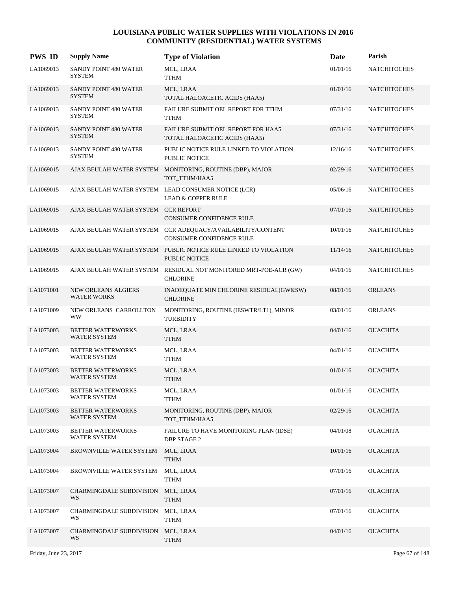| <b>PWS ID</b> | <b>Supply Name</b>                               | <b>Type of Violation</b>                                                                      | <b>Date</b> | Parish              |
|---------------|--------------------------------------------------|-----------------------------------------------------------------------------------------------|-------------|---------------------|
| LA1069013     | SANDY POINT 480 WATER<br><b>SYSTEM</b>           | MCL, LRAA<br>TTHM                                                                             | 01/01/16    | <b>NATCHITOCHES</b> |
| LA1069013     | SANDY POINT 480 WATER<br><b>SYSTEM</b>           | MCL, LRAA<br>TOTAL HALOACETIC ACIDS (HAA5)                                                    | 01/01/16    | <b>NATCHITOCHES</b> |
| LA1069013     | SANDY POINT 480 WATER<br><b>SYSTEM</b>           | FAILURE SUBMIT OEL REPORT FOR TTHM<br><b>TTHM</b>                                             | 07/31/16    | <b>NATCHITOCHES</b> |
| LA1069013     | SANDY POINT 480 WATER<br><b>SYSTEM</b>           | FAILURE SUBMIT OEL REPORT FOR HAA5<br>TOTAL HALOACETIC ACIDS (HAA5)                           | 07/31/16    | <b>NATCHITOCHES</b> |
| LA1069013     | SANDY POINT 480 WATER<br><b>SYSTEM</b>           | PUBLIC NOTICE RULE LINKED TO VIOLATION<br>PUBLIC NOTICE                                       | 12/16/16    | <b>NATCHITOCHES</b> |
| LA1069015     |                                                  | AJAX BEULAH WATER SYSTEM MONITORING, ROUTINE (DBP), MAJOR<br>TOT_TTHM/HAA5                    | 02/29/16    | <b>NATCHITOCHES</b> |
| LA1069015     |                                                  | AJAX BEULAH WATER SYSTEM LEAD CONSUMER NOTICE (LCR)<br><b>LEAD &amp; COPPER RULE</b>          | 05/06/16    | <b>NATCHITOCHES</b> |
| LA1069015     | AJAX BEULAH WATER SYSTEM CCR REPORT              | CONSUMER CONFIDENCE RULE                                                                      | 07/01/16    | <b>NATCHITOCHES</b> |
| LA1069015     |                                                  | AJAX BEULAH WATER SYSTEM CCR ADEQUACY/AVAILABILITY/CONTENT<br><b>CONSUMER CONFIDENCE RULE</b> | 10/01/16    | <b>NATCHITOCHES</b> |
| LA1069015     |                                                  | AJAX BEULAH WATER SYSTEM PUBLIC NOTICE RULE LINKED TO VIOLATION<br><b>PUBLIC NOTICE</b>       | 11/14/16    | <b>NATCHITOCHES</b> |
| LA1069015     |                                                  | AJAX BEULAH WATER SYSTEM RESIDUAL NOT MONITORED MRT-POE-ACR (GW)<br><b>CHLORINE</b>           | 04/01/16    | <b>NATCHITOCHES</b> |
| LA1071001     | <b>NEW ORLEANS ALGIERS</b><br><b>WATER WORKS</b> | INADEQUATE MIN CHLORINE RESIDUAL(GW&SW)<br><b>CHLORINE</b>                                    | 08/01/16    | <b>ORLEANS</b>      |
| LA1071009     | NEW ORLEANS CARROLLTON<br><b>WW</b>              | MONITORING, ROUTINE (IESWTR/LT1), MINOR<br><b>TURBIDITY</b>                                   | 03/01/16    | <b>ORLEANS</b>      |
| LA1073003     | <b>BETTER WATERWORKS</b><br><b>WATER SYSTEM</b>  | MCL, LRAA<br><b>TTHM</b>                                                                      | 04/01/16    | <b>OUACHITA</b>     |
| LA1073003     | <b>BETTER WATERWORKS</b><br>WATER SYSTEM         | MCL, LRAA<br><b>TTHM</b>                                                                      | 04/01/16    | <b>OUACHITA</b>     |
| LA1073003     | <b>BETTER WATERWORKS</b><br><b>WATER SYSTEM</b>  | MCL, LRAA<br><b>TTHM</b>                                                                      | 01/01/16    | <b>OUACHITA</b>     |
| LA1073003     | <b>BETTER WATERWORKS</b><br><b>WATER SYSTEM</b>  | MCL, LRAA<br><b>TTHM</b>                                                                      | 01/01/16    | <b>OUACHITA</b>     |
| LA1073003     | <b>BETTER WATERWORKS</b><br><b>WATER SYSTEM</b>  | MONITORING, ROUTINE (DBP), MAJOR<br>TOT_TTHM/HAA5                                             | 02/29/16    | <b>OUACHITA</b>     |
| LA1073003     | <b>BETTER WATERWORKS</b><br><b>WATER SYSTEM</b>  | FAILURE TO HAVE MONITORING PLAN (IDSE)<br><b>DBP STAGE 2</b>                                  | 04/01/08    | <b>OUACHITA</b>     |
| LA1073004     | BROWNVILLE WATER SYSTEM                          | MCL, LRAA<br><b>TTHM</b>                                                                      | 10/01/16    | <b>OUACHITA</b>     |
| LA1073004     | BROWNVILLE WATER SYSTEM                          | MCL, LRAA<br><b>TTHM</b>                                                                      | 07/01/16    | <b>OUACHITA</b>     |
| LA1073007     | CHARMINGDALE SUBDIVISION<br>WS                   | MCL, LRAA<br><b>TTHM</b>                                                                      | 07/01/16    | <b>OUACHITA</b>     |
| LA1073007     | CHARMINGDALE SUBDIVISION<br>WS                   | MCL, LRAA<br><b>TTHM</b>                                                                      | 07/01/16    | <b>OUACHITA</b>     |
| LA1073007     | CHARMINGDALE SUBDIVISION<br>WS                   | MCL, LRAA<br><b>TTHM</b>                                                                      | 04/01/16    | <b>OUACHITA</b>     |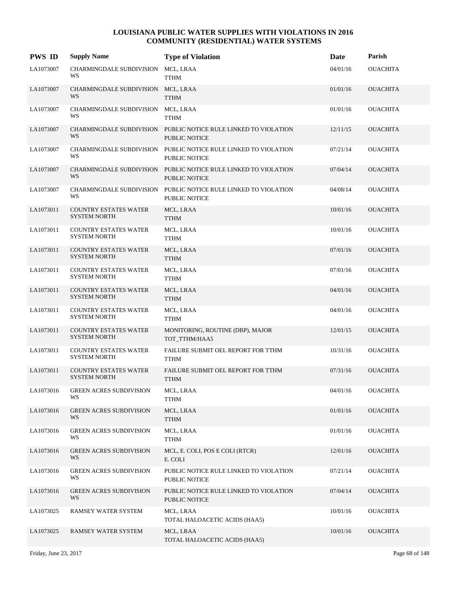| <b>PWS ID</b> | <b>Supply Name</b>                                  | <b>Type of Violation</b>                                                         | Date     | Parish          |
|---------------|-----------------------------------------------------|----------------------------------------------------------------------------------|----------|-----------------|
| LA1073007     | CHARMINGDALE SUBDIVISION<br>WS                      | MCL, LRAA<br><b>TTHM</b>                                                         | 04/01/16 | <b>OUACHITA</b> |
| LA1073007     | CHARMINGDALE SUBDIVISION MCL, LRAA<br>WS            | <b>TTHM</b>                                                                      | 01/01/16 | <b>OUACHITA</b> |
| LA1073007     | CHARMINGDALE SUBDIVISION MCL, LRAA<br>WS            | <b>TTHM</b>                                                                      | 01/01/16 | <b>OUACHITA</b> |
| LA1073007     | <b>CHARMINGDALE SUBDIVISION</b><br>WS               | PUBLIC NOTICE RULE LINKED TO VIOLATION<br><b>PUBLIC NOTICE</b>                   | 12/11/15 | <b>OUACHITA</b> |
| LA1073007     | CHARMINGDALE SUBDIVISION<br>WS                      | PUBLIC NOTICE RULE LINKED TO VIOLATION<br>PUBLIC NOTICE                          | 07/21/14 | <b>OUACHITA</b> |
| LA1073007     | WS                                                  | CHARMINGDALE SUBDIVISION PUBLIC NOTICE RULE LINKED TO VIOLATION<br>PUBLIC NOTICE | 07/04/14 | <b>OUACHITA</b> |
| LA1073007     | CHARMINGDALE SUBDIVISION<br>WS                      | PUBLIC NOTICE RULE LINKED TO VIOLATION<br><b>PUBLIC NOTICE</b>                   | 04/08/14 | <b>OUACHITA</b> |
| LA1073011     | <b>COUNTRY ESTATES WATER</b><br><b>SYSTEM NORTH</b> | MCL, LRAA<br><b>TTHM</b>                                                         | 10/01/16 | <b>OUACHITA</b> |
| LA1073011     | <b>COUNTRY ESTATES WATER</b><br><b>SYSTEM NORTH</b> | MCL, LRAA<br><b>TTHM</b>                                                         | 10/01/16 | <b>OUACHITA</b> |
| LA1073011     | <b>COUNTRY ESTATES WATER</b><br><b>SYSTEM NORTH</b> | MCL, LRAA<br><b>TTHM</b>                                                         | 07/01/16 | <b>OUACHITA</b> |
| LA1073011     | <b>COUNTRY ESTATES WATER</b><br><b>SYSTEM NORTH</b> | MCL, LRAA<br><b>TTHM</b>                                                         | 07/01/16 | <b>OUACHITA</b> |
| LA1073011     | <b>COUNTRY ESTATES WATER</b><br><b>SYSTEM NORTH</b> | MCL, LRAA<br><b>TTHM</b>                                                         | 04/01/16 | <b>OUACHITA</b> |
| LA1073011     | COUNTRY ESTATES WATER<br><b>SYSTEM NORTH</b>        | MCL, LRAA<br><b>TTHM</b>                                                         | 04/01/16 | <b>OUACHITA</b> |
| LA1073011     | <b>COUNTRY ESTATES WATER</b><br><b>SYSTEM NORTH</b> | MONITORING, ROUTINE (DBP), MAJOR<br>TOT TTHM/HAA5                                | 12/01/15 | <b>OUACHITA</b> |
| LA1073011     | COUNTRY ESTATES WATER<br><b>SYSTEM NORTH</b>        | FAILURE SUBMIT OEL REPORT FOR TTHM<br><b>TTHM</b>                                | 10/31/16 | <b>OUACHITA</b> |
| LA1073011     | <b>COUNTRY ESTATES WATER</b><br><b>SYSTEM NORTH</b> | FAILURE SUBMIT OEL REPORT FOR TTHM<br><b>TTHM</b>                                | 07/31/16 | <b>OUACHITA</b> |
| LA1073016     | <b>GREEN ACRES SUBDIVISION</b><br>WS                | MCL, LRAA<br><b>TTHM</b>                                                         | 04/01/16 | <b>OUACHITA</b> |
| LA1073016     | <b>GREEN ACRES SUBDIVISION</b><br>WS                | MCL, LRAA<br><b>TTHM</b>                                                         | 01/01/16 | <b>OUACHITA</b> |
| LA1073016     | <b>GREEN ACRES SUBDIVISION</b><br>WS                | MCL, LRAA<br><b>TTHM</b>                                                         | 01/01/16 | <b>OUACHITA</b> |
| LA1073016     | <b>GREEN ACRES SUBDIVISION</b><br>WS                | MCL, E. COLI, POS E COLI (RTCR)<br>E. COLI                                       | 12/01/16 | <b>OUACHITA</b> |
| LA1073016     | <b>GREEN ACRES SUBDIVISION</b><br>WS                | PUBLIC NOTICE RULE LINKED TO VIOLATION<br>PUBLIC NOTICE                          | 07/21/14 | <b>OUACHITA</b> |
| LA1073016     | <b>GREEN ACRES SUBDIVISION</b><br>WS                | PUBLIC NOTICE RULE LINKED TO VIOLATION<br>PUBLIC NOTICE                          | 07/04/14 | <b>OUACHITA</b> |
| LA1073025     | RAMSEY WATER SYSTEM                                 | MCL, LRAA<br>TOTAL HALOACETIC ACIDS (HAA5)                                       | 10/01/16 | <b>OUACHITA</b> |
| LA1073025     | RAMSEY WATER SYSTEM                                 | MCL, LRAA<br>TOTAL HALOACETIC ACIDS (HAA5)                                       | 10/01/16 | <b>OUACHITA</b> |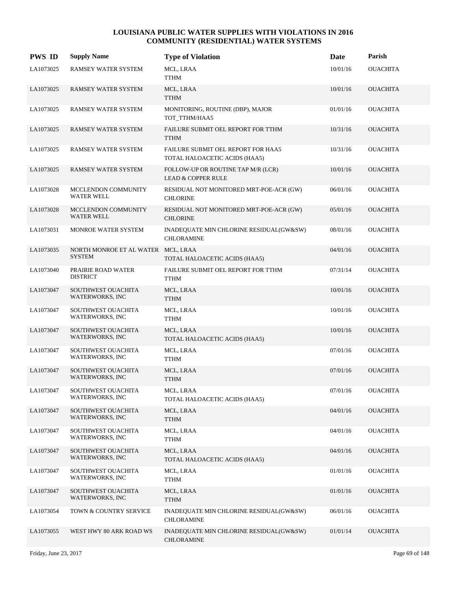| <b>PWS ID</b> | <b>Supply Name</b>                                  | <b>Type of Violation</b>                                            | Date     | Parish          |
|---------------|-----------------------------------------------------|---------------------------------------------------------------------|----------|-----------------|
| LA1073025     | <b>RAMSEY WATER SYSTEM</b>                          | MCL, LRAA<br><b>TTHM</b>                                            | 10/01/16 | <b>OUACHITA</b> |
| LA1073025     | <b>RAMSEY WATER SYSTEM</b>                          | MCL, LRAA<br><b>TTHM</b>                                            | 10/01/16 | <b>OUACHITA</b> |
| LA1073025     | RAMSEY WATER SYSTEM                                 | MONITORING, ROUTINE (DBP), MAJOR<br>TOT_TTHM/HAA5                   | 01/01/16 | <b>OUACHITA</b> |
| LA1073025     | <b>RAMSEY WATER SYSTEM</b>                          | FAILURE SUBMIT OEL REPORT FOR TTHM<br><b>TTHM</b>                   | 10/31/16 | <b>OUACHITA</b> |
| LA1073025     | <b>RAMSEY WATER SYSTEM</b>                          | FAILURE SUBMIT OEL REPORT FOR HAA5<br>TOTAL HALOACETIC ACIDS (HAA5) | 10/31/16 | <b>OUACHITA</b> |
| LA1073025     | RAMSEY WATER SYSTEM                                 | FOLLOW-UP OR ROUTINE TAP M/R (LCR)<br><b>LEAD &amp; COPPER RULE</b> | 10/01/16 | <b>OUACHITA</b> |
| LA1073028     | MCCLENDON COMMUNITY<br><b>WATER WELL</b>            | RESIDUAL NOT MONITORED MRT-POE-ACR (GW)<br><b>CHLORINE</b>          | 06/01/16 | <b>OUACHITA</b> |
| LA1073028     | MCCLENDON COMMUNITY<br><b>WATER WELL</b>            | RESIDUAL NOT MONITORED MRT-POE-ACR (GW)<br><b>CHLORINE</b>          | 05/01/16 | <b>OUACHITA</b> |
| LA1073031     | MONROE WATER SYSTEM                                 | INADEQUATE MIN CHLORINE RESIDUAL(GW&SW)<br><b>CHLORAMINE</b>        | 08/01/16 | <b>OUACHITA</b> |
| LA1073035     | NORTH MONROE ET AL WATER MCL, LRAA<br><b>SYSTEM</b> | TOTAL HALOACETIC ACIDS (HAA5)                                       | 04/01/16 | <b>OUACHITA</b> |
| LA1073040     | PRAIRIE ROAD WATER<br><b>DISTRICT</b>               | FAILURE SUBMIT OEL REPORT FOR TTHM<br><b>TTHM</b>                   | 07/31/14 | <b>OUACHITA</b> |
| LA1073047     | SOUTHWEST OUACHITA<br>WATERWORKS, INC               | MCL, LRAA<br><b>TTHM</b>                                            | 10/01/16 | <b>OUACHITA</b> |
| LA1073047     | SOUTHWEST OUACHITA<br>WATERWORKS, INC               | MCL, LRAA<br><b>TTHM</b>                                            | 10/01/16 | <b>OUACHITA</b> |
| LA1073047     | SOUTHWEST OUACHITA<br>WATERWORKS, INC               | MCL, LRAA<br>TOTAL HALOACETIC ACIDS (HAA5)                          | 10/01/16 | <b>OUACHITA</b> |
| LA1073047     | SOUTHWEST OUACHITA<br>WATERWORKS, INC               | MCL, LRAA<br><b>TTHM</b>                                            | 07/01/16 | <b>OUACHITA</b> |
| LA1073047     | SOUTHWEST OUACHITA<br><b>WATERWORKS, INC</b>        | MCL, LRAA<br><b>TTHM</b>                                            | 07/01/16 | <b>OUACHITA</b> |
| LA1073047     | SOUTHWEST OUACHITA<br>WATERWORKS, INC               | MCL, LRAA<br>TOTAL HALOACETIC ACIDS (HAA5)                          | 07/01/16 | <b>OUACHITA</b> |
| LA1073047     | SOUTHWEST OUACHITA<br>WATERWORKS, INC               | MCL, LRAA<br><b>TTHM</b>                                            | 04/01/16 | <b>OUACHITA</b> |
| LA1073047     | SOUTHWEST OUACHITA<br>WATERWORKS, INC               | MCL, LRAA<br><b>TTHM</b>                                            | 04/01/16 | <b>OUACHITA</b> |
| LA1073047     | SOUTHWEST OUACHITA<br>WATERWORKS, INC               | MCL, LRAA<br>TOTAL HALOACETIC ACIDS (HAA5)                          | 04/01/16 | <b>OUACHITA</b> |
| LA1073047     | SOUTHWEST OUACHITA<br>WATERWORKS, INC               | MCL, LRAA<br><b>TTHM</b>                                            | 01/01/16 | <b>OUACHITA</b> |
| LA1073047     | SOUTHWEST OUACHITA<br>WATERWORKS, INC               | MCL, LRAA<br><b>TTHM</b>                                            | 01/01/16 | <b>OUACHITA</b> |
| LA1073054     | TOWN & COUNTRY SERVICE                              | INADEQUATE MIN CHLORINE RESIDUAL(GW&SW)<br><b>CHLORAMINE</b>        | 06/01/16 | OUACHITA        |
| LA1073055     | WEST HWY 80 ARK ROAD WS                             | INADEQUATE MIN CHLORINE RESIDUAL(GW&SW)<br><b>CHLORAMINE</b>        | 01/01/14 | <b>OUACHITA</b> |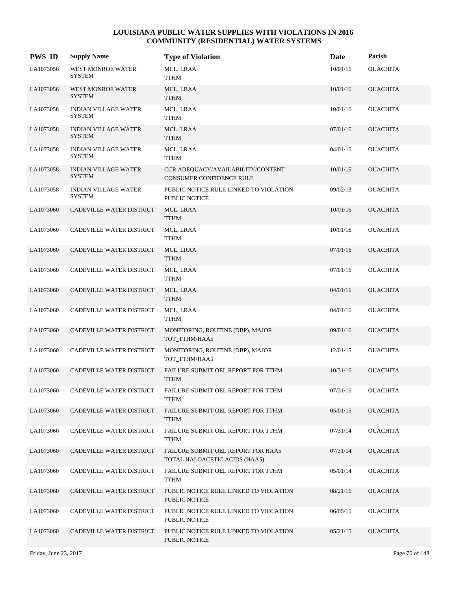| <b>PWS ID</b> | <b>Supply Name</b>                           | <b>Type of Violation</b>                                             | Date     | Parish          |
|---------------|----------------------------------------------|----------------------------------------------------------------------|----------|-----------------|
| LA1073056     | WEST MONROE WATER<br><b>SYSTEM</b>           | MCL, LRAA<br>TTHM                                                    | 10/01/16 | <b>OUACHITA</b> |
| LA1073056     | <b>WEST MONROE WATER</b><br><b>SYSTEM</b>    | MCL, LRAA<br><b>TTHM</b>                                             | 10/01/16 | <b>OUACHITA</b> |
| LA1073058     | <b>INDIAN VILLAGE WATER</b><br><b>SYSTEM</b> | MCL, LRAA<br><b>TTHM</b>                                             | 10/01/16 | <b>OUACHITA</b> |
| LA1073058     | <b>INDIAN VILLAGE WATER</b><br><b>SYSTEM</b> | MCL, LRAA<br><b>TTHM</b>                                             | 07/01/16 | <b>OUACHITA</b> |
| LA1073058     | <b>INDIAN VILLAGE WATER</b><br><b>SYSTEM</b> | MCL, LRAA<br><b>TTHM</b>                                             | 04/01/16 | <b>OUACHITA</b> |
| LA1073058     | <b>INDIAN VILLAGE WATER</b><br><b>SYSTEM</b> | CCR ADEQUACY/AVAILABILITY/CONTENT<br><b>CONSUMER CONFIDENCE RULE</b> | 10/01/15 | <b>OUACHITA</b> |
| LA1073058     | <b>INDIAN VILLAGE WATER</b><br><b>SYSTEM</b> | PUBLIC NOTICE RULE LINKED TO VIOLATION<br>PUBLIC NOTICE              | 09/02/13 | <b>OUACHITA</b> |
| LA1073060     | CADEVILLE WATER DISTRICT                     | MCL, LRAA<br><b>TTHM</b>                                             | 10/01/16 | <b>OUACHITA</b> |
| LA1073060     | CADEVILLE WATER DISTRICT                     | MCL, LRAA<br>TTHM                                                    | 10/01/16 | <b>OUACHITA</b> |
| LA1073060     | CADEVILLE WATER DISTRICT                     | MCL, LRAA<br><b>TTHM</b>                                             | 07/01/16 | <b>OUACHITA</b> |
| LA1073060     | CADEVILLE WATER DISTRICT                     | MCL, LRAA<br><b>TTHM</b>                                             | 07/01/16 | <b>OUACHITA</b> |
| LA1073060     | CADEVILLE WATER DISTRICT                     | MCL, LRAA<br><b>TTHM</b>                                             | 04/01/16 | <b>OUACHITA</b> |
| LA1073060     | CADEVILLE WATER DISTRICT                     | MCL, LRAA<br><b>TTHM</b>                                             | 04/01/16 | <b>OUACHITA</b> |
| LA1073060     | CADEVILLE WATER DISTRICT                     | MONITORING, ROUTINE (DBP), MAJOR<br>TOT TTHM/HAA5                    | 09/01/16 | <b>OUACHITA</b> |
| LA1073060     | CADEVILLE WATER DISTRICT                     | MONITORING, ROUTINE (DBP), MAJOR<br>TOT_TTHM/HAA5                    | 12/01/15 | <b>OUACHITA</b> |
| LA1073060     | CADEVILLE WATER DISTRICT                     | FAILURE SUBMIT OEL REPORT FOR TTHM<br><b>TTHM</b>                    | 10/31/16 | <b>OUACHITA</b> |
| LA1073060     | CADEVILLE WATER DISTRICT                     | FAILURE SUBMIT OEL REPORT FOR TTHM<br><b>TTHM</b>                    | 07/31/16 | <b>OUACHITA</b> |
| LA1073060     | CADEVILLE WATER DISTRICT                     | FAILURE SUBMIT OEL REPORT FOR TTHM<br><b>TTHM</b>                    | 05/01/15 | <b>OUACHITA</b> |
| LA1073060     | CADEVILLE WATER DISTRICT                     | FAILURE SUBMIT OEL REPORT FOR TTHM<br>TTHM                           | 07/31/14 | <b>OUACHITA</b> |
| LA1073060     | CADEVILLE WATER DISTRICT                     | FAILURE SUBMIT OEL REPORT FOR HAA5<br>TOTAL HALOACETIC ACIDS (HAA5)  | 07/31/14 | <b>OUACHITA</b> |
| LA1073060     | CADEVILLE WATER DISTRICT                     | FAILURE SUBMIT OEL REPORT FOR TTHM<br><b>TTHM</b>                    | 05/01/14 | <b>OUACHITA</b> |
| LA1073060     | CADEVILLE WATER DISTRICT                     | PUBLIC NOTICE RULE LINKED TO VIOLATION<br><b>PUBLIC NOTICE</b>       | 08/21/16 | <b>OUACHITA</b> |
| LA1073060     | CADEVILLE WATER DISTRICT                     | PUBLIC NOTICE RULE LINKED TO VIOLATION<br>PUBLIC NOTICE              | 06/05/15 | <b>OUACHITA</b> |
| LA1073060     | CADEVILLE WATER DISTRICT                     | PUBLIC NOTICE RULE LINKED TO VIOLATION<br>PUBLIC NOTICE              | 05/21/15 | <b>OUACHITA</b> |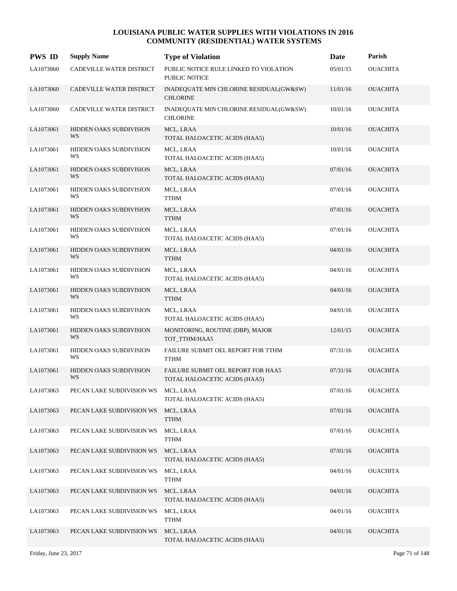| <b>PWS ID</b> | <b>Supply Name</b>                   | <b>Type of Violation</b>                                            | Date     | Parish          |
|---------------|--------------------------------------|---------------------------------------------------------------------|----------|-----------------|
| LA1073060     | CADEVILLE WATER DISTRICT             | PUBLIC NOTICE RULE LINKED TO VIOLATION<br>PUBLIC NOTICE             | 05/01/15 | <b>OUACHITA</b> |
| LA1073060     | CADEVILLE WATER DISTRICT             | INADEQUATE MIN CHLORINE RESIDUAL(GW&SW)<br><b>CHLORINE</b>          | 11/01/16 | <b>OUACHITA</b> |
| LA1073060     | CADEVILLE WATER DISTRICT             | INADEQUATE MIN CHLORINE RESIDUAL(GW&SW)<br><b>CHLORINE</b>          | 10/01/16 | <b>OUACHITA</b> |
| LA1073061     | HIDDEN OAKS SUBDIVISION<br>WS        | MCL, LRAA<br>TOTAL HALOACETIC ACIDS (HAA5)                          | 10/01/16 | <b>OUACHITA</b> |
| LA1073061     | HIDDEN OAKS SUBDIVISION<br>WS        | MCL, LRAA<br>TOTAL HALOACETIC ACIDS (HAA5)                          | 10/01/16 | <b>OUACHITA</b> |
| LA1073061     | HIDDEN OAKS SUBDIVISION<br>WS        | MCL, LRAA<br>TOTAL HALOACETIC ACIDS (HAA5)                          | 07/01/16 | <b>OUACHITA</b> |
| LA1073061     | HIDDEN OAKS SUBDIVISION<br>WS        | MCL, LRAA<br><b>TTHM</b>                                            | 07/01/16 | <b>OUACHITA</b> |
| LA1073061     | HIDDEN OAKS SUBDIVISION<br>WS        | MCL, LRAA<br><b>TTHM</b>                                            | 07/01/16 | <b>OUACHITA</b> |
| LA1073061     | HIDDEN OAKS SUBDIVISION<br>WS        | MCL, LRAA<br>TOTAL HALOACETIC ACIDS (HAA5)                          | 07/01/16 | <b>OUACHITA</b> |
| LA1073061     | HIDDEN OAKS SUBDIVISION<br>WS        | MCL, LRAA<br><b>TTHM</b>                                            | 04/01/16 | <b>OUACHITA</b> |
| LA1073061     | HIDDEN OAKS SUBDIVISION<br>WS        | MCL, LRAA<br>TOTAL HALOACETIC ACIDS (HAA5)                          | 04/01/16 | <b>OUACHITA</b> |
| LA1073061     | HIDDEN OAKS SUBDIVISION<br>WS        | MCL, LRAA<br><b>TTHM</b>                                            | 04/01/16 | <b>OUACHITA</b> |
| LA1073061     | HIDDEN OAKS SUBDIVISION<br>WS        | MCL, LRAA<br>TOTAL HALOACETIC ACIDS (HAA5)                          | 04/01/16 | <b>OUACHITA</b> |
| LA1073061     | HIDDEN OAKS SUBDIVISION<br>WS        | MONITORING, ROUTINE (DBP), MAJOR<br>TOT TTHM/HAA5                   | 12/01/15 | <b>OUACHITA</b> |
| LA1073061     | HIDDEN OAKS SUBDIVISION<br>WS        | FAILURE SUBMIT OEL REPORT FOR TTHM<br><b>TTHM</b>                   | 07/31/16 | <b>OUACHITA</b> |
| LA1073061     | <b>HIDDEN OAKS SUBDIVISION</b><br>WS | FAILURE SUBMIT OEL REPORT FOR HAA5<br>TOTAL HALOACETIC ACIDS (HAA5) | 07/31/16 | <b>OUACHITA</b> |
| LA1073063     | PECAN LAKE SUBDIVISION WS            | MCL, LRAA<br>TOTAL HALOACETIC ACIDS (HAA5)                          | 07/01/16 | <b>OUACHITA</b> |
| LA1073063     | PECAN LAKE SUBDIVISION WS            | MCL, LRAA<br><b>TTHM</b>                                            | 07/01/16 | <b>OUACHITA</b> |
| LA1073063     | PECAN LAKE SUBDIVISION WS            | MCL, LRAA<br><b>TTHM</b>                                            | 07/01/16 | <b>OUACHITA</b> |
| LA1073063     | PECAN LAKE SUBDIVISION WS            | MCL, LRAA<br>TOTAL HALOACETIC ACIDS (HAA5)                          | 07/01/16 | <b>OUACHITA</b> |
| LA1073063     | PECAN LAKE SUBDIVISION WS            | MCL, LRAA<br><b>TTHM</b>                                            | 04/01/16 | <b>OUACHITA</b> |
| LA1073063     | PECAN LAKE SUBDIVISION WS            | MCL, LRAA<br>TOTAL HALOACETIC ACIDS (HAA5)                          | 04/01/16 | <b>OUACHITA</b> |
| LA1073063     | PECAN LAKE SUBDIVISION WS            | MCL, LRAA<br><b>TTHM</b>                                            | 04/01/16 | <b>OUACHITA</b> |
| LA1073063     | PECAN LAKE SUBDIVISION WS            | MCL, LRAA<br>TOTAL HALOACETIC ACIDS (HAA5)                          | 04/01/16 | <b>OUACHITA</b> |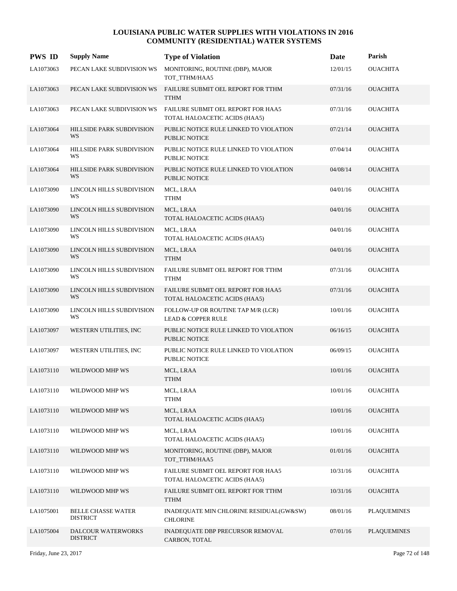| <b>PWS ID</b> | <b>Supply Name</b>                           | <b>Type of Violation</b>                                            | Date     | Parish             |
|---------------|----------------------------------------------|---------------------------------------------------------------------|----------|--------------------|
| LA1073063     | PECAN LAKE SUBDIVISION WS                    | MONITORING, ROUTINE (DBP), MAJOR<br>TOT_TTHM/HAA5                   | 12/01/15 | <b>OUACHITA</b>    |
| LA1073063     | PECAN LAKE SUBDIVISION WS                    | FAILURE SUBMIT OEL REPORT FOR TTHM<br><b>TTHM</b>                   | 07/31/16 | <b>OUACHITA</b>    |
| LA1073063     | PECAN LAKE SUBDIVISION WS                    | FAILURE SUBMIT OEL REPORT FOR HAA5<br>TOTAL HALOACETIC ACIDS (HAA5) | 07/31/16 | <b>OUACHITA</b>    |
| LA1073064     | <b>HILLSIDE PARK SUBDIVISION</b><br>WS       | PUBLIC NOTICE RULE LINKED TO VIOLATION<br><b>PUBLIC NOTICE</b>      | 07/21/14 | <b>OUACHITA</b>    |
| LA1073064     | HILLSIDE PARK SUBDIVISION<br>WS              | PUBLIC NOTICE RULE LINKED TO VIOLATION<br>PUBLIC NOTICE             | 07/04/14 | <b>OUACHITA</b>    |
| LA1073064     | HILLSIDE PARK SUBDIVISION<br>WS              | PUBLIC NOTICE RULE LINKED TO VIOLATION<br><b>PUBLIC NOTICE</b>      | 04/08/14 | <b>OUACHITA</b>    |
| LA1073090     | LINCOLN HILLS SUBDIVISION<br>WS              | MCL, LRAA<br><b>TTHM</b>                                            | 04/01/16 | <b>OUACHITA</b>    |
| LA1073090     | LINCOLN HILLS SUBDIVISION<br>WS              | MCL, LRAA<br>TOTAL HALOACETIC ACIDS (HAA5)                          | 04/01/16 | <b>OUACHITA</b>    |
| LA1073090     | LINCOLN HILLS SUBDIVISION<br>WS              | MCL, LRAA<br>TOTAL HALOACETIC ACIDS (HAA5)                          | 04/01/16 | <b>OUACHITA</b>    |
| LA1073090     | LINCOLN HILLS SUBDIVISION<br>WS              | MCL, LRAA<br><b>TTHM</b>                                            | 04/01/16 | <b>OUACHITA</b>    |
| LA1073090     | LINCOLN HILLS SUBDIVISION<br>WS              | FAILURE SUBMIT OEL REPORT FOR TTHM<br><b>TTHM</b>                   | 07/31/16 | <b>OUACHITA</b>    |
| LA1073090     | LINCOLN HILLS SUBDIVISION<br>WS              | FAILURE SUBMIT OEL REPORT FOR HAA5<br>TOTAL HALOACETIC ACIDS (HAA5) | 07/31/16 | <b>OUACHITA</b>    |
| LA1073090     | LINCOLN HILLS SUBDIVISION<br>WS              | FOLLOW-UP OR ROUTINE TAP M/R (LCR)<br><b>LEAD &amp; COPPER RULE</b> | 10/01/16 | <b>OUACHITA</b>    |
| LA1073097     | WESTERN UTILITIES, INC                       | PUBLIC NOTICE RULE LINKED TO VIOLATION<br><b>PUBLIC NOTICE</b>      | 06/16/15 | <b>OUACHITA</b>    |
| LA1073097     | WESTERN UTILITIES, INC                       | PUBLIC NOTICE RULE LINKED TO VIOLATION<br>PUBLIC NOTICE             | 06/09/15 | <b>OUACHITA</b>    |
| LA1073110     | WILDWOOD MHP WS                              | MCL, LRAA<br><b>TTHM</b>                                            | 10/01/16 | <b>OUACHITA</b>    |
| LA1073110     | WILDWOOD MHP WS                              | MCL, LRAA<br><b>TTHM</b>                                            | 10/01/16 | <b>OUACHITA</b>    |
| LA1073110     | WILDWOOD MHP WS                              | MCL, LRAA<br>TOTAL HALOACETIC ACIDS (HAA5)                          | 10/01/16 | <b>OUACHITA</b>    |
| LA1073110     | WILDWOOD MHP WS                              | MCL, LRAA<br>TOTAL HALOACETIC ACIDS (HAA5)                          | 10/01/16 | <b>OUACHITA</b>    |
| LA1073110     | WILDWOOD MHP WS                              | MONITORING, ROUTINE (DBP), MAJOR<br>TOT_TTHM/HAA5                   | 01/01/16 | <b>OUACHITA</b>    |
| LA1073110     | WILDWOOD MHP WS                              | FAILURE SUBMIT OEL REPORT FOR HAA5<br>TOTAL HALOACETIC ACIDS (HAA5) | 10/31/16 | <b>OUACHITA</b>    |
| LA1073110     | WILDWOOD MHP WS                              | FAILURE SUBMIT OEL REPORT FOR TTHM<br><b>TTHM</b>                   | 10/31/16 | <b>OUACHITA</b>    |
| LA1075001     | <b>BELLE CHASSE WATER</b><br><b>DISTRICT</b> | INADEQUATE MIN CHLORINE RESIDUAL(GW&SW)<br><b>CHLORINE</b>          | 08/01/16 | <b>PLAQUEMINES</b> |
| LA1075004     | DALCOUR WATERWORKS<br><b>DISTRICT</b>        | INADEQUATE DBP PRECURSOR REMOVAL<br>CARBON, TOTAL                   | 07/01/16 | <b>PLAQUEMINES</b> |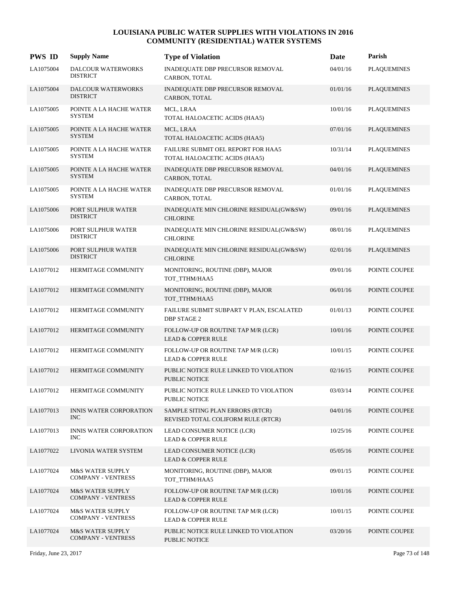| <b>PWS ID</b> | <b>Supply Name</b>                                       | <b>Type of Violation</b>                                               | Date     | Parish             |
|---------------|----------------------------------------------------------|------------------------------------------------------------------------|----------|--------------------|
| LA1075004     | <b>DALCOUR WATERWORKS</b><br><b>DISTRICT</b>             | INADEQUATE DBP PRECURSOR REMOVAL<br>CARBON, TOTAL                      | 04/01/16 | <b>PLAQUEMINES</b> |
| LA1075004     | <b>DALCOUR WATERWORKS</b><br><b>DISTRICT</b>             | INADEQUATE DBP PRECURSOR REMOVAL<br>CARBON, TOTAL                      | 01/01/16 | <b>PLAQUEMINES</b> |
| LA1075005     | POINTE A LA HACHE WATER<br><b>SYSTEM</b>                 | MCL, LRAA<br>TOTAL HALOACETIC ACIDS (HAA5)                             | 10/01/16 | <b>PLAQUEMINES</b> |
| LA1075005     | POINTE A LA HACHE WATER<br><b>SYSTEM</b>                 | MCL, LRAA<br>TOTAL HALOACETIC ACIDS (HAA5)                             | 07/01/16 | <b>PLAQUEMINES</b> |
| LA1075005     | POINTE A LA HACHE WATER<br><b>SYSTEM</b>                 | FAILURE SUBMIT OEL REPORT FOR HAA5<br>TOTAL HALOACETIC ACIDS (HAA5)    | 10/31/14 | <b>PLAQUEMINES</b> |
| LA1075005     | POINTE A LA HACHE WATER<br><b>SYSTEM</b>                 | INADEQUATE DBP PRECURSOR REMOVAL<br>CARBON, TOTAL                      | 04/01/16 | <b>PLAQUEMINES</b> |
| LA1075005     | POINTE A LA HACHE WATER<br><b>SYSTEM</b>                 | INADEQUATE DBP PRECURSOR REMOVAL<br>CARBON, TOTAL                      | 01/01/16 | <b>PLAQUEMINES</b> |
| LA1075006     | PORT SULPHUR WATER<br><b>DISTRICT</b>                    | INADEQUATE MIN CHLORINE RESIDUAL(GW&SW)<br><b>CHLORINE</b>             | 09/01/16 | <b>PLAQUEMINES</b> |
| LA1075006     | PORT SULPHUR WATER<br><b>DISTRICT</b>                    | INADEQUATE MIN CHLORINE RESIDUAL(GW&SW)<br><b>CHLORINE</b>             | 08/01/16 | <b>PLAQUEMINES</b> |
| LA1075006     | PORT SULPHUR WATER<br><b>DISTRICT</b>                    | INADEQUATE MIN CHLORINE RESIDUAL(GW&SW)<br><b>CHLORINE</b>             | 02/01/16 | <b>PLAQUEMINES</b> |
| LA1077012     | HERMITAGE COMMUNITY                                      | MONITORING, ROUTINE (DBP), MAJOR<br>TOT_TTHM/HAA5                      | 09/01/16 | POINTE COUPEE      |
| LA1077012     | HERMITAGE COMMUNITY                                      | MONITORING, ROUTINE (DBP), MAJOR<br>TOT_TTHM/HAA5                      | 06/01/16 | POINTE COUPEE      |
| LA1077012     | HERMITAGE COMMUNITY                                      | FAILURE SUBMIT SUBPART V PLAN, ESCALATED<br><b>DBP STAGE 2</b>         | 01/01/13 | POINTE COUPEE      |
| LA1077012     | HERMITAGE COMMUNITY                                      | FOLLOW-UP OR ROUTINE TAP M/R (LCR)<br><b>LEAD &amp; COPPER RULE</b>    | 10/01/16 | POINTE COUPEE      |
| LA1077012     | HERMITAGE COMMUNITY                                      | FOLLOW-UP OR ROUTINE TAP M/R (LCR)<br><b>LEAD &amp; COPPER RULE</b>    | 10/01/15 | POINTE COUPEE      |
| LA1077012     | HERMITAGE COMMUNITY                                      | PUBLIC NOTICE RULE LINKED TO VIOLATION<br>PUBLIC NOTICE                | 02/16/15 | POINTE COUPEE      |
| LA1077012     | HERMITAGE COMMUNITY                                      | PUBLIC NOTICE RULE LINKED TO VIOLATION<br>PUBLIC NOTICE                | 03/03/14 | POINTE COUPEE      |
| LA1077013     | <b>INNIS WATER CORPORATION</b><br><b>INC</b>             | SAMPLE SITING PLAN ERRORS (RTCR)<br>REVISED TOTAL COLIFORM RULE (RTCR) | 04/01/16 | POINTE COUPEE      |
| LA1077013     | <b>INNIS WATER CORPORATION</b><br><b>INC</b>             | LEAD CONSUMER NOTICE (LCR)<br><b>LEAD &amp; COPPER RULE</b>            | 10/25/16 | POINTE COUPEE      |
| LA1077022     | LIVONIA WATER SYSTEM                                     | LEAD CONSUMER NOTICE (LCR)<br><b>LEAD &amp; COPPER RULE</b>            | 05/05/16 | POINTE COUPEE      |
| LA1077024     | M&S WATER SUPPLY<br><b>COMPANY - VENTRESS</b>            | MONITORING, ROUTINE (DBP), MAJOR<br>TOT TTHM/HAA5                      | 09/01/15 | POINTE COUPEE      |
| LA1077024     | <b>M&amp;S WATER SUPPLY</b><br><b>COMPANY - VENTRESS</b> | FOLLOW-UP OR ROUTINE TAP M/R (LCR)<br><b>LEAD &amp; COPPER RULE</b>    | 10/01/16 | POINTE COUPEE      |
| LA1077024     | <b>M&amp;S WATER SUPPLY</b><br><b>COMPANY - VENTRESS</b> | FOLLOW-UP OR ROUTINE TAP M/R (LCR)<br><b>LEAD &amp; COPPER RULE</b>    | 10/01/15 | POINTE COUPEE      |
| LA1077024     | M&S WATER SUPPLY<br><b>COMPANY - VENTRESS</b>            | PUBLIC NOTICE RULE LINKED TO VIOLATION<br>PUBLIC NOTICE                | 03/20/16 | POINTE COUPEE      |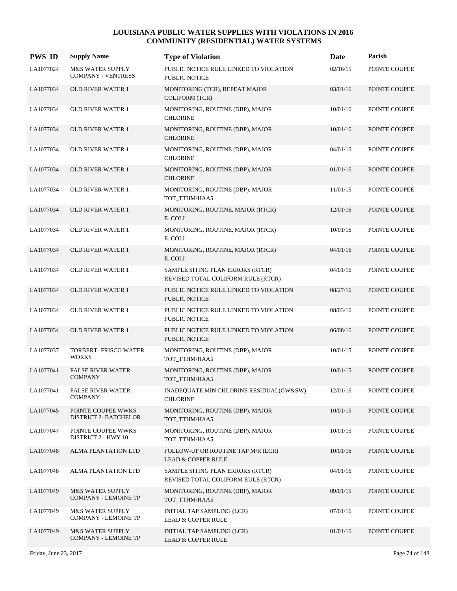| <b>PWS ID</b> | <b>Supply Name</b>                                         | <b>Type of Violation</b>                                               | Date     | Parish        |
|---------------|------------------------------------------------------------|------------------------------------------------------------------------|----------|---------------|
| LA1077024     | <b>M&amp;S WATER SUPPLY</b><br><b>COMPANY - VENTRESS</b>   | PUBLIC NOTICE RULE LINKED TO VIOLATION<br><b>PUBLIC NOTICE</b>         | 02/16/15 | POINTE COUPEE |
| LA1077034     | <b>OLD RIVER WATER 1</b>                                   | MONITORING (TCR), REPEAT MAJOR<br><b>COLIFORM (TCR)</b>                | 03/01/16 | POINTE COUPEE |
| LA1077034     | <b>OLD RIVER WATER 1</b>                                   | MONITORING, ROUTINE (DBP), MAJOR<br><b>CHLORINE</b>                    | 10/01/16 | POINTE COUPEE |
| LA1077034     | <b>OLD RIVER WATER 1</b>                                   | MONITORING, ROUTINE (DBP), MAJOR<br><b>CHLORINE</b>                    | 10/01/16 | POINTE COUPEE |
| LA1077034     | <b>OLD RIVER WATER 1</b>                                   | MONITORING, ROUTINE (DBP), MAJOR<br><b>CHLORINE</b>                    | 04/01/16 | POINTE COUPEE |
| LA1077034     | <b>OLD RIVER WATER 1</b>                                   | MONITORING, ROUTINE (DBP), MAJOR<br><b>CHLORINE</b>                    | 01/01/16 | POINTE COUPEE |
| LA1077034     | <b>OLD RIVER WATER 1</b>                                   | MONITORING, ROUTINE (DBP), MAJOR<br>TOT_TTHM/HAA5                      | 11/01/15 | POINTE COUPEE |
| LA1077034     | <b>OLD RIVER WATER 1</b>                                   | MONITORING, ROUTINE, MAJOR (RTCR)<br>E. COLI                           | 12/01/16 | POINTE COUPEE |
| LA1077034     | OLD RIVER WATER 1                                          | MONITORING, ROUTINE, MAJOR (RTCR)<br>E. COLI                           | 10/01/16 | POINTE COUPEE |
| LA1077034     | <b>OLD RIVER WATER 1</b>                                   | MONITORING, ROUTINE, MAJOR (RTCR)<br>E. COLI                           | 04/01/16 | POINTE COUPEE |
| LA1077034     | <b>OLD RIVER WATER 1</b>                                   | SAMPLE SITING PLAN ERRORS (RTCR)<br>REVISED TOTAL COLIFORM RULE (RTCR) | 04/01/16 | POINTE COUPEE |
| LA1077034     | <b>OLD RIVER WATER 1</b>                                   | PUBLIC NOTICE RULE LINKED TO VIOLATION<br><b>PUBLIC NOTICE</b>         | 08/27/16 | POINTE COUPEE |
| LA1077034     | <b>OLD RIVER WATER 1</b>                                   | PUBLIC NOTICE RULE LINKED TO VIOLATION<br>PUBLIC NOTICE                | 08/03/16 | POINTE COUPEE |
| LA1077034     | <b>OLD RIVER WATER 1</b>                                   | PUBLIC NOTICE RULE LINKED TO VIOLATION<br><b>PUBLIC NOTICE</b>         | 06/08/16 | POINTE COUPEE |
| LA1077037     | TORBERT- FRISCO WATER<br><b>WORKS</b>                      | MONITORING, ROUTINE (DBP), MAJOR<br>TOT_TTHM/HAA5                      | 10/01/15 | POINTE COUPEE |
| LA1077041     | <b>FALSE RIVER WATER</b><br><b>COMPANY</b>                 | MONITORING, ROUTINE (DBP), MAJOR<br>TOT_TTHM/HAA5                      | 10/01/15 | POINTE COUPEE |
| LA1077041     | <b>FALSE RIVER WATER</b><br><b>COMPANY</b>                 | INADEQUATE MIN CHLORINE RESIDUAL(GW&SW)<br><b>CHLORINE</b>             | 12/01/16 | POINTE COUPEE |
| LA1077045     | POINTE COUPEE WWKS<br><b>DISTRICT 2- BATCHELOR</b>         | MONITORING, ROUTINE (DBP), MAJOR<br>TOT TTHM/HAA5                      | 10/01/15 | POINTE COUPEE |
| LA1077047     | POINTE COUPEE WWKS<br><b>DISTRICT 2 - HWY 10</b>           | MONITORING, ROUTINE (DBP), MAJOR<br>TOT_TTHM/HAA5                      | 10/01/15 | POINTE COUPEE |
| LA1077048     | ALMA PLANTATION LTD                                        | FOLLOW-UP OR ROUTINE TAP M/R (LCR)<br><b>LEAD &amp; COPPER RULE</b>    | 10/01/16 | POINTE COUPEE |
| LA1077048     | ALMA PLANTATION LTD                                        | SAMPLE SITING PLAN ERRORS (RTCR)<br>REVISED TOTAL COLIFORM RULE (RTCR) | 04/01/16 | POINTE COUPEE |
| LA1077049     | <b>M&amp;S WATER SUPPLY</b><br><b>COMPANY - LEMOINE TP</b> | MONITORING, ROUTINE (DBP), MAJOR<br>TOT_TTHM/HAA5                      | 09/01/15 | POINTE COUPEE |
| LA1077049     | <b>M&amp;S WATER SUPPLY</b><br><b>COMPANY - LEMOINE TP</b> | INITIAL TAP SAMPLING (LCR)<br><b>LEAD &amp; COPPER RULE</b>            | 07/01/16 | POINTE COUPEE |
| LA1077049     | <b>M&amp;S WATER SUPPLY</b><br><b>COMPANY - LEMOINE TP</b> | INITIAL TAP SAMPLING (LCR)<br><b>LEAD &amp; COPPER RULE</b>            | 01/01/16 | POINTE COUPEE |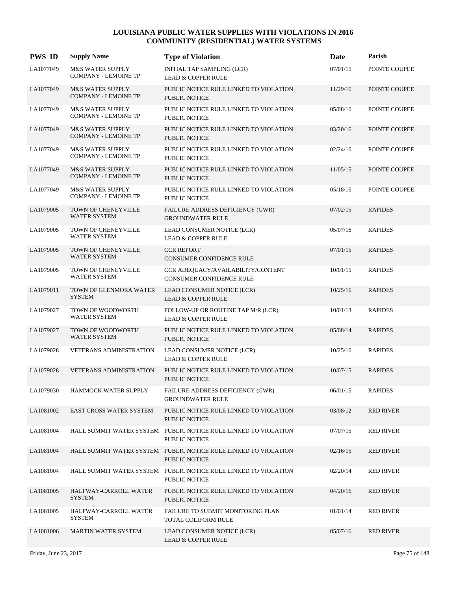| <b>PWS ID</b> | <b>Supply Name</b>                                         | <b>Type of Violation</b>                                                         | Date     | Parish           |
|---------------|------------------------------------------------------------|----------------------------------------------------------------------------------|----------|------------------|
| LA1077049     | <b>M&amp;S WATER SUPPLY</b><br><b>COMPANY - LEMOINE TP</b> | INITIAL TAP SAMPLING (LCR)<br><b>LEAD &amp; COPPER RULE</b>                      | 07/01/15 | POINTE COUPEE    |
| LA1077049     | <b>M&amp;S WATER SUPPLY</b><br><b>COMPANY - LEMOINE TP</b> | PUBLIC NOTICE RULE LINKED TO VIOLATION<br><b>PUBLIC NOTICE</b>                   | 11/29/16 | POINTE COUPEE    |
| LA1077049     | <b>M&amp;S WATER SUPPLY</b><br><b>COMPANY - LEMOINE TP</b> | PUBLIC NOTICE RULE LINKED TO VIOLATION<br>PUBLIC NOTICE                          | 05/08/16 | POINTE COUPEE    |
| LA1077049     | <b>M&amp;S WATER SUPPLY</b><br><b>COMPANY - LEMOINE TP</b> | PUBLIC NOTICE RULE LINKED TO VIOLATION<br><b>PUBLIC NOTICE</b>                   | 03/20/16 | POINTE COUPEE    |
| LA1077049     | M&S WATER SUPPLY<br><b>COMPANY - LEMOINE TP</b>            | PUBLIC NOTICE RULE LINKED TO VIOLATION<br><b>PUBLIC NOTICE</b>                   | 02/24/16 | POINTE COUPEE    |
| LA1077049     | <b>M&amp;S WATER SUPPLY</b><br><b>COMPANY - LEMOINE TP</b> | PUBLIC NOTICE RULE LINKED TO VIOLATION<br><b>PUBLIC NOTICE</b>                   | 11/05/15 | POINTE COUPEE    |
| LA1077049     | <b>M&amp;S WATER SUPPLY</b><br><b>COMPANY - LEMOINE TP</b> | PUBLIC NOTICE RULE LINKED TO VIOLATION<br><b>PUBLIC NOTICE</b>                   | 05/18/15 | POINTE COUPEE    |
| LA1079005     | TOWN OF CHENEYVILLE<br><b>WATER SYSTEM</b>                 | FAILURE ADDRESS DEFICIENCY (GWR)<br><b>GROUNDWATER RULE</b>                      | 07/02/15 | <b>RAPIDES</b>   |
| LA1079005     | TOWN OF CHENEYVILLE<br>WATER SYSTEM                        | LEAD CONSUMER NOTICE (LCR)<br><b>LEAD &amp; COPPER RULE</b>                      | 05/07/16 | <b>RAPIDES</b>   |
| LA1079005     | TOWN OF CHENEYVILLE<br><b>WATER SYSTEM</b>                 | <b>CCR REPORT</b><br>CONSUMER CONFIDENCE RULE                                    | 07/01/15 | <b>RAPIDES</b>   |
| LA1079005     | TOWN OF CHENEYVILLE<br><b>WATER SYSTEM</b>                 | CCR ADEQUACY/AVAILABILITY/CONTENT<br>CONSUMER CONFIDENCE RULE                    | 10/01/15 | <b>RAPIDES</b>   |
| LA1079011     | TOWN OF GLENMORA WATER<br><b>SYSTEM</b>                    | LEAD CONSUMER NOTICE (LCR)<br><b>LEAD &amp; COPPER RULE</b>                      | 10/25/16 | <b>RAPIDES</b>   |
| LA1079027     | TOWN OF WOODWORTH<br>WATER SYSTEM                          | FOLLOW-UP OR ROUTINE TAP M/R (LCR)<br><b>LEAD &amp; COPPER RULE</b>              | 10/01/13 | <b>RAPIDES</b>   |
| LA1079027     | TOWN OF WOODWORTH<br><b>WATER SYSTEM</b>                   | PUBLIC NOTICE RULE LINKED TO VIOLATION<br><b>PUBLIC NOTICE</b>                   | 05/08/14 | <b>RAPIDES</b>   |
| LA1079028     | <b>VETERANS ADMINISTRATION</b>                             | LEAD CONSUMER NOTICE (LCR)<br><b>LEAD &amp; COPPER RULE</b>                      | 10/25/16 | <b>RAPIDES</b>   |
| LA1079028     | <b>VETERANS ADMINISTRATION</b>                             | PUBLIC NOTICE RULE LINKED TO VIOLATION<br>PUBLIC NOTICE                          | 10/07/15 | <b>RAPIDES</b>   |
| LA1079030     | HAMMOCK WATER SUPPLY                                       | FAILURE ADDRESS DEFICIENCY (GWR)<br><b>GROUNDWATER RULE</b>                      | 06/01/15 | <b>RAPIDES</b>   |
| LA1081002     | <b>EAST CROSS WATER SYSTEM</b>                             | PUBLIC NOTICE RULE LINKED TO VIOLATION<br>PUBLIC NOTICE                          | 03/08/12 | <b>RED RIVER</b> |
| LA1081004     |                                                            | HALL SUMMIT WATER SYSTEM PUBLIC NOTICE RULE LINKED TO VIOLATION<br>PUBLIC NOTICE | 07/07/15 | <b>RED RIVER</b> |
| LA1081004     |                                                            | HALL SUMMIT WATER SYSTEM PUBLIC NOTICE RULE LINKED TO VIOLATION<br>PUBLIC NOTICE | 02/16/15 | <b>RED RIVER</b> |
| LA1081004     |                                                            | HALL SUMMIT WATER SYSTEM PUBLIC NOTICE RULE LINKED TO VIOLATION<br>PUBLIC NOTICE | 02/20/14 | <b>RED RIVER</b> |
| LA1081005     | HALFWAY-CARROLL WATER<br><b>SYSTEM</b>                     | PUBLIC NOTICE RULE LINKED TO VIOLATION<br>PUBLIC NOTICE                          | 04/20/16 | <b>RED RIVER</b> |
| LA1081005     | HALFWAY-CARROLL WATER<br><b>SYSTEM</b>                     | <b>FAILURE TO SUBMIT MONITORING PLAN</b><br>TOTAL COLIFORM RULE                  | 01/01/14 | <b>RED RIVER</b> |
| LA1081006     | <b>MARTIN WATER SYSTEM</b>                                 | LEAD CONSUMER NOTICE (LCR)<br><b>LEAD &amp; COPPER RULE</b>                      | 05/07/16 | <b>RED RIVER</b> |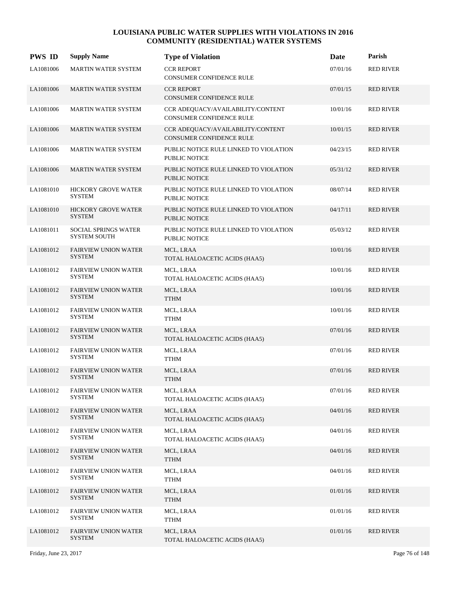| <b>PWS ID</b> | <b>Supply Name</b>                                 | <b>Type of Violation</b>                                       | Date     | Parish           |
|---------------|----------------------------------------------------|----------------------------------------------------------------|----------|------------------|
| LA1081006     | <b>MARTIN WATER SYSTEM</b>                         | <b>CCR REPORT</b><br>CONSUMER CONFIDENCE RULE                  | 07/01/16 | <b>RED RIVER</b> |
| LA1081006     | <b>MARTIN WATER SYSTEM</b>                         | <b>CCR REPORT</b><br>CONSUMER CONFIDENCE RULE                  | 07/01/15 | <b>RED RIVER</b> |
| LA1081006     | <b>MARTIN WATER SYSTEM</b>                         | CCR ADEQUACY/AVAILABILITY/CONTENT<br>CONSUMER CONFIDENCE RULE  | 10/01/16 | <b>RED RIVER</b> |
| LA1081006     | <b>MARTIN WATER SYSTEM</b>                         | CCR ADEQUACY/AVAILABILITY/CONTENT<br>CONSUMER CONFIDENCE RULE  | 10/01/15 | <b>RED RIVER</b> |
| LA1081006     | <b>MARTIN WATER SYSTEM</b>                         | PUBLIC NOTICE RULE LINKED TO VIOLATION<br>PUBLIC NOTICE        | 04/23/15 | <b>RED RIVER</b> |
| LA1081006     | MARTIN WATER SYSTEM                                | PUBLIC NOTICE RULE LINKED TO VIOLATION<br>PUBLIC NOTICE        | 05/31/12 | <b>RED RIVER</b> |
| LA1081010     | HICKORY GROVE WATER<br><b>SYSTEM</b>               | PUBLIC NOTICE RULE LINKED TO VIOLATION<br>PUBLIC NOTICE        | 08/07/14 | <b>RED RIVER</b> |
| LA1081010     | <b>HICKORY GROVE WATER</b><br><b>SYSTEM</b>        | PUBLIC NOTICE RULE LINKED TO VIOLATION<br><b>PUBLIC NOTICE</b> | 04/17/11 | <b>RED RIVER</b> |
| LA1081011     | <b>SOCIAL SPRINGS WATER</b><br><b>SYSTEM SOUTH</b> | PUBLIC NOTICE RULE LINKED TO VIOLATION<br>PUBLIC NOTICE        | 05/03/12 | <b>RED RIVER</b> |
| LA1081012     | <b>FAIRVIEW UNION WATER</b><br><b>SYSTEM</b>       | MCL, LRAA<br>TOTAL HALOACETIC ACIDS (HAA5)                     | 10/01/16 | <b>RED RIVER</b> |
| LA1081012     | <b>FAIRVIEW UNION WATER</b><br><b>SYSTEM</b>       | MCL, LRAA<br>TOTAL HALOACETIC ACIDS (HAA5)                     | 10/01/16 | <b>RED RIVER</b> |
| LA1081012     | <b>FAIRVIEW UNION WATER</b><br><b>SYSTEM</b>       | MCL, LRAA<br><b>TTHM</b>                                       | 10/01/16 | <b>RED RIVER</b> |
| LA1081012     | <b>FAIRVIEW UNION WATER</b><br><b>SYSTEM</b>       | MCL, LRAA<br><b>TTHM</b>                                       | 10/01/16 | <b>RED RIVER</b> |
| LA1081012     | <b>FAIRVIEW UNION WATER</b><br><b>SYSTEM</b>       | MCL, LRAA<br>TOTAL HALOACETIC ACIDS (HAA5)                     | 07/01/16 | <b>RED RIVER</b> |
| LA1081012     | <b>FAIRVIEW UNION WATER</b><br><b>SYSTEM</b>       | MCL, LRAA<br><b>TTHM</b>                                       | 07/01/16 | <b>RED RIVER</b> |
| LA1081012     | <b>FAIRVIEW UNION WATER</b><br><b>SYSTEM</b>       | MCL, LRAA<br><b>TTHM</b>                                       | 07/01/16 | <b>RED RIVER</b> |
| LA1081012     | <b>FAIRVIEW UNION WATER</b><br><b>SYSTEM</b>       | MCL, LRAA<br>TOTAL HALOACETIC ACIDS (HAA5)                     | 07/01/16 | <b>RED RIVER</b> |
| LA1081012     | <b>FAIRVIEW UNION WATER</b><br><b>SYSTEM</b>       | MCL, LRAA<br>TOTAL HALOACETIC ACIDS (HAA5)                     | 04/01/16 | <b>RED RIVER</b> |
| LA1081012     | <b>FAIRVIEW UNION WATER</b><br><b>SYSTEM</b>       | MCL, LRAA<br>TOTAL HALOACETIC ACIDS (HAA5)                     | 04/01/16 | <b>RED RIVER</b> |
| LA1081012     | <b>FAIRVIEW UNION WATER</b><br><b>SYSTEM</b>       | MCL, LRAA<br>TTHM                                              | 04/01/16 | <b>RED RIVER</b> |
| LA1081012     | <b>FAIRVIEW UNION WATER</b><br><b>SYSTEM</b>       | MCL, LRAA<br><b>TTHM</b>                                       | 04/01/16 | <b>RED RIVER</b> |
| LA1081012     | <b>FAIRVIEW UNION WATER</b><br><b>SYSTEM</b>       | MCL, LRAA<br>TTHM                                              | 01/01/16 | <b>RED RIVER</b> |
| LA1081012     | <b>FAIRVIEW UNION WATER</b><br><b>SYSTEM</b>       | MCL, LRAA<br>TTHM                                              | 01/01/16 | RED RIVER        |
| LA1081012     | <b>FAIRVIEW UNION WATER</b><br><b>SYSTEM</b>       | MCL, LRAA<br>TOTAL HALOACETIC ACIDS (HAA5)                     | 01/01/16 | <b>RED RIVER</b> |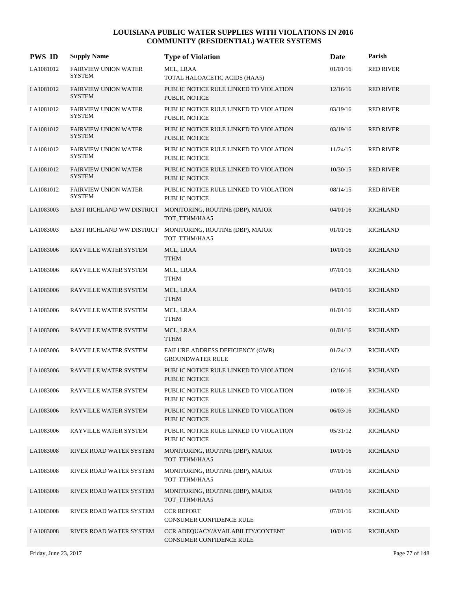| <b>PWS ID</b> | <b>Supply Name</b>                           | <b>Type of Violation</b>                                       | Date     | Parish           |
|---------------|----------------------------------------------|----------------------------------------------------------------|----------|------------------|
| LA1081012     | <b>FAIRVIEW UNION WATER</b><br><b>SYSTEM</b> | MCL, LRAA<br>TOTAL HALOACETIC ACIDS (HAA5)                     | 01/01/16 | <b>RED RIVER</b> |
| LA1081012     | <b>FAIRVIEW UNION WATER</b><br><b>SYSTEM</b> | PUBLIC NOTICE RULE LINKED TO VIOLATION<br>PUBLIC NOTICE        | 12/16/16 | <b>RED RIVER</b> |
| LA1081012     | <b>FAIRVIEW UNION WATER</b><br><b>SYSTEM</b> | PUBLIC NOTICE RULE LINKED TO VIOLATION<br><b>PUBLIC NOTICE</b> | 03/19/16 | <b>RED RIVER</b> |
| LA1081012     | <b>FAIRVIEW UNION WATER</b><br><b>SYSTEM</b> | PUBLIC NOTICE RULE LINKED TO VIOLATION<br>PUBLIC NOTICE        | 03/19/16 | <b>RED RIVER</b> |
| LA1081012     | <b>FAIRVIEW UNION WATER</b><br><b>SYSTEM</b> | PUBLIC NOTICE RULE LINKED TO VIOLATION<br><b>PUBLIC NOTICE</b> | 11/24/15 | <b>RED RIVER</b> |
| LA1081012     | <b>FAIRVIEW UNION WATER</b><br><b>SYSTEM</b> | PUBLIC NOTICE RULE LINKED TO VIOLATION<br>PUBLIC NOTICE        | 10/30/15 | <b>RED RIVER</b> |
| LA1081012     | <b>FAIRVIEW UNION WATER</b><br><b>SYSTEM</b> | PUBLIC NOTICE RULE LINKED TO VIOLATION<br>PUBLIC NOTICE        | 08/14/15 | <b>RED RIVER</b> |
| LA1083003     | <b>EAST RICHLAND WW DISTRICT</b>             | MONITORING, ROUTINE (DBP), MAJOR<br>TOT_TTHM/HAA5              | 04/01/16 | <b>RICHLAND</b>  |
| LA1083003     | EAST RICHLAND WW DISTRICT                    | MONITORING, ROUTINE (DBP), MAJOR<br>TOT_TTHM/HAA5              | 01/01/16 | <b>RICHLAND</b>  |
| LA1083006     | <b>RAYVILLE WATER SYSTEM</b>                 | MCL, LRAA<br><b>TTHM</b>                                       | 10/01/16 | <b>RICHLAND</b>  |
| LA1083006     | RAYVILLE WATER SYSTEM                        | MCL, LRAA<br><b>TTHM</b>                                       | 07/01/16 | <b>RICHLAND</b>  |
| LA1083006     | RAYVILLE WATER SYSTEM                        | MCL, LRAA<br><b>TTHM</b>                                       | 04/01/16 | <b>RICHLAND</b>  |
| LA1083006     | RAYVILLE WATER SYSTEM                        | MCL, LRAA<br><b>TTHM</b>                                       | 01/01/16 | <b>RICHLAND</b>  |
| LA1083006     | RAYVILLE WATER SYSTEM                        | MCL, LRAA<br><b>TTHM</b>                                       | 01/01/16 | <b>RICHLAND</b>  |
| LA1083006     | RAYVILLE WATER SYSTEM                        | FAILURE ADDRESS DEFICIENCY (GWR)<br><b>GROUNDWATER RULE</b>    | 01/24/12 | <b>RICHLAND</b>  |
| LA1083006     | RAYVILLE WATER SYSTEM                        | PUBLIC NOTICE RULE LINKED TO VIOLATION<br><b>PUBLIC NOTICE</b> | 12/16/16 | <b>RICHLAND</b>  |
| LA1083006     | RAYVILLE WATER SYSTEM                        | PUBLIC NOTICE RULE LINKED TO VIOLATION<br>PUBLIC NOTICE        | 10/08/16 | <b>RICHLAND</b>  |
| LA1083006     | RAYVILLE WATER SYSTEM                        | PUBLIC NOTICE RULE LINKED TO VIOLATION<br>PUBLIC NOTICE        | 06/03/16 | <b>RICHLAND</b>  |
| LA1083006     | RAYVILLE WATER SYSTEM                        | PUBLIC NOTICE RULE LINKED TO VIOLATION<br>PUBLIC NOTICE        | 05/31/12 | <b>RICHLAND</b>  |
| LA1083008     | RIVER ROAD WATER SYSTEM                      | MONITORING, ROUTINE (DBP), MAJOR<br>TOT TTHM/HAA5              | 10/01/16 | <b>RICHLAND</b>  |
| LA1083008     | RIVER ROAD WATER SYSTEM                      | MONITORING, ROUTINE (DBP), MAJOR<br>TOT_TTHM/HAA5              | 07/01/16 | <b>RICHLAND</b>  |
| LA1083008     | RIVER ROAD WATER SYSTEM                      | MONITORING, ROUTINE (DBP), MAJOR<br>TOT_TTHM/HAA5              | 04/01/16 | <b>RICHLAND</b>  |
| LA1083008     | RIVER ROAD WATER SYSTEM                      | <b>CCR REPORT</b><br>CONSUMER CONFIDENCE RULE                  | 07/01/16 | <b>RICHLAND</b>  |
| LA1083008     | RIVER ROAD WATER SYSTEM                      | CCR ADEQUACY/AVAILABILITY/CONTENT<br>CONSUMER CONFIDENCE RULE  | 10/01/16 | <b>RICHLAND</b>  |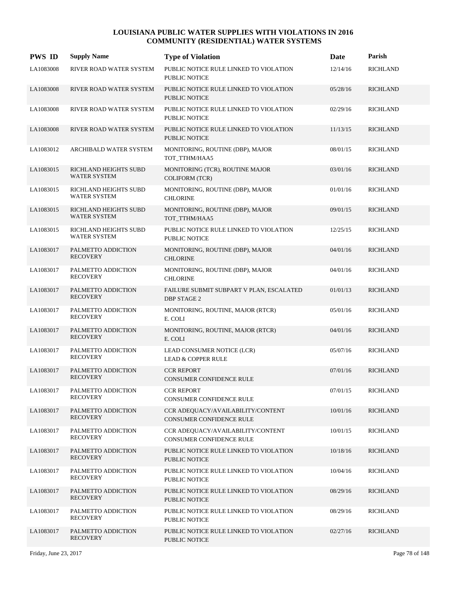| <b>PWS ID</b> | <b>Supply Name</b>                           | <b>Type of Violation</b>                                       | Date     | Parish          |
|---------------|----------------------------------------------|----------------------------------------------------------------|----------|-----------------|
| LA1083008     | RIVER ROAD WATER SYSTEM                      | PUBLIC NOTICE RULE LINKED TO VIOLATION<br><b>PUBLIC NOTICE</b> | 12/14/16 | <b>RICHLAND</b> |
| LA1083008     | RIVER ROAD WATER SYSTEM                      | PUBLIC NOTICE RULE LINKED TO VIOLATION<br><b>PUBLIC NOTICE</b> | 05/28/16 | <b>RICHLAND</b> |
| LA1083008     | RIVER ROAD WATER SYSTEM                      | PUBLIC NOTICE RULE LINKED TO VIOLATION<br><b>PUBLIC NOTICE</b> | 02/29/16 | <b>RICHLAND</b> |
| LA1083008     | RIVER ROAD WATER SYSTEM                      | PUBLIC NOTICE RULE LINKED TO VIOLATION<br><b>PUBLIC NOTICE</b> | 11/13/15 | <b>RICHLAND</b> |
| LA1083012     | ARCHIBALD WATER SYSTEM                       | MONITORING, ROUTINE (DBP), MAJOR<br>TOT_TTHM/HAA5              | 08/01/15 | <b>RICHLAND</b> |
| LA1083015     | RICHLAND HEIGHTS SUBD<br><b>WATER SYSTEM</b> | MONITORING (TCR), ROUTINE MAJOR<br><b>COLIFORM (TCR)</b>       | 03/01/16 | <b>RICHLAND</b> |
| LA1083015     | RICHLAND HEIGHTS SUBD<br><b>WATER SYSTEM</b> | MONITORING, ROUTINE (DBP), MAJOR<br><b>CHLORINE</b>            | 01/01/16 | <b>RICHLAND</b> |
| LA1083015     | RICHLAND HEIGHTS SUBD<br><b>WATER SYSTEM</b> | MONITORING, ROUTINE (DBP), MAJOR<br>TOT_TTHM/HAA5              | 09/01/15 | <b>RICHLAND</b> |
| LA1083015     | RICHLAND HEIGHTS SUBD<br><b>WATER SYSTEM</b> | PUBLIC NOTICE RULE LINKED TO VIOLATION<br><b>PUBLIC NOTICE</b> | 12/25/15 | <b>RICHLAND</b> |
| LA1083017     | PALMETTO ADDICTION<br><b>RECOVERY</b>        | MONITORING, ROUTINE (DBP), MAJOR<br><b>CHLORINE</b>            | 04/01/16 | <b>RICHLAND</b> |
| LA1083017     | PALMETTO ADDICTION<br><b>RECOVERY</b>        | MONITORING, ROUTINE (DBP), MAJOR<br><b>CHLORINE</b>            | 04/01/16 | <b>RICHLAND</b> |
| LA1083017     | PALMETTO ADDICTION<br><b>RECOVERY</b>        | FAILURE SUBMIT SUBPART V PLAN, ESCALATED<br>DBP STAGE 2        | 01/01/13 | <b>RICHLAND</b> |
| LA1083017     | PALMETTO ADDICTION<br><b>RECOVERY</b>        | MONITORING, ROUTINE, MAJOR (RTCR)<br>E. COLI                   | 05/01/16 | <b>RICHLAND</b> |
| LA1083017     | PALMETTO ADDICTION<br><b>RECOVERY</b>        | MONITORING, ROUTINE, MAJOR (RTCR)<br>E. COLI                   | 04/01/16 | <b>RICHLAND</b> |
| LA1083017     | PALMETTO ADDICTION<br><b>RECOVERY</b>        | LEAD CONSUMER NOTICE (LCR)<br><b>LEAD &amp; COPPER RULE</b>    | 05/07/16 | <b>RICHLAND</b> |
| LA1083017     | PALMETTO ADDICTION<br><b>RECOVERY</b>        | <b>CCR REPORT</b><br><b>CONSUMER CONFIDENCE RULE</b>           | 07/01/16 | <b>RICHLAND</b> |
| LA1083017     | PALMETTO ADDICTION<br><b>RECOVERY</b>        | <b>CCR REPORT</b><br>CONSUMER CONFIDENCE RULE                  | 07/01/15 | <b>RICHLAND</b> |
| LA1083017     | PALMETTO ADDICTION<br><b>RECOVERY</b>        | CCR ADEQUACY/AVAILABILITY/CONTENT<br>CONSUMER CONFIDENCE RULE  | 10/01/16 | <b>RICHLAND</b> |
| LA1083017     | PALMETTO ADDICTION<br><b>RECOVERY</b>        | CCR ADEQUACY/AVAILABILITY/CONTENT<br>CONSUMER CONFIDENCE RULE  | 10/01/15 | <b>RICHLAND</b> |
| LA1083017     | PALMETTO ADDICTION<br><b>RECOVERY</b>        | PUBLIC NOTICE RULE LINKED TO VIOLATION<br>PUBLIC NOTICE        | 10/18/16 | <b>RICHLAND</b> |
| LA1083017     | PALMETTO ADDICTION<br><b>RECOVERY</b>        | PUBLIC NOTICE RULE LINKED TO VIOLATION<br>PUBLIC NOTICE        | 10/04/16 | <b>RICHLAND</b> |
| LA1083017     | PALMETTO ADDICTION<br><b>RECOVERY</b>        | PUBLIC NOTICE RULE LINKED TO VIOLATION<br>PUBLIC NOTICE        | 08/29/16 | <b>RICHLAND</b> |
| LA1083017     | PALMETTO ADDICTION<br><b>RECOVERY</b>        | PUBLIC NOTICE RULE LINKED TO VIOLATION<br>PUBLIC NOTICE        | 08/29/16 | <b>RICHLAND</b> |
| LA1083017     | PALMETTO ADDICTION<br><b>RECOVERY</b>        | PUBLIC NOTICE RULE LINKED TO VIOLATION<br>PUBLIC NOTICE        | 02/27/16 | <b>RICHLAND</b> |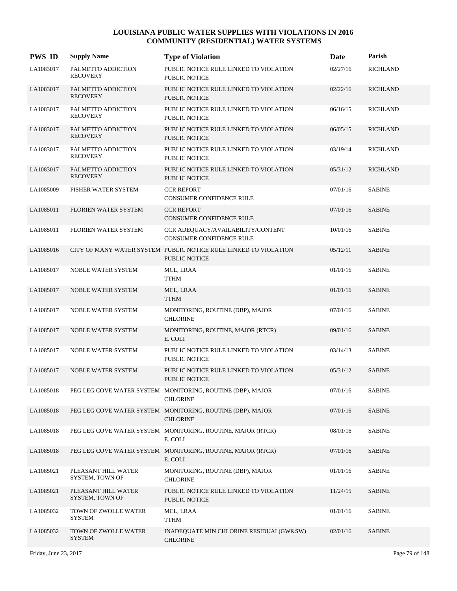| <b>PWS ID</b> | <b>Supply Name</b>                     | <b>Type of Violation</b>                                                          | Date     | Parish          |
|---------------|----------------------------------------|-----------------------------------------------------------------------------------|----------|-----------------|
| LA1083017     | PALMETTO ADDICTION<br><b>RECOVERY</b>  | PUBLIC NOTICE RULE LINKED TO VIOLATION<br><b>PUBLIC NOTICE</b>                    | 02/27/16 | <b>RICHLAND</b> |
| LA1083017     | PALMETTO ADDICTION<br><b>RECOVERY</b>  | PUBLIC NOTICE RULE LINKED TO VIOLATION<br><b>PUBLIC NOTICE</b>                    | 02/22/16 | <b>RICHLAND</b> |
| LA1083017     | PALMETTO ADDICTION<br><b>RECOVERY</b>  | PUBLIC NOTICE RULE LINKED TO VIOLATION<br>PUBLIC NOTICE                           | 06/16/15 | <b>RICHLAND</b> |
| LA1083017     | PALMETTO ADDICTION<br><b>RECOVERY</b>  | PUBLIC NOTICE RULE LINKED TO VIOLATION<br><b>PUBLIC NOTICE</b>                    | 06/05/15 | <b>RICHLAND</b> |
| LA1083017     | PALMETTO ADDICTION<br><b>RECOVERY</b>  | PUBLIC NOTICE RULE LINKED TO VIOLATION<br>PUBLIC NOTICE                           | 03/19/14 | <b>RICHLAND</b> |
| LA1083017     | PALMETTO ADDICTION<br><b>RECOVERY</b>  | PUBLIC NOTICE RULE LINKED TO VIOLATION<br><b>PUBLIC NOTICE</b>                    | 05/31/12 | <b>RICHLAND</b> |
| LA1085009     | FISHER WATER SYSTEM                    | <b>CCR REPORT</b><br>CONSUMER CONFIDENCE RULE                                     | 07/01/16 | <b>SABINE</b>   |
| LA1085011     | <b>FLORIEN WATER SYSTEM</b>            | <b>CCR REPORT</b><br><b>CONSUMER CONFIDENCE RULE</b>                              | 07/01/16 | <b>SABINE</b>   |
| LA1085011     | FLORIEN WATER SYSTEM                   | CCR ADEOUACY/AVAILABILITY/CONTENT<br>CONSUMER CONFIDENCE RULE                     | 10/01/16 | <b>SABINE</b>   |
| LA1085016     |                                        | CITY OF MANY WATER SYSTEM PUBLIC NOTICE RULE LINKED TO VIOLATION<br>PUBLIC NOTICE | 05/12/11 | <b>SABINE</b>   |
| LA1085017     | <b>NOBLE WATER SYSTEM</b>              | MCL, LRAA<br><b>TTHM</b>                                                          | 01/01/16 | <b>SABINE</b>   |
| LA1085017     | <b>NOBLE WATER SYSTEM</b>              | MCL, LRAA<br><b>TTHM</b>                                                          | 01/01/16 | <b>SABINE</b>   |
| LA1085017     | <b>NOBLE WATER SYSTEM</b>              | MONITORING, ROUTINE (DBP), MAJOR<br><b>CHLORINE</b>                               | 07/01/16 | <b>SABINE</b>   |
| LA1085017     | NOBLE WATER SYSTEM                     | MONITORING, ROUTINE, MAJOR (RTCR)<br>E. COLI                                      | 09/01/16 | <b>SABINE</b>   |
| LA1085017     | <b>NOBLE WATER SYSTEM</b>              | PUBLIC NOTICE RULE LINKED TO VIOLATION<br>PUBLIC NOTICE                           | 03/14/13 | <b>SABINE</b>   |
| LA1085017     | <b>NOBLE WATER SYSTEM</b>              | PUBLIC NOTICE RULE LINKED TO VIOLATION<br><b>PUBLIC NOTICE</b>                    | 05/31/12 | <b>SABINE</b>   |
| LA1085018     |                                        | PEG LEG COVE WATER SYSTEM MONITORING, ROUTINE (DBP), MAJOR<br><b>CHLORINE</b>     | 07/01/16 | <b>SABINE</b>   |
| LA1085018     |                                        | PEG LEG COVE WATER SYSTEM MONITORING, ROUTINE (DBP), MAJOR<br><b>CHLORINE</b>     | 07/01/16 | <b>SABINE</b>   |
| LA1085018     |                                        | PEG LEG COVE WATER SYSTEM MONITORING, ROUTINE, MAJOR (RTCR)<br>E. COLI            | 08/01/16 | <b>SABINE</b>   |
| LA1085018     |                                        | PEG LEG COVE WATER SYSTEM MONITORING, ROUTINE, MAJOR (RTCR)<br>E. COLI            | 07/01/16 | <b>SABINE</b>   |
| LA1085021     | PLEASANT HILL WATER<br>SYSTEM, TOWN OF | MONITORING, ROUTINE (DBP), MAJOR<br><b>CHLORINE</b>                               | 01/01/16 | <b>SABINE</b>   |
| LA1085021     | PLEASANT HILL WATER<br>SYSTEM, TOWN OF | PUBLIC NOTICE RULE LINKED TO VIOLATION<br>PUBLIC NOTICE                           | 11/24/15 | <b>SABINE</b>   |
| LA1085032     | TOWN OF ZWOLLE WATER<br><b>SYSTEM</b>  | MCL, LRAA<br><b>TTHM</b>                                                          | 01/01/16 | <b>SABINE</b>   |
| LA1085032     | TOWN OF ZWOLLE WATER<br><b>SYSTEM</b>  | INADEQUATE MIN CHLORINE RESIDUAL(GW&SW)<br><b>CHLORINE</b>                        | 02/01/16 | <b>SABINE</b>   |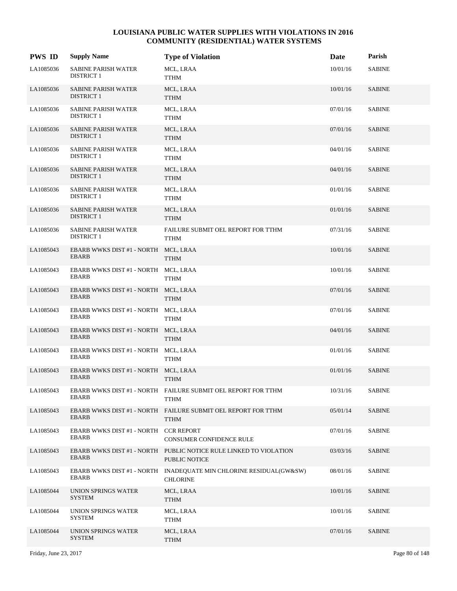| <b>PWS ID</b> | <b>Supply Name</b>                                   | <b>Type of Violation</b>                                                              | Date     | Parish        |
|---------------|------------------------------------------------------|---------------------------------------------------------------------------------------|----------|---------------|
| LA1085036     | <b>SABINE PARISH WATER</b><br><b>DISTRICT 1</b>      | MCL, LRAA<br>TTHM                                                                     | 10/01/16 | <b>SABINE</b> |
| LA1085036     | <b>SABINE PARISH WATER</b><br><b>DISTRICT 1</b>      | MCL, LRAA<br><b>TTHM</b>                                                              | 10/01/16 | <b>SABINE</b> |
| LA1085036     | <b>SABINE PARISH WATER</b><br><b>DISTRICT 1</b>      | MCL, LRAA<br>TTHM                                                                     | 07/01/16 | <b>SABINE</b> |
| LA1085036     | <b>SABINE PARISH WATER</b><br>DISTRICT 1             | MCL, LRAA<br><b>TTHM</b>                                                              | 07/01/16 | <b>SABINE</b> |
| LA1085036     | <b>SABINE PARISH WATER</b><br>DISTRICT 1             | MCL, LRAA<br>TTHM                                                                     | 04/01/16 | <b>SABINE</b> |
| LA1085036     | <b>SABINE PARISH WATER</b><br>DISTRICT 1             | MCL, LRAA<br><b>TTHM</b>                                                              | 04/01/16 | <b>SABINE</b> |
| LA1085036     | <b>SABINE PARISH WATER</b><br><b>DISTRICT 1</b>      | MCL, LRAA<br><b>TTHM</b>                                                              | 01/01/16 | <b>SABINE</b> |
| LA1085036     | <b>SABINE PARISH WATER</b><br>DISTRICT 1             | MCL, LRAA<br><b>TTHM</b>                                                              | 01/01/16 | <b>SABINE</b> |
| LA1085036     | <b>SABINE PARISH WATER</b><br>DISTRICT 1             | FAILURE SUBMIT OEL REPORT FOR TTHM<br><b>TTHM</b>                                     | 07/31/16 | <b>SABINE</b> |
| LA1085043     | EBARB WWKS DIST #1 - NORTH<br>EBARB                  | MCL, LRAA<br><b>TTHM</b>                                                              | 10/01/16 | <b>SABINE</b> |
| LA1085043     | EBARB WWKS DIST #1 - NORTH MCL, LRAA<br><b>EBARB</b> | <b>TTHM</b>                                                                           | 10/01/16 | <b>SABINE</b> |
| LA1085043     | EBARB WWKS DIST #1 - NORTH MCL, LRAA<br>EBARB        | <b>TTHM</b>                                                                           | 07/01/16 | <b>SABINE</b> |
| LA1085043     | EBARB WWKS DIST #1 - NORTH MCL, LRAA<br>EBARB        | TTHM                                                                                  | 07/01/16 | <b>SABINE</b> |
| LA1085043     | EBARB WWKS DIST #1 - NORTH MCL, LRAA<br>EBARB        | <b>TTHM</b>                                                                           | 04/01/16 | <b>SABINE</b> |
| LA1085043     | EBARB WWKS DIST #1 - NORTH MCL, LRAA<br><b>EBARB</b> | <b>TTHM</b>                                                                           | 01/01/16 | <b>SABINE</b> |
| LA1085043     | EBARB WWKS DIST #1 - NORTH MCL, LRAA<br>EBARB        | <b>TTHM</b>                                                                           | 01/01/16 | <b>SABINE</b> |
| LA1085043     | <b>EBARB</b>                                         | EBARB WWKS DIST #1 - NORTH FAILURE SUBMIT OEL REPORT FOR TTHM<br><b>TTHM</b>          | 10/31/16 | <b>SABINE</b> |
| LA1085043     | <b>EBARB</b>                                         | EBARB WWKS DIST #1 - NORTH FAILURE SUBMIT OEL REPORT FOR TTHM<br><b>TTHM</b>          | 05/01/14 | <b>SABINE</b> |
| LA1085043     | EBARB WWKS DIST #1 - NORTH CCR REPORT<br>EBARB       | CONSUMER CONFIDENCE RULE                                                              | 07/01/16 | <b>SABINE</b> |
| LA1085043     | <b>EBARB</b>                                         | EBARB WWKS DIST #1 - NORTH PUBLIC NOTICE RULE LINKED TO VIOLATION<br>PUBLIC NOTICE    | 03/03/16 | <b>SABINE</b> |
| LA1085043     | <b>EBARB</b>                                         | EBARB WWKS DIST #1 - NORTH INADEQUATE MIN CHLORINE RESIDUAL(GW&SW)<br><b>CHLORINE</b> | 08/01/16 | SABINE        |
| LA1085044     | UNION SPRINGS WATER<br><b>SYSTEM</b>                 | MCL, LRAA<br><b>TTHM</b>                                                              | 10/01/16 | <b>SABINE</b> |
| LA1085044     | UNION SPRINGS WATER<br><b>SYSTEM</b>                 | MCL, LRAA<br><b>TTHM</b>                                                              | 10/01/16 | SABINE        |
| LA1085044     | UNION SPRINGS WATER<br><b>SYSTEM</b>                 | MCL, LRAA<br><b>TTHM</b>                                                              | 07/01/16 | <b>SABINE</b> |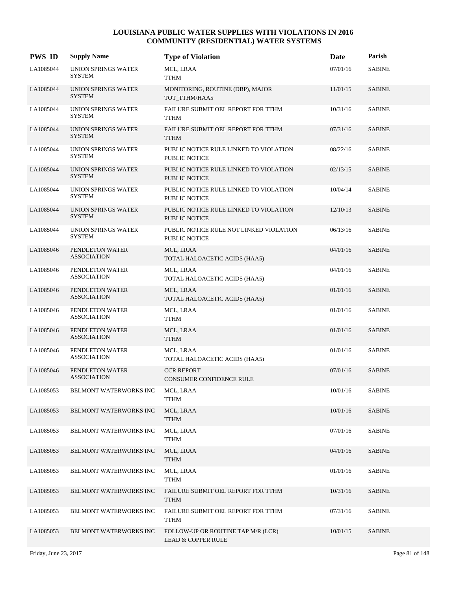| <b>PWS ID</b> | <b>Supply Name</b>                    | <b>Type of Violation</b>                                            | Date     | Parish        |
|---------------|---------------------------------------|---------------------------------------------------------------------|----------|---------------|
| LA1085044     | UNION SPRINGS WATER<br><b>SYSTEM</b>  | MCL, LRAA<br>TTHM                                                   | 07/01/16 | <b>SABINE</b> |
| LA1085044     | UNION SPRINGS WATER<br><b>SYSTEM</b>  | MONITORING, ROUTINE (DBP), MAJOR<br>TOT TTHM/HAA5                   | 11/01/15 | <b>SABINE</b> |
| LA1085044     | UNION SPRINGS WATER<br><b>SYSTEM</b>  | FAILURE SUBMIT OEL REPORT FOR TTHM<br><b>TTHM</b>                   | 10/31/16 | <b>SABINE</b> |
| LA1085044     | UNION SPRINGS WATER<br><b>SYSTEM</b>  | FAILURE SUBMIT OEL REPORT FOR TTHM<br><b>TTHM</b>                   | 07/31/16 | <b>SABINE</b> |
| LA1085044     | UNION SPRINGS WATER<br><b>SYSTEM</b>  | PUBLIC NOTICE RULE LINKED TO VIOLATION<br>PUBLIC NOTICE             | 08/22/16 | <b>SABINE</b> |
| LA1085044     | UNION SPRINGS WATER<br><b>SYSTEM</b>  | PUBLIC NOTICE RULE LINKED TO VIOLATION<br><b>PUBLIC NOTICE</b>      | 02/13/15 | <b>SABINE</b> |
| LA1085044     | UNION SPRINGS WATER<br><b>SYSTEM</b>  | PUBLIC NOTICE RULE LINKED TO VIOLATION<br>PUBLIC NOTICE             | 10/04/14 | <b>SABINE</b> |
| LA1085044     | UNION SPRINGS WATER<br><b>SYSTEM</b>  | PUBLIC NOTICE RULE LINKED TO VIOLATION<br><b>PUBLIC NOTICE</b>      | 12/10/13 | <b>SABINE</b> |
| LA1085044     | UNION SPRINGS WATER<br>SYSTEM         | PUBLIC NOTICE RULE NOT LINKED VIOLATION<br><b>PUBLIC NOTICE</b>     | 06/13/16 | <b>SABINE</b> |
| LA1085046     | PENDLETON WATER<br><b>ASSOCIATION</b> | MCL, LRAA<br>TOTAL HALOACETIC ACIDS (HAA5)                          | 04/01/16 | <b>SABINE</b> |
| LA1085046     | PENDLETON WATER<br><b>ASSOCIATION</b> | MCL, LRAA<br>TOTAL HALOACETIC ACIDS (HAA5)                          | 04/01/16 | <b>SABINE</b> |
| LA1085046     | PENDLETON WATER<br><b>ASSOCIATION</b> | MCL, LRAA<br>TOTAL HALOACETIC ACIDS (HAA5)                          | 01/01/16 | <b>SABINE</b> |
| LA1085046     | PENDLETON WATER<br>ASSOCIATION        | MCL, LRAA<br><b>TTHM</b>                                            | 01/01/16 | <b>SABINE</b> |
| LA1085046     | PENDLETON WATER<br><b>ASSOCIATION</b> | MCL, LRAA<br><b>TTHM</b>                                            | 01/01/16 | <b>SABINE</b> |
| LA1085046     | PENDLETON WATER<br><b>ASSOCIATION</b> | MCL, LRAA<br>TOTAL HALOACETIC ACIDS (HAA5)                          | 01/01/16 | <b>SABINE</b> |
| LA1085046     | PENDLETON WATER<br><b>ASSOCIATION</b> | <b>CCR REPORT</b><br><b>CONSUMER CONFIDENCE RULE</b>                | 07/01/16 | <b>SABINE</b> |
| LA1085053     | BELMONT WATERWORKS INC                | MCL, LRAA<br><b>TTHM</b>                                            | 10/01/16 | <b>SABINE</b> |
| LA1085053     | <b>BELMONT WATERWORKS INC</b>         | MCL, LRAA<br><b>TTHM</b>                                            | 10/01/16 | <b>SABINE</b> |
| LA1085053     | <b>BELMONT WATERWORKS INC</b>         | MCL, LRAA<br>TTHM                                                   | 07/01/16 | <b>SABINE</b> |
| LA1085053     | BELMONT WATERWORKS INC                | MCL, LRAA<br><b>TTHM</b>                                            | 04/01/16 | <b>SABINE</b> |
| LA1085053     | BELMONT WATERWORKS INC                | MCL, LRAA<br><b>TTHM</b>                                            | 01/01/16 | <b>SABINE</b> |
| LA1085053     | <b>BELMONT WATERWORKS INC</b>         | FAILURE SUBMIT OEL REPORT FOR TTHM<br><b>TTHM</b>                   | 10/31/16 | <b>SABINE</b> |
| LA1085053     | <b>BELMONT WATERWORKS INC</b>         | FAILURE SUBMIT OEL REPORT FOR TTHM<br><b>TTHM</b>                   | 07/31/16 | SABINE        |
| LA1085053     | BELMONT WATERWORKS INC                | FOLLOW-UP OR ROUTINE TAP M/R (LCR)<br><b>LEAD &amp; COPPER RULE</b> | 10/01/15 | <b>SABINE</b> |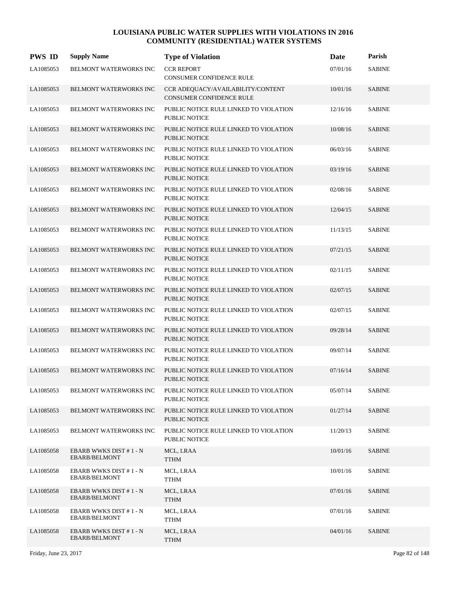| <b>PWS ID</b> | <b>Supply Name</b>                             | <b>Type of Violation</b>                                             | Date     | Parish        |
|---------------|------------------------------------------------|----------------------------------------------------------------------|----------|---------------|
| LA1085053     | <b>BELMONT WATERWORKS INC</b>                  | <b>CCR REPORT</b><br><b>CONSUMER CONFIDENCE RULE</b>                 | 07/01/16 | <b>SABINE</b> |
| LA1085053     | <b>BELMONT WATERWORKS INC</b>                  | CCR ADEQUACY/AVAILABILITY/CONTENT<br><b>CONSUMER CONFIDENCE RULE</b> | 10/01/16 | <b>SABINE</b> |
| LA1085053     | BELMONT WATERWORKS INC                         | PUBLIC NOTICE RULE LINKED TO VIOLATION<br><b>PUBLIC NOTICE</b>       | 12/16/16 | <b>SABINE</b> |
| LA1085053     | BELMONT WATERWORKS INC                         | PUBLIC NOTICE RULE LINKED TO VIOLATION<br>PUBLIC NOTICE              | 10/08/16 | <b>SABINE</b> |
| LA1085053     | BELMONT WATERWORKS INC                         | PUBLIC NOTICE RULE LINKED TO VIOLATION<br>PUBLIC NOTICE              | 06/03/16 | <b>SABINE</b> |
| LA1085053     | BELMONT WATERWORKS INC                         | PUBLIC NOTICE RULE LINKED TO VIOLATION<br>PUBLIC NOTICE              | 03/19/16 | <b>SABINE</b> |
| LA1085053     | BELMONT WATERWORKS INC                         | PUBLIC NOTICE RULE LINKED TO VIOLATION<br>PUBLIC NOTICE              | 02/08/16 | <b>SABINE</b> |
| LA1085053     | BELMONT WATERWORKS INC                         | PUBLIC NOTICE RULE LINKED TO VIOLATION<br>PUBLIC NOTICE              | 12/04/15 | <b>SABINE</b> |
| LA1085053     | BELMONT WATERWORKS INC                         | PUBLIC NOTICE RULE LINKED TO VIOLATION<br><b>PUBLIC NOTICE</b>       | 11/13/15 | <b>SABINE</b> |
| LA1085053     | BELMONT WATERWORKS INC                         | PUBLIC NOTICE RULE LINKED TO VIOLATION<br><b>PUBLIC NOTICE</b>       | 07/21/15 | <b>SABINE</b> |
| LA1085053     | BELMONT WATERWORKS INC                         | PUBLIC NOTICE RULE LINKED TO VIOLATION<br>PUBLIC NOTICE              | 02/11/15 | <b>SABINE</b> |
| LA1085053     | BELMONT WATERWORKS INC                         | PUBLIC NOTICE RULE LINKED TO VIOLATION<br>PUBLIC NOTICE              | 02/07/15 | <b>SABINE</b> |
| LA1085053     | <b>BELMONT WATERWORKS INC</b>                  | PUBLIC NOTICE RULE LINKED TO VIOLATION<br>PUBLIC NOTICE              | 02/07/15 | <b>SABINE</b> |
| LA1085053     | BELMONT WATERWORKS INC                         | PUBLIC NOTICE RULE LINKED TO VIOLATION<br><b>PUBLIC NOTICE</b>       | 09/28/14 | <b>SABINE</b> |
| LA1085053     | BELMONT WATERWORKS INC                         | PUBLIC NOTICE RULE LINKED TO VIOLATION<br><b>PUBLIC NOTICE</b>       | 09/07/14 | <b>SABINE</b> |
| LA1085053     | <b>BELMONT WATERWORKS INC</b>                  | PUBLIC NOTICE RULE LINKED TO VIOLATION<br><b>PUBLIC NOTICE</b>       | 07/16/14 | <b>SABINE</b> |
| LA1085053     | BELMONT WATERWORKS INC                         | PUBLIC NOTICE RULE LINKED TO VIOLATION<br>PUBLIC NOTICE              | 05/07/14 | <b>SABINE</b> |
| LA1085053     | BELMONT WATERWORKS INC                         | PUBLIC NOTICE RULE LINKED TO VIOLATION<br><b>PUBLIC NOTICE</b>       | 01/27/14 | <b>SABINE</b> |
| LA1085053     | BELMONT WATERWORKS INC                         | PUBLIC NOTICE RULE LINKED TO VIOLATION<br>PUBLIC NOTICE              | 11/20/13 | <b>SABINE</b> |
| LA1085058     | EBARB WWKS DIST #1 - N<br><b>EBARB/BELMONT</b> | MCL, LRAA<br><b>TTHM</b>                                             | 10/01/16 | <b>SABINE</b> |
| LA1085058     | EBARB WWKS DIST #1 - N<br><b>EBARB/BELMONT</b> | MCL, LRAA<br><b>TTHM</b>                                             | 10/01/16 | <b>SABINE</b> |
| LA1085058     | EBARB WWKS DIST #1 - N<br>EBARB/BELMONT        | MCL, LRAA<br><b>TTHM</b>                                             | 07/01/16 | <b>SABINE</b> |
| LA1085058     | EBARB WWKS DIST #1-N<br>EBARB/BELMONT          | MCL, LRAA<br>TTHM                                                    | 07/01/16 | <b>SABINE</b> |
| LA1085058     | EBARB WWKS DIST #1 - N<br><b>EBARB/BELMONT</b> | MCL, LRAA<br><b>TTHM</b>                                             | 04/01/16 | <b>SABINE</b> |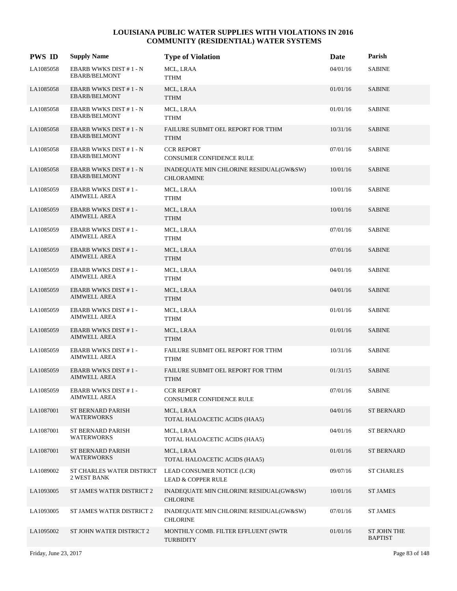| <b>PWS ID</b> | <b>Supply Name</b>                                    | <b>Type of Violation</b>                                     | Date     | Parish                        |
|---------------|-------------------------------------------------------|--------------------------------------------------------------|----------|-------------------------------|
| LA1085058     | EBARB WWKS DIST #1 - N<br><b>EBARB/BELMONT</b>        | MCL, LRAA<br>TTHM                                            | 04/01/16 | <b>SABINE</b>                 |
| LA1085058     | <b>EBARB WWKS DIST #1 - N</b><br><b>EBARB/BELMONT</b> | MCL, LRAA<br><b>TTHM</b>                                     | 01/01/16 | <b>SABINE</b>                 |
| LA1085058     | EBARB WWKS DIST #1 - N<br><b>EBARB/BELMONT</b>        | MCL, LRAA<br>TTHM                                            | 01/01/16 | <b>SABINE</b>                 |
| LA1085058     | EBARB WWKS DIST #1-N<br><b>EBARB/BELMONT</b>          | FAILURE SUBMIT OEL REPORT FOR TTHM<br>TTHM                   | 10/31/16 | <b>SABINE</b>                 |
| LA1085058     | EBARB WWKS DIST #1-N<br>EBARB/BELMONT                 | <b>CCR REPORT</b><br>CONSUMER CONFIDENCE RULE                | 07/01/16 | <b>SABINE</b>                 |
| LA1085058     | EBARB WWKS DIST #1 - N<br><b>EBARB/BELMONT</b>        | INADEQUATE MIN CHLORINE RESIDUAL(GW&SW)<br><b>CHLORAMINE</b> | 10/01/16 | <b>SABINE</b>                 |
| LA1085059     | <b>EBARB WWKS DIST #1-</b><br>AIMWELL AREA            | MCL, LRAA<br><b>TTHM</b>                                     | 10/01/16 | <b>SABINE</b>                 |
| LA1085059     | <b>EBARB WWKS DIST #1-</b><br><b>AIMWELL AREA</b>     | MCL, LRAA<br><b>TTHM</b>                                     | 10/01/16 | <b>SABINE</b>                 |
| LA1085059     | <b>EBARB WWKS DIST #1-</b><br><b>AIMWELL AREA</b>     | MCL, LRAA<br>TTHM                                            | 07/01/16 | <b>SABINE</b>                 |
| LA1085059     | <b>EBARB WWKS DIST #1-</b><br><b>AIMWELL AREA</b>     | MCL, LRAA<br>TTHM                                            | 07/01/16 | <b>SABINE</b>                 |
| LA1085059     | <b>EBARB WWKS DIST #1-</b><br><b>AIMWELL AREA</b>     | MCL, LRAA<br>TTHM                                            | 04/01/16 | <b>SABINE</b>                 |
| LA1085059     | <b>EBARB WWKS DIST #1-</b><br>AIMWELL AREA            | MCL, LRAA<br>TTHM                                            | 04/01/16 | <b>SABINE</b>                 |
| LA1085059     | <b>EBARB WWKS DIST #1-</b><br>AIMWELL AREA            | MCL, LRAA<br>TTHM                                            | 01/01/16 | <b>SABINE</b>                 |
| LA1085059     | <b>EBARB WWKS DIST #1-</b><br>AIMWELL AREA            | MCL, LRAA<br><b>TTHM</b>                                     | 01/01/16 | <b>SABINE</b>                 |
| LA1085059     | <b>EBARB WWKS DIST #1-</b><br><b>AIMWELL AREA</b>     | FAILURE SUBMIT OEL REPORT FOR TTHM<br><b>TTHM</b>            | 10/31/16 | <b>SABINE</b>                 |
| LA1085059     | <b>EBARB WWKS DIST #1-</b><br>AIMWELL AREA            | FAILURE SUBMIT OEL REPORT FOR TTHM<br><b>TTHM</b>            | 01/31/15 | <b>SABINE</b>                 |
| LA1085059     | <b>EBARB WWKS DIST #1-</b><br><b>AIMWELL AREA</b>     | <b>CCR REPORT</b><br>CONSUMER CONFIDENCE RULE                | 07/01/16 | <b>SABINE</b>                 |
| LA1087001     | ST BERNARD PARISH<br><b>WATERWORKS</b>                | MCL, LRAA<br>TOTAL HALOACETIC ACIDS (HAA5)                   | 04/01/16 | <b>ST BERNARD</b>             |
| LA1087001     | ST BERNARD PARISH<br><b>WATERWORKS</b>                | MCL, LRAA<br>TOTAL HALOACETIC ACIDS (HAA5)                   | 04/01/16 | <b>ST BERNARD</b>             |
| LA1087001     | <b>ST BERNARD PARISH</b><br><b>WATERWORKS</b>         | MCL, LRAA<br>TOTAL HALOACETIC ACIDS (HAA5)                   | 01/01/16 | ST BERNARD                    |
| LA1089002     | ST CHARLES WATER DISTRICT<br>2 WEST BANK              | LEAD CONSUMER NOTICE (LCR)<br><b>LEAD &amp; COPPER RULE</b>  | 09/07/16 | <b>ST CHARLES</b>             |
| LA1093005     | ST JAMES WATER DISTRICT 2                             | INADEQUATE MIN CHLORINE RESIDUAL(GW&SW)<br><b>CHLORINE</b>   | 10/01/16 | <b>ST JAMES</b>               |
| LA1093005     | ST JAMES WATER DISTRICT 2                             | INADEQUATE MIN CHLORINE RESIDUAL(GW&SW)<br><b>CHLORINE</b>   | 07/01/16 | ST JAMES                      |
| LA1095002     | ST JOHN WATER DISTRICT 2                              | MONTHLY COMB. FILTER EFFLUENT (SWTR<br><b>TURBIDITY</b>      | 01/01/16 | ST JOHN THE<br><b>BAPTIST</b> |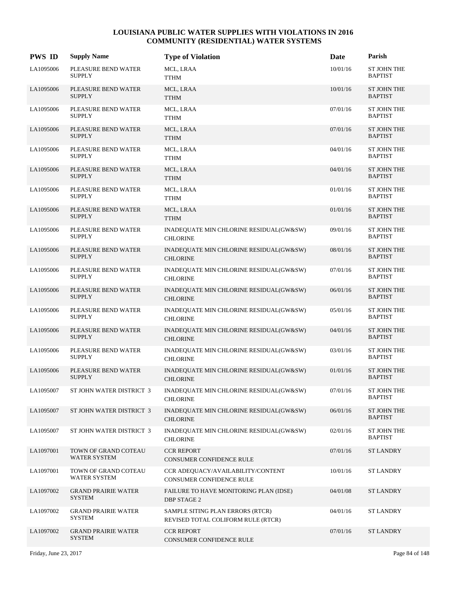| <b>PWS ID</b> | <b>Supply Name</b>                          | <b>Type of Violation</b>                                               | Date     | Parish                               |
|---------------|---------------------------------------------|------------------------------------------------------------------------|----------|--------------------------------------|
| LA1095006     | PLEASURE BEND WATER<br><b>SUPPLY</b>        | MCL, LRAA<br><b>TTHM</b>                                               | 10/01/16 | <b>ST JOHN THE</b><br><b>BAPTIST</b> |
| LA1095006     | PLEASURE BEND WATER<br><b>SUPPLY</b>        | MCL, LRAA<br><b>TTHM</b>                                               | 10/01/16 | <b>ST JOHN THE</b><br><b>BAPTIST</b> |
| LA1095006     | PLEASURE BEND WATER<br><b>SUPPLY</b>        | MCL, LRAA<br><b>TTHM</b>                                               | 07/01/16 | <b>ST JOHN THE</b><br><b>BAPTIST</b> |
| LA1095006     | PLEASURE BEND WATER<br><b>SUPPLY</b>        | MCL, LRAA<br><b>TTHM</b>                                               | 07/01/16 | <b>ST JOHN THE</b><br><b>BAPTIST</b> |
| LA1095006     | PLEASURE BEND WATER<br><b>SUPPLY</b>        | MCL, LRAA<br>TTHM                                                      | 04/01/16 | <b>ST JOHN THE</b><br><b>BAPTIST</b> |
| LA1095006     | PLEASURE BEND WATER<br><b>SUPPLY</b>        | MCL, LRAA<br><b>TTHM</b>                                               | 04/01/16 | ST JOHN THE<br><b>BAPTIST</b>        |
| LA1095006     | PLEASURE BEND WATER<br><b>SUPPLY</b>        | MCL, LRAA<br><b>TTHM</b>                                               | 01/01/16 | <b>ST JOHN THE</b><br><b>BAPTIST</b> |
| LA1095006     | PLEASURE BEND WATER<br><b>SUPPLY</b>        | MCL, LRAA<br><b>TTHM</b>                                               | 01/01/16 | <b>ST JOHN THE</b><br><b>BAPTIST</b> |
| LA1095006     | PLEASURE BEND WATER<br><b>SUPPLY</b>        | INADEQUATE MIN CHLORINE RESIDUAL(GW&SW)<br><b>CHLORINE</b>             | 09/01/16 | <b>ST JOHN THE</b><br><b>BAPTIST</b> |
| LA1095006     | PLEASURE BEND WATER<br><b>SUPPLY</b>        | INADEQUATE MIN CHLORINE RESIDUAL(GW&SW)<br><b>CHLORINE</b>             | 08/01/16 | ST JOHN THE<br><b>BAPTIST</b>        |
| LA1095006     | PLEASURE BEND WATER<br><b>SUPPLY</b>        | INADEQUATE MIN CHLORINE RESIDUAL(GW&SW)<br><b>CHLORINE</b>             | 07/01/16 | <b>ST JOHN THE</b><br><b>BAPTIST</b> |
| LA1095006     | PLEASURE BEND WATER<br><b>SUPPLY</b>        | INADEQUATE MIN CHLORINE RESIDUAL(GW&SW)<br><b>CHLORINE</b>             | 06/01/16 | <b>ST JOHN THE</b><br><b>BAPTIST</b> |
| LA1095006     | PLEASURE BEND WATER<br><b>SUPPLY</b>        | INADEQUATE MIN CHLORINE RESIDUAL(GW&SW)<br><b>CHLORINE</b>             | 05/01/16 | ST JOHN THE<br><b>BAPTIST</b>        |
| LA1095006     | PLEASURE BEND WATER<br><b>SUPPLY</b>        | INADEQUATE MIN CHLORINE RESIDUAL(GW&SW)<br><b>CHLORINE</b>             | 04/01/16 | <b>ST JOHN THE</b><br><b>BAPTIST</b> |
| LA1095006     | PLEASURE BEND WATER<br><b>SUPPLY</b>        | INADEQUATE MIN CHLORINE RESIDUAL(GW&SW)<br><b>CHLORINE</b>             | 03/01/16 | <b>ST JOHN THE</b><br><b>BAPTIST</b> |
| LA1095006     | PLEASURE BEND WATER<br><b>SUPPLY</b>        | INADEQUATE MIN CHLORINE RESIDUAL(GW&SW)<br><b>CHLORINE</b>             | 01/01/16 | <b>ST JOHN THE</b><br><b>BAPTIST</b> |
| LA1095007     | ST JOHN WATER DISTRICT 3                    | INADEQUATE MIN CHLORINE RESIDUAL(GW&SW)<br><b>CHLORINE</b>             | 07/01/16 | ST JOHN THE<br><b>BAPTIST</b>        |
| LA1095007     | ST JOHN WATER DISTRICT 3                    | INADEQUATE MIN CHLORINE RESIDUAL(GW&SW)<br><b>CHLORINE</b>             | 06/01/16 | <b>ST JOHN THE</b><br><b>BAPTIST</b> |
| LA1095007     | ST JOHN WATER DISTRICT 3                    | INADEQUATE MIN CHLORINE RESIDUAL(GW&SW)<br><b>CHLORINE</b>             | 02/01/16 | <b>ST JOHN THE</b><br><b>BAPTIST</b> |
| LA1097001     | TOWN OF GRAND COTEAU<br>WATER SYSTEM        | <b>CCR REPORT</b><br>CONSUMER CONFIDENCE RULE                          | 07/01/16 | <b>ST LANDRY</b>                     |
| LA1097001     | TOWN OF GRAND COTEAU<br><b>WATER SYSTEM</b> | CCR ADEQUACY/AVAILABILITY/CONTENT<br>CONSUMER CONFIDENCE RULE          | 10/01/16 | <b>ST LANDRY</b>                     |
| LA1097002     | <b>GRAND PRAIRIE WATER</b><br><b>SYSTEM</b> | FAILURE TO HAVE MONITORING PLAN (IDSE)<br><b>DBP STAGE 2</b>           | 04/01/08 | <b>ST LANDRY</b>                     |
| LA1097002     | <b>GRAND PRAIRIE WATER</b><br><b>SYSTEM</b> | SAMPLE SITING PLAN ERRORS (RTCR)<br>REVISED TOTAL COLIFORM RULE (RTCR) | 04/01/16 | ST LANDRY                            |
| LA1097002     | <b>GRAND PRAIRIE WATER</b><br><b>SYSTEM</b> | <b>CCR REPORT</b><br>CONSUMER CONFIDENCE RULE                          | 07/01/16 | <b>ST LANDRY</b>                     |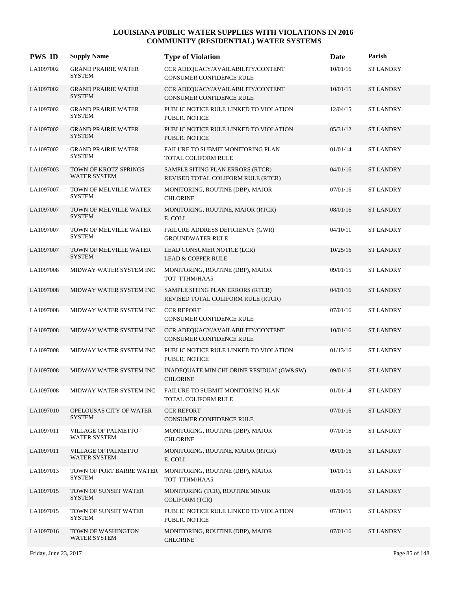| <b>PWS ID</b> | <b>Supply Name</b>                           | <b>Type of Violation</b>                                               | Date     | Parish           |
|---------------|----------------------------------------------|------------------------------------------------------------------------|----------|------------------|
| LA1097002     | <b>GRAND PRAIRIE WATER</b><br><b>SYSTEM</b>  | CCR ADEQUACY/AVAILABILITY/CONTENT<br>CONSUMER CONFIDENCE RULE          | 10/01/16 | <b>ST LANDRY</b> |
| LA1097002     | <b>GRAND PRAIRIE WATER</b><br><b>SYSTEM</b>  | CCR ADEQUACY/AVAILABILITY/CONTENT<br>CONSUMER CONFIDENCE RULE          | 10/01/15 | <b>ST LANDRY</b> |
| LA1097002     | <b>GRAND PRAIRIE WATER</b><br><b>SYSTEM</b>  | PUBLIC NOTICE RULE LINKED TO VIOLATION<br>PUBLIC NOTICE                | 12/04/15 | <b>ST LANDRY</b> |
| LA1097002     | <b>GRAND PRAIRIE WATER</b><br><b>SYSTEM</b>  | PUBLIC NOTICE RULE LINKED TO VIOLATION<br><b>PUBLIC NOTICE</b>         | 05/31/12 | <b>ST LANDRY</b> |
| LA1097002     | <b>GRAND PRAIRIE WATER</b><br><b>SYSTEM</b>  | <b>FAILURE TO SUBMIT MONITORING PLAN</b><br><b>TOTAL COLIFORM RULE</b> | 01/01/14 | <b>ST LANDRY</b> |
| LA1097003     | TOWN OF KROTZ SPRINGS<br><b>WATER SYSTEM</b> | SAMPLE SITING PLAN ERRORS (RTCR)<br>REVISED TOTAL COLIFORM RULE (RTCR) | 04/01/16 | <b>ST LANDRY</b> |
| LA1097007     | TOWN OF MELVILLE WATER<br><b>SYSTEM</b>      | MONITORING, ROUTINE (DBP), MAJOR<br><b>CHLORINE</b>                    | 07/01/16 | <b>ST LANDRY</b> |
| LA1097007     | TOWN OF MELVILLE WATER<br><b>SYSTEM</b>      | MONITORING, ROUTINE, MAJOR (RTCR)<br>E. COLI                           | 08/01/16 | <b>ST LANDRY</b> |
| LA1097007     | TOWN OF MELVILLE WATER<br><b>SYSTEM</b>      | FAILURE ADDRESS DEFICIENCY (GWR)<br><b>GROUNDWATER RULE</b>            | 04/10/11 | <b>ST LANDRY</b> |
| LA1097007     | TOWN OF MELVILLE WATER<br><b>SYSTEM</b>      | LEAD CONSUMER NOTICE (LCR)<br><b>LEAD &amp; COPPER RULE</b>            | 10/25/16 | <b>ST LANDRY</b> |
| LA1097008     | MIDWAY WATER SYSTEM INC                      | MONITORING, ROUTINE (DBP), MAJOR<br>TOT_TTHM/HAA5                      | 09/01/15 | <b>ST LANDRY</b> |
| LA1097008     | MIDWAY WATER SYSTEM INC                      | SAMPLE SITING PLAN ERRORS (RTCR)<br>REVISED TOTAL COLIFORM RULE (RTCR) | 04/01/16 | <b>ST LANDRY</b> |
| LA1097008     | MIDWAY WATER SYSTEM INC                      | <b>CCR REPORT</b><br>CONSUMER CONFIDENCE RULE                          | 07/01/16 | <b>ST LANDRY</b> |
| LA1097008     | MIDWAY WATER SYSTEM INC                      | CCR ADEQUACY/AVAILABILITY/CONTENT<br>CONSUMER CONFIDENCE RULE          | 10/01/16 | <b>ST LANDRY</b> |
| LA1097008     | MIDWAY WATER SYSTEM INC                      | PUBLIC NOTICE RULE LINKED TO VIOLATION<br>PUBLIC NOTICE                | 01/13/16 | <b>ST LANDRY</b> |
| LA1097008     | MIDWAY WATER SYSTEM INC                      | INADEQUATE MIN CHLORINE RESIDUAL(GW&SW)<br><b>CHLORINE</b>             | 09/01/16 | <b>ST LANDRY</b> |
| LA1097008     | MIDWAY WATER SYSTEM INC                      | FAILURE TO SUBMIT MONITORING PLAN<br>TOTAL COLIFORM RULE               | 01/01/14 | <b>ST LANDRY</b> |
| LA1097010     | OPELOUSAS CITY OF WATER<br><b>SYSTEM</b>     | <b>CCR REPORT</b><br>CONSUMER CONFIDENCE RULE                          | 07/01/16 | <b>ST LANDRY</b> |
| LA1097011     | VILLAGE OF PALMETTO<br>WATER SYSTEM          | MONITORING, ROUTINE (DBP), MAJOR<br><b>CHLORINE</b>                    | 07/01/16 | <b>ST LANDRY</b> |
| LA1097011     | VILLAGE OF PALMETTO<br><b>WATER SYSTEM</b>   | MONITORING, ROUTINE, MAJOR (RTCR)<br>E. COLI                           | 09/01/16 | <b>ST LANDRY</b> |
| LA1097013     | TOWN OF PORT BARRE WATER<br><b>SYSTEM</b>    | MONITORING, ROUTINE (DBP), MAJOR<br>TOT_TTHM/HAA5                      | 10/01/15 | <b>ST LANDRY</b> |
| LA1097015     | TOWN OF SUNSET WATER<br><b>SYSTEM</b>        | MONITORING (TCR), ROUTINE MINOR<br><b>COLIFORM (TCR)</b>               | 01/01/16 | <b>ST LANDRY</b> |
| LA1097015     | TOWN OF SUNSET WATER<br><b>SYSTEM</b>        | PUBLIC NOTICE RULE LINKED TO VIOLATION<br>PUBLIC NOTICE                | 07/10/15 | <b>ST LANDRY</b> |
| LA1097016     | TOWN OF WASHINGTON<br>WATER SYSTEM           | MONITORING, ROUTINE (DBP), MAJOR<br><b>CHLORINE</b>                    | 07/01/16 | <b>ST LANDRY</b> |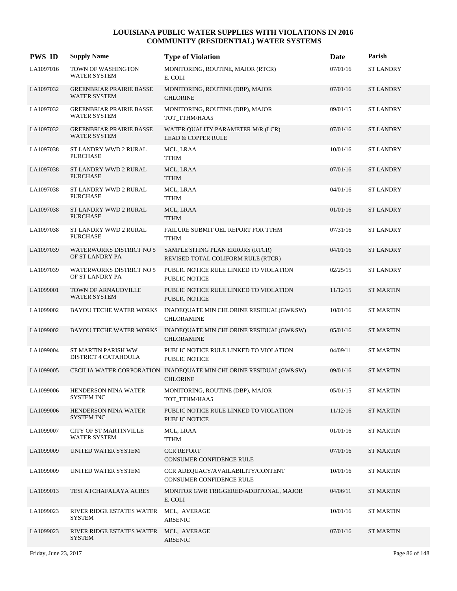| <b>PWS ID</b> | <b>Supply Name</b>                                     | <b>Type of Violation</b>                                                             | Date     | Parish           |
|---------------|--------------------------------------------------------|--------------------------------------------------------------------------------------|----------|------------------|
| LA1097016     | TOWN OF WASHINGTON<br>WATER SYSTEM                     | MONITORING, ROUTINE, MAJOR (RTCR)<br>E. COLI                                         | 07/01/16 | <b>ST LANDRY</b> |
| LA1097032     | <b>GREENBRIAR PRAIRIE BASSE</b><br><b>WATER SYSTEM</b> | MONITORING, ROUTINE (DBP), MAJOR<br><b>CHLORINE</b>                                  | 07/01/16 | <b>ST LANDRY</b> |
| LA1097032     | <b>GREENBRIAR PRAIRIE BASSE</b><br><b>WATER SYSTEM</b> | MONITORING, ROUTINE (DBP), MAJOR<br>TOT_TTHM/HAA5                                    | 09/01/15 | <b>ST LANDRY</b> |
| LA1097032     | <b>GREENBRIAR PRAIRIE BASSE</b><br><b>WATER SYSTEM</b> | WATER QUALITY PARAMETER M/R (LCR)<br><b>LEAD &amp; COPPER RULE</b>                   | 07/01/16 | <b>ST LANDRY</b> |
| LA1097038     | ST LANDRY WWD 2 RURAL<br><b>PURCHASE</b>               | MCL, LRAA<br>TTHM                                                                    | 10/01/16 | <b>ST LANDRY</b> |
| LA1097038     | ST LANDRY WWD 2 RURAL<br><b>PURCHASE</b>               | MCL, LRAA<br><b>TTHM</b>                                                             | 07/01/16 | <b>ST LANDRY</b> |
| LA1097038     | ST LANDRY WWD 2 RURAL<br><b>PURCHASE</b>               | MCL, LRAA<br><b>TTHM</b>                                                             | 04/01/16 | <b>ST LANDRY</b> |
| LA1097038     | ST LANDRY WWD 2 RURAL<br><b>PURCHASE</b>               | MCL, LRAA<br><b>TTHM</b>                                                             | 01/01/16 | <b>ST LANDRY</b> |
| LA1097038     | ST LANDRY WWD 2 RURAL<br><b>PURCHASE</b>               | FAILURE SUBMIT OEL REPORT FOR TTHM<br><b>TTHM</b>                                    | 07/31/16 | <b>ST LANDRY</b> |
| LA1097039     | <b>WATERWORKS DISTRICT NO 5</b><br>OF ST LANDRY PA     | SAMPLE SITING PLAN ERRORS (RTCR)<br>REVISED TOTAL COLIFORM RULE (RTCR)               | 04/01/16 | <b>ST LANDRY</b> |
| LA1097039     | <b>WATERWORKS DISTRICT NO 5</b><br>OF ST LANDRY PA     | PUBLIC NOTICE RULE LINKED TO VIOLATION<br>PUBLIC NOTICE                              | 02/25/15 | <b>ST LANDRY</b> |
| LA1099001     | TOWN OF ARNAUDVILLE<br><b>WATER SYSTEM</b>             | PUBLIC NOTICE RULE LINKED TO VIOLATION<br>PUBLIC NOTICE                              | 11/12/15 | <b>ST MARTIN</b> |
| LA1099002     | <b>BAYOU TECHE WATER WORKS</b>                         | INADEQUATE MIN CHLORINE RESIDUAL(GW&SW)<br><b>CHLORAMINE</b>                         | 10/01/16 | <b>ST MARTIN</b> |
| LA1099002     | <b>BAYOU TECHE WATER WORKS</b>                         | INADEQUATE MIN CHLORINE RESIDUAL(GW&SW)<br><b>CHLORAMINE</b>                         | 05/01/16 | <b>ST MARTIN</b> |
| LA1099004     | <b>ST MARTIN PARISH WW</b><br>DISTRICT 4 CATAHOULA     | PUBLIC NOTICE RULE LINKED TO VIOLATION<br><b>PUBLIC NOTICE</b>                       | 04/09/11 | <b>ST MARTIN</b> |
| LA1099005     |                                                        | CECILIA WATER CORPORATION INADEQUATE MIN CHLORINE RESIDUAL(GW&SW)<br><b>CHLORINE</b> | 09/01/16 | <b>ST MARTIN</b> |
| LA1099006     | HENDERSON NINA WATER<br><b>SYSTEM INC</b>              | MONITORING, ROUTINE (DBP), MAJOR<br>TOT TTHM/HAA5                                    | 05/01/15 | <b>ST MARTIN</b> |
| LA1099006     | HENDERSON NINA WATER<br>SYSTEM INC                     | PUBLIC NOTICE RULE LINKED TO VIOLATION<br>PUBLIC NOTICE                              | 11/12/16 | <b>ST MARTIN</b> |
| LA1099007     | <b>CITY OF ST MARTINVILLE</b><br><b>WATER SYSTEM</b>   | MCL, LRAA<br><b>TTHM</b>                                                             | 01/01/16 | <b>ST MARTIN</b> |
| LA1099009     | UNITED WATER SYSTEM                                    | <b>CCR REPORT</b><br><b>CONSUMER CONFIDENCE RULE</b>                                 | 07/01/16 | <b>ST MARTIN</b> |
| LA1099009     | UNITED WATER SYSTEM                                    | CCR ADEQUACY/AVAILABILITY/CONTENT<br>CONSUMER CONFIDENCE RULE                        | 10/01/16 | <b>ST MARTIN</b> |
| LA1099013     | TESI ATCHAFALAYA ACRES                                 | MONITOR GWR TRIGGERED/ADDITONAL, MAJOR<br>E. COLI                                    | 04/06/11 | <b>ST MARTIN</b> |
| LA1099023     | RIVER RIDGE ESTATES WATER<br><b>SYSTEM</b>             | MCL, AVERAGE<br><b>ARSENIC</b>                                                       | 10/01/16 | ST MARTIN        |
| LA1099023     | RIVER RIDGE ESTATES WATER<br><b>SYSTEM</b>             | MCL, AVERAGE<br>ARSENIC                                                              | 07/01/16 | <b>ST MARTIN</b> |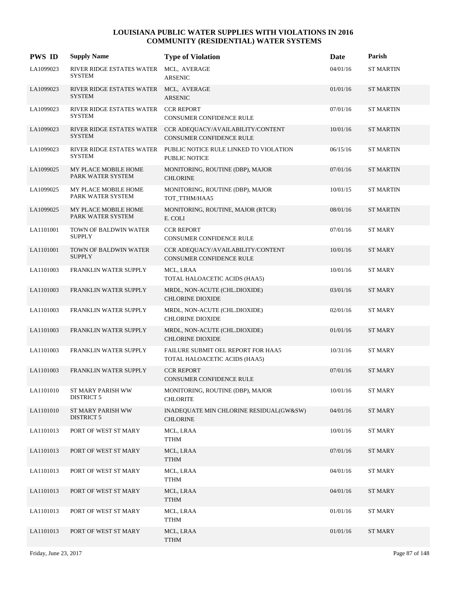| <b>PWS ID</b> | <b>Supply Name</b>                                      | <b>Type of Violation</b>                                            | Date     | Parish           |
|---------------|---------------------------------------------------------|---------------------------------------------------------------------|----------|------------------|
| LA1099023     | RIVER RIDGE ESTATES WATER<br><b>SYSTEM</b>              | MCL, AVERAGE<br><b>ARSENIC</b>                                      | 04/01/16 | <b>ST MARTIN</b> |
| LA1099023     | RIVER RIDGE ESTATES WATER MCL, AVERAGE<br><b>SYSTEM</b> | <b>ARSENIC</b>                                                      | 01/01/16 | <b>ST MARTIN</b> |
| LA1099023     | RIVER RIDGE ESTATES WATER CCR REPORT<br><b>SYSTEM</b>   | CONSUMER CONFIDENCE RULE                                            | 07/01/16 | <b>ST MARTIN</b> |
| LA1099023     | RIVER RIDGE ESTATES WATER<br><b>SYSTEM</b>              | CCR ADEQUACY/AVAILABILITY/CONTENT<br>CONSUMER CONFIDENCE RULE       | 10/01/16 | <b>ST MARTIN</b> |
| LA1099023     | RIVER RIDGE ESTATES WATER<br><b>SYSTEM</b>              | PUBLIC NOTICE RULE LINKED TO VIOLATION<br>PUBLIC NOTICE             | 06/15/16 | <b>ST MARTIN</b> |
| LA1099025     | MY PLACE MOBILE HOME<br>PARK WATER SYSTEM               | MONITORING, ROUTINE (DBP), MAJOR<br><b>CHLORINE</b>                 | 07/01/16 | <b>ST MARTIN</b> |
| LA1099025     | MY PLACE MOBILE HOME<br>PARK WATER SYSTEM               | MONITORING, ROUTINE (DBP), MAJOR<br>TOT_TTHM/HAA5                   | 10/01/15 | <b>ST MARTIN</b> |
| LA1099025     | MY PLACE MOBILE HOME<br>PARK WATER SYSTEM               | MONITORING, ROUTINE, MAJOR (RTCR)<br>E. COLI                        | 08/01/16 | <b>ST MARTIN</b> |
| LA1101001     | TOWN OF BALDWIN WATER<br><b>SUPPLY</b>                  | <b>CCR REPORT</b><br>CONSUMER CONFIDENCE RULE                       | 07/01/16 | <b>ST MARY</b>   |
| LA1101001     | TOWN OF BALDWIN WATER<br><b>SUPPLY</b>                  | CCR ADEQUACY/AVAILABILITY/CONTENT<br>CONSUMER CONFIDENCE RULE       | 10/01/16 | <b>ST MARY</b>   |
| LA1101003     | FRANKLIN WATER SUPPLY                                   | MCL, LRAA<br>TOTAL HALOACETIC ACIDS (HAA5)                          | 10/01/16 | <b>ST MARY</b>   |
| LA1101003     | FRANKLIN WATER SUPPLY                                   | MRDL, NON-ACUTE (CHL.DIOXIDE)<br><b>CHLORINE DIOXIDE</b>            | 03/01/16 | <b>ST MARY</b>   |
| LA1101003     | FRANKLIN WATER SUPPLY                                   | MRDL, NON-ACUTE (CHL.DIOXIDE)<br><b>CHLORINE DIOXIDE</b>            | 02/01/16 | <b>ST MARY</b>   |
| LA1101003     | FRANKLIN WATER SUPPLY                                   | MRDL, NON-ACUTE (CHL.DIOXIDE)<br><b>CHLORINE DIOXIDE</b>            | 01/01/16 | <b>ST MARY</b>   |
| LA1101003     | FRANKLIN WATER SUPPLY                                   | FAILURE SUBMIT OEL REPORT FOR HAA5<br>TOTAL HALOACETIC ACIDS (HAA5) | 10/31/16 | <b>ST MARY</b>   |
| LA1101003     | <b>FRANKLIN WATER SUPPLY</b>                            | <b>CCR REPORT</b><br><b>CONSUMER CONFIDENCE RULE</b>                | 07/01/16 | <b>ST MARY</b>   |
| LA1101010     | ST MARY PARISH WW<br><b>DISTRICT 5</b>                  | MONITORING, ROUTINE (DBP), MAJOR<br><b>CHLORITE</b>                 | 10/01/16 | <b>ST MARY</b>   |
| LA1101010     | ST MARY PARISH WW<br><b>DISTRICT 5</b>                  | INADEQUATE MIN CHLORINE RESIDUAL(GW&SW)<br><b>CHLORINE</b>          | 04/01/16 | <b>ST MARY</b>   |
| LA1101013     | PORT OF WEST ST MARY                                    | MCL, LRAA<br><b>TTHM</b>                                            | 10/01/16 | <b>ST MARY</b>   |
| LA1101013     | PORT OF WEST ST MARY                                    | MCL, LRAA<br><b>TTHM</b>                                            | 07/01/16 | <b>ST MARY</b>   |
| LA1101013     | PORT OF WEST ST MARY                                    | MCL, LRAA<br><b>TTHM</b>                                            | 04/01/16 | <b>ST MARY</b>   |
| LA1101013     | PORT OF WEST ST MARY                                    | MCL, LRAA<br><b>TTHM</b>                                            | 04/01/16 | <b>ST MARY</b>   |
| LA1101013     | PORT OF WEST ST MARY                                    | MCL, LRAA<br><b>TTHM</b>                                            | 01/01/16 | <b>ST MARY</b>   |
| LA1101013     | PORT OF WEST ST MARY                                    | MCL, LRAA<br><b>TTHM</b>                                            | 01/01/16 | <b>ST MARY</b>   |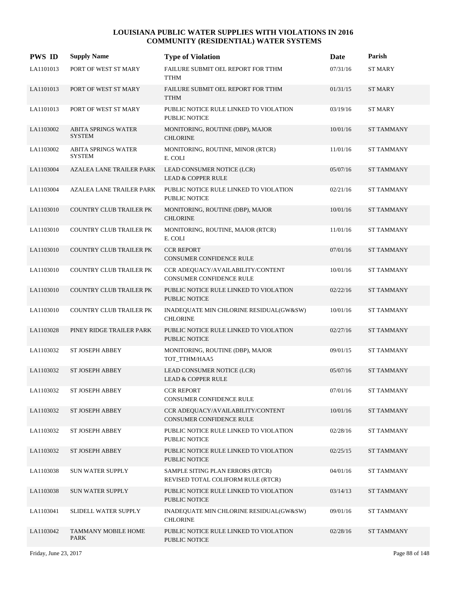| <b>PWS ID</b> | <b>Supply Name</b>                          | <b>Type of Violation</b>                                               | Date     | Parish            |
|---------------|---------------------------------------------|------------------------------------------------------------------------|----------|-------------------|
| LA1101013     | PORT OF WEST ST MARY                        | FAILURE SUBMIT OEL REPORT FOR TTHM<br><b>TTHM</b>                      | 07/31/16 | <b>ST MARY</b>    |
| LA1101013     | PORT OF WEST ST MARY                        | FAILURE SUBMIT OEL REPORT FOR TTHM<br><b>TTHM</b>                      | 01/31/15 | <b>ST MARY</b>    |
| LA1101013     | PORT OF WEST ST MARY                        | PUBLIC NOTICE RULE LINKED TO VIOLATION<br>PUBLIC NOTICE                | 03/19/16 | <b>ST MARY</b>    |
| LA1103002     | <b>ABITA SPRINGS WATER</b><br><b>SYSTEM</b> | MONITORING, ROUTINE (DBP), MAJOR<br><b>CHLORINE</b>                    | 10/01/16 | <b>ST TAMMANY</b> |
| LA1103002     | <b>ABITA SPRINGS WATER</b><br><b>SYSTEM</b> | MONITORING, ROUTINE, MINOR (RTCR)<br>E. COLI                           | 11/01/16 | <b>ST TAMMANY</b> |
| LA1103004     | <b>AZALEA LANE TRAILER PARK</b>             | LEAD CONSUMER NOTICE (LCR)<br><b>LEAD &amp; COPPER RULE</b>            | 05/07/16 | <b>ST TAMMANY</b> |
| LA1103004     | AZALEA LANE TRAILER PARK                    | PUBLIC NOTICE RULE LINKED TO VIOLATION<br><b>PUBLIC NOTICE</b>         | 02/21/16 | <b>ST TAMMANY</b> |
| LA1103010     | <b>COUNTRY CLUB TRAILER PK</b>              | MONITORING, ROUTINE (DBP), MAJOR<br><b>CHLORINE</b>                    | 10/01/16 | <b>ST TAMMANY</b> |
| LA1103010     | COUNTRY CLUB TRAILER PK                     | MONITORING, ROUTINE, MAJOR (RTCR)<br>E. COLI                           | 11/01/16 | <b>ST TAMMANY</b> |
| LA1103010     | <b>COUNTRY CLUB TRAILER PK</b>              | <b>CCR REPORT</b><br><b>CONSUMER CONFIDENCE RULE</b>                   | 07/01/16 | <b>ST TAMMANY</b> |
| LA1103010     | COUNTRY CLUB TRAILER PK                     | CCR ADEQUACY/AVAILABILITY/CONTENT<br><b>CONSUMER CONFIDENCE RULE</b>   | 10/01/16 | <b>ST TAMMANY</b> |
| LA1103010     | <b>COUNTRY CLUB TRAILER PK</b>              | PUBLIC NOTICE RULE LINKED TO VIOLATION<br><b>PUBLIC NOTICE</b>         | 02/22/16 | <b>ST TAMMANY</b> |
| LA1103010     | COUNTRY CLUB TRAILER PK                     | INADEQUATE MIN CHLORINE RESIDUAL(GW&SW)<br><b>CHLORINE</b>             | 10/01/16 | <b>ST TAMMANY</b> |
| LA1103028     | PINEY RIDGE TRAILER PARK                    | PUBLIC NOTICE RULE LINKED TO VIOLATION<br><b>PUBLIC NOTICE</b>         | 02/27/16 | <b>ST TAMMANY</b> |
| LA1103032     | ST JOSEPH ABBEY                             | MONITORING, ROUTINE (DBP), MAJOR<br>TOT_TTHM/HAA5                      | 09/01/15 | <b>ST TAMMANY</b> |
| LA1103032     | <b>ST JOSEPH ABBEY</b>                      | LEAD CONSUMER NOTICE (LCR)<br><b>LEAD &amp; COPPER RULE</b>            | 05/07/16 | <b>ST TAMMANY</b> |
| LA1103032     | ST JOSEPH ABBEY                             | <b>CCR REPORT</b><br>CONSUMER CONFIDENCE RULE                          | 07/01/16 | <b>ST TAMMANY</b> |
| LA1103032     | <b>ST JOSEPH ABBEY</b>                      | CCR ADEQUACY/AVAILABILITY/CONTENT<br>CONSUMER CONFIDENCE RULE          | 10/01/16 | <b>ST TAMMANY</b> |
| LA1103032     | ST JOSEPH ABBEY                             | PUBLIC NOTICE RULE LINKED TO VIOLATION<br>PUBLIC NOTICE                | 02/28/16 | <b>ST TAMMANY</b> |
| LA1103032     | ST JOSEPH ABBEY                             | PUBLIC NOTICE RULE LINKED TO VIOLATION<br><b>PUBLIC NOTICE</b>         | 02/25/15 | <b>ST TAMMANY</b> |
| LA1103038     | <b>SUN WATER SUPPLY</b>                     | SAMPLE SITING PLAN ERRORS (RTCR)<br>REVISED TOTAL COLIFORM RULE (RTCR) | 04/01/16 | ST TAMMANY        |
| LA1103038     | <b>SUN WATER SUPPLY</b>                     | PUBLIC NOTICE RULE LINKED TO VIOLATION<br>PUBLIC NOTICE                | 03/14/13 | <b>ST TAMMANY</b> |
| LA1103041     | SLIDELL WATER SUPPLY                        | INADEQUATE MIN CHLORINE RESIDUAL(GW&SW)<br><b>CHLORINE</b>             | 09/01/16 | ST TAMMANY        |
| LA1103042     | <b>TAMMANY MOBILE HOME</b><br>PARK          | PUBLIC NOTICE RULE LINKED TO VIOLATION<br>PUBLIC NOTICE                | 02/28/16 | <b>ST TAMMANY</b> |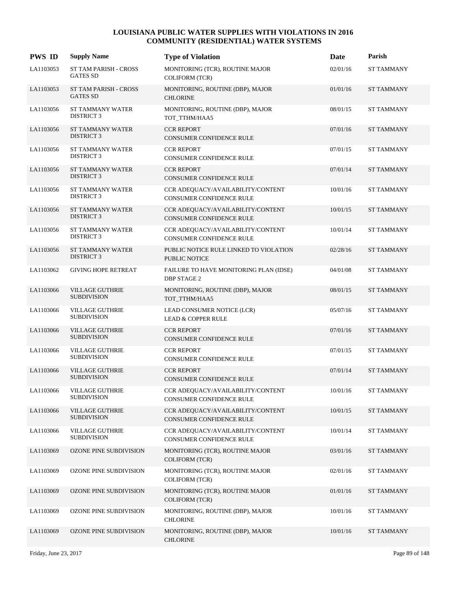| <b>PWS ID</b> | <b>Supply Name</b>                           | <b>Type of Violation</b>                                             | Date     | Parish            |
|---------------|----------------------------------------------|----------------------------------------------------------------------|----------|-------------------|
| LA1103053     | ST TAM PARISH - CROSS<br><b>GATES SD</b>     | MONITORING (TCR), ROUTINE MAJOR<br><b>COLIFORM (TCR)</b>             | 02/01/16 | <b>ST TAMMANY</b> |
| LA1103053     | ST TAM PARISH - CROSS<br><b>GATES SD</b>     | MONITORING, ROUTINE (DBP), MAJOR<br><b>CHLORINE</b>                  | 01/01/16 | <b>ST TAMMANY</b> |
| LA1103056     | ST TAMMANY WATER<br><b>DISTRICT 3</b>        | MONITORING, ROUTINE (DBP), MAJOR<br>TOT_TTHM/HAA5                    | 08/01/15 | <b>ST TAMMANY</b> |
| LA1103056     | ST TAMMANY WATER<br><b>DISTRICT 3</b>        | <b>CCR REPORT</b><br>CONSUMER CONFIDENCE RULE                        | 07/01/16 | <b>ST TAMMANY</b> |
| LA1103056     | ST TAMMANY WATER<br><b>DISTRICT 3</b>        | <b>CCR REPORT</b><br>CONSUMER CONFIDENCE RULE                        | 07/01/15 | <b>ST TAMMANY</b> |
| LA1103056     | ST TAMMANY WATER<br><b>DISTRICT 3</b>        | <b>CCR REPORT</b><br>CONSUMER CONFIDENCE RULE                        | 07/01/14 | <b>ST TAMMANY</b> |
| LA1103056     | ST TAMMANY WATER<br><b>DISTRICT 3</b>        | CCR ADEQUACY/AVAILABILITY/CONTENT<br>CONSUMER CONFIDENCE RULE        | 10/01/16 | <b>ST TAMMANY</b> |
| LA1103056     | ST TAMMANY WATER<br><b>DISTRICT 3</b>        | CCR ADEQUACY/AVAILABILITY/CONTENT<br>CONSUMER CONFIDENCE RULE        | 10/01/15 | <b>ST TAMMANY</b> |
| LA1103056     | ST TAMMANY WATER<br><b>DISTRICT 3</b>        | CCR ADEQUACY/AVAILABILITY/CONTENT<br><b>CONSUMER CONFIDENCE RULE</b> | 10/01/14 | <b>ST TAMMANY</b> |
| LA1103056     | <b>ST TAMMANY WATER</b><br><b>DISTRICT 3</b> | PUBLIC NOTICE RULE LINKED TO VIOLATION<br><b>PUBLIC NOTICE</b>       | 02/28/16 | <b>ST TAMMANY</b> |
| LA1103062     | <b>GIVING HOPE RETREAT</b>                   | FAILURE TO HAVE MONITORING PLAN (IDSE)<br><b>DBP STAGE 2</b>         | 04/01/08 | <b>ST TAMMANY</b> |
| LA1103066     | <b>VILLAGE GUTHRIE</b><br><b>SUBDIVISION</b> | MONITORING, ROUTINE (DBP), MAJOR<br>TOT_TTHM/HAA5                    | 08/01/15 | <b>ST TAMMANY</b> |
| LA1103066     | <b>VILLAGE GUTHRIE</b><br><b>SUBDIVISION</b> | LEAD CONSUMER NOTICE (LCR)<br><b>LEAD &amp; COPPER RULE</b>          | 05/07/16 | <b>ST TAMMANY</b> |
| LA1103066     | <b>VILLAGE GUTHRIE</b><br><b>SUBDIVISION</b> | <b>CCR REPORT</b><br><b>CONSUMER CONFIDENCE RULE</b>                 | 07/01/16 | <b>ST TAMMANY</b> |
| LA1103066     | <b>VILLAGE GUTHRIE</b><br><b>SUBDIVISION</b> | <b>CCR REPORT</b><br>CONSUMER CONFIDENCE RULE                        | 07/01/15 | <b>ST TAMMANY</b> |
| LA1103066     | <b>VILLAGE GUTHRIE</b><br><b>SUBDIVISION</b> | <b>CCR REPORT</b><br><b>CONSUMER CONFIDENCE RULE</b>                 | 07/01/14 | <b>ST TAMMANY</b> |
| LA1103066     | <b>VILLAGE GUTHRIE</b><br><b>SUBDIVISION</b> | CCR ADEQUACY/AVAILABILITY/CONTENT<br>CONSUMER CONFIDENCE RULE        | 10/01/16 | <b>ST TAMMANY</b> |
| LA1103066     | <b>VILLAGE GUTHRIE</b><br><b>SUBDIVISION</b> | CCR ADEOUACY/AVAILABILITY/CONTENT<br>CONSUMER CONFIDENCE RULE        | 10/01/15 | <b>ST TAMMANY</b> |
| LA1103066     | <b>VILLAGE GUTHRIE</b><br><b>SUBDIVISION</b> | CCR ADEQUACY/AVAILABILITY/CONTENT<br>CONSUMER CONFIDENCE RULE        | 10/01/14 | <b>ST TAMMANY</b> |
| LA1103069     | OZONE PINE SUBDIVISION                       | MONITORING (TCR), ROUTINE MAJOR<br><b>COLIFORM (TCR)</b>             | 03/01/16 | <b>ST TAMMANY</b> |
| LA1103069     | OZONE PINE SUBDIVISION                       | MONITORING (TCR), ROUTINE MAJOR<br>COLIFORM (TCR)                    | 02/01/16 | <b>ST TAMMANY</b> |
| LA1103069     | OZONE PINE SUBDIVISION                       | MONITORING (TCR), ROUTINE MAJOR<br><b>COLIFORM (TCR)</b>             | 01/01/16 | <b>ST TAMMANY</b> |
| LA1103069     | OZONE PINE SUBDIVISION                       | MONITORING, ROUTINE (DBP), MAJOR<br><b>CHLORINE</b>                  | 10/01/16 | <b>ST TAMMANY</b> |
| LA1103069     | <b>OZONE PINE SUBDIVISION</b>                | MONITORING, ROUTINE (DBP), MAJOR<br><b>CHLORINE</b>                  | 10/01/16 | <b>ST TAMMANY</b> |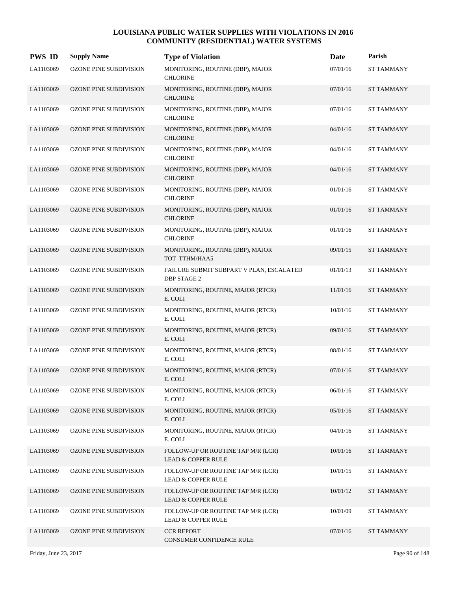| <b>PWS ID</b> | <b>Supply Name</b>            | <b>Type of Violation</b>                                            | Date     | Parish            |
|---------------|-------------------------------|---------------------------------------------------------------------|----------|-------------------|
| LA1103069     | <b>OZONE PINE SUBDIVISION</b> | MONITORING, ROUTINE (DBP), MAJOR<br><b>CHLORINE</b>                 | 07/01/16 | <b>ST TAMMANY</b> |
| LA1103069     | <b>OZONE PINE SUBDIVISION</b> | MONITORING, ROUTINE (DBP), MAJOR<br><b>CHLORINE</b>                 | 07/01/16 | <b>ST TAMMANY</b> |
| LA1103069     | OZONE PINE SUBDIVISION        | MONITORING, ROUTINE (DBP), MAJOR<br><b>CHLORINE</b>                 | 07/01/16 | <b>ST TAMMANY</b> |
| LA1103069     | OZONE PINE SUBDIVISION        | MONITORING, ROUTINE (DBP), MAJOR<br><b>CHLORINE</b>                 | 04/01/16 | <b>ST TAMMANY</b> |
| LA1103069     | OZONE PINE SUBDIVISION        | MONITORING, ROUTINE (DBP), MAJOR<br><b>CHLORINE</b>                 | 04/01/16 | <b>ST TAMMANY</b> |
| LA1103069     | OZONE PINE SUBDIVISION        | MONITORING, ROUTINE (DBP), MAJOR<br><b>CHLORINE</b>                 | 04/01/16 | <b>ST TAMMANY</b> |
| LA1103069     | OZONE PINE SUBDIVISION        | MONITORING, ROUTINE (DBP), MAJOR<br><b>CHLORINE</b>                 | 01/01/16 | <b>ST TAMMANY</b> |
| LA1103069     | <b>OZONE PINE SUBDIVISION</b> | MONITORING, ROUTINE (DBP), MAJOR<br><b>CHLORINE</b>                 | 01/01/16 | <b>ST TAMMANY</b> |
| LA1103069     | OZONE PINE SUBDIVISION        | MONITORING, ROUTINE (DBP), MAJOR<br><b>CHLORINE</b>                 | 01/01/16 | <b>ST TAMMANY</b> |
| LA1103069     | <b>OZONE PINE SUBDIVISION</b> | MONITORING, ROUTINE (DBP), MAJOR<br>TOT_TTHM/HAA5                   | 09/01/15 | <b>ST TAMMANY</b> |
| LA1103069     | OZONE PINE SUBDIVISION        | FAILURE SUBMIT SUBPART V PLAN, ESCALATED<br><b>DBP STAGE 2</b>      | 01/01/13 | <b>ST TAMMANY</b> |
| LA1103069     | <b>OZONE PINE SUBDIVISION</b> | MONITORING, ROUTINE, MAJOR (RTCR)<br>E. COLI                        | 11/01/16 | <b>ST TAMMANY</b> |
| LA1103069     | OZONE PINE SUBDIVISION        | MONITORING, ROUTINE, MAJOR (RTCR)<br>E. COLI                        | 10/01/16 | <b>ST TAMMANY</b> |
| LA1103069     | OZONE PINE SUBDIVISION        | MONITORING, ROUTINE, MAJOR (RTCR)<br>E. COLI                        | 09/01/16 | <b>ST TAMMANY</b> |
| LA1103069     | OZONE PINE SUBDIVISION        | MONITORING, ROUTINE, MAJOR (RTCR)<br>E. COLI                        | 08/01/16 | <b>ST TAMMANY</b> |
| LA1103069     | <b>OZONE PINE SUBDIVISION</b> | MONITORING, ROUTINE, MAJOR (RTCR)<br>E. COLI                        | 07/01/16 | <b>ST TAMMANY</b> |
| LA1103069     | OZONE PINE SUBDIVISION        | MONITORING, ROUTINE, MAJOR (RTCR)<br>E. COLI                        | 06/01/16 | <b>ST TAMMANY</b> |
| LA1103069     | OZONE PINE SUBDIVISION        | MONITORING, ROUTINE, MAJOR (RTCR)<br>E. COLI                        | 05/01/16 | <b>ST TAMMANY</b> |
| LA1103069     | OZONE PINE SUBDIVISION        | MONITORING, ROUTINE, MAJOR (RTCR)<br>E. COLI                        | 04/01/16 | <b>ST TAMMANY</b> |
| LA1103069     | <b>OZONE PINE SUBDIVISION</b> | FOLLOW-UP OR ROUTINE TAP M/R (LCR)<br><b>LEAD &amp; COPPER RULE</b> | 10/01/16 | <b>ST TAMMANY</b> |
| LA1103069     | OZONE PINE SUBDIVISION        | FOLLOW-UP OR ROUTINE TAP M/R (LCR)<br><b>LEAD &amp; COPPER RULE</b> | 10/01/15 | <b>ST TAMMANY</b> |
| LA1103069     | OZONE PINE SUBDIVISION        | FOLLOW-UP OR ROUTINE TAP M/R (LCR)<br><b>LEAD &amp; COPPER RULE</b> | 10/01/12 | ST TAMMANY        |
| LA1103069     | OZONE PINE SUBDIVISION        | FOLLOW-UP OR ROUTINE TAP M/R (LCR)<br><b>LEAD &amp; COPPER RULE</b> | 10/01/09 | ST TAMMANY        |
| LA1103069     | <b>OZONE PINE SUBDIVISION</b> | <b>CCR REPORT</b><br>CONSUMER CONFIDENCE RULE                       | 07/01/16 | <b>ST TAMMANY</b> |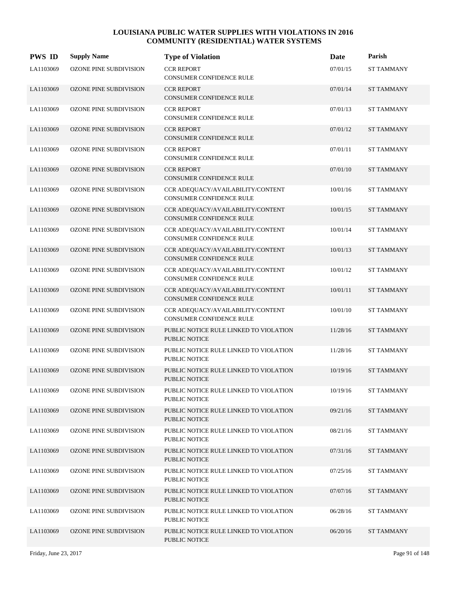| <b>PWS ID</b> | <b>Supply Name</b>            | <b>Type of Violation</b>                                             | Date     | Parish            |
|---------------|-------------------------------|----------------------------------------------------------------------|----------|-------------------|
| LA1103069     | OZONE PINE SUBDIVISION        | <b>CCR REPORT</b><br>CONSUMER CONFIDENCE RULE                        | 07/01/15 | <b>ST TAMMANY</b> |
| LA1103069     | OZONE PINE SUBDIVISION        | <b>CCR REPORT</b><br>CONSUMER CONFIDENCE RULE                        | 07/01/14 | <b>ST TAMMANY</b> |
| LA1103069     | OZONE PINE SUBDIVISION        | <b>CCR REPORT</b><br>CONSUMER CONFIDENCE RULE                        | 07/01/13 | ST TAMMANY        |
| LA1103069     | OZONE PINE SUBDIVISION        | <b>CCR REPORT</b><br>CONSUMER CONFIDENCE RULE                        | 07/01/12 | <b>ST TAMMANY</b> |
| LA1103069     | <b>OZONE PINE SUBDIVISION</b> | <b>CCR REPORT</b><br>CONSUMER CONFIDENCE RULE                        | 07/01/11 | <b>ST TAMMANY</b> |
| LA1103069     | OZONE PINE SUBDIVISION        | <b>CCR REPORT</b><br>CONSUMER CONFIDENCE RULE                        | 07/01/10 | ST TAMMANY        |
| LA1103069     | OZONE PINE SUBDIVISION        | CCR ADEQUACY/AVAILABILITY/CONTENT<br>CONSUMER CONFIDENCE RULE        | 10/01/16 | <b>ST TAMMANY</b> |
| LA1103069     | <b>OZONE PINE SUBDIVISION</b> | CCR ADEQUACY/AVAILABILITY/CONTENT<br><b>CONSUMER CONFIDENCE RULE</b> | 10/01/15 | <b>ST TAMMANY</b> |
| LA1103069     | <b>OZONE PINE SUBDIVISION</b> | CCR ADEQUACY/AVAILABILITY/CONTENT<br><b>CONSUMER CONFIDENCE RULE</b> | 10/01/14 | <b>ST TAMMANY</b> |
| LA1103069     | <b>OZONE PINE SUBDIVISION</b> | CCR ADEQUACY/AVAILABILITY/CONTENT<br>CONSUMER CONFIDENCE RULE        | 10/01/13 | <b>ST TAMMANY</b> |
| LA1103069     | OZONE PINE SUBDIVISION        | CCR ADEQUACY/AVAILABILITY/CONTENT<br>CONSUMER CONFIDENCE RULE        | 10/01/12 | <b>ST TAMMANY</b> |
| LA1103069     | <b>OZONE PINE SUBDIVISION</b> | CCR ADEQUACY/AVAILABILITY/CONTENT<br>CONSUMER CONFIDENCE RULE        | 10/01/11 | <b>ST TAMMANY</b> |
| LA1103069     | OZONE PINE SUBDIVISION        | CCR ADEQUACY/AVAILABILITY/CONTENT<br>CONSUMER CONFIDENCE RULE        | 10/01/10 | <b>ST TAMMANY</b> |
| LA1103069     | <b>OZONE PINE SUBDIVISION</b> | PUBLIC NOTICE RULE LINKED TO VIOLATION<br><b>PUBLIC NOTICE</b>       | 11/28/16 | <b>ST TAMMANY</b> |
| LA1103069     | OZONE PINE SUBDIVISION        | PUBLIC NOTICE RULE LINKED TO VIOLATION<br><b>PUBLIC NOTICE</b>       | 11/28/16 | <b>ST TAMMANY</b> |
| LA1103069     | <b>OZONE PINE SUBDIVISION</b> | PUBLIC NOTICE RULE LINKED TO VIOLATION<br>PUBLIC NOTICE              | 10/19/16 | <b>ST TAMMANY</b> |
| LA1103069     | OZONE PINE SUBDIVISION        | PUBLIC NOTICE RULE LINKED TO VIOLATION<br>PUBLIC NOTICE              | 10/19/16 | ST TAMMANY        |
| LA1103069     | <b>OZONE PINE SUBDIVISION</b> | PUBLIC NOTICE RULE LINKED TO VIOLATION<br>PUBLIC NOTICE              | 09/21/16 | ST TAMMANY        |
| LA1103069     | <b>OZONE PINE SUBDIVISION</b> | PUBLIC NOTICE RULE LINKED TO VIOLATION<br>PUBLIC NOTICE              | 08/21/16 | ST TAMMANY        |
| LA1103069     | <b>OZONE PINE SUBDIVISION</b> | PUBLIC NOTICE RULE LINKED TO VIOLATION<br>PUBLIC NOTICE              | 07/31/16 | <b>ST TAMMANY</b> |
| LA1103069     | OZONE PINE SUBDIVISION        | PUBLIC NOTICE RULE LINKED TO VIOLATION<br>PUBLIC NOTICE              | 07/25/16 | ST TAMMANY        |
| LA1103069     | OZONE PINE SUBDIVISION        | PUBLIC NOTICE RULE LINKED TO VIOLATION<br>PUBLIC NOTICE              | 07/07/16 | ST TAMMANY        |
| LA1103069     | OZONE PINE SUBDIVISION        | PUBLIC NOTICE RULE LINKED TO VIOLATION<br>PUBLIC NOTICE              | 06/28/16 | ST TAMMANY        |
| LA1103069     | <b>OZONE PINE SUBDIVISION</b> | PUBLIC NOTICE RULE LINKED TO VIOLATION<br>PUBLIC NOTICE              | 06/20/16 | ST TAMMANY        |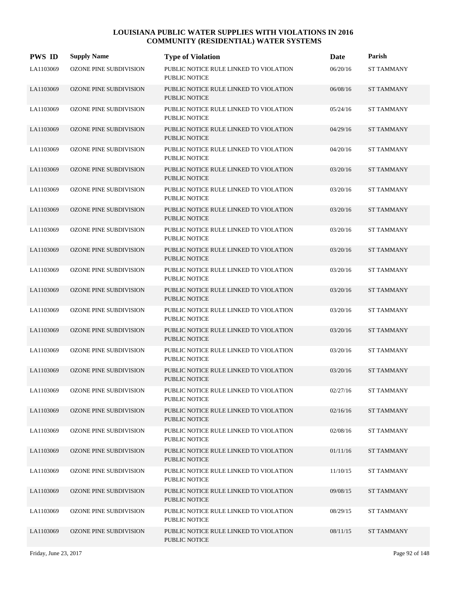| <b>PWS ID</b> | <b>Supply Name</b>            | <b>Type of Violation</b>                                       | Date     | Parish            |
|---------------|-------------------------------|----------------------------------------------------------------|----------|-------------------|
| LA1103069     | <b>OZONE PINE SUBDIVISION</b> | PUBLIC NOTICE RULE LINKED TO VIOLATION<br>PUBLIC NOTICE        | 06/20/16 | <b>ST TAMMANY</b> |
| LA1103069     | OZONE PINE SUBDIVISION        | PUBLIC NOTICE RULE LINKED TO VIOLATION<br><b>PUBLIC NOTICE</b> | 06/08/16 | <b>ST TAMMANY</b> |
| LA1103069     | OZONE PINE SUBDIVISION        | PUBLIC NOTICE RULE LINKED TO VIOLATION<br><b>PUBLIC NOTICE</b> | 05/24/16 | <b>ST TAMMANY</b> |
| LA1103069     | <b>OZONE PINE SUBDIVISION</b> | PUBLIC NOTICE RULE LINKED TO VIOLATION<br><b>PUBLIC NOTICE</b> | 04/29/16 | <b>ST TAMMANY</b> |
| LA1103069     | OZONE PINE SUBDIVISION        | PUBLIC NOTICE RULE LINKED TO VIOLATION<br><b>PUBLIC NOTICE</b> | 04/20/16 | <b>ST TAMMANY</b> |
| LA1103069     | <b>OZONE PINE SUBDIVISION</b> | PUBLIC NOTICE RULE LINKED TO VIOLATION<br><b>PUBLIC NOTICE</b> | 03/20/16 | <b>ST TAMMANY</b> |
| LA1103069     | <b>OZONE PINE SUBDIVISION</b> | PUBLIC NOTICE RULE LINKED TO VIOLATION<br><b>PUBLIC NOTICE</b> | 03/20/16 | <b>ST TAMMANY</b> |
| LA1103069     | <b>OZONE PINE SUBDIVISION</b> | PUBLIC NOTICE RULE LINKED TO VIOLATION<br><b>PUBLIC NOTICE</b> | 03/20/16 | <b>ST TAMMANY</b> |
| LA1103069     | <b>OZONE PINE SUBDIVISION</b> | PUBLIC NOTICE RULE LINKED TO VIOLATION<br><b>PUBLIC NOTICE</b> | 03/20/16 | <b>ST TAMMANY</b> |
| LA1103069     | <b>OZONE PINE SUBDIVISION</b> | PUBLIC NOTICE RULE LINKED TO VIOLATION<br><b>PUBLIC NOTICE</b> | 03/20/16 | <b>ST TAMMANY</b> |
| LA1103069     | OZONE PINE SUBDIVISION        | PUBLIC NOTICE RULE LINKED TO VIOLATION<br><b>PUBLIC NOTICE</b> | 03/20/16 | <b>ST TAMMANY</b> |
| LA1103069     | <b>OZONE PINE SUBDIVISION</b> | PUBLIC NOTICE RULE LINKED TO VIOLATION<br><b>PUBLIC NOTICE</b> | 03/20/16 | <b>ST TAMMANY</b> |
| LA1103069     | OZONE PINE SUBDIVISION        | PUBLIC NOTICE RULE LINKED TO VIOLATION<br><b>PUBLIC NOTICE</b> | 03/20/16 | <b>ST TAMMANY</b> |
| LA1103069     | <b>OZONE PINE SUBDIVISION</b> | PUBLIC NOTICE RULE LINKED TO VIOLATION<br><b>PUBLIC NOTICE</b> | 03/20/16 | <b>ST TAMMANY</b> |
| LA1103069     | OZONE PINE SUBDIVISION        | PUBLIC NOTICE RULE LINKED TO VIOLATION<br>PUBLIC NOTICE        | 03/20/16 | <b>ST TAMMANY</b> |
| LA1103069     | <b>OZONE PINE SUBDIVISION</b> | PUBLIC NOTICE RULE LINKED TO VIOLATION<br><b>PUBLIC NOTICE</b> | 03/20/16 | <b>ST TAMMANY</b> |
| LA1103069     | OZONE PINE SUBDIVISION        | PUBLIC NOTICE RULE LINKED TO VIOLATION<br>PUBLIC NOTICE        | 02/27/16 | <b>ST TAMMANY</b> |
| LA1103069     | <b>OZONE PINE SUBDIVISION</b> | PUBLIC NOTICE RULE LINKED TO VIOLATION<br>PUBLIC NOTICE        | 02/16/16 | <b>ST TAMMANY</b> |
| LA1103069     | <b>OZONE PINE SUBDIVISION</b> | PUBLIC NOTICE RULE LINKED TO VIOLATION<br>PUBLIC NOTICE        | 02/08/16 | <b>ST TAMMANY</b> |
| LA1103069     | <b>OZONE PINE SUBDIVISION</b> | PUBLIC NOTICE RULE LINKED TO VIOLATION<br>PUBLIC NOTICE        | 01/11/16 | <b>ST TAMMANY</b> |
| LA1103069     | OZONE PINE SUBDIVISION        | PUBLIC NOTICE RULE LINKED TO VIOLATION<br>PUBLIC NOTICE        | 11/10/15 | <b>ST TAMMANY</b> |
| LA1103069     | OZONE PINE SUBDIVISION        | PUBLIC NOTICE RULE LINKED TO VIOLATION<br>PUBLIC NOTICE        | 09/08/15 | <b>ST TAMMANY</b> |
| LA1103069     | OZONE PINE SUBDIVISION        | PUBLIC NOTICE RULE LINKED TO VIOLATION<br>PUBLIC NOTICE        | 08/29/15 | ST TAMMANY        |
| LA1103069     | <b>OZONE PINE SUBDIVISION</b> | PUBLIC NOTICE RULE LINKED TO VIOLATION<br>PUBLIC NOTICE        | 08/11/15 | ST TAMMANY        |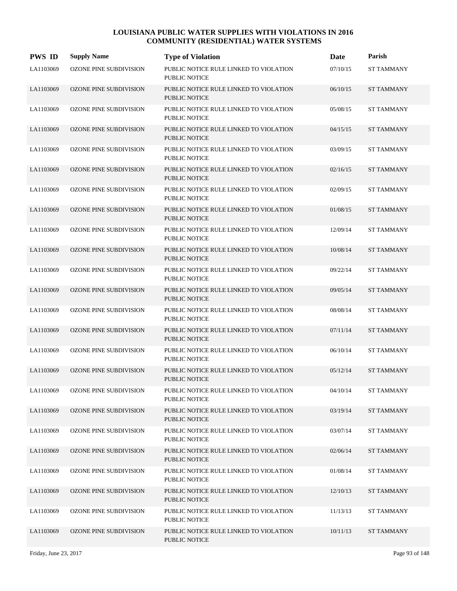| <b>PWS ID</b> | <b>Supply Name</b>            | <b>Type of Violation</b>                                       | Date     | Parish            |
|---------------|-------------------------------|----------------------------------------------------------------|----------|-------------------|
| LA1103069     | <b>OZONE PINE SUBDIVISION</b> | PUBLIC NOTICE RULE LINKED TO VIOLATION<br><b>PUBLIC NOTICE</b> | 07/10/15 | <b>ST TAMMANY</b> |
| LA1103069     | <b>OZONE PINE SUBDIVISION</b> | PUBLIC NOTICE RULE LINKED TO VIOLATION<br><b>PUBLIC NOTICE</b> | 06/10/15 | <b>ST TAMMANY</b> |
| LA1103069     | OZONE PINE SUBDIVISION        | PUBLIC NOTICE RULE LINKED TO VIOLATION<br><b>PUBLIC NOTICE</b> | 05/08/15 | <b>ST TAMMANY</b> |
| LA1103069     | <b>OZONE PINE SUBDIVISION</b> | PUBLIC NOTICE RULE LINKED TO VIOLATION<br><b>PUBLIC NOTICE</b> | 04/15/15 | <b>ST TAMMANY</b> |
| LA1103069     | <b>OZONE PINE SUBDIVISION</b> | PUBLIC NOTICE RULE LINKED TO VIOLATION<br><b>PUBLIC NOTICE</b> | 03/09/15 | ST TAMMANY        |
| LA1103069     | <b>OZONE PINE SUBDIVISION</b> | PUBLIC NOTICE RULE LINKED TO VIOLATION<br><b>PUBLIC NOTICE</b> | 02/16/15 | <b>ST TAMMANY</b> |
| LA1103069     | <b>OZONE PINE SUBDIVISION</b> | PUBLIC NOTICE RULE LINKED TO VIOLATION<br><b>PUBLIC NOTICE</b> | 02/09/15 | <b>ST TAMMANY</b> |
| LA1103069     | <b>OZONE PINE SUBDIVISION</b> | PUBLIC NOTICE RULE LINKED TO VIOLATION<br><b>PUBLIC NOTICE</b> | 01/08/15 | <b>ST TAMMANY</b> |
| LA1103069     | <b>OZONE PINE SUBDIVISION</b> | PUBLIC NOTICE RULE LINKED TO VIOLATION<br>PUBLIC NOTICE        | 12/09/14 | <b>ST TAMMANY</b> |
| LA1103069     | <b>OZONE PINE SUBDIVISION</b> | PUBLIC NOTICE RULE LINKED TO VIOLATION<br><b>PUBLIC NOTICE</b> | 10/08/14 | <b>ST TAMMANY</b> |
| LA1103069     | OZONE PINE SUBDIVISION        | PUBLIC NOTICE RULE LINKED TO VIOLATION<br>PUBLIC NOTICE        | 09/22/14 | <b>ST TAMMANY</b> |
| LA1103069     | <b>OZONE PINE SUBDIVISION</b> | PUBLIC NOTICE RULE LINKED TO VIOLATION<br>PUBLIC NOTICE        | 09/05/14 | <b>ST TAMMANY</b> |
| LA1103069     | OZONE PINE SUBDIVISION        | PUBLIC NOTICE RULE LINKED TO VIOLATION<br><b>PUBLIC NOTICE</b> | 08/08/14 | <b>ST TAMMANY</b> |
| LA1103069     | OZONE PINE SUBDIVISION        | PUBLIC NOTICE RULE LINKED TO VIOLATION<br><b>PUBLIC NOTICE</b> | 07/11/14 | <b>ST TAMMANY</b> |
| LA1103069     | OZONE PINE SUBDIVISION        | PUBLIC NOTICE RULE LINKED TO VIOLATION<br>PUBLIC NOTICE        | 06/10/14 | <b>ST TAMMANY</b> |
| LA1103069     | <b>OZONE PINE SUBDIVISION</b> | PUBLIC NOTICE RULE LINKED TO VIOLATION<br><b>PUBLIC NOTICE</b> | 05/12/14 | <b>ST TAMMANY</b> |
| LA1103069     | OZONE PINE SUBDIVISION        | PUBLIC NOTICE RULE LINKED TO VIOLATION<br>PUBLIC NOTICE        | 04/10/14 | <b>ST TAMMANY</b> |
| LA1103069     | OZONE PINE SUBDIVISION        | PUBLIC NOTICE RULE LINKED TO VIOLATION<br>PUBLIC NOTICE        | 03/19/14 | ST TAMMANY        |
| LA1103069     | OZONE PINE SUBDIVISION        | PUBLIC NOTICE RULE LINKED TO VIOLATION<br>PUBLIC NOTICE        | 03/07/14 | <b>ST TAMMANY</b> |
| LA1103069     | <b>OZONE PINE SUBDIVISION</b> | PUBLIC NOTICE RULE LINKED TO VIOLATION<br>PUBLIC NOTICE        | 02/06/14 | <b>ST TAMMANY</b> |
| LA1103069     | OZONE PINE SUBDIVISION        | PUBLIC NOTICE RULE LINKED TO VIOLATION<br>PUBLIC NOTICE        | 01/08/14 | <b>ST TAMMANY</b> |
| LA1103069     | <b>OZONE PINE SUBDIVISION</b> | PUBLIC NOTICE RULE LINKED TO VIOLATION<br>PUBLIC NOTICE        | 12/10/13 | <b>ST TAMMANY</b> |
| LA1103069     | OZONE PINE SUBDIVISION        | PUBLIC NOTICE RULE LINKED TO VIOLATION<br>PUBLIC NOTICE        | 11/13/13 | ST TAMMANY        |
| LA1103069     | <b>OZONE PINE SUBDIVISION</b> | PUBLIC NOTICE RULE LINKED TO VIOLATION<br>PUBLIC NOTICE        | 10/11/13 | ST TAMMANY        |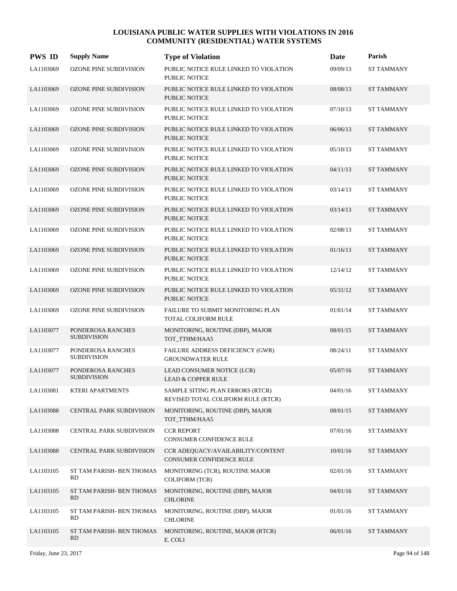| <b>PWS ID</b> | <b>Supply Name</b>                      | <b>Type of Violation</b>                                               | Date     | Parish            |
|---------------|-----------------------------------------|------------------------------------------------------------------------|----------|-------------------|
| LA1103069     | <b>OZONE PINE SUBDIVISION</b>           | PUBLIC NOTICE RULE LINKED TO VIOLATION<br><b>PUBLIC NOTICE</b>         | 09/09/13 | <b>ST TAMMANY</b> |
| LA1103069     | OZONE PINE SUBDIVISION                  | PUBLIC NOTICE RULE LINKED TO VIOLATION<br><b>PUBLIC NOTICE</b>         | 08/08/13 | <b>ST TAMMANY</b> |
| LA1103069     | OZONE PINE SUBDIVISION                  | PUBLIC NOTICE RULE LINKED TO VIOLATION<br>PUBLIC NOTICE                | 07/10/13 | <b>ST TAMMANY</b> |
| LA1103069     | <b>OZONE PINE SUBDIVISION</b>           | PUBLIC NOTICE RULE LINKED TO VIOLATION<br><b>PUBLIC NOTICE</b>         | 06/06/13 | <b>ST TAMMANY</b> |
| LA1103069     | <b>OZONE PINE SUBDIVISION</b>           | PUBLIC NOTICE RULE LINKED TO VIOLATION<br><b>PUBLIC NOTICE</b>         | 05/10/13 | <b>ST TAMMANY</b> |
| LA1103069     | <b>OZONE PINE SUBDIVISION</b>           | PUBLIC NOTICE RULE LINKED TO VIOLATION<br><b>PUBLIC NOTICE</b>         | 04/11/13 | <b>ST TAMMANY</b> |
| LA1103069     | <b>OZONE PINE SUBDIVISION</b>           | PUBLIC NOTICE RULE LINKED TO VIOLATION<br><b>PUBLIC NOTICE</b>         | 03/14/13 | <b>ST TAMMANY</b> |
| LA1103069     | <b>OZONE PINE SUBDIVISION</b>           | PUBLIC NOTICE RULE LINKED TO VIOLATION<br><b>PUBLIC NOTICE</b>         | 03/14/13 | <b>ST TAMMANY</b> |
| LA1103069     | <b>OZONE PINE SUBDIVISION</b>           | PUBLIC NOTICE RULE LINKED TO VIOLATION<br><b>PUBLIC NOTICE</b>         | 02/08/13 | <b>ST TAMMANY</b> |
| LA1103069     | <b>OZONE PINE SUBDIVISION</b>           | PUBLIC NOTICE RULE LINKED TO VIOLATION<br><b>PUBLIC NOTICE</b>         | 01/16/13 | <b>ST TAMMANY</b> |
| LA1103069     | OZONE PINE SUBDIVISION                  | PUBLIC NOTICE RULE LINKED TO VIOLATION<br><b>PUBLIC NOTICE</b>         | 12/14/12 | <b>ST TAMMANY</b> |
| LA1103069     | <b>OZONE PINE SUBDIVISION</b>           | PUBLIC NOTICE RULE LINKED TO VIOLATION<br><b>PUBLIC NOTICE</b>         | 05/31/12 | <b>ST TAMMANY</b> |
| LA1103069     | <b>OZONE PINE SUBDIVISION</b>           | FAILURE TO SUBMIT MONITORING PLAN<br>TOTAL COLIFORM RULE               | 01/01/14 | <b>ST TAMMANY</b> |
| LA1103077     | PONDEROSA RANCHES<br><b>SUBDIVISION</b> | MONITORING, ROUTINE (DBP), MAJOR<br>TOT_TTHM/HAA5                      | 08/01/15 | <b>ST TAMMANY</b> |
| LA1103077     | PONDEROSA RANCHES<br><b>SUBDIVISION</b> | FAILURE ADDRESS DEFICIENCY (GWR)<br><b>GROUNDWATER RULE</b>            | 08/24/11 | <b>ST TAMMANY</b> |
| LA1103077     | PONDEROSA RANCHES<br><b>SUBDIVISION</b> | LEAD CONSUMER NOTICE (LCR)<br><b>LEAD &amp; COPPER RULE</b>            | 05/07/16 | <b>ST TAMMANY</b> |
| LA1103081     | KTERI APARTMENTS                        | SAMPLE SITING PLAN ERRORS (RTCR)<br>REVISED TOTAL COLIFORM RULE (RTCR) | 04/01/16 | <b>ST TAMMANY</b> |
| LA1103088     | <b>CENTRAL PARK SUBDIVISION</b>         | MONITORING, ROUTINE (DBP), MAJOR<br>TOT_TTHM/HAA5                      | 08/01/15 | <b>ST TAMMANY</b> |
| LA1103088     | CENTRAL PARK SUBDIVISION                | <b>CCR REPORT</b><br>CONSUMER CONFIDENCE RULE                          | 07/01/16 | <b>ST TAMMANY</b> |
| LA1103088     | CENTRAL PARK SUBDIVISION                | CCR ADEQUACY/AVAILABILITY/CONTENT<br>CONSUMER CONFIDENCE RULE          | 10/01/16 | <b>ST TAMMANY</b> |
| LA1103105     | ST TAM PARISH- BEN THOMAS<br>RD.        | MONITORING (TCR), ROUTINE MAJOR<br><b>COLIFORM (TCR)</b>               | 02/01/16 | <b>ST TAMMANY</b> |
| LA1103105     | ST TAM PARISH- BEN THOMAS<br>RD.        | MONITORING, ROUTINE (DBP), MAJOR<br><b>CHLORINE</b>                    | 04/01/16 | <b>ST TAMMANY</b> |
| LA1103105     | ST TAM PARISH- BEN THOMAS<br>RD         | MONITORING, ROUTINE (DBP), MAJOR<br><b>CHLORINE</b>                    | 01/01/16 | <b>ST TAMMANY</b> |
| LA1103105     | ST TAM PARISH- BEN THOMAS<br>RD.        | MONITORING, ROUTINE, MAJOR (RTCR)<br>E. COLI                           | 06/01/16 | <b>ST TAMMANY</b> |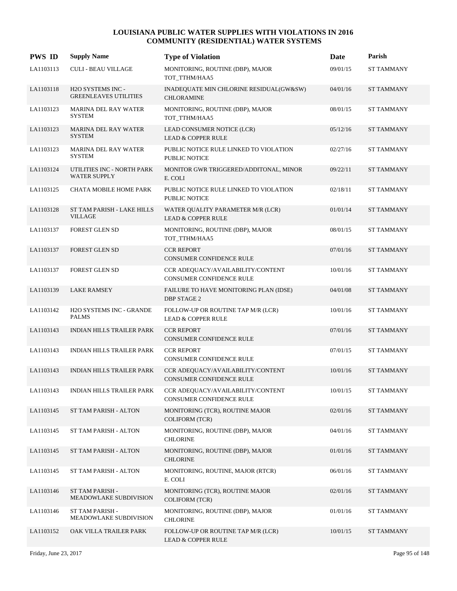| <b>PWS ID</b> | <b>Supply Name</b>                                | <b>Type of Violation</b>                                             | Date     | Parish            |
|---------------|---------------------------------------------------|----------------------------------------------------------------------|----------|-------------------|
| LA1103113     | <b>CULI - BEAU VILLAGE</b>                        | MONITORING, ROUTINE (DBP), MAJOR<br>TOT_TTHM/HAA5                    | 09/01/15 | <b>ST TAMMANY</b> |
| LA1103118     | H2O SYSTEMS INC -<br><b>GREENLEAVES UTILITIES</b> | INADEQUATE MIN CHLORINE RESIDUAL(GW&SW)<br><b>CHLORAMINE</b>         | 04/01/16 | <b>ST TAMMANY</b> |
| LA1103123     | <b>MARINA DEL RAY WATER</b><br><b>SYSTEM</b>      | MONITORING, ROUTINE (DBP), MAJOR<br>TOT_TTHM/HAA5                    | 08/01/15 | <b>ST TAMMANY</b> |
| LA1103123     | <b>MARINA DEL RAY WATER</b><br><b>SYSTEM</b>      | LEAD CONSUMER NOTICE (LCR)<br><b>LEAD &amp; COPPER RULE</b>          | 05/12/16 | <b>ST TAMMANY</b> |
| LA1103123     | <b>MARINA DEL RAY WATER</b><br><b>SYSTEM</b>      | PUBLIC NOTICE RULE LINKED TO VIOLATION<br><b>PUBLIC NOTICE</b>       | 02/27/16 | <b>ST TAMMANY</b> |
| LA1103124     | UTILITIES INC - NORTH PARK<br><b>WATER SUPPLY</b> | MONITOR GWR TRIGGERED/ADDITONAL, MINOR<br>E. COLI                    | 09/22/11 | <b>ST TAMMANY</b> |
| LA1103125     | <b>CHATA MOBILE HOME PARK</b>                     | PUBLIC NOTICE RULE LINKED TO VIOLATION<br><b>PUBLIC NOTICE</b>       | 02/18/11 | <b>ST TAMMANY</b> |
| LA1103128     | ST TAM PARISH - LAKE HILLS<br><b>VILLAGE</b>      | WATER QUALITY PARAMETER M/R (LCR)<br><b>LEAD &amp; COPPER RULE</b>   | 01/01/14 | <b>ST TAMMANY</b> |
| LA1103137     | FOREST GLEN SD                                    | MONITORING, ROUTINE (DBP), MAJOR<br>TOT_TTHM/HAA5                    | 08/01/15 | <b>ST TAMMANY</b> |
| LA1103137     | FOREST GLEN SD                                    | <b>CCR REPORT</b><br><b>CONSUMER CONFIDENCE RULE</b>                 | 07/01/16 | <b>ST TAMMANY</b> |
| LA1103137     | <b>FOREST GLEN SD</b>                             | CCR ADEQUACY/AVAILABILITY/CONTENT<br><b>CONSUMER CONFIDENCE RULE</b> | 10/01/16 | <b>ST TAMMANY</b> |
| LA1103139     | <b>LAKE RAMSEY</b>                                | FAILURE TO HAVE MONITORING PLAN (IDSE)<br>DBP STAGE 2                | 04/01/08 | <b>ST TAMMANY</b> |
| LA1103142     | H2O SYSTEMS INC - GRANDE<br><b>PALMS</b>          | FOLLOW-UP OR ROUTINE TAP M/R (LCR)<br><b>LEAD &amp; COPPER RULE</b>  | 10/01/16 | <b>ST TAMMANY</b> |
| LA1103143     | <b>INDIAN HILLS TRAILER PARK</b>                  | <b>CCR REPORT</b><br>CONSUMER CONFIDENCE RULE                        | 07/01/16 | <b>ST TAMMANY</b> |
| LA1103143     | INDIAN HILLS TRAILER PARK                         | <b>CCR REPORT</b><br>CONSUMER CONFIDENCE RULE                        | 07/01/15 | <b>ST TAMMANY</b> |
| LA1103143     | <b>INDIAN HILLS TRAILER PARK</b>                  | CCR ADEQUACY/AVAILABILITY/CONTENT<br><b>CONSUMER CONFIDENCE RULE</b> | 10/01/16 | <b>ST TAMMANY</b> |
| LA1103143     | INDIAN HILLS TRAILER PARK                         | CCR ADEQUACY/AVAILABILITY/CONTENT<br>CONSUMER CONFIDENCE RULE        | 10/01/15 | ST TAMMANY        |
| LA1103145     | ST TAM PARISH - ALTON                             | MONITORING (TCR), ROUTINE MAJOR<br><b>COLIFORM (TCR)</b>             | 02/01/16 | <b>ST TAMMANY</b> |
| LA1103145     | ST TAM PARISH - ALTON                             | MONITORING, ROUTINE (DBP), MAJOR<br><b>CHLORINE</b>                  | 04/01/16 | <b>ST TAMMANY</b> |
| LA1103145     | ST TAM PARISH - ALTON                             | MONITORING, ROUTINE (DBP), MAJOR<br><b>CHLORINE</b>                  | 01/01/16 | ST TAMMANY        |
| LA1103145     | ST TAM PARISH - ALTON                             | MONITORING, ROUTINE, MAJOR (RTCR)<br>E. COLI                         | 06/01/16 | <b>ST TAMMANY</b> |
| LA1103146     | ST TAM PARISH -<br>MEADOWLAKE SUBDIVISION         | MONITORING (TCR), ROUTINE MAJOR<br>COLIFORM (TCR)                    | 02/01/16 | <b>ST TAMMANY</b> |
| LA1103146     | ST TAM PARISH -<br>MEADOWLAKE SUBDIVISION         | MONITORING, ROUTINE (DBP), MAJOR<br><b>CHLORINE</b>                  | 01/01/16 | <b>ST TAMMANY</b> |
| LA1103152     | OAK VILLA TRAILER PARK                            | FOLLOW-UP OR ROUTINE TAP M/R (LCR)<br>LEAD & COPPER RULE             | 10/01/15 | <b>ST TAMMANY</b> |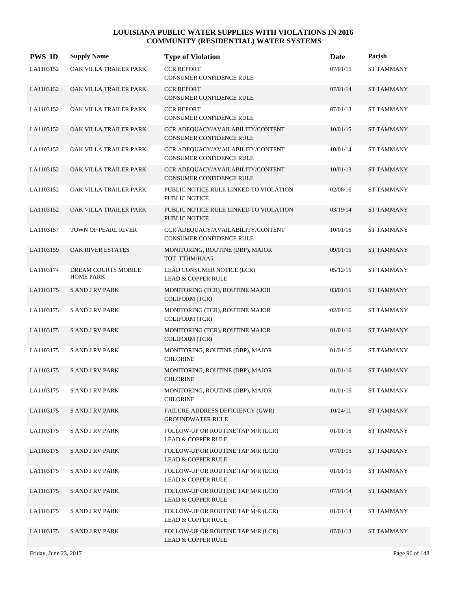| <b>PWS ID</b> | <b>Supply Name</b>                      | <b>Type of Violation</b>                                             | Date     | Parish            |
|---------------|-----------------------------------------|----------------------------------------------------------------------|----------|-------------------|
| LA1103152     | OAK VILLA TRAILER PARK                  | <b>CCR REPORT</b><br>CONSUMER CONFIDENCE RULE                        | 07/01/15 | <b>ST TAMMANY</b> |
| LA1103152     | OAK VILLA TRAILER PARK                  | <b>CCR REPORT</b><br>CONSUMER CONFIDENCE RULE                        | 07/01/14 | <b>ST TAMMANY</b> |
| LA1103152     | OAK VILLA TRAILER PARK                  | <b>CCR REPORT</b><br>CONSUMER CONFIDENCE RULE                        | 07/01/13 | <b>ST TAMMANY</b> |
| LA1103152     | OAK VILLA TRAILER PARK                  | CCR ADEQUACY/AVAILABILITY/CONTENT<br>CONSUMER CONFIDENCE RULE        | 10/01/15 | <b>ST TAMMANY</b> |
| LA1103152     | OAK VILLA TRAILER PARK                  | CCR ADEQUACY/AVAILABILITY/CONTENT<br><b>CONSUMER CONFIDENCE RULE</b> | 10/01/14 | ST TAMMANY        |
| LA1103152     | OAK VILLA TRAILER PARK                  | CCR ADEQUACY/AVAILABILITY/CONTENT<br>CONSUMER CONFIDENCE RULE        | 10/01/13 | <b>ST TAMMANY</b> |
| LA1103152     | OAK VILLA TRAILER PARK                  | PUBLIC NOTICE RULE LINKED TO VIOLATION<br><b>PUBLIC NOTICE</b>       | 02/08/16 | ST TAMMANY        |
| LA1103152     | OAK VILLA TRAILER PARK                  | PUBLIC NOTICE RULE LINKED TO VIOLATION<br>PUBLIC NOTICE              | 03/19/14 | <b>ST TAMMANY</b> |
| LA1103157     | TOWN OF PEARL RIVER                     | CCR ADEOUACY/AVAILABILITY/CONTENT<br><b>CONSUMER CONFIDENCE RULE</b> | 10/01/16 | ST TAMMANY        |
| LA1103159     | <b>OAK RIVER ESTATES</b>                | MONITORING, ROUTINE (DBP), MAJOR<br>TOT TTHM/HAA5                    | 09/01/15 | <b>ST TAMMANY</b> |
| LA1103174     | DREAM COURTS MOBILE<br><b>HOME PARK</b> | LEAD CONSUMER NOTICE (LCR)<br><b>LEAD &amp; COPPER RULE</b>          | 05/12/16 | ST TAMMANY        |
| LA1103175     | <b>SAND J RV PARK</b>                   | MONITORING (TCR), ROUTINE MAJOR<br><b>COLIFORM (TCR)</b>             | 03/01/16 | <b>ST TAMMANY</b> |
| LA1103175     | <b>SAND J RV PARK</b>                   | MONITORING (TCR), ROUTINE MAJOR<br><b>COLIFORM (TCR)</b>             | 02/01/16 | <b>ST TAMMANY</b> |
| LA1103175     | <b>SAND J RV PARK</b>                   | MONITORING (TCR), ROUTINE MAJOR<br><b>COLIFORM (TCR)</b>             | 01/01/16 | <b>ST TAMMANY</b> |
| LA1103175     | <b>S AND J RV PARK</b>                  | MONITORING, ROUTINE (DBP), MAJOR<br><b>CHLORINE</b>                  | 01/01/16 | ST TAMMANY        |
| LA1103175     | <b>SAND J RV PARK</b>                   | MONITORING, ROUTINE (DBP), MAJOR<br><b>CHLORINE</b>                  | 01/01/16 | <b>ST TAMMANY</b> |
| LA1103175     | <b>SAND JRV PARK</b>                    | MONITORING, ROUTINE (DBP), MAJOR<br><b>CHLORINE</b>                  | 01/01/16 | <b>ST TAMMANY</b> |
| LA1103175     | <b>SAND JRV PARK</b>                    | <b>FAILURE ADDRESS DEFICIENCY (GWR)</b><br><b>GROUNDWATER RULE</b>   | 10/24/11 | <b>ST TAMMANY</b> |
| LA1103175     | <b>SAND JRV PARK</b>                    | FOLLOW-UP OR ROUTINE TAP M/R (LCR)<br><b>LEAD &amp; COPPER RULE</b>  | 01/01/16 | <b>ST TAMMANY</b> |
| LA1103175     | <b>SAND JRV PARK</b>                    | FOLLOW-UP OR ROUTINE TAP M/R (LCR)<br><b>LEAD &amp; COPPER RULE</b>  | 07/01/15 | <b>ST TAMMANY</b> |
| LA1103175     | <b>SAND JRV PARK</b>                    | FOLLOW-UP OR ROUTINE TAP M/R (LCR)<br><b>LEAD &amp; COPPER RULE</b>  | 01/01/15 | <b>ST TAMMANY</b> |
| LA1103175     | <b>SAND JRV PARK</b>                    | FOLLOW-UP OR ROUTINE TAP M/R (LCR)<br><b>LEAD &amp; COPPER RULE</b>  | 07/01/14 | ST TAMMANY        |
| LA1103175     | <b>SAND JRV PARK</b>                    | FOLLOW-UP OR ROUTINE TAP M/R (LCR)<br><b>LEAD &amp; COPPER RULE</b>  | 01/01/14 | <b>ST TAMMANY</b> |
| LA1103175     | <b>S AND J RV PARK</b>                  | FOLLOW-UP OR ROUTINE TAP M/R (LCR)<br><b>LEAD &amp; COPPER RULE</b>  | 07/01/13 | <b>ST TAMMANY</b> |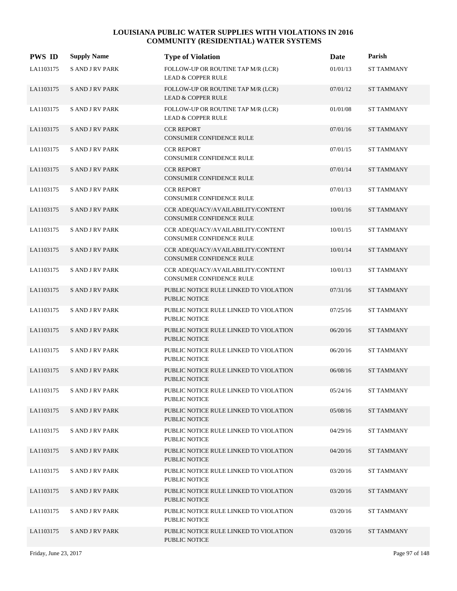| <b>PWS ID</b> | <b>Supply Name</b>     | <b>Type of Violation</b>                                             | Date     | Parish            |
|---------------|------------------------|----------------------------------------------------------------------|----------|-------------------|
| LA1103175     | <b>S AND J RV PARK</b> | FOLLOW-UP OR ROUTINE TAP M/R (LCR)<br><b>LEAD &amp; COPPER RULE</b>  | 01/01/13 | <b>ST TAMMANY</b> |
| LA1103175     | <b>SAND JRV PARK</b>   | FOLLOW-UP OR ROUTINE TAP M/R (LCR)<br><b>LEAD &amp; COPPER RULE</b>  | 07/01/12 | <b>ST TAMMANY</b> |
| LA1103175     | <b>SAND JRV PARK</b>   | FOLLOW-UP OR ROUTINE TAP M/R (LCR)<br><b>LEAD &amp; COPPER RULE</b>  | 01/01/08 | <b>ST TAMMANY</b> |
| LA1103175     | <b>SAND JRV PARK</b>   | <b>CCR REPORT</b><br>CONSUMER CONFIDENCE RULE                        | 07/01/16 | <b>ST TAMMANY</b> |
| LA1103175     | <b>SAND JRV PARK</b>   | <b>CCR REPORT</b><br>CONSUMER CONFIDENCE RULE                        | 07/01/15 | ST TAMMANY        |
| LA1103175     | <b>SAND JRV PARK</b>   | <b>CCR REPORT</b><br>CONSUMER CONFIDENCE RULE                        | 07/01/14 | <b>ST TAMMANY</b> |
| LA1103175     | <b>SAND JRV PARK</b>   | <b>CCR REPORT</b><br>CONSUMER CONFIDENCE RULE                        | 07/01/13 | <b>ST TAMMANY</b> |
| LA1103175     | <b>SAND JRV PARK</b>   | CCR ADEQUACY/AVAILABILITY/CONTENT<br>CONSUMER CONFIDENCE RULE        | 10/01/16 | <b>ST TAMMANY</b> |
| LA1103175     | <b>SAND JRV PARK</b>   | CCR ADEQUACY/AVAILABILITY/CONTENT<br><b>CONSUMER CONFIDENCE RULE</b> | 10/01/15 | ST TAMMANY        |
| LA1103175     | <b>S AND J RV PARK</b> | CCR ADEQUACY/AVAILABILITY/CONTENT<br>CONSUMER CONFIDENCE RULE        | 10/01/14 | <b>ST TAMMANY</b> |
| LA1103175     | <b>SAND JRV PARK</b>   | CCR ADEQUACY/AVAILABILITY/CONTENT<br>CONSUMER CONFIDENCE RULE        | 10/01/13 | <b>ST TAMMANY</b> |
| LA1103175     | <b>SAND JRV PARK</b>   | PUBLIC NOTICE RULE LINKED TO VIOLATION<br>PUBLIC NOTICE              | 07/31/16 | <b>ST TAMMANY</b> |
| LA1103175     | <b>S AND J RV PARK</b> | PUBLIC NOTICE RULE LINKED TO VIOLATION<br>PUBLIC NOTICE              | 07/25/16 | ST TAMMANY        |
| LA1103175     | <b>SAND JRV PARK</b>   | PUBLIC NOTICE RULE LINKED TO VIOLATION<br><b>PUBLIC NOTICE</b>       | 06/20/16 | <b>ST TAMMANY</b> |
| LA1103175     | <b>S AND J RV PARK</b> | PUBLIC NOTICE RULE LINKED TO VIOLATION<br>PUBLIC NOTICE              | 06/20/16 | <b>ST TAMMANY</b> |
| LA1103175     | <b>S AND J RV PARK</b> | PUBLIC NOTICE RULE LINKED TO VIOLATION<br><b>PUBLIC NOTICE</b>       | 06/08/16 | <b>ST TAMMANY</b> |
| LA1103175     | <b>SAND JRV PARK</b>   | PUBLIC NOTICE RULE LINKED TO VIOLATION<br>PUBLIC NOTICE              | 05/24/16 | <b>ST TAMMANY</b> |
| LA1103175     | <b>SAND JRV PARK</b>   | PUBLIC NOTICE RULE LINKED TO VIOLATION<br>PUBLIC NOTICE              | 05/08/16 | ST TAMMANY        |
| LA1103175     | <b>SAND JRV PARK</b>   | PUBLIC NOTICE RULE LINKED TO VIOLATION<br>PUBLIC NOTICE              | 04/29/16 | ST TAMMANY        |
| LA1103175     | <b>SAND JRV PARK</b>   | PUBLIC NOTICE RULE LINKED TO VIOLATION<br><b>PUBLIC NOTICE</b>       | 04/20/16 | ST TAMMANY        |
| LA1103175     | <b>SAND JRV PARK</b>   | PUBLIC NOTICE RULE LINKED TO VIOLATION<br>PUBLIC NOTICE              | 03/20/16 | ST TAMMANY        |
| LA1103175     | <b>SAND JRV PARK</b>   | PUBLIC NOTICE RULE LINKED TO VIOLATION<br>PUBLIC NOTICE              | 03/20/16 | ST TAMMANY        |
| LA1103175     | <b>SAND JRV PARK</b>   | PUBLIC NOTICE RULE LINKED TO VIOLATION<br>PUBLIC NOTICE              | 03/20/16 | ST TAMMANY        |
| LA1103175     | <b>SAND JRV PARK</b>   | PUBLIC NOTICE RULE LINKED TO VIOLATION<br>PUBLIC NOTICE              | 03/20/16 | ST TAMMANY        |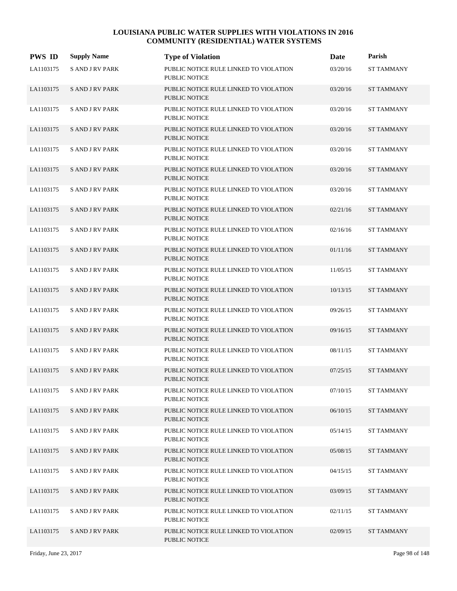| <b>PWS ID</b> | <b>Supply Name</b>     | <b>Type of Violation</b>                                       | Date     | Parish            |
|---------------|------------------------|----------------------------------------------------------------|----------|-------------------|
| LA1103175     | <b>S AND J RV PARK</b> | PUBLIC NOTICE RULE LINKED TO VIOLATION<br><b>PUBLIC NOTICE</b> | 03/20/16 | ST TAMMANY        |
| LA1103175     | <b>SAND JRV PARK</b>   | PUBLIC NOTICE RULE LINKED TO VIOLATION<br>PUBLIC NOTICE        | 03/20/16 | <b>ST TAMMANY</b> |
| LA1103175     | <b>SAND JRV PARK</b>   | PUBLIC NOTICE RULE LINKED TO VIOLATION<br><b>PUBLIC NOTICE</b> | 03/20/16 | <b>ST TAMMANY</b> |
| LA1103175     | <b>SAND J RV PARK</b>  | PUBLIC NOTICE RULE LINKED TO VIOLATION<br><b>PUBLIC NOTICE</b> | 03/20/16 | <b>ST TAMMANY</b> |
| LA1103175     | <b>SAND JRV PARK</b>   | PUBLIC NOTICE RULE LINKED TO VIOLATION<br><b>PUBLIC NOTICE</b> | 03/20/16 | <b>ST TAMMANY</b> |
| LA1103175     | <b>SAND J RV PARK</b>  | PUBLIC NOTICE RULE LINKED TO VIOLATION<br><b>PUBLIC NOTICE</b> | 03/20/16 | <b>ST TAMMANY</b> |
| LA1103175     | <b>S AND J RV PARK</b> | PUBLIC NOTICE RULE LINKED TO VIOLATION<br><b>PUBLIC NOTICE</b> | 03/20/16 | <b>ST TAMMANY</b> |
| LA1103175     | <b>SAND J RV PARK</b>  | PUBLIC NOTICE RULE LINKED TO VIOLATION<br><b>PUBLIC NOTICE</b> | 02/21/16 | <b>ST TAMMANY</b> |
| LA1103175     | <b>SAND JRV PARK</b>   | PUBLIC NOTICE RULE LINKED TO VIOLATION<br><b>PUBLIC NOTICE</b> | 02/16/16 | <b>ST TAMMANY</b> |
| LA1103175     | <b>SAND J RV PARK</b>  | PUBLIC NOTICE RULE LINKED TO VIOLATION<br><b>PUBLIC NOTICE</b> | 01/11/16 | <b>ST TAMMANY</b> |
| LA1103175     | <b>S AND J RV PARK</b> | PUBLIC NOTICE RULE LINKED TO VIOLATION<br><b>PUBLIC NOTICE</b> | 11/05/15 | <b>ST TAMMANY</b> |
| LA1103175     | <b>S AND J RV PARK</b> | PUBLIC NOTICE RULE LINKED TO VIOLATION<br><b>PUBLIC NOTICE</b> | 10/13/15 | <b>ST TAMMANY</b> |
| LA1103175     | <b>SAND JRV PARK</b>   | PUBLIC NOTICE RULE LINKED TO VIOLATION<br><b>PUBLIC NOTICE</b> | 09/26/15 | <b>ST TAMMANY</b> |
| LA1103175     | <b>SAND J RV PARK</b>  | PUBLIC NOTICE RULE LINKED TO VIOLATION<br><b>PUBLIC NOTICE</b> | 09/16/15 | <b>ST TAMMANY</b> |
| LA1103175     | <b>S AND J RV PARK</b> | PUBLIC NOTICE RULE LINKED TO VIOLATION<br><b>PUBLIC NOTICE</b> | 08/11/15 | <b>ST TAMMANY</b> |
| LA1103175     | <b>SAND J RV PARK</b>  | PUBLIC NOTICE RULE LINKED TO VIOLATION<br><b>PUBLIC NOTICE</b> | 07/25/15 | <b>ST TAMMANY</b> |
| LA1103175     | S AND J RV PARK        | PUBLIC NOTICE RULE LINKED TO VIOLATION<br>PUBLIC NOTICE        | 07/10/15 | <b>ST TAMMANY</b> |
| LA1103175     | <b>SAND JRV PARK</b>   | PUBLIC NOTICE RULE LINKED TO VIOLATION<br>PUBLIC NOTICE        | 06/10/15 | ST TAMMANY        |
| LA1103175     | <b>SAND JRV PARK</b>   | PUBLIC NOTICE RULE LINKED TO VIOLATION<br>PUBLIC NOTICE        | 05/14/15 | ST TAMMANY        |
| LA1103175     | <b>SAND JRV PARK</b>   | PUBLIC NOTICE RULE LINKED TO VIOLATION<br>PUBLIC NOTICE        | 05/08/15 | <b>ST TAMMANY</b> |
| LA1103175     | <b>SAND JRV PARK</b>   | PUBLIC NOTICE RULE LINKED TO VIOLATION<br>PUBLIC NOTICE        | 04/15/15 | ST TAMMANY        |
| LA1103175     | <b>SAND JRV PARK</b>   | PUBLIC NOTICE RULE LINKED TO VIOLATION<br>PUBLIC NOTICE        | 03/09/15 | <b>ST TAMMANY</b> |
| LA1103175     | <b>SAND JRV PARK</b>   | PUBLIC NOTICE RULE LINKED TO VIOLATION<br>PUBLIC NOTICE        | 02/11/15 | ST TAMMANY        |
| LA1103175     | <b>SAND JRV PARK</b>   | PUBLIC NOTICE RULE LINKED TO VIOLATION<br>PUBLIC NOTICE        | 02/09/15 | ST TAMMANY        |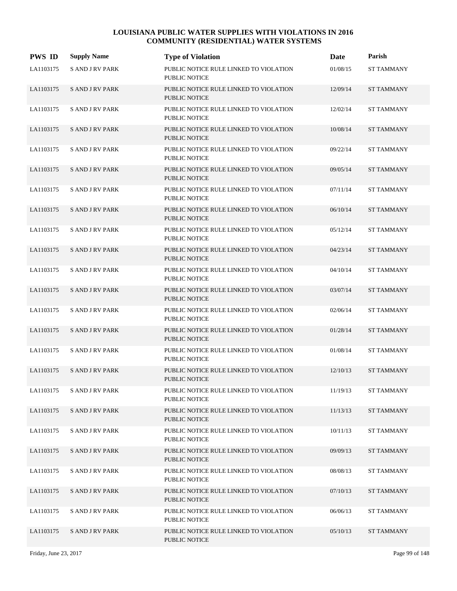| <b>PWS ID</b> | <b>Supply Name</b>     | <b>Type of Violation</b>                                       | Date     | Parish            |
|---------------|------------------------|----------------------------------------------------------------|----------|-------------------|
| LA1103175     | <b>S AND J RV PARK</b> | PUBLIC NOTICE RULE LINKED TO VIOLATION<br><b>PUBLIC NOTICE</b> | 01/08/15 | <b>ST TAMMANY</b> |
| LA1103175     | <b>SAND JRV PARK</b>   | PUBLIC NOTICE RULE LINKED TO VIOLATION<br>PUBLIC NOTICE        | 12/09/14 | <b>ST TAMMANY</b> |
| LA1103175     | <b>SAND JRV PARK</b>   | PUBLIC NOTICE RULE LINKED TO VIOLATION<br><b>PUBLIC NOTICE</b> | 12/02/14 | <b>ST TAMMANY</b> |
| LA1103175     | <b>SAND JRV PARK</b>   | PUBLIC NOTICE RULE LINKED TO VIOLATION<br><b>PUBLIC NOTICE</b> | 10/08/14 | <b>ST TAMMANY</b> |
| LA1103175     | <b>S AND J RV PARK</b> | PUBLIC NOTICE RULE LINKED TO VIOLATION<br>PUBLIC NOTICE        | 09/22/14 | <b>ST TAMMANY</b> |
| LA1103175     | <b>SAND JRV PARK</b>   | PUBLIC NOTICE RULE LINKED TO VIOLATION<br><b>PUBLIC NOTICE</b> | 09/05/14 | <b>ST TAMMANY</b> |
| LA1103175     | <b>S AND J RV PARK</b> | PUBLIC NOTICE RULE LINKED TO VIOLATION<br>PUBLIC NOTICE        | 07/11/14 | <b>ST TAMMANY</b> |
| LA1103175     | <b>SAND JRV PARK</b>   | PUBLIC NOTICE RULE LINKED TO VIOLATION<br><b>PUBLIC NOTICE</b> | 06/10/14 | <b>ST TAMMANY</b> |
| LA1103175     | <b>S AND J RV PARK</b> | PUBLIC NOTICE RULE LINKED TO VIOLATION<br><b>PUBLIC NOTICE</b> | 05/12/14 | <b>ST TAMMANY</b> |
| LA1103175     | <b>SAND JRV PARK</b>   | PUBLIC NOTICE RULE LINKED TO VIOLATION<br><b>PUBLIC NOTICE</b> | 04/23/14 | <b>ST TAMMANY</b> |
| LA1103175     | <b>S AND J RV PARK</b> | PUBLIC NOTICE RULE LINKED TO VIOLATION<br><b>PUBLIC NOTICE</b> | 04/10/14 | <b>ST TAMMANY</b> |
| LA1103175     | <b>SAND JRV PARK</b>   | PUBLIC NOTICE RULE LINKED TO VIOLATION<br><b>PUBLIC NOTICE</b> | 03/07/14 | <b>ST TAMMANY</b> |
| LA1103175     | <b>S AND J RV PARK</b> | PUBLIC NOTICE RULE LINKED TO VIOLATION<br><b>PUBLIC NOTICE</b> | 02/06/14 | <b>ST TAMMANY</b> |
| LA1103175     | <b>SAND JRV PARK</b>   | PUBLIC NOTICE RULE LINKED TO VIOLATION<br><b>PUBLIC NOTICE</b> | 01/28/14 | <b>ST TAMMANY</b> |
| LA1103175     | <b>S AND J RV PARK</b> | PUBLIC NOTICE RULE LINKED TO VIOLATION<br><b>PUBLIC NOTICE</b> | 01/08/14 | <b>ST TAMMANY</b> |
| LA1103175     | <b>SAND JRV PARK</b>   | PUBLIC NOTICE RULE LINKED TO VIOLATION<br><b>PUBLIC NOTICE</b> | 12/10/13 | <b>ST TAMMANY</b> |
| LA1103175     | <b>SAND JRV PARK</b>   | PUBLIC NOTICE RULE LINKED TO VIOLATION<br>PUBLIC NOTICE        | 11/19/13 | <b>ST TAMMANY</b> |
| LA1103175     | <b>SAND JRV PARK</b>   | PUBLIC NOTICE RULE LINKED TO VIOLATION<br>PUBLIC NOTICE        | 11/13/13 | <b>ST TAMMANY</b> |
| LA1103175     | <b>SAND JRV PARK</b>   | PUBLIC NOTICE RULE LINKED TO VIOLATION<br>PUBLIC NOTICE        | 10/11/13 | <b>ST TAMMANY</b> |
| LA1103175     | <b>SAND JRV PARK</b>   | PUBLIC NOTICE RULE LINKED TO VIOLATION<br>PUBLIC NOTICE        | 09/09/13 | <b>ST TAMMANY</b> |
| LA1103175     | <b>SAND JRV PARK</b>   | PUBLIC NOTICE RULE LINKED TO VIOLATION<br>PUBLIC NOTICE        | 08/08/13 | <b>ST TAMMANY</b> |
| LA1103175     | <b>S AND J RV PARK</b> | PUBLIC NOTICE RULE LINKED TO VIOLATION<br>PUBLIC NOTICE        | 07/10/13 | <b>ST TAMMANY</b> |
| LA1103175     | <b>SAND JRV PARK</b>   | PUBLIC NOTICE RULE LINKED TO VIOLATION<br>PUBLIC NOTICE        | 06/06/13 | <b>ST TAMMANY</b> |
| LA1103175     | <b>SAND JRV PARK</b>   | PUBLIC NOTICE RULE LINKED TO VIOLATION<br>PUBLIC NOTICE        | 05/10/13 | <b>ST TAMMANY</b> |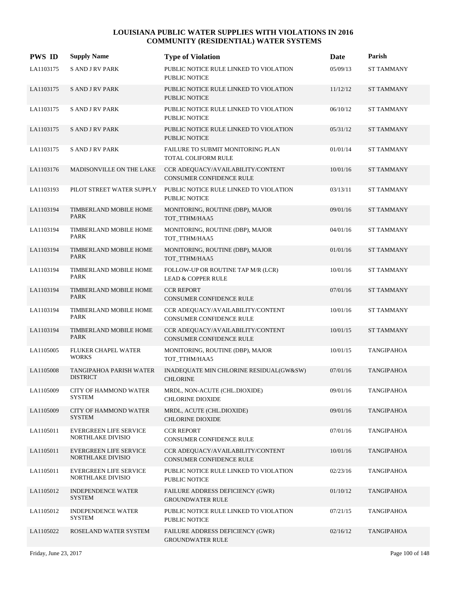| <b>PWS ID</b> | <b>Supply Name</b>                                 | <b>Type of Violation</b>                                             | <b>Date</b> | Parish            |
|---------------|----------------------------------------------------|----------------------------------------------------------------------|-------------|-------------------|
| LA1103175     | <b>S AND J RV PARK</b>                             | PUBLIC NOTICE RULE LINKED TO VIOLATION<br><b>PUBLIC NOTICE</b>       | 05/09/13    | ST TAMMANY        |
| LA1103175     | <b>SAND JRV PARK</b>                               | PUBLIC NOTICE RULE LINKED TO VIOLATION<br>PUBLIC NOTICE              | 11/12/12    | <b>ST TAMMANY</b> |
| LA1103175     | <b>SAND JRV PARK</b>                               | PUBLIC NOTICE RULE LINKED TO VIOLATION<br><b>PUBLIC NOTICE</b>       | 06/10/12    | <b>ST TAMMANY</b> |
| LA1103175     | <b>SAND J RV PARK</b>                              | PUBLIC NOTICE RULE LINKED TO VIOLATION<br><b>PUBLIC NOTICE</b>       | 05/31/12    | <b>ST TAMMANY</b> |
| LA1103175     | <b>S AND J RV PARK</b>                             | FAILURE TO SUBMIT MONITORING PLAN<br>TOTAL COLIFORM RULE             | 01/01/14    | <b>ST TAMMANY</b> |
| LA1103176     | MADISONVILLE ON THE LAKE                           | CCR ADEQUACY/AVAILABILITY/CONTENT<br>CONSUMER CONFIDENCE RULE        | 10/01/16    | <b>ST TAMMANY</b> |
| LA1103193     | PILOT STREET WATER SUPPLY                          | PUBLIC NOTICE RULE LINKED TO VIOLATION<br><b>PUBLIC NOTICE</b>       | 03/13/11    | <b>ST TAMMANY</b> |
| LA1103194     | TIMBERLAND MOBILE HOME<br>PARK                     | MONITORING, ROUTINE (DBP), MAJOR<br>TOT TTHM/HAA5                    | 09/01/16    | <b>ST TAMMANY</b> |
| LA1103194     | TIMBERLAND MOBILE HOME<br>PARK                     | MONITORING, ROUTINE (DBP), MAJOR<br>TOT TTHM/HAA5                    | 04/01/16    | <b>ST TAMMANY</b> |
| LA1103194     | TIMBERLAND MOBILE HOME<br><b>PARK</b>              | MONITORING, ROUTINE (DBP), MAJOR<br>TOT_TTHM/HAA5                    | 01/01/16    | <b>ST TAMMANY</b> |
| LA1103194     | TIMBERLAND MOBILE HOME<br>PARK                     | FOLLOW-UP OR ROUTINE TAP M/R (LCR)<br><b>LEAD &amp; COPPER RULE</b>  | 10/01/16    | <b>ST TAMMANY</b> |
| LA1103194     | TIMBERLAND MOBILE HOME<br><b>PARK</b>              | <b>CCR REPORT</b><br><b>CONSUMER CONFIDENCE RULE</b>                 | 07/01/16    | <b>ST TAMMANY</b> |
| LA1103194     | TIMBERLAND MOBILE HOME<br>PARK                     | CCR ADEQUACY/AVAILABILITY/CONTENT<br>CONSUMER CONFIDENCE RULE        | 10/01/16    | <b>ST TAMMANY</b> |
| LA1103194     | TIMBERLAND MOBILE HOME<br><b>PARK</b>              | CCR ADEQUACY/AVAILABILITY/CONTENT<br>CONSUMER CONFIDENCE RULE        | 10/01/15    | <b>ST TAMMANY</b> |
| LA1105005     | FLUKER CHAPEL WATER<br><b>WORKS</b>                | MONITORING, ROUTINE (DBP), MAJOR<br>TOT TTHM/HAA5                    | 10/01/15    | <b>TANGIPAHOA</b> |
| LA1105008     | <b>TANGIPAHOA PARISH WATER</b><br><b>DISTRICT</b>  | INADEQUATE MIN CHLORINE RESIDUAL(GW&SW)<br><b>CHLORINE</b>           | 07/01/16    | <b>TANGIPAHOA</b> |
| LA1105009     | <b>CITY OF HAMMOND WATER</b><br><b>SYSTEM</b>      | MRDL, NON-ACUTE (CHL.DIOXIDE)<br><b>CHLORINE DIOXIDE</b>             | 09/01/16    | <b>TANGIPAHOA</b> |
| LA1105009     | <b>CITY OF HAMMOND WATER</b><br><b>SYSTEM</b>      | MRDL, ACUTE (CHL.DIOXIDE)<br><b>CHLORINE DIOXIDE</b>                 | 09/01/16    | TANGIPAHOA        |
| LA1105011     | <b>EVERGREEN LIFE SERVICE</b><br>NORTHLAKE DIVISIO | <b>CCR REPORT</b><br><b>CONSUMER CONFIDENCE RULE</b>                 | 07/01/16    | TANGIPAHOA        |
| LA1105011     | <b>EVERGREEN LIFE SERVICE</b><br>NORTHLAKE DIVISIO | CCR ADEOUACY/AVAILABILITY/CONTENT<br><b>CONSUMER CONFIDENCE RULE</b> | 10/01/16    | <b>TANGIPAHOA</b> |
| LA1105011     | <b>EVERGREEN LIFE SERVICE</b><br>NORTHLAKE DIVISIO | PUBLIC NOTICE RULE LINKED TO VIOLATION<br><b>PUBLIC NOTICE</b>       | 02/23/16    | TANGIPAHOA        |
| LA1105012     | <b>INDEPENDENCE WATER</b><br><b>SYSTEM</b>         | FAILURE ADDRESS DEFICIENCY (GWR)<br><b>GROUNDWATER RULE</b>          | 01/10/12    | TANGIPAHOA        |
| LA1105012     | <b>INDEPENDENCE WATER</b><br><b>SYSTEM</b>         | PUBLIC NOTICE RULE LINKED TO VIOLATION<br>PUBLIC NOTICE              | 07/21/15    | TANGIPAHOA        |
| LA1105022     | ROSELAND WATER SYSTEM                              | FAILURE ADDRESS DEFICIENCY (GWR)<br><b>GROUNDWATER RULE</b>          | 02/16/12    | <b>TANGIPAHOA</b> |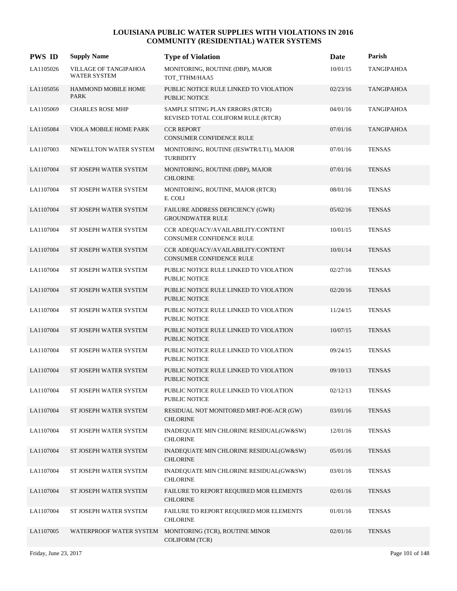| <b>PWS ID</b> | <b>Supply Name</b>                           | <b>Type of Violation</b>                                               | Date     | Parish            |
|---------------|----------------------------------------------|------------------------------------------------------------------------|----------|-------------------|
| LA1105026     | VILLAGE OF TANGIPAHOA<br><b>WATER SYSTEM</b> | MONITORING, ROUTINE (DBP), MAJOR<br>TOT_TTHM/HAA5                      | 10/01/15 | <b>TANGIPAHOA</b> |
| LA1105056     | <b>HAMMOND MOBILE HOME</b><br><b>PARK</b>    | PUBLIC NOTICE RULE LINKED TO VIOLATION<br><b>PUBLIC NOTICE</b>         | 02/23/16 | <b>TANGIPAHOA</b> |
| LA1105069     | <b>CHARLES ROSE MHP</b>                      | SAMPLE SITING PLAN ERRORS (RTCR)<br>REVISED TOTAL COLIFORM RULE (RTCR) | 04/01/16 | TANGIPAHOA        |
| LA1105084     | VIOLA MOBILE HOME PARK                       | <b>CCR REPORT</b><br>CONSUMER CONFIDENCE RULE                          | 07/01/16 | <b>TANGIPAHOA</b> |
| LA1107003     | NEWELLTON WATER SYSTEM                       | MONITORING, ROUTINE (IESWTR/LT1), MAJOR<br><b>TURBIDITY</b>            | 07/01/16 | <b>TENSAS</b>     |
| LA1107004     | ST JOSEPH WATER SYSTEM                       | MONITORING, ROUTINE (DBP), MAJOR<br><b>CHLORINE</b>                    | 07/01/16 | <b>TENSAS</b>     |
| LA1107004     | ST JOSEPH WATER SYSTEM                       | MONITORING, ROUTINE, MAJOR (RTCR)<br>E. COLI                           | 08/01/16 | <b>TENSAS</b>     |
| LA1107004     | ST JOSEPH WATER SYSTEM                       | FAILURE ADDRESS DEFICIENCY (GWR)<br><b>GROUNDWATER RULE</b>            | 05/02/16 | <b>TENSAS</b>     |
| LA1107004     | ST JOSEPH WATER SYSTEM                       | CCR ADEQUACY/AVAILABILITY/CONTENT<br>CONSUMER CONFIDENCE RULE          | 10/01/15 | <b>TENSAS</b>     |
| LA1107004     | ST JOSEPH WATER SYSTEM                       | CCR ADEQUACY/AVAILABILITY/CONTENT<br>CONSUMER CONFIDENCE RULE          | 10/01/14 | <b>TENSAS</b>     |
| LA1107004     | ST JOSEPH WATER SYSTEM                       | PUBLIC NOTICE RULE LINKED TO VIOLATION<br><b>PUBLIC NOTICE</b>         | 02/27/16 | <b>TENSAS</b>     |
| LA1107004     | ST JOSEPH WATER SYSTEM                       | PUBLIC NOTICE RULE LINKED TO VIOLATION<br><b>PUBLIC NOTICE</b>         | 02/20/16 | <b>TENSAS</b>     |
| LA1107004     | ST JOSEPH WATER SYSTEM                       | PUBLIC NOTICE RULE LINKED TO VIOLATION<br><b>PUBLIC NOTICE</b>         | 11/24/15 | <b>TENSAS</b>     |
| LA1107004     | ST JOSEPH WATER SYSTEM                       | PUBLIC NOTICE RULE LINKED TO VIOLATION<br><b>PUBLIC NOTICE</b>         | 10/07/15 | <b>TENSAS</b>     |
| LA1107004     | ST JOSEPH WATER SYSTEM                       | PUBLIC NOTICE RULE LINKED TO VIOLATION<br><b>PUBLIC NOTICE</b>         | 09/24/15 | <b>TENSAS</b>     |
| LA1107004     | ST JOSEPH WATER SYSTEM                       | PUBLIC NOTICE RULE LINKED TO VIOLATION<br><b>PUBLIC NOTICE</b>         | 09/10/13 | <b>TENSAS</b>     |
| LA1107004     | ST JOSEPH WATER SYSTEM                       | PUBLIC NOTICE RULE LINKED TO VIOLATION<br>PUBLIC NOTICE                | 02/12/13 | <b>TENSAS</b>     |
| LA1107004     | ST JOSEPH WATER SYSTEM                       | RESIDUAL NOT MONITORED MRT-POE-ACR (GW)<br><b>CHLORINE</b>             | 03/01/16 | <b>TENSAS</b>     |
| LA1107004     | ST JOSEPH WATER SYSTEM                       | INADEQUATE MIN CHLORINE RESIDUAL(GW&SW)<br><b>CHLORINE</b>             | 12/01/16 | <b>TENSAS</b>     |
| LA1107004     | ST JOSEPH WATER SYSTEM                       | INADEQUATE MIN CHLORINE RESIDUAL(GW&SW)<br><b>CHLORINE</b>             | 05/01/16 | <b>TENSAS</b>     |
| LA1107004     | ST JOSEPH WATER SYSTEM                       | INADEQUATE MIN CHLORINE RESIDUAL(GW&SW)<br><b>CHLORINE</b>             | 03/01/16 | <b>TENSAS</b>     |
| LA1107004     | ST JOSEPH WATER SYSTEM                       | FAILURE TO REPORT REQUIRED MOR ELEMENTS<br><b>CHLORINE</b>             | 02/01/16 | <b>TENSAS</b>     |
| LA1107004     | ST JOSEPH WATER SYSTEM                       | FAILURE TO REPORT REQUIRED MOR ELEMENTS<br><b>CHLORINE</b>             | 01/01/16 | <b>TENSAS</b>     |
| LA1107005     | WATERPROOF WATER SYSTEM                      | MONITORING (TCR), ROUTINE MINOR<br>COLIFORM (TCR)                      | 02/01/16 | <b>TENSAS</b>     |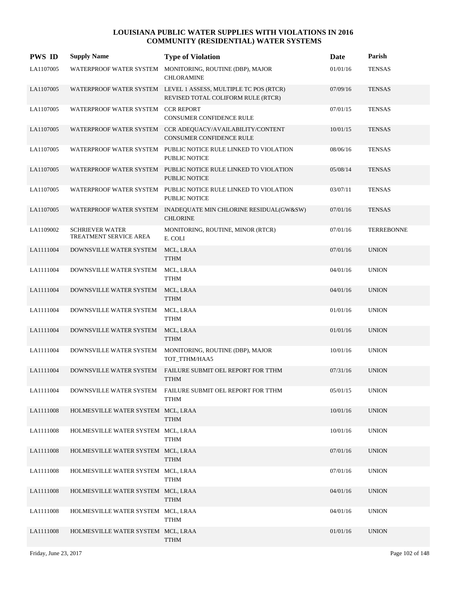| <b>PWS ID</b> | <b>Supply Name</b>                               | <b>Type of Violation</b>                                                                             | Date     | Parish            |
|---------------|--------------------------------------------------|------------------------------------------------------------------------------------------------------|----------|-------------------|
| LA1107005     | WATERPROOF WATER SYSTEM                          | MONITORING, ROUTINE (DBP), MAJOR<br><b>CHLORAMINE</b>                                                | 01/01/16 | <b>TENSAS</b>     |
| LA1107005     |                                                  | WATERPROOF WATER SYSTEM LEVEL 1 ASSESS, MULTIPLE TC POS (RTCR)<br>REVISED TOTAL COLIFORM RULE (RTCR) | 07/09/16 | <b>TENSAS</b>     |
| LA1107005     | WATERPROOF WATER SYSTEM CCR REPORT               | CONSUMER CONFIDENCE RULE                                                                             | 07/01/15 | <b>TENSAS</b>     |
| LA1107005     |                                                  | WATERPROOF WATER SYSTEM CCR ADEQUACY/AVAILABILITY/CONTENT<br><b>CONSUMER CONFIDENCE RULE</b>         | 10/01/15 | <b>TENSAS</b>     |
| LA1107005     |                                                  | WATERPROOF WATER SYSTEM PUBLIC NOTICE RULE LINKED TO VIOLATION<br>PUBLIC NOTICE                      | 08/06/16 | <b>TENSAS</b>     |
| LA1107005     |                                                  | WATERPROOF WATER SYSTEM PUBLIC NOTICE RULE LINKED TO VIOLATION<br><b>PUBLIC NOTICE</b>               | 05/08/14 | <b>TENSAS</b>     |
| LA1107005     |                                                  | WATERPROOF WATER SYSTEM PUBLIC NOTICE RULE LINKED TO VIOLATION<br><b>PUBLIC NOTICE</b>               | 03/07/11 | <b>TENSAS</b>     |
| LA1107005     |                                                  | WATERPROOF WATER SYSTEM INADEQUATE MIN CHLORINE RESIDUAL(GW&SW)<br><b>CHLORINE</b>                   | 07/01/16 | <b>TENSAS</b>     |
| LA1109002     | <b>SCHRIEVER WATER</b><br>TREATMENT SERVICE AREA | MONITORING, ROUTINE, MINOR (RTCR)<br>E. COLI                                                         | 07/01/16 | <b>TERREBONNE</b> |
| LA1111004     | DOWNSVILLE WATER SYSTEM                          | MCL, LRAA<br><b>TTHM</b>                                                                             | 07/01/16 | <b>UNION</b>      |
| LA1111004     | DOWNSVILLE WATER SYSTEM                          | MCL, LRAA<br><b>TTHM</b>                                                                             | 04/01/16 | <b>UNION</b>      |
| LA1111004     | DOWNSVILLE WATER SYSTEM                          | MCL, LRAA<br><b>TTHM</b>                                                                             | 04/01/16 | <b>UNION</b>      |
| LA1111004     | DOWNSVILLE WATER SYSTEM                          | MCL, LRAA<br><b>TTHM</b>                                                                             | 01/01/16 | <b>UNION</b>      |
| LA1111004     | DOWNSVILLE WATER SYSTEM                          | MCL, LRAA<br><b>TTHM</b>                                                                             | 01/01/16 | <b>UNION</b>      |
| LA1111004     | DOWNSVILLE WATER SYSTEM                          | MONITORING, ROUTINE (DBP), MAJOR<br>TOT_TTHM/HAA5                                                    | 10/01/16 | <b>UNION</b>      |
| LA1111004     | DOWNSVILLE WATER SYSTEM                          | FAILURE SUBMIT OEL REPORT FOR TTHM<br><b>TTHM</b>                                                    | 07/31/16 | <b>UNION</b>      |
| LA1111004     |                                                  | DOWNSVILLE WATER SYSTEM FAILURE SUBMIT OEL REPORT FOR TTHM<br><b>TTHM</b>                            | 05/01/15 | <b>UNION</b>      |
| LA1111008     | HOLMESVILLE WATER SYSTEM MCL, LRAA               | <b>TTHM</b>                                                                                          | 10/01/16 | <b>UNION</b>      |
| LA1111008     | HOLMESVILLE WATER SYSTEM MCL, LRAA               | <b>TTHM</b>                                                                                          | 10/01/16 | <b>UNION</b>      |
| LA1111008     | HOLMESVILLE WATER SYSTEM MCL, LRAA               | <b>TTHM</b>                                                                                          | 07/01/16 | <b>UNION</b>      |
| LA1111008     | HOLMESVILLE WATER SYSTEM MCL, LRAA               | <b>TTHM</b>                                                                                          | 07/01/16 | <b>UNION</b>      |
| LA1111008     | HOLMESVILLE WATER SYSTEM MCL, LRAA               | <b>TTHM</b>                                                                                          | 04/01/16 | <b>UNION</b>      |
| LA1111008     | HOLMESVILLE WATER SYSTEM MCL, LRAA               | <b>TTHM</b>                                                                                          | 04/01/16 | <b>UNION</b>      |
| LA1111008     | HOLMESVILLE WATER SYSTEM MCL, LRAA               | <b>TTHM</b>                                                                                          | 01/01/16 | <b>UNION</b>      |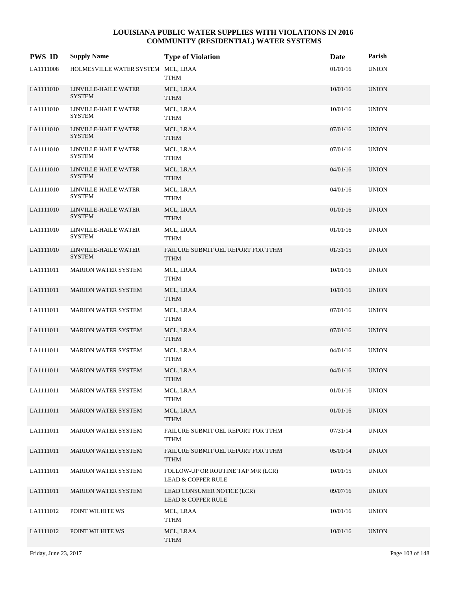| <b>PWS ID</b> | <b>Supply Name</b>                    | <b>Type of Violation</b>                                    | Date     | Parish       |
|---------------|---------------------------------------|-------------------------------------------------------------|----------|--------------|
| LA1111008     | HOLMESVILLE WATER SYSTEM MCL, LRAA    | TTHM                                                        | 01/01/16 | <b>UNION</b> |
| LA1111010     | LINVILLE-HAILE WATER<br><b>SYSTEM</b> | MCL, LRAA<br><b>TTHM</b>                                    | 10/01/16 | <b>UNION</b> |
| LA1111010     | LINVILLE-HAILE WATER<br><b>SYSTEM</b> | MCL, LRAA<br>TTHM                                           | 10/01/16 | <b>UNION</b> |
| LA1111010     | LINVILLE-HAILE WATER<br><b>SYSTEM</b> | MCL, LRAA<br><b>TTHM</b>                                    | 07/01/16 | <b>UNION</b> |
| LA1111010     | LINVILLE-HAILE WATER<br>SYSTEM        | MCL, LRAA<br>TTHM                                           | 07/01/16 | <b>UNION</b> |
| LA1111010     | LINVILLE-HAILE WATER<br><b>SYSTEM</b> | MCL, LRAA<br><b>TTHM</b>                                    | 04/01/16 | <b>UNION</b> |
| LA1111010     | LINVILLE-HAILE WATER<br><b>SYSTEM</b> | MCL, LRAA<br>TTHM                                           | 04/01/16 | <b>UNION</b> |
| LA1111010     | LINVILLE-HAILE WATER<br><b>SYSTEM</b> | MCL, LRAA<br><b>TTHM</b>                                    | 01/01/16 | <b>UNION</b> |
| LA1111010     | LINVILLE-HAILE WATER<br>SYSTEM        | MCL, LRAA<br>TTHM                                           | 01/01/16 | <b>UNION</b> |
| LA1111010     | LINVILLE-HAILE WATER<br><b>SYSTEM</b> | FAILURE SUBMIT OEL REPORT FOR TTHM<br><b>TTHM</b>           | 01/31/15 | <b>UNION</b> |
| LA1111011     | <b>MARION WATER SYSTEM</b>            | MCL, LRAA<br><b>TTHM</b>                                    | 10/01/16 | <b>UNION</b> |
| LA1111011     | <b>MARION WATER SYSTEM</b>            | MCL, LRAA<br><b>TTHM</b>                                    | 10/01/16 | <b>UNION</b> |
| LA1111011     | <b>MARION WATER SYSTEM</b>            | MCL, LRAA<br><b>TTHM</b>                                    | 07/01/16 | <b>UNION</b> |
| LA1111011     | <b>MARION WATER SYSTEM</b>            | MCL, LRAA<br><b>TTHM</b>                                    | 07/01/16 | <b>UNION</b> |
| LA1111011     | <b>MARION WATER SYSTEM</b>            | MCL, LRAA<br>TTHM                                           | 04/01/16 | <b>UNION</b> |
| LA1111011     | <b>MARION WATER SYSTEM</b>            | MCL, LRAA<br><b>TTHM</b>                                    | 04/01/16 | <b>UNION</b> |
| LA1111011     | MARION WATER SYSTEM                   | MCL, LRAA<br><b>TTHM</b>                                    | 01/01/16 | <b>UNION</b> |
| LA1111011     | <b>MARION WATER SYSTEM</b>            | MCL, LRAA<br><b>TTHM</b>                                    | 01/01/16 | <b>UNION</b> |
| LA1111011     | <b>MARION WATER SYSTEM</b>            | FAILURE SUBMIT OEL REPORT FOR TTHM<br>TTHM                  | 07/31/14 | <b>UNION</b> |
| LA1111011     | <b>MARION WATER SYSTEM</b>            | FAILURE SUBMIT OEL REPORT FOR TTHM<br><b>TTHM</b>           | 05/01/14 | <b>UNION</b> |
| LA1111011     | MARION WATER SYSTEM                   | FOLLOW-UP OR ROUTINE TAP M/R (LCR)<br>LEAD & COPPER RULE    | 10/01/15 | <b>UNION</b> |
| LA1111011     | <b>MARION WATER SYSTEM</b>            | LEAD CONSUMER NOTICE (LCR)<br><b>LEAD &amp; COPPER RULE</b> | 09/07/16 | <b>UNION</b> |
| LA1111012     | POINT WILHITE WS                      | MCL, LRAA<br>TTHM                                           | 10/01/16 | <b>UNION</b> |
| LA1111012     | POINT WILHITE WS                      | MCL, LRAA<br>TTHM                                           | 10/01/16 | <b>UNION</b> |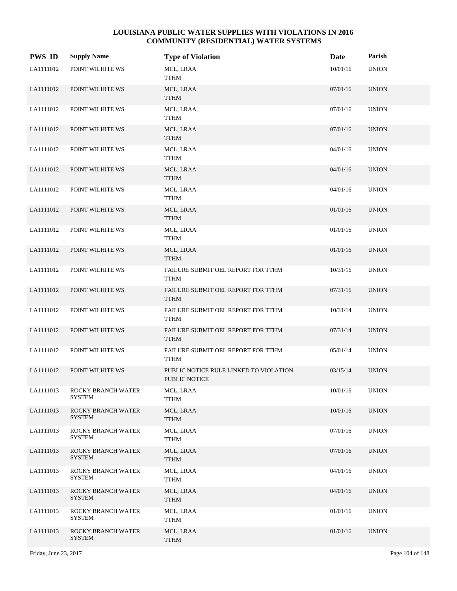| <b>PWS ID</b> | <b>Supply Name</b>                  | <b>Type of Violation</b>                                | Date     | Parish       |
|---------------|-------------------------------------|---------------------------------------------------------|----------|--------------|
| LA1111012     | POINT WILHITE WS                    | MCL, LRAA<br><b>TTHM</b>                                | 10/01/16 | <b>UNION</b> |
| LA1111012     | POINT WILHITE WS                    | MCL, LRAA<br><b>TTHM</b>                                | 07/01/16 | <b>UNION</b> |
| LA1111012     | POINT WILHITE WS                    | MCL, LRAA<br><b>TTHM</b>                                | 07/01/16 | <b>UNION</b> |
| LA1111012     | POINT WILHITE WS                    | MCL, LRAA<br><b>TTHM</b>                                | 07/01/16 | <b>UNION</b> |
| LA1111012     | POINT WILHITE WS                    | MCL, LRAA<br><b>TTHM</b>                                | 04/01/16 | <b>UNION</b> |
| LA1111012     | POINT WILHITE WS                    | MCL, LRAA<br><b>TTHM</b>                                | 04/01/16 | <b>UNION</b> |
| LA1111012     | POINT WILHITE WS                    | MCL, LRAA<br><b>TTHM</b>                                | 04/01/16 | <b>UNION</b> |
| LA1111012     | POINT WILHITE WS                    | MCL, LRAA<br><b>TTHM</b>                                | 01/01/16 | <b>UNION</b> |
| LA1111012     | POINT WILHITE WS                    | MCL, LRAA<br><b>TTHM</b>                                | 01/01/16 | <b>UNION</b> |
| LA1111012     | POINT WILHITE WS                    | MCL, LRAA<br><b>TTHM</b>                                | 01/01/16 | <b>UNION</b> |
| LA1111012     | POINT WILHITE WS                    | FAILURE SUBMIT OEL REPORT FOR TTHM<br><b>TTHM</b>       | 10/31/16 | <b>UNION</b> |
| LA1111012     | POINT WILHITE WS                    | FAILURE SUBMIT OEL REPORT FOR TTHM<br><b>TTHM</b>       | 07/31/16 | <b>UNION</b> |
| LA1111012     | POINT WILHITE WS                    | FAILURE SUBMIT OEL REPORT FOR TTHM<br><b>TTHM</b>       | 10/31/14 | <b>UNION</b> |
| LA1111012     | POINT WILHITE WS                    | FAILURE SUBMIT OEL REPORT FOR TTHM<br><b>TTHM</b>       | 07/31/14 | <b>UNION</b> |
| LA1111012     | POINT WILHITE WS                    | FAILURE SUBMIT OEL REPORT FOR TTHM<br><b>TTHM</b>       | 05/01/14 | <b>UNION</b> |
| LA1111012     | POINT WILHITE WS                    | PUBLIC NOTICE RULE LINKED TO VIOLATION<br>PUBLIC NOTICE | 03/15/14 | <b>UNION</b> |
| LA1111013     | ROCKY BRANCH WATER<br><b>SYSTEM</b> | MCL, LRAA<br><b>TTHM</b>                                | 10/01/16 | <b>UNION</b> |
| LA1111013     | ROCKY BRANCH WATER<br><b>SYSTEM</b> | MCL, LRAA<br><b>TTHM</b>                                | 10/01/16 | <b>UNION</b> |
| LA1111013     | ROCKY BRANCH WATER<br><b>SYSTEM</b> | MCL, LRAA<br><b>TTHM</b>                                | 07/01/16 | <b>UNION</b> |
| LA1111013     | ROCKY BRANCH WATER<br><b>SYSTEM</b> | MCL, LRAA<br><b>TTHM</b>                                | 07/01/16 | <b>UNION</b> |
| LA1111013     | ROCKY BRANCH WATER<br><b>SYSTEM</b> | MCL, LRAA<br><b>TTHM</b>                                | 04/01/16 | <b>UNION</b> |
| LA1111013     | ROCKY BRANCH WATER<br><b>SYSTEM</b> | MCL, LRAA<br><b>TTHM</b>                                | 04/01/16 | <b>UNION</b> |
| LA1111013     | ROCKY BRANCH WATER<br>SYSTEM        | MCL, LRAA<br>TTHM                                       | 01/01/16 | <b>UNION</b> |
| LA1111013     | ROCKY BRANCH WATER<br><b>SYSTEM</b> | MCL, LRAA<br><b>TTHM</b>                                | 01/01/16 | <b>UNION</b> |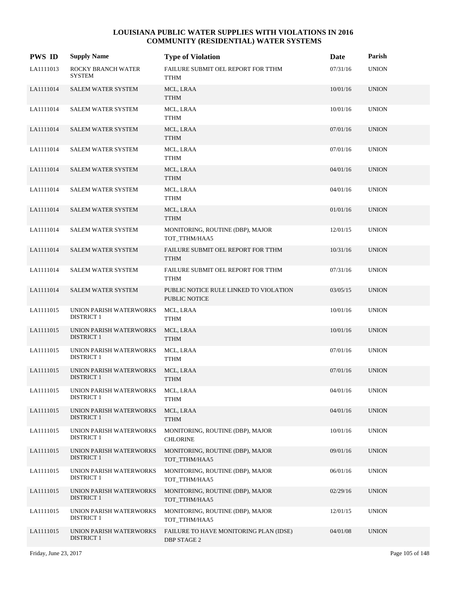| <b>PWS ID</b> | <b>Supply Name</b>                           | <b>Type of Violation</b>                                     | Date     | Parish       |
|---------------|----------------------------------------------|--------------------------------------------------------------|----------|--------------|
| LA1111013     | ROCKY BRANCH WATER<br><b>SYSTEM</b>          | FAILURE SUBMIT OEL REPORT FOR TTHM<br><b>TTHM</b>            | 07/31/16 | <b>UNION</b> |
| LA1111014     | <b>SALEM WATER SYSTEM</b>                    | MCL, LRAA<br><b>TTHM</b>                                     | 10/01/16 | <b>UNION</b> |
| LA1111014     | SALEM WATER SYSTEM                           | MCL, LRAA<br><b>TTHM</b>                                     | 10/01/16 | <b>UNION</b> |
| LA1111014     | <b>SALEM WATER SYSTEM</b>                    | MCL, LRAA<br><b>TTHM</b>                                     | 07/01/16 | <b>UNION</b> |
| LA1111014     | <b>SALEM WATER SYSTEM</b>                    | MCL, LRAA<br>TTHM                                            | 07/01/16 | <b>UNION</b> |
| LA1111014     | SALEM WATER SYSTEM                           | MCL, LRAA<br><b>TTHM</b>                                     | 04/01/16 | <b>UNION</b> |
| LA1111014     | <b>SALEM WATER SYSTEM</b>                    | MCL, LRAA<br>TTHM                                            | 04/01/16 | <b>UNION</b> |
| LA1111014     | <b>SALEM WATER SYSTEM</b>                    | MCL, LRAA<br><b>TTHM</b>                                     | 01/01/16 | <b>UNION</b> |
| LA1111014     | <b>SALEM WATER SYSTEM</b>                    | MONITORING, ROUTINE (DBP), MAJOR<br>TOT_TTHM/HAA5            | 12/01/15 | <b>UNION</b> |
| LA1111014     | <b>SALEM WATER SYSTEM</b>                    | FAILURE SUBMIT OEL REPORT FOR TTHM<br><b>TTHM</b>            | 10/31/16 | <b>UNION</b> |
| LA1111014     | <b>SALEM WATER SYSTEM</b>                    | FAILURE SUBMIT OEL REPORT FOR TTHM<br><b>TTHM</b>            | 07/31/16 | <b>UNION</b> |
| LA1111014     | <b>SALEM WATER SYSTEM</b>                    | PUBLIC NOTICE RULE LINKED TO VIOLATION<br>PUBLIC NOTICE      | 03/05/15 | <b>UNION</b> |
| LA1111015     | UNION PARISH WATERWORKS<br><b>DISTRICT 1</b> | MCL, LRAA<br><b>TTHM</b>                                     | 10/01/16 | <b>UNION</b> |
| LA1111015     | UNION PARISH WATERWORKS<br><b>DISTRICT 1</b> | MCL, LRAA<br><b>TTHM</b>                                     | 10/01/16 | <b>UNION</b> |
| LA1111015     | UNION PARISH WATERWORKS<br><b>DISTRICT 1</b> | MCL, LRAA<br><b>TTHM</b>                                     | 07/01/16 | <b>UNION</b> |
| LA1111015     | UNION PARISH WATERWORKS<br><b>DISTRICT 1</b> | MCL, LRAA<br><b>TTHM</b>                                     | 07/01/16 | <b>UNION</b> |
| LA1111015     | UNION PARISH WATERWORKS<br><b>DISTRICT 1</b> | MCL, LRAA<br><b>TTHM</b>                                     | 04/01/16 | <b>UNION</b> |
| LA1111015     | UNION PARISH WATERWORKS<br><b>DISTRICT 1</b> | MCL, LRAA<br><b>TTHM</b>                                     | 04/01/16 | <b>UNION</b> |
| LA1111015     | UNION PARISH WATERWORKS<br><b>DISTRICT 1</b> | MONITORING, ROUTINE (DBP), MAJOR<br><b>CHLORINE</b>          | 10/01/16 | <b>UNION</b> |
| LA1111015     | UNION PARISH WATERWORKS<br><b>DISTRICT 1</b> | MONITORING, ROUTINE (DBP), MAJOR<br>TOT_TTHM/HAA5            | 09/01/16 | <b>UNION</b> |
| LA1111015     | UNION PARISH WATERWORKS<br><b>DISTRICT 1</b> | MONITORING, ROUTINE (DBP), MAJOR<br>TOT_TTHM/HAA5            | 06/01/16 | <b>UNION</b> |
| LA1111015     | UNION PARISH WATERWORKS<br><b>DISTRICT 1</b> | MONITORING, ROUTINE (DBP), MAJOR<br>TOT_TTHM/HAA5            | 02/29/16 | <b>UNION</b> |
| LA1111015     | UNION PARISH WATERWORKS<br><b>DISTRICT 1</b> | MONITORING, ROUTINE (DBP), MAJOR<br>TOT_TTHM/HAA5            | 12/01/15 | <b>UNION</b> |
| LA1111015     | UNION PARISH WATERWORKS<br><b>DISTRICT 1</b> | FAILURE TO HAVE MONITORING PLAN (IDSE)<br><b>DBP STAGE 2</b> | 04/01/08 | <b>UNION</b> |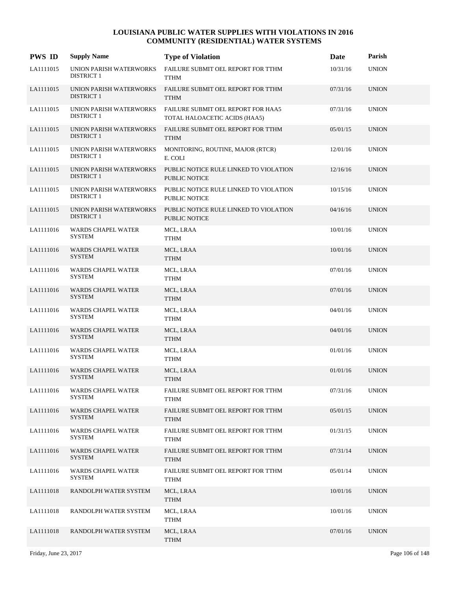| <b>PWS ID</b> | <b>Supply Name</b>                           | <b>Type of Violation</b>                                            | Date     | Parish       |
|---------------|----------------------------------------------|---------------------------------------------------------------------|----------|--------------|
| LA1111015     | UNION PARISH WATERWORKS<br><b>DISTRICT 1</b> | FAILURE SUBMIT OEL REPORT FOR TTHM<br><b>TTHM</b>                   | 10/31/16 | <b>UNION</b> |
| LA1111015     | UNION PARISH WATERWORKS<br><b>DISTRICT 1</b> | FAILURE SUBMIT OEL REPORT FOR TTHM<br><b>TTHM</b>                   | 07/31/16 | <b>UNION</b> |
| LA1111015     | UNION PARISH WATERWORKS<br><b>DISTRICT 1</b> | FAILURE SUBMIT OEL REPORT FOR HAA5<br>TOTAL HALOACETIC ACIDS (HAA5) | 07/31/16 | <b>UNION</b> |
| LA1111015     | UNION PARISH WATERWORKS<br><b>DISTRICT 1</b> | FAILURE SUBMIT OEL REPORT FOR TTHM<br><b>TTHM</b>                   | 05/01/15 | <b>UNION</b> |
| LA1111015     | UNION PARISH WATERWORKS<br><b>DISTRICT 1</b> | MONITORING, ROUTINE, MAJOR (RTCR)<br>E. COLI                        | 12/01/16 | <b>UNION</b> |
| LA1111015     | UNION PARISH WATERWORKS<br><b>DISTRICT 1</b> | PUBLIC NOTICE RULE LINKED TO VIOLATION<br>PUBLIC NOTICE             | 12/16/16 | <b>UNION</b> |
| LA1111015     | UNION PARISH WATERWORKS<br><b>DISTRICT 1</b> | PUBLIC NOTICE RULE LINKED TO VIOLATION<br>PUBLIC NOTICE             | 10/15/16 | <b>UNION</b> |
| LA1111015     | UNION PARISH WATERWORKS<br><b>DISTRICT 1</b> | PUBLIC NOTICE RULE LINKED TO VIOLATION<br>PUBLIC NOTICE             | 04/16/16 | <b>UNION</b> |
| LA1111016     | WARDS CHAPEL WATER<br><b>SYSTEM</b>          | MCL, LRAA<br><b>TTHM</b>                                            | 10/01/16 | <b>UNION</b> |
| LA1111016     | WARDS CHAPEL WATER<br><b>SYSTEM</b>          | MCL, LRAA<br><b>TTHM</b>                                            | 10/01/16 | <b>UNION</b> |
| LA1111016     | WARDS CHAPEL WATER<br><b>SYSTEM</b>          | MCL, LRAA<br>TTHM                                                   | 07/01/16 | <b>UNION</b> |
| LA1111016     | <b>WARDS CHAPEL WATER</b><br><b>SYSTEM</b>   | MCL, LRAA<br><b>TTHM</b>                                            | 07/01/16 | <b>UNION</b> |
| LA1111016     | WARDS CHAPEL WATER<br><b>SYSTEM</b>          | MCL, LRAA<br>TTHM                                                   | 04/01/16 | <b>UNION</b> |
| LA1111016     | <b>WARDS CHAPEL WATER</b><br><b>SYSTEM</b>   | MCL, LRAA<br><b>TTHM</b>                                            | 04/01/16 | <b>UNION</b> |
| LA1111016     | WARDS CHAPEL WATER<br><b>SYSTEM</b>          | MCL, LRAA<br>TTHM                                                   | 01/01/16 | <b>UNION</b> |
| LA1111016     | WARDS CHAPEL WATER<br><b>SYSTEM</b>          | MCL, LRAA<br><b>TTHM</b>                                            | 01/01/16 | <b>UNION</b> |
| LA1111016     | WARDS CHAPEL WATER<br><b>SYSTEM</b>          | FAILURE SUBMIT OEL REPORT FOR TTHM<br><b>TTHM</b>                   | 07/31/16 | <b>UNION</b> |
| LA1111016     | <b>WARDS CHAPEL WATER</b><br><b>SYSTEM</b>   | FAILURE SUBMIT OEL REPORT FOR TTHM<br><b>TTHM</b>                   | 05/01/15 | <b>UNION</b> |
| LA1111016     | <b>WARDS CHAPEL WATER</b><br><b>SYSTEM</b>   | FAILURE SUBMIT OEL REPORT FOR TTHM<br><b>TTHM</b>                   | 01/31/15 | <b>UNION</b> |
| LA1111016     | WARDS CHAPEL WATER<br><b>SYSTEM</b>          | FAILURE SUBMIT OEL REPORT FOR TTHM<br><b>TTHM</b>                   | 07/31/14 | <b>UNION</b> |
| LA1111016     | <b>WARDS CHAPEL WATER</b><br><b>SYSTEM</b>   | FAILURE SUBMIT OEL REPORT FOR TTHM<br><b>TTHM</b>                   | 05/01/14 | <b>UNION</b> |
| LA1111018     | RANDOLPH WATER SYSTEM                        | MCL, LRAA<br><b>TTHM</b>                                            | 10/01/16 | <b>UNION</b> |
| LA1111018     | RANDOLPH WATER SYSTEM                        | MCL, LRAA<br>TTHM                                                   | 10/01/16 | <b>UNION</b> |
| LA1111018     | RANDOLPH WATER SYSTEM                        | MCL, LRAA<br><b>TTHM</b>                                            | 07/01/16 | <b>UNION</b> |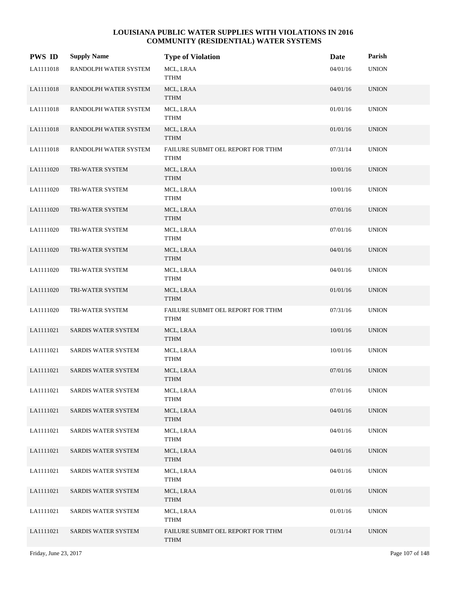| <b>PWS ID</b> | <b>Supply Name</b>         | <b>Type of Violation</b>                          | Date     | Parish       |
|---------------|----------------------------|---------------------------------------------------|----------|--------------|
| LA1111018     | RANDOLPH WATER SYSTEM      | MCL, LRAA<br>TTHM                                 | 04/01/16 | <b>UNION</b> |
| LA1111018     | RANDOLPH WATER SYSTEM      | MCL, LRAA<br><b>TTHM</b>                          | 04/01/16 | <b>UNION</b> |
| LA1111018     | RANDOLPH WATER SYSTEM      | MCL, LRAA<br>TTHM                                 | 01/01/16 | <b>UNION</b> |
| LA1111018     | RANDOLPH WATER SYSTEM      | MCL, LRAA<br><b>TTHM</b>                          | 01/01/16 | <b>UNION</b> |
| LA1111018     | RANDOLPH WATER SYSTEM      | FAILURE SUBMIT OEL REPORT FOR TTHM<br><b>TTHM</b> | 07/31/14 | <b>UNION</b> |
| LA1111020     | TRI-WATER SYSTEM           | MCL, LRAA<br><b>TTHM</b>                          | 10/01/16 | <b>UNION</b> |
| LA1111020     | TRI-WATER SYSTEM           | MCL, LRAA<br><b>TTHM</b>                          | 10/01/16 | <b>UNION</b> |
| LA1111020     | TRI-WATER SYSTEM           | MCL, LRAA<br><b>TTHM</b>                          | 07/01/16 | <b>UNION</b> |
| LA1111020     | TRI-WATER SYSTEM           | MCL, LRAA<br><b>TTHM</b>                          | 07/01/16 | <b>UNION</b> |
| LA1111020     | TRI-WATER SYSTEM           | MCL, LRAA<br><b>TTHM</b>                          | 04/01/16 | <b>UNION</b> |
| LA1111020     | TRI-WATER SYSTEM           | MCL, LRAA<br><b>TTHM</b>                          | 04/01/16 | <b>UNION</b> |
| LA1111020     | TRI-WATER SYSTEM           | MCL, LRAA<br><b>TTHM</b>                          | 01/01/16 | <b>UNION</b> |
| LA1111020     | TRI-WATER SYSTEM           | FAILURE SUBMIT OEL REPORT FOR TTHM<br><b>TTHM</b> | 07/31/16 | <b>UNION</b> |
| LA1111021     | SARDIS WATER SYSTEM        | MCL, LRAA<br><b>TTHM</b>                          | 10/01/16 | <b>UNION</b> |
| LA1111021     | SARDIS WATER SYSTEM        | MCL, LRAA<br><b>TTHM</b>                          | 10/01/16 | <b>UNION</b> |
| LA1111021     | <b>SARDIS WATER SYSTEM</b> | MCL, LRAA<br><b>TTHM</b>                          | 07/01/16 | <b>UNION</b> |
| LA1111021     | SARDIS WATER SYSTEM        | MCL, LRAA<br><b>TTHM</b>                          | 07/01/16 | <b>UNION</b> |
| LA1111021     | SARDIS WATER SYSTEM        | MCL, LRAA<br><b>TTHM</b>                          | 04/01/16 | <b>UNION</b> |
| LA1111021     | SARDIS WATER SYSTEM        | MCL, LRAA<br>TTHM                                 | 04/01/16 | <b>UNION</b> |
| LA1111021     | SARDIS WATER SYSTEM        | MCL, LRAA<br>TTHM                                 | 04/01/16 | <b>UNION</b> |
| LA1111021     | SARDIS WATER SYSTEM        | MCL, LRAA<br><b>TTHM</b>                          | 04/01/16 | <b>UNION</b> |
| LA1111021     | SARDIS WATER SYSTEM        | MCL, LRAA<br><b>TTHM</b>                          | 01/01/16 | <b>UNION</b> |
| LA1111021     | SARDIS WATER SYSTEM        | MCL, LRAA<br>TTHM                                 | 01/01/16 | <b>UNION</b> |
| LA1111021     | SARDIS WATER SYSTEM        | FAILURE SUBMIT OEL REPORT FOR TTHM<br><b>TTHM</b> | 01/31/14 | <b>UNION</b> |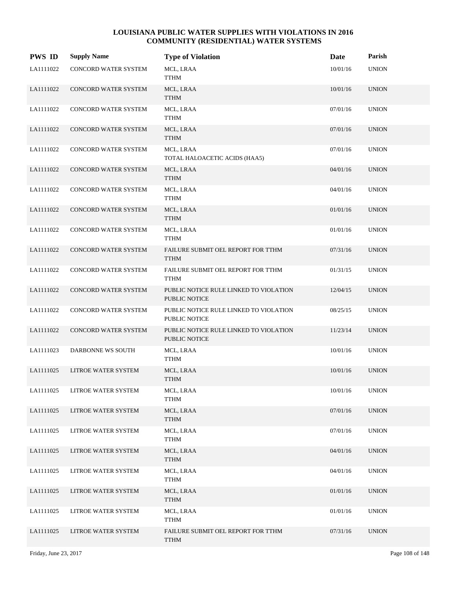| <b>PWS ID</b> | <b>Supply Name</b>   | <b>Type of Violation</b>                                | Date     | Parish       |
|---------------|----------------------|---------------------------------------------------------|----------|--------------|
| LA1111022     | CONCORD WATER SYSTEM | MCL, LRAA<br>TTHM                                       | 10/01/16 | <b>UNION</b> |
| LA1111022     | CONCORD WATER SYSTEM | MCL, LRAA<br><b>TTHM</b>                                | 10/01/16 | <b>UNION</b> |
| LA1111022     | CONCORD WATER SYSTEM | MCL, LRAA<br><b>TTHM</b>                                | 07/01/16 | <b>UNION</b> |
| LA1111022     | CONCORD WATER SYSTEM | MCL, LRAA<br><b>TTHM</b>                                | 07/01/16 | <b>UNION</b> |
| LA1111022     | CONCORD WATER SYSTEM | MCL, LRAA<br>TOTAL HALOACETIC ACIDS (HAA5)              | 07/01/16 | <b>UNION</b> |
| LA1111022     | CONCORD WATER SYSTEM | MCL, LRAA<br><b>TTHM</b>                                | 04/01/16 | <b>UNION</b> |
| LA1111022     | CONCORD WATER SYSTEM | MCL, LRAA<br><b>TTHM</b>                                | 04/01/16 | <b>UNION</b> |
| LA1111022     | CONCORD WATER SYSTEM | MCL, LRAA<br><b>TTHM</b>                                | 01/01/16 | <b>UNION</b> |
| LA1111022     | CONCORD WATER SYSTEM | MCL, LRAA<br><b>TTHM</b>                                | 01/01/16 | <b>UNION</b> |
| LA1111022     | CONCORD WATER SYSTEM | FAILURE SUBMIT OEL REPORT FOR TTHM<br><b>TTHM</b>       | 07/31/16 | <b>UNION</b> |
| LA1111022     | CONCORD WATER SYSTEM | FAILURE SUBMIT OEL REPORT FOR TTHM<br><b>TTHM</b>       | 01/31/15 | <b>UNION</b> |
| LA1111022     | CONCORD WATER SYSTEM | PUBLIC NOTICE RULE LINKED TO VIOLATION<br>PUBLIC NOTICE | 12/04/15 | <b>UNION</b> |
| LA1111022     | CONCORD WATER SYSTEM | PUBLIC NOTICE RULE LINKED TO VIOLATION<br>PUBLIC NOTICE | 08/25/15 | <b>UNION</b> |
| LA1111022     | CONCORD WATER SYSTEM | PUBLIC NOTICE RULE LINKED TO VIOLATION<br>PUBLIC NOTICE | 11/23/14 | <b>UNION</b> |
| LA1111023     | DARBONNE WS SOUTH    | MCL, LRAA<br>TTHM                                       | 10/01/16 | <b>UNION</b> |
| LA1111025     | LITROE WATER SYSTEM  | MCL, LRAA<br><b>TTHM</b>                                | 10/01/16 | <b>UNION</b> |
| LA1111025     | LITROE WATER SYSTEM  | MCL, LRAA<br><b>TTHM</b>                                | 10/01/16 | <b>UNION</b> |
| LA1111025     | LITROE WATER SYSTEM  | MCL, LRAA<br><b>TTHM</b>                                | 07/01/16 | <b>UNION</b> |
| LA1111025     | LITROE WATER SYSTEM  | MCL, LRAA<br>TTHM                                       | 07/01/16 | <b>UNION</b> |
| LA1111025     | LITROE WATER SYSTEM  | MCL, LRAA<br><b>TTHM</b>                                | 04/01/16 | <b>UNION</b> |
| LA1111025     | LITROE WATER SYSTEM  | MCL, LRAA<br>TTHM                                       | 04/01/16 | <b>UNION</b> |
| LA1111025     | LITROE WATER SYSTEM  | MCL, LRAA<br>TTHM                                       | 01/01/16 | <b>UNION</b> |
| LA1111025     | LITROE WATER SYSTEM  | MCL, LRAA<br>TTHM                                       | 01/01/16 | <b>UNION</b> |
| LA1111025     | LITROE WATER SYSTEM  | FAILURE SUBMIT OEL REPORT FOR TTHM<br>TTHM              | 07/31/16 | <b>UNION</b> |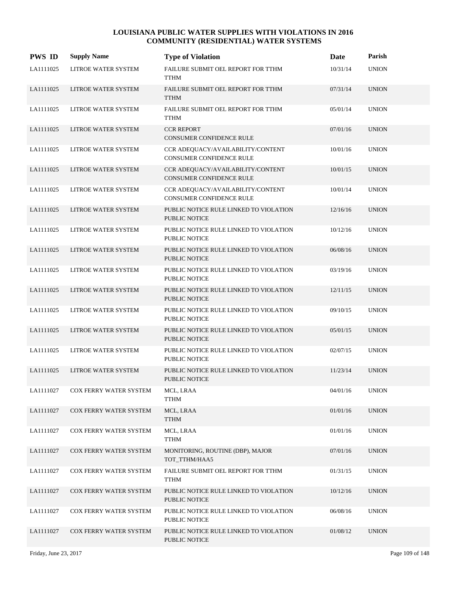| <b>PWS ID</b> | <b>Supply Name</b>         | <b>Type of Violation</b>                                             | Date     | Parish       |
|---------------|----------------------------|----------------------------------------------------------------------|----------|--------------|
| LA1111025     | LITROE WATER SYSTEM        | FAILURE SUBMIT OEL REPORT FOR TTHM<br><b>TTHM</b>                    | 10/31/14 | <b>UNION</b> |
| LA1111025     | LITROE WATER SYSTEM        | FAILURE SUBMIT OEL REPORT FOR TTHM<br><b>TTHM</b>                    | 07/31/14 | <b>UNION</b> |
| LA1111025     | LITROE WATER SYSTEM        | FAILURE SUBMIT OEL REPORT FOR TTHM<br><b>TTHM</b>                    | 05/01/14 | <b>UNION</b> |
| LA1111025     | LITROE WATER SYSTEM        | <b>CCR REPORT</b><br><b>CONSUMER CONFIDENCE RULE</b>                 | 07/01/16 | <b>UNION</b> |
| LA1111025     | <b>LITROE WATER SYSTEM</b> | CCR ADEOUACY/AVAILABILITY/CONTENT<br>CONSUMER CONFIDENCE RULE        | 10/01/16 | <b>UNION</b> |
| LA1111025     | LITROE WATER SYSTEM        | CCR ADEQUACY/AVAILABILITY/CONTENT<br><b>CONSUMER CONFIDENCE RULE</b> | 10/01/15 | <b>UNION</b> |
| LA1111025     | LITROE WATER SYSTEM        | CCR ADEQUACY/AVAILABILITY/CONTENT<br>CONSUMER CONFIDENCE RULE        | 10/01/14 | <b>UNION</b> |
| LA1111025     | LITROE WATER SYSTEM        | PUBLIC NOTICE RULE LINKED TO VIOLATION<br>PUBLIC NOTICE              | 12/16/16 | <b>UNION</b> |
| LA1111025     | LITROE WATER SYSTEM        | PUBLIC NOTICE RULE LINKED TO VIOLATION<br><b>PUBLIC NOTICE</b>       | 10/12/16 | <b>UNION</b> |
| LA1111025     | LITROE WATER SYSTEM        | PUBLIC NOTICE RULE LINKED TO VIOLATION<br><b>PUBLIC NOTICE</b>       | 06/08/16 | <b>UNION</b> |
| LA1111025     | LITROE WATER SYSTEM        | PUBLIC NOTICE RULE LINKED TO VIOLATION<br>PUBLIC NOTICE              | 03/19/16 | <b>UNION</b> |
| LA1111025     | LITROE WATER SYSTEM        | PUBLIC NOTICE RULE LINKED TO VIOLATION<br>PUBLIC NOTICE              | 12/11/15 | <b>UNION</b> |
| LA1111025     | LITROE WATER SYSTEM        | PUBLIC NOTICE RULE LINKED TO VIOLATION<br>PUBLIC NOTICE              | 09/10/15 | <b>UNION</b> |
| LA1111025     | LITROE WATER SYSTEM        | PUBLIC NOTICE RULE LINKED TO VIOLATION<br><b>PUBLIC NOTICE</b>       | 05/01/15 | <b>UNION</b> |
| LA1111025     | LITROE WATER SYSTEM        | PUBLIC NOTICE RULE LINKED TO VIOLATION<br>PUBLIC NOTICE              | 02/07/15 | <b>UNION</b> |
| LA1111025     | LITROE WATER SYSTEM        | PUBLIC NOTICE RULE LINKED TO VIOLATION<br><b>PUBLIC NOTICE</b>       | 11/23/14 | <b>UNION</b> |
| LA1111027     | COX FERRY WATER SYSTEM     | MCL, LRAA<br><b>TTHM</b>                                             | 04/01/16 | <b>UNION</b> |
| LA1111027     | COX FERRY WATER SYSTEM     | MCL, LRAA<br><b>TTHM</b>                                             | 01/01/16 | <b>UNION</b> |
| LA1111027     | COX FERRY WATER SYSTEM     | MCL, LRAA<br><b>TTHM</b>                                             | 01/01/16 | <b>UNION</b> |
| LA1111027     | COX FERRY WATER SYSTEM     | MONITORING, ROUTINE (DBP), MAJOR<br>TOT TTHM/HAA5                    | 07/01/16 | <b>UNION</b> |
| LA1111027     | COX FERRY WATER SYSTEM     | FAILURE SUBMIT OEL REPORT FOR TTHM<br><b>TTHM</b>                    | 01/31/15 | <b>UNION</b> |
| LA1111027     | COX FERRY WATER SYSTEM     | PUBLIC NOTICE RULE LINKED TO VIOLATION<br>PUBLIC NOTICE              | 10/12/16 | <b>UNION</b> |
| LA1111027     | COX FERRY WATER SYSTEM     | PUBLIC NOTICE RULE LINKED TO VIOLATION<br>PUBLIC NOTICE              | 06/08/16 | <b>UNION</b> |
| LA1111027     | COX FERRY WATER SYSTEM     | PUBLIC NOTICE RULE LINKED TO VIOLATION<br>PUBLIC NOTICE              | 01/08/12 | <b>UNION</b> |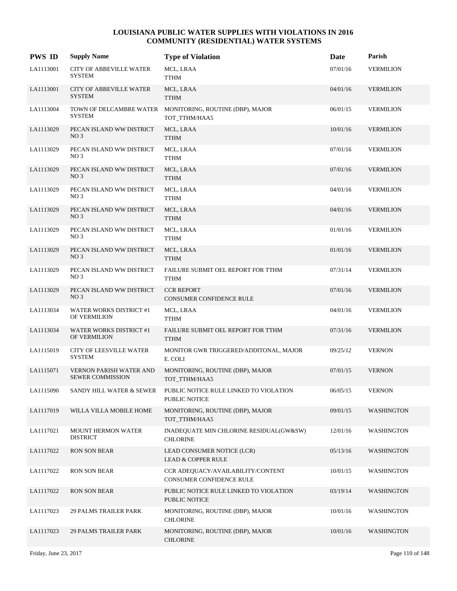| <b>PWS ID</b> | <b>Supply Name</b>                                        | <b>Type of Violation</b>                                      | Date     | Parish            |
|---------------|-----------------------------------------------------------|---------------------------------------------------------------|----------|-------------------|
| LA1113001     | <b>CITY OF ABBEVILLE WATER</b><br><b>SYSTEM</b>           | MCL, LRAA<br><b>TTHM</b>                                      | 07/01/16 | <b>VERMILION</b>  |
| LA1113001     | <b>CITY OF ABBEVILLE WATER</b><br><b>SYSTEM</b>           | MCL, LRAA<br><b>TTHM</b>                                      | 04/01/16 | <b>VERMILION</b>  |
| LA1113004     | TOWN OF DELCAMBRE WATER<br><b>SYSTEM</b>                  | MONITORING, ROUTINE (DBP), MAJOR<br>TOT_TTHM/HAA5             | 06/01/15 | <b>VERMILION</b>  |
| LA1113029     | PECAN ISLAND WW DISTRICT<br>NO <sub>3</sub>               | MCL, LRAA<br><b>TTHM</b>                                      | 10/01/16 | <b>VERMILION</b>  |
| LA1113029     | PECAN ISLAND WW DISTRICT<br>NO <sub>3</sub>               | MCL, LRAA<br>TTHM                                             | 07/01/16 | <b>VERMILION</b>  |
| LA1113029     | PECAN ISLAND WW DISTRICT<br>NO <sub>3</sub>               | MCL, LRAA<br><b>TTHM</b>                                      | 07/01/16 | <b>VERMILION</b>  |
| LA1113029     | PECAN ISLAND WW DISTRICT<br>NO <sub>3</sub>               | MCL, LRAA<br><b>TTHM</b>                                      | 04/01/16 | <b>VERMILION</b>  |
| LA1113029     | PECAN ISLAND WW DISTRICT<br>NO <sub>3</sub>               | MCL, LRAA<br><b>TTHM</b>                                      | 04/01/16 | <b>VERMILION</b>  |
| LA1113029     | PECAN ISLAND WW DISTRICT<br>NO <sub>3</sub>               | MCL, LRAA<br>TTHM                                             | 01/01/16 | <b>VERMILION</b>  |
| LA1113029     | PECAN ISLAND WW DISTRICT<br>NO <sub>3</sub>               | MCL, LRAA<br><b>TTHM</b>                                      | 01/01/16 | <b>VERMILION</b>  |
| LA1113029     | PECAN ISLAND WW DISTRICT<br>NO <sub>3</sub>               | FAILURE SUBMIT OEL REPORT FOR TTHM<br><b>TTHM</b>             | 07/31/14 | <b>VERMILION</b>  |
| LA1113029     | PECAN ISLAND WW DISTRICT<br>NO <sub>3</sub>               | <b>CCR REPORT</b><br><b>CONSUMER CONFIDENCE RULE</b>          | 07/01/16 | <b>VERMILION</b>  |
| LA1113034     | WATER WORKS DISTRICT #1<br>OF VERMILION                   | MCL, LRAA<br><b>TTHM</b>                                      | 04/01/16 | <b>VERMILION</b>  |
| LA1113034     | <b>WATER WORKS DISTRICT #1</b><br>OF VERMILION            | FAILURE SUBMIT OEL REPORT FOR TTHM<br><b>TTHM</b>             | 07/31/16 | <b>VERMILION</b>  |
| LA1115019     | <b>CITY OF LEESVILLE WATER</b><br><b>SYSTEM</b>           | MONITOR GWR TRIGGERED/ADDITONAL, MAJOR<br>E. COLI             | 09/25/12 | <b>VERNON</b>     |
| LA1115071     | <b>VERNON PARISH WATER AND</b><br><b>SEWER COMMISSION</b> | MONITORING, ROUTINE (DBP), MAJOR<br>TOT TTHM/HAA5             | 07/01/15 | <b>VERNON</b>     |
| LA1115090     | SANDY HILL WATER & SEWER                                  | PUBLIC NOTICE RULE LINKED TO VIOLATION<br>PUBLIC NOTICE       | 06/05/15 | <b>VERNON</b>     |
| LA1117019     | WILLA VILLA MOBILE HOME                                   | MONITORING, ROUTINE (DBP), MAJOR<br>TOT_TTHM/HAA5             | 09/01/15 | <b>WASHINGTON</b> |
| LA1117021     | <b>MOUNT HERMON WATER</b><br><b>DISTRICT</b>              | INADEQUATE MIN CHLORINE RESIDUAL(GW&SW)<br><b>CHLORINE</b>    | 12/01/16 | <b>WASHINGTON</b> |
| LA1117022     | <b>RON SON BEAR</b>                                       | LEAD CONSUMER NOTICE (LCR)<br><b>LEAD &amp; COPPER RULE</b>   | 05/13/16 | <b>WASHINGTON</b> |
| LA1117022     | <b>RON SON BEAR</b>                                       | CCR ADEOUACY/AVAILABILITY/CONTENT<br>CONSUMER CONFIDENCE RULE | 10/01/15 | WASHINGTON        |
| LA1117022     | <b>RON SON BEAR</b>                                       | PUBLIC NOTICE RULE LINKED TO VIOLATION<br>PUBLIC NOTICE       | 03/19/14 | <b>WASHINGTON</b> |
| LA1117023     | <b>29 PALMS TRAILER PARK</b>                              | MONITORING, ROUTINE (DBP), MAJOR<br><b>CHLORINE</b>           | 10/01/16 | <b>WASHINGTON</b> |
| LA1117023     | <b>29 PALMS TRAILER PARK</b>                              | MONITORING, ROUTINE (DBP), MAJOR<br><b>CHLORINE</b>           | 10/01/16 | <b>WASHINGTON</b> |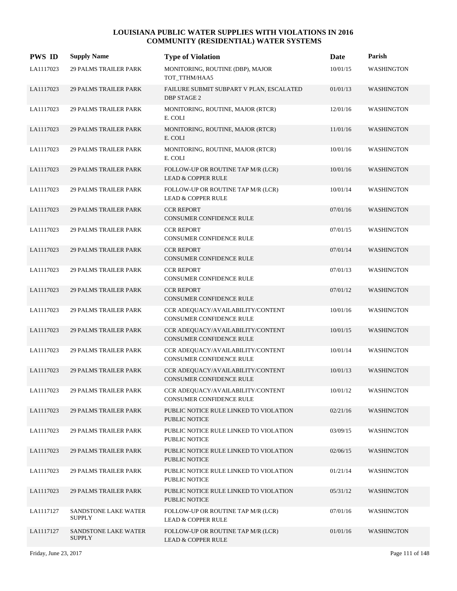| <b>PWS ID</b> | <b>Supply Name</b>                           | <b>Type of Violation</b>                                             | Date     | Parish            |
|---------------|----------------------------------------------|----------------------------------------------------------------------|----------|-------------------|
| LA1117023     | 29 PALMS TRAILER PARK                        | MONITORING, ROUTINE (DBP), MAJOR<br>TOT_TTHM/HAA5                    | 10/01/15 | <b>WASHINGTON</b> |
| LA1117023     | <b>29 PALMS TRAILER PARK</b>                 | FAILURE SUBMIT SUBPART V PLAN, ESCALATED<br><b>DBP STAGE 2</b>       | 01/01/13 | <b>WASHINGTON</b> |
| LA1117023     | <b>29 PALMS TRAILER PARK</b>                 | MONITORING, ROUTINE, MAJOR (RTCR)<br>E. COLI                         | 12/01/16 | <b>WASHINGTON</b> |
| LA1117023     | <b>29 PALMS TRAILER PARK</b>                 | MONITORING, ROUTINE, MAJOR (RTCR)<br>E. COLI                         | 11/01/16 | <b>WASHINGTON</b> |
| LA1117023     | <b>29 PALMS TRAILER PARK</b>                 | MONITORING, ROUTINE, MAJOR (RTCR)<br>E. COLI                         | 10/01/16 | <b>WASHINGTON</b> |
| LA1117023     | <b>29 PALMS TRAILER PARK</b>                 | FOLLOW-UP OR ROUTINE TAP M/R (LCR)<br><b>LEAD &amp; COPPER RULE</b>  | 10/01/16 | WASHINGTON        |
| LA1117023     | <b>29 PALMS TRAILER PARK</b>                 | FOLLOW-UP OR ROUTINE TAP M/R (LCR)<br><b>LEAD &amp; COPPER RULE</b>  | 10/01/14 | <b>WASHINGTON</b> |
| LA1117023     | <b>29 PALMS TRAILER PARK</b>                 | <b>CCR REPORT</b><br><b>CONSUMER CONFIDENCE RULE</b>                 | 07/01/16 | <b>WASHINGTON</b> |
| LA1117023     | <b>29 PALMS TRAILER PARK</b>                 | <b>CCR REPORT</b><br>CONSUMER CONFIDENCE RULE                        | 07/01/15 | <b>WASHINGTON</b> |
| LA1117023     | <b>29 PALMS TRAILER PARK</b>                 | <b>CCR REPORT</b><br>CONSUMER CONFIDENCE RULE                        | 07/01/14 | WASHINGTON        |
| LA1117023     | <b>29 PALMS TRAILER PARK</b>                 | <b>CCR REPORT</b><br>CONSUMER CONFIDENCE RULE                        | 07/01/13 | WASHINGTON        |
| LA1117023     | <b>29 PALMS TRAILER PARK</b>                 | <b>CCR REPORT</b><br>CONSUMER CONFIDENCE RULE                        | 07/01/12 | <b>WASHINGTON</b> |
| LA1117023     | <b>29 PALMS TRAILER PARK</b>                 | CCR ADEQUACY/AVAILABILITY/CONTENT<br>CONSUMER CONFIDENCE RULE        | 10/01/16 | WASHINGTON        |
| LA1117023     | <b>29 PALMS TRAILER PARK</b>                 | CCR ADEQUACY/AVAILABILITY/CONTENT<br>CONSUMER CONFIDENCE RULE        | 10/01/15 | <b>WASHINGTON</b> |
| LA1117023     | <b>29 PALMS TRAILER PARK</b>                 | CCR ADEQUACY/AVAILABILITY/CONTENT<br><b>CONSUMER CONFIDENCE RULE</b> | 10/01/14 | <b>WASHINGTON</b> |
| LA1117023     | <b>29 PALMS TRAILER PARK</b>                 | CCR ADEQUACY/AVAILABILITY/CONTENT<br><b>CONSUMER CONFIDENCE RULE</b> | 10/01/13 | WASHINGTON        |
| LA1117023     | <b>29 PALMS TRAILER PARK</b>                 | CCR ADEQUACY/AVAILABILITY/CONTENT<br>CONSUMER CONFIDENCE RULE        | 10/01/12 | WASHINGTON        |
| LA1117023     | <b>29 PALMS TRAILER PARK</b>                 | PUBLIC NOTICE RULE LINKED TO VIOLATION<br>PUBLIC NOTICE              | 02/21/16 | <b>WASHINGTON</b> |
| LA1117023     | <b>29 PALMS TRAILER PARK</b>                 | PUBLIC NOTICE RULE LINKED TO VIOLATION<br>PUBLIC NOTICE              | 03/09/15 | <b>WASHINGTON</b> |
| LA1117023     | <b>29 PALMS TRAILER PARK</b>                 | PUBLIC NOTICE RULE LINKED TO VIOLATION<br>PUBLIC NOTICE              | 02/06/15 | <b>WASHINGTON</b> |
| LA1117023     | 29 PALMS TRAILER PARK                        | PUBLIC NOTICE RULE LINKED TO VIOLATION<br>PUBLIC NOTICE              | 01/21/14 | <b>WASHINGTON</b> |
| LA1117023     | <b>29 PALMS TRAILER PARK</b>                 | PUBLIC NOTICE RULE LINKED TO VIOLATION<br>PUBLIC NOTICE              | 05/31/12 | <b>WASHINGTON</b> |
| LA1117127     | SANDSTONE LAKE WATER<br><b>SUPPLY</b>        | FOLLOW-UP OR ROUTINE TAP M/R (LCR)<br><b>LEAD &amp; COPPER RULE</b>  | 07/01/16 | <b>WASHINGTON</b> |
| LA1117127     | <b>SANDSTONE LAKE WATER</b><br><b>SUPPLY</b> | FOLLOW-UP OR ROUTINE TAP M/R (LCR)<br><b>LEAD &amp; COPPER RULE</b>  | 01/01/16 | <b>WASHINGTON</b> |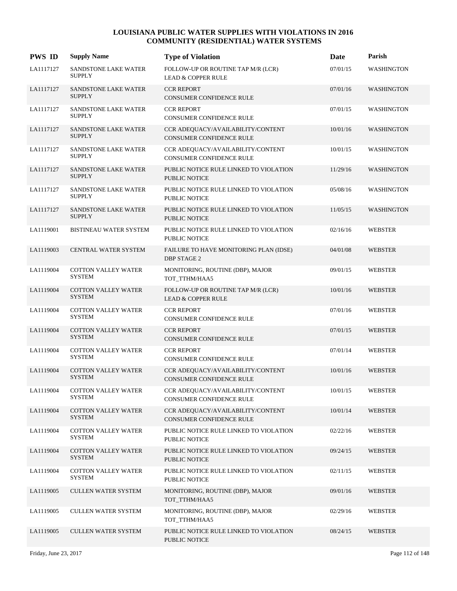| <b>PWS ID</b> | <b>Supply Name</b>                           | <b>Type of Violation</b>                                             | Date     | Parish            |
|---------------|----------------------------------------------|----------------------------------------------------------------------|----------|-------------------|
| LA1117127     | SANDSTONE LAKE WATER<br><b>SUPPLY</b>        | FOLLOW-UP OR ROUTINE TAP M/R (LCR)<br><b>LEAD &amp; COPPER RULE</b>  | 07/01/15 | <b>WASHINGTON</b> |
| LA1117127     | SANDSTONE LAKE WATER<br><b>SUPPLY</b>        | <b>CCR REPORT</b><br>CONSUMER CONFIDENCE RULE                        | 07/01/16 | <b>WASHINGTON</b> |
| LA1117127     | SANDSTONE LAKE WATER<br><b>SUPPLY</b>        | <b>CCR REPORT</b><br>CONSUMER CONFIDENCE RULE                        | 07/01/15 | <b>WASHINGTON</b> |
| LA1117127     | <b>SANDSTONE LAKE WATER</b><br><b>SUPPLY</b> | CCR ADEOUACY/AVAILABILITY/CONTENT<br><b>CONSUMER CONFIDENCE RULE</b> | 10/01/16 | <b>WASHINGTON</b> |
| LA1117127     | <b>SANDSTONE LAKE WATER</b><br><b>SUPPLY</b> | CCR ADEQUACY/AVAILABILITY/CONTENT<br>CONSUMER CONFIDENCE RULE        | 10/01/15 | <b>WASHINGTON</b> |
| LA1117127     | SANDSTONE LAKE WATER<br><b>SUPPLY</b>        | PUBLIC NOTICE RULE LINKED TO VIOLATION<br><b>PUBLIC NOTICE</b>       | 11/29/16 | <b>WASHINGTON</b> |
| LA1117127     | <b>SANDSTONE LAKE WATER</b><br><b>SUPPLY</b> | PUBLIC NOTICE RULE LINKED TO VIOLATION<br><b>PUBLIC NOTICE</b>       | 05/08/16 | WASHINGTON        |
| LA1117127     | <b>SANDSTONE LAKE WATER</b><br><b>SUPPLY</b> | PUBLIC NOTICE RULE LINKED TO VIOLATION<br><b>PUBLIC NOTICE</b>       | 11/05/15 | <b>WASHINGTON</b> |
| LA1119001     | BISTINEAU WATER SYSTEM                       | PUBLIC NOTICE RULE LINKED TO VIOLATION<br>PUBLIC NOTICE              | 02/16/16 | <b>WEBSTER</b>    |
| LA1119003     | CENTRAL WATER SYSTEM                         | FAILURE TO HAVE MONITORING PLAN (IDSE)<br><b>DBP STAGE 2</b>         | 04/01/08 | <b>WEBSTER</b>    |
| LA1119004     | <b>COTTON VALLEY WATER</b><br><b>SYSTEM</b>  | MONITORING, ROUTINE (DBP), MAJOR<br>TOT_TTHM/HAA5                    | 09/01/15 | <b>WEBSTER</b>    |
| LA1119004     | <b>COTTON VALLEY WATER</b><br><b>SYSTEM</b>  | FOLLOW-UP OR ROUTINE TAP M/R (LCR)<br><b>LEAD &amp; COPPER RULE</b>  | 10/01/16 | <b>WEBSTER</b>    |
| LA1119004     | <b>COTTON VALLEY WATER</b><br><b>SYSTEM</b>  | <b>CCR REPORT</b><br>CONSUMER CONFIDENCE RULE                        | 07/01/16 | <b>WEBSTER</b>    |
| LA1119004     | <b>COTTON VALLEY WATER</b><br><b>SYSTEM</b>  | <b>CCR REPORT</b><br>CONSUMER CONFIDENCE RULE                        | 07/01/15 | <b>WEBSTER</b>    |
| LA1119004     | <b>COTTON VALLEY WATER</b><br><b>SYSTEM</b>  | <b>CCR REPORT</b><br>CONSUMER CONFIDENCE RULE                        | 07/01/14 | <b>WEBSTER</b>    |
| LA1119004     | <b>COTTON VALLEY WATER</b><br><b>SYSTEM</b>  | CCR ADEQUACY/AVAILABILITY/CONTENT<br>CONSUMER CONFIDENCE RULE        | 10/01/16 | <b>WEBSTER</b>    |
| LA1119004     | <b>COTTON VALLEY WATER</b><br>SYSTEM         | CCR ADEQUACY/AVAILABILITY/CONTENT<br>CONSUMER CONFIDENCE RULE        | 10/01/15 | <b>WEBSTER</b>    |
| LA1119004     | <b>COTTON VALLEY WATER</b><br><b>SYSTEM</b>  | CCR ADEQUACY/AVAILABILITY/CONTENT<br>CONSUMER CONFIDENCE RULE        | 10/01/14 | <b>WEBSTER</b>    |
| LA1119004     | <b>COTTON VALLEY WATER</b><br><b>SYSTEM</b>  | PUBLIC NOTICE RULE LINKED TO VIOLATION<br>PUBLIC NOTICE              | 02/22/16 | WEBSTER           |
| LA1119004     | <b>COTTON VALLEY WATER</b><br><b>SYSTEM</b>  | PUBLIC NOTICE RULE LINKED TO VIOLATION<br>PUBLIC NOTICE              | 09/24/15 | <b>WEBSTER</b>    |
| LA1119004     | COTTON VALLEY WATER<br><b>SYSTEM</b>         | PUBLIC NOTICE RULE LINKED TO VIOLATION<br>PUBLIC NOTICE              | 02/11/15 | <b>WEBSTER</b>    |
| LA1119005     | <b>CULLEN WATER SYSTEM</b>                   | MONITORING, ROUTINE (DBP), MAJOR<br>TOT_TTHM/HAA5                    | 09/01/16 | <b>WEBSTER</b>    |
| LA1119005     | <b>CULLEN WATER SYSTEM</b>                   | MONITORING, ROUTINE (DBP), MAJOR<br>TOT_TTHM/HAA5                    | 02/29/16 | WEBSTER           |
| LA1119005     | <b>CULLEN WATER SYSTEM</b>                   | PUBLIC NOTICE RULE LINKED TO VIOLATION<br>PUBLIC NOTICE              | 08/24/15 | <b>WEBSTER</b>    |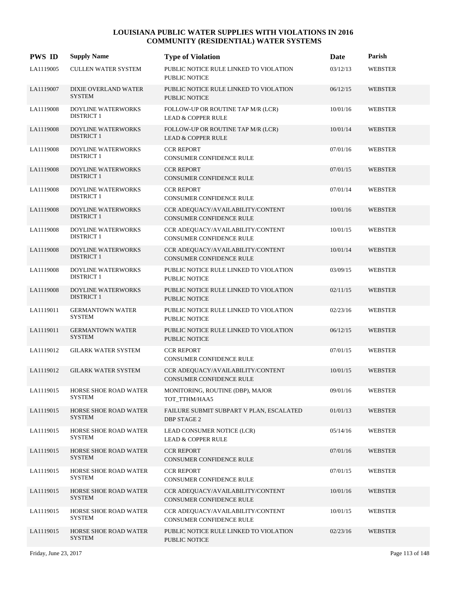| <b>PWS ID</b> | <b>Supply Name</b>                             | <b>Type of Violation</b>                                             | Date     | Parish         |
|---------------|------------------------------------------------|----------------------------------------------------------------------|----------|----------------|
| LA1119005     | <b>CULLEN WATER SYSTEM</b>                     | PUBLIC NOTICE RULE LINKED TO VIOLATION<br>PUBLIC NOTICE              | 03/12/13 | <b>WEBSTER</b> |
| LA1119007     | DIXIE OVERLAND WATER<br><b>SYSTEM</b>          | PUBLIC NOTICE RULE LINKED TO VIOLATION<br><b>PUBLIC NOTICE</b>       | 06/12/15 | <b>WEBSTER</b> |
| LA1119008     | DOYLINE WATERWORKS<br><b>DISTRICT 1</b>        | FOLLOW-UP OR ROUTINE TAP M/R (LCR)<br><b>LEAD &amp; COPPER RULE</b>  | 10/01/16 | <b>WEBSTER</b> |
| LA1119008     | DOYLINE WATERWORKS<br><b>DISTRICT 1</b>        | FOLLOW-UP OR ROUTINE TAP M/R (LCR)<br><b>LEAD &amp; COPPER RULE</b>  | 10/01/14 | WEBSTER        |
| LA1119008     | DOYLINE WATERWORKS<br><b>DISTRICT 1</b>        | <b>CCR REPORT</b><br>CONSUMER CONFIDENCE RULE                        | 07/01/16 | <b>WEBSTER</b> |
| LA1119008     | DOYLINE WATERWORKS<br><b>DISTRICT 1</b>        | <b>CCR REPORT</b><br>CONSUMER CONFIDENCE RULE                        | 07/01/15 | WEBSTER        |
| LA1119008     | DOYLINE WATERWORKS<br><b>DISTRICT 1</b>        | <b>CCR REPORT</b><br>CONSUMER CONFIDENCE RULE                        | 07/01/14 | <b>WEBSTER</b> |
| LA1119008     | <b>DOYLINE WATERWORKS</b><br><b>DISTRICT 1</b> | CCR ADEQUACY/AVAILABILITY/CONTENT<br><b>CONSUMER CONFIDENCE RULE</b> | 10/01/16 | <b>WEBSTER</b> |
| LA1119008     | DOYLINE WATERWORKS<br><b>DISTRICT 1</b>        | CCR ADEOUACY/AVAILABILITY/CONTENT<br>CONSUMER CONFIDENCE RULE        | 10/01/15 | <b>WEBSTER</b> |
| LA1119008     | <b>DOYLINE WATERWORKS</b><br><b>DISTRICT 1</b> | CCR ADEQUACY/AVAILABILITY/CONTENT<br>CONSUMER CONFIDENCE RULE        | 10/01/14 | WEBSTER        |
| LA1119008     | DOYLINE WATERWORKS<br><b>DISTRICT 1</b>        | PUBLIC NOTICE RULE LINKED TO VIOLATION<br>PUBLIC NOTICE              | 03/09/15 | <b>WEBSTER</b> |
| LA1119008     | DOYLINE WATERWORKS<br><b>DISTRICT 1</b>        | PUBLIC NOTICE RULE LINKED TO VIOLATION<br><b>PUBLIC NOTICE</b>       | 02/11/15 | <b>WEBSTER</b> |
| LA1119011     | <b>GERMANTOWN WATER</b><br><b>SYSTEM</b>       | PUBLIC NOTICE RULE LINKED TO VIOLATION<br>PUBLIC NOTICE              | 02/23/16 | <b>WEBSTER</b> |
| LA1119011     | <b>GERMANTOWN WATER</b><br><b>SYSTEM</b>       | PUBLIC NOTICE RULE LINKED TO VIOLATION<br><b>PUBLIC NOTICE</b>       | 06/12/15 | <b>WEBSTER</b> |
| LA1119012     | <b>GILARK WATER SYSTEM</b>                     | <b>CCR REPORT</b><br>CONSUMER CONFIDENCE RULE                        | 07/01/15 | <b>WEBSTER</b> |
| LA1119012     | <b>GILARK WATER SYSTEM</b>                     | CCR ADEQUACY/AVAILABILITY/CONTENT<br>CONSUMER CONFIDENCE RULE        | 10/01/15 | <b>WEBSTER</b> |
| LA1119015     | HORSE SHOE ROAD WATER<br>SYSTEM                | MONITORING, ROUTINE (DBP), MAJOR<br>TOT_TTHM/HAA5                    | 09/01/16 | WEBSTER        |
| LA1119015     | HORSE SHOE ROAD WATER<br><b>SYSTEM</b>         | FAILURE SUBMIT SUBPART V PLAN, ESCALATED<br><b>DBP STAGE 2</b>       | 01/01/13 | <b>WEBSTER</b> |
| LA1119015     | HORSE SHOE ROAD WATER<br><b>SYSTEM</b>         | LEAD CONSUMER NOTICE (LCR)<br><b>LEAD &amp; COPPER RULE</b>          | 05/14/16 | <b>WEBSTER</b> |
| LA1119015     | HORSE SHOE ROAD WATER<br><b>SYSTEM</b>         | <b>CCR REPORT</b><br>CONSUMER CONFIDENCE RULE                        | 07/01/16 | <b>WEBSTER</b> |
| LA1119015     | HORSE SHOE ROAD WATER<br><b>SYSTEM</b>         | <b>CCR REPORT</b><br>CONSUMER CONFIDENCE RULE                        | 07/01/15 | WEBSTER        |
| LA1119015     | HORSE SHOE ROAD WATER<br>SYSTEM                | CCR ADEQUACY/AVAILABILITY/CONTENT<br>CONSUMER CONFIDENCE RULE        | 10/01/16 | <b>WEBSTER</b> |
| LA1119015     | HORSE SHOE ROAD WATER<br><b>SYSTEM</b>         | CCR ADEQUACY/AVAILABILITY/CONTENT<br>CONSUMER CONFIDENCE RULE        | 10/01/15 | <b>WEBSTER</b> |
| LA1119015     | HORSE SHOE ROAD WATER<br><b>SYSTEM</b>         | PUBLIC NOTICE RULE LINKED TO VIOLATION<br>PUBLIC NOTICE              | 02/23/16 | <b>WEBSTER</b> |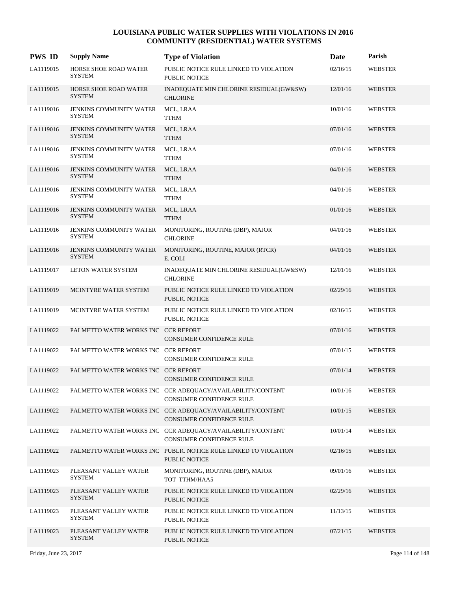| <b>PWS ID</b> | <b>Supply Name</b>                              | <b>Type of Violation</b>                                                               | Date     | Parish         |
|---------------|-------------------------------------------------|----------------------------------------------------------------------------------------|----------|----------------|
| LA1119015     | <b>HORSE SHOE ROAD WATER</b><br><b>SYSTEM</b>   | PUBLIC NOTICE RULE LINKED TO VIOLATION<br><b>PUBLIC NOTICE</b>                         | 02/16/15 | <b>WEBSTER</b> |
| LA1119015     | <b>HORSE SHOE ROAD WATER</b><br><b>SYSTEM</b>   | INADEQUATE MIN CHLORINE RESIDUAL(GW&SW)<br><b>CHLORINE</b>                             | 12/01/16 | <b>WEBSTER</b> |
| LA1119016     | <b>JENKINS COMMUNITY WATER</b><br><b>SYSTEM</b> | MCL, LRAA<br>${\sf TTHM}$                                                              | 10/01/16 | WEBSTER        |
| LA1119016     | <b>JENKINS COMMUNITY WATER</b><br><b>SYSTEM</b> | MCL, LRAA<br><b>TTHM</b>                                                               | 07/01/16 | <b>WEBSTER</b> |
| LA1119016     | <b>JENKINS COMMUNITY WATER</b><br><b>SYSTEM</b> | MCL, LRAA<br><b>TTHM</b>                                                               | 07/01/16 | WEBSTER        |
| LA1119016     | <b>JENKINS COMMUNITY WATER</b><br><b>SYSTEM</b> | MCL, LRAA<br><b>TTHM</b>                                                               | 04/01/16 | <b>WEBSTER</b> |
| LA1119016     | <b>JENKINS COMMUNITY WATER</b><br><b>SYSTEM</b> | MCL, LRAA<br><b>TTHM</b>                                                               | 04/01/16 | <b>WEBSTER</b> |
| LA1119016     | JENKINS COMMUNITY WATER<br><b>SYSTEM</b>        | MCL, LRAA<br><b>TTHM</b>                                                               | 01/01/16 | <b>WEBSTER</b> |
| LA1119016     | <b>JENKINS COMMUNITY WATER</b><br><b>SYSTEM</b> | MONITORING, ROUTINE (DBP), MAJOR<br><b>CHLORINE</b>                                    | 04/01/16 | WEBSTER        |
| LA1119016     | <b>JENKINS COMMUNITY WATER</b><br><b>SYSTEM</b> | MONITORING, ROUTINE, MAJOR (RTCR)<br>E. COLI                                           | 04/01/16 | <b>WEBSTER</b> |
| LA1119017     | LETON WATER SYSTEM                              | INADEQUATE MIN CHLORINE RESIDUAL(GW&SW)<br><b>CHLORINE</b>                             | 12/01/16 | <b>WEBSTER</b> |
| LA1119019     | MCINTYRE WATER SYSTEM                           | PUBLIC NOTICE RULE LINKED TO VIOLATION<br>PUBLIC NOTICE                                | 02/29/16 | <b>WEBSTER</b> |
| LA1119019     | MCINTYRE WATER SYSTEM                           | PUBLIC NOTICE RULE LINKED TO VIOLATION<br>PUBLIC NOTICE                                | 02/16/15 | <b>WEBSTER</b> |
| LA1119022     | PALMETTO WATER WORKS INC CCR REPORT             | CONSUMER CONFIDENCE RULE                                                               | 07/01/16 | <b>WEBSTER</b> |
| LA1119022     | PALMETTO WATER WORKS INC CCR REPORT             | CONSUMER CONFIDENCE RULE                                                               | 07/01/15 | <b>WEBSTER</b> |
| LA1119022     | PALMETTO WATER WORKS INC CCR REPORT             | <b>CONSUMER CONFIDENCE RULE</b>                                                        | 07/01/14 | <b>WEBSTER</b> |
| LA1119022     |                                                 | PALMETTO WATER WORKS INC CCR ADEQUACY/AVAILABILITY/CONTENT<br>CONSUMER CONFIDENCE RULE | 10/01/16 | <b>WEBSTER</b> |
| LA1119022     |                                                 | PALMETTO WATER WORKS INC CCR ADEOUACY/AVAILABILITY/CONTENT<br>CONSUMER CONFIDENCE RULE | 10/01/15 | <b>WEBSTER</b> |
| LA1119022     |                                                 | PALMETTO WATER WORKS INC CCR ADEQUACY/AVAILABILITY/CONTENT<br>CONSUMER CONFIDENCE RULE | 10/01/14 | <b>WEBSTER</b> |
| LA1119022     |                                                 | PALMETTO WATER WORKS INC PUBLIC NOTICE RULE LINKED TO VIOLATION<br>PUBLIC NOTICE       | 02/16/15 | <b>WEBSTER</b> |
| LA1119023     | PLEASANT VALLEY WATER<br><b>SYSTEM</b>          | MONITORING, ROUTINE (DBP), MAJOR<br>TOT_TTHM/HAA5                                      | 09/01/16 | <b>WEBSTER</b> |
| LA1119023     | PLEASANT VALLEY WATER<br><b>SYSTEM</b>          | PUBLIC NOTICE RULE LINKED TO VIOLATION<br>PUBLIC NOTICE                                | 02/29/16 | <b>WEBSTER</b> |
| LA1119023     | PLEASANT VALLEY WATER<br><b>SYSTEM</b>          | PUBLIC NOTICE RULE LINKED TO VIOLATION<br>PUBLIC NOTICE                                | 11/13/15 | <b>WEBSTER</b> |
| LA1119023     | PLEASANT VALLEY WATER<br><b>SYSTEM</b>          | PUBLIC NOTICE RULE LINKED TO VIOLATION<br>PUBLIC NOTICE                                | 07/21/15 | <b>WEBSTER</b> |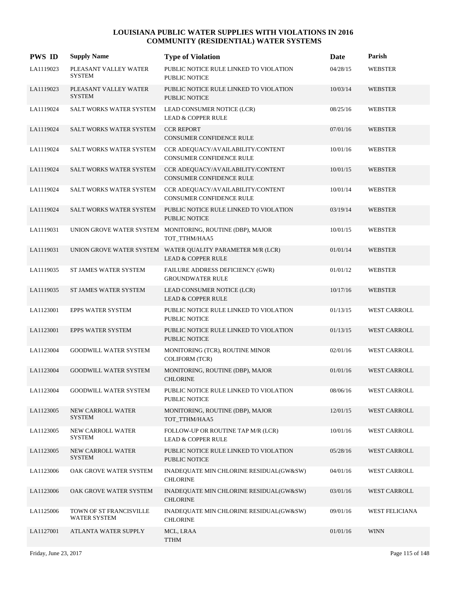| <b>PWS ID</b> | <b>Supply Name</b>                             | <b>Type of Violation</b>                                                                    | Date     | Parish                |
|---------------|------------------------------------------------|---------------------------------------------------------------------------------------------|----------|-----------------------|
| LA1119023     | PLEASANT VALLEY WATER<br><b>SYSTEM</b>         | PUBLIC NOTICE RULE LINKED TO VIOLATION<br>PUBLIC NOTICE                                     | 04/28/15 | <b>WEBSTER</b>        |
| LA1119023     | PLEASANT VALLEY WATER<br><b>SYSTEM</b>         | PUBLIC NOTICE RULE LINKED TO VIOLATION<br><b>PUBLIC NOTICE</b>                              | 10/03/14 | <b>WEBSTER</b>        |
| LA1119024     | SALT WORKS WATER SYSTEM                        | LEAD CONSUMER NOTICE (LCR)<br><b>LEAD &amp; COPPER RULE</b>                                 | 08/25/16 | <b>WEBSTER</b>        |
| LA1119024     | <b>SALT WORKS WATER SYSTEM</b>                 | <b>CCR REPORT</b><br><b>CONSUMER CONFIDENCE RULE</b>                                        | 07/01/16 | <b>WEBSTER</b>        |
| LA1119024     | SALT WORKS WATER SYSTEM                        | CCR ADEQUACY/AVAILABILITY/CONTENT<br>CONSUMER CONFIDENCE RULE                               | 10/01/16 | <b>WEBSTER</b>        |
| LA1119024     | SALT WORKS WATER SYSTEM                        | CCR ADEQUACY/AVAILABILITY/CONTENT<br>CONSUMER CONFIDENCE RULE                               | 10/01/15 | <b>WEBSTER</b>        |
| LA1119024     | SALT WORKS WATER SYSTEM                        | CCR ADEQUACY/AVAILABILITY/CONTENT<br>CONSUMER CONFIDENCE RULE                               | 10/01/14 | WEBSTER               |
| LA1119024     | SALT WORKS WATER SYSTEM                        | PUBLIC NOTICE RULE LINKED TO VIOLATION<br><b>PUBLIC NOTICE</b>                              | 03/19/14 | <b>WEBSTER</b>        |
| LA1119031     |                                                | UNION GROVE WATER SYSTEM MONITORING, ROUTINE (DBP), MAJOR<br>TOT_TTHM/HAA5                  | 10/01/15 | <b>WEBSTER</b>        |
| LA1119031     |                                                | UNION GROVE WATER SYSTEM WATER QUALITY PARAMETER M/R (LCR)<br><b>LEAD &amp; COPPER RULE</b> | 01/01/14 | <b>WEBSTER</b>        |
| LA1119035     | ST JAMES WATER SYSTEM                          | FAILURE ADDRESS DEFICIENCY (GWR)<br><b>GROUNDWATER RULE</b>                                 | 01/01/12 | <b>WEBSTER</b>        |
| LA1119035     | <b>ST JAMES WATER SYSTEM</b>                   | LEAD CONSUMER NOTICE (LCR)<br><b>LEAD &amp; COPPER RULE</b>                                 | 10/17/16 | <b>WEBSTER</b>        |
| LA1123001     | EPPS WATER SYSTEM                              | PUBLIC NOTICE RULE LINKED TO VIOLATION<br><b>PUBLIC NOTICE</b>                              | 01/13/15 | WEST CARROLL          |
| LA1123001     | <b>EPPS WATER SYSTEM</b>                       | PUBLIC NOTICE RULE LINKED TO VIOLATION<br><b>PUBLIC NOTICE</b>                              | 01/13/15 | <b>WEST CARROLL</b>   |
| LA1123004     | <b>GOODWILL WATER SYSTEM</b>                   | MONITORING (TCR), ROUTINE MINOR<br><b>COLIFORM (TCR)</b>                                    | 02/01/16 | <b>WEST CARROLL</b>   |
| LA1123004     | <b>GOODWILL WATER SYSTEM</b>                   | MONITORING, ROUTINE (DBP), MAJOR<br><b>CHLORINE</b>                                         | 01/01/16 | <b>WEST CARROLL</b>   |
| LA1123004     | <b>GOODWILL WATER SYSTEM</b>                   | PUBLIC NOTICE RULE LINKED TO VIOLATION<br>PUBLIC NOTICE                                     | 08/06/16 | WEST CARROLL          |
| LA1123005     | NEW CARROLL WATER<br><b>SYSTEM</b>             | MONITORING, ROUTINE (DBP), MAJOR<br>TOT_TTHM/HAA5                                           | 12/01/15 | WEST CARROLL          |
| LA1123005     | NEW CARROLL WATER<br>SYSTEM                    | FOLLOW-UP OR ROUTINE TAP M/R (LCR)<br><b>LEAD &amp; COPPER RULE</b>                         | 10/01/16 | WEST CARROLL          |
| LA1123005     | NEW CARROLL WATER<br><b>SYSTEM</b>             | PUBLIC NOTICE RULE LINKED TO VIOLATION<br><b>PUBLIC NOTICE</b>                              | 05/28/16 | WEST CARROLL          |
| LA1123006     | OAK GROVE WATER SYSTEM                         | INADEQUATE MIN CHLORINE RESIDUAL(GW&SW)<br><b>CHLORINE</b>                                  | 04/01/16 | <b>WEST CARROLL</b>   |
| LA1123006     | OAK GROVE WATER SYSTEM                         | INADEQUATE MIN CHLORINE RESIDUAL(GW&SW)<br><b>CHLORINE</b>                                  | 03/01/16 | WEST CARROLL          |
| LA1125006     | TOWN OF ST FRANCISVILLE<br><b>WATER SYSTEM</b> | INADEQUATE MIN CHLORINE RESIDUAL(GW&SW)<br><b>CHLORINE</b>                                  | 09/01/16 | <b>WEST FELICIANA</b> |
| LA1127001     | ATLANTA WATER SUPPLY                           | MCL, LRAA<br><b>TTHM</b>                                                                    | 01/01/16 | <b>WINN</b>           |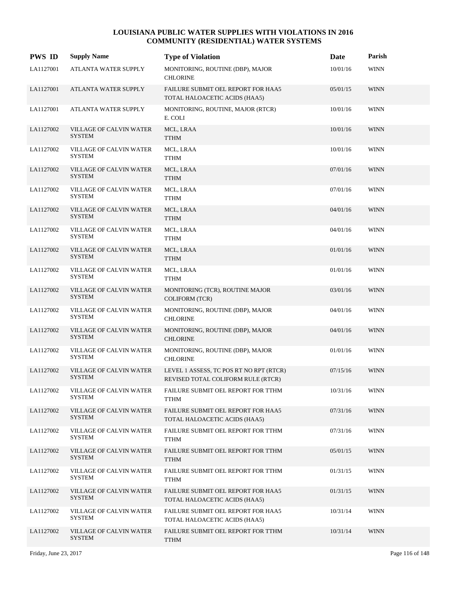| <b>PWS ID</b> | <b>Supply Name</b>                              | <b>Type of Violation</b>                                                      | Date     | Parish      |
|---------------|-------------------------------------------------|-------------------------------------------------------------------------------|----------|-------------|
| LA1127001     | ATLANTA WATER SUPPLY                            | MONITORING, ROUTINE (DBP), MAJOR<br><b>CHLORINE</b>                           | 10/01/16 | <b>WINN</b> |
| LA1127001     | ATLANTA WATER SUPPLY                            | FAILURE SUBMIT OEL REPORT FOR HAA5<br>TOTAL HALOACETIC ACIDS (HAA5)           | 05/01/15 | <b>WINN</b> |
| LA1127001     | ATLANTA WATER SUPPLY                            | MONITORING, ROUTINE, MAJOR (RTCR)<br>E. COLI                                  | 10/01/16 | <b>WINN</b> |
| LA1127002     | VILLAGE OF CALVIN WATER<br><b>SYSTEM</b>        | MCL, LRAA<br><b>TTHM</b>                                                      | 10/01/16 | <b>WINN</b> |
| LA1127002     | VILLAGE OF CALVIN WATER<br>SYSTEM               | MCL, LRAA<br>TTHM                                                             | 10/01/16 | <b>WINN</b> |
| LA1127002     | VILLAGE OF CALVIN WATER<br><b>SYSTEM</b>        | MCL, LRAA<br><b>TTHM</b>                                                      | 07/01/16 | <b>WINN</b> |
| LA1127002     | VILLAGE OF CALVIN WATER<br><b>SYSTEM</b>        | MCL, LRAA<br><b>TTHM</b>                                                      | 07/01/16 | <b>WINN</b> |
| LA1127002     | VILLAGE OF CALVIN WATER<br><b>SYSTEM</b>        | MCL, LRAA<br><b>TTHM</b>                                                      | 04/01/16 | <b>WINN</b> |
| LA1127002     | VILLAGE OF CALVIN WATER<br>SYSTEM               | MCL, LRAA<br><b>TTHM</b>                                                      | 04/01/16 | <b>WINN</b> |
| LA1127002     | VILLAGE OF CALVIN WATER<br><b>SYSTEM</b>        | MCL, LRAA<br><b>TTHM</b>                                                      | 01/01/16 | <b>WINN</b> |
| LA1127002     | VILLAGE OF CALVIN WATER<br><b>SYSTEM</b>        | MCL, LRAA<br><b>TTHM</b>                                                      | 01/01/16 | <b>WINN</b> |
| LA1127002     | VILLAGE OF CALVIN WATER<br><b>SYSTEM</b>        | MONITORING (TCR), ROUTINE MAJOR<br><b>COLIFORM (TCR)</b>                      | 03/01/16 | <b>WINN</b> |
| LA1127002     | VILLAGE OF CALVIN WATER<br><b>SYSTEM</b>        | MONITORING, ROUTINE (DBP), MAJOR<br><b>CHLORINE</b>                           | 04/01/16 | <b>WINN</b> |
| LA1127002     | VILLAGE OF CALVIN WATER<br><b>SYSTEM</b>        | MONITORING, ROUTINE (DBP), MAJOR<br><b>CHLORINE</b>                           | 04/01/16 | <b>WINN</b> |
| LA1127002     | VILLAGE OF CALVIN WATER<br><b>SYSTEM</b>        | MONITORING, ROUTINE (DBP), MAJOR<br><b>CHLORINE</b>                           | 01/01/16 | <b>WINN</b> |
| LA1127002     | VILLAGE OF CALVIN WATER<br><b>SYSTEM</b>        | LEVEL 1 ASSESS, TC POS RT NO RPT (RTCR)<br>REVISED TOTAL COLIFORM RULE (RTCR) | 07/15/16 | <b>WINN</b> |
| LA1127002     | VILLAGE OF CALVIN WATER<br><b>SYSTEM</b>        | FAILURE SUBMIT OEL REPORT FOR TTHM<br><b>TTHM</b>                             | 10/31/16 | <b>WINN</b> |
| LA1127002     | VILLAGE OF CALVIN WATER<br><b>SYSTEM</b>        | FAILURE SUBMIT OEL REPORT FOR HAA5<br>TOTAL HALOACETIC ACIDS (HAA5)           | 07/31/16 | <b>WINN</b> |
| LA1127002     | VILLAGE OF CALVIN WATER<br><b>SYSTEM</b>        | FAILURE SUBMIT OEL REPORT FOR TTHM<br><b>TTHM</b>                             | 07/31/16 | <b>WINN</b> |
| LA1127002     | VILLAGE OF CALVIN WATER<br><b>SYSTEM</b>        | FAILURE SUBMIT OEL REPORT FOR TTHM<br><b>TTHM</b>                             | 05/01/15 | <b>WINN</b> |
| LA1127002     | VILLAGE OF CALVIN WATER<br><b>SYSTEM</b>        | FAILURE SUBMIT OEL REPORT FOR TTHM<br><b>TTHM</b>                             | 01/31/15 | <b>WINN</b> |
| LA1127002     | VILLAGE OF CALVIN WATER<br><b>SYSTEM</b>        | FAILURE SUBMIT OEL REPORT FOR HAA5<br>TOTAL HALOACETIC ACIDS (HAA5)           | 01/31/15 | <b>WINN</b> |
| LA1127002     | VILLAGE OF CALVIN WATER<br><b>SYSTEM</b>        | FAILURE SUBMIT OEL REPORT FOR HAA5<br>TOTAL HALOACETIC ACIDS (HAA5)           | 10/31/14 | <b>WINN</b> |
| LA1127002     | <b>VILLAGE OF CALVIN WATER</b><br><b>SYSTEM</b> | FAILURE SUBMIT OEL REPORT FOR TTHM<br><b>TTHM</b>                             | 10/31/14 | <b>WINN</b> |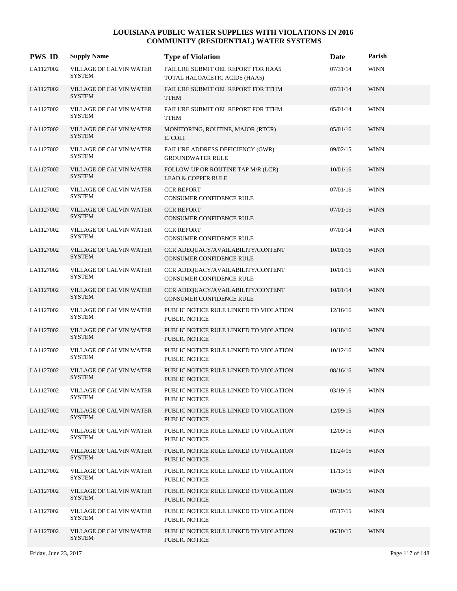| <b>PWS ID</b> | <b>Supply Name</b>                              | <b>Type of Violation</b>                                            | Date     | Parish      |
|---------------|-------------------------------------------------|---------------------------------------------------------------------|----------|-------------|
| LA1127002     | VILLAGE OF CALVIN WATER<br><b>SYSTEM</b>        | FAILURE SUBMIT OEL REPORT FOR HAA5<br>TOTAL HALOACETIC ACIDS (HAA5) | 07/31/14 | <b>WINN</b> |
| LA1127002     | <b>VILLAGE OF CALVIN WATER</b><br><b>SYSTEM</b> | FAILURE SUBMIT OEL REPORT FOR TTHM<br><b>TTHM</b>                   | 07/31/14 | <b>WINN</b> |
| LA1127002     | VILLAGE OF CALVIN WATER<br><b>SYSTEM</b>        | FAILURE SUBMIT OEL REPORT FOR TTHM<br><b>TTHM</b>                   | 05/01/14 | <b>WINN</b> |
| LA1127002     | VILLAGE OF CALVIN WATER<br><b>SYSTEM</b>        | MONITORING, ROUTINE, MAJOR (RTCR)<br>E. COLI                        | 05/01/16 | <b>WINN</b> |
| LA1127002     | VILLAGE OF CALVIN WATER<br><b>SYSTEM</b>        | FAILURE ADDRESS DEFICIENCY (GWR)<br><b>GROUNDWATER RULE</b>         | 09/02/15 | <b>WINN</b> |
| LA1127002     | <b>VILLAGE OF CALVIN WATER</b><br><b>SYSTEM</b> | FOLLOW-UP OR ROUTINE TAP M/R (LCR)<br><b>LEAD &amp; COPPER RULE</b> | 10/01/16 | <b>WINN</b> |
| LA1127002     | VILLAGE OF CALVIN WATER<br><b>SYSTEM</b>        | <b>CCR REPORT</b><br>CONSUMER CONFIDENCE RULE                       | 07/01/16 | <b>WINN</b> |
| LA1127002     | VILLAGE OF CALVIN WATER<br><b>SYSTEM</b>        | <b>CCR REPORT</b><br><b>CONSUMER CONFIDENCE RULE</b>                | 07/01/15 | <b>WINN</b> |
| LA1127002     | VILLAGE OF CALVIN WATER<br><b>SYSTEM</b>        | <b>CCR REPORT</b><br>CONSUMER CONFIDENCE RULE                       | 07/01/14 | <b>WINN</b> |
| LA1127002     | VILLAGE OF CALVIN WATER<br><b>SYSTEM</b>        | CCR ADEQUACY/AVAILABILITY/CONTENT<br>CONSUMER CONFIDENCE RULE       | 10/01/16 | <b>WINN</b> |
| LA1127002     | VILLAGE OF CALVIN WATER<br><b>SYSTEM</b>        | CCR ADEQUACY/AVAILABILITY/CONTENT<br>CONSUMER CONFIDENCE RULE       | 10/01/15 | <b>WINN</b> |
| LA1127002     | VILLAGE OF CALVIN WATER<br><b>SYSTEM</b>        | CCR ADEQUACY/AVAILABILITY/CONTENT<br>CONSUMER CONFIDENCE RULE       | 10/01/14 | <b>WINN</b> |
| LA1127002     | VILLAGE OF CALVIN WATER<br><b>SYSTEM</b>        | PUBLIC NOTICE RULE LINKED TO VIOLATION<br>PUBLIC NOTICE             | 12/16/16 | <b>WINN</b> |
| LA1127002     | VILLAGE OF CALVIN WATER<br><b>SYSTEM</b>        | PUBLIC NOTICE RULE LINKED TO VIOLATION<br><b>PUBLIC NOTICE</b>      | 10/18/16 | <b>WINN</b> |
| LA1127002     | VILLAGE OF CALVIN WATER<br><b>SYSTEM</b>        | PUBLIC NOTICE RULE LINKED TO VIOLATION<br>PUBLIC NOTICE             | 10/12/16 | <b>WINN</b> |
| LA1127002     | VILLAGE OF CALVIN WATER<br><b>SYSTEM</b>        | PUBLIC NOTICE RULE LINKED TO VIOLATION<br>PUBLIC NOTICE             | 08/16/16 | <b>WINN</b> |
| LA1127002     | VILLAGE OF CALVIN WATER<br><b>SYSTEM</b>        | PUBLIC NOTICE RULE LINKED TO VIOLATION<br>PUBLIC NOTICE             | 03/19/16 | <b>WINN</b> |
| LA1127002     | VILLAGE OF CALVIN WATER<br><b>SYSTEM</b>        | PUBLIC NOTICE RULE LINKED TO VIOLATION<br><b>PUBLIC NOTICE</b>      | 12/09/15 | <b>WINN</b> |
| LA1127002     | VILLAGE OF CALVIN WATER<br>SYSTEM               | PUBLIC NOTICE RULE LINKED TO VIOLATION<br>PUBLIC NOTICE             | 12/09/15 | <b>WINN</b> |
| LA1127002     | VILLAGE OF CALVIN WATER<br><b>SYSTEM</b>        | PUBLIC NOTICE RULE LINKED TO VIOLATION<br>PUBLIC NOTICE             | 11/24/15 | <b>WINN</b> |
| LA1127002     | VILLAGE OF CALVIN WATER<br><b>SYSTEM</b>        | PUBLIC NOTICE RULE LINKED TO VIOLATION<br>PUBLIC NOTICE             | 11/13/15 | <b>WINN</b> |
| LA1127002     | VILLAGE OF CALVIN WATER<br><b>SYSTEM</b>        | PUBLIC NOTICE RULE LINKED TO VIOLATION<br>PUBLIC NOTICE             | 10/30/15 | <b>WINN</b> |
| LA1127002     | VILLAGE OF CALVIN WATER<br><b>SYSTEM</b>        | PUBLIC NOTICE RULE LINKED TO VIOLATION<br>PUBLIC NOTICE             | 07/17/15 | <b>WINN</b> |
| LA1127002     | <b>VILLAGE OF CALVIN WATER</b><br><b>SYSTEM</b> | PUBLIC NOTICE RULE LINKED TO VIOLATION<br><b>PUBLIC NOTICE</b>      | 06/10/15 | <b>WINN</b> |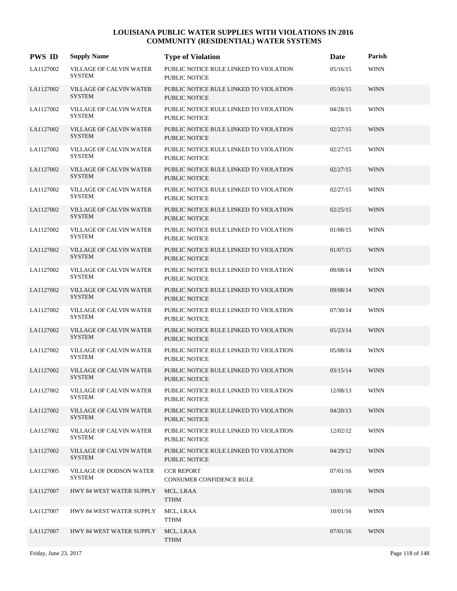| <b>PWS ID</b> | <b>Supply Name</b>                              | <b>Type of Violation</b>                                       | Date     | Parish      |
|---------------|-------------------------------------------------|----------------------------------------------------------------|----------|-------------|
| LA1127002     | <b>VILLAGE OF CALVIN WATER</b><br><b>SYSTEM</b> | PUBLIC NOTICE RULE LINKED TO VIOLATION<br>PUBLIC NOTICE        | 05/16/15 | <b>WINN</b> |
| LA1127002     | <b>VILLAGE OF CALVIN WATER</b><br><b>SYSTEM</b> | PUBLIC NOTICE RULE LINKED TO VIOLATION<br><b>PUBLIC NOTICE</b> | 05/16/15 | <b>WINN</b> |
| LA1127002     | VILLAGE OF CALVIN WATER<br><b>SYSTEM</b>        | PUBLIC NOTICE RULE LINKED TO VIOLATION<br>PUBLIC NOTICE        | 04/28/15 | <b>WINN</b> |
| LA1127002     | <b>VILLAGE OF CALVIN WATER</b><br><b>SYSTEM</b> | PUBLIC NOTICE RULE LINKED TO VIOLATION<br>PUBLIC NOTICE        | 02/27/15 | <b>WINN</b> |
| LA1127002     | <b>VILLAGE OF CALVIN WATER</b><br><b>SYSTEM</b> | PUBLIC NOTICE RULE LINKED TO VIOLATION<br><b>PUBLIC NOTICE</b> | 02/27/15 | <b>WINN</b> |
| LA1127002     | <b>VILLAGE OF CALVIN WATER</b><br><b>SYSTEM</b> | PUBLIC NOTICE RULE LINKED TO VIOLATION<br>PUBLIC NOTICE        | 02/27/15 | <b>WINN</b> |
| LA1127002     | VILLAGE OF CALVIN WATER<br><b>SYSTEM</b>        | PUBLIC NOTICE RULE LINKED TO VIOLATION<br><b>PUBLIC NOTICE</b> | 02/27/15 | <b>WINN</b> |
| LA1127002     | <b>VILLAGE OF CALVIN WATER</b><br><b>SYSTEM</b> | PUBLIC NOTICE RULE LINKED TO VIOLATION<br><b>PUBLIC NOTICE</b> | 02/25/15 | <b>WINN</b> |
| LA1127002     | <b>VILLAGE OF CALVIN WATER</b><br><b>SYSTEM</b> | PUBLIC NOTICE RULE LINKED TO VIOLATION<br>PUBLIC NOTICE        | 01/08/15 | <b>WINN</b> |
| LA1127002     | <b>VILLAGE OF CALVIN WATER</b><br><b>SYSTEM</b> | PUBLIC NOTICE RULE LINKED TO VIOLATION<br>PUBLIC NOTICE        | 01/07/15 | <b>WINN</b> |
| LA1127002     | <b>VILLAGE OF CALVIN WATER</b><br><b>SYSTEM</b> | PUBLIC NOTICE RULE LINKED TO VIOLATION<br>PUBLIC NOTICE        | 09/08/14 | <b>WINN</b> |
| LA1127002     | <b>VILLAGE OF CALVIN WATER</b><br><b>SYSTEM</b> | PUBLIC NOTICE RULE LINKED TO VIOLATION<br><b>PUBLIC NOTICE</b> | 09/08/14 | <b>WINN</b> |
| LA1127002     | <b>VILLAGE OF CALVIN WATER</b><br><b>SYSTEM</b> | PUBLIC NOTICE RULE LINKED TO VIOLATION<br>PUBLIC NOTICE        | 07/30/14 | <b>WINN</b> |
| LA1127002     | <b>VILLAGE OF CALVIN WATER</b><br><b>SYSTEM</b> | PUBLIC NOTICE RULE LINKED TO VIOLATION<br><b>PUBLIC NOTICE</b> | 05/23/14 | <b>WINN</b> |
| LA1127002     | <b>VILLAGE OF CALVIN WATER</b><br><b>SYSTEM</b> | PUBLIC NOTICE RULE LINKED TO VIOLATION<br><b>PUBLIC NOTICE</b> | 05/08/14 | <b>WINN</b> |
| LA1127002     | <b>VILLAGE OF CALVIN WATER</b><br><b>SYSTEM</b> | PUBLIC NOTICE RULE LINKED TO VIOLATION<br><b>PUBLIC NOTICE</b> | 03/15/14 | <b>WINN</b> |
| LA1127002     | VILLAGE OF CALVIN WATER<br><b>SYSTEM</b>        | PUBLIC NOTICE RULE LINKED TO VIOLATION<br>PUBLIC NOTICE        | 12/08/13 | <b>WINN</b> |
| LA1127002     | VILLAGE OF CALVIN WATER<br><b>SYSTEM</b>        | PUBLIC NOTICE RULE LINKED TO VIOLATION<br><b>PUBLIC NOTICE</b> | 04/20/13 | <b>WINN</b> |
| LA1127002     | VILLAGE OF CALVIN WATER<br><b>SYSTEM</b>        | PUBLIC NOTICE RULE LINKED TO VIOLATION<br>PUBLIC NOTICE        | 12/02/12 | <b>WINN</b> |
| LA1127002     | VILLAGE OF CALVIN WATER<br><b>SYSTEM</b>        | PUBLIC NOTICE RULE LINKED TO VIOLATION<br>PUBLIC NOTICE        | 04/29/12 | <b>WINN</b> |
| LA1127005     | VILLAGE OF DODSON WATER<br>SYSTEM               | <b>CCR REPORT</b><br>CONSUMER CONFIDENCE RULE                  | 07/01/16 | <b>WINN</b> |
| LA1127007     | HWY 84 WEST WATER SUPPLY                        | MCL, LRAA<br><b>TTHM</b>                                       | 10/01/16 | <b>WINN</b> |
| LA1127007     | HWY 84 WEST WATER SUPPLY                        | MCL, LRAA<br><b>TTHM</b>                                       | 10/01/16 | <b>WINN</b> |
| LA1127007     | HWY 84 WEST WATER SUPPLY                        | MCL, LRAA<br><b>TTHM</b>                                       | 07/01/16 | <b>WINN</b> |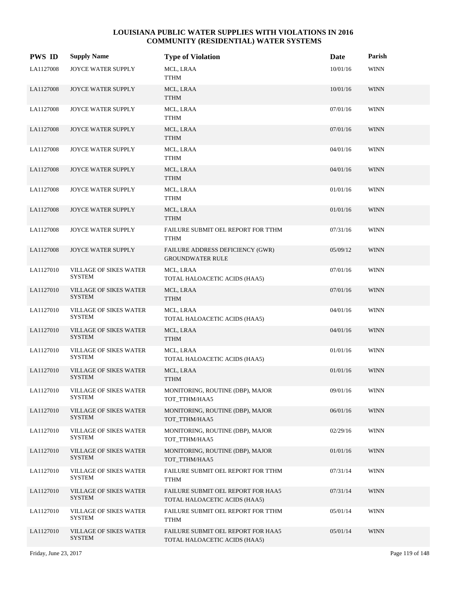| <b>PWS ID</b> | <b>Supply Name</b>                             | <b>Type of Violation</b>                                            | Date     | Parish      |
|---------------|------------------------------------------------|---------------------------------------------------------------------|----------|-------------|
| LA1127008     | JOYCE WATER SUPPLY                             | MCL, LRAA<br><b>TTHM</b>                                            | 10/01/16 | <b>WINN</b> |
| LA1127008     | JOYCE WATER SUPPLY                             | MCL, LRAA<br><b>TTHM</b>                                            | 10/01/16 | <b>WINN</b> |
| LA1127008     | JOYCE WATER SUPPLY                             | MCL, LRAA<br><b>TTHM</b>                                            | 07/01/16 | <b>WINN</b> |
| LA1127008     | JOYCE WATER SUPPLY                             | MCL, LRAA<br><b>TTHM</b>                                            | 07/01/16 | <b>WINN</b> |
| LA1127008     | JOYCE WATER SUPPLY                             | MCL, LRAA<br><b>TTHM</b>                                            | 04/01/16 | <b>WINN</b> |
| LA1127008     | JOYCE WATER SUPPLY                             | MCL, LRAA<br><b>TTHM</b>                                            | 04/01/16 | <b>WINN</b> |
| LA1127008     | JOYCE WATER SUPPLY                             | MCL, LRAA<br><b>TTHM</b>                                            | 01/01/16 | <b>WINN</b> |
| LA1127008     | JOYCE WATER SUPPLY                             | MCL, LRAA<br><b>TTHM</b>                                            | 01/01/16 | <b>WINN</b> |
| LA1127008     | JOYCE WATER SUPPLY                             | FAILURE SUBMIT OEL REPORT FOR TTHM<br><b>TTHM</b>                   | 07/31/16 | <b>WINN</b> |
| LA1127008     | JOYCE WATER SUPPLY                             | FAILURE ADDRESS DEFICIENCY (GWR)<br><b>GROUNDWATER RULE</b>         | 05/09/12 | <b>WINN</b> |
| LA1127010     | <b>VILLAGE OF SIKES WATER</b><br><b>SYSTEM</b> | MCL, LRAA<br>TOTAL HALOACETIC ACIDS (HAA5)                          | 07/01/16 | <b>WINN</b> |
| LA1127010     | <b>VILLAGE OF SIKES WATER</b><br><b>SYSTEM</b> | MCL, LRAA<br><b>TTHM</b>                                            | 07/01/16 | <b>WINN</b> |
| LA1127010     | <b>VILLAGE OF SIKES WATER</b><br><b>SYSTEM</b> | MCL, LRAA<br>TOTAL HALOACETIC ACIDS (HAA5)                          | 04/01/16 | <b>WINN</b> |
| LA1127010     | <b>VILLAGE OF SIKES WATER</b><br><b>SYSTEM</b> | MCL, LRAA<br><b>TTHM</b>                                            | 04/01/16 | <b>WINN</b> |
| LA1127010     | <b>VILLAGE OF SIKES WATER</b><br><b>SYSTEM</b> | MCL, LRAA<br>TOTAL HALOACETIC ACIDS (HAA5)                          | 01/01/16 | <b>WINN</b> |
| LA1127010     | <b>VILLAGE OF SIKES WATER</b><br><b>SYSTEM</b> | MCL, LRAA<br><b>TTHM</b>                                            | 01/01/16 | <b>WINN</b> |
| LA1127010     | <b>VILLAGE OF SIKES WATER</b><br><b>SYSTEM</b> | MONITORING, ROUTINE (DBP), MAJOR<br>TOT_TTHM/HAA5                   | 09/01/16 | <b>WINN</b> |
| LA1127010     | <b>VILLAGE OF SIKES WATER</b><br><b>SYSTEM</b> | MONITORING, ROUTINE (DBP), MAJOR<br>TOT_TTHM/HAA5                   | 06/01/16 | <b>WINN</b> |
| LA1127010     | <b>VILLAGE OF SIKES WATER</b><br><b>SYSTEM</b> | MONITORING, ROUTINE (DBP), MAJOR<br>TOT_TTHM/HAA5                   | 02/29/16 | <b>WINN</b> |
| LA1127010     | <b>VILLAGE OF SIKES WATER</b><br><b>SYSTEM</b> | MONITORING, ROUTINE (DBP), MAJOR<br>TOT_TTHM/HAA5                   | 01/01/16 | <b>WINN</b> |
| LA1127010     | VILLAGE OF SIKES WATER<br><b>SYSTEM</b>        | FAILURE SUBMIT OEL REPORT FOR TTHM<br><b>TTHM</b>                   | 07/31/14 | <b>WINN</b> |
| LA1127010     | <b>VILLAGE OF SIKES WATER</b><br><b>SYSTEM</b> | FAILURE SUBMIT OEL REPORT FOR HAA5<br>TOTAL HALOACETIC ACIDS (HAA5) | 07/31/14 | <b>WINN</b> |
| LA1127010     | <b>VILLAGE OF SIKES WATER</b><br><b>SYSTEM</b> | FAILURE SUBMIT OEL REPORT FOR TTHM<br><b>TTHM</b>                   | 05/01/14 | <b>WINN</b> |
| LA1127010     | <b>VILLAGE OF SIKES WATER</b><br><b>SYSTEM</b> | FAILURE SUBMIT OEL REPORT FOR HAA5<br>TOTAL HALOACETIC ACIDS (HAA5) | 05/01/14 | <b>WINN</b> |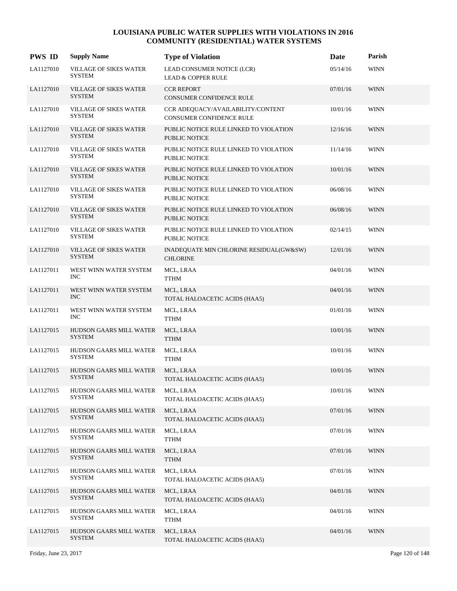| <b>PWS ID</b> | <b>Supply Name</b>                              | <b>Type of Violation</b>                                             | Date     | Parish      |
|---------------|-------------------------------------------------|----------------------------------------------------------------------|----------|-------------|
| LA1127010     | VILLAGE OF SIKES WATER<br>SYSTEM                | LEAD CONSUMER NOTICE (LCR)<br><b>LEAD &amp; COPPER RULE</b>          | 05/14/16 | <b>WINN</b> |
| LA1127010     | <b>VILLAGE OF SIKES WATER</b><br><b>SYSTEM</b>  | <b>CCR REPORT</b><br><b>CONSUMER CONFIDENCE RULE</b>                 | 07/01/16 | <b>WINN</b> |
| LA1127010     | VILLAGE OF SIKES WATER<br><b>SYSTEM</b>         | CCR ADEQUACY/AVAILABILITY/CONTENT<br><b>CONSUMER CONFIDENCE RULE</b> | 10/01/16 | <b>WINN</b> |
| LA1127010     | <b>VILLAGE OF SIKES WATER</b><br><b>SYSTEM</b>  | PUBLIC NOTICE RULE LINKED TO VIOLATION<br><b>PUBLIC NOTICE</b>       | 12/16/16 | <b>WINN</b> |
| LA1127010     | <b>VILLAGE OF SIKES WATER</b><br><b>SYSTEM</b>  | PUBLIC NOTICE RULE LINKED TO VIOLATION<br>PUBLIC NOTICE              | 11/14/16 | <b>WINN</b> |
| LA1127010     | <b>VILLAGE OF SIKES WATER</b><br><b>SYSTEM</b>  | PUBLIC NOTICE RULE LINKED TO VIOLATION<br><b>PUBLIC NOTICE</b>       | 10/01/16 | <b>WINN</b> |
| LA1127010     | VILLAGE OF SIKES WATER<br><b>SYSTEM</b>         | PUBLIC NOTICE RULE LINKED TO VIOLATION<br>PUBLIC NOTICE              | 06/08/16 | <b>WINN</b> |
| LA1127010     | <b>VILLAGE OF SIKES WATER</b><br><b>SYSTEM</b>  | PUBLIC NOTICE RULE LINKED TO VIOLATION<br><b>PUBLIC NOTICE</b>       | 06/08/16 | <b>WINN</b> |
| LA1127010     | <b>VILLAGE OF SIKES WATER</b><br><b>SYSTEM</b>  | PUBLIC NOTICE RULE LINKED TO VIOLATION<br>PUBLIC NOTICE              | 02/14/15 | <b>WINN</b> |
| LA1127010     | VILLAGE OF SIKES WATER<br><b>SYSTEM</b>         | INADEQUATE MIN CHLORINE RESIDUAL(GW&SW)<br><b>CHLORINE</b>           | 12/01/16 | <b>WINN</b> |
| LA1127011     | WEST WINN WATER SYSTEM<br><b>INC</b>            | MCL, LRAA<br><b>TTHM</b>                                             | 04/01/16 | <b>WINN</b> |
| LA1127011     | WEST WINN WATER SYSTEM<br><b>INC</b>            | MCL, LRAA<br>TOTAL HALOACETIC ACIDS (HAA5)                           | 04/01/16 | <b>WINN</b> |
| LA1127011     | WEST WINN WATER SYSTEM<br><b>INC</b>            | MCL, LRAA<br><b>TTHM</b>                                             | 01/01/16 | <b>WINN</b> |
| LA1127015     | HUDSON GAARS MILL WATER<br><b>SYSTEM</b>        | MCL, LRAA<br><b>TTHM</b>                                             | 10/01/16 | <b>WINN</b> |
| LA1127015     | HUDSON GAARS MILL WATER<br><b>SYSTEM</b>        | MCL, LRAA<br><b>TTHM</b>                                             | 10/01/16 | <b>WINN</b> |
| LA1127015     | HUDSON GAARS MILL WATER<br><b>SYSTEM</b>        | MCL, LRAA<br>TOTAL HALOACETIC ACIDS (HAA5)                           | 10/01/16 | <b>WINN</b> |
| LA1127015     | HUDSON GAARS MILL WATER<br>SYSTEM               | MCL, LRAA<br>TOTAL HALOACETIC ACIDS (HAA5)                           | 10/01/16 | <b>WINN</b> |
| LA1127015     | <b>HUDSON GAARS MILL WATER</b><br><b>SYSTEM</b> | MCL, LRAA<br>TOTAL HALOACETIC ACIDS (HAA5)                           | 07/01/16 | <b>WINN</b> |
| LA1127015     | HUDSON GAARS MILL WATER<br><b>SYSTEM</b>        | MCL, LRAA<br><b>TTHM</b>                                             | 07/01/16 | <b>WINN</b> |
| LA1127015     | HUDSON GAARS MILL WATER<br><b>SYSTEM</b>        | MCL, LRAA<br><b>TTHM</b>                                             | 07/01/16 | <b>WINN</b> |
| LA1127015     | HUDSON GAARS MILL WATER<br><b>SYSTEM</b>        | MCL, LRAA<br>TOTAL HALOACETIC ACIDS (HAA5)                           | 07/01/16 | <b>WINN</b> |
| LA1127015     | HUDSON GAARS MILL WATER<br><b>SYSTEM</b>        | MCL, LRAA<br>TOTAL HALOACETIC ACIDS (HAA5)                           | 04/01/16 | <b>WINN</b> |
| LA1127015     | HUDSON GAARS MILL WATER<br><b>SYSTEM</b>        | MCL, LRAA<br>TTHM                                                    | 04/01/16 | <b>WINN</b> |
| LA1127015     | HUDSON GAARS MILL WATER<br><b>SYSTEM</b>        | MCL, LRAA<br>TOTAL HALOACETIC ACIDS (HAA5)                           | 04/01/16 | <b>WINN</b> |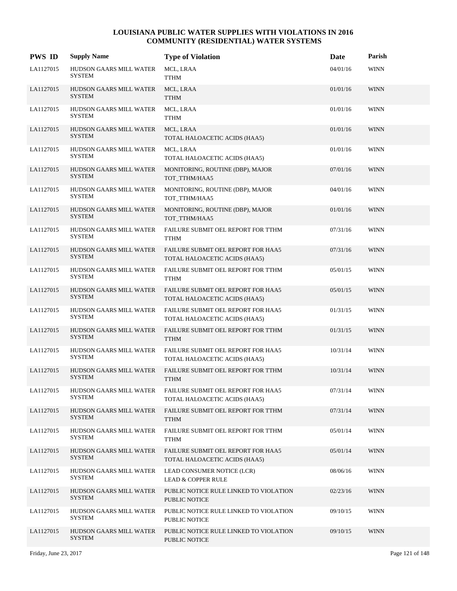| <b>PWS ID</b> | <b>Supply Name</b>                              | <b>Type of Violation</b>                                            | Date     | Parish      |
|---------------|-------------------------------------------------|---------------------------------------------------------------------|----------|-------------|
| LA1127015     | HUDSON GAARS MILL WATER<br><b>SYSTEM</b>        | MCL, LRAA<br><b>TTHM</b>                                            | 04/01/16 | <b>WINN</b> |
| LA1127015     | <b>HUDSON GAARS MILL WATER</b><br><b>SYSTEM</b> | MCL, LRAA<br><b>TTHM</b>                                            | 01/01/16 | <b>WINN</b> |
| LA1127015     | HUDSON GAARS MILL WATER<br><b>SYSTEM</b>        | MCL, LRAA<br><b>TTHM</b>                                            | 01/01/16 | <b>WINN</b> |
| LA1127015     | <b>HUDSON GAARS MILL WATER</b><br><b>SYSTEM</b> | MCL, LRAA<br>TOTAL HALOACETIC ACIDS (HAA5)                          | 01/01/16 | <b>WINN</b> |
| LA1127015     | HUDSON GAARS MILL WATER<br><b>SYSTEM</b>        | MCL, LRAA<br>TOTAL HALOACETIC ACIDS (HAA5)                          | 01/01/16 | <b>WINN</b> |
| LA1127015     | HUDSON GAARS MILL WATER<br><b>SYSTEM</b>        | MONITORING, ROUTINE (DBP), MAJOR<br>TOT_TTHM/HAA5                   | 07/01/16 | <b>WINN</b> |
| LA1127015     | HUDSON GAARS MILL WATER<br><b>SYSTEM</b>        | MONITORING, ROUTINE (DBP), MAJOR<br>TOT_TTHM/HAA5                   | 04/01/16 | <b>WINN</b> |
| LA1127015     | <b>HUDSON GAARS MILL WATER</b><br><b>SYSTEM</b> | MONITORING, ROUTINE (DBP), MAJOR<br>TOT_TTHM/HAA5                   | 01/01/16 | <b>WINN</b> |
| LA1127015     | <b>HUDSON GAARS MILL WATER</b><br>SYSTEM        | FAILURE SUBMIT OEL REPORT FOR TTHM<br><b>TTHM</b>                   | 07/31/16 | <b>WINN</b> |
| LA1127015     | HUDSON GAARS MILL WATER<br><b>SYSTEM</b>        | FAILURE SUBMIT OEL REPORT FOR HAA5<br>TOTAL HALOACETIC ACIDS (HAA5) | 07/31/16 | <b>WINN</b> |
| LA1127015     | HUDSON GAARS MILL WATER<br><b>SYSTEM</b>        | FAILURE SUBMIT OEL REPORT FOR TTHM<br><b>TTHM</b>                   | 05/01/15 | <b>WINN</b> |
| LA1127015     | <b>HUDSON GAARS MILL WATER</b><br><b>SYSTEM</b> | FAILURE SUBMIT OEL REPORT FOR HAA5<br>TOTAL HALOACETIC ACIDS (HAA5) | 05/01/15 | <b>WINN</b> |
| LA1127015     | HUDSON GAARS MILL WATER<br>SYSTEM               | FAILURE SUBMIT OEL REPORT FOR HAA5<br>TOTAL HALOACETIC ACIDS (HAA5) | 01/31/15 | <b>WINN</b> |
| LA1127015     | <b>HUDSON GAARS MILL WATER</b><br><b>SYSTEM</b> | FAILURE SUBMIT OEL REPORT FOR TTHM<br><b>TTHM</b>                   | 01/31/15 | <b>WINN</b> |
| LA1127015     | HUDSON GAARS MILL WATER<br><b>SYSTEM</b>        | FAILURE SUBMIT OEL REPORT FOR HAA5<br>TOTAL HALOACETIC ACIDS (HAA5) | 10/31/14 | <b>WINN</b> |
| LA1127015     | <b>HUDSON GAARS MILL WATER</b><br><b>SYSTEM</b> | FAILURE SUBMIT OEL REPORT FOR TTHM<br><b>TTHM</b>                   | 10/31/14 | <b>WINN</b> |
| LA1127015     | HUDSON GAARS MILL WATER<br><b>SYSTEM</b>        | FAILURE SUBMIT OEL REPORT FOR HAA5<br>TOTAL HALOACETIC ACIDS (HAA5) | 07/31/14 | <b>WINN</b> |
| LA1127015     | HUDSON GAARS MILL WATER<br><b>SYSTEM</b>        | FAILURE SUBMIT OEL REPORT FOR TTHM<br><b>TTHM</b>                   | 07/31/14 | <b>WINN</b> |
| LA1127015     | HUDSON GAARS MILL WATER<br><b>SYSTEM</b>        | FAILURE SUBMIT OEL REPORT FOR TTHM<br><b>TTHM</b>                   | 05/01/14 | <b>WINN</b> |
| LA1127015     | <b>HUDSON GAARS MILL WATER</b><br><b>SYSTEM</b> | FAILURE SUBMIT OEL REPORT FOR HAA5<br>TOTAL HALOACETIC ACIDS (HAA5) | 05/01/14 | <b>WINN</b> |
| LA1127015     | HUDSON GAARS MILL WATER<br><b>SYSTEM</b>        | LEAD CONSUMER NOTICE (LCR)<br><b>LEAD &amp; COPPER RULE</b>         | 08/06/16 | <b>WINN</b> |
| LA1127015     | HUDSON GAARS MILL WATER<br><b>SYSTEM</b>        | PUBLIC NOTICE RULE LINKED TO VIOLATION<br>PUBLIC NOTICE             | 02/23/16 | <b>WINN</b> |
| LA1127015     | HUDSON GAARS MILL WATER<br><b>SYSTEM</b>        | PUBLIC NOTICE RULE LINKED TO VIOLATION<br>PUBLIC NOTICE             | 09/10/15 | <b>WINN</b> |
| LA1127015     | <b>HUDSON GAARS MILL WATER</b><br><b>SYSTEM</b> | PUBLIC NOTICE RULE LINKED TO VIOLATION<br>PUBLIC NOTICE             | 09/10/15 | <b>WINN</b> |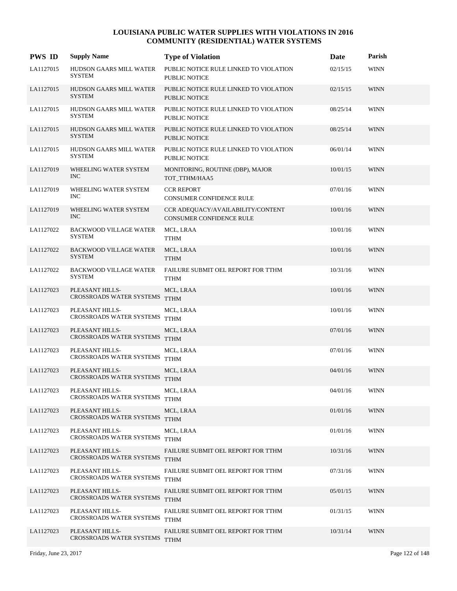| <b>PWS ID</b> | <b>Supply Name</b>                                 | <b>Type of Violation</b>                                             | Date     | Parish      |
|---------------|----------------------------------------------------|----------------------------------------------------------------------|----------|-------------|
| LA1127015     | HUDSON GAARS MILL WATER<br><b>SYSTEM</b>           | PUBLIC NOTICE RULE LINKED TO VIOLATION<br><b>PUBLIC NOTICE</b>       | 02/15/15 | <b>WINN</b> |
| LA1127015     | HUDSON GAARS MILL WATER<br><b>SYSTEM</b>           | PUBLIC NOTICE RULE LINKED TO VIOLATION<br><b>PUBLIC NOTICE</b>       | 02/15/15 | <b>WINN</b> |
| LA1127015     | HUDSON GAARS MILL WATER<br><b>SYSTEM</b>           | PUBLIC NOTICE RULE LINKED TO VIOLATION<br>PUBLIC NOTICE              | 08/25/14 | <b>WINN</b> |
| LA1127015     | HUDSON GAARS MILL WATER<br><b>SYSTEM</b>           | PUBLIC NOTICE RULE LINKED TO VIOLATION<br><b>PUBLIC NOTICE</b>       | 08/25/14 | <b>WINN</b> |
| LA1127015     | HUDSON GAARS MILL WATER<br><b>SYSTEM</b>           | PUBLIC NOTICE RULE LINKED TO VIOLATION<br><b>PUBLIC NOTICE</b>       | 06/01/14 | <b>WINN</b> |
| LA1127019     | WHEELING WATER SYSTEM<br><b>INC</b>                | MONITORING, ROUTINE (DBP), MAJOR<br>TOT_TTHM/HAA5                    | 10/01/15 | <b>WINN</b> |
| LA1127019     | WHEELING WATER SYSTEM<br><b>INC</b>                | <b>CCR REPORT</b><br><b>CONSUMER CONFIDENCE RULE</b>                 | 07/01/16 | <b>WINN</b> |
| LA1127019     | WHEELING WATER SYSTEM<br><b>INC</b>                | CCR ADEQUACY/AVAILABILITY/CONTENT<br><b>CONSUMER CONFIDENCE RULE</b> | 10/01/16 | <b>WINN</b> |
| LA1127022     | <b>BACKWOOD VILLAGE WATER</b><br><b>SYSTEM</b>     | MCL, LRAA<br>TTHM                                                    | 10/01/16 | <b>WINN</b> |
| LA1127022     | <b>BACKWOOD VILLAGE WATER</b><br><b>SYSTEM</b>     | MCL, LRAA<br><b>TTHM</b>                                             | 10/01/16 | <b>WINN</b> |
| LA1127022     | <b>BACKWOOD VILLAGE WATER</b><br><b>SYSTEM</b>     | FAILURE SUBMIT OEL REPORT FOR TTHM<br><b>TTHM</b>                    | 10/31/16 | <b>WINN</b> |
| LA1127023     | PLEASANT HILLS-<br>CROSSROADS WATER SYSTEMS        | MCL, LRAA<br><b>TTHM</b>                                             | 10/01/16 | <b>WINN</b> |
| LA1127023     | PLEASANT HILLS-<br>CROSSROADS WATER SYSTEMS        | MCL, LRAA<br><b>TTHM</b>                                             | 10/01/16 | <b>WINN</b> |
| LA1127023     | PLEASANT HILLS-<br>CROSSROADS WATER SYSTEMS        | MCL, LRAA<br><b>TTHM</b>                                             | 07/01/16 | <b>WINN</b> |
| LA1127023     | PLEASANT HILLS-<br>CROSSROADS WATER SYSTEMS TTHM   | MCL, LRAA                                                            | 07/01/16 | <b>WINN</b> |
| LA1127023     | PLEASANT HILLS-<br>CROSSROADS WATER SYSTEMS        | MCL, LRAA<br><b>TTHM</b>                                             | 04/01/16 | <b>WINN</b> |
| LA1127023     | PLEASANT HILLS-<br><b>CROSSROADS WATER SYSTEMS</b> | MCL, LRAA<br><b>TTHM</b>                                             | 04/01/16 | <b>WINN</b> |
| LA1127023     | PLEASANT HILLS-<br>CROSSROADS WATER SYSTEMS        | MCL, LRAA<br><b>TTHM</b>                                             | 01/01/16 | <b>WINN</b> |
| LA1127023     | PLEASANT HILLS-<br>CROSSROADS WATER SYSTEMS        | MCL, LRAA<br><b>TTHM</b>                                             | 01/01/16 | <b>WINN</b> |
| LA1127023     | PLEASANT HILLS-<br>CROSSROADS WATER SYSTEMS        | FAILURE SUBMIT OEL REPORT FOR TTHM<br><b>TTHM</b>                    | 10/31/16 | <b>WINN</b> |
| LA1127023     | PLEASANT HILLS-<br>CROSSROADS WATER SYSTEMS        | FAILURE SUBMIT OEL REPORT FOR TTHM<br><b>TTHM</b>                    | 07/31/16 | <b>WINN</b> |
| LA1127023     | PLEASANT HILLS-<br>CROSSROADS WATER SYSTEMS        | FAILURE SUBMIT OEL REPORT FOR TTHM<br><b>TTHM</b>                    | 05/01/15 | <b>WINN</b> |
| LA1127023     | PLEASANT HILLS-<br>CROSSROADS WATER SYSTEMS        | FAILURE SUBMIT OEL REPORT FOR TTHM<br><b>TTHM</b>                    | 01/31/15 | <b>WINN</b> |
| LA1127023     | PLEASANT HILLS-<br>CROSSROADS WATER SYSTEMS        | FAILURE SUBMIT OEL REPORT FOR TTHM<br><b>TTHM</b>                    | 10/31/14 | <b>WINN</b> |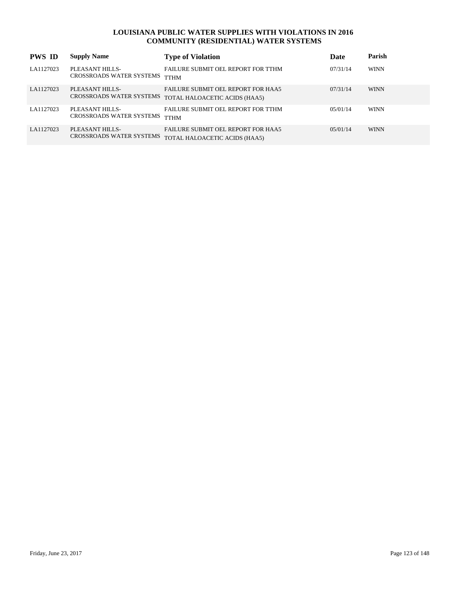| <b>PWS ID</b> | <b>Supply Name</b>                                 | <b>Type of Violation</b>                                                   | Date     | Parish      |
|---------------|----------------------------------------------------|----------------------------------------------------------------------------|----------|-------------|
| LA1127023     | PLEASANT HILLS-<br>CROSSROADS WATER SYSTEMS        | FAILURE SUBMIT OFL REPORT FOR TTHM<br><b>TTHM</b>                          | 07/31/14 | <b>WINN</b> |
| LA1127023     | PLEASANT HILLS-<br>CROSSROADS WATER SYSTEMS        | <b>FAILURE SUBMIT OFL REPORT FOR HAA5</b><br>TOTAL HALOACETIC ACIDS (HAA5) | 07/31/14 | <b>WINN</b> |
| LA1127023     | PLEASANT HILLS-<br>CROSSROADS WATER SYSTEMS        | <b>FAILURE SUBMIT OFL REPORT FOR TTHM</b><br><b>TTHM</b>                   | 05/01/14 | <b>WINN</b> |
| LA1127023     | PLEASANT HILLS-<br><b>CROSSROADS WATER SYSTEMS</b> | <b>FAILURE SUBMIT OFL REPORT FOR HAA5</b><br>TOTAL HALOACETIC ACIDS (HAA5) | 05/01/14 | <b>WINN</b> |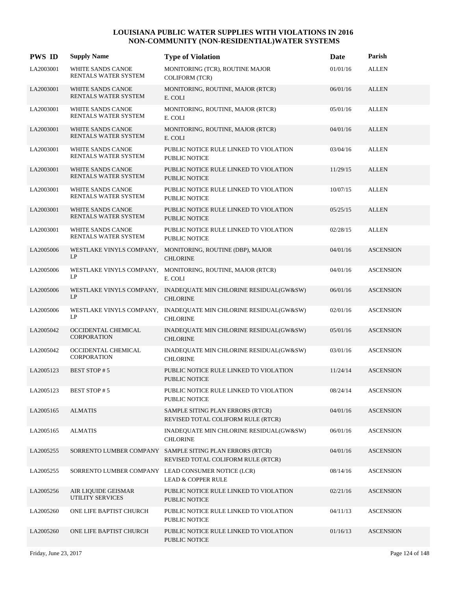| <b>PWS ID</b> | <b>Supply Name</b>                             | <b>Type of Violation</b>                                                                       | Date     | Parish           |
|---------------|------------------------------------------------|------------------------------------------------------------------------------------------------|----------|------------------|
| LA2003001     | WHITE SANDS CANOE<br>RENTALS WATER SYSTEM      | MONITORING (TCR), ROUTINE MAJOR<br><b>COLIFORM (TCR)</b>                                       | 01/01/16 | <b>ALLEN</b>     |
| LA2003001     | WHITE SANDS CANOE<br>RENTALS WATER SYSTEM      | MONITORING, ROUTINE, MAJOR (RTCR)<br>E. COLI                                                   | 06/01/16 | <b>ALLEN</b>     |
| LA2003001     | WHITE SANDS CANOE<br>RENTALS WATER SYSTEM      | MONITORING, ROUTINE, MAJOR (RTCR)<br>E. COLI                                                   | 05/01/16 | <b>ALLEN</b>     |
| LA2003001     | WHITE SANDS CANOE<br>RENTALS WATER SYSTEM      | MONITORING, ROUTINE, MAJOR (RTCR)<br>E. COLI                                                   | 04/01/16 | <b>ALLEN</b>     |
| LA2003001     | WHITE SANDS CANOE<br>RENTALS WATER SYSTEM      | PUBLIC NOTICE RULE LINKED TO VIOLATION<br><b>PUBLIC NOTICE</b>                                 | 03/04/16 | <b>ALLEN</b>     |
| LA2003001     | WHITE SANDS CANOE<br>RENTALS WATER SYSTEM      | PUBLIC NOTICE RULE LINKED TO VIOLATION<br><b>PUBLIC NOTICE</b>                                 | 11/29/15 | <b>ALLEN</b>     |
| LA2003001     | WHITE SANDS CANOE<br>RENTALS WATER SYSTEM      | PUBLIC NOTICE RULE LINKED TO VIOLATION<br><b>PUBLIC NOTICE</b>                                 | 10/07/15 | <b>ALLEN</b>     |
| LA2003001     | WHITE SANDS CANOE<br>RENTALS WATER SYSTEM      | PUBLIC NOTICE RULE LINKED TO VIOLATION<br>PUBLIC NOTICE                                        | 05/25/15 | <b>ALLEN</b>     |
| LA2003001     | WHITE SANDS CANOE<br>RENTALS WATER SYSTEM      | PUBLIC NOTICE RULE LINKED TO VIOLATION<br>PUBLIC NOTICE                                        | 02/28/15 | <b>ALLEN</b>     |
| LA2005006     | WESTLAKE VINYLS COMPANY,<br>LP                 | MONITORING, ROUTINE (DBP), MAJOR<br><b>CHLORINE</b>                                            | 04/01/16 | <b>ASCENSION</b> |
| LA2005006     | WESTLAKE VINYLS COMPANY,<br>LP                 | MONITORING, ROUTINE, MAJOR (RTCR)<br>E. COLI                                                   | 04/01/16 | <b>ASCENSION</b> |
| LA2005006     | LP                                             | WESTLAKE VINYLS COMPANY, INADEQUATE MIN CHLORINE RESIDUAL(GW&SW)<br><b>CHLORINE</b>            | 06/01/16 | <b>ASCENSION</b> |
| LA2005006     | WESTLAKE VINYLS COMPANY,<br>LP                 | INADEQUATE MIN CHLORINE RESIDUAL(GW&SW)<br><b>CHLORINE</b>                                     | 02/01/16 | <b>ASCENSION</b> |
| LA2005042     | OCCIDENTAL CHEMICAL<br><b>CORPORATION</b>      | INADEQUATE MIN CHLORINE RESIDUAL(GW&SW)<br><b>CHLORINE</b>                                     | 05/01/16 | <b>ASCENSION</b> |
| LA2005042     | OCCIDENTAL CHEMICAL<br><b>CORPORATION</b>      | INADEQUATE MIN CHLORINE RESIDUAL(GW&SW)<br><b>CHLORINE</b>                                     | 03/01/16 | <b>ASCENSION</b> |
| LA2005123     | <b>BEST STOP#5</b>                             | PUBLIC NOTICE RULE LINKED TO VIOLATION<br><b>PUBLIC NOTICE</b>                                 | 11/24/14 | <b>ASCENSION</b> |
| LA2005123     | <b>BEST STOP#5</b>                             | PUBLIC NOTICE RULE LINKED TO VIOLATION<br>PUBLIC NOTICE                                        | 08/24/14 | <b>ASCENSION</b> |
| LA2005165     | <b>ALMATIS</b>                                 | SAMPLE SITING PLAN ERRORS (RTCR)<br>REVISED TOTAL COLIFORM RULE (RTCR)                         | 04/01/16 | <b>ASCENSION</b> |
| LA2005165     | <b>ALMATIS</b>                                 | INADEQUATE MIN CHLORINE RESIDUAL(GW&SW)<br><b>CHLORINE</b>                                     | 06/01/16 | <b>ASCENSION</b> |
| LA2005255     |                                                | SORRENTO LUMBER COMPANY SAMPLE SITING PLAN ERRORS (RTCR)<br>REVISED TOTAL COLIFORM RULE (RTCR) | 04/01/16 | <b>ASCENSION</b> |
| LA2005255     |                                                | SORRENTO LUMBER COMPANY LEAD CONSUMER NOTICE (LCR)<br><b>LEAD &amp; COPPER RULE</b>            | 08/14/16 | <b>ASCENSION</b> |
| LA2005256     | AIR LIQUIDE GEISMAR<br><b>UTILITY SERVICES</b> | PUBLIC NOTICE RULE LINKED TO VIOLATION<br>PUBLIC NOTICE                                        | 02/21/16 | <b>ASCENSION</b> |
| LA2005260     | ONE LIFE BAPTIST CHURCH                        | PUBLIC NOTICE RULE LINKED TO VIOLATION<br>PUBLIC NOTICE                                        | 04/11/13 | <b>ASCENSION</b> |
| LA2005260     | ONE LIFE BAPTIST CHURCH                        | PUBLIC NOTICE RULE LINKED TO VIOLATION<br>PUBLIC NOTICE                                        | 01/16/13 | <b>ASCENSION</b> |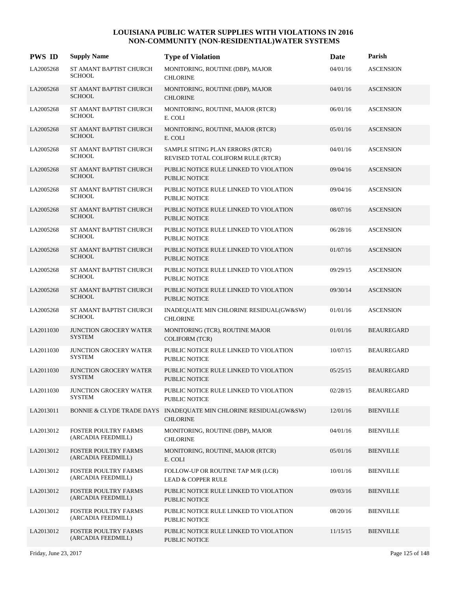| <b>PWS ID</b> | <b>Supply Name</b>                                | <b>Type of Violation</b>                                                             | Date     | Parish            |
|---------------|---------------------------------------------------|--------------------------------------------------------------------------------------|----------|-------------------|
| LA2005268     | ST AMANT BAPTIST CHURCH<br><b>SCHOOL</b>          | MONITORING, ROUTINE (DBP), MAJOR<br><b>CHLORINE</b>                                  | 04/01/16 | <b>ASCENSION</b>  |
| LA2005268     | ST AMANT BAPTIST CHURCH<br><b>SCHOOL</b>          | MONITORING, ROUTINE (DBP), MAJOR<br><b>CHLORINE</b>                                  | 04/01/16 | <b>ASCENSION</b>  |
| LA2005268     | ST AMANT BAPTIST CHURCH<br><b>SCHOOL</b>          | MONITORING, ROUTINE, MAJOR (RTCR)<br>E. COLI                                         | 06/01/16 | <b>ASCENSION</b>  |
| LA2005268     | ST AMANT BAPTIST CHURCH<br><b>SCHOOL</b>          | MONITORING, ROUTINE, MAJOR (RTCR)<br>E. COLI                                         | 05/01/16 | <b>ASCENSION</b>  |
| LA2005268     | ST AMANT BAPTIST CHURCH<br><b>SCHOOL</b>          | SAMPLE SITING PLAN ERRORS (RTCR)<br>REVISED TOTAL COLIFORM RULE (RTCR)               | 04/01/16 | <b>ASCENSION</b>  |
| LA2005268     | ST AMANT BAPTIST CHURCH<br><b>SCHOOL</b>          | PUBLIC NOTICE RULE LINKED TO VIOLATION<br><b>PUBLIC NOTICE</b>                       | 09/04/16 | <b>ASCENSION</b>  |
| LA2005268     | ST AMANT BAPTIST CHURCH<br><b>SCHOOL</b>          | PUBLIC NOTICE RULE LINKED TO VIOLATION<br><b>PUBLIC NOTICE</b>                       | 09/04/16 | <b>ASCENSION</b>  |
| LA2005268     | ST AMANT BAPTIST CHURCH<br><b>SCHOOL</b>          | PUBLIC NOTICE RULE LINKED TO VIOLATION<br><b>PUBLIC NOTICE</b>                       | 08/07/16 | <b>ASCENSION</b>  |
| LA2005268     | ST AMANT BAPTIST CHURCH<br><b>SCHOOL</b>          | PUBLIC NOTICE RULE LINKED TO VIOLATION<br><b>PUBLIC NOTICE</b>                       | 06/28/16 | <b>ASCENSION</b>  |
| LA2005268     | ST AMANT BAPTIST CHURCH<br><b>SCHOOL</b>          | PUBLIC NOTICE RULE LINKED TO VIOLATION<br><b>PUBLIC NOTICE</b>                       | 01/07/16 | <b>ASCENSION</b>  |
| LA2005268     | ST AMANT BAPTIST CHURCH<br><b>SCHOOL</b>          | PUBLIC NOTICE RULE LINKED TO VIOLATION<br>PUBLIC NOTICE                              | 09/29/15 | <b>ASCENSION</b>  |
| LA2005268     | ST AMANT BAPTIST CHURCH<br><b>SCHOOL</b>          | PUBLIC NOTICE RULE LINKED TO VIOLATION<br><b>PUBLIC NOTICE</b>                       | 09/30/14 | <b>ASCENSION</b>  |
| LA2005268     | ST AMANT BAPTIST CHURCH<br><b>SCHOOL</b>          | INADEQUATE MIN CHLORINE RESIDUAL(GW&SW)<br><b>CHLORINE</b>                           | 01/01/16 | <b>ASCENSION</b>  |
| LA2011030     | JUNCTION GROCERY WATER<br><b>SYSTEM</b>           | MONITORING (TCR), ROUTINE MAJOR<br><b>COLIFORM (TCR)</b>                             | 01/01/16 | <b>BEAUREGARD</b> |
| LA2011030     | <b>JUNCTION GROCERY WATER</b><br><b>SYSTEM</b>    | PUBLIC NOTICE RULE LINKED TO VIOLATION<br>PUBLIC NOTICE                              | 10/07/15 | <b>BEAUREGARD</b> |
| LA2011030     | <b>JUNCTION GROCERY WATER</b><br><b>SYSTEM</b>    | PUBLIC NOTICE RULE LINKED TO VIOLATION<br><b>PUBLIC NOTICE</b>                       | 05/25/15 | <b>BEAUREGARD</b> |
| LA2011030     | JUNCTION GROCERY WATER<br><b>SYSTEM</b>           | PUBLIC NOTICE RULE LINKED TO VIOLATION<br>PUBLIC NOTICE                              | 02/28/15 | <b>BEAUREGARD</b> |
| LA2013011     |                                                   | BONNIE & CLYDE TRADE DAYS INADEQUATE MIN CHLORINE RESIDUAL(GW&SW)<br><b>CHLORINE</b> | 12/01/16 | <b>BIENVILLE</b>  |
| LA2013012     | FOSTER POULTRY FARMS<br>(ARCADIA FEEDMILL)        | MONITORING, ROUTINE (DBP), MAJOR<br><b>CHLORINE</b>                                  | 04/01/16 | <b>BIENVILLE</b>  |
| LA2013012     | <b>FOSTER POULTRY FARMS</b><br>(ARCADIA FEEDMILL) | MONITORING, ROUTINE, MAJOR (RTCR)<br>E. COLI                                         | 05/01/16 | <b>BIENVILLE</b>  |
| LA2013012     | FOSTER POULTRY FARMS<br>(ARCADIA FEEDMILL)        | FOLLOW-UP OR ROUTINE TAP M/R (LCR)<br><b>LEAD &amp; COPPER RULE</b>                  | 10/01/16 | <b>BIENVILLE</b>  |
| LA2013012     | FOSTER POULTRY FARMS<br>(ARCADIA FEEDMILL)        | PUBLIC NOTICE RULE LINKED TO VIOLATION<br>PUBLIC NOTICE                              | 09/03/16 | <b>BIENVILLE</b>  |
| LA2013012     | <b>FOSTER POULTRY FARMS</b><br>(ARCADIA FEEDMILL) | PUBLIC NOTICE RULE LINKED TO VIOLATION<br>PUBLIC NOTICE                              | 08/20/16 | <b>BIENVILLE</b>  |
| LA2013012     | <b>FOSTER POULTRY FARMS</b><br>(ARCADIA FEEDMILL) | PUBLIC NOTICE RULE LINKED TO VIOLATION<br>PUBLIC NOTICE                              | 11/15/15 | <b>BIENVILLE</b>  |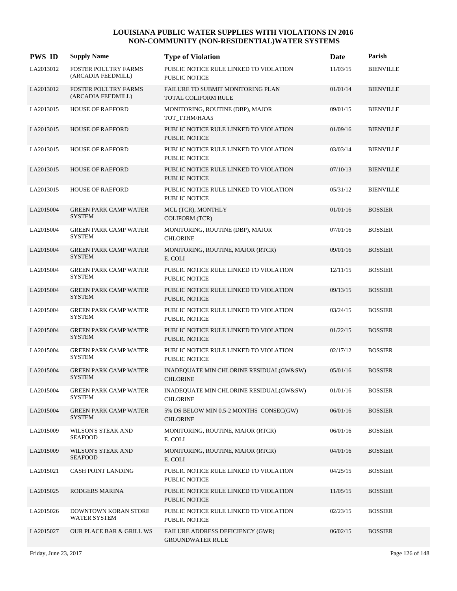| <b>PWS ID</b> | <b>Supply Name</b>                                | <b>Type of Violation</b>                                        | Date     | Parish           |
|---------------|---------------------------------------------------|-----------------------------------------------------------------|----------|------------------|
| LA2013012     | <b>FOSTER POULTRY FARMS</b><br>(ARCADIA FEEDMILL) | PUBLIC NOTICE RULE LINKED TO VIOLATION<br><b>PUBLIC NOTICE</b>  | 11/03/15 | <b>BIENVILLE</b> |
| LA2013012     | <b>FOSTER POULTRY FARMS</b><br>(ARCADIA FEEDMILL) | FAILURE TO SUBMIT MONITORING PLAN<br><b>TOTAL COLIFORM RULE</b> | 01/01/14 | <b>BIENVILLE</b> |
| LA2013015     | <b>HOUSE OF RAEFORD</b>                           | MONITORING, ROUTINE (DBP), MAJOR<br>TOT_TTHM/HAA5               | 09/01/15 | <b>BIENVILLE</b> |
| LA2013015     | <b>HOUSE OF RAEFORD</b>                           | PUBLIC NOTICE RULE LINKED TO VIOLATION<br><b>PUBLIC NOTICE</b>  | 01/09/16 | <b>BIENVILLE</b> |
| LA2013015     | <b>HOUSE OF RAEFORD</b>                           | PUBLIC NOTICE RULE LINKED TO VIOLATION<br><b>PUBLIC NOTICE</b>  | 03/03/14 | <b>BIENVILLE</b> |
| LA2013015     | <b>HOUSE OF RAEFORD</b>                           | PUBLIC NOTICE RULE LINKED TO VIOLATION<br><b>PUBLIC NOTICE</b>  | 07/10/13 | <b>BIENVILLE</b> |
| LA2013015     | <b>HOUSE OF RAEFORD</b>                           | PUBLIC NOTICE RULE LINKED TO VIOLATION<br><b>PUBLIC NOTICE</b>  | 05/31/12 | <b>BIENVILLE</b> |
| LA2015004     | <b>GREEN PARK CAMP WATER</b><br><b>SYSTEM</b>     | MCL (TCR), MONTHLY<br><b>COLIFORM (TCR)</b>                     | 01/01/16 | <b>BOSSIER</b>   |
| LA2015004     | <b>GREEN PARK CAMP WATER</b><br><b>SYSTEM</b>     | MONITORING, ROUTINE (DBP), MAJOR<br><b>CHLORINE</b>             | 07/01/16 | <b>BOSSIER</b>   |
| LA2015004     | <b>GREEN PARK CAMP WATER</b><br><b>SYSTEM</b>     | MONITORING, ROUTINE, MAJOR (RTCR)<br>E. COLI                    | 09/01/16 | <b>BOSSIER</b>   |
| LA2015004     | <b>GREEN PARK CAMP WATER</b><br><b>SYSTEM</b>     | PUBLIC NOTICE RULE LINKED TO VIOLATION<br><b>PUBLIC NOTICE</b>  | 12/11/15 | <b>BOSSIER</b>   |
| LA2015004     | <b>GREEN PARK CAMP WATER</b><br><b>SYSTEM</b>     | PUBLIC NOTICE RULE LINKED TO VIOLATION<br><b>PUBLIC NOTICE</b>  | 09/13/15 | <b>BOSSIER</b>   |
| LA2015004     | <b>GREEN PARK CAMP WATER</b><br><b>SYSTEM</b>     | PUBLIC NOTICE RULE LINKED TO VIOLATION<br><b>PUBLIC NOTICE</b>  | 03/24/15 | <b>BOSSIER</b>   |
| LA2015004     | <b>GREEN PARK CAMP WATER</b><br><b>SYSTEM</b>     | PUBLIC NOTICE RULE LINKED TO VIOLATION<br><b>PUBLIC NOTICE</b>  | 01/22/15 | <b>BOSSIER</b>   |
| LA2015004     | <b>GREEN PARK CAMP WATER</b><br><b>SYSTEM</b>     | PUBLIC NOTICE RULE LINKED TO VIOLATION<br>PUBLIC NOTICE         | 02/17/12 | <b>BOSSIER</b>   |
| LA2015004     | <b>GREEN PARK CAMP WATER</b><br><b>SYSTEM</b>     | INADEQUATE MIN CHLORINE RESIDUAL(GW&SW)<br><b>CHLORINE</b>      | 05/01/16 | <b>BOSSIER</b>   |
| LA2015004     | <b>GREEN PARK CAMP WATER</b><br><b>SYSTEM</b>     | INADEQUATE MIN CHLORINE RESIDUAL(GW&SW)<br><b>CHLORINE</b>      | 01/01/16 | <b>BOSSIER</b>   |
| LA2015004     | <b>GREEN PARK CAMP WATER</b><br><b>SYSTEM</b>     | 5% DS BELOW MIN 0.5-2 MONTHS CONSEC(GW)<br><b>CHLORINE</b>      | 06/01/16 | <b>BOSSIER</b>   |
| LA2015009     | <b>WILSON'S STEAK AND</b><br><b>SEAFOOD</b>       | MONITORING, ROUTINE, MAJOR (RTCR)<br>E. COLI                    | 06/01/16 | <b>BOSSIER</b>   |
| LA2015009     | WILSON'S STEAK AND<br><b>SEAFOOD</b>              | MONITORING, ROUTINE, MAJOR (RTCR)<br>E. COLI                    | 04/01/16 | <b>BOSSIER</b>   |
| LA2015021     | <b>CASH POINT LANDING</b>                         | PUBLIC NOTICE RULE LINKED TO VIOLATION<br>PUBLIC NOTICE         | 04/25/15 | <b>BOSSIER</b>   |
| LA2015025     | RODGERS MARINA                                    | PUBLIC NOTICE RULE LINKED TO VIOLATION<br>PUBLIC NOTICE         | 11/05/15 | <b>BOSSIER</b>   |
| LA2015026     | DOWNTOWN KORAN STORE<br><b>WATER SYSTEM</b>       | PUBLIC NOTICE RULE LINKED TO VIOLATION<br>PUBLIC NOTICE         | 02/23/15 | <b>BOSSIER</b>   |
| LA2015027     | <b>OUR PLACE BAR &amp; GRILL WS</b>               | FAILURE ADDRESS DEFICIENCY (GWR)<br><b>GROUNDWATER RULE</b>     | 06/02/15 | <b>BOSSIER</b>   |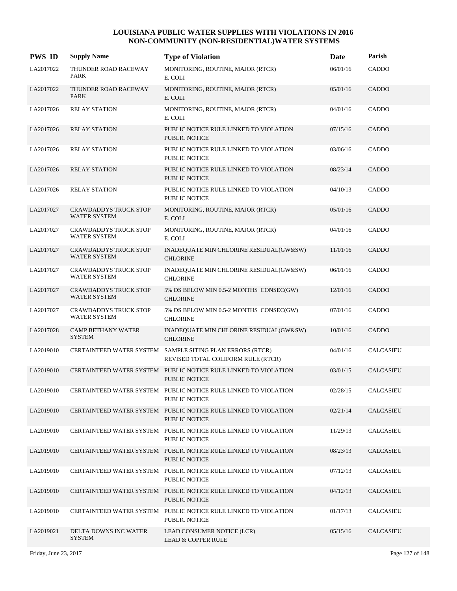| <b>PWS ID</b> | <b>Supply Name</b>                                  | <b>Type of Violation</b>                                                                        | Date     | Parish           |
|---------------|-----------------------------------------------------|-------------------------------------------------------------------------------------------------|----------|------------------|
| LA2017022     | THUNDER ROAD RACEWAY<br>PARK                        | MONITORING, ROUTINE, MAJOR (RTCR)<br>E. COLI                                                    | 06/01/16 | CADDO            |
| LA2017022     | THUNDER ROAD RACEWAY<br><b>PARK</b>                 | MONITORING, ROUTINE, MAJOR (RTCR)<br>E. COLI                                                    | 05/01/16 | CADDO            |
| LA2017026     | <b>RELAY STATION</b>                                | MONITORING, ROUTINE, MAJOR (RTCR)<br>E. COLI                                                    | 04/01/16 | CADDO            |
| LA2017026     | <b>RELAY STATION</b>                                | PUBLIC NOTICE RULE LINKED TO VIOLATION<br><b>PUBLIC NOTICE</b>                                  | 07/15/16 | <b>CADDO</b>     |
| LA2017026     | <b>RELAY STATION</b>                                | PUBLIC NOTICE RULE LINKED TO VIOLATION<br><b>PUBLIC NOTICE</b>                                  | 03/06/16 | CADDO            |
| LA2017026     | <b>RELAY STATION</b>                                | PUBLIC NOTICE RULE LINKED TO VIOLATION<br><b>PUBLIC NOTICE</b>                                  | 08/23/14 | <b>CADDO</b>     |
| LA2017026     | <b>RELAY STATION</b>                                | PUBLIC NOTICE RULE LINKED TO VIOLATION<br><b>PUBLIC NOTICE</b>                                  | 04/10/13 | CADDO            |
| LA2017027     | <b>CRAWDADDYS TRUCK STOP</b><br><b>WATER SYSTEM</b> | MONITORING, ROUTINE, MAJOR (RTCR)<br>E. COLI                                                    | 05/01/16 | <b>CADDO</b>     |
| LA2017027     | CRAWDADDYS TRUCK STOP<br><b>WATER SYSTEM</b>        | MONITORING, ROUTINE, MAJOR (RTCR)<br>E. COLI                                                    | 04/01/16 | CADDO            |
| LA2017027     | <b>CRAWDADDYS TRUCK STOP</b><br><b>WATER SYSTEM</b> | INADEQUATE MIN CHLORINE RESIDUAL(GW&SW)<br><b>CHLORINE</b>                                      | 11/01/16 | <b>CADDO</b>     |
| LA2017027     | <b>CRAWDADDYS TRUCK STOP</b><br><b>WATER SYSTEM</b> | INADEQUATE MIN CHLORINE RESIDUAL(GW&SW)<br><b>CHLORINE</b>                                      | 06/01/16 | CADDO            |
| LA2017027     | <b>CRAWDADDYS TRUCK STOP</b><br><b>WATER SYSTEM</b> | 5% DS BELOW MIN 0.5-2 MONTHS CONSEC(GW)<br><b>CHLORINE</b>                                      | 12/01/16 | CADDO            |
| LA2017027     | CRAWDADDYS TRUCK STOP<br><b>WATER SYSTEM</b>        | 5% DS BELOW MIN 0.5-2 MONTHS CONSEC(GW)<br><b>CHLORINE</b>                                      | 07/01/16 | CADDO            |
| LA2017028     | <b>CAMP BETHANY WATER</b><br><b>SYSTEM</b>          | INADEQUATE MIN CHLORINE RESIDUAL(GW&SW)<br><b>CHLORINE</b>                                      | 10/01/16 | CADDO            |
| LA2019010     |                                                     | CERTAINTEED WATER SYSTEM SAMPLE SITING PLAN ERRORS (RTCR)<br>REVISED TOTAL COLIFORM RULE (RTCR) | 04/01/16 | CALCASIEU        |
| LA2019010     | CERTAINTEED WATER SYSTEM                            | PUBLIC NOTICE RULE LINKED TO VIOLATION<br>PUBLIC NOTICE                                         | 03/01/15 | CALCASIEU        |
| LA2019010     |                                                     | CERTAINTEED WATER SYSTEM PUBLIC NOTICE RULE LINKED TO VIOLATION<br>PUBLIC NOTICE                | 02/28/15 | <b>CALCASIEU</b> |
| LA2019010     |                                                     | CERTAINTEED WATER SYSTEM PUBLIC NOTICE RULE LINKED TO VIOLATION<br>PUBLIC NOTICE                | 02/21/14 | <b>CALCASIEU</b> |
| LA2019010     |                                                     | CERTAINTEED WATER SYSTEM PUBLIC NOTICE RULE LINKED TO VIOLATION<br>PUBLIC NOTICE                | 11/29/13 | <b>CALCASIEU</b> |
| LA2019010     |                                                     | CERTAINTEED WATER SYSTEM PUBLIC NOTICE RULE LINKED TO VIOLATION<br><b>PUBLIC NOTICE</b>         | 08/23/13 | <b>CALCASIEU</b> |
| LA2019010     |                                                     | CERTAINTEED WATER SYSTEM PUBLIC NOTICE RULE LINKED TO VIOLATION<br>PUBLIC NOTICE                | 07/12/13 | CALCASIEU        |
| LA2019010     |                                                     | CERTAINTEED WATER SYSTEM PUBLIC NOTICE RULE LINKED TO VIOLATION<br>PUBLIC NOTICE                | 04/12/13 | <b>CALCASIEU</b> |
| LA2019010     |                                                     | CERTAINTEED WATER SYSTEM PUBLIC NOTICE RULE LINKED TO VIOLATION<br>PUBLIC NOTICE                | 01/17/13 | CALCASIEU        |
| LA2019021     | DELTA DOWNS INC WATER<br><b>SYSTEM</b>              | LEAD CONSUMER NOTICE (LCR)<br><b>LEAD &amp; COPPER RULE</b>                                     | 05/15/16 | <b>CALCASIEU</b> |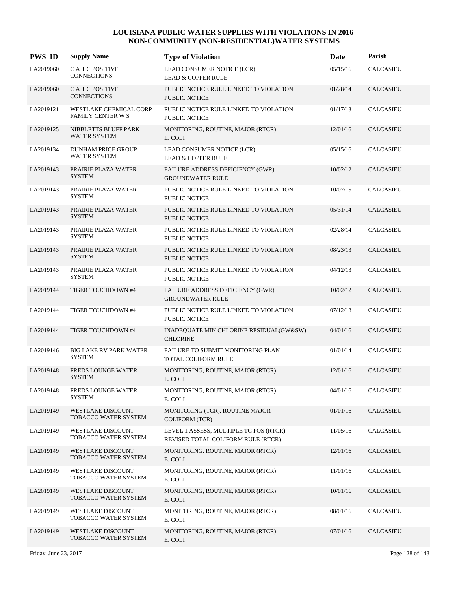| <b>PWS ID</b> | <b>Supply Name</b>                                 | <b>Type of Violation</b>                                                     | <b>Date</b> | Parish           |
|---------------|----------------------------------------------------|------------------------------------------------------------------------------|-------------|------------------|
| LA2019060     | C A T C POSITIVE<br><b>CONNECTIONS</b>             | LEAD CONSUMER NOTICE (LCR)<br><b>LEAD &amp; COPPER RULE</b>                  | 05/15/16    | <b>CALCASIEU</b> |
| LA2019060     | C A T C POSITIVE<br><b>CONNECTIONS</b>             | PUBLIC NOTICE RULE LINKED TO VIOLATION<br><b>PUBLIC NOTICE</b>               | 01/28/14    | <b>CALCASIEU</b> |
| LA2019121     | <b>WESTLAKE CHEMICAL CORP</b><br>FAMILY CENTER W S | PUBLIC NOTICE RULE LINKED TO VIOLATION<br>PUBLIC NOTICE                      | 01/17/13    | <b>CALCASIEU</b> |
| LA2019125     | NIBBLETTS BLUFF PARK<br><b>WATER SYSTEM</b>        | MONITORING, ROUTINE, MAJOR (RTCR)<br>E. COLI                                 | 12/01/16    | <b>CALCASIEU</b> |
| LA2019134     | <b>DUNHAM PRICE GROUP</b><br><b>WATER SYSTEM</b>   | LEAD CONSUMER NOTICE (LCR)<br><b>LEAD &amp; COPPER RULE</b>                  | 05/15/16    | <b>CALCASIEU</b> |
| LA2019143     | PRAIRIE PLAZA WATER<br><b>SYSTEM</b>               | FAILURE ADDRESS DEFICIENCY (GWR)<br><b>GROUNDWATER RULE</b>                  | 10/02/12    | <b>CALCASIEU</b> |
| LA2019143     | PRAIRIE PLAZA WATER<br><b>SYSTEM</b>               | PUBLIC NOTICE RULE LINKED TO VIOLATION<br><b>PUBLIC NOTICE</b>               | 10/07/15    | CALCASIEU        |
| LA2019143     | PRAIRIE PLAZA WATER<br><b>SYSTEM</b>               | PUBLIC NOTICE RULE LINKED TO VIOLATION<br><b>PUBLIC NOTICE</b>               | 05/31/14    | <b>CALCASIEU</b> |
| LA2019143     | PRAIRIE PLAZA WATER<br><b>SYSTEM</b>               | PUBLIC NOTICE RULE LINKED TO VIOLATION<br><b>PUBLIC NOTICE</b>               | 02/28/14    | <b>CALCASIEU</b> |
| LA2019143     | PRAIRIE PLAZA WATER<br><b>SYSTEM</b>               | PUBLIC NOTICE RULE LINKED TO VIOLATION<br><b>PUBLIC NOTICE</b>               | 08/23/13    | <b>CALCASIEU</b> |
| LA2019143     | PRAIRIE PLAZA WATER<br><b>SYSTEM</b>               | PUBLIC NOTICE RULE LINKED TO VIOLATION<br>PUBLIC NOTICE                      | 04/12/13    | <b>CALCASIEU</b> |
| LA2019144     | TIGER TOUCHDOWN #4                                 | FAILURE ADDRESS DEFICIENCY (GWR)<br><b>GROUNDWATER RULE</b>                  | 10/02/12    | <b>CALCASIEU</b> |
| LA2019144     | TIGER TOUCHDOWN #4                                 | PUBLIC NOTICE RULE LINKED TO VIOLATION<br><b>PUBLIC NOTICE</b>               | 07/12/13    | <b>CALCASIEU</b> |
| LA2019144     | TIGER TOUCHDOWN #4                                 | INADEQUATE MIN CHLORINE RESIDUAL(GW&SW)<br><b>CHLORINE</b>                   | 04/01/16    | <b>CALCASIEU</b> |
| LA2019146     | <b>BIG LAKE RV PARK WATER</b><br><b>SYSTEM</b>     | FAILURE TO SUBMIT MONITORING PLAN<br><b>TOTAL COLIFORM RULE</b>              | 01/01/14    | <b>CALCASIEU</b> |
| LA2019148     | <b>FREDS LOUNGE WATER</b><br><b>SYSTEM</b>         | MONITORING, ROUTINE, MAJOR (RTCR)<br>E. COLI                                 | 12/01/16    | <b>CALCASIEU</b> |
| LA2019148     | FREDS LOUNGE WATER<br><b>SYSTEM</b>                | MONITORING, ROUTINE, MAJOR (RTCR)<br>E. COLI                                 | 04/01/16    | CALCASIEU        |
| LA2019149     | WESTLAKE DISCOUNT<br>TOBACCO WATER SYSTEM          | MONITORING (TCR), ROUTINE MAJOR<br><b>COLIFORM (TCR)</b>                     | 01/01/16    | CALCASIEU        |
| LA2019149     | WESTLAKE DISCOUNT<br>TOBACCO WATER SYSTEM          | LEVEL 1 ASSESS, MULTIPLE TC POS (RTCR)<br>REVISED TOTAL COLIFORM RULE (RTCR) | 11/05/16    | <b>CALCASIEU</b> |
| LA2019149     | WESTLAKE DISCOUNT<br>TOBACCO WATER SYSTEM          | MONITORING, ROUTINE, MAJOR (RTCR)<br>E. COLI                                 | 12/01/16    | CALCASIEU        |
| LA2019149     | <b>WESTLAKE DISCOUNT</b><br>TOBACCO WATER SYSTEM   | MONITORING, ROUTINE, MAJOR (RTCR)<br>E. COLI                                 | 11/01/16    | CALCASIEU        |
| LA2019149     | WESTLAKE DISCOUNT<br>TOBACCO WATER SYSTEM          | MONITORING, ROUTINE, MAJOR (RTCR)<br>E. COLI                                 | 10/01/16    | CALCASIEU        |
| LA2019149     | WESTLAKE DISCOUNT<br>TOBACCO WATER SYSTEM          | MONITORING, ROUTINE, MAJOR (RTCR)<br>E. COLI                                 | 08/01/16    | CALCASIEU        |
| LA2019149     | WESTLAKE DISCOUNT<br>TOBACCO WATER SYSTEM          | MONITORING, ROUTINE, MAJOR (RTCR)<br>E. COLI                                 | 07/01/16    | <b>CALCASIEU</b> |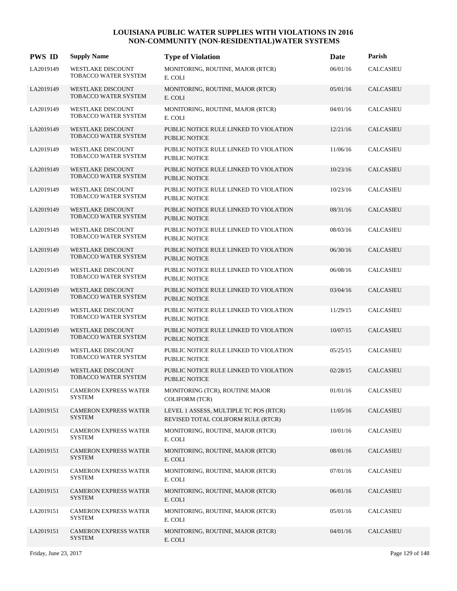| <b>PWS ID</b> | <b>Supply Name</b>                                      | <b>Type of Violation</b>                                                     | Date     | Parish           |
|---------------|---------------------------------------------------------|------------------------------------------------------------------------------|----------|------------------|
| LA2019149     | WESTLAKE DISCOUNT<br>TOBACCO WATER SYSTEM               | MONITORING, ROUTINE, MAJOR (RTCR)<br>E. COLI                                 | 06/01/16 | <b>CALCASIEU</b> |
| LA2019149     | <b>WESTLAKE DISCOUNT</b><br><b>TOBACCO WATER SYSTEM</b> | MONITORING, ROUTINE, MAJOR (RTCR)<br>E. COLI                                 | 05/01/16 | <b>CALCASIEU</b> |
| LA2019149     | <b>WESTLAKE DISCOUNT</b><br>TOBACCO WATER SYSTEM        | MONITORING, ROUTINE, MAJOR (RTCR)<br>E. COLI                                 | 04/01/16 | <b>CALCASIEU</b> |
| LA2019149     | <b>WESTLAKE DISCOUNT</b><br>TOBACCO WATER SYSTEM        | PUBLIC NOTICE RULE LINKED TO VIOLATION<br><b>PUBLIC NOTICE</b>               | 12/21/16 | <b>CALCASIEU</b> |
| LA2019149     | WESTLAKE DISCOUNT<br>TOBACCO WATER SYSTEM               | PUBLIC NOTICE RULE LINKED TO VIOLATION<br><b>PUBLIC NOTICE</b>               | 11/06/16 | <b>CALCASIEU</b> |
| LA2019149     | <b>WESTLAKE DISCOUNT</b><br><b>TOBACCO WATER SYSTEM</b> | PUBLIC NOTICE RULE LINKED TO VIOLATION<br><b>PUBLIC NOTICE</b>               | 10/23/16 | <b>CALCASIEU</b> |
| LA2019149     | <b>WESTLAKE DISCOUNT</b><br>TOBACCO WATER SYSTEM        | PUBLIC NOTICE RULE LINKED TO VIOLATION<br><b>PUBLIC NOTICE</b>               | 10/23/16 | CALCASIEU        |
| LA2019149     | <b>WESTLAKE DISCOUNT</b><br>TOBACCO WATER SYSTEM        | PUBLIC NOTICE RULE LINKED TO VIOLATION<br><b>PUBLIC NOTICE</b>               | 08/31/16 | <b>CALCASIEU</b> |
| LA2019149     | WESTLAKE DISCOUNT<br>TOBACCO WATER SYSTEM               | PUBLIC NOTICE RULE LINKED TO VIOLATION<br><b>PUBLIC NOTICE</b>               | 08/03/16 | <b>CALCASIEU</b> |
| LA2019149     | <b>WESTLAKE DISCOUNT</b><br>TOBACCO WATER SYSTEM        | PUBLIC NOTICE RULE LINKED TO VIOLATION<br>PUBLIC NOTICE                      | 06/30/16 | <b>CALCASIEU</b> |
| LA2019149     | <b>WESTLAKE DISCOUNT</b><br>TOBACCO WATER SYSTEM        | PUBLIC NOTICE RULE LINKED TO VIOLATION<br><b>PUBLIC NOTICE</b>               | 06/08/16 | <b>CALCASIEU</b> |
| LA2019149     | <b>WESTLAKE DISCOUNT</b><br>TOBACCO WATER SYSTEM        | PUBLIC NOTICE RULE LINKED TO VIOLATION<br><b>PUBLIC NOTICE</b>               | 03/04/16 | <b>CALCASIEU</b> |
| LA2019149     | WESTLAKE DISCOUNT<br>TOBACCO WATER SYSTEM               | PUBLIC NOTICE RULE LINKED TO VIOLATION<br><b>PUBLIC NOTICE</b>               | 11/29/15 | <b>CALCASIEU</b> |
| LA2019149     | <b>WESTLAKE DISCOUNT</b><br>TOBACCO WATER SYSTEM        | PUBLIC NOTICE RULE LINKED TO VIOLATION<br><b>PUBLIC NOTICE</b>               | 10/07/15 | <b>CALCASIEU</b> |
| LA2019149     | <b>WESTLAKE DISCOUNT</b><br>TOBACCO WATER SYSTEM        | PUBLIC NOTICE RULE LINKED TO VIOLATION<br><b>PUBLIC NOTICE</b>               | 05/25/15 | <b>CALCASIEU</b> |
| LA2019149     | <b>WESTLAKE DISCOUNT</b><br>TOBACCO WATER SYSTEM        | PUBLIC NOTICE RULE LINKED TO VIOLATION<br><b>PUBLIC NOTICE</b>               | 02/28/15 | <b>CALCASIEU</b> |
| LA2019151     | <b>CAMERON EXPRESS WATER</b><br><b>SYSTEM</b>           | MONITORING (TCR), ROUTINE MAJOR<br><b>COLIFORM (TCR)</b>                     | 01/01/16 | CALCASIEU        |
| LA2019151     | <b>CAMERON EXPRESS WATER</b><br><b>SYSTEM</b>           | LEVEL 1 ASSESS, MULTIPLE TC POS (RTCR)<br>REVISED TOTAL COLIFORM RULE (RTCR) | 11/05/16 | <b>CALCASIEU</b> |
| LA2019151     | <b>CAMERON EXPRESS WATER</b><br><b>SYSTEM</b>           | MONITORING, ROUTINE, MAJOR (RTCR)<br>E. COLI                                 | 10/01/16 | <b>CALCASIEU</b> |
| LA2019151     | <b>CAMERON EXPRESS WATER</b><br><b>SYSTEM</b>           | MONITORING, ROUTINE, MAJOR (RTCR)<br>E. COLI                                 | 08/01/16 | <b>CALCASIEU</b> |
| LA2019151     | <b>CAMERON EXPRESS WATER</b><br><b>SYSTEM</b>           | MONITORING, ROUTINE, MAJOR (RTCR)<br>E. COLI                                 | 07/01/16 | CALCASIEU        |
| LA2019151     | <b>CAMERON EXPRESS WATER</b><br><b>SYSTEM</b>           | MONITORING, ROUTINE, MAJOR (RTCR)<br>E. COLI                                 | 06/01/16 | <b>CALCASIEU</b> |
| LA2019151     | <b>CAMERON EXPRESS WATER</b><br><b>SYSTEM</b>           | MONITORING, ROUTINE, MAJOR (RTCR)<br>E. COLI                                 | 05/01/16 | CALCASIEU        |
| LA2019151     | <b>CAMERON EXPRESS WATER</b><br><b>SYSTEM</b>           | MONITORING, ROUTINE, MAJOR (RTCR)<br>E. COLI                                 | 04/01/16 | <b>CALCASIEU</b> |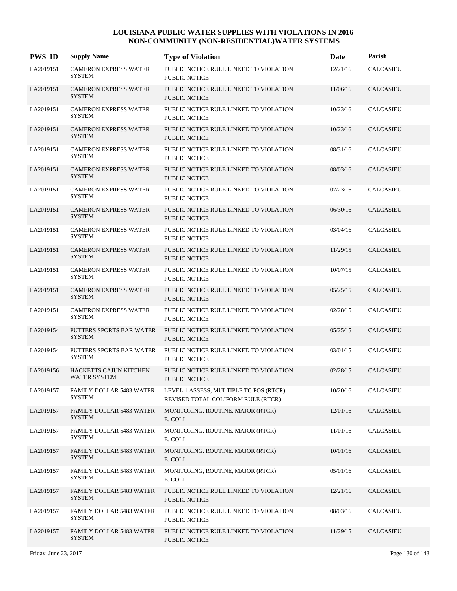| <b>PWS ID</b> | <b>Supply Name</b>                               | <b>Type of Violation</b>                                                     | Date     | Parish           |
|---------------|--------------------------------------------------|------------------------------------------------------------------------------|----------|------------------|
| LA2019151     | <b>CAMERON EXPRESS WATER</b><br><b>SYSTEM</b>    | PUBLIC NOTICE RULE LINKED TO VIOLATION<br><b>PUBLIC NOTICE</b>               | 12/21/16 | <b>CALCASIEU</b> |
| LA2019151     | <b>CAMERON EXPRESS WATER</b><br><b>SYSTEM</b>    | PUBLIC NOTICE RULE LINKED TO VIOLATION<br><b>PUBLIC NOTICE</b>               | 11/06/16 | <b>CALCASIEU</b> |
| LA2019151     | <b>CAMERON EXPRESS WATER</b><br><b>SYSTEM</b>    | PUBLIC NOTICE RULE LINKED TO VIOLATION<br><b>PUBLIC NOTICE</b>               | 10/23/16 | <b>CALCASIEU</b> |
| LA2019151     | <b>CAMERON EXPRESS WATER</b><br><b>SYSTEM</b>    | PUBLIC NOTICE RULE LINKED TO VIOLATION<br><b>PUBLIC NOTICE</b>               | 10/23/16 | <b>CALCASIEU</b> |
| LA2019151     | <b>CAMERON EXPRESS WATER</b><br><b>SYSTEM</b>    | PUBLIC NOTICE RULE LINKED TO VIOLATION<br><b>PUBLIC NOTICE</b>               | 08/31/16 | <b>CALCASIEU</b> |
| LA2019151     | <b>CAMERON EXPRESS WATER</b><br><b>SYSTEM</b>    | PUBLIC NOTICE RULE LINKED TO VIOLATION<br><b>PUBLIC NOTICE</b>               | 08/03/16 | <b>CALCASIEU</b> |
| LA2019151     | <b>CAMERON EXPRESS WATER</b><br><b>SYSTEM</b>    | PUBLIC NOTICE RULE LINKED TO VIOLATION<br><b>PUBLIC NOTICE</b>               | 07/23/16 | <b>CALCASIEU</b> |
| LA2019151     | <b>CAMERON EXPRESS WATER</b><br><b>SYSTEM</b>    | PUBLIC NOTICE RULE LINKED TO VIOLATION<br><b>PUBLIC NOTICE</b>               | 06/30/16 | <b>CALCASIEU</b> |
| LA2019151     | <b>CAMERON EXPRESS WATER</b><br>SYSTEM           | PUBLIC NOTICE RULE LINKED TO VIOLATION<br><b>PUBLIC NOTICE</b>               | 03/04/16 | <b>CALCASIEU</b> |
| LA2019151     | <b>CAMERON EXPRESS WATER</b><br><b>SYSTEM</b>    | PUBLIC NOTICE RULE LINKED TO VIOLATION<br><b>PUBLIC NOTICE</b>               | 11/29/15 | <b>CALCASIEU</b> |
| LA2019151     | <b>CAMERON EXPRESS WATER</b><br><b>SYSTEM</b>    | PUBLIC NOTICE RULE LINKED TO VIOLATION<br>PUBLIC NOTICE                      | 10/07/15 | <b>CALCASIEU</b> |
| LA2019151     | <b>CAMERON EXPRESS WATER</b><br><b>SYSTEM</b>    | PUBLIC NOTICE RULE LINKED TO VIOLATION<br><b>PUBLIC NOTICE</b>               | 05/25/15 | <b>CALCASIEU</b> |
| LA2019151     | <b>CAMERON EXPRESS WATER</b><br><b>SYSTEM</b>    | PUBLIC NOTICE RULE LINKED TO VIOLATION<br><b>PUBLIC NOTICE</b>               | 02/28/15 | <b>CALCASIEU</b> |
| LA2019154     | PUTTERS SPORTS BAR WATER<br><b>SYSTEM</b>        | PUBLIC NOTICE RULE LINKED TO VIOLATION<br><b>PUBLIC NOTICE</b>               | 05/25/15 | <b>CALCASIEU</b> |
| LA2019154     | PUTTERS SPORTS BAR WATER<br><b>SYSTEM</b>        | PUBLIC NOTICE RULE LINKED TO VIOLATION<br><b>PUBLIC NOTICE</b>               | 03/01/15 | CALCASIEU        |
| LA2019156     | <b>HACKETTS CAJUN KITCHEN</b><br>WATER SYSTEM    | PUBLIC NOTICE RULE LINKED TO VIOLATION<br><b>PUBLIC NOTICE</b>               | 02/28/15 | <b>CALCASIEU</b> |
| LA2019157     | <b>FAMILY DOLLAR 5483 WATER</b><br>SYSTEM        | LEVEL 1 ASSESS, MULTIPLE TC POS (RTCR)<br>REVISED TOTAL COLIFORM RULE (RTCR) | 10/20/16 | CALCASIEU        |
| LA2019157     | <b>FAMILY DOLLAR 5483 WATER</b><br><b>SYSTEM</b> | MONITORING, ROUTINE, MAJOR (RTCR)<br>E. COLI                                 | 12/01/16 | <b>CALCASIEU</b> |
| LA2019157     | <b>FAMILY DOLLAR 5483 WATER</b><br><b>SYSTEM</b> | MONITORING, ROUTINE, MAJOR (RTCR)<br>E. COLI                                 | 11/01/16 | CALCASIEU        |
| LA2019157     | <b>FAMILY DOLLAR 5483 WATER</b><br><b>SYSTEM</b> | MONITORING, ROUTINE, MAJOR (RTCR)<br>E. COLI                                 | 10/01/16 | <b>CALCASIEU</b> |
| LA2019157     | FAMILY DOLLAR 5483 WATER<br><b>SYSTEM</b>        | MONITORING, ROUTINE, MAJOR (RTCR)<br>E. COLI                                 | 05/01/16 | CALCASIEU        |
| LA2019157     | <b>FAMILY DOLLAR 5483 WATER</b><br><b>SYSTEM</b> | PUBLIC NOTICE RULE LINKED TO VIOLATION<br><b>PUBLIC NOTICE</b>               | 12/21/16 | <b>CALCASIEU</b> |
| LA2019157     | <b>FAMILY DOLLAR 5483 WATER</b><br><b>SYSTEM</b> | PUBLIC NOTICE RULE LINKED TO VIOLATION<br>PUBLIC NOTICE                      | 08/03/16 | CALCASIEU        |
| LA2019157     | <b>FAMILY DOLLAR 5483 WATER</b><br><b>SYSTEM</b> | PUBLIC NOTICE RULE LINKED TO VIOLATION<br>PUBLIC NOTICE                      | 11/29/15 | <b>CALCASIEU</b> |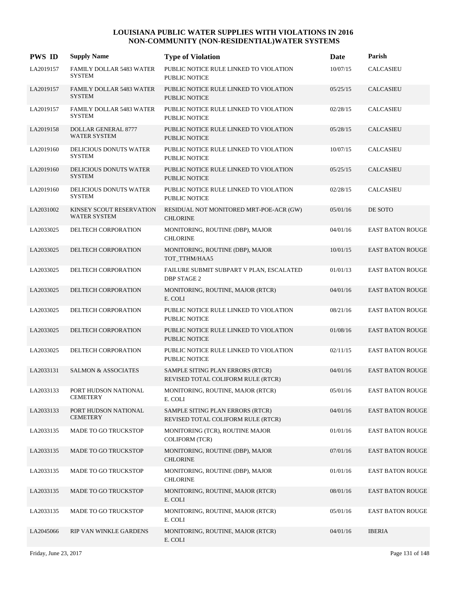| <b>PWS ID</b> | <b>Supply Name</b>                                | <b>Type of Violation</b>                                               | Date     | Parish                  |
|---------------|---------------------------------------------------|------------------------------------------------------------------------|----------|-------------------------|
| LA2019157     | <b>FAMILY DOLLAR 5483 WATER</b><br><b>SYSTEM</b>  | PUBLIC NOTICE RULE LINKED TO VIOLATION<br><b>PUBLIC NOTICE</b>         | 10/07/15 | <b>CALCASIEU</b>        |
| LA2019157     | <b>FAMILY DOLLAR 5483 WATER</b><br><b>SYSTEM</b>  | PUBLIC NOTICE RULE LINKED TO VIOLATION<br><b>PUBLIC NOTICE</b>         | 05/25/15 | <b>CALCASIEU</b>        |
| LA2019157     | <b>FAMILY DOLLAR 5483 WATER</b><br><b>SYSTEM</b>  | PUBLIC NOTICE RULE LINKED TO VIOLATION<br>PUBLIC NOTICE                | 02/28/15 | <b>CALCASIEU</b>        |
| LA2019158     | <b>DOLLAR GENERAL 8777</b><br><b>WATER SYSTEM</b> | PUBLIC NOTICE RULE LINKED TO VIOLATION<br><b>PUBLIC NOTICE</b>         | 05/28/15 | <b>CALCASIEU</b>        |
| LA2019160     | DELICIOUS DONUTS WATER<br><b>SYSTEM</b>           | PUBLIC NOTICE RULE LINKED TO VIOLATION<br>PUBLIC NOTICE                | 10/07/15 | <b>CALCASIEU</b>        |
| LA2019160     | DELICIOUS DONUTS WATER<br><b>SYSTEM</b>           | PUBLIC NOTICE RULE LINKED TO VIOLATION<br><b>PUBLIC NOTICE</b>         | 05/25/15 | <b>CALCASIEU</b>        |
| LA2019160     | DELICIOUS DONUTS WATER<br><b>SYSTEM</b>           | PUBLIC NOTICE RULE LINKED TO VIOLATION<br><b>PUBLIC NOTICE</b>         | 02/28/15 | <b>CALCASIEU</b>        |
| LA2031002     | KINSEY SCOUT RESERVATION<br><b>WATER SYSTEM</b>   | RESIDUAL NOT MONITORED MRT-POE-ACR (GW)<br><b>CHLORINE</b>             | 05/01/16 | DE SOTO                 |
| LA2033025     | DELTECH CORPORATION                               | MONITORING, ROUTINE (DBP), MAJOR<br><b>CHLORINE</b>                    | 04/01/16 | <b>EAST BATON ROUGE</b> |
| LA2033025     | DELTECH CORPORATION                               | MONITORING, ROUTINE (DBP), MAJOR<br>TOT_TTHM/HAA5                      | 10/01/15 | <b>EAST BATON ROUGE</b> |
| LA2033025     | DELTECH CORPORATION                               | FAILURE SUBMIT SUBPART V PLAN, ESCALATED<br><b>DBP STAGE 2</b>         | 01/01/13 | <b>EAST BATON ROUGE</b> |
| LA2033025     | DELTECH CORPORATION                               | MONITORING, ROUTINE, MAJOR (RTCR)<br>E. COLI                           | 04/01/16 | <b>EAST BATON ROUGE</b> |
| LA2033025     | DELTECH CORPORATION                               | PUBLIC NOTICE RULE LINKED TO VIOLATION<br><b>PUBLIC NOTICE</b>         | 08/21/16 | <b>EAST BATON ROUGE</b> |
| LA2033025     | DELTECH CORPORATION                               | PUBLIC NOTICE RULE LINKED TO VIOLATION<br><b>PUBLIC NOTICE</b>         | 01/08/16 | <b>EAST BATON ROUGE</b> |
| LA2033025     | DELTECH CORPORATION                               | PUBLIC NOTICE RULE LINKED TO VIOLATION<br>PUBLIC NOTICE                | 02/11/15 | <b>EAST BATON ROUGE</b> |
| LA2033131     | <b>SALMON &amp; ASSOCIATES</b>                    | SAMPLE SITING PLAN ERRORS (RTCR)<br>REVISED TOTAL COLIFORM RULE (RTCR) | 04/01/16 | <b>EAST BATON ROUGE</b> |
| LA2033133     | PORT HUDSON NATIONAL<br><b>CEMETERY</b>           | MONITORING, ROUTINE, MAJOR (RTCR)<br>E. COLI                           | 05/01/16 | <b>EAST BATON ROUGE</b> |
| LA2033133     | PORT HUDSON NATIONAL<br><b>CEMETERY</b>           | SAMPLE SITING PLAN ERRORS (RTCR)<br>REVISED TOTAL COLIFORM RULE (RTCR) | 04/01/16 | <b>EAST BATON ROUGE</b> |
| LA2033135     | <b>MADE TO GO TRUCKSTOP</b>                       | MONITORING (TCR), ROUTINE MAJOR<br><b>COLIFORM (TCR)</b>               | 01/01/16 | <b>EAST BATON ROUGE</b> |
| LA2033135     | MADE TO GO TRUCKSTOP                              | MONITORING, ROUTINE (DBP), MAJOR<br><b>CHLORINE</b>                    | 07/01/16 | <b>EAST BATON ROUGE</b> |
| LA2033135     | MADE TO GO TRUCKSTOP                              | MONITORING, ROUTINE (DBP), MAJOR<br><b>CHLORINE</b>                    | 01/01/16 | <b>EAST BATON ROUGE</b> |
| LA2033135     | MADE TO GO TRUCKSTOP                              | MONITORING, ROUTINE, MAJOR (RTCR)<br>E. COLI                           | 08/01/16 | <b>EAST BATON ROUGE</b> |
| LA2033135     | MADE TO GO TRUCKSTOP                              | MONITORING, ROUTINE, MAJOR (RTCR)<br>E. COLI                           | 05/01/16 | <b>EAST BATON ROUGE</b> |
| LA2045066     | RIP VAN WINKLE GARDENS                            | MONITORING, ROUTINE, MAJOR (RTCR)<br>E. COLI                           | 04/01/16 | <b>IBERIA</b>           |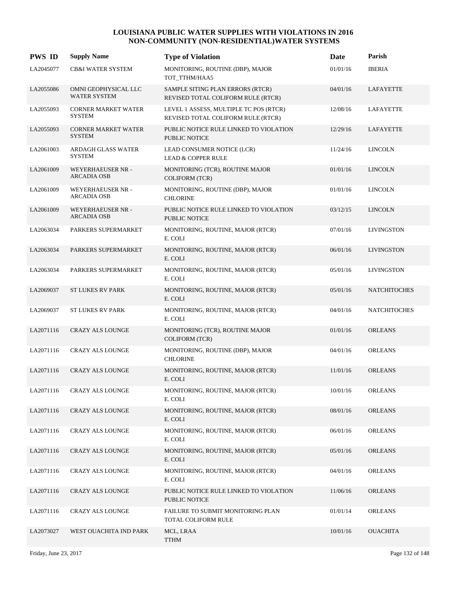| <b>PWS ID</b> | <b>Supply Name</b>                          | <b>Type of Violation</b>                                                     | <b>Date</b> | Parish              |
|---------------|---------------------------------------------|------------------------------------------------------------------------------|-------------|---------------------|
| LA2045077     | <b>CB&amp;I WATER SYSTEM</b>                | MONITORING, ROUTINE (DBP), MAJOR<br>TOT_TTHM/HAA5                            | 01/01/16    | <b>IBERIA</b>       |
| LA2055086     | OMNI GEOPHYSICAL LLC<br><b>WATER SYSTEM</b> | SAMPLE SITING PLAN ERRORS (RTCR)<br>REVISED TOTAL COLIFORM RULE (RTCR)       | 04/01/16    | LAFAYETTE           |
| LA2055093     | <b>CORNER MARKET WATER</b><br><b>SYSTEM</b> | LEVEL 1 ASSESS, MULTIPLE TC POS (RTCR)<br>REVISED TOTAL COLIFORM RULE (RTCR) | 12/08/16    | LAFAYETTE           |
| LA2055093     | <b>CORNER MARKET WATER</b><br><b>SYSTEM</b> | PUBLIC NOTICE RULE LINKED TO VIOLATION<br><b>PUBLIC NOTICE</b>               | 12/29/16    | LAFAYETTE           |
| LA2061003     | <b>ARDAGH GLASS WATER</b><br><b>SYSTEM</b>  | LEAD CONSUMER NOTICE (LCR)<br><b>LEAD &amp; COPPER RULE</b>                  | 11/24/16    | <b>LINCOLN</b>      |
| LA2061009     | WEYERHAEUSER NR -<br><b>ARCADIA OSB</b>     | MONITORING (TCR), ROUTINE MAJOR<br><b>COLIFORM (TCR)</b>                     | 01/01/16    | <b>LINCOLN</b>      |
| LA2061009     | WEYERHAEUSER NR -<br><b>ARCADIA OSB</b>     | MONITORING, ROUTINE (DBP), MAJOR<br><b>CHLORINE</b>                          | 01/01/16    | <b>LINCOLN</b>      |
| LA2061009     | WEYERHAEUSER NR -<br><b>ARCADIA OSB</b>     | PUBLIC NOTICE RULE LINKED TO VIOLATION<br>PUBLIC NOTICE                      | 03/12/15    | <b>LINCOLN</b>      |
| LA2063034     | PARKERS SUPERMARKET                         | MONITORING, ROUTINE, MAJOR (RTCR)<br>E. COLI                                 | 07/01/16    | <b>LIVINGSTON</b>   |
| LA2063034     | PARKERS SUPERMARKET                         | MONITORING, ROUTINE, MAJOR (RTCR)<br>E. COLI                                 | 06/01/16    | <b>LIVINGSTON</b>   |
| LA2063034     | PARKERS SUPERMARKET                         | MONITORING, ROUTINE, MAJOR (RTCR)<br>E. COLI                                 | 05/01/16    | <b>LIVINGSTON</b>   |
| LA2069037     | <b>ST LUKES RV PARK</b>                     | MONITORING, ROUTINE, MAJOR (RTCR)<br>E. COLI                                 | 05/01/16    | <b>NATCHITOCHES</b> |
| LA2069037     | <b>ST LUKES RV PARK</b>                     | MONITORING, ROUTINE, MAJOR (RTCR)<br>E. COLI                                 | 04/01/16    | <b>NATCHITOCHES</b> |
| LA2071116     | <b>CRAZY ALS LOUNGE</b>                     | MONITORING (TCR), ROUTINE MAJOR<br><b>COLIFORM (TCR)</b>                     | 01/01/16    | <b>ORLEANS</b>      |
| LA2071116     | <b>CRAZY ALS LOUNGE</b>                     | MONITORING, ROUTINE (DBP), MAJOR<br><b>CHLORINE</b>                          | 04/01/16    | <b>ORLEANS</b>      |
| LA2071116     | <b>CRAZY ALS LOUNGE</b>                     | MONITORING, ROUTINE, MAJOR (RTCR)<br>E. COLI                                 | 11/01/16    | <b>ORLEANS</b>      |
| LA2071116     | <b>CRAZY ALS LOUNGE</b>                     | MONITORING, ROUTINE, MAJOR (RTCR)<br>E. COLI                                 | 10/01/16    | <b>ORLEANS</b>      |
| LA2071116     | <b>CRAZY ALS LOUNGE</b>                     | MONITORING, ROUTINE, MAJOR (RTCR)<br>E. COLI                                 | 08/01/16    | <b>ORLEANS</b>      |
| LA2071116     | <b>CRAZY ALS LOUNGE</b>                     | MONITORING, ROUTINE, MAJOR (RTCR)<br>E. COLI                                 | 06/01/16    | <b>ORLEANS</b>      |
| LA2071116     | <b>CRAZY ALS LOUNGE</b>                     | MONITORING, ROUTINE, MAJOR (RTCR)<br>E. COLI                                 | 05/01/16    | <b>ORLEANS</b>      |
| LA2071116     | <b>CRAZY ALS LOUNGE</b>                     | MONITORING, ROUTINE, MAJOR (RTCR)<br>E. COLI                                 | 04/01/16    | <b>ORLEANS</b>      |
| LA2071116     | <b>CRAZY ALS LOUNGE</b>                     | PUBLIC NOTICE RULE LINKED TO VIOLATION<br>PUBLIC NOTICE                      | 11/06/16    | <b>ORLEANS</b>      |
| LA2071116     | CRAZY ALS LOUNGE                            | FAILURE TO SUBMIT MONITORING PLAN<br>TOTAL COLIFORM RULE                     | 01/01/14    | <b>ORLEANS</b>      |
| LA2073027     | WEST OUACHITA IND PARK                      | MCL, LRAA<br><b>TTHM</b>                                                     | 10/01/16    | <b>OUACHITA</b>     |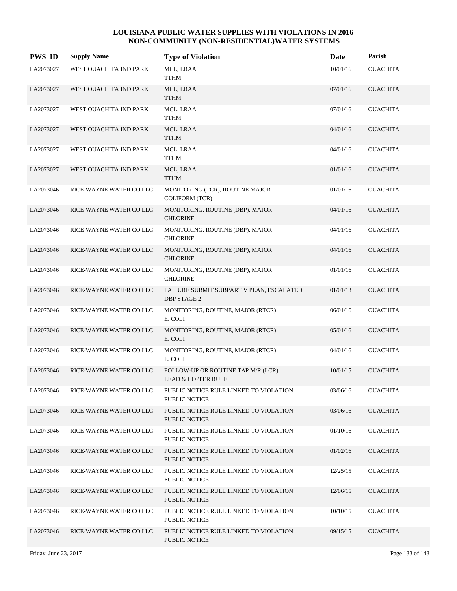| <b>PWS ID</b> | <b>Supply Name</b>      | <b>Type of Violation</b>                                            | Date     | Parish          |
|---------------|-------------------------|---------------------------------------------------------------------|----------|-----------------|
| LA2073027     | WEST OUACHITA IND PARK  | MCL, LRAA<br><b>TTHM</b>                                            | 10/01/16 | <b>OUACHITA</b> |
| LA2073027     | WEST OUACHITA IND PARK  | MCL, LRAA<br><b>TTHM</b>                                            | 07/01/16 | <b>OUACHITA</b> |
| LA2073027     | WEST OUACHITA IND PARK  | MCL, LRAA<br><b>TTHM</b>                                            | 07/01/16 | OUACHITA        |
| LA2073027     | WEST OUACHITA IND PARK  | MCL, LRAA<br><b>TTHM</b>                                            | 04/01/16 | <b>OUACHITA</b> |
| LA2073027     | WEST OUACHITA IND PARK  | MCL, LRAA<br><b>TTHM</b>                                            | 04/01/16 | <b>OUACHITA</b> |
| LA2073027     | WEST OUACHITA IND PARK  | MCL, LRAA<br><b>TTHM</b>                                            | 01/01/16 | <b>OUACHITA</b> |
| LA2073046     | RICE-WAYNE WATER COLLC  | MONITORING (TCR), ROUTINE MAJOR<br><b>COLIFORM (TCR)</b>            | 01/01/16 | <b>OUACHITA</b> |
| LA2073046     | RICE-WAYNE WATER COLLC  | MONITORING, ROUTINE (DBP), MAJOR<br><b>CHLORINE</b>                 | 04/01/16 | <b>OUACHITA</b> |
| LA2073046     | RICE-WAYNE WATER COLLC  | MONITORING, ROUTINE (DBP), MAJOR<br><b>CHLORINE</b>                 | 04/01/16 | <b>OUACHITA</b> |
| LA2073046     | RICE-WAYNE WATER COLLC  | MONITORING, ROUTINE (DBP), MAJOR<br><b>CHLORINE</b>                 | 04/01/16 | <b>OUACHITA</b> |
| LA2073046     | RICE-WAYNE WATER COLLC  | MONITORING, ROUTINE (DBP), MAJOR<br><b>CHLORINE</b>                 | 01/01/16 | <b>OUACHITA</b> |
| LA2073046     | RICE-WAYNE WATER COLLC  | FAILURE SUBMIT SUBPART V PLAN, ESCALATED<br>DBP STAGE 2             | 01/01/13 | <b>OUACHITA</b> |
| LA2073046     | RICE-WAYNE WATER COLLC  | MONITORING, ROUTINE, MAJOR (RTCR)<br>E. COLI                        | 06/01/16 | <b>OUACHITA</b> |
| LA2073046     | RICE-WAYNE WATER COLLC  | MONITORING, ROUTINE, MAJOR (RTCR)<br>E. COLI                        | 05/01/16 | <b>OUACHITA</b> |
| LA2073046     | RICE-WAYNE WATER COLLC  | MONITORING, ROUTINE, MAJOR (RTCR)<br>E. COLI                        | 04/01/16 | <b>OUACHITA</b> |
| LA2073046     | RICE-WAYNE WATER COLLC  | FOLLOW-UP OR ROUTINE TAP M/R (LCR)<br><b>LEAD &amp; COPPER RULE</b> | 10/01/15 | <b>OUACHITA</b> |
| LA2073046     | RICE-WAYNE WATER CO LLC | PUBLIC NOTICE RULE LINKED TO VIOLATION<br>PUBLIC NOTICE             | 03/06/16 | <b>OUACHITA</b> |
| LA2073046     | RICE-WAYNE WATER COLLC  | PUBLIC NOTICE RULE LINKED TO VIOLATION<br>PUBLIC NOTICE             | 03/06/16 | <b>OUACHITA</b> |
| LA2073046     | RICE-WAYNE WATER COLLC  | PUBLIC NOTICE RULE LINKED TO VIOLATION<br>PUBLIC NOTICE             | 01/10/16 | <b>OUACHITA</b> |
| LA2073046     | RICE-WAYNE WATER COLLC  | PUBLIC NOTICE RULE LINKED TO VIOLATION<br><b>PUBLIC NOTICE</b>      | 01/02/16 | <b>OUACHITA</b> |
| LA2073046     | RICE-WAYNE WATER COLLC  | PUBLIC NOTICE RULE LINKED TO VIOLATION<br>PUBLIC NOTICE             | 12/25/15 | <b>OUACHITA</b> |
| LA2073046     | RICE-WAYNE WATER CO LLC | PUBLIC NOTICE RULE LINKED TO VIOLATION<br>PUBLIC NOTICE             | 12/06/15 | <b>OUACHITA</b> |
| LA2073046     | RICE-WAYNE WATER COLLC  | PUBLIC NOTICE RULE LINKED TO VIOLATION<br>PUBLIC NOTICE             | 10/10/15 | <b>OUACHITA</b> |
| LA2073046     | RICE-WAYNE WATER CO LLC | PUBLIC NOTICE RULE LINKED TO VIOLATION<br>PUBLIC NOTICE             | 09/15/15 | <b>OUACHITA</b> |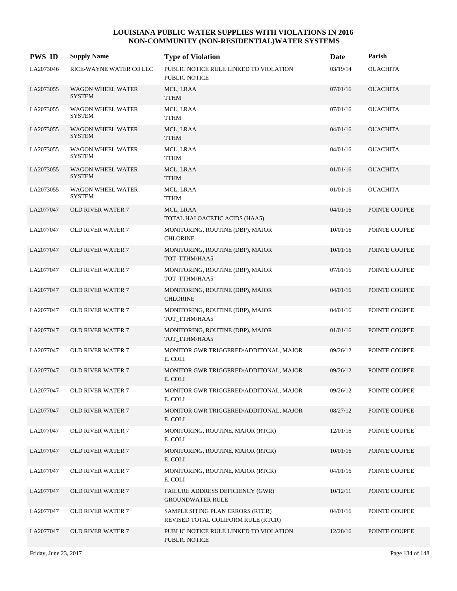| <b>PWS ID</b> | <b>Supply Name</b>                        | <b>Type of Violation</b>                                               | Date     | Parish          |
|---------------|-------------------------------------------|------------------------------------------------------------------------|----------|-----------------|
| LA2073046     | RICE-WAYNE WATER COLLC                    | PUBLIC NOTICE RULE LINKED TO VIOLATION<br>PUBLIC NOTICE                | 03/19/14 | <b>OUACHITA</b> |
| LA2073055     | <b>WAGON WHEEL WATER</b><br><b>SYSTEM</b> | MCL, LRAA<br><b>TTHM</b>                                               | 07/01/16 | <b>OUACHITA</b> |
| LA2073055     | WAGON WHEEL WATER<br><b>SYSTEM</b>        | MCL, LRAA<br><b>TTHM</b>                                               | 07/01/16 | <b>OUACHITA</b> |
| LA2073055     | <b>WAGON WHEEL WATER</b><br><b>SYSTEM</b> | MCL, LRAA<br><b>TTHM</b>                                               | 04/01/16 | <b>OUACHITA</b> |
| LA2073055     | WAGON WHEEL WATER<br><b>SYSTEM</b>        | MCL, LRAA<br><b>TTHM</b>                                               | 04/01/16 | <b>OUACHITA</b> |
| LA2073055     | <b>WAGON WHEEL WATER</b><br><b>SYSTEM</b> | MCL, LRAA<br><b>TTHM</b>                                               | 01/01/16 | <b>OUACHITA</b> |
| LA2073055     | WAGON WHEEL WATER<br><b>SYSTEM</b>        | MCL, LRAA<br><b>TTHM</b>                                               | 01/01/16 | <b>OUACHITA</b> |
| LA2077047     | <b>OLD RIVER WATER 7</b>                  | MCL, LRAA<br>TOTAL HALOACETIC ACIDS (HAA5)                             | 04/01/16 | POINTE COUPEE   |
| LA2077047     | <b>OLD RIVER WATER 7</b>                  | MONITORING, ROUTINE (DBP), MAJOR<br><b>CHLORINE</b>                    | 10/01/16 | POINTE COUPEE   |
| LA2077047     | <b>OLD RIVER WATER 7</b>                  | MONITORING, ROUTINE (DBP), MAJOR<br>TOT TTHM/HAA5                      | 10/01/16 | POINTE COUPEE   |
| LA2077047     | <b>OLD RIVER WATER 7</b>                  | MONITORING, ROUTINE (DBP), MAJOR<br>TOT_TTHM/HAA5                      | 07/01/16 | POINTE COUPEE   |
| LA2077047     | <b>OLD RIVER WATER 7</b>                  | MONITORING, ROUTINE (DBP), MAJOR<br><b>CHLORINE</b>                    | 04/01/16 | POINTE COUPEE   |
| LA2077047     | <b>OLD RIVER WATER 7</b>                  | MONITORING, ROUTINE (DBP), MAJOR<br>TOT_TTHM/HAA5                      | 04/01/16 | POINTE COUPEE   |
| LA2077047     | <b>OLD RIVER WATER 7</b>                  | MONITORING, ROUTINE (DBP), MAJOR<br>TOT_TTHM/HAA5                      | 01/01/16 | POINTE COUPEE   |
| LA2077047     | <b>OLD RIVER WATER 7</b>                  | MONITOR GWR TRIGGERED/ADDITONAL, MAJOR<br>E. COLI                      | 09/26/12 | POINTE COUPEE   |
| LA2077047     | <b>OLD RIVER WATER 7</b>                  | MONITOR GWR TRIGGERED/ADDITONAL, MAJOR<br>E. COLI                      | 09/26/12 | POINTE COUPEE   |
| LA2077047     | <b>OLD RIVER WATER 7</b>                  | MONITOR GWR TRIGGERED/ADDITONAL, MAJOR<br>E. COLI                      | 09/26/12 | POINTE COUPEE   |
| LA2077047     | <b>OLD RIVER WATER 7</b>                  | MONITOR GWR TRIGGERED/ADDITONAL, MAJOR<br>E. COLI                      | 08/27/12 | POINTE COUPEE   |
| LA2077047     | <b>OLD RIVER WATER 7</b>                  | MONITORING, ROUTINE, MAJOR (RTCR)<br>E. COLI                           | 12/01/16 | POINTE COUPEE   |
| LA2077047     | <b>OLD RIVER WATER 7</b>                  | MONITORING, ROUTINE, MAJOR (RTCR)<br>E. COLI                           | 10/01/16 | POINTE COUPEE   |
| LA2077047     | <b>OLD RIVER WATER 7</b>                  | MONITORING, ROUTINE, MAJOR (RTCR)<br>E. COLI                           | 04/01/16 | POINTE COUPEE   |
| LA2077047     | <b>OLD RIVER WATER 7</b>                  | FAILURE ADDRESS DEFICIENCY (GWR)<br><b>GROUNDWATER RULE</b>            | 10/12/11 | POINTE COUPEE   |
| LA2077047     | <b>OLD RIVER WATER 7</b>                  | SAMPLE SITING PLAN ERRORS (RTCR)<br>REVISED TOTAL COLIFORM RULE (RTCR) | 04/01/16 | POINTE COUPEE   |
| LA2077047     | OLD RIVER WATER 7                         | PUBLIC NOTICE RULE LINKED TO VIOLATION<br>PUBLIC NOTICE                | 12/28/16 | POINTE COUPEE   |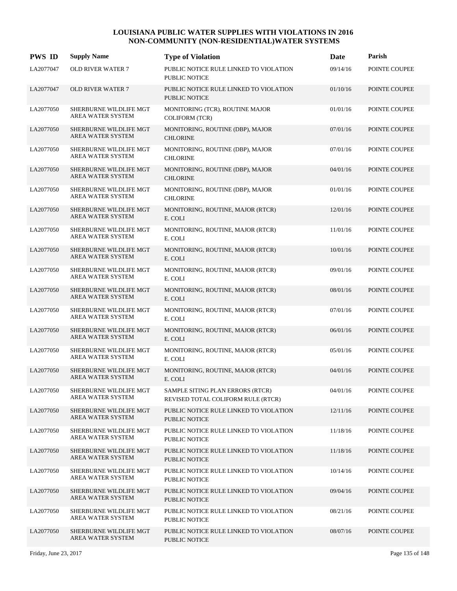| <b>PWS ID</b> | <b>Supply Name</b>                                 | <b>Type of Violation</b>                                               | Date     | Parish        |
|---------------|----------------------------------------------------|------------------------------------------------------------------------|----------|---------------|
| LA2077047     | <b>OLD RIVER WATER 7</b>                           | PUBLIC NOTICE RULE LINKED TO VIOLATION<br><b>PUBLIC NOTICE</b>         | 09/14/16 | POINTE COUPEE |
| LA2077047     | <b>OLD RIVER WATER 7</b>                           | PUBLIC NOTICE RULE LINKED TO VIOLATION<br><b>PUBLIC NOTICE</b>         | 01/10/16 | POINTE COUPEE |
| LA2077050     | SHERBURNE WILDLIFE MGT<br>AREA WATER SYSTEM        | MONITORING (TCR), ROUTINE MAJOR<br><b>COLIFORM</b> (TCR)               | 01/01/16 | POINTE COUPEE |
| LA2077050     | SHERBURNE WILDLIFE MGT<br>AREA WATER SYSTEM        | MONITORING, ROUTINE (DBP), MAJOR<br><b>CHLORINE</b>                    | 07/01/16 | POINTE COUPEE |
| LA2077050     | SHERBURNE WILDLIFE MGT<br>AREA WATER SYSTEM        | MONITORING, ROUTINE (DBP), MAJOR<br><b>CHLORINE</b>                    | 07/01/16 | POINTE COUPEE |
| LA2077050     | SHERBURNE WILDLIFE MGT<br>AREA WATER SYSTEM        | MONITORING, ROUTINE (DBP), MAJOR<br><b>CHLORINE</b>                    | 04/01/16 | POINTE COUPEE |
| LA2077050     | SHERBURNE WILDLIFE MGT<br>AREA WATER SYSTEM        | MONITORING, ROUTINE (DBP), MAJOR<br><b>CHLORINE</b>                    | 01/01/16 | POINTE COUPEE |
| LA2077050     | SHERBURNE WILDLIFE MGT<br><b>AREA WATER SYSTEM</b> | MONITORING, ROUTINE, MAJOR (RTCR)<br>E. COLI                           | 12/01/16 | POINTE COUPEE |
| LA2077050     | SHERBURNE WILDLIFE MGT<br>AREA WATER SYSTEM        | MONITORING, ROUTINE, MAJOR (RTCR)<br>E. COLI                           | 11/01/16 | POINTE COUPEE |
| LA2077050     | SHERBURNE WILDLIFE MGT<br>AREA WATER SYSTEM        | MONITORING, ROUTINE, MAJOR (RTCR)<br>E. COLI                           | 10/01/16 | POINTE COUPEE |
| LA2077050     | SHERBURNE WILDLIFE MGT<br>AREA WATER SYSTEM        | MONITORING, ROUTINE, MAJOR (RTCR)<br>E. COLI                           | 09/01/16 | POINTE COUPEE |
| LA2077050     | SHERBURNE WILDLIFE MGT<br>AREA WATER SYSTEM        | MONITORING, ROUTINE, MAJOR (RTCR)<br>E. COLI                           | 08/01/16 | POINTE COUPEE |
| LA2077050     | SHERBURNE WILDLIFE MGT<br>AREA WATER SYSTEM        | MONITORING, ROUTINE, MAJOR (RTCR)<br>E. COLI                           | 07/01/16 | POINTE COUPEE |
| LA2077050     | SHERBURNE WILDLIFE MGT<br>AREA WATER SYSTEM        | MONITORING, ROUTINE, MAJOR (RTCR)<br>E. COLI                           | 06/01/16 | POINTE COUPEE |
| LA2077050     | SHERBURNE WILDLIFE MGT<br>AREA WATER SYSTEM        | MONITORING, ROUTINE, MAJOR (RTCR)<br>E. COLI                           | 05/01/16 | POINTE COUPEE |
| LA2077050     | SHERBURNE WILDLIFE MGT<br>AREA WATER SYSTEM        | MONITORING, ROUTINE, MAJOR (RTCR)<br>E. COLI                           | 04/01/16 | POINTE COUPEE |
| LA2077050     | SHERBURNE WILDLIFE MGT<br>AREA WATER SYSTEM        | SAMPLE SITING PLAN ERRORS (RTCR)<br>REVISED TOTAL COLIFORM RULE (RTCR) | 04/01/16 | POINTE COUPEE |
| LA2077050     | SHERBURNE WILDLIFE MGT<br>AREA WATER SYSTEM        | PUBLIC NOTICE RULE LINKED TO VIOLATION<br>PUBLIC NOTICE                | 12/11/16 | POINTE COUPEE |
| LA2077050     | SHERBURNE WILDLIFE MGT<br>AREA WATER SYSTEM        | PUBLIC NOTICE RULE LINKED TO VIOLATION<br>PUBLIC NOTICE                | 11/18/16 | POINTE COUPEE |
| LA2077050     | SHERBURNE WILDLIFE MGT<br>AREA WATER SYSTEM        | PUBLIC NOTICE RULE LINKED TO VIOLATION<br><b>PUBLIC NOTICE</b>         | 11/18/16 | POINTE COUPEE |
| LA2077050     | SHERBURNE WILDLIFE MGT<br>AREA WATER SYSTEM        | PUBLIC NOTICE RULE LINKED TO VIOLATION<br>PUBLIC NOTICE                | 10/14/16 | POINTE COUPEE |
| LA2077050     | SHERBURNE WILDLIFE MGT<br>AREA WATER SYSTEM        | PUBLIC NOTICE RULE LINKED TO VIOLATION<br><b>PUBLIC NOTICE</b>         | 09/04/16 | POINTE COUPEE |
| LA2077050     | SHERBURNE WILDLIFE MGT<br>AREA WATER SYSTEM        | PUBLIC NOTICE RULE LINKED TO VIOLATION<br>PUBLIC NOTICE                | 08/21/16 | POINTE COUPEE |
| LA2077050     | SHERBURNE WILDLIFE MGT<br>AREA WATER SYSTEM        | PUBLIC NOTICE RULE LINKED TO VIOLATION<br>PUBLIC NOTICE                | 08/07/16 | POINTE COUPEE |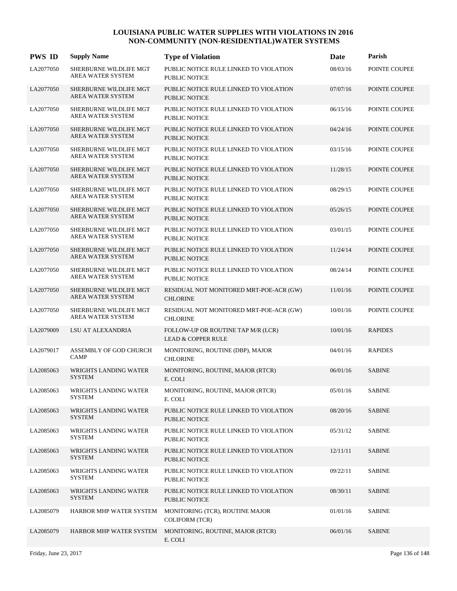| <b>PWS ID</b> | <b>Supply Name</b>                            | <b>Type of Violation</b>                                            | Date     | Parish         |
|---------------|-----------------------------------------------|---------------------------------------------------------------------|----------|----------------|
| LA2077050     | SHERBURNE WILDLIFE MGT<br>AREA WATER SYSTEM   | PUBLIC NOTICE RULE LINKED TO VIOLATION<br><b>PUBLIC NOTICE</b>      | 08/03/16 | POINTE COUPEE  |
| LA2077050     | SHERBURNE WILDLIFE MGT<br>AREA WATER SYSTEM   | PUBLIC NOTICE RULE LINKED TO VIOLATION<br><b>PUBLIC NOTICE</b>      | 07/07/16 | POINTE COUPEE  |
| LA2077050     | SHERBURNE WILDLIFE MGT<br>AREA WATER SYSTEM   | PUBLIC NOTICE RULE LINKED TO VIOLATION<br>PUBLIC NOTICE             | 06/15/16 | POINTE COUPEE  |
| LA2077050     | SHERBURNE WILDLIFE MGT<br>AREA WATER SYSTEM   | PUBLIC NOTICE RULE LINKED TO VIOLATION<br><b>PUBLIC NOTICE</b>      | 04/24/16 | POINTE COUPEE  |
| LA2077050     | SHERBURNE WILDLIFE MGT<br>AREA WATER SYSTEM   | PUBLIC NOTICE RULE LINKED TO VIOLATION<br>PUBLIC NOTICE             | 03/15/16 | POINTE COUPEE  |
| LA2077050     | SHERBURNE WILDLIFE MGT<br>AREA WATER SYSTEM   | PUBLIC NOTICE RULE LINKED TO VIOLATION<br>PUBLIC NOTICE             | 11/28/15 | POINTE COUPEE  |
| LA2077050     | SHERBURNE WILDLIFE MGT<br>AREA WATER SYSTEM   | PUBLIC NOTICE RULE LINKED TO VIOLATION<br>PUBLIC NOTICE             | 08/29/15 | POINTE COUPEE  |
| LA2077050     | SHERBURNE WILDLIFE MGT<br>AREA WATER SYSTEM   | PUBLIC NOTICE RULE LINKED TO VIOLATION<br><b>PUBLIC NOTICE</b>      | 05/26/15 | POINTE COUPEE  |
| LA2077050     | SHERBURNE WILDLIFE MGT<br>AREA WATER SYSTEM   | PUBLIC NOTICE RULE LINKED TO VIOLATION<br><b>PUBLIC NOTICE</b>      | 03/01/15 | POINTE COUPEE  |
| LA2077050     | SHERBURNE WILDLIFE MGT<br>AREA WATER SYSTEM   | PUBLIC NOTICE RULE LINKED TO VIOLATION<br><b>PUBLIC NOTICE</b>      | 11/24/14 | POINTE COUPEE  |
| LA2077050     | SHERBURNE WILDLIFE MGT<br>AREA WATER SYSTEM   | PUBLIC NOTICE RULE LINKED TO VIOLATION<br><b>PUBLIC NOTICE</b>      | 08/24/14 | POINTE COUPEE  |
| LA2077050     | SHERBURNE WILDLIFE MGT<br>AREA WATER SYSTEM   | RESIDUAL NOT MONITORED MRT-POE-ACR (GW)<br><b>CHLORINE</b>          | 11/01/16 | POINTE COUPEE  |
| LA2077050     | SHERBURNE WILDLIFE MGT<br>AREA WATER SYSTEM   | RESIDUAL NOT MONITORED MRT-POE-ACR (GW)<br><b>CHLORINE</b>          | 10/01/16 | POINTE COUPEE  |
| LA2079009     | LSU AT ALEXANDRIA                             | FOLLOW-UP OR ROUTINE TAP M/R (LCR)<br><b>LEAD &amp; COPPER RULE</b> | 10/01/16 | <b>RAPIDES</b> |
| LA2079017     | ASSEMBLY OF GOD CHURCH<br><b>CAMP</b>         | MONITORING, ROUTINE (DBP), MAJOR<br><b>CHLORINE</b>                 | 04/01/16 | <b>RAPIDES</b> |
| LA2085063     | <b>WRIGHTS LANDING WATER</b><br><b>SYSTEM</b> | MONITORING, ROUTINE, MAJOR (RTCR)<br>E. COLI                        | 06/01/16 | <b>SABINE</b>  |
| LA2085063     | WRIGHTS LANDING WATER<br><b>SYSTEM</b>        | MONITORING, ROUTINE, MAJOR (RTCR)<br>E. COLI                        | 05/01/16 | <b>SABINE</b>  |
| LA2085063     | WRIGHTS LANDING WATER<br><b>SYSTEM</b>        | PUBLIC NOTICE RULE LINKED TO VIOLATION<br>PUBLIC NOTICE             | 08/20/16 | <b>SABINE</b>  |
| LA2085063     | <b>WRIGHTS LANDING WATER</b><br>SYSTEM        | PUBLIC NOTICE RULE LINKED TO VIOLATION<br>PUBLIC NOTICE             | 05/31/12 | <b>SABINE</b>  |
| LA2085063     | WRIGHTS LANDING WATER<br><b>SYSTEM</b>        | PUBLIC NOTICE RULE LINKED TO VIOLATION<br>PUBLIC NOTICE             | 12/11/11 | <b>SABINE</b>  |
| LA2085063     | WRIGHTS LANDING WATER<br><b>SYSTEM</b>        | PUBLIC NOTICE RULE LINKED TO VIOLATION<br>PUBLIC NOTICE             | 09/22/11 | <b>SABINE</b>  |
| LA2085063     | WRIGHTS LANDING WATER<br><b>SYSTEM</b>        | PUBLIC NOTICE RULE LINKED TO VIOLATION<br>PUBLIC NOTICE             | 08/30/11 | <b>SABINE</b>  |
| LA2085079     | HARBOR MHP WATER SYSTEM                       | MONITORING (TCR), ROUTINE MAJOR<br><b>COLIFORM (TCR)</b>            | 01/01/16 | <b>SABINE</b>  |
| LA2085079     | HARBOR MHP WATER SYSTEM                       | MONITORING, ROUTINE, MAJOR (RTCR)<br>E. COLI                        | 06/01/16 | <b>SABINE</b>  |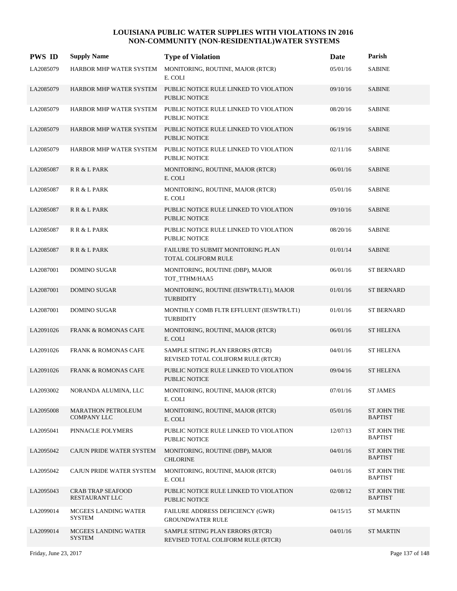| <b>PWS ID</b> | <b>Supply Name</b>                              | <b>Type of Violation</b>                                                               | Date     | Parish                        |
|---------------|-------------------------------------------------|----------------------------------------------------------------------------------------|----------|-------------------------------|
| LA2085079     | HARBOR MHP WATER SYSTEM                         | MONITORING, ROUTINE, MAJOR (RTCR)<br>E. COLI                                           | 05/01/16 | <b>SABINE</b>                 |
| LA2085079     |                                                 | HARBOR MHP WATER SYSTEM PUBLIC NOTICE RULE LINKED TO VIOLATION<br><b>PUBLIC NOTICE</b> | 09/10/16 | <b>SABINE</b>                 |
| LA2085079     | HARBOR MHP WATER SYSTEM                         | PUBLIC NOTICE RULE LINKED TO VIOLATION<br><b>PUBLIC NOTICE</b>                         | 08/20/16 | <b>SABINE</b>                 |
| LA2085079     | HARBOR MHP WATER SYSTEM                         | PUBLIC NOTICE RULE LINKED TO VIOLATION<br><b>PUBLIC NOTICE</b>                         | 06/19/16 | <b>SABINE</b>                 |
| LA2085079     | HARBOR MHP WATER SYSTEM                         | PUBLIC NOTICE RULE LINKED TO VIOLATION<br><b>PUBLIC NOTICE</b>                         | 02/11/16 | <b>SABINE</b>                 |
| LA2085087     | R R & L PARK                                    | MONITORING, ROUTINE, MAJOR (RTCR)<br>E. COLI                                           | 06/01/16 | <b>SABINE</b>                 |
| LA2085087     | R R & L PARK                                    | MONITORING, ROUTINE, MAJOR (RTCR)<br>E. COLI                                           | 05/01/16 | <b>SABINE</b>                 |
| LA2085087     | R R & L PARK                                    | PUBLIC NOTICE RULE LINKED TO VIOLATION<br><b>PUBLIC NOTICE</b>                         | 09/10/16 | <b>SABINE</b>                 |
| LA2085087     | R R & L PARK                                    | PUBLIC NOTICE RULE LINKED TO VIOLATION<br>PUBLIC NOTICE                                | 08/20/16 | <b>SABINE</b>                 |
| LA2085087     | R R & L PARK                                    | FAILURE TO SUBMIT MONITORING PLAN<br><b>TOTAL COLIFORM RULE</b>                        | 01/01/14 | <b>SABINE</b>                 |
| LA2087001     | <b>DOMINO SUGAR</b>                             | MONITORING, ROUTINE (DBP), MAJOR<br>TOT_TTHM/HAA5                                      | 06/01/16 | <b>ST BERNARD</b>             |
| LA2087001     | <b>DOMINO SUGAR</b>                             | MONITORING, ROUTINE (IESWTR/LT1), MAJOR<br><b>TURBIDITY</b>                            | 01/01/16 | <b>ST BERNARD</b>             |
| LA2087001     | <b>DOMINO SUGAR</b>                             | MONTHLY COMB FLTR EFFLUENT (IESWTR/LT1)<br><b>TURBIDITY</b>                            | 01/01/16 | <b>ST BERNARD</b>             |
| LA2091026     | <b>FRANK &amp; ROMONAS CAFE</b>                 | MONITORING, ROUTINE, MAJOR (RTCR)<br>E. COLI                                           | 06/01/16 | <b>ST HELENA</b>              |
| LA2091026     | <b>FRANK &amp; ROMONAS CAFE</b>                 | SAMPLE SITING PLAN ERRORS (RTCR)<br>REVISED TOTAL COLIFORM RULE (RTCR)                 | 04/01/16 | <b>ST HELENA</b>              |
| LA2091026     | <b>FRANK &amp; ROMONAS CAFE</b>                 | PUBLIC NOTICE RULE LINKED TO VIOLATION<br><b>PUBLIC NOTICE</b>                         | 09/04/16 | <b>ST HELENA</b>              |
| LA2093002     | NORANDA ALUMINA, LLC                            | MONITORING, ROUTINE, MAJOR (RTCR)<br>E. COLI                                           | 07/01/16 | <b>ST JAMES</b>               |
| LA2095008     | <b>MARATHON PETROLEUM</b><br><b>COMPANY LLC</b> | MONITORING, ROUTINE, MAJOR (RTCR)<br>E. COLI                                           | 05/01/16 | ST JOHN THE<br><b>BAPTIST</b> |
| LA2095041     | PINNACLE POLYMERS                               | PUBLIC NOTICE RULE LINKED TO VIOLATION<br>PUBLIC NOTICE                                | 12/07/13 | ST JOHN THE<br><b>BAPTIST</b> |
| LA2095042     | CAJUN PRIDE WATER SYSTEM                        | MONITORING, ROUTINE (DBP), MAJOR<br><b>CHLORINE</b>                                    | 04/01/16 | ST JOHN THE<br><b>BAPTIST</b> |
| LA2095042     | CAJUN PRIDE WATER SYSTEM                        | MONITORING, ROUTINE, MAJOR (RTCR)<br>E. COLI                                           | 04/01/16 | ST JOHN THE<br><b>BAPTIST</b> |
| LA2095043     | <b>CRAB TRAP SEAFOOD</b><br>RESTAURANT LLC      | PUBLIC NOTICE RULE LINKED TO VIOLATION<br>PUBLIC NOTICE                                | 02/08/12 | ST JOHN THE<br><b>BAPTIST</b> |
| LA2099014     | MCGEES LANDING WATER<br><b>SYSTEM</b>           | FAILURE ADDRESS DEFICIENCY (GWR)<br><b>GROUNDWATER RULE</b>                            | 04/15/15 | <b>ST MARTIN</b>              |
| LA2099014     | MCGEES LANDING WATER<br><b>SYSTEM</b>           | SAMPLE SITING PLAN ERRORS (RTCR)<br>REVISED TOTAL COLIFORM RULE (RTCR)                 | 04/01/16 | <b>ST MARTIN</b>              |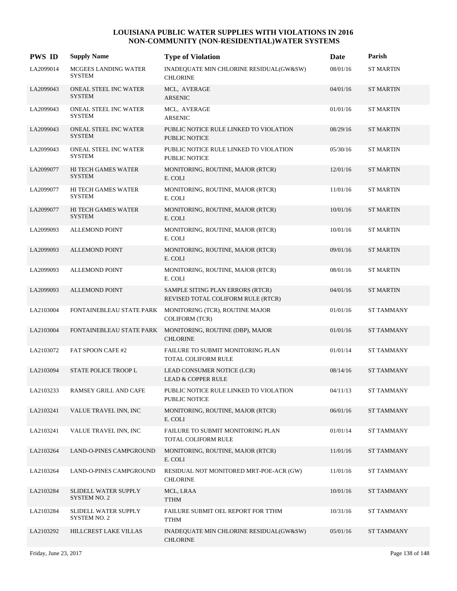| <b>PWS ID</b> | <b>Supply Name</b>                           | <b>Type of Violation</b>                                               | Date     | Parish            |
|---------------|----------------------------------------------|------------------------------------------------------------------------|----------|-------------------|
| LA2099014     | <b>MCGEES LANDING WATER</b><br><b>SYSTEM</b> | INADEQUATE MIN CHLORINE RESIDUAL(GW&SW)<br><b>CHLORINE</b>             | 08/01/16 | <b>ST MARTIN</b>  |
| LA2099043     | ONEAL STEEL INC WATER<br><b>SYSTEM</b>       | MCL, AVERAGE<br>ARSENIC                                                | 04/01/16 | <b>ST MARTIN</b>  |
| LA2099043     | ONEAL STEEL INC WATER<br><b>SYSTEM</b>       | MCL, AVERAGE<br><b>ARSENIC</b>                                         | 01/01/16 | <b>ST MARTIN</b>  |
| LA2099043     | ONEAL STEEL INC WATER<br><b>SYSTEM</b>       | PUBLIC NOTICE RULE LINKED TO VIOLATION<br>PUBLIC NOTICE                | 08/29/16 | <b>ST MARTIN</b>  |
| LA2099043     | ONEAL STEEL INC WATER<br><b>SYSTEM</b>       | PUBLIC NOTICE RULE LINKED TO VIOLATION<br>PUBLIC NOTICE                | 05/30/16 | <b>ST MARTIN</b>  |
| LA2099077     | <b>HI TECH GAMES WATER</b><br><b>SYSTEM</b>  | MONITORING, ROUTINE, MAJOR (RTCR)<br>E. COLI                           | 12/01/16 | <b>ST MARTIN</b>  |
| LA2099077     | HI TECH GAMES WATER<br><b>SYSTEM</b>         | MONITORING, ROUTINE, MAJOR (RTCR)<br>E. COLI                           | 11/01/16 | <b>ST MARTIN</b>  |
| LA2099077     | HI TECH GAMES WATER<br><b>SYSTEM</b>         | MONITORING, ROUTINE, MAJOR (RTCR)<br>E. COLI                           | 10/01/16 | <b>ST MARTIN</b>  |
| LA2099093     | <b>ALLEMOND POINT</b>                        | MONITORING, ROUTINE, MAJOR (RTCR)<br>E. COLI                           | 10/01/16 | <b>ST MARTIN</b>  |
| LA2099093     | <b>ALLEMOND POINT</b>                        | MONITORING, ROUTINE, MAJOR (RTCR)<br>E. COLI                           | 09/01/16 | <b>ST MARTIN</b>  |
| LA2099093     | <b>ALLEMOND POINT</b>                        | MONITORING, ROUTINE, MAJOR (RTCR)<br>E. COLI                           | 08/01/16 | <b>ST MARTIN</b>  |
| LA2099093     | <b>ALLEMOND POINT</b>                        | SAMPLE SITING PLAN ERRORS (RTCR)<br>REVISED TOTAL COLIFORM RULE (RTCR) | 04/01/16 | <b>ST MARTIN</b>  |
| LA2103004     | FONTAINEBLEAU STATE PARK                     | MONITORING (TCR), ROUTINE MAJOR<br><b>COLIFORM (TCR)</b>               | 01/01/16 | <b>ST TAMMANY</b> |
| LA2103004     | FONTAINEBLEAU STATE PARK                     | MONITORING, ROUTINE (DBP), MAJOR<br><b>CHLORINE</b>                    | 01/01/16 | <b>ST TAMMANY</b> |
| LA2103072     | FAT SPOON CAFE #2                            | FAILURE TO SUBMIT MONITORING PLAN<br><b>TOTAL COLIFORM RULE</b>        | 01/01/14 | <b>ST TAMMANY</b> |
| LA2103094     | STATE POLICE TROOP L                         | LEAD CONSUMER NOTICE (LCR)<br><b>LEAD &amp; COPPER RULE</b>            | 08/14/16 | <b>ST TAMMANY</b> |
| LA2103233     | RAMSEY GRILL AND CAFE                        | PUBLIC NOTICE RULE LINKED TO VIOLATION<br>PUBLIC NOTICE                | 04/11/13 | <b>ST TAMMANY</b> |
| LA2103241     | VALUE TRAVEL INN, INC                        | MONITORING, ROUTINE, MAJOR (RTCR)<br>E. COLI                           | 06/01/16 | <b>ST TAMMANY</b> |
| LA2103241     | VALUE TRAVEL INN, INC                        | FAILURE TO SUBMIT MONITORING PLAN<br>TOTAL COLIFORM RULE               | 01/01/14 | <b>ST TAMMANY</b> |
| LA2103264     | LAND-O-PINES CAMPGROUND                      | MONITORING, ROUTINE, MAJOR (RTCR)<br>E. COLI                           | 11/01/16 | ST TAMMANY        |
| LA2103264     | LAND-O-PINES CAMPGROUND                      | RESIDUAL NOT MONITORED MRT-POE-ACR (GW)<br><b>CHLORINE</b>             | 11/01/16 | <b>ST TAMMANY</b> |
| LA2103284     | SLIDELL WATER SUPPLY<br><b>SYSTEM NO. 2</b>  | MCL, LRAA<br><b>TTHM</b>                                               | 10/01/16 | ST TAMMANY        |
| LA2103284     | SLIDELL WATER SUPPLY<br><b>SYSTEM NO. 2</b>  | FAILURE SUBMIT OEL REPORT FOR TTHM<br><b>TTHM</b>                      | 10/31/16 | <b>ST TAMMANY</b> |
| LA2103292     | HILLCREST LAKE VILLAS                        | INADEQUATE MIN CHLORINE RESIDUAL(GW&SW)<br><b>CHLORINE</b>             | 05/01/16 | <b>ST TAMMANY</b> |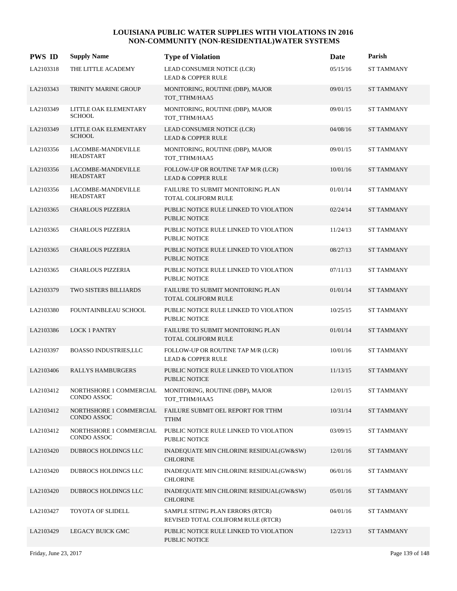| <b>PWS ID</b> | <b>Supply Name</b>                            | <b>Type of Violation</b>                                               | Date     | Parish            |
|---------------|-----------------------------------------------|------------------------------------------------------------------------|----------|-------------------|
| LA2103318     | THE LITTLE ACADEMY                            | LEAD CONSUMER NOTICE (LCR)<br><b>LEAD &amp; COPPER RULE</b>            | 05/15/16 | <b>ST TAMMANY</b> |
| LA2103343     | <b>TRINITY MARINE GROUP</b>                   | MONITORING, ROUTINE (DBP), MAJOR<br>TOT_TTHM/HAA5                      | 09/01/15 | <b>ST TAMMANY</b> |
| LA2103349     | LITTLE OAK ELEMENTARY<br><b>SCHOOL</b>        | MONITORING, ROUTINE (DBP), MAJOR<br>TOT_TTHM/HAA5                      | 09/01/15 | <b>ST TAMMANY</b> |
| LA2103349     | LITTLE OAK ELEMENTARY<br><b>SCHOOL</b>        | LEAD CONSUMER NOTICE (LCR)<br><b>LEAD &amp; COPPER RULE</b>            | 04/08/16 | <b>ST TAMMANY</b> |
| LA2103356     | LACOMBE-MANDEVILLE<br><b>HEADSTART</b>        | MONITORING, ROUTINE (DBP), MAJOR<br>TOT_TTHM/HAA5                      | 09/01/15 | <b>ST TAMMANY</b> |
| LA2103356     | LACOMBE-MANDEVILLE<br><b>HEADSTART</b>        | FOLLOW-UP OR ROUTINE TAP M/R (LCR)<br><b>LEAD &amp; COPPER RULE</b>    | 10/01/16 | <b>ST TAMMANY</b> |
| LA2103356     | LACOMBE-MANDEVILLE<br><b>HEADSTART</b>        | <b>FAILURE TO SUBMIT MONITORING PLAN</b><br>TOTAL COLIFORM RULE        | 01/01/14 | <b>ST TAMMANY</b> |
| LA2103365     | <b>CHARLOUS PIZZERIA</b>                      | PUBLIC NOTICE RULE LINKED TO VIOLATION<br>PUBLIC NOTICE                | 02/24/14 | <b>ST TAMMANY</b> |
| LA2103365     | <b>CHARLOUS PIZZERIA</b>                      | PUBLIC NOTICE RULE LINKED TO VIOLATION<br><b>PUBLIC NOTICE</b>         | 11/24/13 | <b>ST TAMMANY</b> |
| LA2103365     | <b>CHARLOUS PIZZERIA</b>                      | PUBLIC NOTICE RULE LINKED TO VIOLATION<br><b>PUBLIC NOTICE</b>         | 08/27/13 | <b>ST TAMMANY</b> |
| LA2103365     | <b>CHARLOUS PIZZERIA</b>                      | PUBLIC NOTICE RULE LINKED TO VIOLATION<br>PUBLIC NOTICE                | 07/11/13 | <b>ST TAMMANY</b> |
| LA2103379     | TWO SISTERS BILLIARDS                         | FAILURE TO SUBMIT MONITORING PLAN<br><b>TOTAL COLIFORM RULE</b>        | 01/01/14 | <b>ST TAMMANY</b> |
| LA2103380     | FOUNTAINBLEAU SCHOOL                          | PUBLIC NOTICE RULE LINKED TO VIOLATION<br><b>PUBLIC NOTICE</b>         | 10/25/15 | <b>ST TAMMANY</b> |
| LA2103386     | <b>LOCK 1 PANTRY</b>                          | FAILURE TO SUBMIT MONITORING PLAN<br>TOTAL COLIFORM RULE               | 01/01/14 | <b>ST TAMMANY</b> |
| LA2103397     | <b>BOASSO INDUSTRIES,LLC</b>                  | FOLLOW-UP OR ROUTINE TAP M/R (LCR)<br><b>LEAD &amp; COPPER RULE</b>    | 10/01/16 | <b>ST TAMMANY</b> |
| LA2103406     | <b>RALLYS HAMBURGERS</b>                      | PUBLIC NOTICE RULE LINKED TO VIOLATION<br><b>PUBLIC NOTICE</b>         | 11/13/15 | <b>ST TAMMANY</b> |
| LA2103412     | NORTHSHORE 1 COMMERCIAL<br>CONDO ASSOC        | MONITORING, ROUTINE (DBP), MAJOR<br>TOT_TTHM/HAA5                      | 12/01/15 | <b>ST TAMMANY</b> |
| LA2103412     | NORTHSHORE 1 COMMERCIAL<br>CONDO ASSOC        | FAILURE SUBMIT OEL REPORT FOR TTHM<br><b>TTHM</b>                      | 10/31/14 | <b>ST TAMMANY</b> |
| LA2103412     | NORTHSHORE 1 COMMERCIAL<br><b>CONDO ASSOC</b> | PUBLIC NOTICE RULE LINKED TO VIOLATION<br>PUBLIC NOTICE                | 03/09/15 | <b>ST TAMMANY</b> |
| LA2103420     | DUBROCS HOLDINGS LLC                          | INADEQUATE MIN CHLORINE RESIDUAL(GW&SW)<br><b>CHLORINE</b>             | 12/01/16 | <b>ST TAMMANY</b> |
| LA2103420     | DUBROCS HOLDINGS LLC                          | INADEQUATE MIN CHLORINE RESIDUAL(GW&SW)<br><b>CHLORINE</b>             | 06/01/16 | <b>ST TAMMANY</b> |
| LA2103420     | DUBROCS HOLDINGS LLC                          | INADEQUATE MIN CHLORINE RESIDUAL(GW&SW)<br><b>CHLORINE</b>             | 05/01/16 | <b>ST TAMMANY</b> |
| LA2103427     | TOYOTA OF SLIDELL                             | SAMPLE SITING PLAN ERRORS (RTCR)<br>REVISED TOTAL COLIFORM RULE (RTCR) | 04/01/16 | <b>ST TAMMANY</b> |
| LA2103429     | LEGACY BUICK GMC                              | PUBLIC NOTICE RULE LINKED TO VIOLATION<br>PUBLIC NOTICE                | 12/23/13 | <b>ST TAMMANY</b> |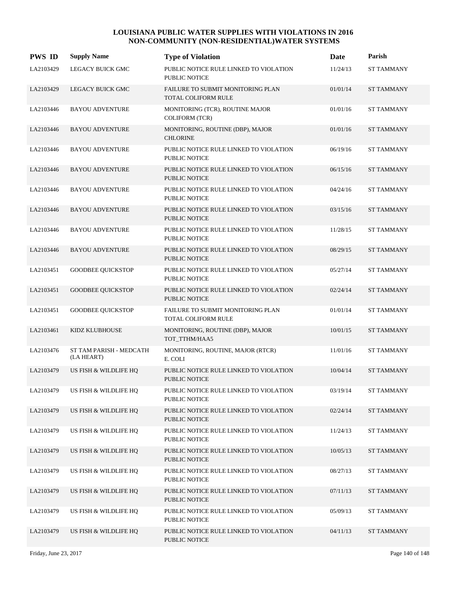| <b>PWS ID</b> | <b>Supply Name</b>                    | <b>Type of Violation</b>                                        | Date     | Parish            |
|---------------|---------------------------------------|-----------------------------------------------------------------|----------|-------------------|
| LA2103429     | LEGACY BUICK GMC                      | PUBLIC NOTICE RULE LINKED TO VIOLATION<br><b>PUBLIC NOTICE</b>  | 11/24/13 | <b>ST TAMMANY</b> |
| LA2103429     | <b>LEGACY BUICK GMC</b>               | FAILURE TO SUBMIT MONITORING PLAN<br><b>TOTAL COLIFORM RULE</b> | 01/01/14 | <b>ST TAMMANY</b> |
| LA2103446     | <b>BAYOU ADVENTURE</b>                | MONITORING (TCR), ROUTINE MAJOR<br><b>COLIFORM (TCR)</b>        | 01/01/16 | <b>ST TAMMANY</b> |
| LA2103446     | <b>BAYOU ADVENTURE</b>                | MONITORING, ROUTINE (DBP), MAJOR<br><b>CHLORINE</b>             | 01/01/16 | <b>ST TAMMANY</b> |
| LA2103446     | <b>BAYOU ADVENTURE</b>                | PUBLIC NOTICE RULE LINKED TO VIOLATION<br><b>PUBLIC NOTICE</b>  | 06/19/16 | <b>ST TAMMANY</b> |
| LA2103446     | <b>BAYOU ADVENTURE</b>                | PUBLIC NOTICE RULE LINKED TO VIOLATION<br><b>PUBLIC NOTICE</b>  | 06/15/16 | <b>ST TAMMANY</b> |
| LA2103446     | <b>BAYOU ADVENTURE</b>                | PUBLIC NOTICE RULE LINKED TO VIOLATION<br><b>PUBLIC NOTICE</b>  | 04/24/16 | <b>ST TAMMANY</b> |
| LA2103446     | <b>BAYOU ADVENTURE</b>                | PUBLIC NOTICE RULE LINKED TO VIOLATION<br><b>PUBLIC NOTICE</b>  | 03/15/16 | <b>ST TAMMANY</b> |
| LA2103446     | <b>BAYOU ADVENTURE</b>                | PUBLIC NOTICE RULE LINKED TO VIOLATION<br><b>PUBLIC NOTICE</b>  | 11/28/15 | <b>ST TAMMANY</b> |
| LA2103446     | <b>BAYOU ADVENTURE</b>                | PUBLIC NOTICE RULE LINKED TO VIOLATION<br><b>PUBLIC NOTICE</b>  | 08/29/15 | <b>ST TAMMANY</b> |
| LA2103451     | <b>GOODBEE QUICKSTOP</b>              | PUBLIC NOTICE RULE LINKED TO VIOLATION<br>PUBLIC NOTICE         | 05/27/14 | <b>ST TAMMANY</b> |
| LA2103451     | <b>GOODBEE QUICKSTOP</b>              | PUBLIC NOTICE RULE LINKED TO VIOLATION<br><b>PUBLIC NOTICE</b>  | 02/24/14 | <b>ST TAMMANY</b> |
| LA2103451     | <b>GOODBEE QUICKSTOP</b>              | FAILURE TO SUBMIT MONITORING PLAN<br>TOTAL COLIFORM RULE        | 01/01/14 | <b>ST TAMMANY</b> |
| LA2103461     | KIDZ KLUBHOUSE                        | MONITORING, ROUTINE (DBP), MAJOR<br>TOT TTHM/HAA5               | 10/01/15 | <b>ST TAMMANY</b> |
| LA2103476     | ST TAM PARISH - MEDCATH<br>(LA HEART) | MONITORING, ROUTINE, MAJOR (RTCR)<br>E. COLI                    | 11/01/16 | <b>ST TAMMANY</b> |
| LA2103479     | US FISH & WILDLIFE HQ                 | PUBLIC NOTICE RULE LINKED TO VIOLATION<br>PUBLIC NOTICE         | 10/04/14 | <b>ST TAMMANY</b> |
| LA2103479     | US FISH & WILDLIFE HQ                 | PUBLIC NOTICE RULE LINKED TO VIOLATION<br>PUBLIC NOTICE         | 03/19/14 | <b>ST TAMMANY</b> |
| LA2103479     | US FISH & WILDLIFE HQ                 | PUBLIC NOTICE RULE LINKED TO VIOLATION<br>PUBLIC NOTICE         | 02/24/14 | <b>ST TAMMANY</b> |
| LA2103479     | US FISH & WILDLIFE HQ                 | PUBLIC NOTICE RULE LINKED TO VIOLATION<br>PUBLIC NOTICE         | 11/24/13 | ST TAMMANY        |
| LA2103479     | US FISH & WILDLIFE HQ                 | PUBLIC NOTICE RULE LINKED TO VIOLATION<br>PUBLIC NOTICE         | 10/05/13 | <b>ST TAMMANY</b> |
| LA2103479     | US FISH & WILDLIFE HQ                 | PUBLIC NOTICE RULE LINKED TO VIOLATION<br>PUBLIC NOTICE         | 08/27/13 | ST TAMMANY        |
| LA2103479     | US FISH & WILDLIFE HQ                 | PUBLIC NOTICE RULE LINKED TO VIOLATION<br>PUBLIC NOTICE         | 07/11/13 | <b>ST TAMMANY</b> |
| LA2103479     | US FISH & WILDLIFE HQ                 | PUBLIC NOTICE RULE LINKED TO VIOLATION<br>PUBLIC NOTICE         | 05/09/13 | <b>ST TAMMANY</b> |
| LA2103479     | US FISH & WILDLIFE HQ                 | PUBLIC NOTICE RULE LINKED TO VIOLATION<br>PUBLIC NOTICE         | 04/11/13 | ST TAMMANY        |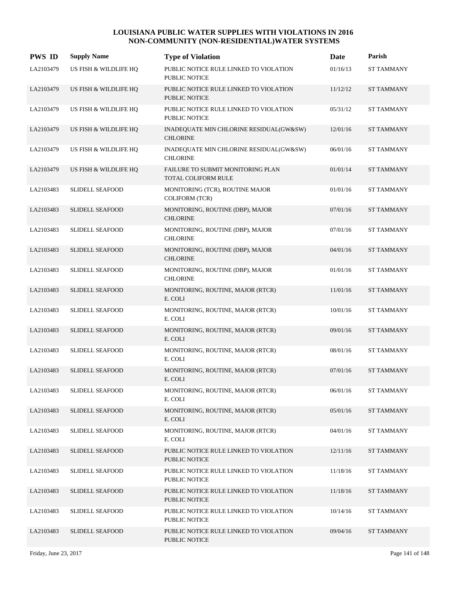| <b>PWS ID</b> | <b>Supply Name</b>     | <b>Type of Violation</b>                                        | Date     | Parish            |
|---------------|------------------------|-----------------------------------------------------------------|----------|-------------------|
| LA2103479     | US FISH & WILDLIFE HQ  | PUBLIC NOTICE RULE LINKED TO VIOLATION<br>PUBLIC NOTICE         | 01/16/13 | <b>ST TAMMANY</b> |
| LA2103479     | US FISH & WILDLIFE HQ  | PUBLIC NOTICE RULE LINKED TO VIOLATION<br><b>PUBLIC NOTICE</b>  | 11/12/12 | <b>ST TAMMANY</b> |
| LA2103479     | US FISH & WILDLIFE HQ  | PUBLIC NOTICE RULE LINKED TO VIOLATION<br><b>PUBLIC NOTICE</b>  | 05/31/12 | <b>ST TAMMANY</b> |
| LA2103479     | US FISH & WILDLIFE HQ  | INADEQUATE MIN CHLORINE RESIDUAL(GW&SW)<br><b>CHLORINE</b>      | 12/01/16 | <b>ST TAMMANY</b> |
| LA2103479     | US FISH & WILDLIFE HQ  | INADEQUATE MIN CHLORINE RESIDUAL(GW&SW)<br><b>CHLORINE</b>      | 06/01/16 | <b>ST TAMMANY</b> |
| LA2103479     | US FISH & WILDLIFE HQ  | FAILURE TO SUBMIT MONITORING PLAN<br><b>TOTAL COLIFORM RULE</b> | 01/01/14 | <b>ST TAMMANY</b> |
| LA2103483     | <b>SLIDELL SEAFOOD</b> | MONITORING (TCR), ROUTINE MAJOR<br><b>COLIFORM (TCR)</b>        | 01/01/16 | <b>ST TAMMANY</b> |
| LA2103483     | <b>SLIDELL SEAFOOD</b> | MONITORING, ROUTINE (DBP), MAJOR<br><b>CHLORINE</b>             | 07/01/16 | <b>ST TAMMANY</b> |
| LA2103483     | <b>SLIDELL SEAFOOD</b> | MONITORING, ROUTINE (DBP), MAJOR<br><b>CHLORINE</b>             | 07/01/16 | <b>ST TAMMANY</b> |
| LA2103483     | <b>SLIDELL SEAFOOD</b> | MONITORING, ROUTINE (DBP), MAJOR<br><b>CHLORINE</b>             | 04/01/16 | <b>ST TAMMANY</b> |
| LA2103483     | <b>SLIDELL SEAFOOD</b> | MONITORING, ROUTINE (DBP), MAJOR<br><b>CHLORINE</b>             | 01/01/16 | <b>ST TAMMANY</b> |
| LA2103483     | <b>SLIDELL SEAFOOD</b> | MONITORING, ROUTINE, MAJOR (RTCR)<br>E. COLI                    | 11/01/16 | <b>ST TAMMANY</b> |
| LA2103483     | <b>SLIDELL SEAFOOD</b> | MONITORING, ROUTINE, MAJOR (RTCR)<br>E. COLI                    | 10/01/16 | <b>ST TAMMANY</b> |
| LA2103483     | <b>SLIDELL SEAFOOD</b> | MONITORING, ROUTINE, MAJOR (RTCR)<br>E. COLI                    | 09/01/16 | <b>ST TAMMANY</b> |
| LA2103483     | <b>SLIDELL SEAFOOD</b> | MONITORING, ROUTINE, MAJOR (RTCR)<br>E. COLI                    | 08/01/16 | <b>ST TAMMANY</b> |
| LA2103483     | <b>SLIDELL SEAFOOD</b> | MONITORING, ROUTINE, MAJOR (RTCR)<br>E. COLI                    | 07/01/16 | <b>ST TAMMANY</b> |
| LA2103483     | <b>SLIDELL SEAFOOD</b> | MONITORING, ROUTINE, MAJOR (RTCR)<br>E. COLI                    | 06/01/16 | <b>ST TAMMANY</b> |
| LA2103483     | <b>SLIDELL SEAFOOD</b> | MONITORING, ROUTINE, MAJOR (RTCR)<br>E. COLI                    | 05/01/16 | <b>ST TAMMANY</b> |
| LA2103483     | <b>SLIDELL SEAFOOD</b> | MONITORING, ROUTINE, MAJOR (RTCR)<br>E. COLI                    | 04/01/16 | <b>ST TAMMANY</b> |
| LA2103483     | <b>SLIDELL SEAFOOD</b> | PUBLIC NOTICE RULE LINKED TO VIOLATION<br><b>PUBLIC NOTICE</b>  | 12/11/16 | <b>ST TAMMANY</b> |
| LA2103483     | <b>SLIDELL SEAFOOD</b> | PUBLIC NOTICE RULE LINKED TO VIOLATION<br>PUBLIC NOTICE         | 11/18/16 | <b>ST TAMMANY</b> |
| LA2103483     | <b>SLIDELL SEAFOOD</b> | PUBLIC NOTICE RULE LINKED TO VIOLATION<br>PUBLIC NOTICE         | 11/18/16 | <b>ST TAMMANY</b> |
| LA2103483     | <b>SLIDELL SEAFOOD</b> | PUBLIC NOTICE RULE LINKED TO VIOLATION<br>PUBLIC NOTICE         | 10/14/16 | <b>ST TAMMANY</b> |
| LA2103483     | SLIDELL SEAFOOD        | PUBLIC NOTICE RULE LINKED TO VIOLATION<br>PUBLIC NOTICE         | 09/04/16 | <b>ST TAMMANY</b> |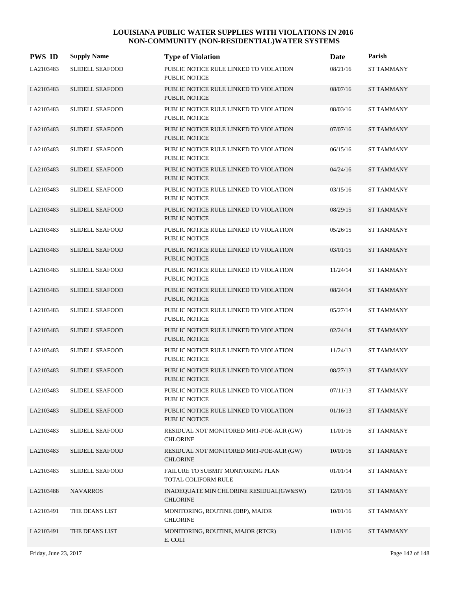| <b>PWS ID</b> | <b>Supply Name</b>     | <b>Type of Violation</b>                                       | Date     | Parish            |
|---------------|------------------------|----------------------------------------------------------------|----------|-------------------|
| LA2103483     | <b>SLIDELL SEAFOOD</b> | PUBLIC NOTICE RULE LINKED TO VIOLATION<br><b>PUBLIC NOTICE</b> | 08/21/16 | <b>ST TAMMANY</b> |
| LA2103483     | <b>SLIDELL SEAFOOD</b> | PUBLIC NOTICE RULE LINKED TO VIOLATION<br><b>PUBLIC NOTICE</b> | 08/07/16 | <b>ST TAMMANY</b> |
| LA2103483     | <b>SLIDELL SEAFOOD</b> | PUBLIC NOTICE RULE LINKED TO VIOLATION<br><b>PUBLIC NOTICE</b> | 08/03/16 | <b>ST TAMMANY</b> |
| LA2103483     | <b>SLIDELL SEAFOOD</b> | PUBLIC NOTICE RULE LINKED TO VIOLATION<br><b>PUBLIC NOTICE</b> | 07/07/16 | <b>ST TAMMANY</b> |
| LA2103483     | <b>SLIDELL SEAFOOD</b> | PUBLIC NOTICE RULE LINKED TO VIOLATION<br><b>PUBLIC NOTICE</b> | 06/15/16 | <b>ST TAMMANY</b> |
| LA2103483     | <b>SLIDELL SEAFOOD</b> | PUBLIC NOTICE RULE LINKED TO VIOLATION<br><b>PUBLIC NOTICE</b> | 04/24/16 | <b>ST TAMMANY</b> |
| LA2103483     | <b>SLIDELL SEAFOOD</b> | PUBLIC NOTICE RULE LINKED TO VIOLATION<br><b>PUBLIC NOTICE</b> | 03/15/16 | <b>ST TAMMANY</b> |
| LA2103483     | <b>SLIDELL SEAFOOD</b> | PUBLIC NOTICE RULE LINKED TO VIOLATION<br><b>PUBLIC NOTICE</b> | 08/29/15 | <b>ST TAMMANY</b> |
| LA2103483     | <b>SLIDELL SEAFOOD</b> | PUBLIC NOTICE RULE LINKED TO VIOLATION<br>PUBLIC NOTICE        | 05/26/15 | <b>ST TAMMANY</b> |
| LA2103483     | <b>SLIDELL SEAFOOD</b> | PUBLIC NOTICE RULE LINKED TO VIOLATION<br><b>PUBLIC NOTICE</b> | 03/01/15 | <b>ST TAMMANY</b> |
| LA2103483     | <b>SLIDELL SEAFOOD</b> | PUBLIC NOTICE RULE LINKED TO VIOLATION<br>PUBLIC NOTICE        | 11/24/14 | <b>ST TAMMANY</b> |
| LA2103483     | <b>SLIDELL SEAFOOD</b> | PUBLIC NOTICE RULE LINKED TO VIOLATION<br>PUBLIC NOTICE        | 08/24/14 | <b>ST TAMMANY</b> |
| LA2103483     | <b>SLIDELL SEAFOOD</b> | PUBLIC NOTICE RULE LINKED TO VIOLATION<br>PUBLIC NOTICE        | 05/27/14 | ST TAMMANY        |
| LA2103483     | <b>SLIDELL SEAFOOD</b> | PUBLIC NOTICE RULE LINKED TO VIOLATION<br><b>PUBLIC NOTICE</b> | 02/24/14 | <b>ST TAMMANY</b> |
| LA2103483     | <b>SLIDELL SEAFOOD</b> | PUBLIC NOTICE RULE LINKED TO VIOLATION<br>PUBLIC NOTICE        | 11/24/13 | <b>ST TAMMANY</b> |
| LA2103483     | <b>SLIDELL SEAFOOD</b> | PUBLIC NOTICE RULE LINKED TO VIOLATION<br><b>PUBLIC NOTICE</b> | 08/27/13 | <b>ST TAMMANY</b> |
| LA2103483     | <b>SLIDELL SEAFOOD</b> | PUBLIC NOTICE RULE LINKED TO VIOLATION<br>PUBLIC NOTICE        | 07/11/13 | <b>ST TAMMANY</b> |
| LA2103483     | <b>SLIDELL SEAFOOD</b> | PUBLIC NOTICE RULE LINKED TO VIOLATION<br>PUBLIC NOTICE        | 01/16/13 | ST TAMMANY        |
| LA2103483     | <b>SLIDELL SEAFOOD</b> | RESIDUAL NOT MONITORED MRT-POE-ACR (GW)<br>CHLORINE            | 11/01/16 | <b>ST TAMMANY</b> |
| LA2103483     | <b>SLIDELL SEAFOOD</b> | RESIDUAL NOT MONITORED MRT-POE-ACR (GW)<br><b>CHLORINE</b>     | 10/01/16 | ST TAMMANY        |
| LA2103483     | <b>SLIDELL SEAFOOD</b> | FAILURE TO SUBMIT MONITORING PLAN<br>TOTAL COLIFORM RULE       | 01/01/14 | <b>ST TAMMANY</b> |
| LA2103488     | <b>NAVARROS</b>        | INADEQUATE MIN CHLORINE RESIDUAL(GW&SW)<br><b>CHLORINE</b>     | 12/01/16 | ST TAMMANY        |
| LA2103491     | THE DEANS LIST         | MONITORING, ROUTINE (DBP), MAJOR<br><b>CHLORINE</b>            | 10/01/16 | ST TAMMANY        |
| LA2103491     | THE DEANS LIST         | MONITORING, ROUTINE, MAJOR (RTCR)<br>E. COLI                   | 11/01/16 | ST TAMMANY        |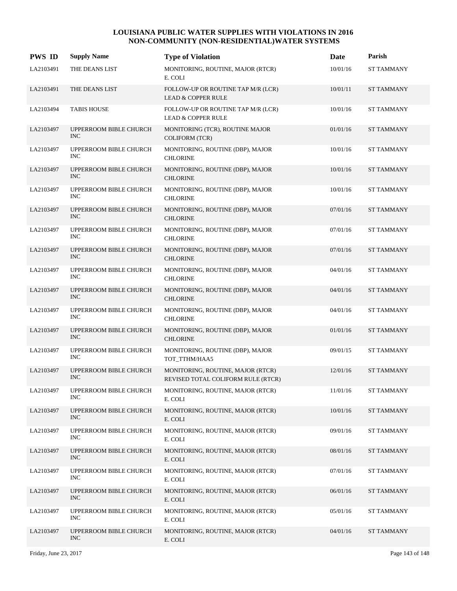| <b>PWS ID</b> | <b>Supply Name</b>                   | <b>Type of Violation</b>                                                | Date     | Parish            |
|---------------|--------------------------------------|-------------------------------------------------------------------------|----------|-------------------|
| LA2103491     | THE DEANS LIST                       | MONITORING, ROUTINE, MAJOR (RTCR)<br>E. COLI                            | 10/01/16 | ST TAMMANY        |
| LA2103491     | THE DEANS LIST                       | FOLLOW-UP OR ROUTINE TAP M/R (LCR)<br><b>LEAD &amp; COPPER RULE</b>     | 10/01/11 | <b>ST TAMMANY</b> |
| LA2103494     | <b>TABIS HOUSE</b>                   | FOLLOW-UP OR ROUTINE TAP M/R (LCR)<br><b>LEAD &amp; COPPER RULE</b>     | 10/01/16 | <b>ST TAMMANY</b> |
| LA2103497     | UPPERROOM BIBLE CHURCH<br><b>INC</b> | MONITORING (TCR), ROUTINE MAJOR<br><b>COLIFORM (TCR)</b>                | 01/01/16 | <b>ST TAMMANY</b> |
| LA2103497     | UPPERROOM BIBLE CHURCH<br><b>INC</b> | MONITORING, ROUTINE (DBP), MAJOR<br><b>CHLORINE</b>                     | 10/01/16 | <b>ST TAMMANY</b> |
| LA2103497     | UPPERROOM BIBLE CHURCH<br><b>INC</b> | MONITORING, ROUTINE (DBP), MAJOR<br><b>CHLORINE</b>                     | 10/01/16 | <b>ST TAMMANY</b> |
| LA2103497     | UPPERROOM BIBLE CHURCH<br><b>INC</b> | MONITORING, ROUTINE (DBP), MAJOR<br><b>CHLORINE</b>                     | 10/01/16 | <b>ST TAMMANY</b> |
| LA2103497     | UPPERROOM BIBLE CHURCH<br><b>INC</b> | MONITORING, ROUTINE (DBP), MAJOR<br><b>CHLORINE</b>                     | 07/01/16 | <b>ST TAMMANY</b> |
| LA2103497     | UPPERROOM BIBLE CHURCH<br><b>INC</b> | MONITORING, ROUTINE (DBP), MAJOR<br><b>CHLORINE</b>                     | 07/01/16 | <b>ST TAMMANY</b> |
| LA2103497     | UPPERROOM BIBLE CHURCH<br><b>INC</b> | MONITORING, ROUTINE (DBP), MAJOR<br><b>CHLORINE</b>                     | 07/01/16 | <b>ST TAMMANY</b> |
| LA2103497     | UPPERROOM BIBLE CHURCH<br><b>INC</b> | MONITORING, ROUTINE (DBP), MAJOR<br><b>CHLORINE</b>                     | 04/01/16 | <b>ST TAMMANY</b> |
| LA2103497     | UPPERROOM BIBLE CHURCH<br><b>INC</b> | MONITORING, ROUTINE (DBP), MAJOR<br><b>CHLORINE</b>                     | 04/01/16 | <b>ST TAMMANY</b> |
| LA2103497     | UPPERROOM BIBLE CHURCH<br><b>INC</b> | MONITORING, ROUTINE (DBP), MAJOR<br><b>CHLORINE</b>                     | 04/01/16 | <b>ST TAMMANY</b> |
| LA2103497     | UPPERROOM BIBLE CHURCH<br><b>INC</b> | MONITORING, ROUTINE (DBP), MAJOR<br><b>CHLORINE</b>                     | 01/01/16 | <b>ST TAMMANY</b> |
| LA2103497     | UPPERROOM BIBLE CHURCH<br><b>INC</b> | MONITORING, ROUTINE (DBP), MAJOR<br>TOT_TTHM/HAA5                       | 09/01/15 | <b>ST TAMMANY</b> |
| LA2103497     | UPPERROOM BIBLE CHURCH<br><b>INC</b> | MONITORING, ROUTINE, MAJOR (RTCR)<br>REVISED TOTAL COLIFORM RULE (RTCR) | 12/01/16 | <b>ST TAMMANY</b> |
| LA2103497     | UPPERROOM BIBLE CHURCH<br><b>INC</b> | MONITORING, ROUTINE, MAJOR (RTCR)<br>E. COLI                            | 11/01/16 | <b>ST TAMMANY</b> |
| LA2103497     | UPPERROOM BIBLE CHURCH<br><b>INC</b> | MONITORING, ROUTINE, MAJOR (RTCR)<br>E. COLI                            | 10/01/16 | <b>ST TAMMANY</b> |
| LA2103497     | UPPERROOM BIBLE CHURCH<br><b>INC</b> | MONITORING, ROUTINE, MAJOR (RTCR)<br>E. COLI                            | 09/01/16 | <b>ST TAMMANY</b> |
| LA2103497     | UPPERROOM BIBLE CHURCH<br><b>INC</b> | MONITORING, ROUTINE, MAJOR (RTCR)<br>E. COLI                            | 08/01/16 | <b>ST TAMMANY</b> |
| LA2103497     | UPPERROOM BIBLE CHURCH<br><b>INC</b> | MONITORING, ROUTINE, MAJOR (RTCR)<br>E. COLI                            | 07/01/16 | <b>ST TAMMANY</b> |
| LA2103497     | UPPERROOM BIBLE CHURCH<br><b>INC</b> | MONITORING, ROUTINE, MAJOR (RTCR)<br>E. COLI                            | 06/01/16 | <b>ST TAMMANY</b> |
| LA2103497     | UPPERROOM BIBLE CHURCH<br><b>INC</b> | MONITORING, ROUTINE, MAJOR (RTCR)<br>E. COLI                            | 05/01/16 | <b>ST TAMMANY</b> |
| LA2103497     | UPPERROOM BIBLE CHURCH<br><b>INC</b> | MONITORING, ROUTINE, MAJOR (RTCR)<br>E. COLI                            | 04/01/16 | <b>ST TAMMANY</b> |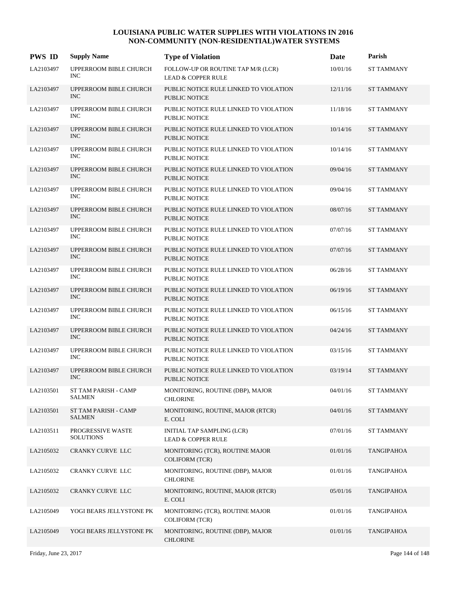| <b>PWS ID</b> | <b>Supply Name</b>                    | <b>Type of Violation</b>                                            | Date     | Parish            |
|---------------|---------------------------------------|---------------------------------------------------------------------|----------|-------------------|
| LA2103497     | UPPERROOM BIBLE CHURCH<br><b>INC</b>  | FOLLOW-UP OR ROUTINE TAP M/R (LCR)<br><b>LEAD &amp; COPPER RULE</b> | 10/01/16 | <b>ST TAMMANY</b> |
| LA2103497     | UPPERROOM BIBLE CHURCH<br><b>INC</b>  | PUBLIC NOTICE RULE LINKED TO VIOLATION<br><b>PUBLIC NOTICE</b>      | 12/11/16 | <b>ST TAMMANY</b> |
| LA2103497     | UPPERROOM BIBLE CHURCH<br><b>INC</b>  | PUBLIC NOTICE RULE LINKED TO VIOLATION<br><b>PUBLIC NOTICE</b>      | 11/18/16 | <b>ST TAMMANY</b> |
| LA2103497     | UPPERROOM BIBLE CHURCH<br><b>INC</b>  | PUBLIC NOTICE RULE LINKED TO VIOLATION<br><b>PUBLIC NOTICE</b>      | 10/14/16 | <b>ST TAMMANY</b> |
| LA2103497     | UPPERROOM BIBLE CHURCH<br><b>INC</b>  | PUBLIC NOTICE RULE LINKED TO VIOLATION<br><b>PUBLIC NOTICE</b>      | 10/14/16 | <b>ST TAMMANY</b> |
| LA2103497     | UPPERROOM BIBLE CHURCH<br><b>INC</b>  | PUBLIC NOTICE RULE LINKED TO VIOLATION<br><b>PUBLIC NOTICE</b>      | 09/04/16 | <b>ST TAMMANY</b> |
| LA2103497     | UPPERROOM BIBLE CHURCH<br><b>INC</b>  | PUBLIC NOTICE RULE LINKED TO VIOLATION<br>PUBLIC NOTICE             | 09/04/16 | <b>ST TAMMANY</b> |
| LA2103497     | UPPERROOM BIBLE CHURCH<br><b>INC</b>  | PUBLIC NOTICE RULE LINKED TO VIOLATION<br><b>PUBLIC NOTICE</b>      | 08/07/16 | <b>ST TAMMANY</b> |
| LA2103497     | UPPERROOM BIBLE CHURCH<br><b>INC</b>  | PUBLIC NOTICE RULE LINKED TO VIOLATION<br><b>PUBLIC NOTICE</b>      | 07/07/16 | <b>ST TAMMANY</b> |
| LA2103497     | UPPERROOM BIBLE CHURCH<br><b>INC</b>  | PUBLIC NOTICE RULE LINKED TO VIOLATION<br><b>PUBLIC NOTICE</b>      | 07/07/16 | <b>ST TAMMANY</b> |
| LA2103497     | UPPERROOM BIBLE CHURCH<br><b>INC</b>  | PUBLIC NOTICE RULE LINKED TO VIOLATION<br><b>PUBLIC NOTICE</b>      | 06/28/16 | <b>ST TAMMANY</b> |
| LA2103497     | UPPERROOM BIBLE CHURCH<br><b>INC</b>  | PUBLIC NOTICE RULE LINKED TO VIOLATION<br><b>PUBLIC NOTICE</b>      | 06/19/16 | <b>ST TAMMANY</b> |
| LA2103497     | UPPERROOM BIBLE CHURCH<br><b>INC</b>  | PUBLIC NOTICE RULE LINKED TO VIOLATION<br><b>PUBLIC NOTICE</b>      | 06/15/16 | <b>ST TAMMANY</b> |
| LA2103497     | UPPERROOM BIBLE CHURCH<br><b>INC</b>  | PUBLIC NOTICE RULE LINKED TO VIOLATION<br><b>PUBLIC NOTICE</b>      | 04/24/16 | <b>ST TAMMANY</b> |
| LA2103497     | UPPERROOM BIBLE CHURCH<br><b>INC</b>  | PUBLIC NOTICE RULE LINKED TO VIOLATION<br><b>PUBLIC NOTICE</b>      | 03/15/16 | <b>ST TAMMANY</b> |
| LA2103497     | UPPERROOM BIBLE CHURCH<br><b>INC</b>  | PUBLIC NOTICE RULE LINKED TO VIOLATION<br>PUBLIC NOTICE             | 03/19/14 | <b>ST TAMMANY</b> |
| LA2103501     | ST TAM PARISH - CAMP<br><b>SALMEN</b> | MONITORING, ROUTINE (DBP), MAJOR<br><b>CHLORINE</b>                 | 04/01/16 | <b>ST TAMMANY</b> |
| LA2103501     | ST TAM PARISH - CAMP<br>SALMEN        | MONITORING, ROUTINE, MAJOR (RTCR)<br>E. COLI                        | 04/01/16 | <b>ST TAMMANY</b> |
| LA2103511     | PROGRESSIVE WASTE<br><b>SOLUTIONS</b> | INITIAL TAP SAMPLING (LCR)<br><b>LEAD &amp; COPPER RULE</b>         | 07/01/16 | <b>ST TAMMANY</b> |
| LA2105032     | CRANKY CURVE LLC                      | MONITORING (TCR), ROUTINE MAJOR<br><b>COLIFORM (TCR)</b>            | 01/01/16 | <b>TANGIPAHOA</b> |
| LA2105032     | CRANKY CURVE LLC                      | MONITORING, ROUTINE (DBP), MAJOR<br><b>CHLORINE</b>                 | 01/01/16 | <b>TANGIPAHOA</b> |
| LA2105032     | CRANKY CURVE LLC                      | MONITORING, ROUTINE, MAJOR (RTCR)<br>E. COLI                        | 05/01/16 | <b>TANGIPAHOA</b> |
| LA2105049     | YOGI BEARS JELLYSTONE PK              | MONITORING (TCR), ROUTINE MAJOR<br><b>COLIFORM (TCR)</b>            | 01/01/16 | TANGIPAHOA        |
| LA2105049     | YOGI BEARS JELLYSTONE PK              | MONITORING, ROUTINE (DBP), MAJOR<br><b>CHLORINE</b>                 | 01/01/16 | <b>TANGIPAHOA</b> |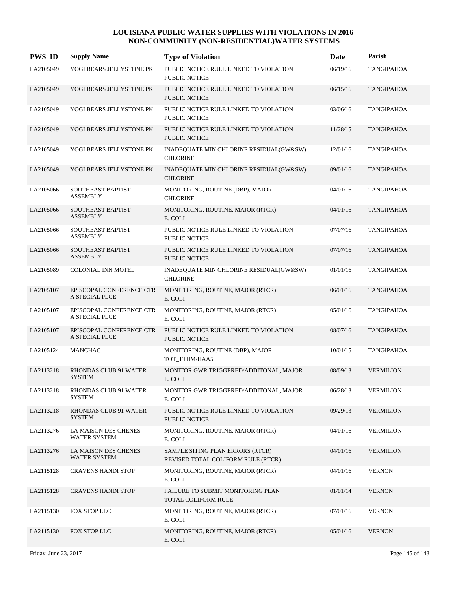| <b>PWS ID</b> | <b>Supply Name</b>                                 | <b>Type of Violation</b>                                               | Date     | Parish            |
|---------------|----------------------------------------------------|------------------------------------------------------------------------|----------|-------------------|
| LA2105049     | YOGI BEARS JELLYSTONE PK                           | PUBLIC NOTICE RULE LINKED TO VIOLATION<br><b>PUBLIC NOTICE</b>         | 06/19/16 | <b>TANGIPAHOA</b> |
| LA2105049     | YOGI BEARS JELLYSTONE PK                           | PUBLIC NOTICE RULE LINKED TO VIOLATION<br><b>PUBLIC NOTICE</b>         | 06/15/16 | <b>TANGIPAHOA</b> |
| LA2105049     | YOGI BEARS JELLYSTONE PK                           | PUBLIC NOTICE RULE LINKED TO VIOLATION<br><b>PUBLIC NOTICE</b>         | 03/06/16 | <b>TANGIPAHOA</b> |
| LA2105049     | YOGI BEARS JELLYSTONE PK                           | PUBLIC NOTICE RULE LINKED TO VIOLATION<br>PUBLIC NOTICE                | 11/28/15 | <b>TANGIPAHOA</b> |
| LA2105049     | YOGI BEARS JELLYSTONE PK                           | INADEQUATE MIN CHLORINE RESIDUAL(GW&SW)<br><b>CHLORINE</b>             | 12/01/16 | TANGIPAHOA        |
| LA2105049     | YOGI BEARS JELLYSTONE PK                           | INADEQUATE MIN CHLORINE RESIDUAL(GW&SW)<br><b>CHLORINE</b>             | 09/01/16 | TANGIPAHOA        |
| LA2105066     | SOUTHEAST BAPTIST<br><b>ASSEMBLY</b>               | MONITORING, ROUTINE (DBP), MAJOR<br><b>CHLORINE</b>                    | 04/01/16 | TANGIPAHOA        |
| LA2105066     | <b>SOUTHEAST BAPTIST</b><br><b>ASSEMBLY</b>        | MONITORING, ROUTINE, MAJOR (RTCR)<br>E. COLI                           | 04/01/16 | <b>TANGIPAHOA</b> |
| LA2105066     | SOUTHEAST BAPTIST<br><b>ASSEMBLY</b>               | PUBLIC NOTICE RULE LINKED TO VIOLATION<br>PUBLIC NOTICE                | 07/07/16 | TANGIPAHOA        |
| LA2105066     | <b>SOUTHEAST BAPTIST</b><br><b>ASSEMBLY</b>        | PUBLIC NOTICE RULE LINKED TO VIOLATION<br><b>PUBLIC NOTICE</b>         | 07/07/16 | <b>TANGIPAHOA</b> |
| LA2105089     | COLONIAL INN MOTEL                                 | INADEQUATE MIN CHLORINE RESIDUAL(GW&SW)<br><b>CHLORINE</b>             | 01/01/16 | <b>TANGIPAHOA</b> |
| LA2105107     | EPISCOPAL CONFERENCE CTR<br>A SPECIAL PLCE         | MONITORING, ROUTINE, MAJOR (RTCR)<br>E. COLI                           | 06/01/16 | <b>TANGIPAHOA</b> |
| LA2105107     | EPISCOPAL CONFERENCE CTR<br>A SPECIAL PLCE         | MONITORING, ROUTINE, MAJOR (RTCR)<br>E. COLI                           | 05/01/16 | <b>TANGIPAHOA</b> |
| LA2105107     | EPISCOPAL CONFERENCE CTR<br>A SPECIAL PLCE         | PUBLIC NOTICE RULE LINKED TO VIOLATION<br><b>PUBLIC NOTICE</b>         | 08/07/16 | <b>TANGIPAHOA</b> |
| LA2105124     | <b>MANCHAC</b>                                     | MONITORING, ROUTINE (DBP), MAJOR<br>TOT_TTHM/HAA5                      | 10/01/15 | <b>TANGIPAHOA</b> |
| LA2113218     | RHONDAS CLUB 91 WATER<br><b>SYSTEM</b>             | MONITOR GWR TRIGGERED/ADDITONAL, MAJOR<br>E. COLI                      | 08/09/13 | <b>VERMILION</b>  |
| LA2113218     | RHONDAS CLUB 91 WATER<br>SYSTEM                    | MONITOR GWR TRIGGERED/ADDITONAL, MAJOR<br>E. COLI                      | 06/28/13 | <b>VERMILION</b>  |
| LA2113218     | RHONDAS CLUB 91 WATER<br><b>SYSTEM</b>             | PUBLIC NOTICE RULE LINKED TO VIOLATION<br>PUBLIC NOTICE                | 09/29/13 | <b>VERMILION</b>  |
| LA2113276     | <b>LA MAISON DES CHENES</b><br><b>WATER SYSTEM</b> | MONITORING, ROUTINE, MAJOR (RTCR)<br>E. COLI                           | 04/01/16 | <b>VERMILION</b>  |
| LA2113276     | LA MAISON DES CHENES<br><b>WATER SYSTEM</b>        | SAMPLE SITING PLAN ERRORS (RTCR)<br>REVISED TOTAL COLIFORM RULE (RTCR) | 04/01/16 | <b>VERMILION</b>  |
| LA2115128     | <b>CRAVENS HANDI STOP</b>                          | MONITORING, ROUTINE, MAJOR (RTCR)<br>E. COLI                           | 04/01/16 | <b>VERNON</b>     |
| LA2115128     | <b>CRAVENS HANDI STOP</b>                          | FAILURE TO SUBMIT MONITORING PLAN<br>TOTAL COLIFORM RULE               | 01/01/14 | <b>VERNON</b>     |
| LA2115130     | FOX STOP LLC                                       | MONITORING, ROUTINE, MAJOR (RTCR)<br>E. COLI                           | 07/01/16 | <b>VERNON</b>     |
| LA2115130     | FOX STOP LLC                                       | MONITORING, ROUTINE, MAJOR (RTCR)<br>E. COLI                           | 05/01/16 | <b>VERNON</b>     |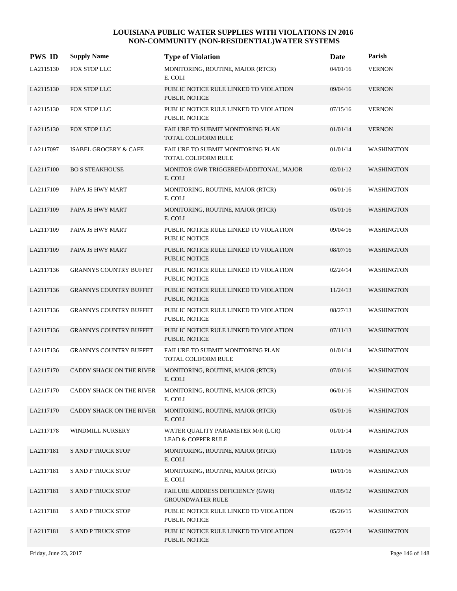| <b>PWS ID</b> | <b>Supply Name</b>               | <b>Type of Violation</b>                                           | <b>Date</b> | Parish            |
|---------------|----------------------------------|--------------------------------------------------------------------|-------------|-------------------|
| LA2115130     | FOX STOP LLC                     | MONITORING, ROUTINE, MAJOR (RTCR)<br>E. COLI                       | 04/01/16    | <b>VERNON</b>     |
| LA2115130     | FOX STOP LLC                     | PUBLIC NOTICE RULE LINKED TO VIOLATION<br><b>PUBLIC NOTICE</b>     | 09/04/16    | <b>VERNON</b>     |
| LA2115130     | FOX STOP LLC                     | PUBLIC NOTICE RULE LINKED TO VIOLATION<br>PUBLIC NOTICE            | 07/15/16    | <b>VERNON</b>     |
| LA2115130     | FOX STOP LLC                     | FAILURE TO SUBMIT MONITORING PLAN<br><b>TOTAL COLIFORM RULE</b>    | 01/01/14    | <b>VERNON</b>     |
| LA2117097     | <b>ISABEL GROCERY &amp; CAFE</b> | FAILURE TO SUBMIT MONITORING PLAN<br>TOTAL COLIFORM RULE           | 01/01/14    | <b>WASHINGTON</b> |
| LA2117100     | <b>BO S STEAKHOUSE</b>           | MONITOR GWR TRIGGERED/ADDITONAL, MAJOR<br>E. COLI                  | 02/01/12    | <b>WASHINGTON</b> |
| LA2117109     | PAPA JS HWY MART                 | MONITORING, ROUTINE, MAJOR (RTCR)<br>E. COLI                       | 06/01/16    | <b>WASHINGTON</b> |
| LA2117109     | PAPA JS HWY MART                 | MONITORING, ROUTINE, MAJOR (RTCR)<br>E. COLI                       | 05/01/16    | <b>WASHINGTON</b> |
| LA2117109     | PAPA JS HWY MART                 | PUBLIC NOTICE RULE LINKED TO VIOLATION<br>PUBLIC NOTICE            | 09/04/16    | <b>WASHINGTON</b> |
| LA2117109     | PAPA JS HWY MART                 | PUBLIC NOTICE RULE LINKED TO VIOLATION<br><b>PUBLIC NOTICE</b>     | 08/07/16    | <b>WASHINGTON</b> |
| LA2117136     | <b>GRANNYS COUNTRY BUFFET</b>    | PUBLIC NOTICE RULE LINKED TO VIOLATION<br>PUBLIC NOTICE            | 02/24/14    | <b>WASHINGTON</b> |
| LA2117136     | <b>GRANNYS COUNTRY BUFFET</b>    | PUBLIC NOTICE RULE LINKED TO VIOLATION<br><b>PUBLIC NOTICE</b>     | 11/24/13    | <b>WASHINGTON</b> |
| LA2117136     | <b>GRANNYS COUNTRY BUFFET</b>    | PUBLIC NOTICE RULE LINKED TO VIOLATION<br><b>PUBLIC NOTICE</b>     | 08/27/13    | <b>WASHINGTON</b> |
| LA2117136     | <b>GRANNYS COUNTRY BUFFET</b>    | PUBLIC NOTICE RULE LINKED TO VIOLATION<br><b>PUBLIC NOTICE</b>     | 07/11/13    | <b>WASHINGTON</b> |
| LA2117136     | <b>GRANNYS COUNTRY BUFFET</b>    | FAILURE TO SUBMIT MONITORING PLAN<br><b>TOTAL COLIFORM RULE</b>    | 01/01/14    | <b>WASHINGTON</b> |
| LA2117170     | CADDY SHACK ON THE RIVER         | MONITORING, ROUTINE, MAJOR (RTCR)<br>E. COLI                       | 07/01/16    | <b>WASHINGTON</b> |
| LA2117170     | CADDY SHACK ON THE RIVER         | MONITORING, ROUTINE, MAJOR (RTCR)<br>E. COLI                       | 06/01/16    | <b>WASHINGTON</b> |
| LA2117170     | CADDY SHACK ON THE RIVER         | MONITORING, ROUTINE, MAJOR (RTCR)<br>E. COLI                       | 05/01/16    | <b>WASHINGTON</b> |
| LA2117178     | WINDMILL NURSERY                 | WATER QUALITY PARAMETER M/R (LCR)<br><b>LEAD &amp; COPPER RULE</b> | 01/01/14    | <b>WASHINGTON</b> |
| LA2117181     | <b>S AND P TRUCK STOP</b>        | MONITORING, ROUTINE, MAJOR (RTCR)<br>E. COLI                       | 11/01/16    | <b>WASHINGTON</b> |
| LA2117181     | S AND P TRUCK STOP               | MONITORING, ROUTINE, MAJOR (RTCR)<br>E. COLI                       | 10/01/16    | <b>WASHINGTON</b> |
| LA2117181     | <b>S AND P TRUCK STOP</b>        | FAILURE ADDRESS DEFICIENCY (GWR)<br><b>GROUNDWATER RULE</b>        | 01/05/12    | <b>WASHINGTON</b> |
| LA2117181     | <b>S AND P TRUCK STOP</b>        | PUBLIC NOTICE RULE LINKED TO VIOLATION<br>PUBLIC NOTICE            | 05/26/15    | WASHINGTON        |
| LA2117181     | <b>S AND P TRUCK STOP</b>        | PUBLIC NOTICE RULE LINKED TO VIOLATION<br>PUBLIC NOTICE            | 05/27/14    | <b>WASHINGTON</b> |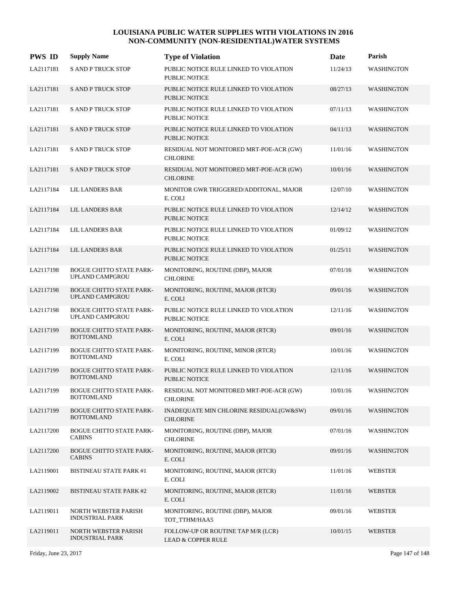| <b>PWS ID</b> | <b>Supply Name</b>                                   | <b>Type of Violation</b>                                            | Date     | Parish            |
|---------------|------------------------------------------------------|---------------------------------------------------------------------|----------|-------------------|
| LA2117181     | <b>S AND P TRUCK STOP</b>                            | PUBLIC NOTICE RULE LINKED TO VIOLATION<br><b>PUBLIC NOTICE</b>      | 11/24/13 | <b>WASHINGTON</b> |
| LA2117181     | <b>S AND P TRUCK STOP</b>                            | PUBLIC NOTICE RULE LINKED TO VIOLATION<br><b>PUBLIC NOTICE</b>      | 08/27/13 | <b>WASHINGTON</b> |
| LA2117181     | <b>S AND P TRUCK STOP</b>                            | PUBLIC NOTICE RULE LINKED TO VIOLATION<br><b>PUBLIC NOTICE</b>      | 07/11/13 | <b>WASHINGTON</b> |
| LA2117181     | <b>S AND P TRUCK STOP</b>                            | PUBLIC NOTICE RULE LINKED TO VIOLATION<br><b>PUBLIC NOTICE</b>      | 04/11/13 | <b>WASHINGTON</b> |
| LA2117181     | <b>S AND P TRUCK STOP</b>                            | RESIDUAL NOT MONITORED MRT-POE-ACR (GW)<br><b>CHLORINE</b>          | 11/01/16 | <b>WASHINGTON</b> |
| LA2117181     | <b>S AND P TRUCK STOP</b>                            | RESIDUAL NOT MONITORED MRT-POE-ACR (GW)<br><b>CHLORINE</b>          | 10/01/16 | <b>WASHINGTON</b> |
| LA2117184     | LIL LANDERS BAR                                      | MONITOR GWR TRIGGERED/ADDITONAL, MAJOR<br>E. COLI                   | 12/07/10 | WASHINGTON        |
| LA2117184     | LIL LANDERS BAR                                      | PUBLIC NOTICE RULE LINKED TO VIOLATION<br><b>PUBLIC NOTICE</b>      | 12/14/12 | <b>WASHINGTON</b> |
| LA2117184     | <b>LIL LANDERS BAR</b>                               | PUBLIC NOTICE RULE LINKED TO VIOLATION<br><b>PUBLIC NOTICE</b>      | 01/09/12 | <b>WASHINGTON</b> |
| LA2117184     | LIL LANDERS BAR                                      | PUBLIC NOTICE RULE LINKED TO VIOLATION<br><b>PUBLIC NOTICE</b>      | 01/25/11 | <b>WASHINGTON</b> |
| LA2117198     | <b>BOGUE CHITTO STATE PARK-</b><br>UPLAND CAMPGROU   | MONITORING, ROUTINE (DBP), MAJOR<br><b>CHLORINE</b>                 | 07/01/16 | WASHINGTON        |
| LA2117198     | <b>BOGUE CHITTO STATE PARK-</b><br>UPLAND CAMPGROU   | MONITORING, ROUTINE, MAJOR (RTCR)<br>E. COLI                        | 09/01/16 | <b>WASHINGTON</b> |
| LA2117198     | <b>BOGUE CHITTO STATE PARK-</b><br>UPLAND CAMPGROU   | PUBLIC NOTICE RULE LINKED TO VIOLATION<br><b>PUBLIC NOTICE</b>      | 12/11/16 | <b>WASHINGTON</b> |
| LA2117199     | <b>BOGUE CHITTO STATE PARK-</b><br><b>BOTTOMLAND</b> | MONITORING, ROUTINE, MAJOR (RTCR)<br>E. COLI                        | 09/01/16 | <b>WASHINGTON</b> |
| LA2117199     | <b>BOGUE CHITTO STATE PARK-</b><br><b>BOTTOMLAND</b> | MONITORING, ROUTINE, MINOR (RTCR)<br>E. COLI                        | 10/01/16 | WASHINGTON        |
| LA2117199     | <b>BOGUE CHITTO STATE PARK-</b><br><b>BOTTOMLAND</b> | PUBLIC NOTICE RULE LINKED TO VIOLATION<br>PUBLIC NOTICE             | 12/11/16 | <b>WASHINGTON</b> |
| LA2117199     | <b>BOGUE CHITTO STATE PARK-</b><br><b>BOTTOMLAND</b> | RESIDUAL NOT MONITORED MRT-POE-ACR (GW)<br><b>CHLORINE</b>          | 10/01/16 | WASHINGTON        |
| LA2117199     | <b>BOGUE CHITTO STATE PARK-</b><br><b>BOTTOMLAND</b> | INADEQUATE MIN CHLORINE RESIDUAL(GW&SW)<br><b>CHLORINE</b>          | 09/01/16 | <b>WASHINGTON</b> |
| LA2117200     | <b>BOGUE CHITTO STATE PARK-</b><br><b>CABINS</b>     | MONITORING, ROUTINE (DBP), MAJOR<br><b>CHLORINE</b>                 | 07/01/16 | <b>WASHINGTON</b> |
| LA2117200     | <b>BOGUE CHITTO STATE PARK-</b><br><b>CABINS</b>     | MONITORING, ROUTINE, MAJOR (RTCR)<br>E. COLI                        | 09/01/16 | <b>WASHINGTON</b> |
| LA2119001     | <b>BISTINEAU STATE PARK #1</b>                       | MONITORING, ROUTINE, MAJOR (RTCR)<br>E. COLI                        | 11/01/16 | WEBSTER           |
| LA2119002     | <b>BISTINEAU STATE PARK #2</b>                       | MONITORING, ROUTINE, MAJOR (RTCR)<br>E. COLI                        | 11/01/16 | <b>WEBSTER</b>    |
| LA2119011     | NORTH WEBSTER PARISH<br><b>INDUSTRIAL PARK</b>       | MONITORING, ROUTINE (DBP), MAJOR<br>TOT_TTHM/HAA5                   | 09/01/16 | <b>WEBSTER</b>    |
| LA2119011     | NORTH WEBSTER PARISH<br><b>INDUSTRIAL PARK</b>       | FOLLOW-UP OR ROUTINE TAP M/R (LCR)<br><b>LEAD &amp; COPPER RULE</b> | 10/01/15 | <b>WEBSTER</b>    |